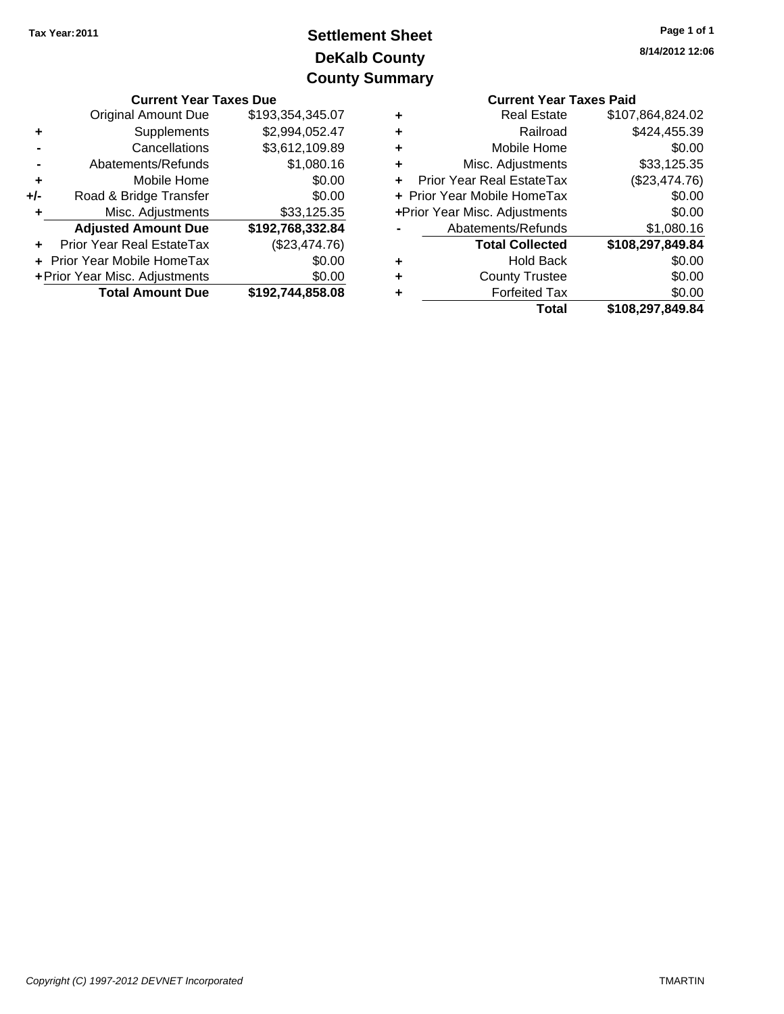# **DeKalb County Settlement Sheet Tax Year:2011 County Summary**

|       | <b>Current Year Taxes Due</b>  |                  |    |                                  | <b>Current Year Taxes Paid</b> |  |
|-------|--------------------------------|------------------|----|----------------------------------|--------------------------------|--|
|       | <b>Original Amount Due</b>     | \$193,354,345.07 | ٠  | <b>Real Estate</b>               | \$107,864,824.02               |  |
| ٠     | Supplements                    | \$2,994,052.47   | ٠  | Railroad                         | \$424,455.39                   |  |
|       | Cancellations                  | \$3,612,109.89   | ٠  | Mobile Home                      | \$0.00                         |  |
|       | Abatements/Refunds             | \$1,080.16       | ٠  | Misc. Adjustments                | \$33,125.35                    |  |
| ٠     | Mobile Home                    | \$0.00           | ÷. | <b>Prior Year Real EstateTax</b> | (\$23,474.76)                  |  |
| $+/-$ | Road & Bridge Transfer         | \$0.00           |    | + Prior Year Mobile HomeTax      | \$0.00                         |  |
|       | Misc. Adjustments              | \$33,125.35      |    | +Prior Year Misc. Adjustments    | \$0.00                         |  |
|       | <b>Adjusted Amount Due</b>     | \$192,768,332.84 |    | Abatements/Refunds               | \$1,080.16                     |  |
| ÷.    | Prior Year Real EstateTax      | (\$23,474.76)    |    | <b>Total Collected</b>           | \$108,297,849.84               |  |
|       | + Prior Year Mobile HomeTax    | \$0.00           | ٠  | <b>Hold Back</b>                 | \$0.00                         |  |
|       | + Prior Year Misc. Adjustments | \$0.00           | ٠  | <b>County Trustee</b>            | \$0.00                         |  |
|       | <b>Total Amount Due</b>        | \$192,744,858.08 | ٠  | <b>Forfeited Tax</b>             | \$0.00                         |  |
|       |                                |                  |    | Total                            | \$108 297 849 84               |  |

|   | <b>Current Year Taxes Paid</b> |                  |  |  |  |
|---|--------------------------------|------------------|--|--|--|
| ٠ | <b>Real Estate</b>             | \$107,864,824.02 |  |  |  |
|   | Railroad                       | \$424,455.39     |  |  |  |
|   | Mobile Home                    | \$0.00           |  |  |  |
| ÷ | Misc. Adjustments              | \$33,125.35      |  |  |  |
|   | Prior Year Real EstateTax      | (\$23,474.76)    |  |  |  |
|   | + Prior Year Mobile HomeTax    | \$0.00           |  |  |  |
|   | +Prior Year Misc. Adjustments  | \$0.00           |  |  |  |
|   | Abatements/Refunds             | \$1,080.16       |  |  |  |
|   | <b>Total Collected</b>         | \$108,297,849.84 |  |  |  |
|   | <b>Hold Back</b>               | \$0.00           |  |  |  |
|   | <b>County Trustee</b>          | \$0.00           |  |  |  |
|   | <b>Forfeited Tax</b>           | \$0.00           |  |  |  |
|   | Total                          | \$108.297.849.84 |  |  |  |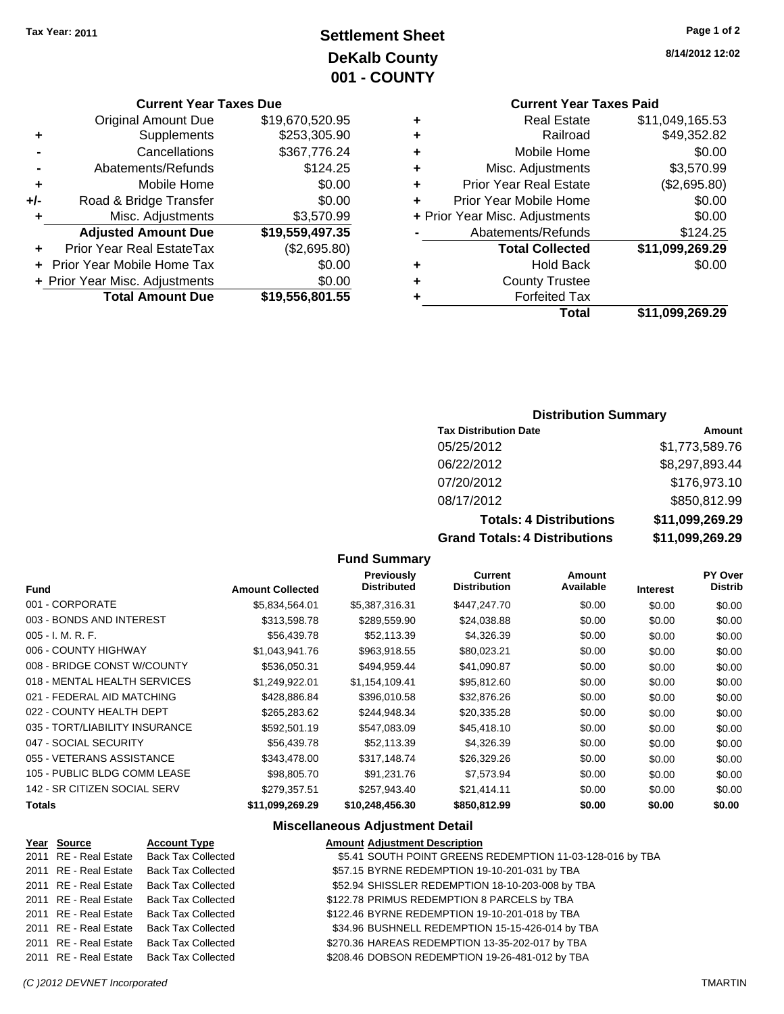# **Settlement Sheet Tax Year: 2011 Page 1 of 2 DeKalb County 001 - COUNTY**

#### **Current Year Taxes Due**

|     | <b>Original Amount Due</b>       | \$19,670,520.95 |
|-----|----------------------------------|-----------------|
| ٠   | Supplements                      | \$253,305.90    |
|     | Cancellations                    | \$367,776.24    |
|     | Abatements/Refunds               | \$124.25        |
| ٠   | Mobile Home                      | \$0.00          |
| +/- | Road & Bridge Transfer           | \$0.00          |
| ٠   | Misc. Adjustments                | \$3,570.99      |
|     | <b>Adjusted Amount Due</b>       | \$19,559,497.35 |
|     | <b>Prior Year Real EstateTax</b> | (\$2,695.80)    |
|     | Prior Year Mobile Home Tax       | \$0.00          |
|     | + Prior Year Misc. Adjustments   | \$0.00          |
|     | <b>Total Amount Due</b>          | \$19,556,801.55 |

# **Current Year Taxes Paid**

|   | Total                          | \$11,099,269.29 |
|---|--------------------------------|-----------------|
| ٠ | <b>Forfeited Tax</b>           |                 |
| ٠ | <b>County Trustee</b>          |                 |
| ٠ | <b>Hold Back</b>               | \$0.00          |
|   | <b>Total Collected</b>         | \$11,099,269.29 |
|   | Abatements/Refunds             | \$124.25        |
|   | + Prior Year Misc. Adjustments | \$0.00          |
| ÷ | Prior Year Mobile Home         | \$0.00          |
| ٠ | <b>Prior Year Real Estate</b>  | (\$2,695.80)    |
| ٠ | Misc. Adjustments              | \$3,570.99      |
| ٠ | Mobile Home                    | \$0.00          |
| ٠ | Railroad                       | \$49,352.82     |
| ٠ | <b>Real Estate</b>             | \$11,049,165.53 |

#### **Distribution Summary**

| <b>Tax Distribution Date</b>      | Amount          |
|-----------------------------------|-----------------|
| 05/25/2012                        | \$1,773,589.76  |
| 06/22/2012                        | \$8,297,893.44  |
| 07/20/2012                        | \$176,973.10    |
| 08/17/2012                        | \$850,812.99    |
| <b>Totals: 4 Distributions</b>    | \$11,099,269.29 |
| Osan di Tatalan 4 Diatullantiana. | 00 100 100 100  |

**Grand Totals: 4 Distributions \$11,099,269.29**

#### **Fund Summary**

| <b>Fund</b>                    | <b>Amount Collected</b> | <b>Previously</b><br><b>Distributed</b> | Current<br><b>Distribution</b> | Amount<br>Available | <b>Interest</b> | PY Over<br><b>Distrib</b> |
|--------------------------------|-------------------------|-----------------------------------------|--------------------------------|---------------------|-----------------|---------------------------|
| 001 - CORPORATE                | \$5,834,564.01          | \$5,387,316.31                          | \$447,247.70                   | \$0.00              | \$0.00          | \$0.00                    |
| 003 - BONDS AND INTEREST       | \$313,598.78            | \$289,559.90                            | \$24,038.88                    | \$0.00              | \$0.00          | \$0.00                    |
| $005 - I. M. R. F.$            | \$56,439.78             | \$52.113.39                             | \$4,326.39                     | \$0.00              | \$0.00          | \$0.00                    |
| 006 - COUNTY HIGHWAY           | \$1.043.941.76          | \$963,918.55                            | \$80,023.21                    | \$0.00              | \$0.00          | \$0.00                    |
| 008 - BRIDGE CONST W/COUNTY    | \$536,050.31            | \$494,959.44                            | \$41,090.87                    | \$0.00              | \$0.00          | \$0.00                    |
| 018 - MENTAL HEALTH SERVICES   | \$1,249,922.01          | \$1,154,109.41                          | \$95,812.60                    | \$0.00              | \$0.00          | \$0.00                    |
| 021 - FEDERAL AID MATCHING     | \$428,886.84            | \$396,010.58                            | \$32,876.26                    | \$0.00              | \$0.00          | \$0.00                    |
| 022 - COUNTY HEALTH DEPT       | \$265,283.62            | \$244.948.34                            | \$20,335.28                    | \$0.00              | \$0.00          | \$0.00                    |
| 035 - TORT/LIABILITY INSURANCE | \$592,501.19            | \$547.083.09                            | \$45,418.10                    | \$0.00              | \$0.00          | \$0.00                    |
| 047 - SOCIAL SECURITY          | \$56,439.78             | \$52.113.39                             | \$4,326.39                     | \$0.00              | \$0.00          | \$0.00                    |
| 055 - VETERANS ASSISTANCE      | \$343,478,00            | \$317.148.74                            | \$26,329.26                    | \$0.00              | \$0.00          | \$0.00                    |
| 105 - PUBLIC BLDG COMM LEASE   | \$98,805.70             | \$91.231.76                             | \$7,573.94                     | \$0.00              | \$0.00          | \$0.00                    |
| 142 - SR CITIZEN SOCIAL SERV   | \$279,357.51            | \$257,943.40                            | \$21,414.11                    | \$0.00              | \$0.00          | \$0.00                    |
| <b>Totals</b>                  | \$11,099,269.29         | \$10,248,456.30                         | \$850,812.99                   | \$0.00              | \$0.00          | \$0.00                    |

#### **Miscellaneous Adjustment Detail**

#### **Year Source Account Type Amount Adjustment Description** 2011 RE - Real Estate Back Tax Collected \$5.41 SOUTH POINT GREENS REDEMPTION 11-03-128-016 by TBA 2011 RE - Real Estate Back Tax Collected **\$57.15 BYRNE REDEMPTION 19-10-201-031 by TBA** 2011 RE - Real Estate Back Tax Collected \$52.94 SHISSLER REDEMPTION 18-10-203-008 by TBA 2011 RE - Real Estate Back Tax Collected \$122.78 PRIMUS REDEMPTION 8 PARCELS by TBA 2011 RE - Real Estate Back Tax Collected \$122.46 BYRNE REDEMPTION 19-10-201-018 by TBA 2011 RE - Real Estate Back Tax Collected \$34.96 BUSHNELL REDEMPTION 15-15-426-014 by TBA 2011 RE - Real Estate Back Tax Collected \$270.36 HAREAS REDEMPTION 13-35-202-017 by TBA 2011 RE - Real Estate Back Tax Collected \$208.46 DOBSON REDEMPTION 19-26-481-012 by TBA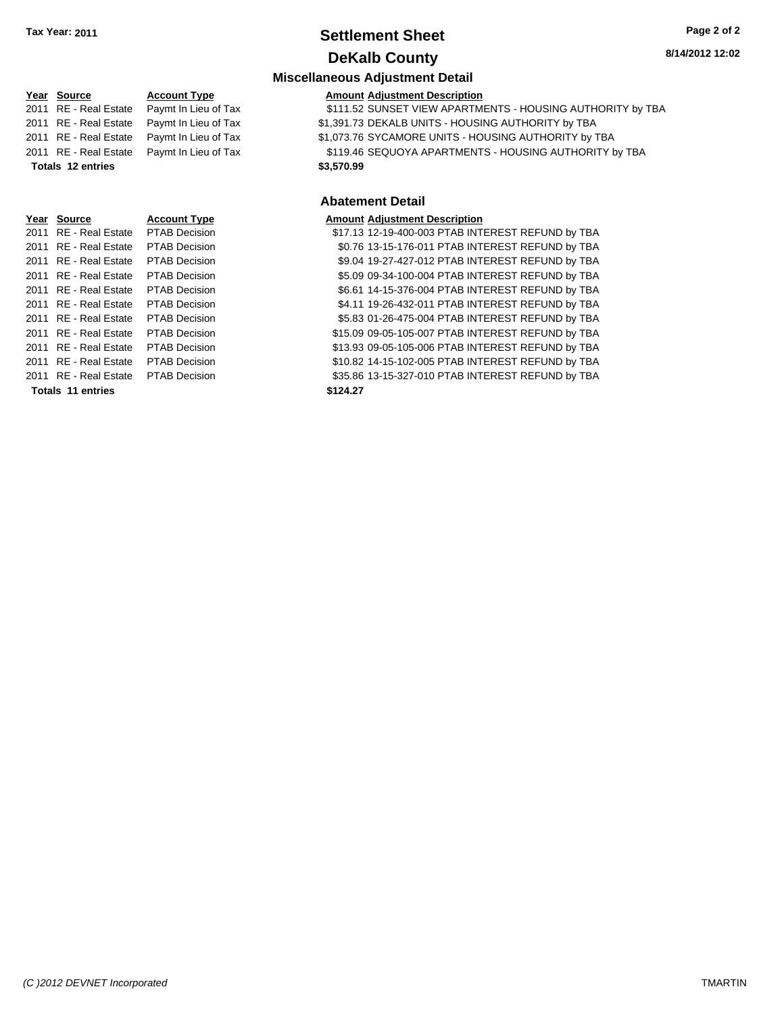### **Settlement Sheet Tax Year: 2011 Page 2 of 2 DeKalb County**

#### **8/14/2012 12:02**

### **Miscellaneous Adjustment Detail**

#### **Year Source Account Type Amount Adjustment Description**

Tax **6111.52 SUNSET VIEW APARTMENTS - HOUSING AUTHORITY by TBA** 

Tax  $$1,391.73$  DEKALB UNITS - HOUSING AUTHORITY by TBA

Tax  $$1,073.76$  SYCAMORE UNITS - HOUSING AUTHORITY by TBA

Tax  $$119.46$  SEQUOYA APARTMENTS - HOUSING AUTHORITY by TBA  $$3.570.99$ 

### **Abatement Detail**

#### **Amount Adjustment Description**

\$17.13 12-19-400-003 PTAB INTEREST REFUND by TBA \$0.76 13-15-176-011 PTAB INTEREST REFUND by TBA \$9.04 19-27-427-012 PTAB INTEREST REFUND by TBA \$5.09 09-34-100-004 PTAB INTEREST REFUND by TBA \$6.61 14-15-376-004 PTAB INTEREST REFUND by TBA \$4.11 19-26-432-011 PTAB INTEREST REFUND by TBA \$5.83 01-26-475-004 PTAB INTEREST REFUND by TBA \$15.09 09-05-105-007 PTAB INTEREST REFUND by TBA \$13.93 09-05-105-006 PTAB INTEREST REFUND by TBA \$10.82 14-15-102-005 PTAB INTEREST REFUND by TBA \$35.86 13-15-327-010 PTAB INTEREST REFUND by TBA

| $\cdots$ | ovu.vv                   | <u>HUUUHII IYPU</u>  |
|----------|--------------------------|----------------------|
| 2011     | <b>RE</b> - Real Estate  | Paymt In Lieu of     |
| 2011     | RE - Real Estate         | Paymt In Lieu of     |
| 2011     | RE - Real Estate         | Paymt In Lieu of     |
| 2011     | RE - Real Estate         | Paymt In Lieu of     |
|          | <b>Totals 12 entries</b> |                      |
|          |                          |                      |
|          |                          |                      |
|          |                          |                      |
| Year     | <b>Source</b>            | <b>Account Type</b>  |
| 2011     | RE - Real Estate         | <b>PTAB Decision</b> |
| 2011     | RE - Real Estate         | <b>PTAB Decision</b> |
| 2011     | <b>RE</b> - Real Estate  | <b>PTAB Decision</b> |
| 2011     | <b>RE</b> - Real Estate  | <b>PTAB Decision</b> |
| 2011     | <b>RE</b> - Real Estate  | <b>PTAB Decision</b> |
| 2011     | RE - Real Estate         | <b>PTAB Decision</b> |
| 2011     | RE - Real Estate         | <b>PTAB Decision</b> |
| 2011     | <b>RE</b> - Real Estate  | <b>PTAB Decision</b> |
| 2011     | <b>RE</b> - Real Estate  | <b>PTAB Decision</b> |
| 2011     | <b>RE</b> - Real Estate  | <b>PTAB Decision</b> |
| 2011     | RE - Real Estate         | PTAB Decision        |

**Totals \$124.27 11 entries**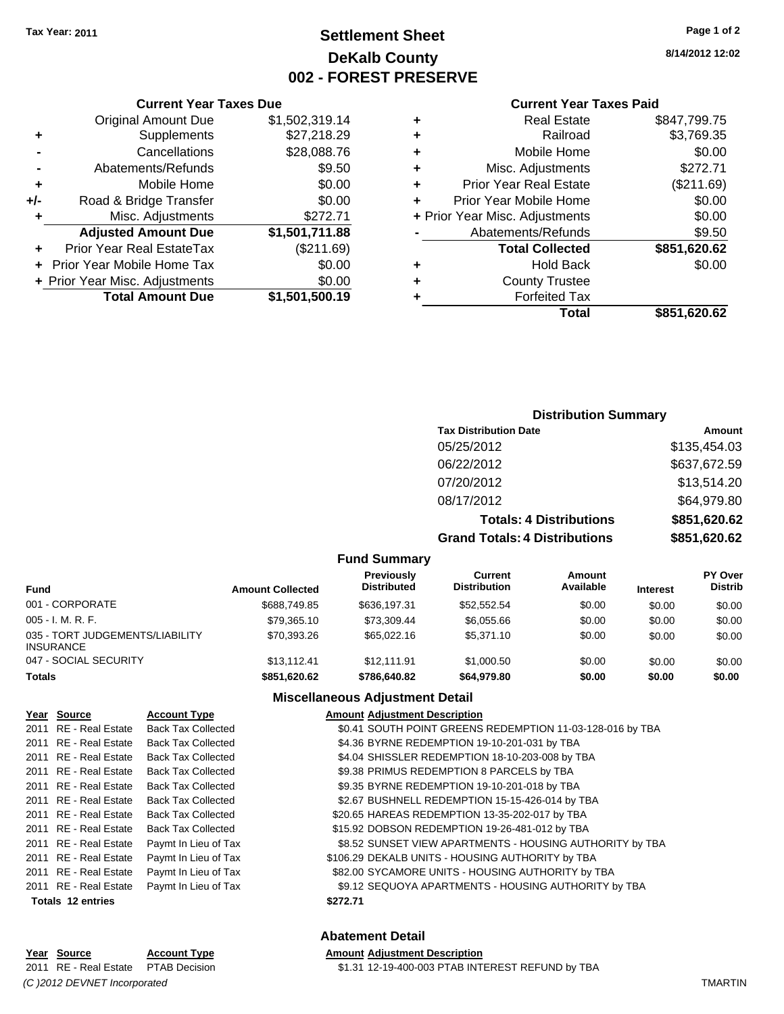# **Settlement Sheet Tax Year: 2011 Page 1 of 2 DeKalb County 002 - FOREST PRESERVE**

**8/14/2012 12:02**

#### **Current Year Taxes Paid**

| <b>County Trustee</b><br><b>Forfeited Tax</b> |              |
|-----------------------------------------------|--------------|
|                                               |              |
|                                               |              |
| <b>Hold Back</b>                              | \$0.00       |
| <b>Total Collected</b>                        | \$851,620.62 |
| Abatements/Refunds                            | \$9.50       |
| + Prior Year Misc. Adjustments                | \$0.00       |
| Prior Year Mobile Home                        | \$0.00       |
| <b>Prior Year Real Estate</b>                 | (\$211.69)   |
| Misc. Adjustments                             | \$272.71     |
| Mobile Home                                   | \$0.00       |
| Railroad                                      | \$3,769.35   |
| <b>Real Estate</b>                            | \$847,799.75 |
|                                               |              |

### **Current Year Taxes Due** Original Amount Due \$1,502,319.14 **+** Supplements \$27,218.29 **-** Cancellations \$28,088.76 **-** Abatements/Refunds **\$9.50 +** Mobile Home \$0.00 **+/-** Road & Bridge Transfer \$0.00 **+** Misc. Adjustments \$272.71 **Adjusted Amount Due \$1,501,711.88 +** Prior Year Real EstateTax (\$211.69) **+** Prior Year Mobile Home Tax \$0.00 **+ Prior Year Misc. Adjustments**  $$0.00$ **Total Amount Due \$1,501,500.19**

#### **Distribution Summary**

| <b>Tax Distribution Date</b>         | Amount       |
|--------------------------------------|--------------|
| 05/25/2012                           | \$135,454.03 |
| 06/22/2012                           | \$637,672.59 |
| 07/20/2012                           | \$13,514.20  |
| 08/17/2012                           | \$64,979.80  |
| <b>Totals: 4 Distributions</b>       | \$851,620.62 |
| <b>Grand Totals: 4 Distributions</b> | \$851,620.62 |

#### **Fund Summary**

| <b>Fund</b>                                         | <b>Amount Collected</b> | <b>Previously</b><br><b>Distributed</b> | Current<br><b>Distribution</b> | Amount<br>Available | <b>Interest</b> | <b>PY Over</b><br><b>Distrib</b> |
|-----------------------------------------------------|-------------------------|-----------------------------------------|--------------------------------|---------------------|-----------------|----------------------------------|
| 001 - CORPORATE                                     | \$688,749.85            | \$636,197.31                            | \$52,552.54                    | \$0.00              | \$0.00          | \$0.00                           |
| $005 - I. M. R. F.$                                 | \$79.365.10             | \$73.309.44                             | \$6.055.66                     | \$0.00              | \$0.00          | \$0.00                           |
| 035 - TORT JUDGEMENTS/LIABILITY<br><b>INSURANCE</b> | \$70.393.26             | \$65,022.16                             | \$5,371.10                     | \$0.00              | \$0.00          | \$0.00                           |
| 047 - SOCIAL SECURITY                               | \$13.112.41             | \$12.111.91                             | \$1,000.50                     | \$0.00              | \$0.00          | \$0.00                           |
| <b>Totals</b>                                       | \$851.620.62            | \$786,640.82                            | \$64.979.80                    | \$0.00              | \$0.00          | \$0.00                           |

#### **Miscellaneous Adjustment Detail**

| Year Source              | <b>Account Type</b>       | <b>Amount Adjustment Description</b>                      |
|--------------------------|---------------------------|-----------------------------------------------------------|
| 2011 RE - Real Estate    | <b>Back Tax Collected</b> | \$0.41 SOUTH POINT GREENS REDEMPTION 11-03-128-016 by TBA |
| 2011 RE - Real Estate    | <b>Back Tax Collected</b> | \$4.36 BYRNE REDEMPTION 19-10-201-031 by TBA              |
| 2011 RE - Real Estate    | <b>Back Tax Collected</b> | \$4.04 SHISSLER REDEMPTION 18-10-203-008 by TBA           |
| 2011 RE - Real Estate    | <b>Back Tax Collected</b> | \$9.38 PRIMUS REDEMPTION 8 PARCELS by TBA                 |
| 2011 RE - Real Estate    | <b>Back Tax Collected</b> | \$9.35 BYRNE REDEMPTION 19-10-201-018 by TBA              |
| 2011 RE - Real Estate    | <b>Back Tax Collected</b> | \$2.67 BUSHNELL REDEMPTION 15-15-426-014 by TBA           |
| 2011 RE - Real Estate    | <b>Back Tax Collected</b> | \$20.65 HAREAS REDEMPTION 13-35-202-017 by TBA            |
| 2011 RE - Real Estate    | <b>Back Tax Collected</b> | \$15.92 DOBSON REDEMPTION 19-26-481-012 by TBA            |
| 2011 RE - Real Estate    | Paymt In Lieu of Tax      | \$8.52 SUNSET VIEW APARTMENTS - HOUSING AUTHORITY by TBA  |
| 2011 RE - Real Estate    | Paymt In Lieu of Tax      | \$106.29 DEKALB UNITS - HOUSING AUTHORITY by TBA          |
| 2011 RE - Real Estate    | Paymt In Lieu of Tax      | \$82.00 SYCAMORE UNITS - HOUSING AUTHORITY by TBA         |
| 2011 RE - Real Estate    | Paymt In Lieu of Tax      | \$9.12 SEQUOYA APARTMENTS - HOUSING AUTHORITY by TBA      |
| <b>Totals 12 entries</b> |                           | \$272.71                                                  |
|                          |                           |                                                           |

### **Abatement Detail**

#### **Year Source Account Type Amount Adjustment Description** 2011 RE - Real Estate \$1.31 12-19-400-003 PTAB INTEREST REFUND by TBA PTAB Decision *(C )2012 DEVNET Incorporated* TMARTIN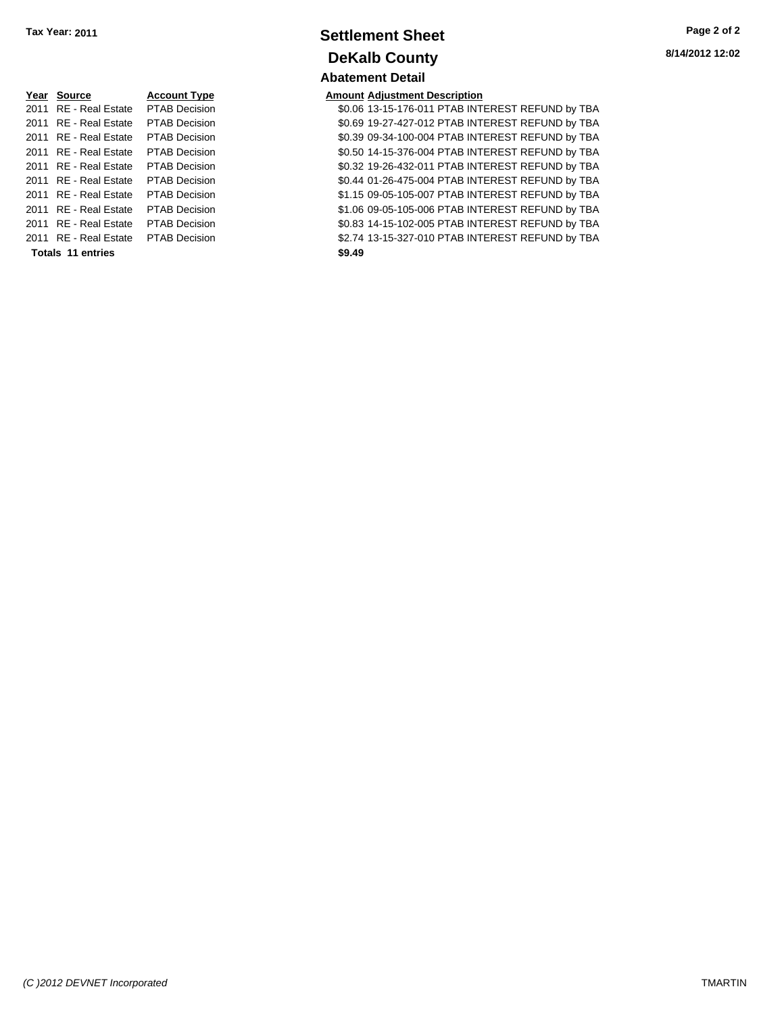| Year Source           | <b>Account Type</b>  | Amount |
|-----------------------|----------------------|--------|
| 2011 RE - Real Estate | <b>PTAB Decision</b> | \$0.06 |
| 2011 RE - Real Estate | <b>PTAB Decision</b> | \$0.69 |
| 2011 RE - Real Estate | <b>PTAB Decision</b> | \$0.39 |
| 2011 RE - Real Estate | <b>PTAB Decision</b> | \$0.50 |
| 2011 RE - Real Estate | <b>PTAB Decision</b> | \$0.32 |
| 2011 RE - Real Estate | <b>PTAB Decision</b> | \$0.44 |
| 2011 RE - Real Estate | <b>PTAB Decision</b> | \$1.15 |
| 2011 RE - Real Estate | <b>PTAB Decision</b> | \$1.06 |
| 2011 RE - Real Estate | <b>PTAB Decision</b> | \$0.83 |
| 2011 RE - Real Estate | <b>PTAB Decision</b> | \$2.74 |
| Totals 11 entries     |                      | \$9.49 |

### **Settlement Sheet Tax Year: 2011 Page 2 of 2 DeKalb County Abatement Detail**

### **Peart Inc. 2 Account** Adjustment Description

2010 80.06 13-15-176-011 PTAB INTEREST REFUND by TBA 2011 80.69 19-27-427-012 PTAB INTEREST REFUND by TBA 2011 80.39 09-34-100-004 PTAB INTEREST REFUND by TBA 2011 80.50 14-15-376-004 PTAB INTEREST REFUND by TBA 20.32 19-26-432-011 PTAB INTEREST REFUND by TBA 20.44 01-26-475-004 PTAB INTEREST REFUND by TBA 01 **2011 Real Estate S1.15 09-05-105-007 PTAB INTEREST REFUND by TBA** 21.06 09-05-105-006 PTAB INTEREST REFUND by TBA 20.83 14-15-102-005 PTAB INTEREST REFUND by TBA 01 **32.74 13-15-327-010 PTAB INTEREST REFUND by TBA**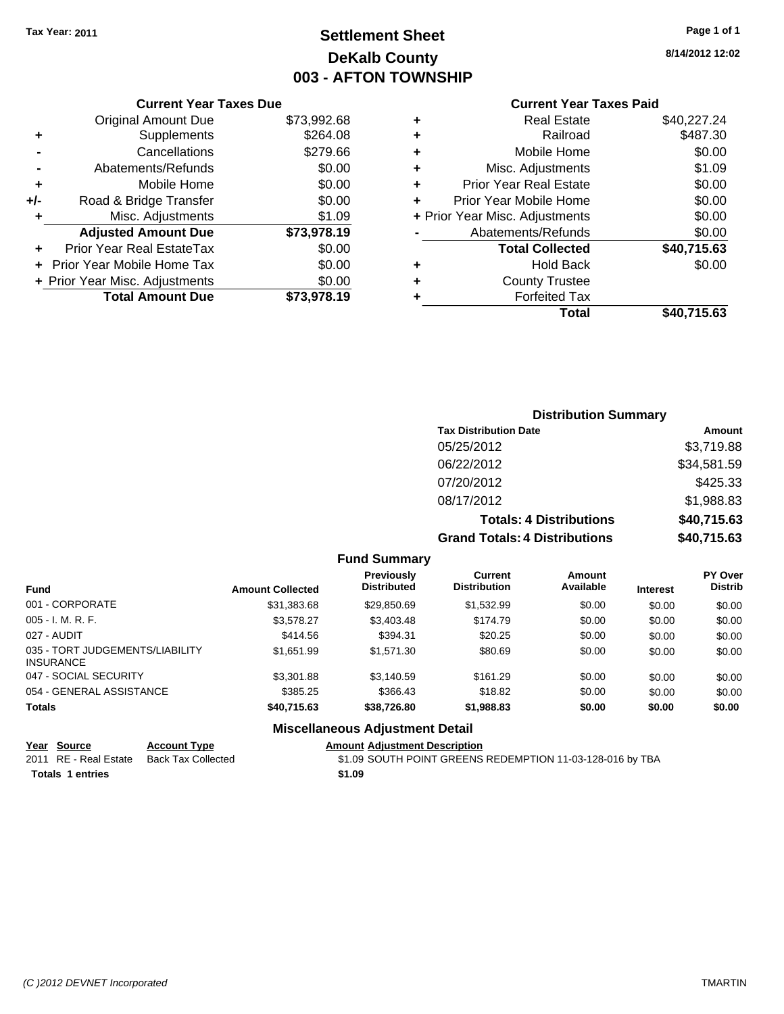# **Settlement Sheet Tax Year: 2011 Page 1 of 1 DeKalb County 003 - AFTON TOWNSHIP**

**8/14/2012 12:02**

|     | <b>Current Year Taxes Due</b>  |             |
|-----|--------------------------------|-------------|
|     | <b>Original Amount Due</b>     | \$73,992.68 |
| ٠   | Supplements                    | \$264.08    |
|     | Cancellations                  | \$279.66    |
|     | Abatements/Refunds             | \$0.00      |
| ٠   | Mobile Home                    | \$0.00      |
| +/- | Road & Bridge Transfer         | \$0.00      |
| ٠   | Misc. Adjustments              | \$1.09      |
|     | <b>Adjusted Amount Due</b>     | \$73,978.19 |
|     | Prior Year Real EstateTax      | \$0.00      |
|     | Prior Year Mobile Home Tax     | \$0.00      |
|     | + Prior Year Misc. Adjustments | \$0.00      |
|     | <b>Total Amount Due</b>        | \$73,978.19 |
|     |                                |             |

### **Current Year Taxes Paid**

| ٠ | <b>Real Estate</b>             | \$40,227.24 |
|---|--------------------------------|-------------|
| ٠ | Railroad                       | \$487.30    |
| ٠ | Mobile Home                    | \$0.00      |
| ٠ | Misc. Adjustments              | \$1.09      |
| ٠ | <b>Prior Year Real Estate</b>  | \$0.00      |
| ÷ | Prior Year Mobile Home         | \$0.00      |
|   | + Prior Year Misc. Adjustments | \$0.00      |
|   | Abatements/Refunds             | \$0.00      |
|   | <b>Total Collected</b>         | \$40,715.63 |
| ٠ | <b>Hold Back</b>               | \$0.00      |
| ٠ | <b>County Trustee</b>          |             |
| ٠ | <b>Forfeited Tax</b>           |             |
|   | Total                          | \$40,715.63 |
|   |                                |             |

### **Distribution Summary Tax Distribution Date Amount** 05/25/2012 \$3,719.88 06/22/2012 \$34,581.59 07/20/2012 \$425.33 08/17/2012 \$1,988.83 **Totals: 4 Distributions \$40,715.63 Grand Totals: 4 Distributions \$40,715.63**

#### **Fund Summary**

| <b>Fund</b>                                  | <b>Amount Collected</b> | <b>Previously</b><br><b>Distributed</b> | Current<br><b>Distribution</b> | Amount<br>Available | <b>Interest</b> | <b>PY Over</b><br><b>Distrib</b> |
|----------------------------------------------|-------------------------|-----------------------------------------|--------------------------------|---------------------|-----------------|----------------------------------|
| 001 - CORPORATE                              | \$31,383.68             | \$29,850.69                             | \$1,532.99                     | \$0.00              | \$0.00          | \$0.00                           |
| 005 - I. M. R. F.                            | \$3,578.27              | \$3,403.48                              | \$174.79                       | \$0.00              | \$0.00          | \$0.00                           |
| 027 - AUDIT                                  | \$414.56                | \$394.31                                | \$20.25                        | \$0.00              | \$0.00          | \$0.00                           |
| 035 - TORT JUDGEMENTS/LIABILITY<br>INSURANCE | \$1,651.99              | \$1,571.30                              | \$80.69                        | \$0.00              | \$0.00          | \$0.00                           |
| 047 - SOCIAL SECURITY                        | \$3,301.88              | \$3,140.59                              | \$161.29                       | \$0.00              | \$0.00          | \$0.00                           |
| 054 - GENERAL ASSISTANCE                     | \$385.25                | \$366.43                                | \$18.82                        | \$0.00              | \$0.00          | \$0.00                           |
| <b>Totals</b>                                | \$40,715.63             | \$38,726.80                             | \$1,988.83                     | \$0.00              | \$0.00          | \$0.00                           |
|                                              | --- --                  |                                         |                                |                     |                 |                                  |

### **Miscellaneous Adjustment Detail**

| Year Source             | <b>Account Type</b> | <b>Amount Adjustment Description</b>                      |
|-------------------------|---------------------|-----------------------------------------------------------|
| 2011 RE - Real Estate   | Back Tax Collected  | \$1.09 SOUTH POINT GREENS REDEMPTION 11-03-128-016 by TBA |
| <b>Totals 1 entries</b> |                     | \$1.09                                                    |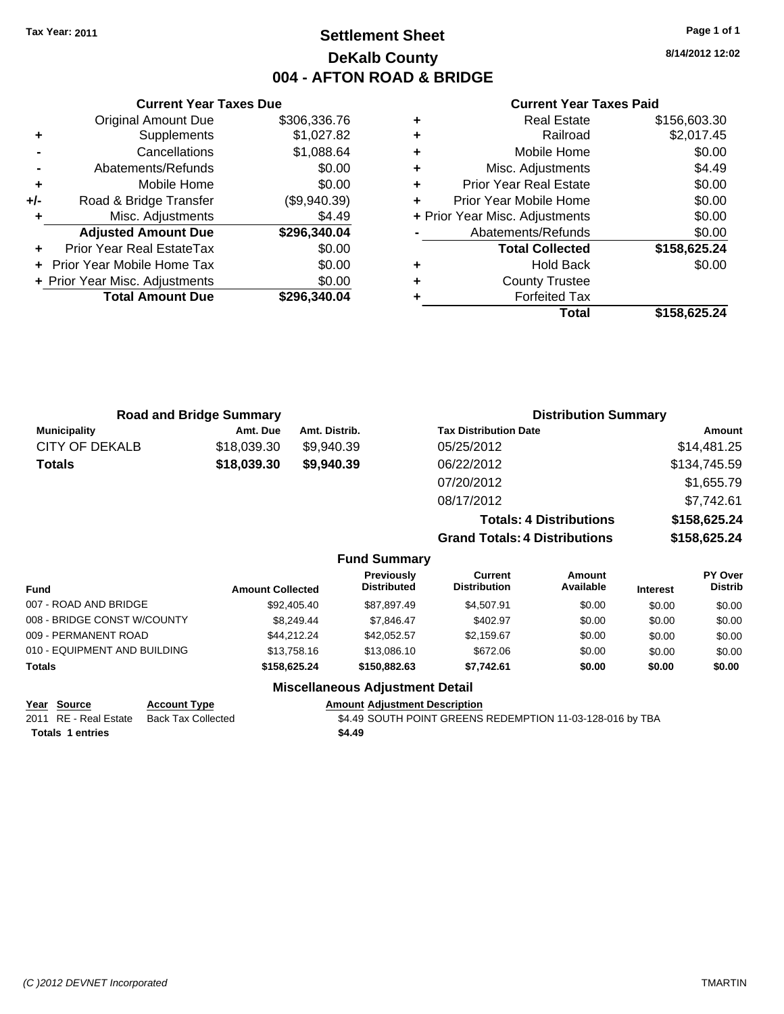**8/14/2012 12:02**

### **Current Year Taxes Paid**

| ٠ | <b>Real Estate</b>             | \$156,603.30 |
|---|--------------------------------|--------------|
| ٠ | Railroad                       | \$2,017.45   |
| ÷ | Mobile Home                    | \$0.00       |
| ÷ | Misc. Adjustments              | \$4.49       |
| ٠ | <b>Prior Year Real Estate</b>  | \$0.00       |
|   | Prior Year Mobile Home         | \$0.00       |
|   | + Prior Year Misc. Adjustments | \$0.00       |
|   | Abatements/Refunds             | \$0.00       |
|   | <b>Total Collected</b>         | \$158,625.24 |
| ٠ | <b>Hold Back</b>               | \$0.00       |
| ٠ | <b>County Trustee</b>          |              |
|   | <b>Forfeited Tax</b>           |              |
|   | Total                          | \$158,625.24 |

|       | <b>Current Year Taxes Due</b>  |              |  |  |  |  |
|-------|--------------------------------|--------------|--|--|--|--|
|       | <b>Original Amount Due</b>     | \$306,336.76 |  |  |  |  |
| ٠     | Supplements                    | \$1,027.82   |  |  |  |  |
|       | Cancellations                  | \$1,088.64   |  |  |  |  |
|       | Abatements/Refunds             | \$0.00       |  |  |  |  |
| ٠     | Mobile Home                    | \$0.00       |  |  |  |  |
| $+/-$ | Road & Bridge Transfer         | (\$9,940.39) |  |  |  |  |
| ٠     | Misc. Adjustments              | \$4.49       |  |  |  |  |
|       | <b>Adjusted Amount Due</b>     | \$296,340.04 |  |  |  |  |
|       | Prior Year Real EstateTax      | \$0.00       |  |  |  |  |
|       | Prior Year Mobile Home Tax     | \$0.00       |  |  |  |  |
|       | + Prior Year Misc. Adjustments | \$0.00       |  |  |  |  |
|       | <b>Total Amount Due</b>        | \$296.340.04 |  |  |  |  |
|       |                                |              |  |  |  |  |

| <b>Road and Bridge Summary</b> |                  | <b>Distribution Summary</b> |                                                                           |                                      |          |                                  |
|--------------------------------|------------------|-----------------------------|---------------------------------------------------------------------------|--------------------------------------|----------|----------------------------------|
| <b>Municipality</b>            | Amt. Due         | Amt. Distrib.               | <b>Tax Distribution Date</b>                                              |                                      |          | Amount                           |
| <b>CITY OF DEKALB</b>          | \$18,039.30      | \$9,940.39                  | 05/25/2012                                                                |                                      |          | \$14,481.25                      |
| <b>Totals</b>                  | \$18,039.30      | \$9,940.39                  | 06/22/2012                                                                |                                      |          | \$134,745.59                     |
|                                |                  |                             | 07/20/2012                                                                |                                      |          | \$1,655.79                       |
|                                |                  |                             | 08/17/2012                                                                |                                      |          | \$7,742.61                       |
|                                |                  |                             |                                                                           | <b>Totals: 4 Distributions</b>       |          | \$158,625.24                     |
|                                |                  |                             |                                                                           | <b>Grand Totals: 4 Distributions</b> |          | \$158,625.24                     |
|                                |                  | <b>Fund Summary</b>         |                                                                           |                                      |          |                                  |
| Fund                           | Amount Collected |                             | <b>Previously</b><br>Current<br><b>Distributed</b><br><b>Distribution</b> | Amount<br>Available                  | Interest | <b>PY Over</b><br><b>Distrib</b> |

| Fund                         | <b>Amount Collected</b> | <b>Distributed</b> | <b>Distribution</b> | Available | <b>Interest</b> | <b>Distrib</b> |
|------------------------------|-------------------------|--------------------|---------------------|-----------|-----------------|----------------|
| 007 - ROAD AND BRIDGE        | \$92,405.40             | \$87.897.49        | \$4,507.91          | \$0.00    | \$0.00          | \$0.00         |
| 008 - BRIDGE CONST W/COUNTY  | \$8,249.44              | \$7.846.47         | \$402.97            | \$0.00    | \$0.00          | \$0.00         |
| 009 - PERMANENT ROAD         | \$44,212.24             | \$42,052.57        | \$2,159.67          | \$0.00    | \$0.00          | \$0.00         |
| 010 - EQUIPMENT AND BUILDING | \$13,758.16             | \$13,086.10        | \$672.06            | \$0.00    | \$0.00          | \$0.00         |
| Totals                       | \$158,625.24            | \$150,882,63       | \$7.742.61          | \$0.00    | \$0.00          | \$0.00         |
|                              |                         |                    |                     |           |                 |                |

#### **Miscellaneous Adjustment Detail**

| Year Source             | <b>Account Type</b> | <b>Amount Adjustment Description</b>                      |
|-------------------------|---------------------|-----------------------------------------------------------|
| 2011 RE - Real Estate   | Back Tax Collected  | \$4.49 SOUTH POINT GREENS REDEMPTION 11-03-128-016 by TBA |
| <b>Totals 1 entries</b> |                     | \$4.49                                                    |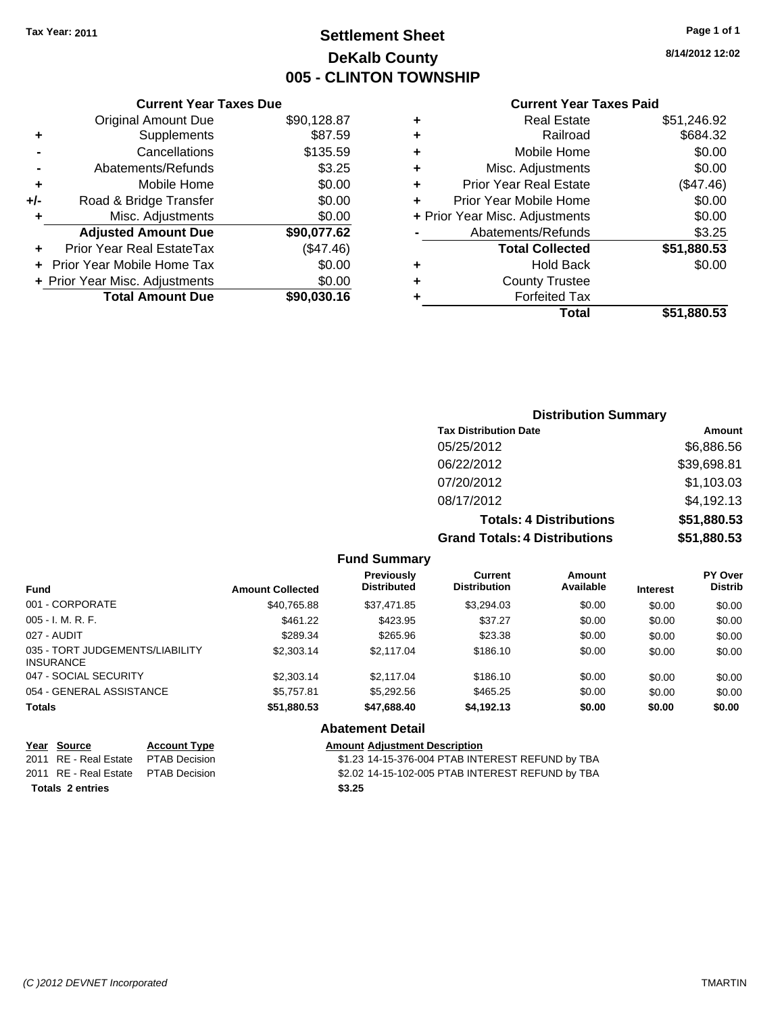# **Settlement Sheet Tax Year: 2011 Page 1 of 1 DeKalb County 005 - CLINTON TOWNSHIP**

#### **Current Year Taxes Due**

|       | <b>Original Amount Due</b>       | \$90,128.87 |
|-------|----------------------------------|-------------|
| ٠     | Supplements                      | \$87.59     |
|       | Cancellations                    | \$135.59    |
|       | Abatements/Refunds               | \$3.25      |
| ٠     | Mobile Home                      | \$0.00      |
| $+/-$ | Road & Bridge Transfer           | \$0.00      |
| ٠     | Misc. Adjustments                | \$0.00      |
|       | <b>Adjusted Amount Due</b>       | \$90,077.62 |
|       | <b>Prior Year Real EstateTax</b> | (\$47.46)   |
|       | Prior Year Mobile Home Tax       | \$0.00      |
|       | + Prior Year Misc. Adjustments   | \$0.00      |
|       | <b>Total Amount Due</b>          | \$90,030.16 |
|       |                                  |             |

#### **Current Year Taxes Paid**

| ٠ | <b>Real Estate</b>             | \$51,246.92 |
|---|--------------------------------|-------------|
| ٠ | Railroad                       | \$684.32    |
| ٠ | Mobile Home                    | \$0.00      |
| ٠ | Misc. Adjustments              | \$0.00      |
| ÷ | <b>Prior Year Real Estate</b>  | (\$47.46)   |
| ÷ | Prior Year Mobile Home         | \$0.00      |
|   | + Prior Year Misc. Adjustments | \$0.00      |
|   | Abatements/Refunds             | \$3.25      |
|   | <b>Total Collected</b>         | \$51,880.53 |
| ٠ | <b>Hold Back</b>               | \$0.00      |
| ٠ | <b>County Trustee</b>          |             |
| ٠ | <b>Forfeited Tax</b>           |             |
|   | Total                          | \$51,880.53 |
|   |                                |             |

# **Distribution Summary Tax Distribution Date Amount**

| <b>Grand Totals: 4 Distributions</b> | \$51,880.53 |
|--------------------------------------|-------------|
| <b>Totals: 4 Distributions</b>       | \$51,880.53 |
| 08/17/2012                           | \$4,192.13  |
| 07/20/2012                           | \$1,103.03  |
| 06/22/2012                           | \$39,698.81 |
| 05/25/2012                           | \$6,886.56  |

#### **Fund Summary**

| <b>Fund</b>                                  | <b>Amount Collected</b> | <b>Previously</b><br><b>Distributed</b> | Current<br><b>Distribution</b> | Amount<br>Available | <b>Interest</b> | <b>PY Over</b><br><b>Distrib</b> |
|----------------------------------------------|-------------------------|-----------------------------------------|--------------------------------|---------------------|-----------------|----------------------------------|
| 001 - CORPORATE                              | \$40,765.88             | \$37,471.85                             | \$3,294.03                     | \$0.00              | \$0.00          | \$0.00                           |
| 005 - I. M. R. F.                            | \$461.22                | \$423.95                                | \$37.27                        | \$0.00              | \$0.00          | \$0.00                           |
| 027 - AUDIT                                  | \$289.34                | \$265.96                                | \$23.38                        | \$0.00              | \$0.00          | \$0.00                           |
| 035 - TORT JUDGEMENTS/LIABILITY<br>INSURANCE | \$2,303.14              | \$2,117.04                              | \$186.10                       | \$0.00              | \$0.00          | \$0.00                           |
| 047 - SOCIAL SECURITY                        | \$2,303.14              | \$2,117.04                              | \$186.10                       | \$0.00              | \$0.00          | \$0.00                           |
| 054 - GENERAL ASSISTANCE                     | \$5,757.81              | \$5,292.56                              | \$465.25                       | \$0.00              | \$0.00          | \$0.00                           |
| Totals                                       | \$51,880.53             | \$47,688.40                             | \$4,192.13                     | \$0.00              | \$0.00          | \$0.00                           |
|                                              |                         | Alextronomic Batalli                    |                                |                     |                 |                                  |

#### **Abatement Detail**

| Year Source                         | <b>Account Type</b> | <b>Amount Adiustment Description</b>             |
|-------------------------------------|---------------------|--------------------------------------------------|
| 2011 RE - Real Estate PTAB Decision |                     | \$1.23 14-15-376-004 PTAB INTEREST REFUND by TBA |
| 2011 RE - Real Estate PTAB Decision |                     | \$2.02 14-15-102-005 PTAB INTEREST REFUND by TBA |
| <b>Totals 2 entries</b>             |                     | \$3.25                                           |

**Year Source Account Type Amount Adjustment Description**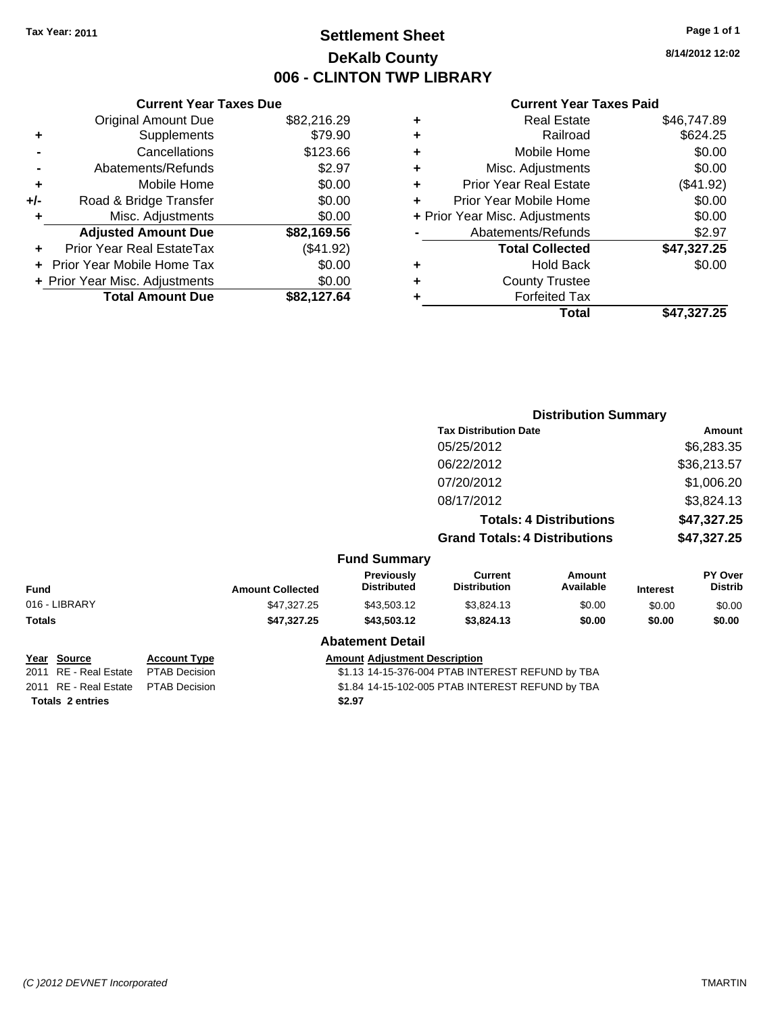### **Settlement Sheet Tax Year: 2011 Page 1 of 1 DeKalb County 006 - CLINTON TWP LIBRARY**

|     | <b>Current Year Taxes Due</b>  |             |
|-----|--------------------------------|-------------|
|     | <b>Original Amount Due</b>     | \$82,216.29 |
| ÷   | Supplements                    | \$79.90     |
|     | Cancellations                  | \$123.66    |
|     | Abatements/Refunds             | \$2.97      |
| ٠   | Mobile Home                    | \$0.00      |
| +/- | Road & Bridge Transfer         | \$0.00      |
| ÷   | Misc. Adjustments              | \$0.00      |
|     | <b>Adjusted Amount Due</b>     | \$82,169.56 |
|     | Prior Year Real EstateTax      | (\$41.92)   |
|     | Prior Year Mobile Home Tax     | \$0.00      |
|     | + Prior Year Misc. Adjustments | \$0.00      |
|     | <b>Total Amount Due</b>        | \$82,127.64 |

#### **Current Year Taxes Paid**

|   | <b>Real Estate</b>             | \$46,747.89 |
|---|--------------------------------|-------------|
| ٠ | Railroad                       | \$624.25    |
| ٠ | Mobile Home                    | \$0.00      |
| ٠ | Misc. Adjustments              | \$0.00      |
| ٠ | <b>Prior Year Real Estate</b>  | (\$41.92)   |
|   | Prior Year Mobile Home         | \$0.00      |
|   | + Prior Year Misc. Adjustments | \$0.00      |
|   | Abatements/Refunds             | \$2.97      |
|   | <b>Total Collected</b>         | \$47,327.25 |
| ٠ | <b>Hold Back</b>               | \$0.00      |
| ٠ | <b>County Trustee</b>          |             |
| ٠ | <b>Forfeited Tax</b>           |             |
|   | Total                          | \$47,327.25 |
|   |                                |             |

|                                                |                                      |                         |                                         |                                                  | <b>Distribution Summary</b>    |                 |                           |
|------------------------------------------------|--------------------------------------|-------------------------|-----------------------------------------|--------------------------------------------------|--------------------------------|-----------------|---------------------------|
|                                                |                                      |                         |                                         | <b>Tax Distribution Date</b>                     |                                |                 | Amount                    |
|                                                |                                      |                         |                                         | 05/25/2012                                       |                                |                 | \$6,283.35                |
|                                                |                                      |                         |                                         | 06/22/2012                                       |                                |                 | \$36,213.57               |
|                                                |                                      |                         |                                         | 07/20/2012                                       |                                |                 | \$1,006.20                |
|                                                |                                      |                         |                                         | 08/17/2012                                       |                                |                 | \$3,824.13                |
|                                                |                                      |                         |                                         |                                                  | <b>Totals: 4 Distributions</b> |                 | \$47,327.25               |
|                                                |                                      |                         |                                         | <b>Grand Totals: 4 Distributions</b>             |                                |                 | \$47,327.25               |
|                                                |                                      |                         | <b>Fund Summary</b>                     |                                                  |                                |                 |                           |
| <b>Fund</b>                                    |                                      | <b>Amount Collected</b> | <b>Previously</b><br><b>Distributed</b> | <b>Current</b><br><b>Distribution</b>            | Amount<br>Available            | <b>Interest</b> | PY Over<br><b>Distrib</b> |
| 016 - LIBRARY                                  |                                      | \$47,327.25             | \$43,503.12                             | \$3,824.13                                       | \$0.00                         | \$0.00          | \$0.00                    |
| <b>Totals</b>                                  |                                      | \$47,327.25             | \$43,503.12                             | \$3,824.13                                       | \$0.00                         | \$0.00          | \$0.00                    |
|                                                |                                      |                         | <b>Abatement Detail</b>                 |                                                  |                                |                 |                           |
| Year Source<br><b>RE</b> - Real Estate<br>2011 | <b>Account Type</b><br>PTAB Decision |                         | <b>Amount Adjustment Description</b>    | \$1.13 14-15-376-004 PTAB INTEREST REFUND by TBA |                                |                 |                           |

**Totals \$2.97 2 entries**

2011 RE - Real Estate \$1.84 14-15-102-005 PTAB INTEREST REFUND by TBA PTAB Decision

**8/14/2012 12:02**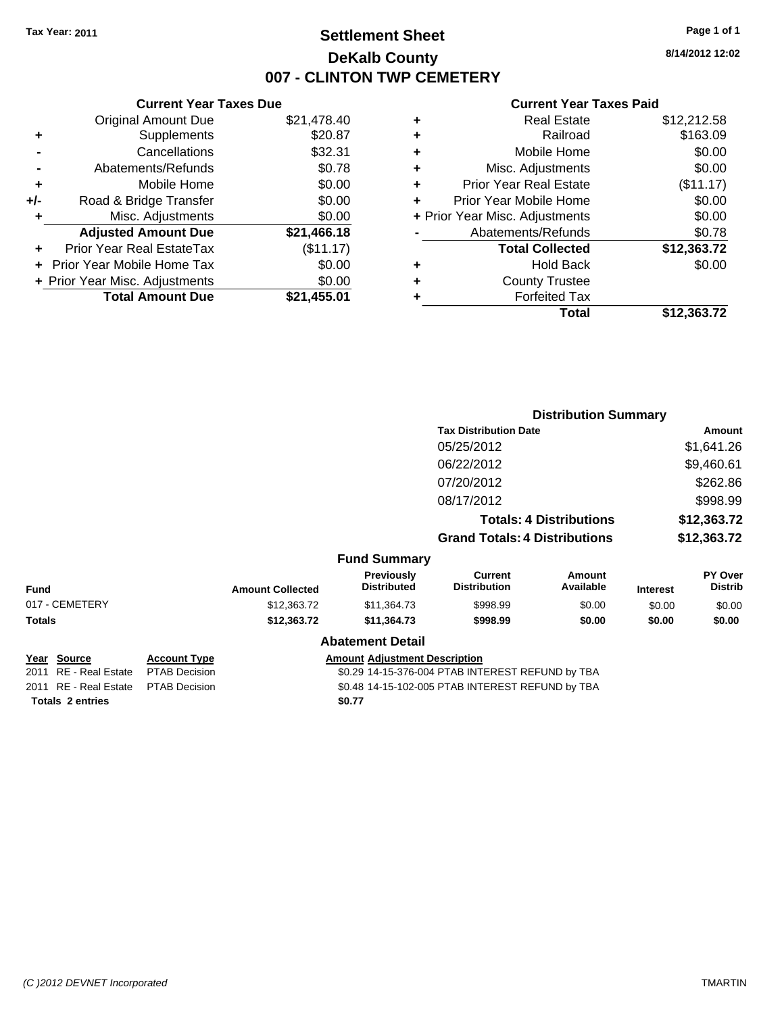### **Settlement Sheet Tax Year: 2011 Page 1 of 1 DeKalb County 007 - CLINTON TWP CEMETERY**

**8/14/2012 12:02**

### **Current Year Taxes Paid**

|       | <b>Current Year Taxes Due</b>  |             |
|-------|--------------------------------|-------------|
|       | <b>Original Amount Due</b>     | \$21,478.40 |
| ٠     | Supplements                    | \$20.87     |
|       | Cancellations                  | \$32.31     |
|       | Abatements/Refunds             | \$0.78      |
| ٠     | Mobile Home                    | \$0.00      |
| $+/-$ | Road & Bridge Transfer         | \$0.00      |
|       | Misc. Adjustments              | \$0.00      |
|       | <b>Adjusted Amount Due</b>     | \$21,466.18 |
|       | Prior Year Real EstateTax      | (\$11.17)   |
|       | Prior Year Mobile Home Tax     | \$0.00      |
|       | + Prior Year Misc. Adjustments | \$0.00      |
|       | <b>Total Amount Due</b>        | \$21,455.01 |
|       |                                |             |

| ٠ | <b>Real Estate</b>             | \$12,212.58 |
|---|--------------------------------|-------------|
| ٠ | Railroad                       | \$163.09    |
| ٠ | Mobile Home                    | \$0.00      |
| ÷ | Misc. Adjustments              | \$0.00      |
| ٠ | <b>Prior Year Real Estate</b>  | (\$11.17)   |
|   | Prior Year Mobile Home         | \$0.00      |
|   | + Prior Year Misc. Adjustments | \$0.00      |
|   | Abatements/Refunds             | \$0.78      |
|   | <b>Total Collected</b>         | \$12,363.72 |
| ٠ | Hold Back                      | \$0.00      |
| ٠ | <b>County Trustee</b>          |             |
|   | <b>Forfeited Tax</b>           |             |
|   | Total                          | \$12,363.72 |
|   |                                |             |

|                          |                      |                         |                                                  | <b>Distribution Summary</b>                      |                                |                 |                           |
|--------------------------|----------------------|-------------------------|--------------------------------------------------|--------------------------------------------------|--------------------------------|-----------------|---------------------------|
|                          |                      |                         |                                                  | <b>Tax Distribution Date</b>                     |                                |                 | Amount                    |
|                          |                      |                         |                                                  | 05/25/2012                                       |                                |                 | \$1,641.26                |
|                          |                      |                         |                                                  | 06/22/2012                                       |                                |                 | \$9,460.61                |
|                          |                      |                         |                                                  | 07/20/2012                                       |                                |                 | \$262.86                  |
|                          |                      |                         |                                                  | 08/17/2012                                       |                                |                 | \$998.99                  |
|                          |                      |                         |                                                  |                                                  | <b>Totals: 4 Distributions</b> |                 | \$12,363.72               |
|                          |                      |                         |                                                  | <b>Grand Totals: 4 Distributions</b>             |                                |                 | \$12,363.72               |
|                          |                      |                         | <b>Fund Summary</b>                              |                                                  |                                |                 |                           |
| <b>Fund</b>              |                      | <b>Amount Collected</b> | <b>Previously</b><br><b>Distributed</b>          | <b>Current</b><br><b>Distribution</b>            | Amount<br>Available            | <b>Interest</b> | PY Over<br><b>Distrib</b> |
| 017 - CEMETERY           |                      | \$12,363.72             | \$11,364.73                                      | \$998.99                                         | \$0.00                         | \$0.00          | \$0.00                    |
| <b>Totals</b>            |                      | \$12,363.72             | \$11,364.73                                      | \$998.99                                         | \$0.00                         | \$0.00          | \$0.00                    |
|                          |                      |                         | <b>Abatement Detail</b>                          |                                                  |                                |                 |                           |
| Year Source              | <b>Account Type</b>  |                         | <b>Amount Adjustment Description</b>             |                                                  |                                |                 |                           |
| RE - Real Estate<br>2011 | <b>PTAB Decision</b> |                         | \$0.29 14-15-376-004 PTAB INTEREST REFUND by TBA |                                                  |                                |                 |                           |
| 2011 RE - Real Estate    | <b>PTAB Decision</b> |                         |                                                  | \$0.48 14-15-102-005 PTAB INTEREST REFUND by TBA |                                |                 |                           |

**Totals \$0.77 2 entries**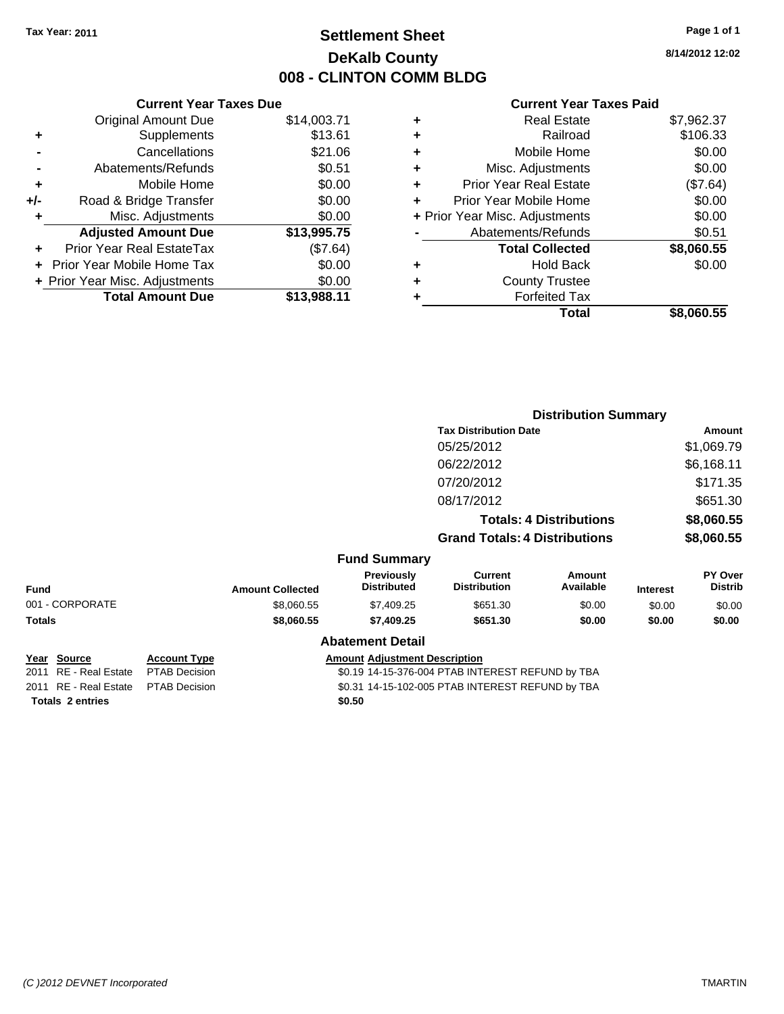# **Settlement Sheet Tax Year: 2011 Page 1 of 1 DeKalb County 008 - CLINTON COMM BLDG**

**8/14/2012 12:02**

#### **Current Year Taxes Paid**

|       | <b>Current Year Taxes Due</b>  |             |
|-------|--------------------------------|-------------|
|       | <b>Original Amount Due</b>     | \$14,003.71 |
| ٠     | Supplements                    | \$13.61     |
|       | Cancellations                  | \$21.06     |
|       | Abatements/Refunds             | \$0.51      |
| ٠     | Mobile Home                    | \$0.00      |
| $+/-$ | Road & Bridge Transfer         | \$0.00      |
|       | Misc. Adjustments              | \$0.00      |
|       | <b>Adjusted Amount Due</b>     | \$13,995.75 |
|       | Prior Year Real EstateTax      | (\$7.64)    |
|       | Prior Year Mobile Home Tax     | \$0.00      |
|       | + Prior Year Misc. Adjustments | \$0.00      |
|       | <b>Total Amount Due</b>        | \$13,988.11 |
|       |                                |             |

| ٠ | <b>Real Estate</b>             | \$7,962.37 |
|---|--------------------------------|------------|
| ٠ | Railroad                       | \$106.33   |
| ٠ | Mobile Home                    | \$0.00     |
| ٠ | Misc. Adjustments              | \$0.00     |
| ٠ | <b>Prior Year Real Estate</b>  | (\$7.64)   |
| ÷ | Prior Year Mobile Home         | \$0.00     |
|   | + Prior Year Misc. Adjustments | \$0.00     |
|   | Abatements/Refunds             | \$0.51     |
|   | <b>Total Collected</b>         | \$8,060.55 |
| ٠ | <b>Hold Back</b>               | \$0.00     |
| ٠ | <b>County Trustee</b>          |            |
| ٠ | <b>Forfeited Tax</b>           |            |
|   | Total                          | \$8,060.55 |
|   |                                |            |

|                                         |                                             |                         |                                         | <b>Distribution Summary</b>                      |                                |                 |                           |
|-----------------------------------------|---------------------------------------------|-------------------------|-----------------------------------------|--------------------------------------------------|--------------------------------|-----------------|---------------------------|
|                                         |                                             |                         |                                         | <b>Tax Distribution Date</b>                     |                                |                 | Amount                    |
|                                         |                                             |                         |                                         | 05/25/2012                                       |                                |                 | \$1,069.79                |
|                                         |                                             |                         |                                         | 06/22/2012                                       |                                |                 | \$6,168.11                |
|                                         |                                             |                         |                                         | 07/20/2012                                       |                                |                 | \$171.35                  |
|                                         |                                             |                         |                                         | 08/17/2012                                       |                                |                 | \$651.30                  |
|                                         |                                             |                         |                                         |                                                  | <b>Totals: 4 Distributions</b> |                 | \$8,060.55                |
|                                         |                                             |                         |                                         | <b>Grand Totals: 4 Distributions</b>             |                                |                 | \$8,060.55                |
|                                         |                                             |                         | <b>Fund Summary</b>                     |                                                  |                                |                 |                           |
| <b>Fund</b>                             |                                             | <b>Amount Collected</b> | <b>Previously</b><br><b>Distributed</b> | <b>Current</b><br><b>Distribution</b>            | <b>Amount</b><br>Available     | <b>Interest</b> | PY Over<br><b>Distrib</b> |
| 001 - CORPORATE                         |                                             | \$8,060.55              | \$7,409.25                              | \$651.30                                         | \$0.00                         | \$0.00          | \$0.00                    |
| <b>Totals</b>                           |                                             | \$8,060.55              | \$7,409.25                              | \$651.30                                         | \$0.00                         | \$0.00          | \$0.00                    |
|                                         |                                             |                         | <b>Abatement Detail</b>                 |                                                  |                                |                 |                           |
| Year Source<br>RE - Real Estate<br>2011 | <b>Account Type</b><br><b>PTAB Decision</b> |                         | <b>Amount Adjustment Description</b>    | \$0.19 14-15-376-004 PTAB INTEREST REFUND by TBA |                                |                 |                           |

**Totals \$0.50 2 entries**

2011 RE - Real Estate PTAB Decision S0.31 14-15-102-005 PTAB INTEREST REFUND by TBA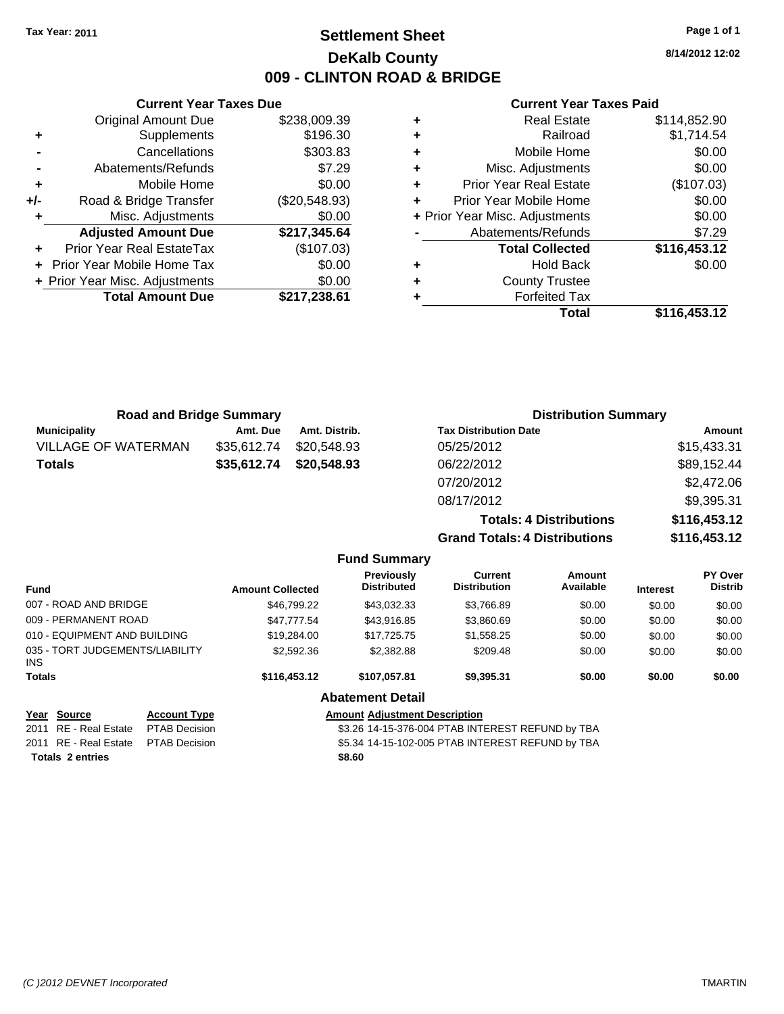### **Settlement Sheet Tax Year: 2011 Page 1 of 1 DeKalb County 009 - CLINTON ROAD & BRIDGE**

**8/14/2012 12:02**

#### **Current Year Taxes Paid**

|     | <b>Current Year Taxes Due</b>  |               |       |
|-----|--------------------------------|---------------|-------|
|     | <b>Original Amount Due</b>     | \$238,009.39  |       |
|     | Supplements                    | \$196.30      | ٠     |
|     | Cancellations                  | \$303.83      | ٠     |
|     | Abatements/Refunds             | \$7.29        | ٠     |
|     | Mobile Home                    | \$0.00        | ٠     |
| +/- | Road & Bridge Transfer         | (\$20,548.93) | ٠     |
|     | Misc. Adjustments              | \$0.00        | + Pri |
|     | <b>Adjusted Amount Due</b>     | \$217,345.64  |       |
|     | Prior Year Real EstateTax      | (\$107.03)    |       |
|     | Prior Year Mobile Home Tax     | \$0.00        |       |
|     | + Prior Year Misc. Adjustments | \$0.00        |       |
|     | <b>Total Amount Due</b>        | \$217,238.61  |       |
|     |                                |               |       |

|   | <b>Real Estate</b>             | \$114,852.90 |
|---|--------------------------------|--------------|
| ٠ | Railroad                       | \$1,714.54   |
| ٠ | Mobile Home                    | \$0.00       |
| ٠ | Misc. Adjustments              | \$0.00       |
| ٠ | <b>Prior Year Real Estate</b>  | (\$107.03)   |
|   | Prior Year Mobile Home         | \$0.00       |
|   | + Prior Year Misc. Adjustments | \$0.00       |
|   | Abatements/Refunds             | \$7.29       |
|   | <b>Total Collected</b>         | \$116,453.12 |
| ٠ | <b>Hold Back</b>               | \$0.00       |
| ٠ | <b>County Trustee</b>          |              |
|   | <b>Forfeited Tax</b>           |              |
|   | Total                          | \$116,453.12 |
|   |                                |              |

| <b>Road and Bridge Summary</b> |             |                     | <b>Distribution Summary</b>          |              |
|--------------------------------|-------------|---------------------|--------------------------------------|--------------|
| <b>Municipality</b>            | Amt. Due    | Amt. Distrib.       | <b>Tax Distribution Date</b>         | Amount       |
| <b>VILLAGE OF WATERMAN</b>     | \$35,612.74 | \$20,548.93         | 05/25/2012                           | \$15,433.31  |
| <b>Totals</b>                  | \$35,612.74 | \$20,548.93         | 06/22/2012                           | \$89,152.44  |
|                                |             |                     | 07/20/2012                           | \$2,472.06   |
|                                |             |                     | 08/17/2012                           | \$9,395.31   |
|                                |             |                     | <b>Totals: 4 Distributions</b>       | \$116,453.12 |
|                                |             |                     | <b>Grand Totals: 4 Distributions</b> | \$116,453.12 |
|                                |             | <b>Fund Summary</b> |                                      |              |

| <b>Fund</b>   |                                 |                      | <b>Amount Collected</b>                          | Previously<br><b>Distributed</b> | Current<br><b>Distribution</b>                   | Amount<br>Available | <b>Interest</b> | <b>PY Over</b><br><b>Distrib</b> |
|---------------|---------------------------------|----------------------|--------------------------------------------------|----------------------------------|--------------------------------------------------|---------------------|-----------------|----------------------------------|
|               | 007 - ROAD AND BRIDGE           |                      | \$46.799.22                                      | \$43.032.33                      | \$3,766.89                                       | \$0.00              | \$0.00          | \$0.00                           |
|               | 009 - PERMANENT ROAD            |                      | \$47.777.54                                      | \$43,916.85                      | \$3,860.69                                       | \$0.00              | \$0.00          | \$0.00                           |
|               | 010 - EQUIPMENT AND BUILDING    |                      | \$19,284.00                                      | \$17.725.75                      | \$1,558.25                                       | \$0.00              | \$0.00          | \$0.00                           |
| INS.          | 035 - TORT JUDGEMENTS/LIABILITY |                      | \$2,592.36                                       | \$2,382.88                       | \$209.48                                         | \$0.00              | \$0.00          | \$0.00                           |
| <b>Totals</b> |                                 | \$116,453.12         | \$107.057.81                                     | \$9,395.31                       | \$0.00                                           | \$0.00              | \$0.00          |                                  |
|               |                                 |                      |                                                  | <b>Abatement Detail</b>          |                                                  |                     |                 |                                  |
|               | Year Source                     | <b>Account Type</b>  | <b>Amount Adiustment Description</b>             |                                  |                                                  |                     |                 |                                  |
|               | 2011 RE - Real Estate           | <b>PTAB Decision</b> | \$3.26 14-15-376-004 PTAB INTEREST REFUND by TBA |                                  |                                                  |                     |                 |                                  |
|               | 2011 RE - Real Estate           | <b>PTAB Decision</b> |                                                  |                                  | \$5.34 14-15-102-005 PTAB INTEREST REFUND by TBA |                     |                 |                                  |

**Totals \$8.60 2 entries**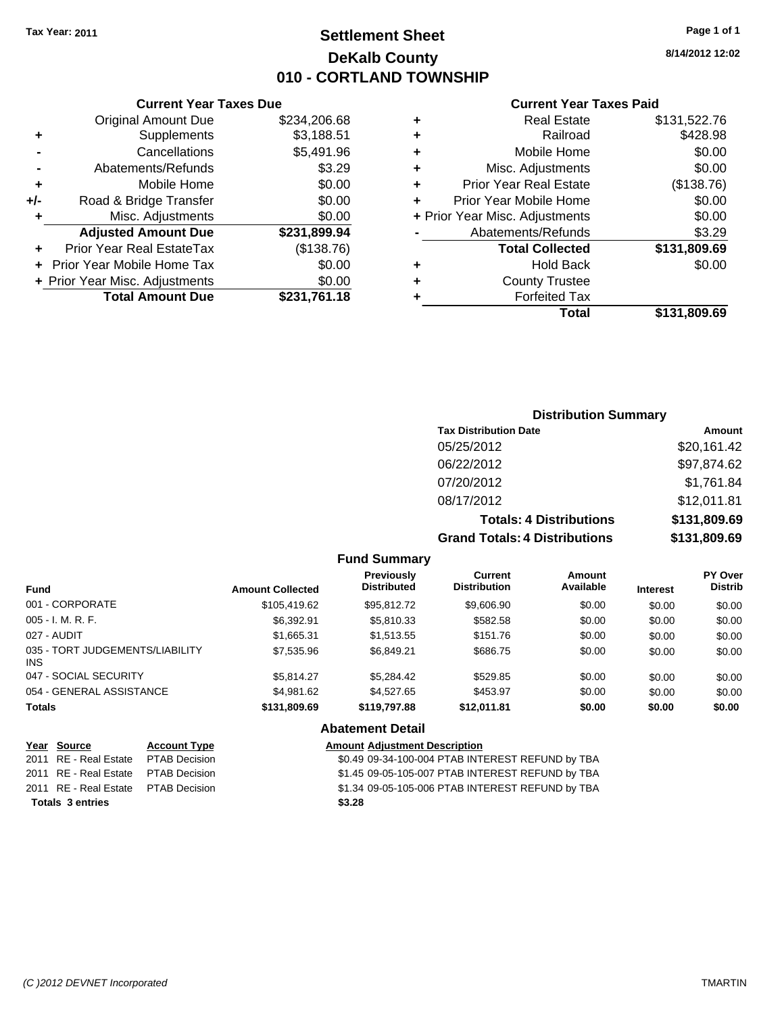**Current Year Taxes Due** Original Amount Due \$234,206.68

**Adjusted Amount Due \$231,899.94**

**Total Amount Due \$231,761.18**

**+** Supplements \$3,188.51 **-** Cancellations \$5,491.96 **-** Abatements/Refunds **\$3.29 +** Mobile Home \$0.00 **+/-** Road & Bridge Transfer \$0.00 **+** Misc. Adjustments \$0.00

**+** Prior Year Real EstateTax (\$138.76) **+** Prior Year Mobile Home Tax \$0.00 **+ Prior Year Misc. Adjustments**  $$0.00$ 

### **Settlement Sheet Tax Year: 2011 Page 1 of 1 DeKalb County 010 - CORTLAND TOWNSHIP**

**8/14/2012 12:02**

#### **Current Year Taxes Paid**

|            | \$131,809.69 | Total                          |   |
|------------|--------------|--------------------------------|---|
|            |              | <b>Forfeited Tax</b>           | ٠ |
|            |              | <b>County Trustee</b>          | ٠ |
| \$0.00     |              | <b>Hold Back</b>               | ٠ |
|            | \$131,809.69 | <b>Total Collected</b>         |   |
| \$3.29     |              | Abatements/Refunds             |   |
| \$0.00     |              | + Prior Year Misc. Adjustments |   |
| \$0.00     |              | Prior Year Mobile Home         |   |
| (\$138.76) |              | <b>Prior Year Real Estate</b>  | ٠ |
| \$0.00     |              | Misc. Adjustments              | ÷ |
| \$0.00     |              | Mobile Home                    | ÷ |
| \$428.98   |              | Railroad                       | ٠ |
|            | \$131,522.76 | <b>Real Estate</b>             | ٠ |
|            |              |                                |   |

# **Distribution Summary Tax Distribution Date Amount** 05/25/2012 \$20,161.42 06/22/2012 \$97,874.62 07/20/2012 \$1,761.84 08/17/2012 \$12,011.81 **Totals: 4 Distributions \$131,809.69**

**Grand Totals: 4 Distributions \$131,809.69**

| ributions: | \$131,809.6 |
|------------|-------------|
|            |             |

| <b>Fund</b>                             | <b>Amount Collected</b> | <b>Previously</b><br><b>Distributed</b> | <b>Current</b><br><b>Distribution</b> | Amount<br>Available | <b>Interest</b> | PY Over<br><b>Distrib</b> |
|-----------------------------------------|-------------------------|-----------------------------------------|---------------------------------------|---------------------|-----------------|---------------------------|
| 001 - CORPORATE                         | \$105.419.62            | \$95.812.72                             | \$9,606.90                            | \$0.00              | \$0.00          | \$0.00                    |
| $005 - I. M. R. F.$                     | \$6.392.91              | \$5,810.33                              | \$582.58                              | \$0.00              | \$0.00          | \$0.00                    |
| 027 - AUDIT                             | \$1.665.31              | \$1,513,55                              | \$151.76                              | \$0.00              | \$0.00          | \$0.00                    |
| 035 - TORT JUDGEMENTS/LIABILITY<br>INS. | \$7,535.96              | \$6.849.21                              | \$686.75                              | \$0.00              | \$0.00          | \$0.00                    |
| 047 - SOCIAL SECURITY                   | \$5.814.27              | \$5.284.42                              | \$529.85                              | \$0.00              | \$0.00          | \$0.00                    |
| 054 - GENERAL ASSISTANCE                | \$4.981.62              | \$4,527,65                              | \$453.97                              | \$0.00              | \$0.00          | \$0.00                    |
| <b>Totals</b>                           | \$131,809.69            | \$119,797.88                            | \$12.011.81                           | \$0.00              | \$0.00          | \$0.00                    |
|                                         |                         | <b>Abatement Detail</b>                 |                                       |                     |                 |                           |
| Year<br>Source<br><b>Account Type</b>   |                         | <b>Amount Adiustment Description</b>    |                                       |                     |                 |                           |

**Fund Summary**

2011 RE - Real Estate \$1.45 09-05-105-007 PTAB INTEREST REFUND by TBA PTAB Decision 2011 RE - Real Estate \$1.34 09-05-105-006 PTAB INTEREST REFUND by TBA PTAB Decision **Totals \$3.28 3 entries**

2011 RE - Real Estate \$0.49 09-34-100-004 PTAB INTEREST REFUND by TBA PTAB Decision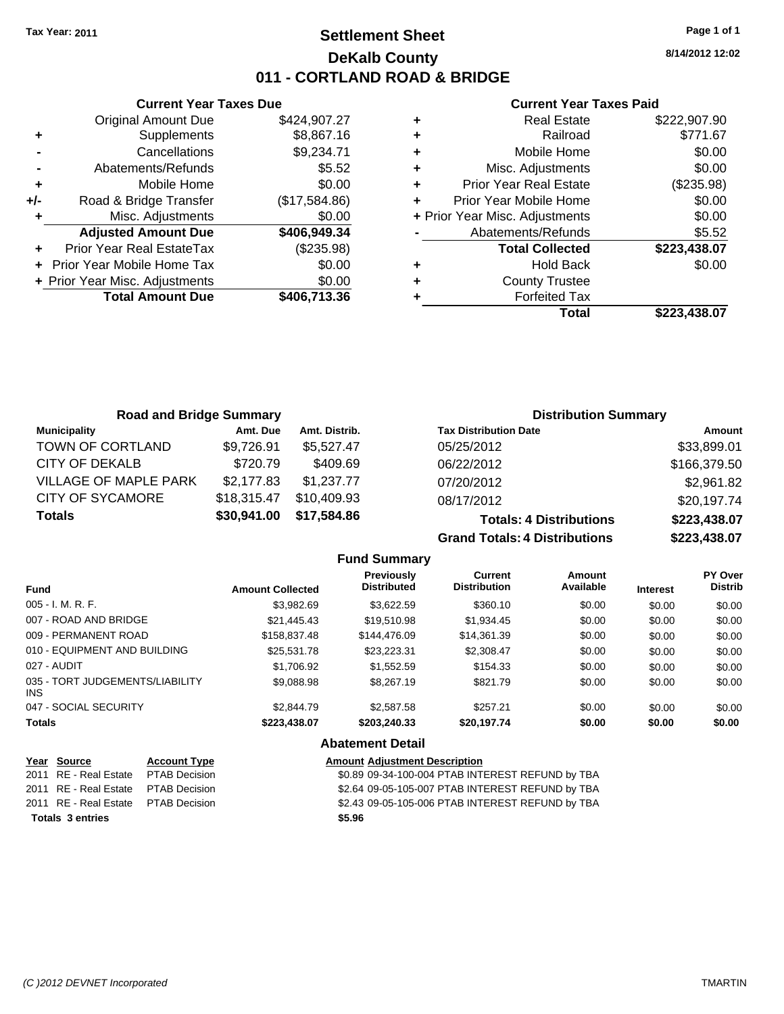## **Settlement Sheet Tax Year: 2011 Page 1 of 1 DeKalb County 011 - CORTLAND ROAD & BRIDGE**

**8/14/2012 12:02**

#### **Current Year Taxes Paid**

|       | <b>Current Year Taxes Due</b>  |               |
|-------|--------------------------------|---------------|
|       | <b>Original Amount Due</b>     | \$424,907.27  |
| ٠     | Supplements                    | \$8,867.16    |
|       | Cancellations                  | \$9,234.71    |
|       | Abatements/Refunds             | \$5.52        |
| ٠     | Mobile Home                    | \$0.00        |
| $+/-$ | Road & Bridge Transfer         | (\$17,584.86) |
|       | Misc. Adjustments              | \$0.00        |
|       | <b>Adjusted Amount Due</b>     | \$406,949.34  |
|       | Prior Year Real EstateTax      | (\$235.98)    |
|       | Prior Year Mobile Home Tax     | \$0.00        |
|       | + Prior Year Misc. Adjustments | \$0.00        |
|       | <b>Total Amount Due</b>        | \$406,713.36  |
|       |                                |               |

|   | <b>Real Estate</b>             | \$222,907.90 |
|---|--------------------------------|--------------|
| ٠ | Railroad                       | \$771.67     |
| ÷ | Mobile Home                    | \$0.00       |
| ÷ | Misc. Adjustments              | \$0.00       |
| ٠ | <b>Prior Year Real Estate</b>  | (\$235.98)   |
|   | Prior Year Mobile Home         | \$0.00       |
|   | + Prior Year Misc. Adjustments | \$0.00       |
|   | Abatements/Refunds             | \$5.52       |
|   | <b>Total Collected</b>         | \$223,438.07 |
| ٠ | <b>Hold Back</b>               | \$0.00       |
| ٠ | <b>County Trustee</b>          |              |
|   | <b>Forfeited Tax</b>           |              |
|   | Total                          | \$223.438.07 |

| <b>Road and Bridge Summary</b> |             |               | <b>Distribution Summary</b>    |              |  |
|--------------------------------|-------------|---------------|--------------------------------|--------------|--|
| <b>Municipality</b>            | Amt. Due    | Amt. Distrib. | <b>Tax Distribution Date</b>   | Amount       |  |
| TOWN OF CORTLAND               | \$9,726.91  | \$5.527.47    | 05/25/2012                     | \$33,899.01  |  |
| CITY OF DEKALB                 | \$720.79    | \$409.69      | 06/22/2012                     | \$166,379.50 |  |
| <b>VILLAGE OF MAPLE PARK</b>   | \$2,177.83  | \$1,237.77    | 07/20/2012                     | \$2,961.82   |  |
| <b>CITY OF SYCAMORE</b>        | \$18,315.47 | \$10,409.93   | 08/17/2012                     | \$20,197.74  |  |
| <b>Totals</b>                  | \$30,941.00 | \$17,584.86   | <b>Totals: 4 Distributions</b> | \$223,438.07 |  |

**Grand Totals: 4 Distril** 

| butions | \$223,438.07 |
|---------|--------------|
| butions | \$223,438.07 |

|                                         |                         | <b>Fund Summary</b>                     |                                |                     |                 |                                  |
|-----------------------------------------|-------------------------|-----------------------------------------|--------------------------------|---------------------|-----------------|----------------------------------|
| <b>Fund</b>                             | <b>Amount Collected</b> | <b>Previously</b><br><b>Distributed</b> | Current<br><b>Distribution</b> | Amount<br>Available | <b>Interest</b> | <b>PY Over</b><br><b>Distrib</b> |
| 005 - I. M. R. F.                       | \$3,982.69              | \$3.622.59                              | \$360.10                       | \$0.00              | \$0.00          | \$0.00                           |
| 007 - ROAD AND BRIDGE                   | \$21,445.43             | \$19,510.98                             | \$1,934.45                     | \$0.00              | \$0.00          | \$0.00                           |
| 009 - PERMANENT ROAD                    | \$158,837.48            | \$144,476.09                            | \$14,361.39                    | \$0.00              | \$0.00          | \$0.00                           |
| 010 - EQUIPMENT AND BUILDING            | \$25.531.78             | \$23.223.31                             | \$2,308.47                     | \$0.00              | \$0.00          | \$0.00                           |
| 027 - AUDIT                             | \$1,706.92              | \$1.552.59                              | \$154.33                       | \$0.00              | \$0.00          | \$0.00                           |
| 035 - TORT JUDGEMENTS/LIABILITY<br>INS. | \$9,088.98              | \$8,267.19                              | \$821.79                       | \$0.00              | \$0.00          | \$0.00                           |
| 047 - SOCIAL SECURITY                   | \$2,844.79              | \$2,587.58                              | \$257.21                       | \$0.00              | \$0.00          | \$0.00                           |
| Totals                                  | \$223,438.07            | \$203,240,33                            | \$20,197.74                    | \$0.00              | \$0.00          | \$0.00                           |
|                                         |                         | <b>Abatement Detail</b>                 |                                |                     |                 |                                  |

| Year Source                         | <b>Account Type</b> | <b>Amount Adjustment Description</b>             |
|-------------------------------------|---------------------|--------------------------------------------------|
| 2011 RE - Real Estate PTAB Decision |                     | \$0.89 09-34-100-004 PTAB INTEREST REFUND by TBA |
| 2011 RE - Real Estate PTAB Decision |                     | \$2.64 09-05-105-007 PTAB INTEREST REFUND by TBA |
| 2011 RE - Real Estate PTAB Decision |                     | \$2.43 09-05-105-006 PTAB INTEREST REFUND by TBA |
| <b>Totals 3 entries</b>             |                     | \$5.96                                           |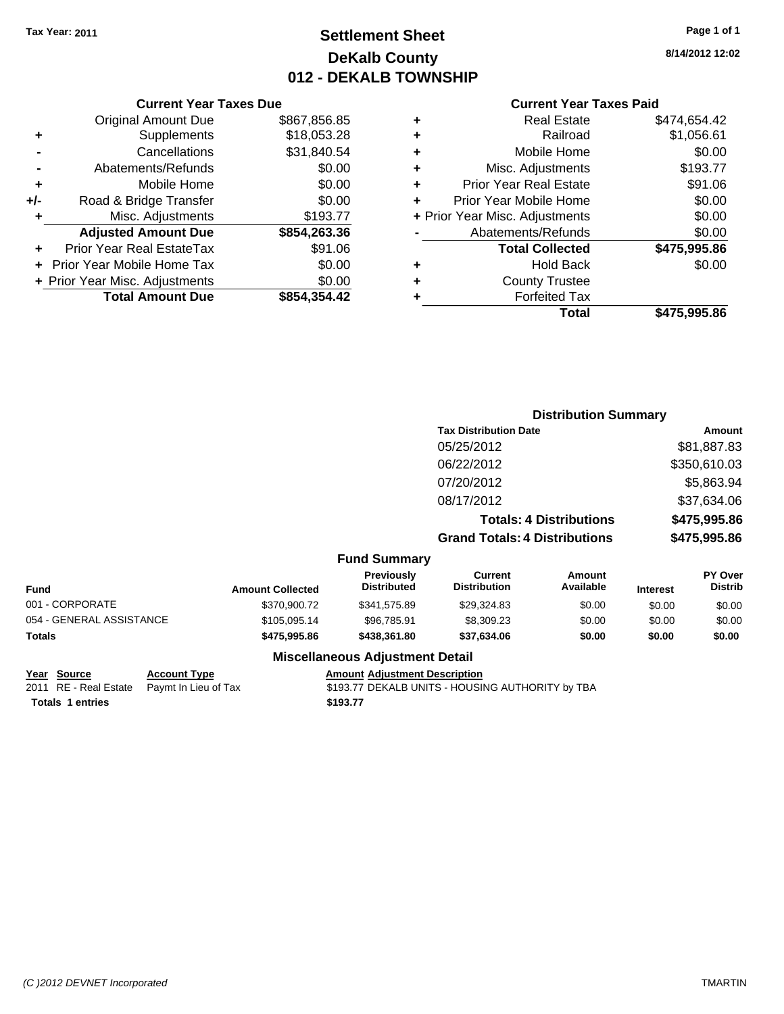Original Amount Due

**Adjusted Amount Due** 

**Total Amount Due** 

**+** Supplements **-** Cancellations **-** Abatements/Refunds **+** Mobile Home **+/-** Road & Bridge Transfer **+** Misc. Adjustments

**+** Prior Year Real EstateTax **+** Prior Year Mobile Home Tax **+ Prior Year Misc. Adjustments** 

# **Settlement Sheet Tax Year: 2011 Page 1 of 1 DeKalb County 012 - DEKALB TOWNSHIP**

**8/14/2012 12:02**

### **Current Year Taxes Paid**

| <b>Current Year Taxes Due</b> |              |   | <b>Current Year Taxes Paid</b> |              |
|-------------------------------|--------------|---|--------------------------------|--------------|
| ıl Amount Due                 | \$867,856.85 | ٠ | <b>Real Estate</b>             | \$474,654.42 |
| Supplements                   | \$18,053.28  | ÷ | Railroad                       | \$1,056.61   |
| Cancellations                 | \$31,840.54  | ÷ | Mobile Home                    | \$0.00       |
| าents/Refunds                 | \$0.00       | ÷ | Misc. Adjustments              | \$193.77     |
| Mobile Home                   | \$0.00       | ÷ | <b>Prior Year Real Estate</b>  | \$91.06      |
| ridge Transfer                | \$0.00       | ÷ | Prior Year Mobile Home         | \$0.00       |
| :. Adjustments                | \$193.77     |   | + Prior Year Misc. Adjustments | \$0.00       |
| <b>Amount Due</b>             | \$854,263.36 |   | Abatements/Refunds             | \$0.00       |
| eal EstateTax                 | \$91.06      |   | <b>Total Collected</b>         | \$475,995.86 |
| pile Home Tax                 | \$0.00       | ٠ | <b>Hold Back</b>               | \$0.00       |
| . Adjustments                 | \$0.00       | ÷ | <b>County Trustee</b>          |              |
| <b>Amount Due</b>             | \$854,354.42 |   | <b>Forfeited Tax</b>           |              |
|                               |              |   | Total                          | \$475,995.86 |

|                          |                         |                                  |                                       | <b>Distribution Summary</b>    |                 |                           |
|--------------------------|-------------------------|----------------------------------|---------------------------------------|--------------------------------|-----------------|---------------------------|
|                          |                         |                                  | <b>Tax Distribution Date</b>          |                                |                 | Amount                    |
|                          |                         |                                  | 05/25/2012                            |                                |                 | \$81,887.83               |
|                          |                         |                                  | 06/22/2012                            |                                |                 | \$350,610.03              |
|                          |                         |                                  | 07/20/2012                            |                                |                 | \$5,863.94                |
|                          |                         |                                  | 08/17/2012                            |                                |                 | \$37,634.06               |
|                          |                         |                                  |                                       | <b>Totals: 4 Distributions</b> |                 | \$475,995.86              |
|                          |                         |                                  | <b>Grand Totals: 4 Distributions</b>  |                                |                 | \$475,995.86              |
|                          |                         | <b>Fund Summary</b>              |                                       |                                |                 |                           |
| <b>Fund</b>              | <b>Amount Collected</b> | Previously<br><b>Distributed</b> | <b>Current</b><br><b>Distribution</b> | <b>Amount</b><br>Available     | <b>Interest</b> | PY Over<br><b>Distrib</b> |
| 001 - CORPORATE          | \$370,900.72            | \$341,575.89                     | \$29,324.83                           | \$0.00                         | \$0.00          | \$0.00                    |
| 054 - GENERAL ASSISTANCE | \$105,095.14            | \$96,785.91                      | \$8,309.23                            | \$0.00                         | \$0.00          | \$0.00                    |
| Totals                   | \$475,995.86            | \$438,361.80                     | \$37,634.06                           | \$0.00                         | \$0.00          | \$0.00                    |
|                          |                         |                                  |                                       |                                |                 |                           |

### **Miscellaneous Adjustment Detail**

#### **Year Source Account Type Amount Adjustment Description**

2011 RE - Real Estate Paymt In Lieu of Tax \$193.77 DEKALB UNITS - HOUSING AUTHORITY by TBA

**Totals 1 entries 1 and 1 and 1 and 1 and 1 and 1 and 1 and 1 and 1 and 1 and 1 and 1 and 1 and 1 and 1 and 1 and 1 and 1 and 1 and 1 and 1 and 1 and 1 and 1 and 1 and 1 and 1 and 1 and 1 and 1 and 1 and 1 and 1 and 1 an** 

*(C )2012 DEVNET Incorporated* TMARTIN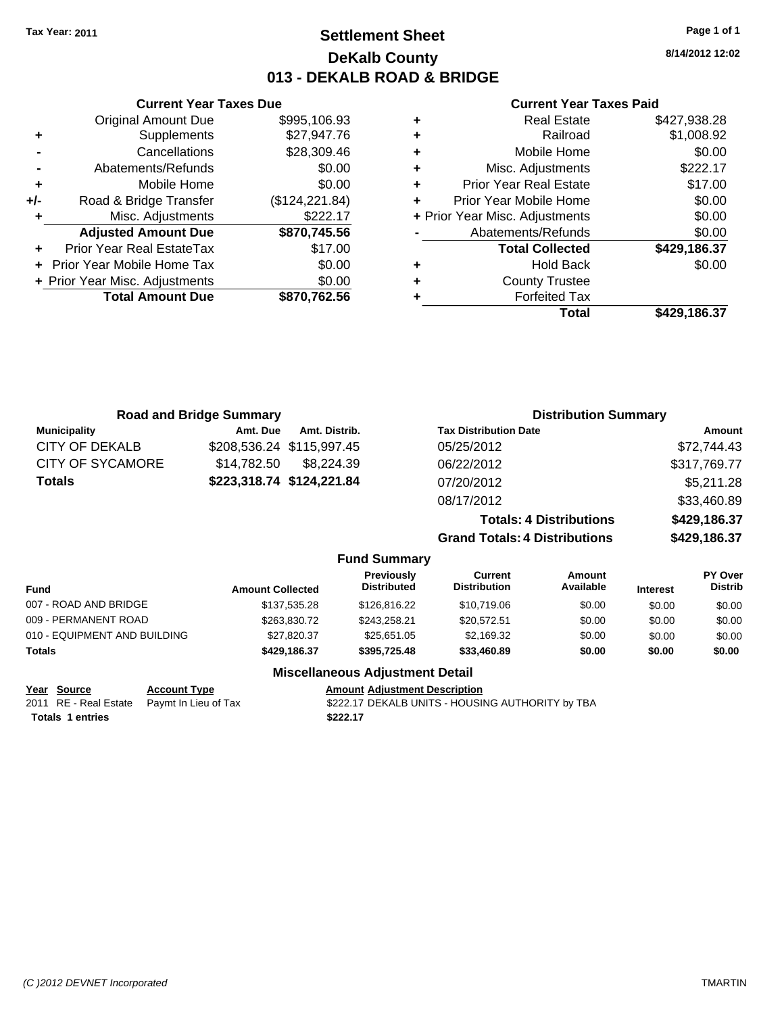### **Settlement Sheet Tax Year: 2011 Page 1 of 1 DeKalb County 013 - DEKALB ROAD & BRIDGE**

**8/14/2012 12:02**

#### **Current Year Taxes Paid**

|     | <b>Original Amount Due</b>     | \$995,106.93    |
|-----|--------------------------------|-----------------|
| ٠   | Supplements                    | \$27,947.76     |
|     | Cancellations                  | \$28,309.46     |
|     | Abatements/Refunds             | \$0.00          |
| ÷   | Mobile Home                    | \$0.00          |
| +/- | Road & Bridge Transfer         | (\$124, 221.84) |
| ٠   | Misc. Adjustments              | \$222.17        |
|     | <b>Adjusted Amount Due</b>     | \$870,745.56    |
|     | Prior Year Real EstateTax      | \$17.00         |
|     | Prior Year Mobile Home Tax     | \$0.00          |
|     | + Prior Year Misc. Adjustments | \$0.00          |
|     | <b>Total Amount Due</b>        | \$870,762.56    |
|     |                                |                 |

**Current Year Taxes Due**

| ٠ | <b>Real Estate</b>             | \$427,938.28 |
|---|--------------------------------|--------------|
| ٠ | Railroad                       | \$1,008.92   |
| ٠ | Mobile Home                    | \$0.00       |
| ٠ | Misc. Adjustments              | \$222.17     |
| ٠ | <b>Prior Year Real Estate</b>  | \$17.00      |
| ٠ | Prior Year Mobile Home         | \$0.00       |
|   | + Prior Year Misc. Adjustments | \$0.00       |
|   | Abatements/Refunds             | \$0.00       |
|   | <b>Total Collected</b>         | \$429,186.37 |
| ٠ | Hold Back                      | \$0.00       |
| ٠ | <b>County Trustee</b>          |              |
| ٠ | <b>Forfeited Tax</b>           |              |
|   | Total                          | \$429,186.37 |
|   |                                |              |

|                       | <b>Road and Bridge Summary</b> |               |                                  |                                       | <b>Distribution Summary</b>    |                 |                           |
|-----------------------|--------------------------------|---------------|----------------------------------|---------------------------------------|--------------------------------|-----------------|---------------------------|
| <b>Municipality</b>   | Amt. Due                       | Amt. Distrib. |                                  | <b>Tax Distribution Date</b>          |                                |                 | Amount                    |
| CITY OF DEKALB        | \$208,536.24 \$115,997.45      |               |                                  | 05/25/2012                            |                                |                 | \$72,744.43               |
| CITY OF SYCAMORE      | \$14.782.50                    | \$8,224.39    |                                  | 06/22/2012                            |                                |                 | \$317,769.77              |
| <b>Totals</b>         | \$223,318.74 \$124,221.84      |               |                                  | 07/20/2012                            |                                |                 | \$5,211.28                |
|                       |                                |               |                                  | 08/17/2012                            |                                |                 | \$33,460.89               |
|                       |                                |               |                                  |                                       | <b>Totals: 4 Distributions</b> |                 | \$429,186.37              |
|                       |                                |               |                                  | <b>Grand Totals: 4 Distributions</b>  |                                |                 | \$429,186.37              |
|                       |                                |               | <b>Fund Summary</b>              |                                       |                                |                 |                           |
| <b>Fund</b>           | <b>Amount Collected</b>        |               | Previously<br><b>Distributed</b> | <b>Current</b><br><b>Distribution</b> | Amount<br>Available            | <b>Interest</b> | PY Over<br><b>Distrib</b> |
| 007 - ROAD AND BRIDGE |                                | \$137,535.28  | \$126,816.22                     | \$10,719.06                           | \$0.00                         | \$0.00          | \$0.00                    |
| 009 - PERMANENT ROAD  |                                | \$263.830.72  | \$243.258.21                     | \$20,572.51                           | \$0.00                         | \$0.00          | \$0.00                    |

### **Miscellaneous Adjustment Detail**

### **Year Source Account Type Amount Adjustment Description**

010 - EQUIPMENT AND BUILDING \$27,820.37 \$25,651.05 \$2,169.32 \$0.00 \$0.00 \$0.00 **Totals \$429,186.37 \$395,725.48 \$33,460.89 \$0.00 \$0.00 \$0.00**

**Totals 1 entries** \$222.17

2011 RE - Real Estate Paymt In Lieu of Tax \$222.17 DEKALB UNITS - HOUSING AUTHORITY by TBA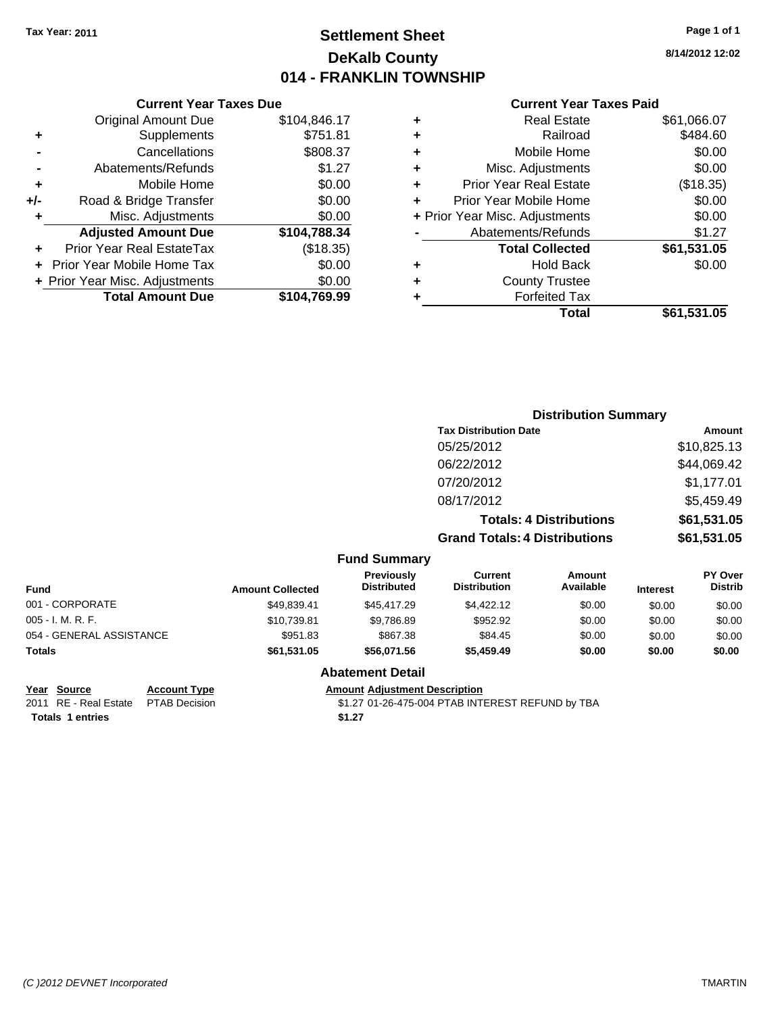# **Settlement Sheet Tax Year: 2011 Page 1 of 1 DeKalb County 014 - FRANKLIN TOWNSHIP**

**8/14/2012 12:02**

#### **Current Year Taxes Paid**

| Current                   |   |              | <b>Current Year Taxes Due</b>  |       |
|---------------------------|---|--------------|--------------------------------|-------|
| Real                      | ٠ | \$104,846.17 | <b>Original Amount Due</b>     |       |
| R٤                        | ٠ | \$751.81     | <b>Supplements</b>             | ٠     |
| Mobile                    | ٠ | \$808.37     | Cancellations                  |       |
| Misc. Adjust              | ÷ | \$1.27       | Abatements/Refunds             |       |
| Prior Year Real           | ÷ | \$0.00       | Mobile Home                    | ٠     |
| <b>Prior Year Mobile</b>  |   | \$0.00       | Road & Bridge Transfer         | $+/-$ |
| + Prior Year Misc. Adjust |   | \$0.00       | Misc. Adjustments              | ٠     |
| Abatements/Re             |   | \$104,788.34 | <b>Adjusted Amount Due</b>     |       |
| <b>Total Coll</b>         |   | (\$18.35)    | Prior Year Real EstateTax      |       |
| Hold                      | ٠ | \$0.00       | + Prior Year Mobile Home Tax   |       |
| County T                  | ٠ | \$0.00       | + Prior Year Misc. Adjustments |       |
| Forfeite                  |   | \$104,769.99 | <b>Total Amount Due</b>        |       |
|                           |   |              |                                |       |

|   | Total                          | \$61,531.05 |
|---|--------------------------------|-------------|
|   | <b>Forfeited Tax</b>           |             |
|   | <b>County Trustee</b>          |             |
|   | <b>Hold Back</b>               | \$0.00      |
|   | <b>Total Collected</b>         | \$61,531.05 |
|   | Abatements/Refunds             | \$1.27      |
|   | + Prior Year Misc. Adjustments | \$0.00      |
| ÷ | Prior Year Mobile Home         | \$0.00      |
|   | <b>Prior Year Real Estate</b>  | (\$18.35)   |
| ٠ | Misc. Adjustments              | \$0.00      |
|   | Mobile Home                    | \$0.00      |
|   | Railroad                       | \$484.60    |
| ٠ | <b>Real Estate</b>             | \$61,066.07 |

|                          |                         |                                  | <b>Distribution Summary</b>           |                                |                 |                                  |
|--------------------------|-------------------------|----------------------------------|---------------------------------------|--------------------------------|-----------------|----------------------------------|
|                          |                         |                                  | <b>Tax Distribution Date</b>          |                                |                 | Amount                           |
|                          |                         |                                  | 05/25/2012                            |                                |                 | \$10,825.13                      |
|                          |                         |                                  | 06/22/2012                            |                                |                 | \$44,069.42                      |
|                          |                         |                                  | 07/20/2012                            |                                |                 | \$1,177.01                       |
|                          |                         |                                  | 08/17/2012                            |                                |                 | \$5,459.49                       |
|                          |                         |                                  |                                       | <b>Totals: 4 Distributions</b> |                 | \$61,531.05                      |
|                          |                         |                                  | <b>Grand Totals: 4 Distributions</b>  |                                |                 | \$61,531.05                      |
|                          |                         | <b>Fund Summary</b>              |                                       |                                |                 |                                  |
| <b>Fund</b>              | <b>Amount Collected</b> | Previously<br><b>Distributed</b> | <b>Current</b><br><b>Distribution</b> | Amount<br>Available            | <b>Interest</b> | <b>PY Over</b><br><b>Distrib</b> |
| 001 - CORPORATE          | \$49,839.41             | \$45,417.29                      | \$4,422.12                            | \$0.00                         | \$0.00          | \$0.00                           |
| 005 - I. M. R. F.        | \$10,739.81             | \$9,786.89                       | \$952.92                              | \$0.00                         | \$0.00          | \$0.00                           |
| 054 - GENERAL ASSISTANCE | \$951.83                | \$867.38                         | \$84.45                               | \$0.00                         | \$0.00          | \$0.00                           |
| Totals                   | \$61,531.05             | \$56,071.56                      | \$5,459.49                            | \$0.00                         | \$0.00          | \$0.00                           |
|                          |                         | <b>Abatement Detail</b>          |                                       |                                |                 |                                  |

### **Year Source Account Type Amount Adjustment Description**

2011 RE - Real Estate \$1.27 01-26-475-004 PTAB INTEREST REFUND by TBA PTAB Decision **Totals 1 entries** \$1.27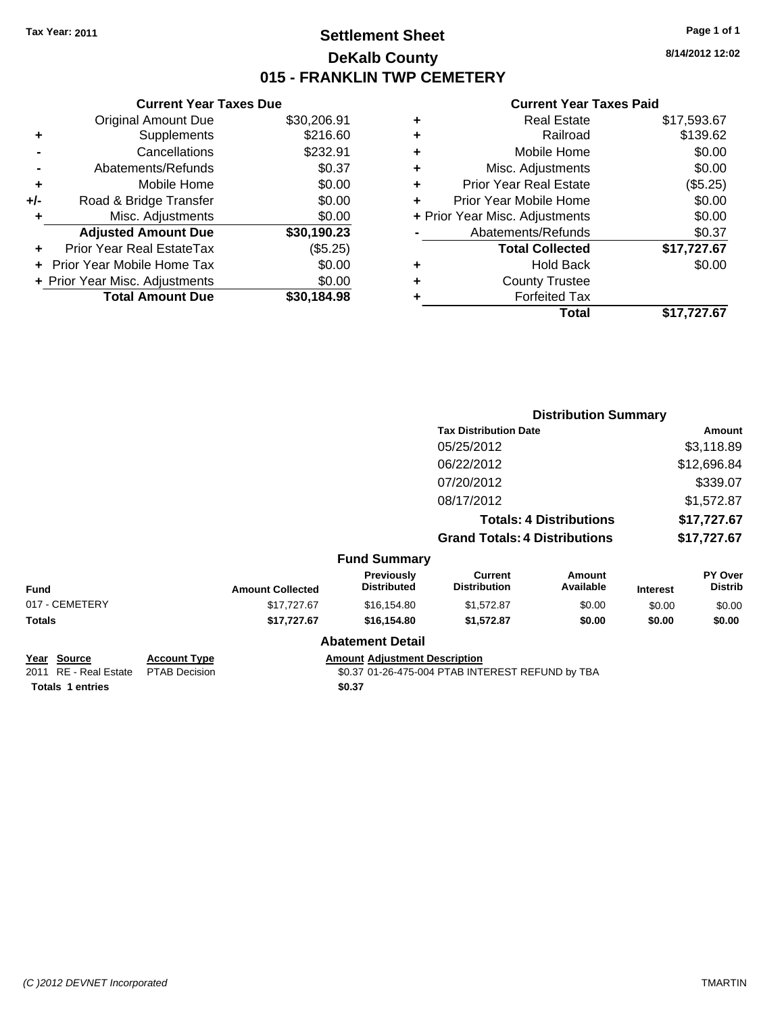**Current Year Taxes Due** Original Amount Due \$30,206.91

**Adjusted Amount Due \$30,190.23**

**Total Amount Due \$30,184.98**

**+** Supplements \$216.60 **-** Cancellations \$232.91 **-** Abatements/Refunds \$0.37 **+** Mobile Home \$0.00 **+/-** Road & Bridge Transfer \$0.00 **+** Misc. Adjustments \$0.00

**+** Prior Year Real EstateTax (\$5.25) **+** Prior Year Mobile Home Tax \$0.00 **+ Prior Year Misc. Adjustments**  $$0.00$ 

## **Settlement Sheet Tax Year: 2011 Page 1 of 1 DeKalb County 015 - FRANKLIN TWP CEMETERY**

**8/14/2012 12:02**

#### **Current Year Taxes Paid**

| ٠ | <b>Real Estate</b>             | \$17,593.67 |
|---|--------------------------------|-------------|
| ٠ | Railroad                       | \$139.62    |
| ٠ | Mobile Home                    | \$0.00      |
| ٠ | Misc. Adjustments              | \$0.00      |
| ٠ | <b>Prior Year Real Estate</b>  | (\$5.25)    |
| ÷ | Prior Year Mobile Home         | \$0.00      |
|   | + Prior Year Misc. Adjustments | \$0.00      |
|   | Abatements/Refunds             | \$0.37      |
|   | <b>Total Collected</b>         | \$17,727.67 |
| ٠ | <b>Hold Back</b>               | \$0.00      |
| ٠ | <b>County Trustee</b>          |             |
|   | <b>Forfeited Tax</b>           |             |
|   | Total                          | \$17.727.67 |

|                    |                     |                         |                                         | <b>Distribution Summary</b>           |                                |                 |                           |
|--------------------|---------------------|-------------------------|-----------------------------------------|---------------------------------------|--------------------------------|-----------------|---------------------------|
|                    |                     |                         |                                         | <b>Tax Distribution Date</b>          |                                |                 | Amount                    |
|                    |                     |                         |                                         | 05/25/2012                            |                                |                 | \$3,118.89                |
|                    |                     |                         |                                         | 06/22/2012                            |                                |                 | \$12,696.84               |
|                    |                     |                         |                                         | 07/20/2012                            |                                |                 | \$339.07                  |
|                    |                     |                         |                                         | 08/17/2012                            |                                |                 | \$1,572.87                |
|                    |                     |                         |                                         |                                       | <b>Totals: 4 Distributions</b> |                 | \$17,727.67               |
|                    |                     |                         |                                         | <b>Grand Totals: 4 Distributions</b>  |                                |                 | \$17,727.67               |
|                    |                     |                         | <b>Fund Summary</b>                     |                                       |                                |                 |                           |
| <b>Fund</b>        |                     | <b>Amount Collected</b> | <b>Previously</b><br><b>Distributed</b> | <b>Current</b><br><b>Distribution</b> | Amount<br>Available            | <b>Interest</b> | PY Over<br><b>Distrib</b> |
| 017 - CEMETERY     |                     | \$17,727.67             | \$16,154.80                             | \$1,572.87                            | \$0.00                         | \$0.00          | \$0.00                    |
| Totals             |                     | \$17,727.67             | \$16,154.80                             | \$1,572.87                            | \$0.00                         | \$0.00          | \$0.00                    |
|                    |                     |                         | <b>Abatement Detail</b>                 |                                       |                                |                 |                           |
| <u>Year Source</u> | <b>Account Type</b> |                         | <b>Amount Adjustment Description</b>    |                                       |                                |                 |                           |

**Totals \$0.37 1 entries**

2011 RE - Real Estate PTAB Decision 30.37 01-26-475-004 PTAB INTEREST REFUND by TBA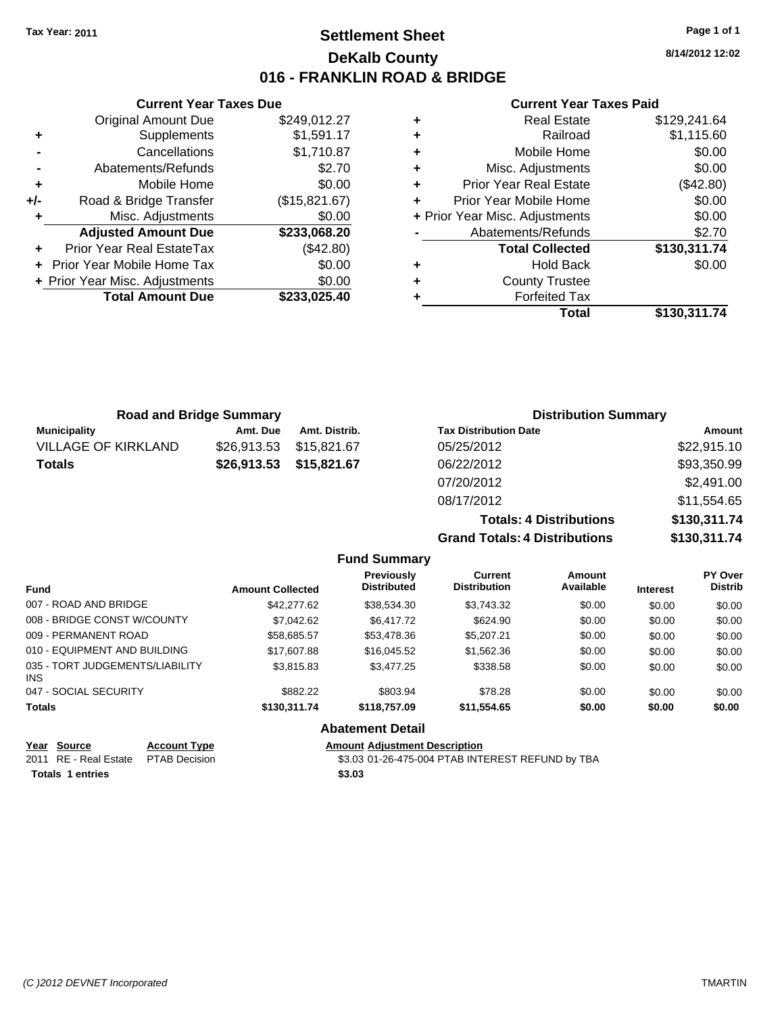### **Settlement Sheet Tax Year: 2011 Page 1 of 1 DeKalb County 016 - FRANKLIN ROAD & BRIDGE**

**8/14/2012 12:02**

#### **Current Year Taxes Paid**

|       | Abatements/Refunds             | \$2.70        |      |
|-------|--------------------------------|---------------|------|
| ÷     | Mobile Home                    | \$0.00        |      |
| $+/-$ | Road & Bridge Transfer         | (\$15,821.67) |      |
| ÷     | Misc. Adjustments              | \$0.00        | + Pr |
|       | <b>Adjusted Amount Due</b>     | \$233,068.20  |      |
|       | Prior Year Real EstateTax      | (\$42.80)     |      |
|       | + Prior Year Mobile Home Tax   | \$0.00        |      |
|       | + Prior Year Misc. Adjustments | \$0.00        |      |
|       | <b>Total Amount Due</b>        | \$233,025.40  |      |
|       |                                |               |      |

**Current Year Taxes Due** Original Amount Due \$249,012.27

**+** Supplements \$1,591.17 **-** Cancellations \$1,710.87

| <b>Road and Bridge Summary</b> |             |               | <b>Distribution Summary</b>          |               |  |
|--------------------------------|-------------|---------------|--------------------------------------|---------------|--|
| <b>Municipality</b>            | Amt. Due    | Amt. Distrib. | <b>Tax Distribution Date</b>         | <b>Amount</b> |  |
| <b>VILLAGE OF KIRKLAND</b>     | \$26,913.53 | \$15,821,67   | 05/25/2012                           | \$22,915.10   |  |
| <b>Totals</b>                  | \$26,913.53 | \$15,821.67   | 06/22/2012                           | \$93,350.99   |  |
|                                |             |               | 07/20/2012                           | \$2,491.00    |  |
|                                |             |               | 08/17/2012                           | \$11,554.65   |  |
|                                |             |               | <b>Totals: 4 Distributions</b>       | \$130,311.74  |  |
|                                |             |               | <b>Grand Totals: 4 Distributions</b> | \$130,311.74  |  |

|                                         |                         | <b>Fund Summary</b>                                    |                                       |                     |                 |                                  |
|-----------------------------------------|-------------------------|--------------------------------------------------------|---------------------------------------|---------------------|-----------------|----------------------------------|
| <b>Fund</b>                             | <b>Amount Collected</b> | <b>Previously</b><br><b>Distributed</b>                | <b>Current</b><br><b>Distribution</b> | Amount<br>Available | <b>Interest</b> | <b>PY Over</b><br><b>Distrib</b> |
| 007 - ROAD AND BRIDGE                   | \$42,277.62             | \$38,534.30                                            | \$3.743.32                            | \$0.00              | \$0.00          | \$0.00                           |
| 008 - BRIDGE CONST W/COUNTY             | \$7,042.62              | \$6,417.72                                             | \$624.90                              | \$0.00              | \$0.00          | \$0.00                           |
| 009 - PERMANENT ROAD                    | \$58,685.57             | \$53,478.36                                            | \$5,207.21                            | \$0.00              | \$0.00          | \$0.00                           |
| 010 - EQUIPMENT AND BUILDING            | \$17,607.88             | \$16,045.52                                            | \$1,562,36                            | \$0.00              | \$0.00          | \$0.00                           |
| 035 - TORT JUDGEMENTS/LIABILITY<br>INS. | \$3,815.83              | \$3,477.25                                             | \$338.58                              | \$0.00              | \$0.00          | \$0.00                           |
| 047 - SOCIAL SECURITY                   | \$882.22                | \$803.94                                               | \$78.28                               | \$0.00              | \$0.00          | \$0.00                           |
| <b>Totals</b>                           | \$130,311.74            | \$118,757.09                                           | \$11.554.65                           | \$0.00              | \$0.00          | \$0.00                           |
|                                         |                         | <b>Abatement Detail</b>                                |                                       |                     |                 |                                  |
| $M = 0$ $M = 0$<br>A T.                 |                         | A contract A discussion of Property of the contract of |                                       |                     |                 |                                  |

| Year Source                         | <b>Account Type</b> | <b>Amount Adjustment Description</b>             |
|-------------------------------------|---------------------|--------------------------------------------------|
| 2011 RE - Real Estate PTAB Decision |                     | \$3.03 01-26-475-004 PTAB INTEREST REFUND by TBA |
| Totals 1 entries                    |                     | \$3.03                                           |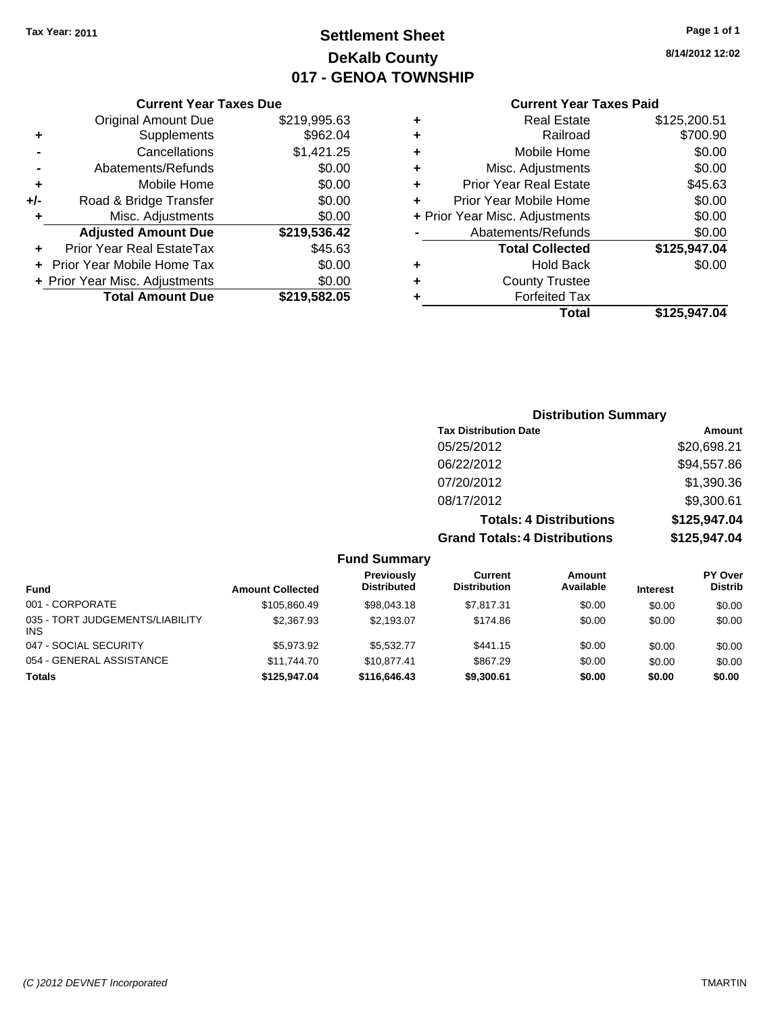# **Settlement Sheet Tax Year: 2011 Page 1 of 1 DeKalb County 017 - GENOA TOWNSHIP**

**8/14/2012 12:02**

#### **Current Year Taxes Paid**

|     | <b>Current Year Taxes Due</b>  |              |  |
|-----|--------------------------------|--------------|--|
|     | <b>Original Amount Due</b>     | \$219,995.63 |  |
| ٠   | Supplements                    | \$962.04     |  |
|     | Cancellations                  | \$1,421.25   |  |
|     | Abatements/Refunds             | \$0.00       |  |
| ٠   | Mobile Home                    | \$0.00       |  |
| +/- | Road & Bridge Transfer         | \$0.00       |  |
| ٠   | Misc. Adjustments              | \$0.00       |  |
|     | <b>Adjusted Amount Due</b>     | \$219,536.42 |  |
| ٠   | Prior Year Real EstateTax      | \$45.63      |  |
|     | Prior Year Mobile Home Tax     | \$0.00       |  |
|     | + Prior Year Misc. Adjustments | \$0.00       |  |
|     | <b>Total Amount Due</b>        | \$219,582.05 |  |
|     |                                |              |  |

| ٠ | Real Estate                    | \$125,200.51 |
|---|--------------------------------|--------------|
| ٠ | Railroad                       | \$700.90     |
| ٠ | Mobile Home                    | \$0.00       |
| ٠ | Misc. Adjustments              | \$0.00       |
| ÷ | <b>Prior Year Real Estate</b>  | \$45.63      |
| ÷ | Prior Year Mobile Home         | \$0.00       |
|   | + Prior Year Misc. Adjustments | \$0.00       |
|   | Abatements/Refunds             | \$0.00       |
|   | <b>Total Collected</b>         | \$125,947.04 |
| ٠ | <b>Hold Back</b>               | \$0.00       |
| ٠ | <b>County Trustee</b>          |              |
| ٠ | <b>Forfeited Tax</b>           |              |
|   | Total                          | \$125,947.04 |
|   |                                |              |

### **Distribution Summary Tax Distribution Date Amount** 05/25/2012 \$20,698.21 06/22/2012 \$94,557.86 07/20/2012 \$1,390.36 08/17/2012 \$9,300.61 **Totals: 4 Distributions \$125,947.04 Grand Totals: 4 Distributions \$125,947.04**

| <b>Fund Summary</b> |  |
|---------------------|--|
|                     |  |

| <b>Fund</b>                                   | <b>Amount Collected</b> | Previously<br><b>Distributed</b> | Current<br><b>Distribution</b> | Amount<br>Available | <b>Interest</b> | <b>PY Over</b><br><b>Distrib</b> |
|-----------------------------------------------|-------------------------|----------------------------------|--------------------------------|---------------------|-----------------|----------------------------------|
| 001 - CORPORATE                               | \$105,860.49            | \$98,043.18                      | \$7,817.31                     | \$0.00              | \$0.00          | \$0.00                           |
| 035 - TORT JUDGEMENTS/LIABILITY<br><b>INS</b> | \$2,367.93              | \$2.193.07                       | \$174.86                       | \$0.00              | \$0.00          | \$0.00                           |
| 047 - SOCIAL SECURITY                         | \$5.973.92              | \$5,532,77                       | \$441.15                       | \$0.00              | \$0.00          | \$0.00                           |
| 054 - GENERAL ASSISTANCE                      | \$11,744.70             | \$10.877.41                      | \$867.29                       | \$0.00              | \$0.00          | \$0.00                           |
| <b>Totals</b>                                 | \$125,947,04            | \$116,646,43                     | \$9,300.61                     | \$0.00              | \$0.00          | \$0.00                           |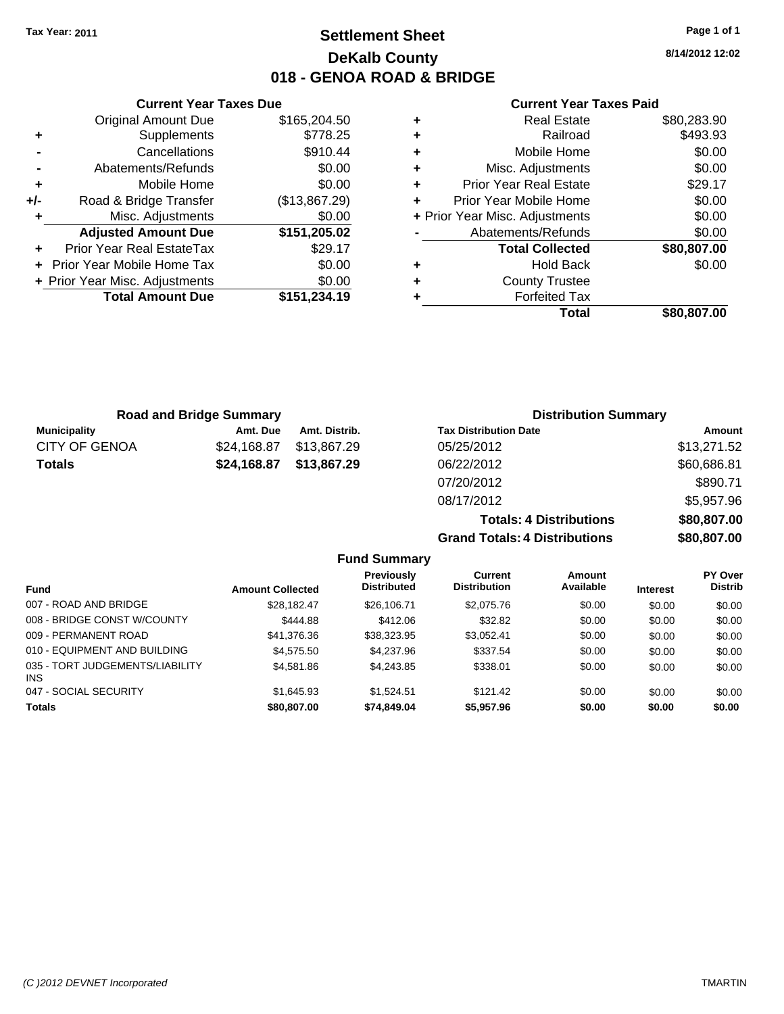**Current Year Taxes Due** Original Amount Due \$165,204.50

**Adjusted Amount Due \$151,205.02**

**Total Amount Due \$151,234.19**

**+** Supplements \$778.25 **-** Cancellations **\$910.44 -** Abatements/Refunds \$0.00 **+** Mobile Home \$0.00 **+/-** Road & Bridge Transfer (\$13,867.29) **+** Misc. Adjustments \$0.00

**+** Prior Year Real EstateTax \$29.17 **+** Prior Year Mobile Home Tax \$0.00 **+ Prior Year Misc. Adjustments**  $$0.00$ 

## **Settlement Sheet Tax Year: 2011 Page 1 of 1 DeKalb County 018 - GENOA ROAD & BRIDGE**

**8/14/2012 12:02**

#### **Current Year Taxes Paid**

**Totals: 4 Distributions \$80,807.00**

**Grand Totals: 4 Distributions \$80,807.00**

| <b>Road and Bridge Summary</b> |             |               | <b>Distribution Summary</b>  |             |  |
|--------------------------------|-------------|---------------|------------------------------|-------------|--|
| Municipality                   | Amt. Due    | Amt. Distrib. | <b>Tax Distribution Date</b> | Amount      |  |
| <b>CITY OF GENOA</b>           | \$24.168.87 | \$13,867.29   | 05/25/2012                   | \$13,271.52 |  |
| <b>Totals</b>                  | \$24,168.87 | \$13,867.29   | 06/22/2012                   | \$60,686.81 |  |
|                                |             |               | 07/20/2012                   | \$890.71    |  |
|                                |             |               | 08/17/2012                   | \$5,957.96  |  |

|                                         |                         | <b>Fund Summary</b>                     |                                       |                     |                 |                           |
|-----------------------------------------|-------------------------|-----------------------------------------|---------------------------------------|---------------------|-----------------|---------------------------|
| <b>Fund</b>                             | <b>Amount Collected</b> | <b>Previously</b><br><b>Distributed</b> | <b>Current</b><br><b>Distribution</b> | Amount<br>Available | <b>Interest</b> | PY Over<br><b>Distrib</b> |
| 007 - ROAD AND BRIDGE                   | \$28.182.47             | \$26,106.71                             | \$2,075.76                            | \$0.00              | \$0.00          | \$0.00                    |
| 008 - BRIDGE CONST W/COUNTY             | \$444.88                | \$412.06                                | \$32.82                               | \$0.00              | \$0.00          | \$0.00                    |
| 009 - PERMANENT ROAD                    | \$41,376.36             | \$38,323.95                             | \$3,052.41                            | \$0.00              | \$0.00          | \$0.00                    |
| 010 - EQUIPMENT AND BUILDING            | \$4,575.50              | \$4.237.96                              | \$337.54                              | \$0.00              | \$0.00          | \$0.00                    |
| 035 - TORT JUDGEMENTS/LIABILITY<br>INS. | \$4,581.86              | \$4,243.85                              | \$338.01                              | \$0.00              | \$0.00          | \$0.00                    |
| 047 - SOCIAL SECURITY                   | \$1,645.93              | \$1.524.51                              | \$121.42                              | \$0.00              | \$0.00          | \$0.00                    |
| <b>Totals</b>                           | \$80,807.00             | \$74,849.04                             | \$5,957.96                            | \$0.00              | \$0.00          | \$0.00                    |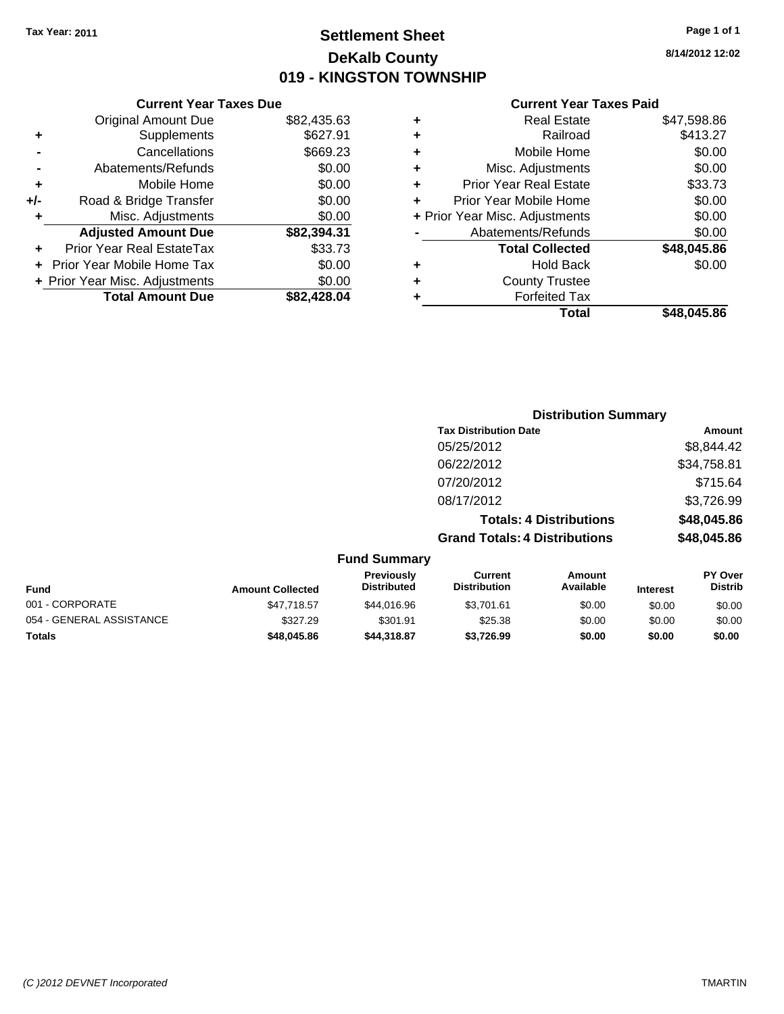# **Settlement Sheet Tax Year: 2011 Page 1 of 1 DeKalb County 019 - KINGSTON TOWNSHIP**

**8/14/2012 12:02**

### **Current Year Taxes Paid**

| 2,435.63 | ٠ | <b>Real Estate</b>             | \$47,598.86 |
|----------|---|--------------------------------|-------------|
| \$627.91 | ٠ | Railroad                       | \$413.27    |
| \$669.23 | ٠ | Mobile Home                    | \$0.00      |
| \$0.00   | ٠ | Misc. Adjustments              | \$0.00      |
| \$0.00   | ٠ | <b>Prior Year Real Estate</b>  | \$33.73     |
| \$0.00   | ٠ | Prior Year Mobile Home         | \$0.00      |
| \$0.00   |   | + Prior Year Misc. Adjustments | \$0.00      |
| 2,394.31 |   | Abatements/Refunds             | \$0.00      |
| \$33.73  |   | <b>Total Collected</b>         | \$48,045.86 |
| \$0.00   | ٠ | <b>Hold Back</b>               | \$0.00      |
| \$0.00   | ٠ | <b>County Trustee</b>          |             |
| 2,428.04 |   | <b>Forfeited Tax</b>           |             |
|          |   | Total                          | \$48,045.86 |

|     | <b>Current Year Taxes Due</b>  |             |
|-----|--------------------------------|-------------|
|     | <b>Original Amount Due</b>     | \$82,435.63 |
| ٠   | Supplements                    | \$627.91    |
|     | Cancellations                  | \$669.23    |
|     | Abatements/Refunds             | \$0.00      |
| ٠   | Mobile Home                    | \$0.00      |
| +/- | Road & Bridge Transfer         | \$0.00      |
| ٠   | Misc. Adjustments              | \$0.00      |
|     | <b>Adjusted Amount Due</b>     | \$82,394.31 |
|     | Prior Year Real EstateTax      | \$33.73     |
|     | Prior Year Mobile Home Tax     | \$0.00      |
|     | + Prior Year Misc. Adjustments | \$0.00      |
|     | <b>Total Amount Due</b>        | \$82.428.04 |

### **Distribution Summary**

| Amount      |
|-------------|
| \$8,844.42  |
| \$34,758.81 |
| \$715.64    |
| \$3,726.99  |
| \$48,045.86 |
| \$48,045.86 |
|             |

#### **Fund Summary Fund Interest Amount Collected Distributed PY Over Distrib Amount Available Current Distribution Previously** 001 - CORPORATE \$47,718.57 \$44,016.96 \$3,701.61 \$0.00 \$0.00 \$0.00 054 - GENERAL ASSISTANCE \$327.29 \$301.91 \$25.38 \$0.00 \$0.00 \$0.00 **Totals \$48,045.86 \$44,318.87 \$3,726.99 \$0.00 \$0.00 \$0.00**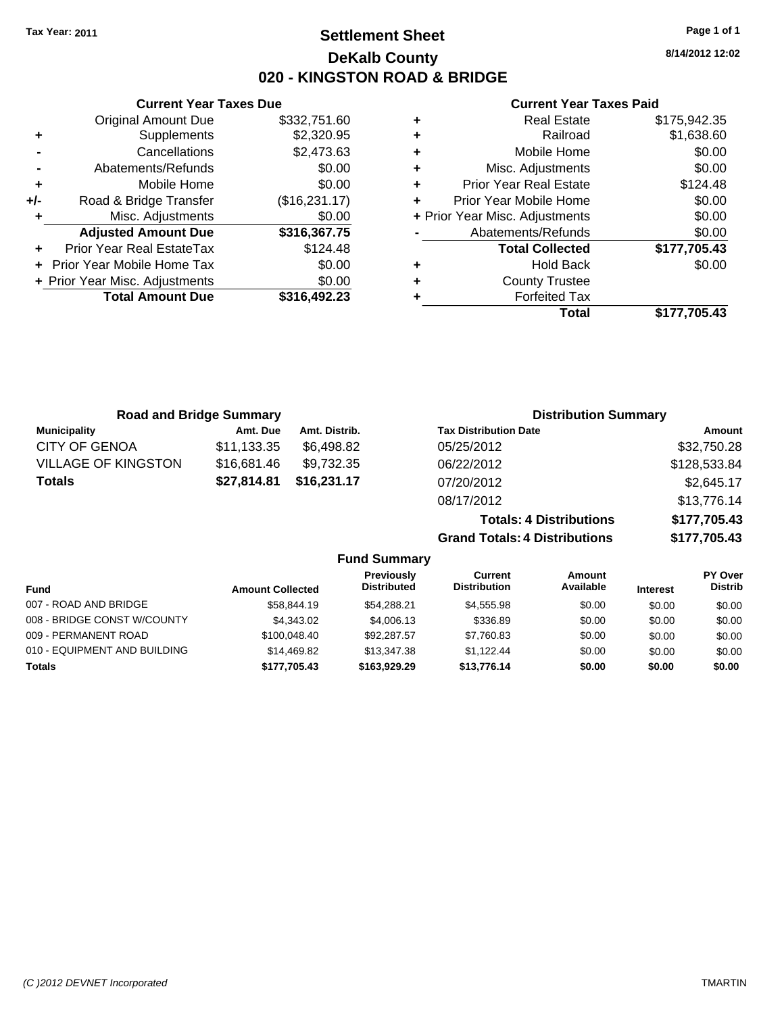**Current Year Taxes Due** Original Amount Due \$332,751.60

**Adjusted Amount Due \$316,367.75**

**+** Supplements \$2,320.95 **-** Cancellations \$2,473.63 **-** Abatements/Refunds \$0.00 **+** Mobile Home \$0.00 **+/-** Road & Bridge Transfer (\$16,231.17) **+** Misc. Adjustments \$0.00

**+** Prior Year Real EstateTax \$124.48 **+** Prior Year Mobile Home Tax \$0.00 **+ Prior Year Misc. Adjustments \$0.00<br>
<b>Total Amount Due** \$316,492.23

**Total Amount Due** 

### **Settlement Sheet Tax Year: 2011 Page 1 of 1 DeKalb County 020 - KINGSTON ROAD & BRIDGE**

**8/14/2012 12:02**

#### **Current Year Taxes Paid**

| ٠ | <b>Real Estate</b>             | \$175,942.35 |
|---|--------------------------------|--------------|
| ٠ | Railroad                       | \$1,638.60   |
| ٠ | Mobile Home                    | \$0.00       |
| ٠ | Misc. Adjustments              | \$0.00       |
| ٠ | <b>Prior Year Real Estate</b>  | \$124.48     |
| ÷ | Prior Year Mobile Home         | \$0.00       |
|   | + Prior Year Misc. Adjustments | \$0.00       |
|   | Abatements/Refunds             | \$0.00       |
|   | <b>Total Collected</b>         | \$177,705.43 |
| ٠ | <b>Hold Back</b>               | \$0.00       |
| ٠ | <b>County Trustee</b>          |              |
|   | <b>Forfeited Tax</b>           |              |
|   | Total                          | \$177.705.43 |

| <b>Road and Bridge Summary</b> |             |               | <b>Distribution Summary</b>    |              |
|--------------------------------|-------------|---------------|--------------------------------|--------------|
| <b>Municipality</b>            | Amt. Due    | Amt. Distrib. | <b>Tax Distribution Date</b>   | Amount       |
| <b>CITY OF GENOA</b>           | \$11,133.35 | \$6.498.82    | 05/25/2012                     | \$32,750.28  |
| <b>VILLAGE OF KINGSTON</b>     | \$16,681.46 | \$9,732.35    | 06/22/2012                     | \$128,533.84 |
| <b>Totals</b>                  | \$27,814.81 | \$16.231.17   | 07/20/2012                     | \$2,645.17   |
|                                |             |               | 08/17/2012                     | \$13,776.14  |
|                                |             |               | <b>Totals: 4 Distributions</b> | \$177,705.43 |

**Grand Totals: 4 Distributions \$177,705.43**

|                              |                         | <b>Fund Summary</b>              |                                |                            |                 |                           |
|------------------------------|-------------------------|----------------------------------|--------------------------------|----------------------------|-----------------|---------------------------|
| Fund                         | <b>Amount Collected</b> | Previously<br><b>Distributed</b> | Current<br><b>Distribution</b> | <b>Amount</b><br>Available | <b>Interest</b> | PY Over<br><b>Distrib</b> |
| 007 - ROAD AND BRIDGE        | \$58,844.19             | \$54.288.21                      | \$4,555.98                     | \$0.00                     | \$0.00          | \$0.00                    |
| 008 - BRIDGE CONST W/COUNTY  | \$4,343,02              | \$4,006.13                       | \$336.89                       | \$0.00                     | \$0.00          | \$0.00                    |
| 009 - PERMANENT ROAD         | \$100,048.40            | \$92,287.57                      | \$7,760.83                     | \$0.00                     | \$0.00          | \$0.00                    |
| 010 - EQUIPMENT AND BUILDING | \$14,469.82             | \$13,347.38                      | \$1.122.44                     | \$0.00                     | \$0.00          | \$0.00                    |
| <b>Totals</b>                | \$177,705.43            | \$163,929,29                     | \$13.776.14                    | \$0.00                     | \$0.00          | \$0.00                    |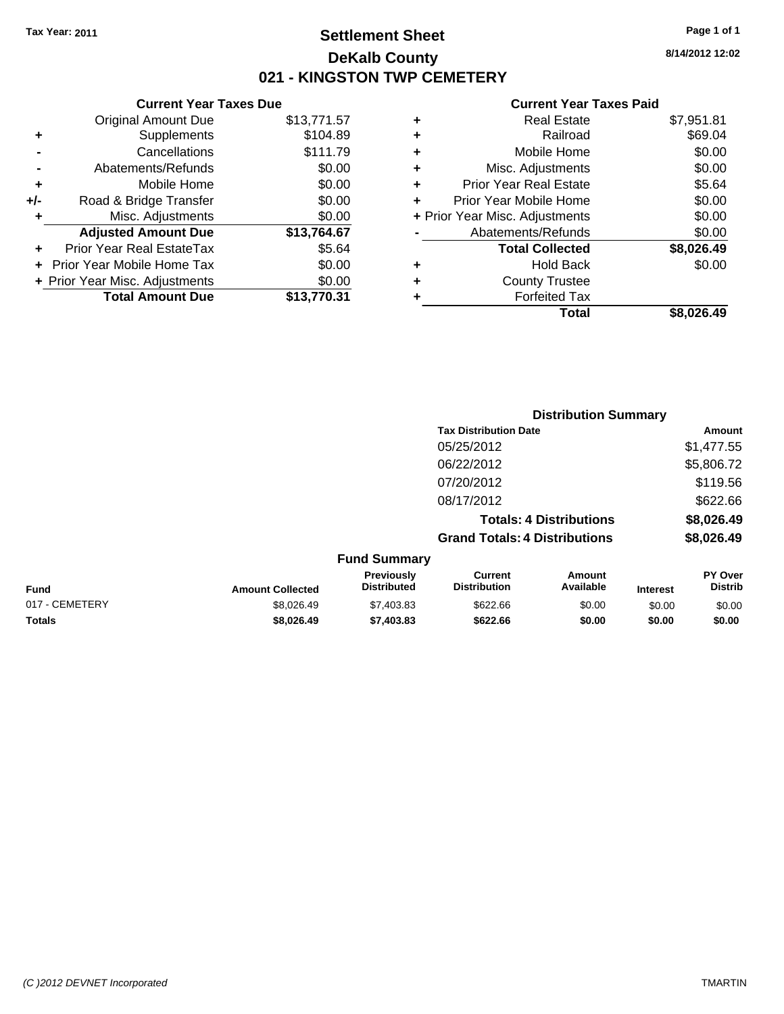# **Settlement Sheet Tax Year: 2011 Page 1 of 1 DeKalb County 021 - KINGSTON TWP CEMETERY**

#### **Current Year Taxes Due** Original Amount Due \$13,771.57 **+** Supplements \$104.89 **Cancellations**

|     | <u>Cancellations</u>           | <u>ນ III./ ອ</u> |
|-----|--------------------------------|------------------|
|     | Abatements/Refunds             | \$0.00           |
| ÷   | Mobile Home                    | \$0.00           |
| +/- | Road & Bridge Transfer         | \$0.00           |
| ÷   | Misc. Adjustments              | \$0.00           |
|     | <b>Adjusted Amount Due</b>     | \$13,764.67      |
|     | Prior Year Real EstateTax      | \$5.64           |
|     | + Prior Year Mobile Home Tax   | \$0.00           |
|     | + Prior Year Misc. Adjustments | \$0.00           |
|     | <b>Total Amount Due</b>        | \$13,770.31      |
|     |                                |                  |

#### **Current Year Taxes Paid**

|   | <b>Real Estate</b>             | \$7,951.81 |
|---|--------------------------------|------------|
| ٠ | Railroad                       | \$69.04    |
| ٠ | Mobile Home                    | \$0.00     |
| ٠ | Misc. Adjustments              | \$0.00     |
| ٠ | <b>Prior Year Real Estate</b>  | \$5.64     |
|   | Prior Year Mobile Home         | \$0.00     |
|   | + Prior Year Misc. Adjustments | \$0.00     |
|   | Abatements/Refunds             | \$0.00     |
|   | <b>Total Collected</b>         | \$8,026.49 |
| ٠ | Hold Back                      | \$0.00     |
| ٠ | <b>County Trustee</b>          |            |
| ٠ | <b>Forfeited Tax</b>           |            |
|   | Total                          | \$8.026.49 |
|   |                                |            |

|                |                         |                                         | <b>Distribution Summary</b>           |                                |                 |                                  |
|----------------|-------------------------|-----------------------------------------|---------------------------------------|--------------------------------|-----------------|----------------------------------|
|                |                         |                                         | <b>Tax Distribution Date</b>          |                                |                 | <b>Amount</b>                    |
|                |                         |                                         | 05/25/2012                            |                                |                 | \$1,477.55                       |
|                |                         |                                         | 06/22/2012                            |                                |                 | \$5,806.72                       |
|                |                         |                                         | 07/20/2012                            |                                |                 | \$119.56                         |
|                |                         |                                         | 08/17/2012                            |                                |                 | \$622.66                         |
|                |                         |                                         |                                       | <b>Totals: 4 Distributions</b> |                 | \$8,026.49                       |
|                |                         |                                         | <b>Grand Totals: 4 Distributions</b>  |                                |                 | \$8,026.49                       |
|                |                         | <b>Fund Summary</b>                     |                                       |                                |                 |                                  |
| <b>Fund</b>    | <b>Amount Collected</b> | <b>Previously</b><br><b>Distributed</b> | <b>Current</b><br><b>Distribution</b> | Amount<br>Available            | <b>Interest</b> | <b>PY Over</b><br><b>Distrib</b> |
| 017 - CEMETERY | \$8.026.49              | \$7,403.83                              | \$622.66                              | \$0.00                         | \$0.00          | \$0.00                           |

**Totals \$8,026.49 \$7,403.83 \$622.66 \$0.00 \$0.00 \$0.00**

**8/14/2012 12:02**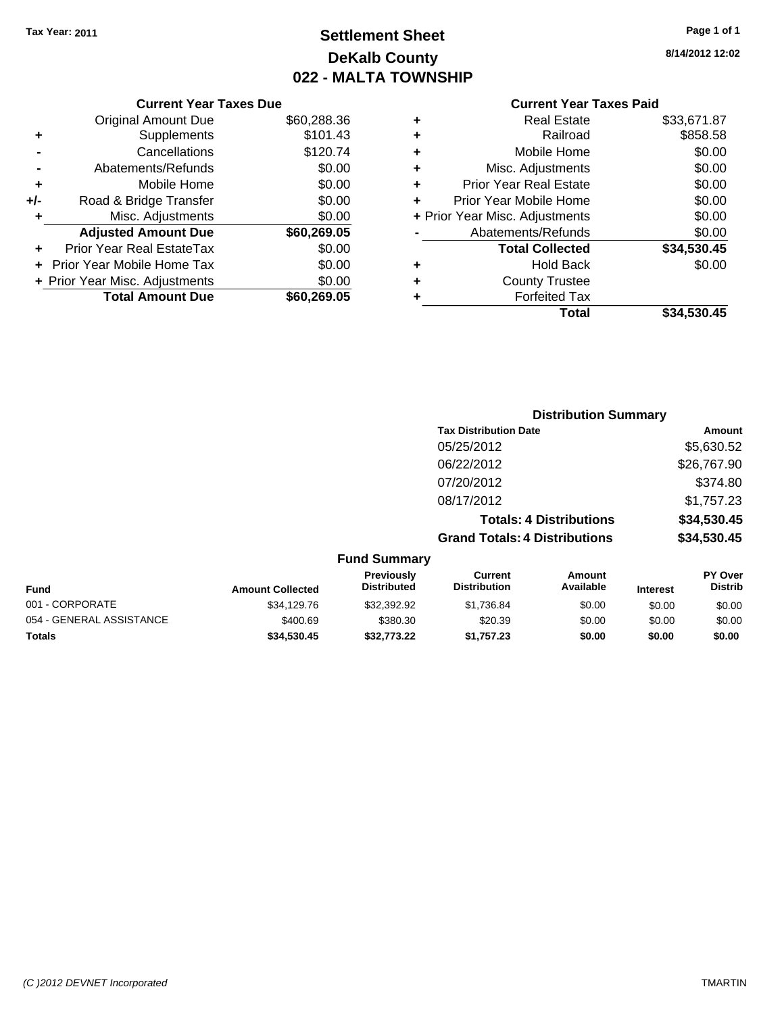# **Settlement Sheet Tax Year: 2011 Page 1 of 1 DeKalb County 022 - MALTA TOWNSHIP**

**8/14/2012 12:02**

### **Current Year Taxes Paid**

| ٠ | <b>Real Estate</b>             | \$33,671.87 |
|---|--------------------------------|-------------|
| ÷ | Railroad                       | \$858.58    |
| ٠ | Mobile Home                    | \$0.00      |
| ٠ | Misc. Adjustments              | \$0.00      |
| ٠ | <b>Prior Year Real Estate</b>  | \$0.00      |
| ÷ | Prior Year Mobile Home         | \$0.00      |
|   | + Prior Year Misc. Adjustments | \$0.00      |
|   | Abatements/Refunds             | \$0.00      |
|   | <b>Total Collected</b>         | \$34,530.45 |
| ٠ | <b>Hold Back</b>               | \$0.00      |
| ÷ | <b>County Trustee</b>          |             |
| ٠ | <b>Forfeited Tax</b>           |             |
|   | Total                          | \$34.530.45 |
|   |                                |             |

|     | <b>Current Year Taxes Due</b>  |             |
|-----|--------------------------------|-------------|
|     | <b>Original Amount Due</b>     | \$60,288.36 |
| ٠   | Supplements                    | \$101.43    |
|     | Cancellations                  | \$120.74    |
|     | Abatements/Refunds             | \$0.00      |
| ٠   | Mobile Home                    | \$0.00      |
| +/- | Road & Bridge Transfer         | \$0.00      |
| ٠   | Misc. Adjustments              | \$0.00      |
|     | <b>Adjusted Amount Due</b>     | \$60,269.05 |
|     | Prior Year Real EstateTax      | \$0.00      |
|     | Prior Year Mobile Home Tax     | \$0.00      |
|     | + Prior Year Misc. Adjustments | \$0.00      |
|     | <b>Total Amount Due</b>        | \$60.269.05 |

|                     | <b>Distribution Summary</b>          |             |
|---------------------|--------------------------------------|-------------|
|                     | <b>Tax Distribution Date</b>         | Amount      |
|                     | 05/25/2012                           | \$5,630.52  |
|                     | 06/22/2012                           | \$26,767.90 |
|                     | 07/20/2012                           | \$374.80    |
|                     | 08/17/2012                           | \$1,757.23  |
|                     | <b>Totals: 4 Distributions</b>       | \$34,530.45 |
|                     | <b>Grand Totals: 4 Distributions</b> | \$34,530.45 |
| <b>Fund Summary</b> |                                      |             |

| <b>Fund</b>              | <b>Amount Collected</b> | <b>Previously</b><br><b>Distributed</b> | Current<br><b>Distribution</b> | Amount<br>Available | <b>Interest</b> | <b>PY Over</b><br><b>Distrib</b> |
|--------------------------|-------------------------|-----------------------------------------|--------------------------------|---------------------|-----------------|----------------------------------|
| 001 - CORPORATE          | \$34,129.76             | \$32,392.92                             | \$1.736.84                     | \$0.00              | \$0.00          | \$0.00                           |
| 054 - GENERAL ASSISTANCE | \$400.69                | \$380.30                                | \$20.39                        | \$0.00              | \$0.00          | \$0.00                           |
| <b>Totals</b>            | \$34,530,45             | \$32,773,22                             | \$1.757.23                     | \$0.00              | \$0.00          | \$0.00                           |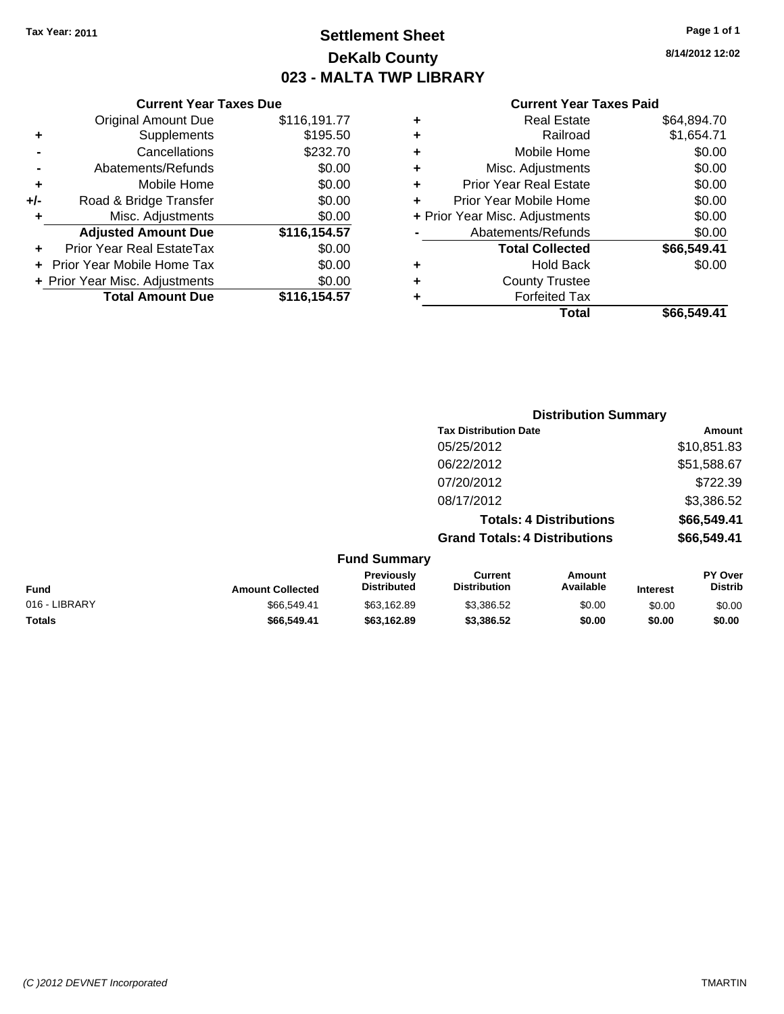# **Settlement Sheet Tax Year: 2011 Page 1 of 1 DeKalb County 023 - MALTA TWP LIBRARY**

**8/14/2012 12:02**

#### **Current Year Taxes Paid**

| ,191.77  | ٠ | <b>Real Estate</b>             | \$64,894.70 |
|----------|---|--------------------------------|-------------|
| \$195.50 | ٠ | Railroad                       | \$1,654.71  |
| \$232.70 | ٠ | Mobile Home                    | \$0.00      |
| \$0.00   | ٠ | Misc. Adjustments              | \$0.00      |
| \$0.00   | ٠ | <b>Prior Year Real Estate</b>  | \$0.00      |
| \$0.00   | ÷ | Prior Year Mobile Home         | \$0.00      |
| \$0.00   |   | + Prior Year Misc. Adjustments | \$0.00      |
| ,154.57  |   | Abatements/Refunds             | \$0.00      |
| \$0.00   |   | <b>Total Collected</b>         | \$66,549.41 |
| \$0.00   | ٠ | <b>Hold Back</b>               | \$0.00      |
| \$0.00   | ٠ | <b>County Trustee</b>          |             |
| ,154.57  |   | <b>Forfeited Tax</b>           |             |
|          |   | Total                          | \$66,549.41 |

|     | <b>Current Year Taxes Due</b>     |              |
|-----|-----------------------------------|--------------|
|     | <b>Original Amount Due</b>        | \$116,191.77 |
| ٠   | Supplements                       | \$195.50     |
|     | Cancellations                     | \$232.70     |
|     | Abatements/Refunds                | \$0.00       |
| ٠   | Mobile Home                       | \$0.00       |
| +/- | Road & Bridge Transfer            | \$0.00       |
| ٠   | Misc. Adjustments                 | \$0.00       |
|     | <b>Adjusted Amount Due</b>        | \$116,154.57 |
|     | Prior Year Real EstateTax         | \$0.00       |
|     | <b>Prior Year Mobile Home Tax</b> | \$0.00       |
|     | + Prior Year Misc. Adjustments    | \$0.00       |
|     | <b>Total Amount Due</b>           | \$116,154.57 |

| <b>Tax Distribution Date</b> | Amount      |
|------------------------------|-------------|
| 05/25/2012                   | \$10,851.83 |

**Distribution Summary**

| <b>Fund Summary</b> |                                      |             |
|---------------------|--------------------------------------|-------------|
|                     | <b>Grand Totals: 4 Distributions</b> | \$66,549.41 |
|                     | <b>Totals: 4 Distributions</b>       | \$66,549.41 |
|                     | 08/17/2012                           | \$3,386.52  |
|                     | 07/20/2012                           | \$722.39    |
|                     | 06/22/2012                           | \$51,588.67 |
|                     | 05/25/2012                           | \$10,851.83 |

| Fund          | <b>Amount Collected</b> | <b>Previously</b><br><b>Distributed</b> | Current<br><b>Distribution</b> | Amount<br>Available | <b>Interest</b> | PY Over<br><b>Distrib</b> |
|---------------|-------------------------|-----------------------------------------|--------------------------------|---------------------|-----------------|---------------------------|
| 016 - LIBRARY | \$66,549.41             | \$63,162.89                             | \$3,386.52                     | \$0.00              | \$0.00          | \$0.00                    |
| Totals        | \$66,549.41             | \$63.162.89                             | \$3.386.52                     | \$0.00              | \$0.00          | \$0.00                    |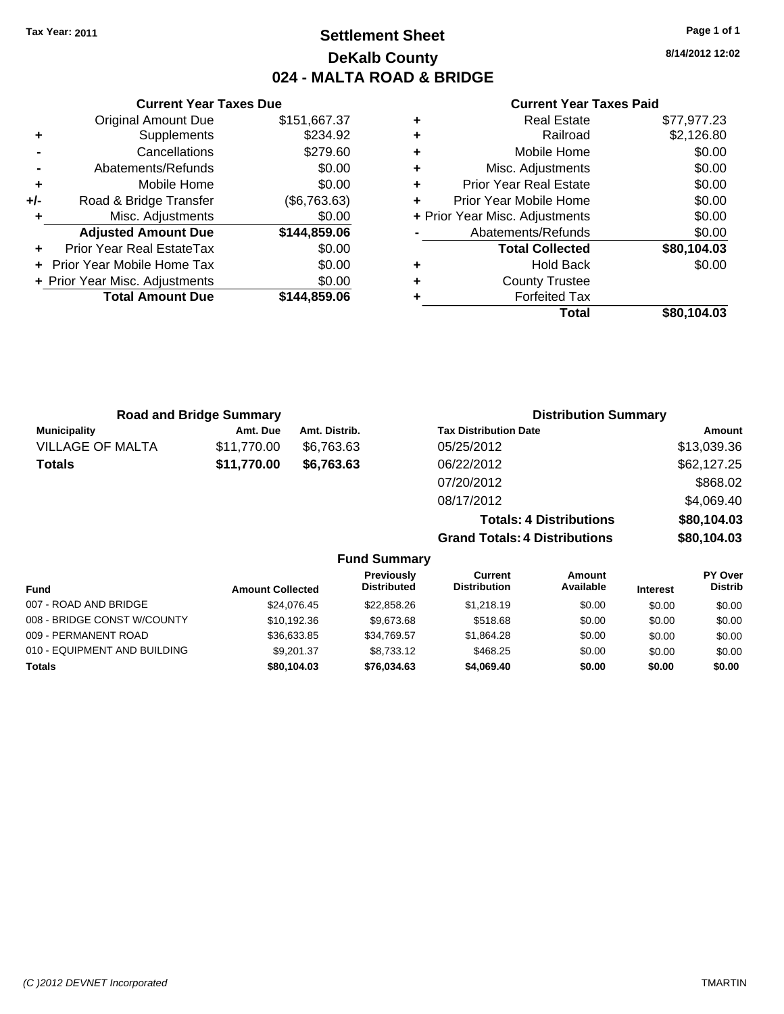# **Settlement Sheet Tax Year: 2011 Page 1 of 1 DeKalb County 024 - MALTA ROAD & BRIDGE**

**8/14/2012 12:02**

\$80,104.03

### **Current Year Taxes Paid**

| \$151,667.37 | ٠ | <b>Real Estate</b>             | \$77,977.23 |
|--------------|---|--------------------------------|-------------|
| \$234.92     | ٠ | Railroad                       | \$2,126.80  |
| \$279.60     | ٠ | Mobile Home                    | \$0.00      |
| \$0.00       | ٠ | Misc. Adjustments              | \$0.00      |
| \$0.00       | ٠ | <b>Prior Year Real Estate</b>  | \$0.00      |
| (\$6,763.63) |   | Prior Year Mobile Home         | \$0.00      |
| \$0.00       |   | + Prior Year Misc. Adjustments | \$0.00      |
| \$144,859.06 |   | Abatements/Refunds             | \$0.00      |
| \$0.00       |   | <b>Total Collected</b>         | \$80,104.03 |
| \$0.00       | ٠ | <b>Hold Back</b>               | \$0.00      |
| \$0.00       | ٠ | <b>County Trustee</b>          |             |
| \$144,859.06 |   | <b>Forfeited Tax</b>           |             |
|              |   | Total                          | \$80.104.03 |

|     | <b>Current Year Taxes Due</b>  |              |
|-----|--------------------------------|--------------|
|     | <b>Original Amount Due</b>     | \$151,667.37 |
| ٠   | Supplements                    | \$234.92     |
|     | Cancellations                  | \$279.60     |
|     | Abatements/Refunds             | \$0.00       |
| ٠   | Mobile Home                    | \$0.00       |
| +/- | Road & Bridge Transfer         | (\$6,763.63) |
| ٠   | Misc. Adjustments              | \$0.00       |
|     | <b>Adjusted Amount Due</b>     | \$144,859.06 |
|     | Prior Year Real EstateTax      | \$0.00       |
|     | Prior Year Mobile Home Tax     | \$0.00       |
|     | + Prior Year Misc. Adjustments | \$0.00       |
|     | <b>Total Amount Due</b>        | \$144,859.06 |

|                         | <b>Road and Bridge Summary</b> |               | <b>Distribution Summary</b>          |             |  |
|-------------------------|--------------------------------|---------------|--------------------------------------|-------------|--|
| <b>Municipality</b>     | Amt. Due                       | Amt. Distrib. | <b>Tax Distribution Date</b>         | Amount      |  |
| <b>VILLAGE OF MALTA</b> | \$11,770.00                    | \$6,763.63    | 05/25/2012                           | \$13,039.36 |  |
| Totals                  | \$11,770.00                    | \$6,763.63    | 06/22/2012                           | \$62,127.25 |  |
|                         |                                |               | 07/20/2012                           | \$868.02    |  |
|                         |                                |               | 08/17/2012                           | \$4,069.40  |  |
|                         |                                |               | <b>Totals: 4 Distributions</b>       | \$80,104.03 |  |
|                         |                                |               | <b>Grand Totals: 4 Distributions</b> | \$80,104.03 |  |

**Fund Summary Fund Interest Amount Collected Distributed PY Over Distrib Amount Available Current Distribution Previously** 007 - ROAD AND BRIDGE 60.00 \$24,076.45 \$22,858.26 \$1,218.19 \$0.00 \$0.00 \$0.00 \$0.00 008 - BRIDGE CONST W/COUNTY  $$10,192.36$   $$9,673.68$   $$518.68$   $$0.00$   $$0.00$   $$0.00$ 009 - PERMANENT ROAD \$36,633.85 \$34,769.57 \$1,864.28 \$0.00 \$0.00 \$0.00 \$0.00 010 - EQUIPMENT AND BUILDING \$9,201.37 \$8,733.12 \$468.25 \$0.00 \$0.00 \$0.00 \$0.00 **Totals \$80,104.03 \$76,034.63 \$4,069.40 \$0.00 \$0.00 \$0.00**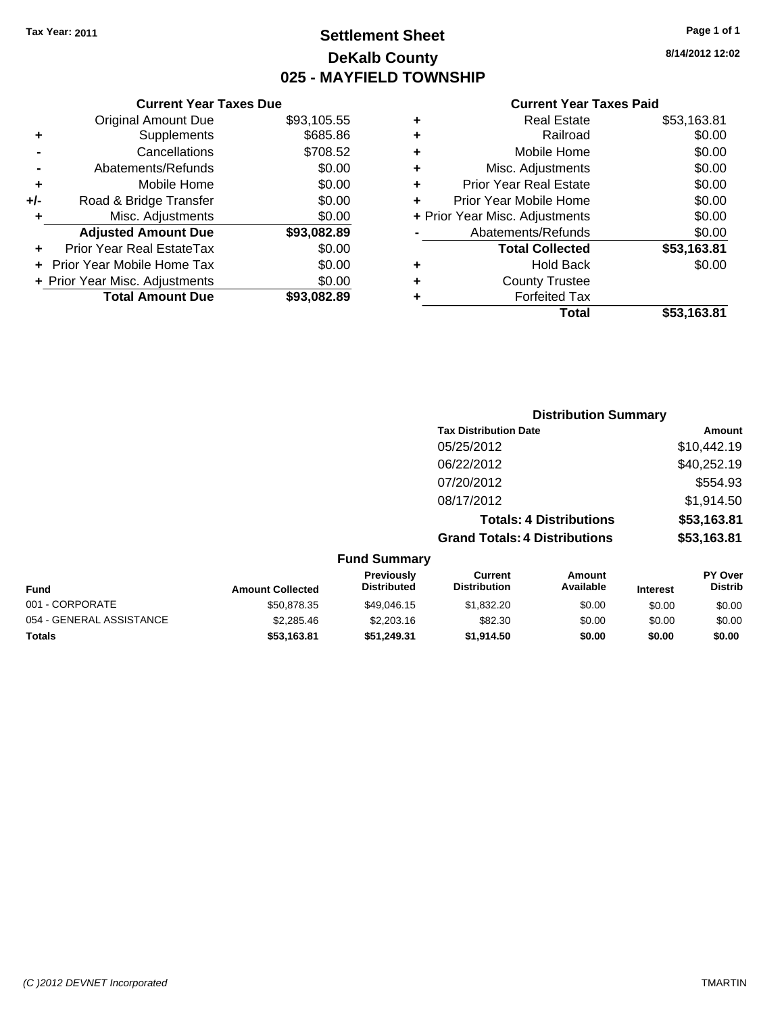**Current Year Taxes Due** Original Amount Due \$93,105.55

**Adjusted Amount Due \$93,082.89**

**Total Amount Due \$93,082.89**

**+** Supplements \$685.86 **-** Cancellations \$708.52 **-** Abatements/Refunds \$0.00 **+** Mobile Home \$0.00 **+/-** Road & Bridge Transfer \$0.00 **+** Misc. Adjustments \$0.00

**+** Prior Year Real EstateTax \$0.00 **+** Prior Year Mobile Home Tax \$0.00 **+ Prior Year Misc. Adjustments**  $$0.00$ 

# **Settlement Sheet Tax Year: 2011 Page 1 of 1 DeKalb County 025 - MAYFIELD TOWNSHIP**

**8/14/2012 12:02**

#### **Current Year Taxes Paid**

| ٠ | <b>Real Estate</b>             | \$53,163.81 |
|---|--------------------------------|-------------|
| ٠ | Railroad                       | \$0.00      |
| ٠ | Mobile Home                    | \$0.00      |
| ٠ | Misc. Adjustments              | \$0.00      |
| ٠ | <b>Prior Year Real Estate</b>  | \$0.00      |
|   | Prior Year Mobile Home         | \$0.00      |
|   | + Prior Year Misc. Adjustments | \$0.00      |
|   | Abatements/Refunds             | \$0.00      |
|   | <b>Total Collected</b>         | \$53,163.81 |
| ٠ | <b>Hold Back</b>               | \$0.00      |
| ٠ | <b>County Trustee</b>          |             |
|   | <b>Forfeited Tax</b>           |             |
|   | Total                          | \$53.163.81 |

|                          |                         |                                  |                                       | <b>Distribution Summary</b>    |                 |                           |
|--------------------------|-------------------------|----------------------------------|---------------------------------------|--------------------------------|-----------------|---------------------------|
|                          |                         |                                  |                                       |                                |                 |                           |
|                          |                         |                                  | <b>Tax Distribution Date</b>          |                                |                 | Amount                    |
|                          |                         |                                  | 05/25/2012                            |                                |                 | \$10,442.19               |
|                          |                         |                                  | 06/22/2012                            |                                |                 | \$40,252.19               |
|                          |                         |                                  | 07/20/2012                            |                                |                 | \$554.93                  |
|                          |                         |                                  | 08/17/2012                            |                                |                 | \$1,914.50                |
|                          |                         |                                  |                                       | <b>Totals: 4 Distributions</b> |                 | \$53,163.81               |
|                          |                         |                                  | <b>Grand Totals: 4 Distributions</b>  |                                |                 | \$53,163.81               |
|                          |                         | <b>Fund Summary</b>              |                                       |                                |                 |                           |
| <b>Fund</b>              | <b>Amount Collected</b> | Previously<br><b>Distributed</b> | <b>Current</b><br><b>Distribution</b> | Amount<br>Available            | <b>Interest</b> | PY Over<br><b>Distrib</b> |
| 001 - CORPORATE          | \$50,878.35             | \$49,046.15                      | \$1,832.20                            | \$0.00                         | \$0.00          | \$0.00                    |
| 054 - GENERAL ASSISTANCE | \$2,285.46              | \$2,203.16                       | \$82.30                               | \$0.00                         | \$0.00          | \$0.00                    |

**Totals \$53,163.81 \$51,249.31 \$1,914.50 \$0.00 \$0.00 \$0.00**

```
(C )2012 DEVNET Incorporated TMARTIN
```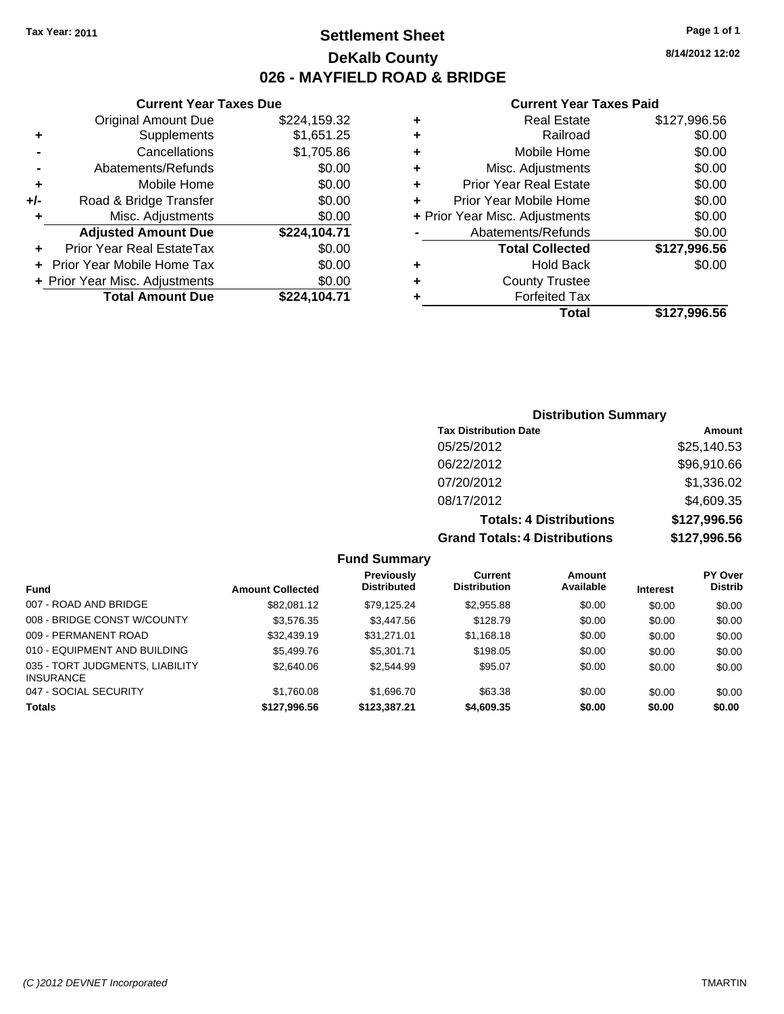**Current Year Taxes Due** Original Amount Due \$224,159.32

**Adjusted Amount Due \$224,104.71**

**Total Amount Due \$224,104.71**

**+** Supplements \$1,651.25 **-** Cancellations \$1,705.86 **-** Abatements/Refunds \$0.00 **+** Mobile Home \$0.00 **+/-** Road & Bridge Transfer \$0.00 **+** Misc. Adjustments \$0.00

**+** Prior Year Real EstateTax \$0.00 **+** Prior Year Mobile Home Tax \$0.00 **+ Prior Year Misc. Adjustments**  $$0.00$ 

### **Settlement Sheet Tax Year: 2011 Page 1 of 1 DeKalb County 026 - MAYFIELD ROAD & BRIDGE**

**8/14/2012 12:02**

#### **Current Year Taxes Paid**

| ٠ | <b>Real Estate</b>             | \$127,996.56 |
|---|--------------------------------|--------------|
| ٠ | Railroad                       | \$0.00       |
| ٠ | Mobile Home                    | \$0.00       |
| ٠ | Misc. Adjustments              | \$0.00       |
| ٠ | <b>Prior Year Real Estate</b>  | \$0.00       |
| ÷ | Prior Year Mobile Home         | \$0.00       |
|   | + Prior Year Misc. Adjustments | \$0.00       |
|   | Abatements/Refunds             | \$0.00       |
|   | <b>Total Collected</b>         | \$127,996.56 |
| ٠ | <b>Hold Back</b>               | \$0.00       |
| ٠ | <b>County Trustee</b>          |              |
| ٠ | <b>Forfeited Tax</b>           |              |
|   | Total                          | \$127.996.56 |

### **Distribution Summary Tax Distribution Date Amount** 05/25/2012 \$25,140.53 06/22/2012 \$96,910.66 07/20/2012 \$1,336.02 08/17/2012 \$4,609.35 **Totals: 4 Distributions \$127,996.56 Grand Totals: 4 Distributions \$127,996.56**

**Fund Summary**

| <b>Fund</b>                                         | <b>Amount Collected</b> | Previously<br><b>Distributed</b> | Current<br><b>Distribution</b> | Amount<br>Available | <b>Interest</b> | PY Over<br><b>Distrib</b> |
|-----------------------------------------------------|-------------------------|----------------------------------|--------------------------------|---------------------|-----------------|---------------------------|
| 007 - ROAD AND BRIDGE                               | \$82.081.12             | \$79.125.24                      | \$2,955.88                     | \$0.00              | \$0.00          | \$0.00                    |
| 008 - BRIDGE CONST W/COUNTY                         | \$3.576.35              | \$3,447.56                       | \$128.79                       | \$0.00              | \$0.00          | \$0.00                    |
| 009 - PERMANENT ROAD                                | \$32,439.19             | \$31.271.01                      | \$1,168.18                     | \$0.00              | \$0.00          | \$0.00                    |
| 010 - EQUIPMENT AND BUILDING                        | \$5,499.76              | \$5,301.71                       | \$198.05                       | \$0.00              | \$0.00          | \$0.00                    |
| 035 - TORT JUDGMENTS, LIABILITY<br><b>INSURANCE</b> | \$2,640.06              | \$2,544.99                       | \$95.07                        | \$0.00              | \$0.00          | \$0.00                    |
| 047 - SOCIAL SECURITY                               | \$1,760.08              | \$1,696.70                       | \$63.38                        | \$0.00              | \$0.00          | \$0.00                    |
| <b>Totals</b>                                       | \$127.996.56            | \$123,387.21                     | \$4,609.35                     | \$0.00              | \$0.00          | \$0.00                    |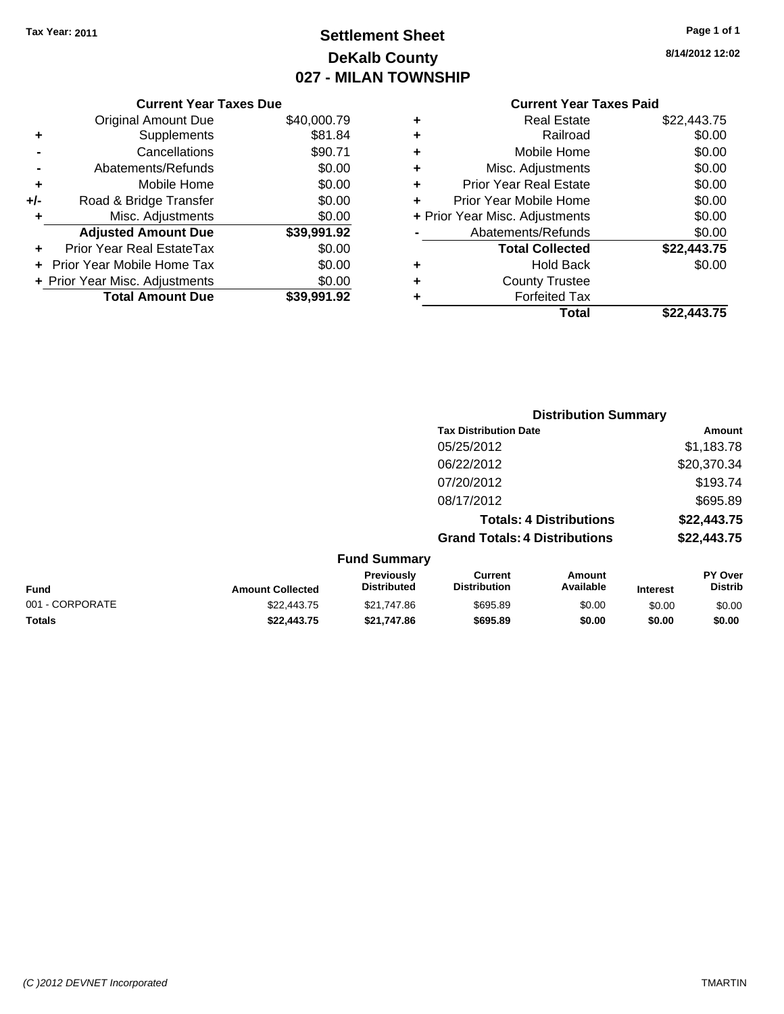**Current Year Taxes Due**

# **Settlement Sheet Tax Year: 2011 Page 1 of 1 DeKalb County 027 - MILAN TOWNSHIP**

| Page 1 of 1 |  |  |  |
|-------------|--|--|--|
|-------------|--|--|--|

**8/14/2012 12:02**

#### **Current Year Taxes Paid**

|     |                                |             |   | <b>Total</b>                   | \$22,443.75 |  |
|-----|--------------------------------|-------------|---|--------------------------------|-------------|--|
|     | <b>Total Amount Due</b>        | \$39,991.92 |   | <b>Forfeited Tax</b>           |             |  |
|     | + Prior Year Misc. Adjustments | \$0.00      | ٠ | <b>County Trustee</b>          |             |  |
|     | + Prior Year Mobile Home Tax   | \$0.00      | ٠ | <b>Hold Back</b>               | \$0.00      |  |
| ÷.  | Prior Year Real EstateTax      | \$0.00      |   | <b>Total Collected</b>         | \$22,443.75 |  |
|     | <b>Adjusted Amount Due</b>     | \$39,991.92 |   | Abatements/Refunds             | \$0.00      |  |
|     | Misc. Adjustments              | \$0.00      |   | + Prior Year Misc. Adjustments | \$0.00      |  |
| +/- | Road & Bridge Transfer         | \$0.00      | ÷ | Prior Year Mobile Home         | \$0.00      |  |
| ٠   | Mobile Home                    | \$0.00      | ٠ | <b>Prior Year Real Estate</b>  | \$0.00      |  |
|     | Abatements/Refunds             | \$0.00      | ٠ | Misc. Adjustments              | \$0.00      |  |
|     | Cancellations                  | \$90.71     | ٠ | Mobile Home                    | \$0.00      |  |
| ٠   | Supplements                    | \$81.84     | ٠ | Railroad                       | \$0.00      |  |
|     | <b>Original Amount Due</b>     | \$40,000.79 | ٠ | <b>Real Estate</b>             | \$22,443.75 |  |
|     |                                |             |   |                                |             |  |

|                 |                         |                                  | <b>Distribution Summary</b>           |                                |                 |                                  |
|-----------------|-------------------------|----------------------------------|---------------------------------------|--------------------------------|-----------------|----------------------------------|
|                 |                         |                                  | <b>Tax Distribution Date</b>          |                                |                 | Amount                           |
|                 |                         |                                  | 05/25/2012                            |                                |                 | \$1,183.78                       |
|                 |                         |                                  | 06/22/2012                            |                                |                 | \$20,370.34                      |
|                 |                         |                                  | 07/20/2012                            |                                |                 | \$193.74                         |
|                 |                         |                                  | 08/17/2012                            |                                |                 | \$695.89                         |
|                 |                         |                                  |                                       | <b>Totals: 4 Distributions</b> |                 | \$22,443.75                      |
|                 |                         |                                  | <b>Grand Totals: 4 Distributions</b>  |                                |                 | \$22,443.75                      |
|                 |                         | <b>Fund Summary</b>              |                                       |                                |                 |                                  |
| Fund            | <b>Amount Collected</b> | Previously<br><b>Distributed</b> | <b>Current</b><br><b>Distribution</b> | <b>Amount</b><br>Available     | <b>Interest</b> | <b>PY Over</b><br><b>Distrib</b> |
| 001 - CORPORATE | \$22,443.75             | \$21,747.86                      | \$695.89                              | \$0.00                         | \$0.00          | \$0.00                           |
| Totals          | \$22,443.75             | \$21,747.86                      | \$695.89                              | \$0.00                         | \$0.00          | \$0.00                           |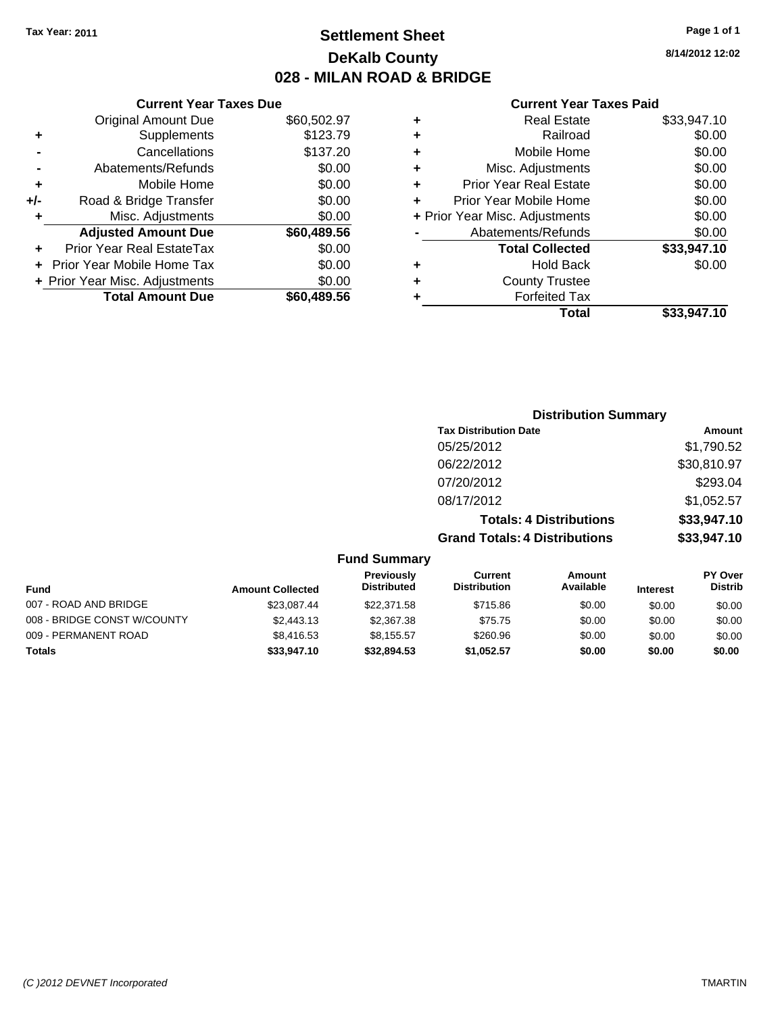**Current Year Taxes Due** Original Amount Due \$60,502.97

**Adjusted Amount Due \$60,489.56**

**Total Amount Due \$60,489.56**

**+** Supplements \$123.79 **-** Cancellations \$137.20 **-** Abatements/Refunds \$0.00 **+** Mobile Home \$0.00 **+/-** Road & Bridge Transfer \$0.00 **+** Misc. Adjustments \$0.00

**+** Prior Year Real EstateTax \$0.00 **+** Prior Year Mobile Home Tax \$0.00 **+ Prior Year Misc. Adjustments**  $$0.00$ 

# **Settlement Sheet Tax Year: 2011 Page 1 of 1 DeKalb County 028 - MILAN ROAD & BRIDGE**

#### **Current Year Taxes Paid**

|   | OUITUR TUUT TUAUS TURU         |             |
|---|--------------------------------|-------------|
| ٠ | <b>Real Estate</b>             | \$33,947.10 |
| ٠ | Railroad                       | \$0.00      |
| ٠ | Mobile Home                    | \$0.00      |
| ٠ | Misc. Adjustments              | \$0.00      |
|   | <b>Prior Year Real Estate</b>  | \$0.00      |
|   | Prior Year Mobile Home         | \$0.00      |
|   | + Prior Year Misc. Adjustments | \$0.00      |
|   | Abatements/Refunds             | \$0.00      |
|   | <b>Total Collected</b>         | \$33,947.10 |
|   | <b>Hold Back</b>               | \$0.00      |
| ٠ | <b>County Trustee</b>          |             |
|   | <b>Forfeited Tax</b>           |             |
|   | Total                          | \$33.947.10 |
|   |                                |             |

#### **Distribution Summary Tax Distribution Date Amount** 05/25/2012 \$1,790.52 06/22/2012 \$30,810.97 07/20/2012 \$293.04 08/17/2012 \$1,052.57 **Totals: 4 Distributions \$33,947.10 Grand Totals: 4 Distributions \$33,947.10 Fund Summary Fund Interest PY Over Amount Available Current Distribution Previously Amount Collected Distributed**

| Fund                        | <b>Amount Collected</b> | .<br><b>Distributed</b> | <b>Distribution</b> | Available | <b>Interest</b> | <b>Distrib</b> |
|-----------------------------|-------------------------|-------------------------|---------------------|-----------|-----------------|----------------|
| 007 - ROAD AND BRIDGE       | \$23.087.44             | \$22,371.58             | \$715.86            | \$0.00    | \$0.00          | \$0.00         |
| 008 - BRIDGE CONST W/COUNTY | \$2,443.13              | \$2,367.38              | \$75.75             | \$0.00    | \$0.00          | \$0.00         |
| 009 - PERMANENT ROAD        | \$8,416.53              | \$8.155.57              | \$260.96            | \$0.00    | \$0.00          | \$0.00         |
| Totals                      | \$33,947.10             | \$32.894.53             | \$1,052.57          | \$0.00    | \$0.00          | \$0.00         |

**8/14/2012 12:02**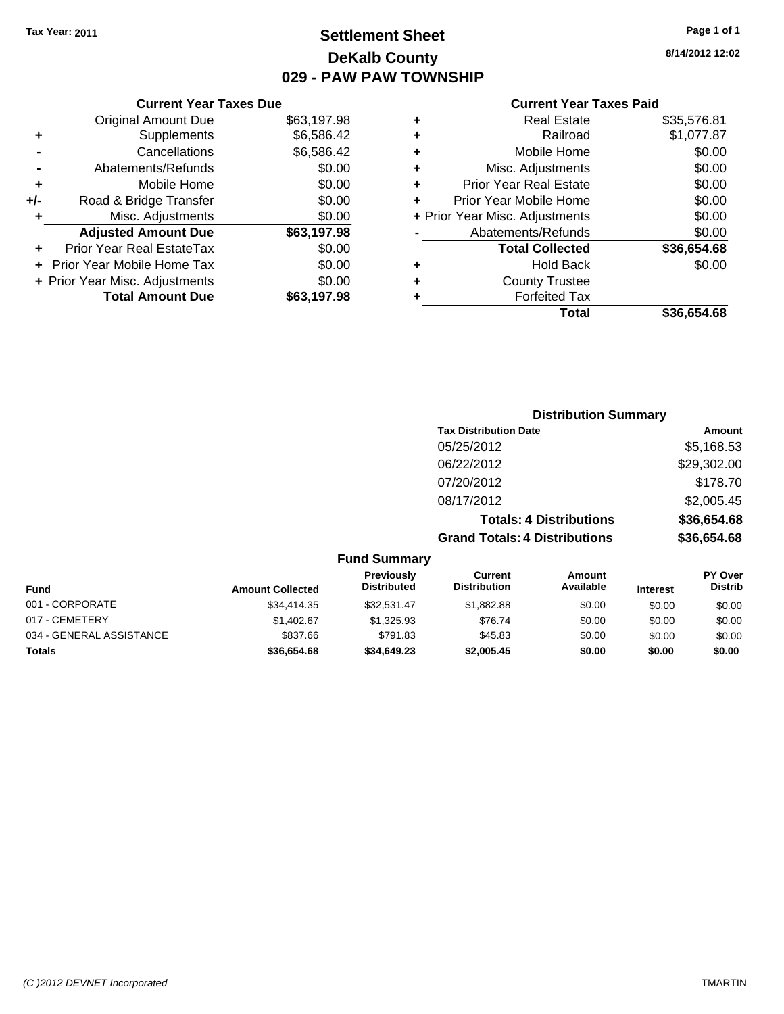# **Settlement Sheet Tax Year: 2011 Page 1 of 1 DeKalb County 029 - PAW PAW TOWNSHIP**

### **8/14/2012 12:02**

| <b>Current Year Taxes Paid</b> |  |  |  |
|--------------------------------|--|--|--|
|--------------------------------|--|--|--|

|     | <b>Current Year Taxes Due</b>     |             |   |
|-----|-----------------------------------|-------------|---|
|     | <b>Original Amount Due</b>        | \$63,197.98 | ÷ |
|     | Supplements                       | \$6,586.42  | ٠ |
|     | Cancellations                     | \$6,586.42  | ٠ |
|     | Abatements/Refunds                | \$0.00      | ٠ |
| ٠   | Mobile Home                       | \$0.00      | ٠ |
| +/- | Road & Bridge Transfer            | \$0.00      | ٠ |
| ٠   | Misc. Adjustments                 | \$0.00      | ٠ |
|     | <b>Adjusted Amount Due</b>        | \$63,197.98 |   |
|     | Prior Year Real EstateTax         | \$0.00      |   |
|     | <b>Prior Year Mobile Home Tax</b> | \$0.00      |   |
|     | + Prior Year Misc. Adjustments    | \$0.00      | ٠ |
|     | <b>Total Amount Due</b>           | \$63,197.98 |   |
|     |                                   |             |   |

| ٠ | <b>Real Estate</b>             | \$35,576.81 |
|---|--------------------------------|-------------|
| ٠ | Railroad                       | \$1,077.87  |
| ٠ | Mobile Home                    | \$0.00      |
| ٠ | Misc. Adjustments              | \$0.00      |
| ٠ | <b>Prior Year Real Estate</b>  | \$0.00      |
| ÷ | Prior Year Mobile Home         | \$0.00      |
|   | + Prior Year Misc. Adjustments | \$0.00      |
|   | Abatements/Refunds             | \$0.00      |
|   | <b>Total Collected</b>         | \$36,654.68 |
| ٠ | <b>Hold Back</b>               | \$0.00      |
| ٠ | <b>County Trustee</b>          |             |
| ٠ | <b>Forfeited Tax</b>           |             |
|   | Total                          | \$36,654,68 |
|   |                                |             |

|                          |                         | <b>Distribution Summary</b>             |                                       |                                |                 |                           |
|--------------------------|-------------------------|-----------------------------------------|---------------------------------------|--------------------------------|-----------------|---------------------------|
|                          |                         |                                         | <b>Tax Distribution Date</b>          |                                |                 | Amount                    |
|                          |                         |                                         | 05/25/2012                            |                                |                 | \$5,168.53                |
|                          |                         |                                         | 06/22/2012                            |                                |                 | \$29,302.00               |
|                          |                         |                                         | 07/20/2012                            |                                |                 | \$178.70                  |
|                          |                         |                                         | 08/17/2012                            |                                |                 | \$2,005.45                |
|                          |                         |                                         |                                       | <b>Totals: 4 Distributions</b> |                 | \$36,654.68               |
|                          |                         |                                         | <b>Grand Totals: 4 Distributions</b>  |                                |                 | \$36,654.68               |
|                          |                         | <b>Fund Summary</b>                     |                                       |                                |                 |                           |
| <b>Fund</b>              | <b>Amount Collected</b> | <b>Previously</b><br><b>Distributed</b> | <b>Current</b><br><b>Distribution</b> | Amount<br>Available            | <b>Interest</b> | PY Over<br><b>Distrib</b> |
| 001 - CORPORATE          | \$34,414.35             | \$32,531.47                             | \$1,882.88                            | \$0.00                         | \$0.00          | \$0.00                    |
| 017 - CEMETERY           | \$1,402.67              | \$1,325.93                              | \$76.74                               | \$0.00                         | \$0.00          | \$0.00                    |
| 034 - GENERAL ASSISTANCE | \$837.66                | \$791.83                                | \$45.83                               | \$0.00                         | \$0.00          | \$0.00                    |

**Totals \$36,654.68 \$34,649.23 \$2,005.45 \$0.00 \$0.00 \$0.00**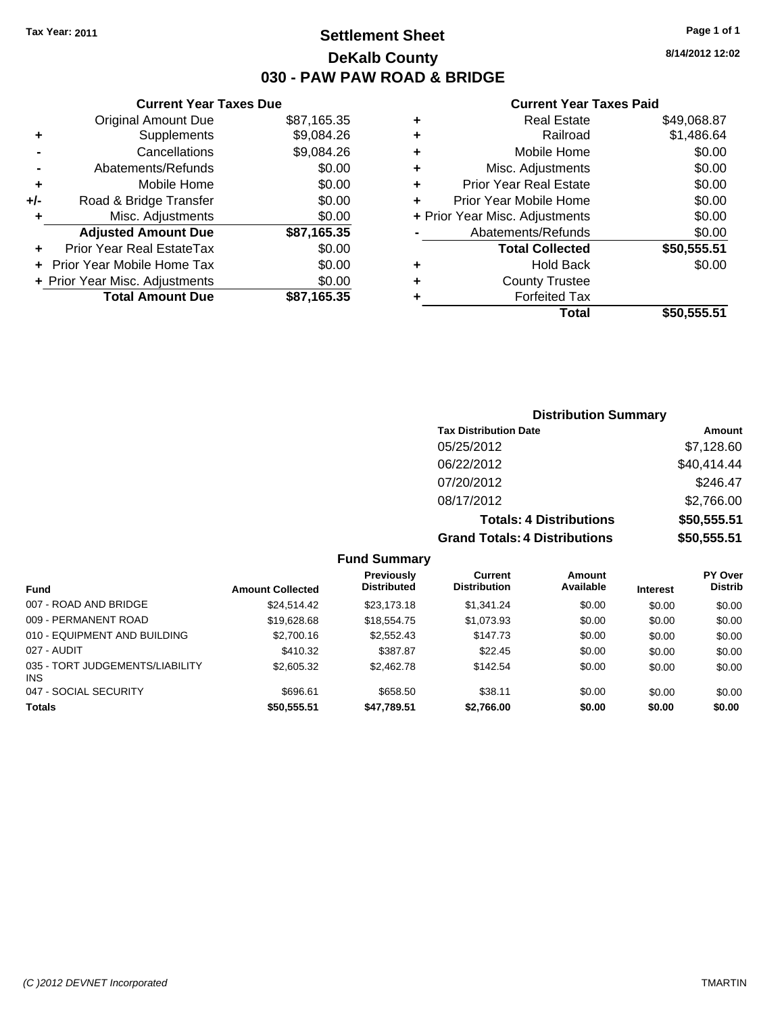**Current Year Taxes Due** Original Amount Due \$87,165.35

**Adjusted Amount Due \$87,165.35**

**Total Amount Due \$87,165.35**

**+** Supplements \$9,084.26 **-** Cancellations \$9,084.26 **-** Abatements/Refunds \$0.00 **+** Mobile Home \$0.00 **+/-** Road & Bridge Transfer \$0.00 **+** Misc. Adjustments \$0.00

**+** Prior Year Real EstateTax \$0.00 **+** Prior Year Mobile Home Tax \$0.00 **+ Prior Year Misc. Adjustments**  $$0.00$ 

### **Settlement Sheet Tax Year: 2011 Page 1 of 1 DeKalb County 030 - PAW PAW ROAD & BRIDGE**

**8/14/2012 12:02**

#### **Current Year Taxes Paid**

|   | Total                          | \$50.555.51 |
|---|--------------------------------|-------------|
|   | <b>Forfeited Tax</b>           |             |
| ٠ | <b>County Trustee</b>          |             |
| ٠ | Hold Back                      | \$0.00      |
|   | <b>Total Collected</b>         | \$50,555.51 |
|   | Abatements/Refunds             | \$0.00      |
|   | + Prior Year Misc. Adjustments | \$0.00      |
| ÷ | Prior Year Mobile Home         | \$0.00      |
| ÷ | <b>Prior Year Real Estate</b>  | \$0.00      |
| ٠ | Misc. Adjustments              | \$0.00      |
| ÷ | Mobile Home                    | \$0.00      |
| ÷ | Railroad                       | \$1,486.64  |
| ÷ | <b>Real Estate</b>             | \$49,068.87 |
|   |                                |             |

| <b>Distribution Summary</b>          |             |
|--------------------------------------|-------------|
| <b>Tax Distribution Date</b>         | Amount      |
| 05/25/2012                           | \$7,128.60  |
| 06/22/2012                           | \$40,414.44 |
| 07/20/2012                           | \$246.47    |
| 08/17/2012                           | \$2,766.00  |
| <b>Totals: 4 Distributions</b>       | \$50,555.51 |
| <b>Grand Totals: 4 Distributions</b> | \$50,555.51 |

#### **Fund Summary**

|                                               |                         | Previously         | Current             | Amount    |                 | <b>PY Over</b> |
|-----------------------------------------------|-------------------------|--------------------|---------------------|-----------|-----------------|----------------|
| <b>Fund</b>                                   | <b>Amount Collected</b> | <b>Distributed</b> | <b>Distribution</b> | Available | <b>Interest</b> | <b>Distrib</b> |
| 007 - ROAD AND BRIDGE                         | \$24.514.42             | \$23,173,18        | \$1,341.24          | \$0.00    | \$0.00          | \$0.00         |
| 009 - PERMANENT ROAD                          | \$19,628.68             | \$18,554.75        | \$1,073.93          | \$0.00    | \$0.00          | \$0.00         |
| 010 - EQUIPMENT AND BUILDING                  | \$2,700.16              | \$2,552.43         | \$147.73            | \$0.00    | \$0.00          | \$0.00         |
| 027 - AUDIT                                   | \$410.32                | \$387.87           | \$22.45             | \$0.00    | \$0.00          | \$0.00         |
| 035 - TORT JUDGEMENTS/LIABILITY<br><b>INS</b> | \$2,605.32              | \$2,462.78         | \$142.54            | \$0.00    | \$0.00          | \$0.00         |
| 047 - SOCIAL SECURITY                         | \$696.61                | \$658.50           | \$38.11             | \$0.00    | \$0.00          | \$0.00         |
| <b>Totals</b>                                 | \$50,555.51             | \$47,789.51        | \$2,766.00          | \$0.00    | \$0.00          | \$0.00         |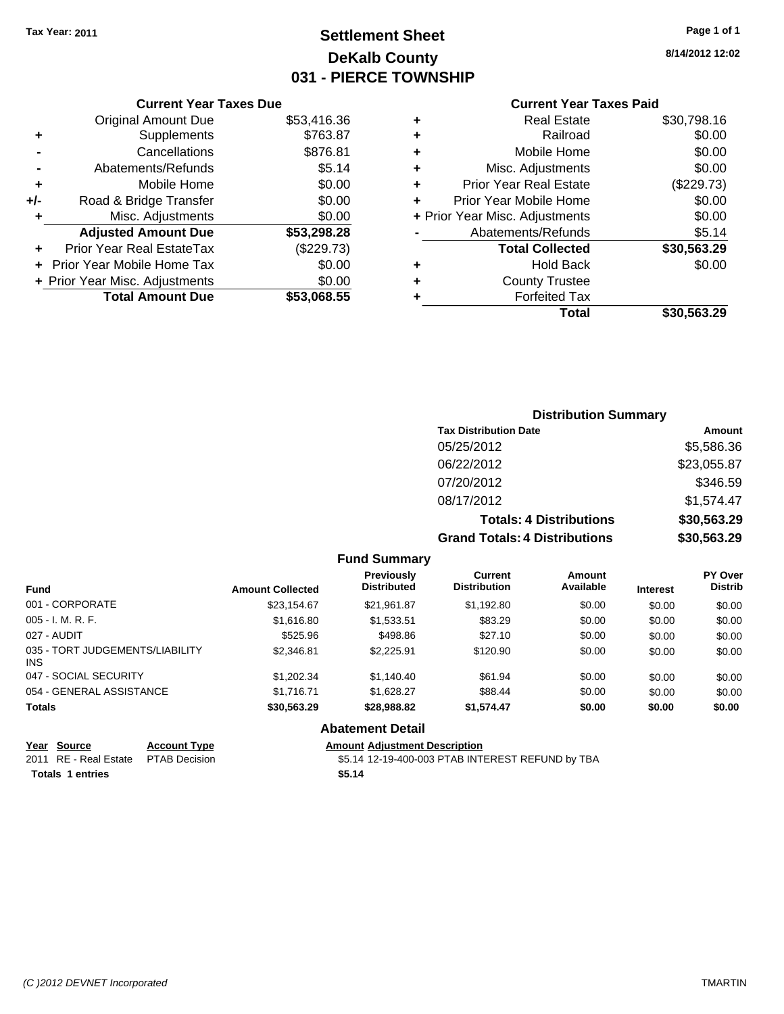# **Settlement Sheet Tax Year: 2011 Page 1 of 1 DeKalb County 031 - PIERCE TOWNSHIP**

**8/14/2012 12:02**

#### **Current Year Taxes Paid**

|     | <b>Current Year Taxes Due</b>    |             |  |  |  |
|-----|----------------------------------|-------------|--|--|--|
|     | <b>Original Amount Due</b>       | \$53,416.36 |  |  |  |
| ٠   | Supplements                      | \$763.87    |  |  |  |
|     | Cancellations                    | \$876.81    |  |  |  |
|     | Abatements/Refunds               | \$5.14      |  |  |  |
| ٠   | Mobile Home                      | \$0.00      |  |  |  |
| +/- | Road & Bridge Transfer           | \$0.00      |  |  |  |
| ٠   | Misc. Adjustments                | \$0.00      |  |  |  |
|     | <b>Adjusted Amount Due</b>       | \$53,298.28 |  |  |  |
| ٠   | <b>Prior Year Real EstateTax</b> | (\$229.73)  |  |  |  |
|     | Prior Year Mobile Home Tax       | \$0.00      |  |  |  |
|     | + Prior Year Misc. Adjustments   | \$0.00      |  |  |  |
|     | <b>Total Amount Due</b>          | \$53,068.55 |  |  |  |
|     |                                  |             |  |  |  |

### **Distribution Summary Tax Distribution Date Amount** 05/25/2012 \$5,586.36 06/22/2012 \$23,055.87 07/20/2012 \$346.59 08/17/2012 \$1,574.47 **Totals: 4 Distributions \$30,563.29 Grand Totals: 4 Distributions \$30,563.29**

#### **Fund Summary**

| <b>Fund</b>                             | <b>Amount Collected</b> | <b>Previously</b><br><b>Distributed</b> | Current<br><b>Distribution</b> | Amount<br>Available | <b>Interest</b> | PY Over<br><b>Distrib</b> |
|-----------------------------------------|-------------------------|-----------------------------------------|--------------------------------|---------------------|-----------------|---------------------------|
| 001 - CORPORATE                         | \$23,154.67             | \$21,961.87                             | \$1,192.80                     | \$0.00              | \$0.00          | \$0.00                    |
| 005 - I. M. R. F.                       | \$1,616.80              | \$1,533.51                              | \$83.29                        | \$0.00              | \$0.00          | \$0.00                    |
| 027 - AUDIT                             | \$525.96                | \$498.86                                | \$27.10                        | \$0.00              | \$0.00          | \$0.00                    |
| 035 - TORT JUDGEMENTS/LIABILITY<br>INS. | \$2,346.81              | \$2,225.91                              | \$120.90                       | \$0.00              | \$0.00          | \$0.00                    |
| 047 - SOCIAL SECURITY                   | \$1,202,34              | \$1,140.40                              | \$61.94                        | \$0.00              | \$0.00          | \$0.00                    |
| 054 - GENERAL ASSISTANCE                | \$1,716.71              | \$1,628.27                              | \$88.44                        | \$0.00              | \$0.00          | \$0.00                    |
| <b>Totals</b>                           | \$30,563.29             | \$28,988.82                             | \$1,574.47                     | \$0.00              | \$0.00          | \$0.00                    |
|                                         |                         | <b>Abatement Detail</b>                 |                                |                     |                 |                           |

# **Year Source Account Type Amount Adjustment Description**

**Totals \$5.14 1 entries**

\$5.14 12-19-400-003 PTAB INTEREST REFUND by TBA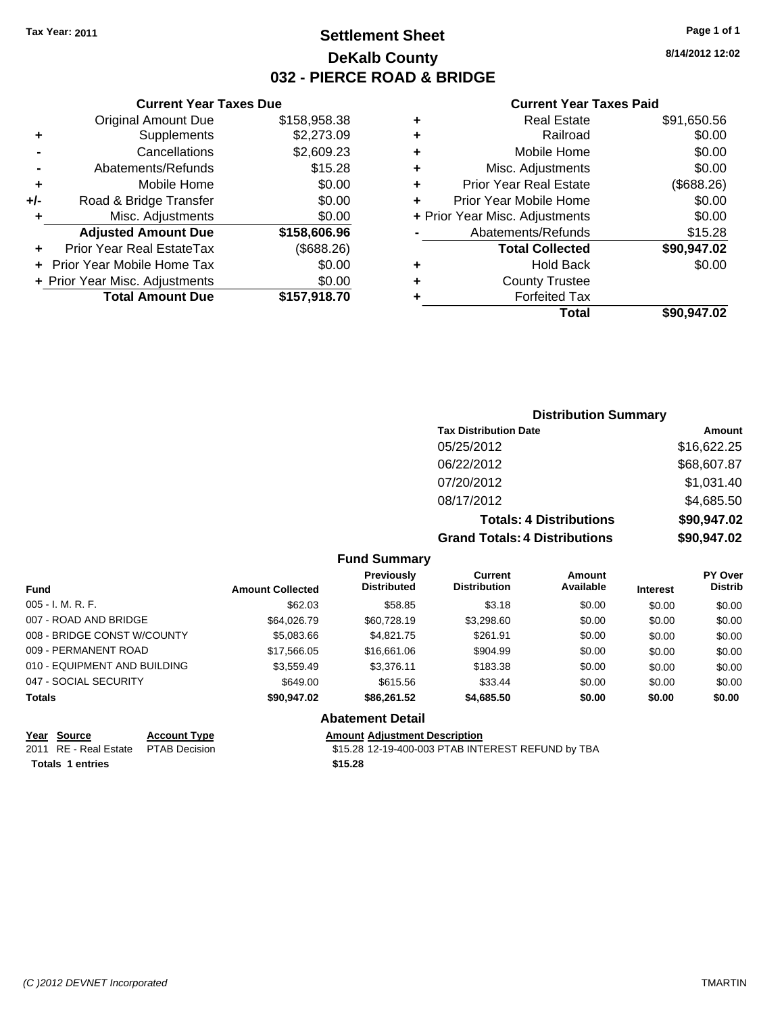### **Settlement Sheet Tax Year: 2011 Page 1 of 1 DeKalb County 032 - PIERCE ROAD & BRIDGE**

**8/14/2012 12:02**

#### **Current Year Taxes Paid**

|   | <b>Real Estate</b>             | \$91,650.56 |
|---|--------------------------------|-------------|
| ٠ | Railroad                       | \$0.00      |
| ٠ | Mobile Home                    | \$0.00      |
| ٠ | Misc. Adjustments              | \$0.00      |
| ٠ | <b>Prior Year Real Estate</b>  | (\$688.26)  |
| ÷ | Prior Year Mobile Home         | \$0.00      |
|   | + Prior Year Misc. Adjustments | \$0.00      |
|   | Abatements/Refunds             | \$15.28     |
|   | <b>Total Collected</b>         | \$90,947.02 |
| ٠ | <b>Hold Back</b>               | \$0.00      |
|   | <b>County Trustee</b>          |             |
|   | <b>Forfeited Tax</b>           |             |
|   | Total                          | \$90.947.02 |

### **Current Year Taxes Due** Original Amount Due \$158,958.38 **+** Supplements \$2,273.09 **-** Cancellations \$2,609.23 **-** Abatements/Refunds \$15.28 **+** Mobile Home \$0.00 **+/-** Road & Bridge Transfer \$0.00 **+** Misc. Adjustments \$0.00 **Adjusted Amount Due \$158,606.96 +** Prior Year Real EstateTax (\$688.26) **+** Prior Year Mobile Home Tax \$0.00 **+ Prior Year Misc. Adjustments**  $$0.00$ **Total Amount Due \$157,918.70**

### **Distribution Summary**

| <b>Tax Distribution Date</b>   | Amount                    |  |  |  |
|--------------------------------|---------------------------|--|--|--|
| 05/25/2012                     | \$16,622.25               |  |  |  |
| 06/22/2012                     | \$68,607.87               |  |  |  |
| 07/20/2012                     | \$1,031.40                |  |  |  |
| 08/17/2012                     | \$4,685.50                |  |  |  |
| <b>Totals: 4 Distributions</b> | \$90,947.02               |  |  |  |
| Crand Totale: A Dictributions  | <b>¢ሰሰ ሰ<i>ለ</i>7 ሰ</b> ኅ |  |  |  |

**Grand Totals: 4 Distributions \$90,947.02**

|  | <b>Fund Summary</b> |  |
|--|---------------------|--|
|--|---------------------|--|

| Fund                         | <b>Amount Collected</b> | <b>Previously</b><br><b>Distributed</b> | <b>Current</b><br><b>Distribution</b> | <b>Amount</b><br>Available | <b>Interest</b> | PY Over<br><b>Distrib</b> |
|------------------------------|-------------------------|-----------------------------------------|---------------------------------------|----------------------------|-----------------|---------------------------|
| $005 - I. M. R. F.$          | \$62.03                 | \$58.85                                 | \$3.18                                | \$0.00                     | \$0.00          | \$0.00                    |
| 007 - ROAD AND BRIDGE        | \$64.026.79             | \$60,728.19                             | \$3,298.60                            | \$0.00                     | \$0.00          | \$0.00                    |
| 008 - BRIDGE CONST W/COUNTY  | \$5,083.66              | \$4,821.75                              | \$261.91                              | \$0.00                     | \$0.00          | \$0.00                    |
| 009 - PERMANENT ROAD         | \$17,566.05             | \$16,661.06                             | \$904.99                              | \$0.00                     | \$0.00          | \$0.00                    |
| 010 - EQUIPMENT AND BUILDING | \$3,559.49              | \$3,376.11                              | \$183.38                              | \$0.00                     | \$0.00          | \$0.00                    |
| 047 - SOCIAL SECURITY        | \$649.00                | \$615.56                                | \$33.44                               | \$0.00                     | \$0.00          | \$0.00                    |
| <b>Totals</b>                | \$90.947.02             | \$86,261,52                             | \$4,685.50                            | \$0.00                     | \$0.00          | \$0.00                    |
|                              |                         | <b>Abatement Detail</b>                 |                                       |                            |                 |                           |

**Totals \$15.28 1 entries**

**Year Source Account Type Amount Adjustment Description** 2011 RE - Real Estate \$15.28 12-19-400-003 PTAB INTEREST REFUND by TBA PTAB Decision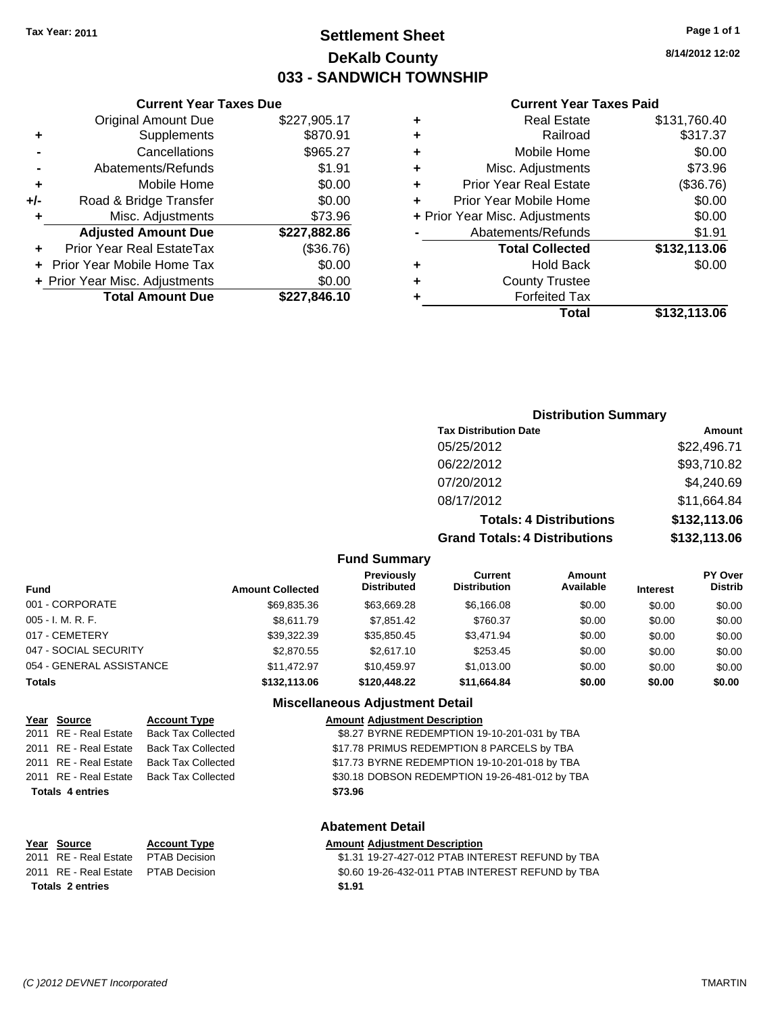# **Settlement Sheet Tax Year: 2011 Page 1 of 1 DeKalb County 033 - SANDWICH TOWNSHIP**

**8/14/2012 12:02**

#### **Current Year Taxes Paid**

|     | 7911 VIII TUUT TUNUU DUU         |              |         |
|-----|----------------------------------|--------------|---------|
|     | <b>Original Amount Due</b>       | \$227,905.17 | ٠       |
|     | Supplements                      | \$870.91     | ٠       |
|     | Cancellations                    | \$965.27     | ٠       |
|     | Abatements/Refunds               | \$1.91       | ٠       |
|     | Mobile Home                      | \$0.00       | ٠       |
| +/- | Road & Bridge Transfer           | \$0.00       |         |
|     | Misc. Adjustments                | \$73.96      | + Prior |
|     | <b>Adjusted Amount Due</b>       | \$227,882.86 |         |
|     | <b>Prior Year Real EstateTax</b> | (\$36.76)    |         |
|     | Prior Year Mobile Home Tax       | \$0.00       | ٠       |
|     | + Prior Year Misc. Adjustments   | \$0.00       | ٠       |
|     | <b>Total Amount Due</b>          | \$227,846.10 |         |
|     |                                  |              |         |

**Current Year Taxes Due**

|   | <b>Real Estate</b>             | \$131,760.40 |
|---|--------------------------------|--------------|
| ٠ | Railroad                       | \$317.37     |
| ٠ | Mobile Home                    | \$0.00       |
| ٠ | Misc. Adjustments              | \$73.96      |
|   | <b>Prior Year Real Estate</b>  | (\$36.76)    |
|   | Prior Year Mobile Home         | \$0.00       |
|   | + Prior Year Misc. Adjustments | \$0.00       |
|   | Abatements/Refunds             | \$1.91       |
|   | <b>Total Collected</b>         | \$132,113.06 |
| ٠ | <b>Hold Back</b>               | \$0.00       |
|   | <b>County Trustee</b>          |              |
|   | <b>Forfeited Tax</b>           |              |
|   | Total                          | \$132,113.06 |
|   |                                |              |

#### **Distribution Summary**

| <b>Tax Distribution Date</b>         | Amount       |  |  |  |
|--------------------------------------|--------------|--|--|--|
| 05/25/2012                           | \$22,496.71  |  |  |  |
| 06/22/2012                           | \$93,710.82  |  |  |  |
| 07/20/2012                           | \$4,240.69   |  |  |  |
| 08/17/2012                           | \$11,664.84  |  |  |  |
| <b>Totals: 4 Distributions</b>       | \$132,113.06 |  |  |  |
| <b>Grand Totals: 4 Distributions</b> | \$132,113.06 |  |  |  |

**Fund Summary**

| Fund                     | <b>Amount Collected</b> | <b>Previously</b><br><b>Distributed</b> | <b>Current</b><br><b>Distribution</b> | Amount<br>Available | <b>Interest</b> | <b>PY Over</b><br><b>Distrib</b> |
|--------------------------|-------------------------|-----------------------------------------|---------------------------------------|---------------------|-----------------|----------------------------------|
| 001 - CORPORATE          | \$69.835.36             | \$63.669.28                             | \$6,166.08                            | \$0.00              | \$0.00          | \$0.00                           |
| 005 - I. M. R. F.        | \$8.611.79              | \$7.851.42                              | \$760.37                              | \$0.00              | \$0.00          | \$0.00                           |
| 017 - CEMETERY           | \$39.322.39             | \$35.850.45                             | \$3.471.94                            | \$0.00              | \$0.00          | \$0.00                           |
| 047 - SOCIAL SECURITY    | \$2,870.55              | \$2,617.10                              | \$253.45                              | \$0.00              | \$0.00          | \$0.00                           |
| 054 - GENERAL ASSISTANCE | \$11.472.97             | \$10.459.97                             | \$1.013.00                            | \$0.00              | \$0.00          | \$0.00                           |
| Totals                   | \$132,113,06            | \$120,448.22                            | \$11,664.84                           | \$0.00              | \$0.00          | \$0.00                           |

#### **Miscellaneous Adjustment Detail**

#### **Year Source Account Type Amount Adjustment Description** 2011 RE - Real Estate Back Tax Collected \$8.27 BYRNE REDEMPTION 19-10-201-031 by TBA 2011 RE - Real Estate Back Tax Collected **\$17.78 PRIMUS REDEMPTION 8 PARCELS by TBA** 2011 RE - Real Estate Back Tax Collected \$17.73 BYRNE REDEMPTION 19-10-201-018 by TBA 2011 RE - Real Estate Back Tax Collected \$30.18 DOBSON REDEMPTION 19-26-481-012 by TBA **Totals \$73.96 4 entries**

**Year Source Account Type Amount Adjustment Description Totals \$1.91 2 entries**

### **Abatement Detail**

\$1.31 19-27-427-012 PTAB INTEREST REFUND by TBA 2011 RE - Real Estate \$0.60 19-26-432-011 PTAB INTEREST REFUND by TBA PTAB Decision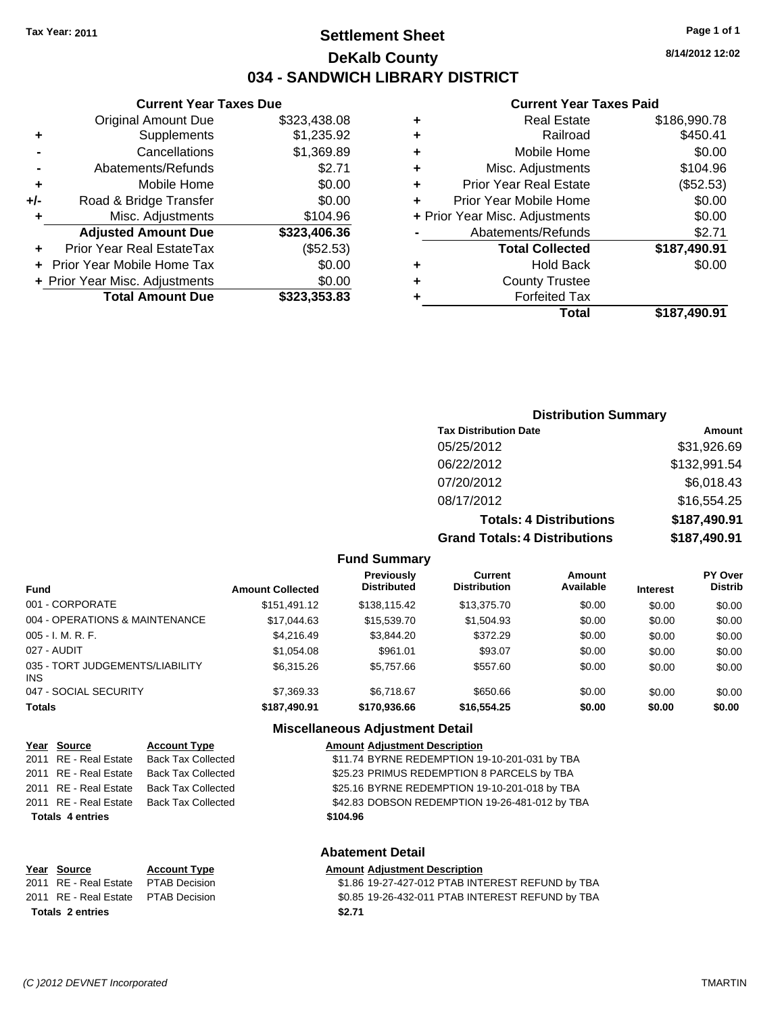# **Settlement Sheet Tax Year: 2011 Page 1 of 1 DeKalb County 034 - SANDWICH LIBRARY DISTRICT**

**8/14/2012 12:02**

### **Current Year Taxes Paid**

| Total                          | \$187,490.91 |
|--------------------------------|--------------|
| <b>Forfeited Tax</b>           |              |
| <b>County Trustee</b>          |              |
| <b>Hold Back</b>               | \$0.00       |
| <b>Total Collected</b>         | \$187,490.91 |
| Abatements/Refunds             | \$2.71       |
| + Prior Year Misc. Adjustments | \$0.00       |
| Prior Year Mobile Home         | \$0.00       |
| <b>Prior Year Real Estate</b>  | (\$52.53)    |
| Misc. Adjustments              | \$104.96     |
| Mobile Home                    | \$0.00       |
| Railroad                       | \$450.41     |
| <b>Real Estate</b>             | \$186,990.78 |
|                                |              |

### **Current Year Taxes Due** Original Amount Due \$323,438.08 **+** Supplements \$1,235.92 **-** Cancellations \$1,369.89 **-** Abatements/Refunds \$2.71 **+** Mobile Home \$0.00 **+/-** Road & Bridge Transfer \$0.00 **+** Misc. Adjustments \$104.96 **Adjusted Amount Due \$323,406.36**

| <b>Total Amount Due</b>        | \$323,353.83 |
|--------------------------------|--------------|
| + Prior Year Misc. Adjustments | \$0.00       |
| + Prior Year Mobile Home Tax   | \$0.00       |
| Prior Year Real EstateTax      | (\$52.53)    |
|                                |              |

### **Distribution Summary**

| <b>Tax Distribution Date</b>         | Amount       |
|--------------------------------------|--------------|
| 05/25/2012                           | \$31,926.69  |
| 06/22/2012                           | \$132,991.54 |
| 07/20/2012                           | \$6,018.43   |
| 08/17/2012                           | \$16,554.25  |
| <b>Totals: 4 Distributions</b>       | \$187,490.91 |
| <b>Grand Totals: 4 Distributions</b> | \$187,490.91 |

**Fund Summary**

| Fund                                   | <b>Amount Collected</b> | Previously<br><b>Distributed</b> | <b>Current</b><br><b>Distribution</b> | Amount<br>Available | <b>Interest</b> | <b>PY Over</b><br><b>Distrib</b> |
|----------------------------------------|-------------------------|----------------------------------|---------------------------------------|---------------------|-----------------|----------------------------------|
| 001 - CORPORATE                        | \$151.491.12            | \$138,115.42                     | \$13,375.70                           | \$0.00              | \$0.00          | \$0.00                           |
| 004 - OPERATIONS & MAINTENANCE         | \$17.044.63             | \$15,539,70                      | \$1,504.93                            | \$0.00              | \$0.00          | \$0.00                           |
| 005 - I. M. R. F.                      | \$4,216,49              | \$3.844.20                       | \$372.29                              | \$0.00              | \$0.00          | \$0.00                           |
| 027 - AUDIT                            | \$1.054.08              | \$961.01                         | \$93.07                               | \$0.00              | \$0.00          | \$0.00                           |
| 035 - TORT JUDGEMENTS/LIABILITY<br>INS | \$6,315.26              | \$5.757.66                       | \$557.60                              | \$0.00              | \$0.00          | \$0.00                           |
| 047 - SOCIAL SECURITY                  | \$7,369.33              | \$6.718.67                       | \$650.66                              | \$0.00              | \$0.00          | \$0.00                           |
| Totals                                 | \$187,490.91            | \$170,936.66                     | \$16,554.25                           | \$0.00              | \$0.00          | \$0.00                           |

### **Miscellaneous Adjustment Detail**

**Abatement Detail**

| Year Source             | <b>Account Type</b> | <b>Amount Adjustment Description</b>           |
|-------------------------|---------------------|------------------------------------------------|
| 2011 RE - Real Estate   | Back Tax Collected  | \$11.74 BYRNE REDEMPTION 19-10-201-031 by TBA  |
| 2011 RE - Real Estate   | Back Tax Collected  | \$25.23 PRIMUS REDEMPTION 8 PARCELS by TBA     |
| 2011 RE - Real Estate   | Back Tax Collected  | \$25.16 BYRNE REDEMPTION 19-10-201-018 by TBA  |
| 2011 RE - Real Estate   | Back Tax Collected  | \$42.83 DOBSON REDEMPTION 19-26-481-012 by TBA |
| <b>Totals 4 entries</b> |                     | \$104.96                                       |
|                         |                     |                                                |

| Year Source                         | <b>Account Type</b>  | <b>Amount Adjustment Description</b>             |
|-------------------------------------|----------------------|--------------------------------------------------|
| 2011 RE - Real Estate               | <b>PTAB Decision</b> | \$1.86 19-27-427-012 PTAB INTEREST REFUND by TBA |
| 2011 RE - Real Estate PTAB Decision |                      | \$0.85 19-26-432-011 PTAB INTEREST REFUND by TBA |
| <b>Totals 2 entries</b>             |                      | \$2.71                                           |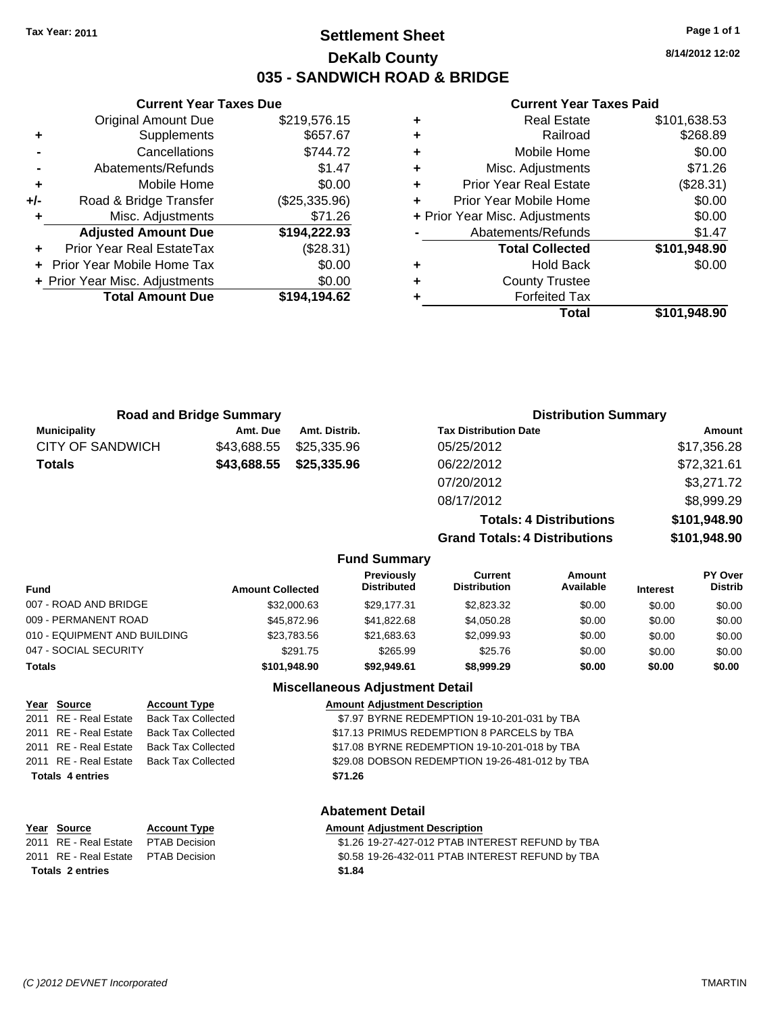# **Settlement Sheet Tax Year: 2011 Page 1 of 1 DeKalb County 035 - SANDWICH ROAD & BRIDGE**

**8/14/2012 12:02**

### **Current Year Taxes Paid**

|           |   | Total                          | \$101,948.90 |
|-----------|---|--------------------------------|--------------|
| 4,194.62  | ٠ | <b>Forfeited Tax</b>           |              |
| \$0.00    | ٠ | <b>County Trustee</b>          |              |
| \$0.00    | ٠ | <b>Hold Back</b>               | \$0.00       |
| (\$28.31) |   | <b>Total Collected</b>         | \$101,948.90 |
| 4,222.93  |   | Abatements/Refunds             | \$1.47       |
| \$71.26   |   | + Prior Year Misc. Adjustments | \$0.00       |
| 5,335.96) | ٠ | Prior Year Mobile Home         | \$0.00       |
| \$0.00    | ٠ | <b>Prior Year Real Estate</b>  | (\$28.31)    |
| \$1.47    | ٠ | Misc. Adjustments              | \$71.26      |
| \$744.72  | ٠ | Mobile Home                    | \$0.00       |
| \$657.67  | ٠ | Railroad                       | \$268.89     |
| 9,576.15  | ٠ | <b>Real Estate</b>             | \$101,638.53 |
|           |   |                                |              |

|                              | <b>Current Year Taxes Due</b>  |               |  |  |  |  |
|------------------------------|--------------------------------|---------------|--|--|--|--|
|                              | \$219,576.15                   |               |  |  |  |  |
| \$657.67<br>Supplements<br>٠ |                                |               |  |  |  |  |
|                              | Cancellations                  | \$744.72      |  |  |  |  |
|                              | Abatements/Refunds             | \$1.47        |  |  |  |  |
| ٠                            | \$0.00<br>Mobile Home          |               |  |  |  |  |
| +/-                          | Road & Bridge Transfer         | (\$25,335.96) |  |  |  |  |
| ٠                            | Misc. Adjustments              | \$71.26       |  |  |  |  |
|                              | <b>Adjusted Amount Due</b>     | \$194,222.93  |  |  |  |  |
| ٠                            | Prior Year Real EstateTax      | (\$28.31)     |  |  |  |  |
|                              | Prior Year Mobile Home Tax     | \$0.00        |  |  |  |  |
|                              | + Prior Year Misc. Adjustments | \$0.00        |  |  |  |  |
|                              | <b>Total Amount Due</b>        | \$194.194.62  |  |  |  |  |

|                     | <b>Road and Bridge Summary</b> |               | <b>Distribution Summary</b>    |              |
|---------------------|--------------------------------|---------------|--------------------------------|--------------|
| <b>Municipality</b> | Amt. Due                       | Amt. Distrib. | <b>Tax Distribution Date</b>   | Amount       |
| CITY OF SANDWICH    | \$43,688.55                    | \$25.335.96   | 05/25/2012                     | \$17,356.28  |
| <b>Totals</b>       | \$43,688.55                    | \$25,335.96   | 06/22/2012                     | \$72,321.61  |
|                     |                                |               | 07/20/2012                     | \$3,271.72   |
|                     |                                |               | 08/17/2012                     | \$8,999.29   |
|                     |                                |               | <b>Totals: 4 Distributions</b> | \$101,948.90 |

**Grand Totals: 4 Distril** 

| סווטשט  | VIVI,JTU.JU  |
|---------|--------------|
| butions | \$101,948.90 |
|         |              |

### **Fund Summary**

| Fund                         | <b>Amount Collected</b> | Previously<br><b>Distributed</b> | Current<br><b>Distribution</b> | Amount<br>Available | <b>Interest</b> | PY Over<br><b>Distrib</b> |
|------------------------------|-------------------------|----------------------------------|--------------------------------|---------------------|-----------------|---------------------------|
| 007 - ROAD AND BRIDGE        | \$32,000.63             | \$29.177.31                      | \$2.823.32                     | \$0.00              | \$0.00          | \$0.00                    |
| 009 - PERMANENT ROAD         | \$45,872.96             | \$41.822.68                      | \$4.050.28                     | \$0.00              | \$0.00          | \$0.00                    |
| 010 - EQUIPMENT AND BUILDING | \$23,783.56             | \$21,683.63                      | \$2,099.93                     | \$0.00              | \$0.00          | \$0.00                    |
| 047 - SOCIAL SECURITY        | \$291.75                | \$265.99                         | \$25.76                        | \$0.00              | \$0.00          | \$0.00                    |
| Totals                       | \$101.948.90            | \$92.949.61                      | \$8,999.29                     | \$0.00              | \$0.00          | \$0.00                    |

### **Miscellaneous Adjustment Detail**

| Year Source             | <b>Account Type</b>                      | <b>Amount Adjustment Description</b>           |
|-------------------------|------------------------------------------|------------------------------------------------|
|                         | 2011 RE - Real Estate Back Tax Collected | \$7.97 BYRNE REDEMPTION 19-10-201-031 by TBA   |
| 2011 RE - Real Estate   | Back Tax Collected                       | \$17.13 PRIMUS REDEMPTION 8 PARCELS by TBA     |
|                         | 2011 RE - Real Estate Back Tax Collected | \$17.08 BYRNE REDEMPTION 19-10-201-018 by TBA  |
|                         | 2011 RE - Real Estate Back Tax Collected | \$29.08 DOBSON REDEMPTION 19-26-481-012 by TBA |
| <b>Totals 4 entries</b> |                                          | \$71.26                                        |
|                         |                                          |                                                |

### **Abatement Detail**

| Year Source                         | <b>Account Type</b> | <b>Amount Adiustment Description</b>             |
|-------------------------------------|---------------------|--------------------------------------------------|
| 2011 RE - Real Estate PTAB Decision |                     | \$1.26 19-27-427-012 PTAB INTEREST REFUND by TBA |
| 2011 RE - Real Estate PTAB Decision |                     | \$0.58 19-26-432-011 PTAB INTEREST REFUND by TBA |
| Totals 2 entries                    |                     | \$1.84                                           |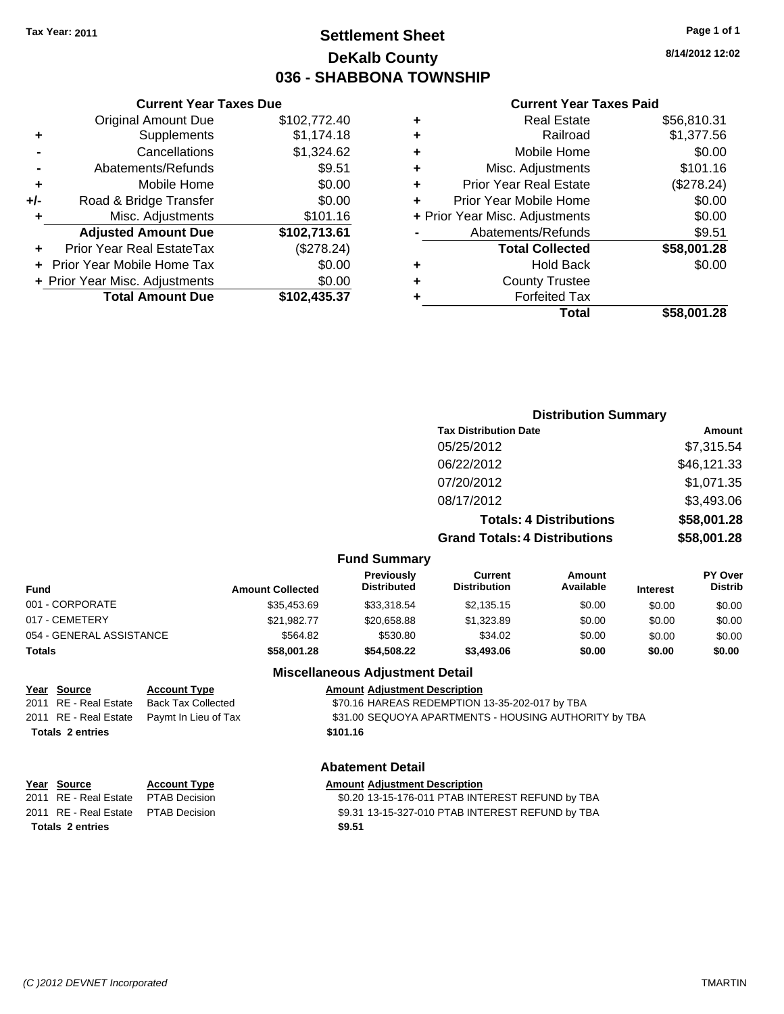# **Settlement Sheet Tax Year: 2011 Page 1 of 1 DeKalb County 036 - SHABBONA TOWNSHIP**

|     | <b>Current Year Taxes Due</b>  |              |
|-----|--------------------------------|--------------|
|     | <b>Original Amount Due</b>     | \$102,772.40 |
| ٠   | Supplements                    | \$1,174.18   |
|     | Cancellations                  | \$1,324.62   |
|     | Abatements/Refunds             | \$9.51       |
| ٠   | Mobile Home                    | \$0.00       |
| +/- | Road & Bridge Transfer         | \$0.00       |
| ٠   | Misc. Adjustments              | \$101.16     |
|     | <b>Adjusted Amount Due</b>     | \$102,713.61 |
| ٠   | Prior Year Real EstateTax      | (\$278.24)   |
|     | Prior Year Mobile Home Tax     | \$0.00       |
|     | + Prior Year Misc. Adjustments | \$0.00       |
|     | <b>Total Amount Due</b>        | \$102,435.37 |
|     |                                |              |

|   | Total                          | \$58.001.28 |
|---|--------------------------------|-------------|
|   | <b>Forfeited Tax</b>           |             |
| ٠ | <b>County Trustee</b>          |             |
|   | <b>Hold Back</b>               | \$0.00      |
|   | <b>Total Collected</b>         | \$58,001.28 |
|   | Abatements/Refunds             | \$9.51      |
|   | + Prior Year Misc. Adjustments | \$0.00      |
| ٠ | Prior Year Mobile Home         | \$0.00      |
| ٠ | <b>Prior Year Real Estate</b>  | (\$278.24)  |
| ٠ | Misc. Adjustments              | \$101.16    |
| ٠ | Mobile Home                    | \$0.00      |
|   | Railroad                       | \$1,377.56  |
|   | <b>Real Estate</b>             | \$56,810.31 |
|   |                                |             |

**Current Year Taxes Paid**

#### **Distribution Summary Tax Distribution Date Amount** 05/25/2012 \$7,315.54 06/22/2012 \$46,121.33 07/20/2012 \$1,071.35 08/17/2012 \$3,493.06 **Totals: 4 Distributions \$58,001.28 Grand Totals: 4 Distributions \$58,001.28 Fund Summary Fund Interest Amount Collected Distributed PY Over Distrib Amount Available Current Distribution Previously** 001 - CORPORATE \$35,453.69 \$33,318.54 \$2,135.15 \$0.00 \$0.00 \$0.00 017 - CEMETERY \$21,982.77 \$20,658.88 \$1,323.89 \$0.00 \$0.00 \$0.00 054 - GENERAL ASSISTANCE \$564.82 \$530.80 \$34.02 \$0.00 \$0.00 \$0.00

#### **Totals \$58,001.28 \$54,508.22 \$3,493.06 \$0.00 \$0.00 \$0.00**

**Totals \$101.16 2 entries**

**Year Source Account Type Amount Adjustment Description** 2011 RE - Real Estate Back Tax Collected \$70.16 HAREAS REDEMPTION 13-35-202-017 by TBA 2011 RE - Real Estate Paymt In Lieu of Tax **\$31.00 SEQUOYA APARTMENTS - HOUSING AUTHORITY by TBA** 

## **Abatement Detail**

**Miscellaneous Adjustment Detail**

| Year Source                         | <b>Account Type</b> | <b>Amount Adjustment Description</b>             |
|-------------------------------------|---------------------|--------------------------------------------------|
| 2011 RE - Real Estate PTAB Decision |                     | \$0.20 13-15-176-011 PTAB INTEREST REFUND by TBA |
| 2011 RE - Real Estate PTAB Decision |                     | \$9.31 13-15-327-010 PTAB INTEREST REFUND by TBA |
| <b>Totals 2 entries</b>             |                     | \$9.51                                           |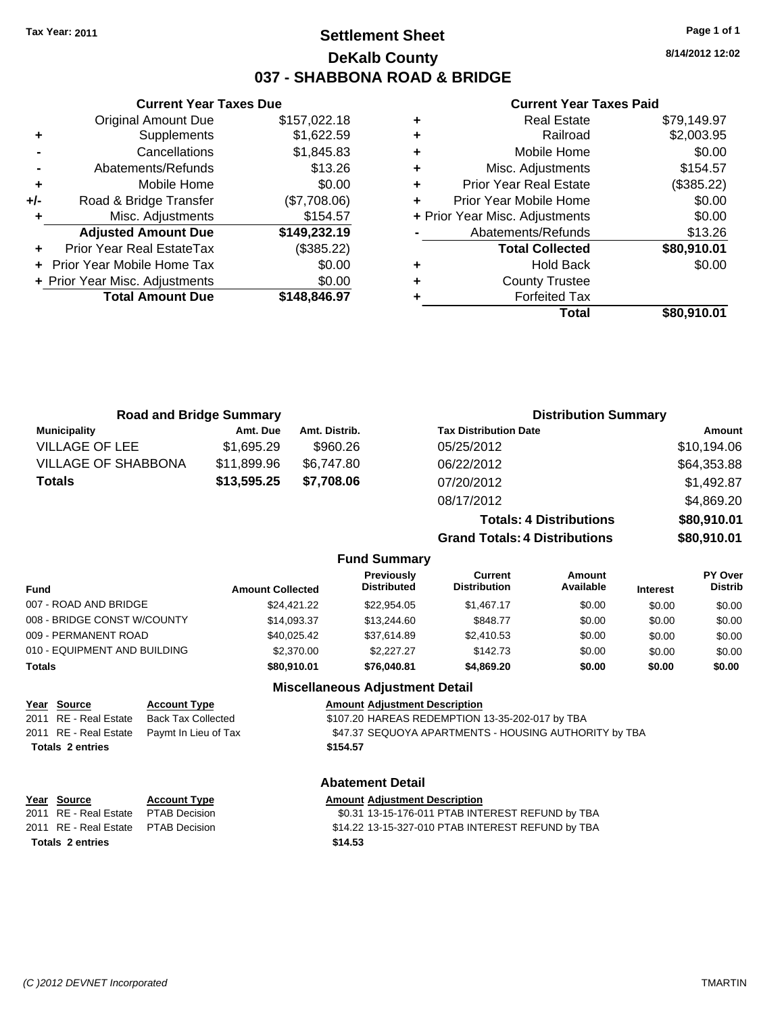**Current Year Taxes Due** Original Amount Due \$157,022.18

**Adjusted Amount Due \$149,232.19**

**Total Amount Due \$148,846.97**

**+** Supplements \$1,622.59 **-** Cancellations \$1,845.83 **-** Abatements/Refunds \$13.26 **+** Mobile Home \$0.00 **+/-** Road & Bridge Transfer (\$7,708.06) **+** Misc. Adjustments \$154.57

**+** Prior Year Real EstateTax (\$385.22) **+** Prior Year Mobile Home Tax \$0.00 **+ Prior Year Misc. Adjustments**  $$0.00$ 

# **Settlement Sheet Tax Year: 2011 Page 1 of 1 DeKalb County 037 - SHABBONA ROAD & BRIDGE**

**8/14/2012 12:02**

### **Current Year Taxes Paid**

| ٠ | <b>Real Estate</b>             | \$79,149.97 |
|---|--------------------------------|-------------|
| ٠ | Railroad                       | \$2,003.95  |
| ٠ | Mobile Home                    | \$0.00      |
| ٠ | Misc. Adjustments              | \$154.57    |
| ٠ | <b>Prior Year Real Estate</b>  | (\$385.22)  |
| ٠ | Prior Year Mobile Home         | \$0.00      |
|   | + Prior Year Misc. Adjustments | \$0.00      |
|   | Abatements/Refunds             | \$13.26     |
|   | <b>Total Collected</b>         | \$80,910.01 |
| ٠ | <b>Hold Back</b>               | \$0.00      |
| ٠ | <b>County Trustee</b>          |             |
| ٠ | <b>Forfeited Tax</b>           |             |
|   | Total                          | \$80,910.01 |

|                                      | <b>Road and Bridge Summary</b>                   |                         |               |                                        |                                                       | <b>Distribution Summary</b>    |                 |                |
|--------------------------------------|--------------------------------------------------|-------------------------|---------------|----------------------------------------|-------------------------------------------------------|--------------------------------|-----------------|----------------|
| <b>Municipality</b>                  |                                                  | Amt. Due                | Amt. Distrib. |                                        | <b>Tax Distribution Date</b>                          |                                |                 | Amount         |
| <b>VILLAGE OF LEE</b>                |                                                  | \$1,695.29              | \$960.26      |                                        | 05/25/2012                                            |                                |                 | \$10,194.06    |
| <b>VILLAGE OF SHABBONA</b>           |                                                  | \$11,899.96             | \$6,747.80    |                                        | 06/22/2012                                            |                                |                 | \$64,353.88    |
| <b>Totals</b>                        |                                                  | \$13,595.25             | \$7,708.06    |                                        | 07/20/2012                                            |                                |                 | \$1,492.87     |
|                                      |                                                  |                         |               |                                        | 08/17/2012                                            |                                |                 | \$4,869.20     |
|                                      |                                                  |                         |               |                                        |                                                       | <b>Totals: 4 Distributions</b> |                 | \$80,910.01    |
|                                      |                                                  |                         |               |                                        | <b>Grand Totals: 4 Distributions</b>                  |                                |                 | \$80,910.01    |
|                                      |                                                  |                         |               | <b>Fund Summary</b>                    |                                                       |                                |                 |                |
|                                      |                                                  |                         |               | Previously                             | <b>Current</b>                                        | Amount                         |                 | PY Over        |
| Fund                                 |                                                  | <b>Amount Collected</b> |               | <b>Distributed</b>                     | <b>Distribution</b>                                   | Available                      | <b>Interest</b> | <b>Distrib</b> |
| 007 - ROAD AND BRIDGE                |                                                  |                         | \$24,421.22   | \$22,954.05                            | \$1,467.17                                            | \$0.00                         | \$0.00          | \$0.00         |
| 008 - BRIDGE CONST W/COUNTY          |                                                  |                         | \$14,093.37   | \$13,244.60                            | \$848.77                                              | \$0.00                         | \$0.00          | \$0.00         |
| 009 - PERMANENT ROAD                 |                                                  |                         | \$40,025.42   | \$37,614.89                            | \$2,410.53                                            | \$0.00                         | \$0.00          | \$0.00         |
| 010 - EQUIPMENT AND BUILDING         |                                                  |                         | \$2,370.00    | \$2,227.27                             | \$142.73                                              | \$0.00                         | \$0.00          | \$0.00         |
| <b>Totals</b>                        |                                                  |                         | \$80,910.01   | \$76,040.81                            | \$4,869.20                                            | \$0.00                         | \$0.00          | \$0.00         |
|                                      |                                                  |                         |               | <b>Miscellaneous Adjustment Detail</b> |                                                       |                                |                 |                |
| Year Source<br>2011 RE - Real Estate | <b>Account Type</b><br><b>Back Tax Collected</b> |                         |               | <b>Amount Adjustment Description</b>   | \$107.20 HAREAS REDEMPTION 13-35-202-017 by TBA       |                                |                 |                |
| 2011 RE - Real Estate                | Paymt In Lieu of Tax                             |                         |               |                                        | \$47.37 SEQUOYA APARTMENTS - HOUSING AUTHORITY by TBA |                                |                 |                |
| <b>Totals 2 entries</b>              |                                                  |                         | \$154.57      |                                        |                                                       |                                |                 |                |
|                                      |                                                  |                         |               | <b>Abatement Detail</b>                |                                                       |                                |                 |                |
| Year Source                          | <b>Account Type</b>                              |                         |               | <b>Amount Adjustment Description</b>   |                                                       |                                |                 |                |
| 2011 RE - Real Estate                | PTAB Decision                                    |                         |               |                                        | \$0.31 13-15-176-011 PTAB INTEREST REFUND by TBA      |                                |                 |                |
| 2011 RE - Real Estate                | <b>PTAB Decision</b>                             |                         |               |                                        | \$14.22 13-15-327-010 PTAB INTEREST REFUND by TBA     |                                |                 |                |
| <b>Totals 2 entries</b>              |                                                  |                         | \$14.53       |                                        |                                                       |                                |                 |                |
|                                      |                                                  |                         |               |                                        |                                                       |                                |                 |                |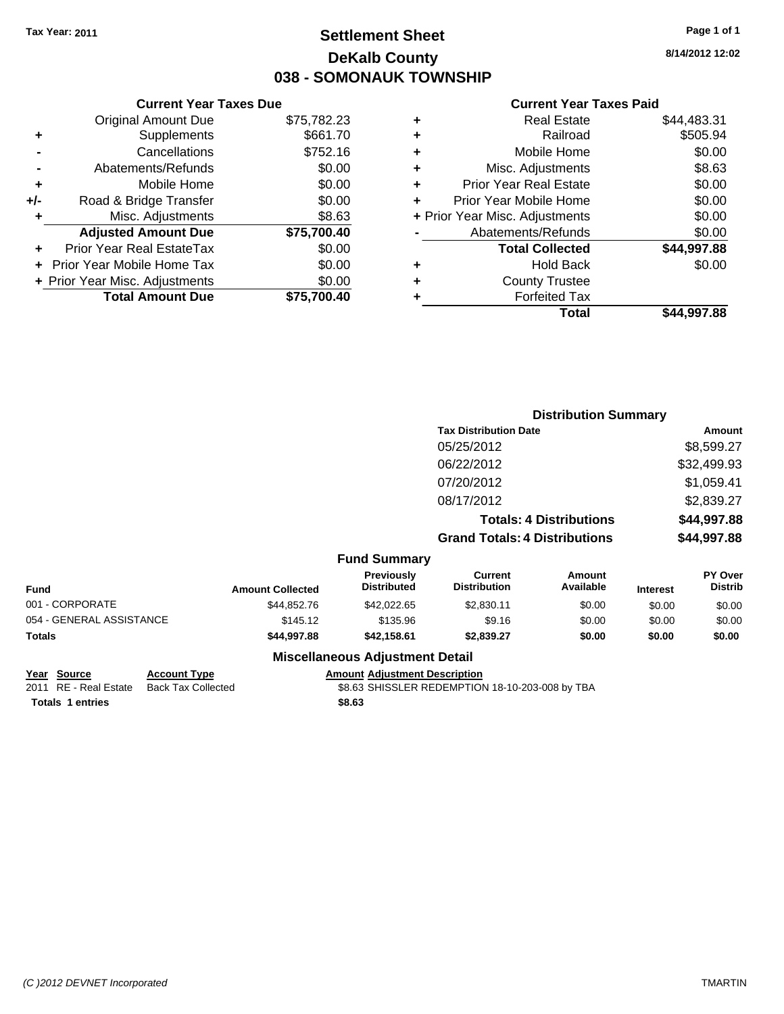# **Settlement Sheet Tax Year: 2011 Page 1 of 1 DeKalb County 038 - SOMONAUK TOWNSHIP**

**8/14/2012 12:02**

### **Current Year Taxes Paid**

|       | <b>Current Year Taxes Due</b>  |             |  |  |  |  |
|-------|--------------------------------|-------------|--|--|--|--|
|       | <b>Original Amount Due</b>     | \$75,782.23 |  |  |  |  |
| ٠     | Supplements                    | \$661.70    |  |  |  |  |
|       | Cancellations                  | \$752.16    |  |  |  |  |
|       | Abatements/Refunds             | \$0.00      |  |  |  |  |
| ٠     | Mobile Home                    | \$0.00      |  |  |  |  |
| $+/-$ | Road & Bridge Transfer         | \$0.00      |  |  |  |  |
|       | Misc. Adjustments              | \$8.63      |  |  |  |  |
|       | <b>Adjusted Amount Due</b>     | \$75,700.40 |  |  |  |  |
|       | Prior Year Real EstateTax      | \$0.00      |  |  |  |  |
|       | Prior Year Mobile Home Tax     | \$0.00      |  |  |  |  |
|       | + Prior Year Misc. Adjustments | \$0.00      |  |  |  |  |
|       | <b>Total Amount Due</b>        | \$75,700.40 |  |  |  |  |
|       |                                |             |  |  |  |  |

| ٠ | <b>Real Estate</b>             | \$44,483.31 |
|---|--------------------------------|-------------|
| ٠ | Railroad                       | \$505.94    |
| ÷ | Mobile Home                    | \$0.00      |
| ٠ | Misc. Adjustments              | \$8.63      |
| ٠ | <b>Prior Year Real Estate</b>  | \$0.00      |
| ÷ | Prior Year Mobile Home         | \$0.00      |
|   | + Prior Year Misc. Adjustments | \$0.00      |
|   | Abatements/Refunds             | \$0.00      |
|   | <b>Total Collected</b>         | \$44,997.88 |
| ٠ | <b>Hold Back</b>               | \$0.00      |
| ٠ | <b>County Trustee</b>          |             |
| ٠ | <b>Forfeited Tax</b>           |             |
|   | Total                          | \$44,997.88 |
|   |                                |             |

|                 |                         | <b>Distribution Summary</b>             |                                       |                                |                 |                                  |
|-----------------|-------------------------|-----------------------------------------|---------------------------------------|--------------------------------|-----------------|----------------------------------|
|                 |                         |                                         | <b>Tax Distribution Date</b>          |                                |                 | Amount                           |
|                 |                         |                                         | 05/25/2012                            |                                |                 | \$8,599.27                       |
|                 |                         |                                         | 06/22/2012                            |                                |                 | \$32,499.93                      |
|                 |                         |                                         | 07/20/2012                            |                                |                 | \$1,059.41                       |
|                 |                         |                                         | 08/17/2012                            |                                |                 | \$2,839.27                       |
|                 |                         |                                         |                                       | <b>Totals: 4 Distributions</b> |                 | \$44,997.88                      |
|                 |                         |                                         | <b>Grand Totals: 4 Distributions</b>  |                                |                 | \$44,997.88                      |
|                 |                         | <b>Fund Summary</b>                     |                                       |                                |                 |                                  |
| <b>Fund</b>     | <b>Amount Collected</b> | <b>Previously</b><br><b>Distributed</b> | <b>Current</b><br><b>Distribution</b> | Amount<br>Available            | <b>Interest</b> | <b>PY Over</b><br><b>Distrib</b> |
| 001 - CORPORATE | \$44.852.76             | \$42,022.65                             | \$2,830.11                            | \$0.00                         | \$0.00          | \$0.00                           |

| runu                                   | Alliount Collected | ----------  | ------------ | ,,,,,,,,,,,, | merest | -----  |  |
|----------------------------------------|--------------------|-------------|--------------|--------------|--------|--------|--|
| 001 - CORPORATE                        | \$44.852.76        | \$42,022,65 | \$2,830.11   | \$0.00       | \$0.00 | \$0.00 |  |
| 054 - GENERAL ASSISTANCE               | \$145.12           | \$135.96    | \$9.16       | \$0.00       | \$0.00 | \$0.00 |  |
| Totals                                 | \$44,997.88        | \$42.158.61 | \$2.839.27   | \$0.00       | \$0.00 | \$0.00 |  |
| <b>Miscellaneous Adjustment Detail</b> |                    |             |              |              |        |        |  |

### **Year Source Account Type Amount Adjustment Description**

2011 RE - Real Estate Back Tax Collected \$8.63 SHISSLER REDEMPTION 18-10-203-008 by TBA

**Totals \$8.63 1 entries**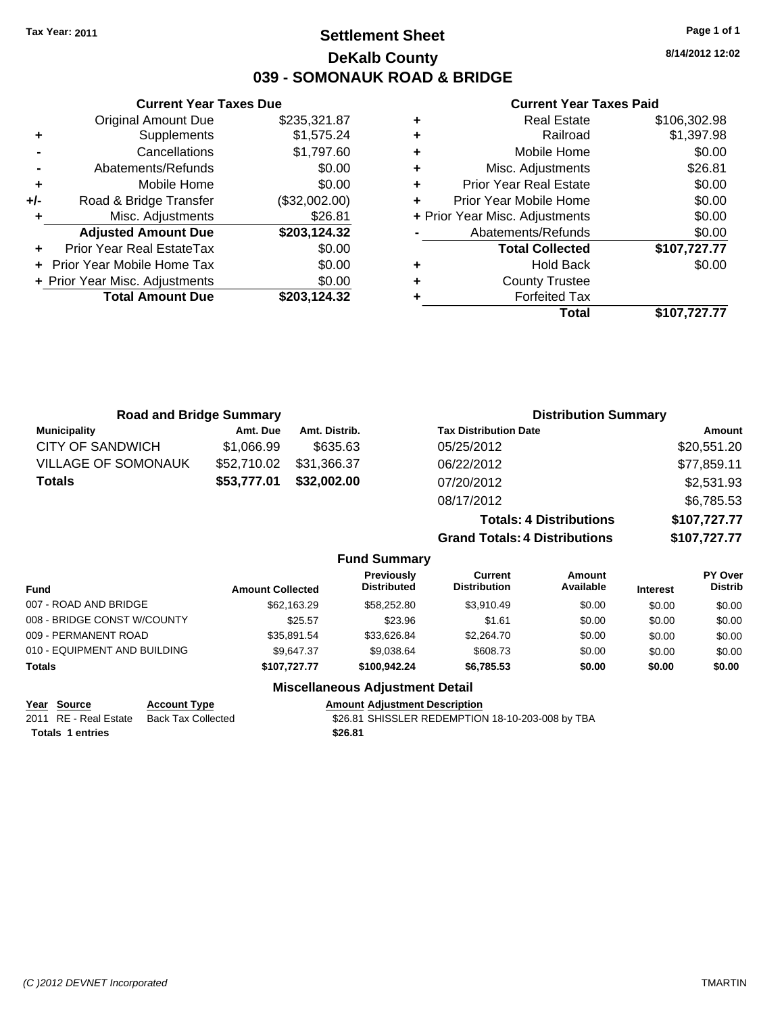**Current Year Taxes Due** Original Amount Due \$235,321.87

**Adjusted Amount Due \$203,124.32**

**Total Amount Due \$203,124.32**

**+** Supplements \$1,575.24 **-** Cancellations \$1,797.60 **-** Abatements/Refunds \$0.00 **+** Mobile Home \$0.00 **+/-** Road & Bridge Transfer (\$32,002.00) **+** Misc. Adjustments \$26.81

**+** Prior Year Real EstateTax \$0.00 **+** Prior Year Mobile Home Tax \$0.00 **+ Prior Year Misc. Adjustments**  $$0.00$ 

# **Settlement Sheet Tax Year: 2011 Page 1 of 1 DeKalb County 039 - SOMONAUK ROAD & BRIDGE**

**8/14/2012 12:02**

### **Current Year Taxes Paid**

| ٠ | <b>Real Estate</b>             | \$106,302.98 |
|---|--------------------------------|--------------|
| ٠ | Railroad                       | \$1,397.98   |
| ٠ | Mobile Home                    | \$0.00       |
| ٠ | Misc. Adjustments              | \$26.81      |
| ÷ | <b>Prior Year Real Estate</b>  | \$0.00       |
| ÷ | Prior Year Mobile Home         | \$0.00       |
|   | + Prior Year Misc. Adjustments | \$0.00       |
|   | Abatements/Refunds             | \$0.00       |
|   | <b>Total Collected</b>         | \$107,727.77 |
| ٠ | Hold Back                      | \$0.00       |
| ÷ | <b>County Trustee</b>          |              |
| ٠ | <b>Forfeited Tax</b>           |              |
|   | Total                          | \$107,727.77 |

| <b>Road and Bridge Summary</b> |             |                     |                                      | <b>Distribution Summary</b>    |                |
|--------------------------------|-------------|---------------------|--------------------------------------|--------------------------------|----------------|
| <b>Municipality</b>            | Amt. Due    | Amt. Distrib.       | <b>Tax Distribution Date</b>         |                                | Amount         |
| <b>CITY OF SANDWICH</b>        | \$1,066.99  | \$635.63            | 05/25/2012                           |                                | \$20,551.20    |
| <b>VILLAGE OF SOMONAUK</b>     | \$52,710.02 | \$31,366.37         | 06/22/2012                           |                                | \$77,859.11    |
| <b>Totals</b>                  | \$53,777.01 | \$32,002.00         | 07/20/2012                           |                                | \$2,531.93     |
|                                |             |                     | 08/17/2012                           |                                | \$6,785.53     |
|                                |             |                     |                                      | <b>Totals: 4 Distributions</b> | \$107,727.77   |
|                                |             |                     | <b>Grand Totals: 4 Distributions</b> |                                | \$107,727.77   |
|                                |             | <b>Fund Summary</b> |                                      |                                |                |
|                                |             | <b>Previously</b>   | <b>Current</b>                       | <b>Amount</b>                  | <b>PY Over</b> |

| <b>Fund</b>                  | <b>Amount Collected</b> | <b>Previously</b><br><b>Distributed</b> | Current<br><b>Distribution</b> | Amount<br>Available | <b>Interest</b> | r ı over<br><b>Distrib</b> |
|------------------------------|-------------------------|-----------------------------------------|--------------------------------|---------------------|-----------------|----------------------------|
| 007 - ROAD AND BRIDGE        | \$62,163.29             | \$58,252.80                             | \$3.910.49                     | \$0.00              | \$0.00          | \$0.00                     |
| 008 - BRIDGE CONST W/COUNTY  | \$25.57                 | \$23.96                                 | \$1.61                         | \$0.00              | \$0.00          | \$0.00                     |
| 009 - PERMANENT ROAD         | \$35.891.54             | \$33.626.84                             | \$2,264.70                     | \$0.00              | \$0.00          | \$0.00                     |
| 010 - EQUIPMENT AND BUILDING | \$9.647.37              | \$9.038.64                              | \$608.73                       | \$0.00              | \$0.00          | \$0.00                     |
| <b>Totals</b>                | \$107,727.77            | \$100,942.24                            | \$6,785.53                     | \$0.00              | \$0.00          | \$0.00                     |
|                              |                         |                                         |                                |                     |                 |                            |

### **Miscellaneous Adjustment Detail**

| <u>Year Source</u>      | <b>Account Type</b> | <b>Amount Adiustment Description</b>             |
|-------------------------|---------------------|--------------------------------------------------|
| 2011 RE - Real Estate   | Back Tax Collected  | \$26.81 SHISSLER REDEMPTION 18-10-203-008 by TBA |
| <b>Totals 1 entries</b> |                     | \$26.81                                          |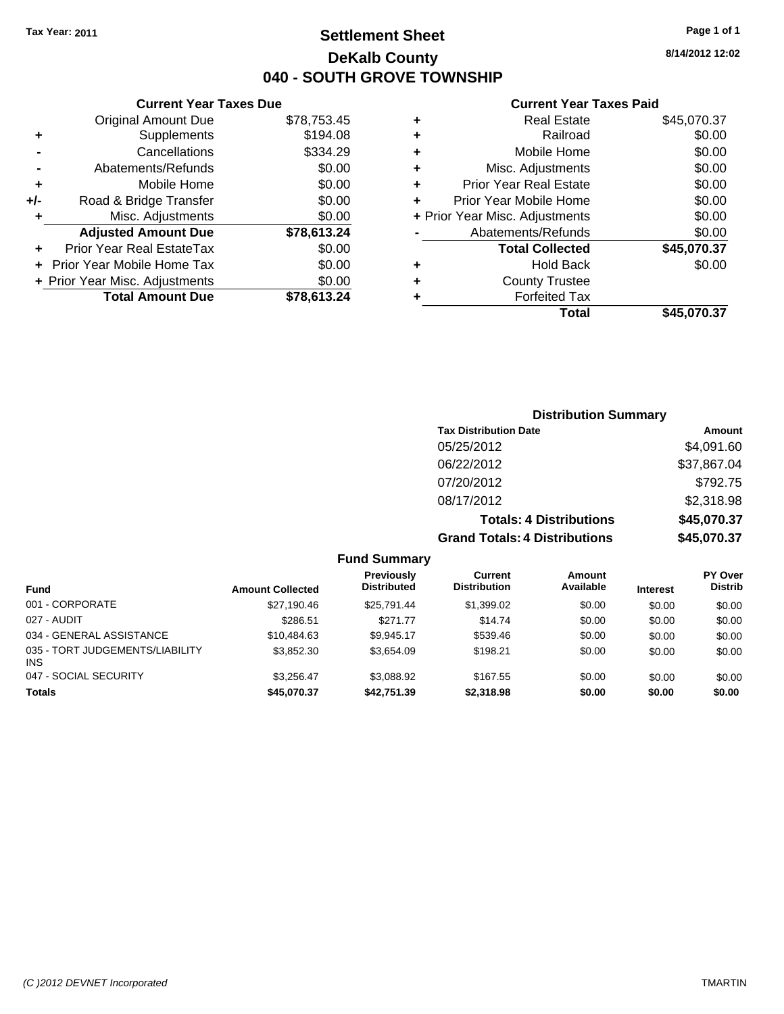# **Settlement Sheet Tax Year: 2011 Page 1 of 1 DeKalb County 040 - SOUTH GROVE TOWNSHIP**

**8/14/2012 12:02**

### **Current Year Taxes Paid**

|   | Total                          | \$45,070.37 |
|---|--------------------------------|-------------|
| ٠ | <b>Forfeited Tax</b>           |             |
| ٠ | <b>County Trustee</b>          |             |
| ٠ | <b>Hold Back</b>               | \$0.00      |
|   | <b>Total Collected</b>         | \$45,070.37 |
|   | Abatements/Refunds             | \$0.00      |
|   | + Prior Year Misc. Adjustments | \$0.00      |
| ÷ | Prior Year Mobile Home         | \$0.00      |
| ÷ | <b>Prior Year Real Estate</b>  | \$0.00      |
| ٠ | Misc. Adjustments              | \$0.00      |
| ٠ | Mobile Home                    | \$0.00      |
| ٠ | Railroad                       | \$0.00      |
| ٠ | <b>Real Estate</b>             | \$45,070.37 |
|   |                                |             |

### **Current Year Taxes Due** Original Amount Due \$78,753.45 **+** Supplements \$194.08 **-** Cancellations \$334.29 **-** Abatements/Refunds \$0.00 **+** Mobile Home \$0.00 **+/-** Road & Bridge Transfer \$0.00 **+** Misc. Adjustments \$0.00 **Adjusted Amount Due \$78,613.24 +** Prior Year Real EstateTax \$0.00 **+** Prior Year Mobile Home Tax \$0.00 **+ Prior Year Misc. Adjustments**  $$0.00$ **Total Amount Due \$78,613.24**

| <b>Distribution Summary</b>          |             |
|--------------------------------------|-------------|
| <b>Tax Distribution Date</b>         | Amount      |
| 05/25/2012                           | \$4,091.60  |
| 06/22/2012                           | \$37,867.04 |
| 07/20/2012                           | \$792.75    |
| 08/17/2012                           | \$2,318.98  |
| <b>Totals: 4 Distributions</b>       | \$45,070.37 |
| <b>Grand Totals: 4 Distributions</b> | \$45,070.37 |

### **Fund Summary**

| <b>Fund</b>                                   | <b>Amount Collected</b> | Previously<br><b>Distributed</b> | Current<br><b>Distribution</b> | Amount<br>Available | <b>Interest</b> | <b>PY Over</b><br><b>Distrib</b> |
|-----------------------------------------------|-------------------------|----------------------------------|--------------------------------|---------------------|-----------------|----------------------------------|
| 001 - CORPORATE                               | \$27.190.46             | \$25.791.44                      | \$1,399.02                     | \$0.00              | \$0.00          | \$0.00                           |
| 027 - AUDIT                                   | \$286.51                | \$271.77                         | \$14.74                        | \$0.00              | \$0.00          | \$0.00                           |
| 034 - GENERAL ASSISTANCE                      | \$10.484.63             | \$9.945.17                       | \$539.46                       | \$0.00              | \$0.00          | \$0.00                           |
| 035 - TORT JUDGEMENTS/LIABILITY<br><b>INS</b> | \$3.852.30              | \$3.654.09                       | \$198.21                       | \$0.00              | \$0.00          | \$0.00                           |
| 047 - SOCIAL SECURITY                         | \$3.256.47              | \$3.088.92                       | \$167.55                       | \$0.00              | \$0.00          | \$0.00                           |
| <b>Totals</b>                                 | \$45,070.37             | \$42,751.39                      | \$2,318,98                     | \$0.00              | \$0.00          | \$0.00                           |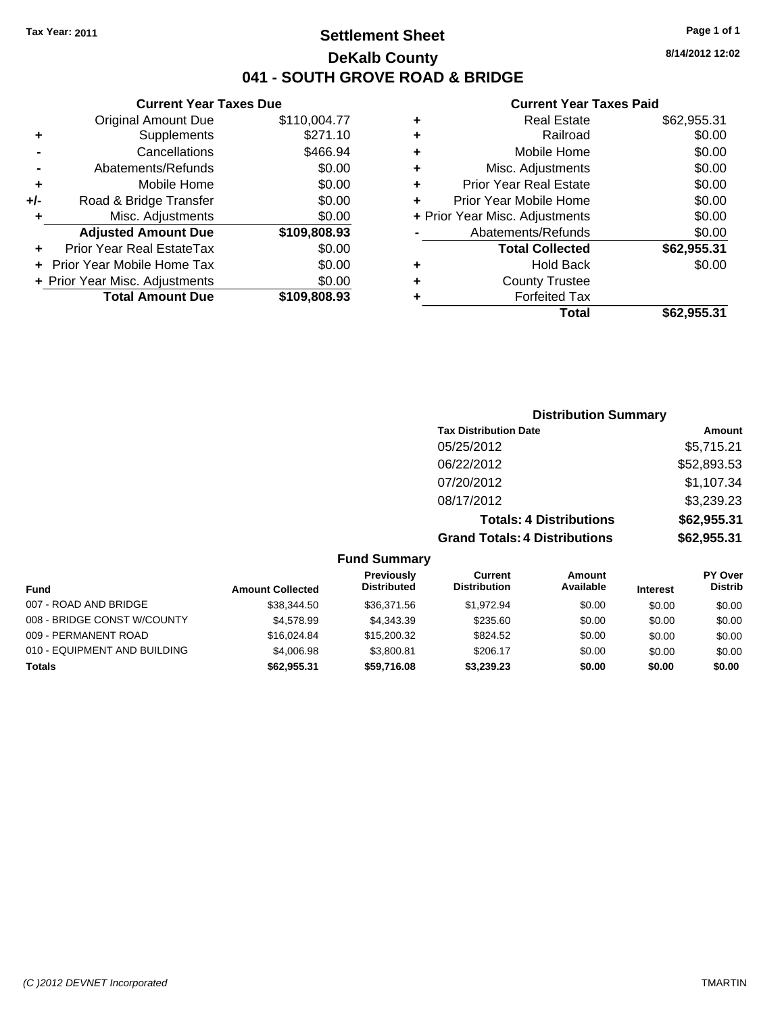# **Settlement Sheet Tax Year: 2011 Page 1 of 1 DeKalb County 041 - SOUTH GROVE ROAD & BRIDGE**

### **Current Year Taxes Due**

|     | <b>Original Amount Due</b>        | \$110,004.77 |
|-----|-----------------------------------|--------------|
| ٠   | Supplements                       | \$271.10     |
|     | Cancellations                     | \$466.94     |
|     | Abatements/Refunds                | \$0.00       |
| ٠   | Mobile Home                       | \$0.00       |
| +/- | Road & Bridge Transfer            | \$0.00       |
| ٠   | Misc. Adjustments                 | \$0.00       |
|     | <b>Adjusted Amount Due</b>        | \$109,808.93 |
|     |                                   |              |
| ÷   | Prior Year Real EstateTax         | \$0.00       |
|     | <b>Prior Year Mobile Home Tax</b> | \$0.00       |
|     | + Prior Year Misc. Adjustments    | \$0.00       |
|     | <b>Total Amount Due</b>           | \$109,808.93 |

#### **Current Year Taxes Paid**

|   | <b>Real Estate</b>             | \$62,955.31 |
|---|--------------------------------|-------------|
| ٠ | Railroad                       | \$0.00      |
| ٠ | Mobile Home                    | \$0.00      |
| ٠ | Misc. Adjustments              | \$0.00      |
| ٠ | <b>Prior Year Real Estate</b>  | \$0.00      |
|   | Prior Year Mobile Home         | \$0.00      |
|   | + Prior Year Misc. Adjustments | \$0.00      |
|   | Abatements/Refunds             | \$0.00      |
|   | <b>Total Collected</b>         | \$62,955.31 |
| ٠ | <b>Hold Back</b>               | \$0.00      |
| ٠ | <b>County Trustee</b>          |             |
| ٠ | <b>Forfeited Tax</b>           |             |
|   | Total                          | \$62,955.31 |
|   |                                |             |

## **Distribution Summary Tax Distribution Date Amount** 05/25/2012 \$5,715.21 06/22/2012 \$52,893.53 07/20/2012 \$1,107.34 08/17/2012 \$3,239.23 **Totals: 4 Distributions \$62,955.31**

**Grand Totals: 4 Distributions \$62,955.31**

|  |  |  | <b>Fund Summary</b> |
|--|--|--|---------------------|
|--|--|--|---------------------|

| <b>Fund</b>                  | <b>Amount Collected</b> | <b>Previously</b><br><b>Distributed</b> | Current<br><b>Distribution</b> | Amount<br>Available | <b>Interest</b> | <b>PY Over</b><br><b>Distrib</b> |
|------------------------------|-------------------------|-----------------------------------------|--------------------------------|---------------------|-----------------|----------------------------------|
| 007 - ROAD AND BRIDGE        | \$38,344.50             | \$36,371.56                             | \$1.972.94                     | \$0.00              | \$0.00          | \$0.00                           |
| 008 - BRIDGE CONST W/COUNTY  | \$4,578.99              | \$4.343.39                              | \$235.60                       | \$0.00              | \$0.00          | \$0.00                           |
| 009 - PERMANENT ROAD         | \$16,024.84             | \$15,200.32                             | \$824.52                       | \$0.00              | \$0.00          | \$0.00                           |
| 010 - EQUIPMENT AND BUILDING | \$4,006.98              | \$3.800.81                              | \$206.17                       | \$0.00              | \$0.00          | \$0.00                           |
| Totals                       | \$62.955.31             | \$59,716.08                             | \$3.239.23                     | \$0.00              | \$0.00          | \$0.00                           |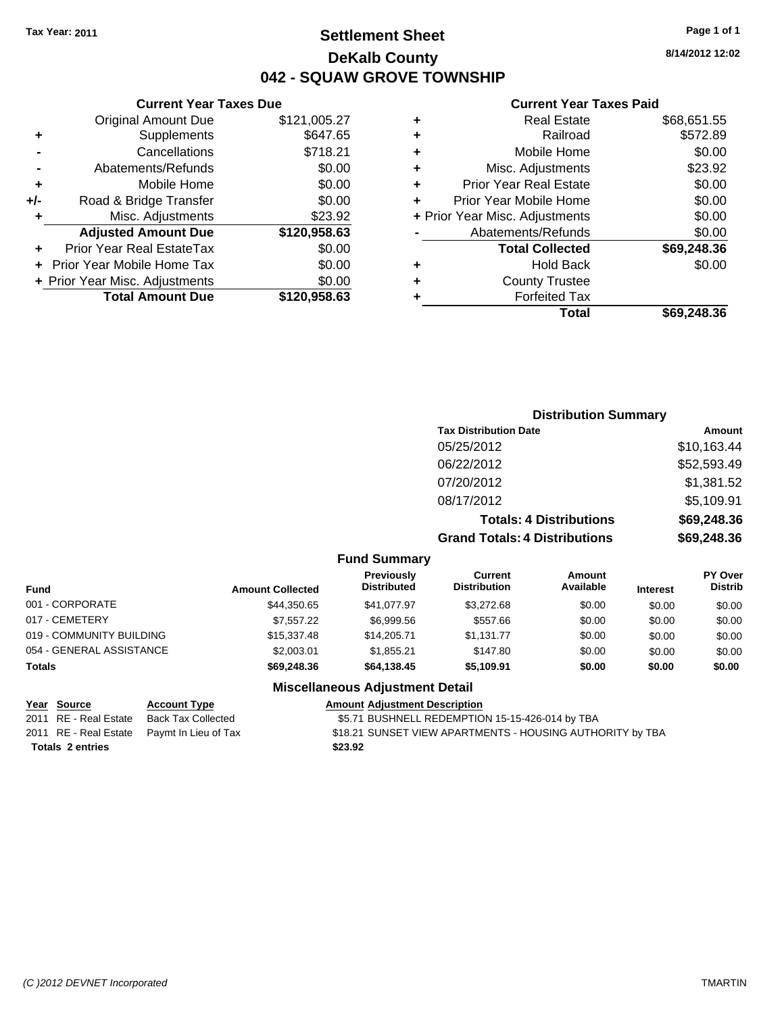# **Settlement Sheet Tax Year: 2011 Page 1 of 1 DeKalb County 042 - SQUAW GROVE TOWNSHIP**

### **Current Year Taxes Due**

| <b>Original Amount Due</b> | \$121,005.27                   |
|----------------------------|--------------------------------|
| Supplements                | \$647.65                       |
| Cancellations              | \$718.21                       |
| Abatements/Refunds         | \$0.00                         |
| Mobile Home                | \$0.00                         |
| Road & Bridge Transfer     | \$0.00                         |
| Misc. Adjustments          | \$23.92                        |
| <b>Adjusted Amount Due</b> | \$120,958.63                   |
| Prior Year Real EstateTax  | \$0.00                         |
| Prior Year Mobile Home Tax | \$0.00                         |
|                            | \$0.00                         |
| <b>Total Amount Due</b>    | \$120,958.63                   |
|                            | + Prior Year Misc. Adjustments |

### **Current Year Taxes Paid**

|   | <b>Real Estate</b>             | \$68,651.55 |
|---|--------------------------------|-------------|
| ٠ | Railroad                       | \$572.89    |
| ٠ | Mobile Home                    | \$0.00      |
| ٠ | Misc. Adjustments              | \$23.92     |
| ٠ | <b>Prior Year Real Estate</b>  | \$0.00      |
|   | Prior Year Mobile Home         | \$0.00      |
|   | + Prior Year Misc. Adjustments | \$0.00      |
|   | Abatements/Refunds             | \$0.00      |
|   | <b>Total Collected</b>         | \$69,248.36 |
| ٠ | <b>Hold Back</b>               | \$0.00      |
| ٠ | <b>County Trustee</b>          |             |
| ٠ | <b>Forfeited Tax</b>           |             |
|   | Total                          | \$69,248.36 |
|   |                                |             |

| <b>Distribution Summary</b>          |             |
|--------------------------------------|-------------|
| <b>Tax Distribution Date</b>         | Amount      |
| 05/25/2012                           | \$10,163.44 |
| 06/22/2012                           | \$52,593.49 |
| 07/20/2012                           | \$1,381.52  |
| 08/17/2012                           | \$5,109.91  |
| <b>Totals: 4 Distributions</b>       | \$69,248.36 |
| <b>Grand Totals: 4 Distributions</b> | \$69,248.36 |
|                                      |             |

### **Fund Summary**

| <b>Fund</b>              | <b>Amount Collected</b> | Previously<br><b>Distributed</b> | Current<br><b>Distribution</b> | Amount<br>Available | <b>Interest</b> | <b>PY Over</b><br><b>Distrib</b> |
|--------------------------|-------------------------|----------------------------------|--------------------------------|---------------------|-----------------|----------------------------------|
| 001 - CORPORATE          | \$44,350.65             | \$41.077.97                      | \$3,272.68                     | \$0.00              | \$0.00          | \$0.00                           |
| 017 - CEMETERY           | \$7,557.22              | \$6,999.56                       | \$557.66                       | \$0.00              | \$0.00          | \$0.00                           |
| 019 - COMMUNITY BUILDING | \$15,337,48             | \$14.205.71                      | \$1.131.77                     | \$0.00              | \$0.00          | \$0.00                           |
| 054 - GENERAL ASSISTANCE | \$2,003.01              | \$1.855.21                       | \$147.80                       | \$0.00              | \$0.00          | \$0.00                           |
| <b>Totals</b>            | \$69,248.36             | \$64,138.45                      | \$5,109.91                     | \$0.00              | \$0.00          | \$0.00                           |

### **Miscellaneous Adjustment Detail**

| Year Source             | <b>Account Type</b>                        | <b>Amount Adjustment Description</b>                      |
|-------------------------|--------------------------------------------|-----------------------------------------------------------|
| 2011 RE - Real Estate   | Back Tax Collected                         | \$5.71 BUSHNELL REDEMPTION 15-15-426-014 by TBA           |
|                         | 2011 RE - Real Estate Paymt In Lieu of Tax | \$18.21 SUNSET VIEW APARTMENTS - HOUSING AUTHORITY by TBA |
| <b>Totals 2 entries</b> |                                            | \$23.92                                                   |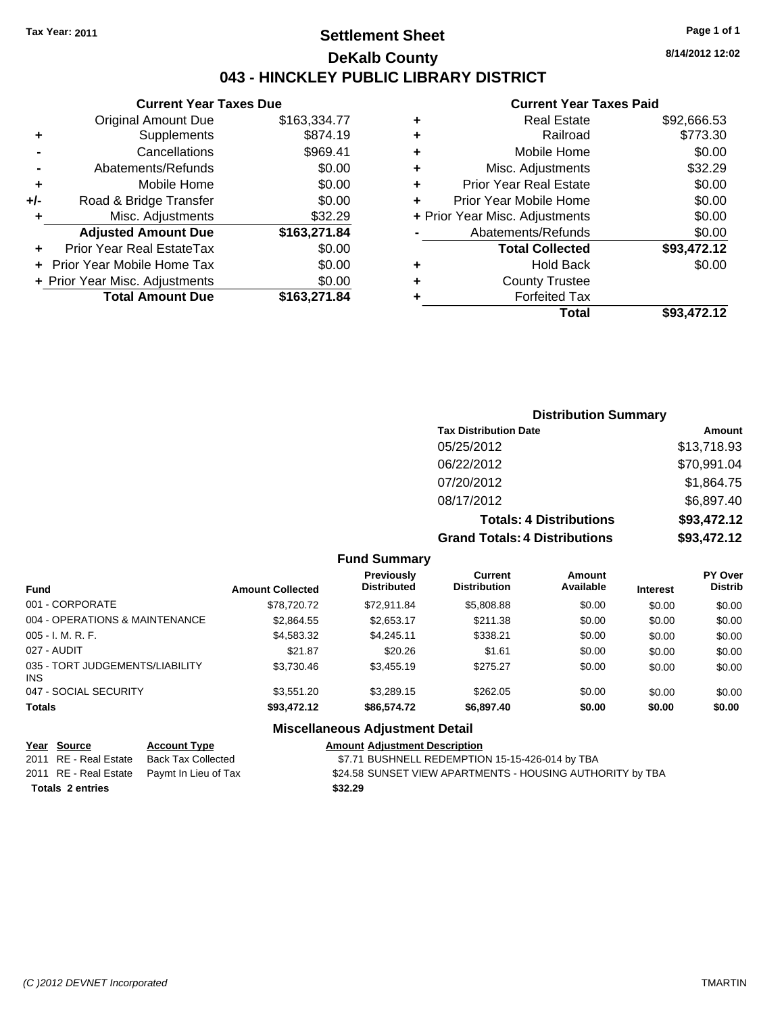# **Settlement Sheet Tax Year: 2011 Page 1 of 1 DeKalb County 043 - HINCKLEY PUBLIC LIBRARY DISTRICT**

**8/14/2012 12:02**

## **Current Year Taxes Paid**

|     | <b>Current Year Taxes Due</b>  |              |
|-----|--------------------------------|--------------|
|     | <b>Original Amount Due</b>     | \$163,334.77 |
| ٠   | Supplements                    | \$874.19     |
|     | Cancellations                  | \$969.41     |
|     | Abatements/Refunds             | \$0.00       |
| ٠   | Mobile Home                    | \$0.00       |
| +/- | Road & Bridge Transfer         | \$0.00       |
| ٠   | Misc. Adjustments              | \$32.29      |
|     | <b>Adjusted Amount Due</b>     | \$163,271.84 |
| ٠   | Prior Year Real EstateTax      | \$0.00       |
|     | Prior Year Mobile Home Tax     | \$0.00       |
|     | + Prior Year Misc. Adjustments | \$0.00       |
|     | <b>Total Amount Due</b>        | \$163,271.84 |

|   | Total                          | \$93,472.12 |
|---|--------------------------------|-------------|
| ٠ | <b>Forfeited Tax</b>           |             |
| ٠ | <b>County Trustee</b>          |             |
| ٠ | <b>Hold Back</b>               | \$0.00      |
|   | <b>Total Collected</b>         | \$93,472.12 |
|   | Abatements/Refunds             | \$0.00      |
|   | + Prior Year Misc. Adjustments | \$0.00      |
| ٠ | Prior Year Mobile Home         | \$0.00      |
| ÷ | <b>Prior Year Real Estate</b>  | \$0.00      |
| ٠ | Misc. Adjustments              | \$32.29     |
| ٠ | Mobile Home                    | \$0.00      |
| ٠ | Railroad                       | \$773.30    |
| ٠ | <b>Real Estate</b>             | \$92,666.53 |
|   |                                |             |

## **Distribution Summary Tax Distribution Date Amount** 05/25/2012 \$13,718.93 06/22/2012 \$70,991.04 07/20/2012 \$1,864.75 08/17/2012 \$6,897.40 **Totals: 4 Distributions \$93,472.12 Grand Totals: 4 Distributions \$93,472.12**

### **Fund Summary**

| <b>Fund</b>                             | <b>Amount Collected</b> | <b>Previously</b><br><b>Distributed</b> | Current<br><b>Distribution</b> | Amount<br>Available | <b>Interest</b> | <b>PY Over</b><br><b>Distrib</b> |
|-----------------------------------------|-------------------------|-----------------------------------------|--------------------------------|---------------------|-----------------|----------------------------------|
| 001 - CORPORATE                         | \$78,720.72             | \$72.911.84                             | \$5,808.88                     | \$0.00              | \$0.00          | \$0.00                           |
| 004 - OPERATIONS & MAINTENANCE          | \$2,864.55              | \$2,653.17                              | \$211.38                       | \$0.00              | \$0.00          | \$0.00                           |
| $005 - I. M. R. F.$                     | \$4,583.32              | \$4.245.11                              | \$338.21                       | \$0.00              | \$0.00          | \$0.00                           |
| 027 - AUDIT                             | \$21.87                 | \$20.26                                 | \$1.61                         | \$0.00              | \$0.00          | \$0.00                           |
| 035 - TORT JUDGEMENTS/LIABILITY<br>INS. | \$3,730.46              | \$3,455.19                              | \$275.27                       | \$0.00              | \$0.00          | \$0.00                           |
| 047 - SOCIAL SECURITY                   | \$3.551.20              | \$3,289.15                              | \$262.05                       | \$0.00              | \$0.00          | \$0.00                           |
| <b>Totals</b>                           | \$93,472.12             | \$86,574.72                             | \$6,897.40                     | \$0.00              | \$0.00          | \$0.00                           |
|                                         |                         |                                         |                                |                     |                 |                                  |

### **Miscellaneous Adjustment Detail**

| Year Source             | <b>Account Type</b>                        | <b>Amount Adjustment Description</b>                      |
|-------------------------|--------------------------------------------|-----------------------------------------------------------|
| 2011 RE - Real Estate   | Back Tax Collected                         | \$7.71 BUSHNELL REDEMPTION 15-15-426-014 by TBA           |
|                         | 2011 RE - Real Estate Paymt In Lieu of Tax | \$24.58 SUNSET VIEW APARTMENTS - HOUSING AUTHORITY by TBA |
| <b>Totals 2 entries</b> |                                            | \$32.29                                                   |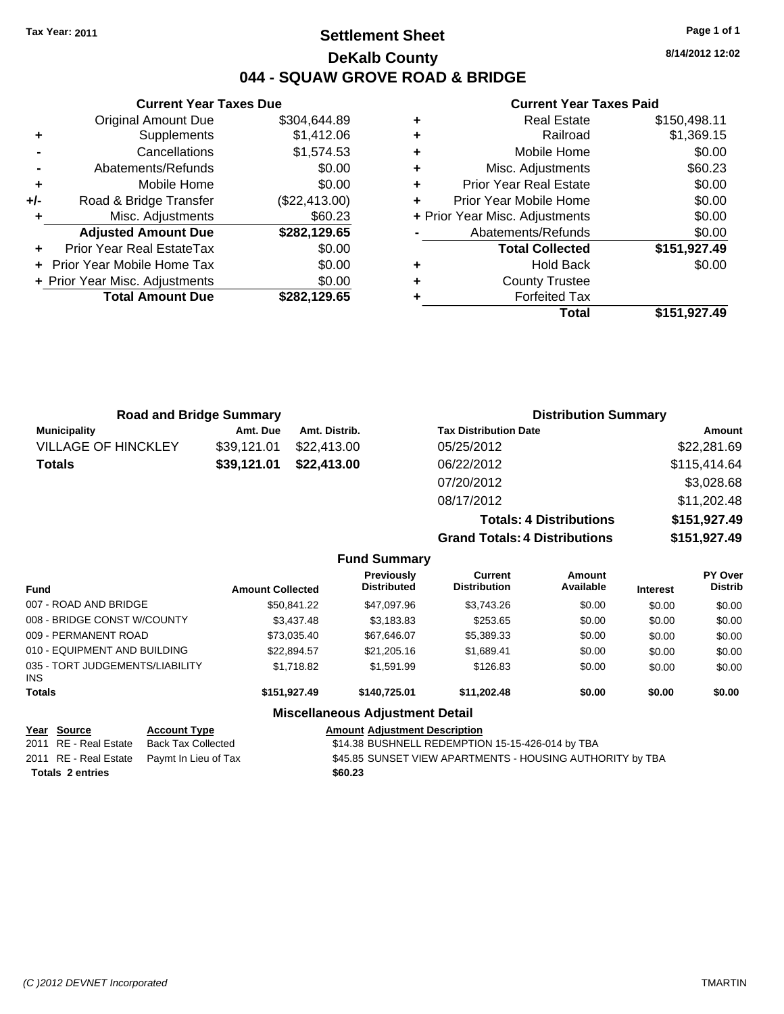# **Settlement Sheet Tax Year: 2011 Page 1 of 1 DeKalb County 044 - SQUAW GROVE ROAD & BRIDGE**

**8/14/2012 12:02**

#### **Current Year Taxes Paid**

|   | Total                          | \$151,927.49 |
|---|--------------------------------|--------------|
|   | <b>Forfeited Tax</b>           |              |
| ÷ | <b>County Trustee</b>          |              |
| ٠ | <b>Hold Back</b>               | \$0.00       |
|   | <b>Total Collected</b>         | \$151,927.49 |
|   | Abatements/Refunds             | \$0.00       |
|   | + Prior Year Misc. Adjustments | \$0.00       |
|   | Prior Year Mobile Home         | \$0.00       |
| ٠ | <b>Prior Year Real Estate</b>  | \$0.00       |
| ٠ | Misc. Adjustments              | \$60.23      |
| ٠ | Mobile Home                    | \$0.00       |
| ٠ | Railroad                       | \$1,369.15   |
| ÷ | <b>Real Estate</b>             | \$150,498.11 |
|   |                                |              |

|       | <b>Current Year Taxes Due</b>  |               |  |  |  |  |  |
|-------|--------------------------------|---------------|--|--|--|--|--|
|       | <b>Original Amount Due</b>     | \$304,644.89  |  |  |  |  |  |
| ٠     | Supplements                    | \$1,412.06    |  |  |  |  |  |
|       | Cancellations                  | \$1,574.53    |  |  |  |  |  |
|       | Abatements/Refunds             | \$0.00        |  |  |  |  |  |
| ٠     | Mobile Home                    | \$0.00        |  |  |  |  |  |
| $+/-$ | Road & Bridge Transfer         | (\$22,413.00) |  |  |  |  |  |
| ٠     | Misc. Adjustments              | \$60.23       |  |  |  |  |  |
|       | <b>Adjusted Amount Due</b>     | \$282,129.65  |  |  |  |  |  |
|       | Prior Year Real EstateTax      | \$0.00        |  |  |  |  |  |
|       | Prior Year Mobile Home Tax     | \$0.00        |  |  |  |  |  |
|       | + Prior Year Misc. Adjustments | \$0.00        |  |  |  |  |  |
|       | <b>Total Amount Due</b>        | \$282,129.65  |  |  |  |  |  |
|       |                                |               |  |  |  |  |  |

| <b>Road and Bridge Summary</b> |             |               | <b>Distribution Summary</b>    |              |  |
|--------------------------------|-------------|---------------|--------------------------------|--------------|--|
| <b>Municipality</b>            | Amt. Due    | Amt. Distrib. | <b>Tax Distribution Date</b>   | Amount       |  |
| <b>VILLAGE OF HINCKLEY</b>     | \$39,121.01 | \$22,413,00   | 05/25/2012                     | \$22,281.69  |  |
| <b>Totals</b>                  | \$39,121.01 | \$22,413.00   | 06/22/2012                     | \$115,414.64 |  |
|                                |             |               | 07/20/2012                     | \$3,028.68   |  |
|                                |             |               | 08/17/2012                     | \$11,202.48  |  |
|                                |             |               | <b>Totals: 4 Distributions</b> | \$151,927.49 |  |

**Grand Totals: 4 Distributions \$151,927.49 Fund Summary PY O Amount Current Previously**

| <b>Fund</b>                            | <b>Amount Collected</b> | <b>Previousiv</b><br><b>Distributed</b> | Current<br><b>Distribution</b> | Amount<br>Available | <b>Interest</b> | <b>PY Over</b><br><b>Distrib</b> |
|----------------------------------------|-------------------------|-----------------------------------------|--------------------------------|---------------------|-----------------|----------------------------------|
| 007 - ROAD AND BRIDGE                  | \$50.841.22             | \$47,097.96                             | \$3,743.26                     | \$0.00              | \$0.00          | \$0.00                           |
| 008 - BRIDGE CONST W/COUNTY            | \$3,437.48              | \$3,183.83                              | \$253.65                       | \$0.00              | \$0.00          | \$0.00                           |
| 009 - PERMANENT ROAD                   | \$73,035.40             | \$67,646.07                             | \$5,389.33                     | \$0.00              | \$0.00          | \$0.00                           |
| 010 - EQUIPMENT AND BUILDING           | \$22.894.57             | \$21,205.16                             | \$1,689.41                     | \$0.00              | \$0.00          | \$0.00                           |
| 035 - TORT JUDGEMENTS/LIABILITY<br>INS | \$1,718.82              | \$1,591.99                              | \$126.83                       | \$0.00              | \$0.00          | \$0.00                           |
| <b>Totals</b>                          | \$151,927.49            | \$140,725.01                            | \$11.202.48                    | \$0.00              | \$0.00          | \$0.00                           |
|                                        |                         | <b>Miscellaneous Adjustment Detail</b>  |                                |                     |                 |                                  |

| Year Source             | <b>Account Type</b>                        | <b>Amount Adjustment Description</b>                      |
|-------------------------|--------------------------------------------|-----------------------------------------------------------|
| 2011 RE - Real Estate   | Back Tax Collected                         | \$14.38 BUSHNELL REDEMPTION 15-15-426-014 by TBA          |
|                         | 2011 RE - Real Estate Paymt In Lieu of Tax | \$45.85 SUNSET VIEW APARTMENTS - HOUSING AUTHORITY by TBA |
| <b>Totals 2 entries</b> |                                            | \$60.23                                                   |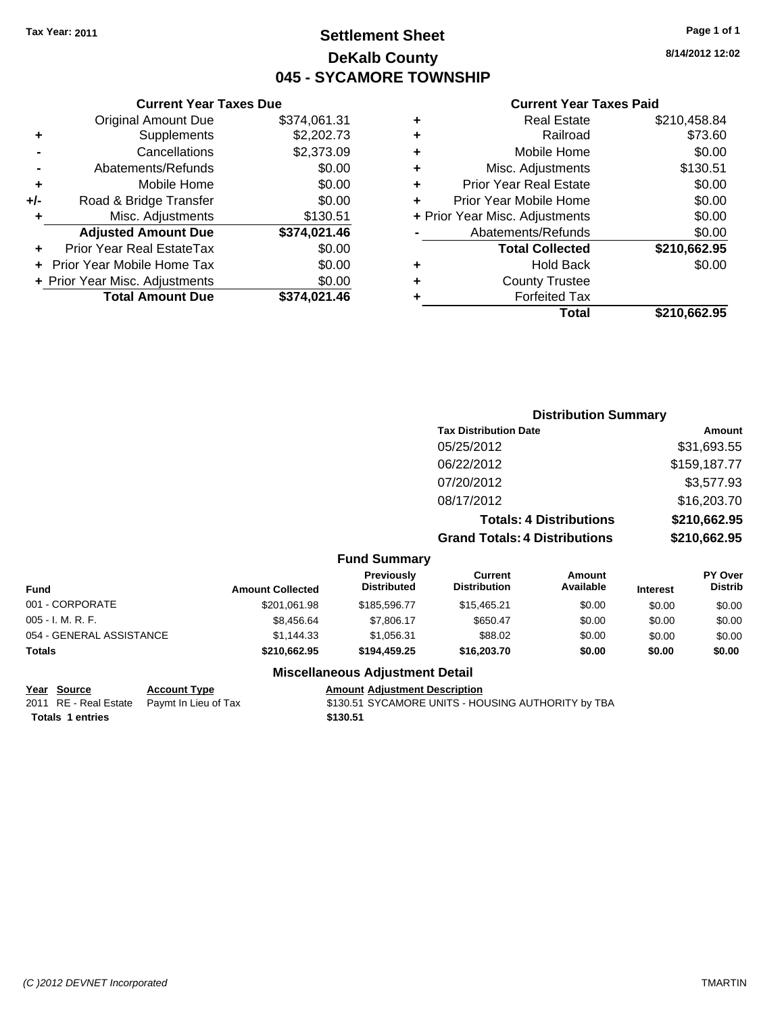# **Settlement Sheet Tax Year: 2011 Page 1 of 1 DeKalb County 045 - SYCAMORE TOWNSHIP**

### **Current Year Taxes Paid**

| ٠ | <b>Real Estate</b>             | \$210,458.84 |
|---|--------------------------------|--------------|
| ٠ | Railroad                       | \$73.60      |
| ٠ | Mobile Home                    | \$0.00       |
| ٠ | Misc. Adjustments              | \$130.51     |
| ÷ | <b>Prior Year Real Estate</b>  | \$0.00       |
| ٠ | Prior Year Mobile Home         | \$0.00       |
|   | + Prior Year Misc. Adjustments | \$0.00       |
|   | Abatements/Refunds             | \$0.00       |
|   | <b>Total Collected</b>         | \$210,662.95 |
| ٠ | <b>Hold Back</b>               | \$0.00       |
| ٠ | <b>County Trustee</b>          |              |
| ٠ | <b>Forfeited Tax</b>           |              |
|   | Total                          | \$210.662.95 |
|   |                                |              |

|     | <b>Current Year Taxes Due</b>     |              |
|-----|-----------------------------------|--------------|
|     | <b>Original Amount Due</b>        | \$374,061.31 |
| ٠   | Supplements                       | \$2,202.73   |
|     | Cancellations                     | \$2,373.09   |
|     | Abatements/Refunds                | \$0.00       |
| ٠   | Mobile Home                       | \$0.00       |
| +/- | Road & Bridge Transfer            | \$0.00       |
| ٠   | Misc. Adjustments                 | \$130.51     |
|     | <b>Adjusted Amount Due</b>        | \$374,021.46 |
|     | Prior Year Real EstateTax         | \$0.00       |
|     | <b>Prior Year Mobile Home Tax</b> | \$0.00       |
|     | + Prior Year Misc. Adjustments    | \$0.00       |
|     | <b>Total Amount Due</b>           | \$374,021.46 |

|           | <b>Distribution Summary</b>          |              |
|-----------|--------------------------------------|--------------|
|           | <b>Tax Distribution Date</b>         | Amount       |
|           | 05/25/2012                           | \$31,693.55  |
|           | 06/22/2012                           | \$159,187.77 |
|           | 07/20/2012                           | \$3,577.93   |
|           | 08/17/2012                           | \$16,203.70  |
|           | <b>Totals: 4 Distributions</b>       | \$210,662.95 |
|           | <b>Grand Totals: 4 Distributions</b> | \$210,662.95 |
| l Cummaru |                                      |              |

|  | <b>Fund Summary</b> |  |
|--|---------------------|--|
|--|---------------------|--|

| Fund                     | <b>Amount Collected</b> | <b>Previously</b><br><b>Distributed</b> | Current<br><b>Distribution</b> | Amount<br>Available | <b>Interest</b> | <b>PY Over</b><br><b>Distrib</b> |
|--------------------------|-------------------------|-----------------------------------------|--------------------------------|---------------------|-----------------|----------------------------------|
| 001 - CORPORATE          | \$201,061.98            | \$185,596,77                            | \$15,465.21                    | \$0.00              | \$0.00          | \$0.00                           |
| 005 - I. M. R. F.        | \$8,456.64              | \$7,806.17                              | \$650.47                       | \$0.00              | \$0.00          | \$0.00                           |
| 054 - GENERAL ASSISTANCE | \$1,144.33              | \$1.056.31                              | \$88.02                        | \$0.00              | \$0.00          | \$0.00                           |
| Totals                   | \$210,662.95            | \$194,459.25                            | \$16,203.70                    | \$0.00              | \$0.00          | \$0.00                           |

### **Miscellaneous Adjustment Detail**

**Totals \$130.51 1 entries**

**Year Source Account Type Amount Adjustment Description**<br>
2011 RE - Real Estate Paymt In Lieu of Tax \$130.51 SYCAMORE UNITS - HO \$130.51 SYCAMORE UNITS - HOUSING AUTHORITY by TBA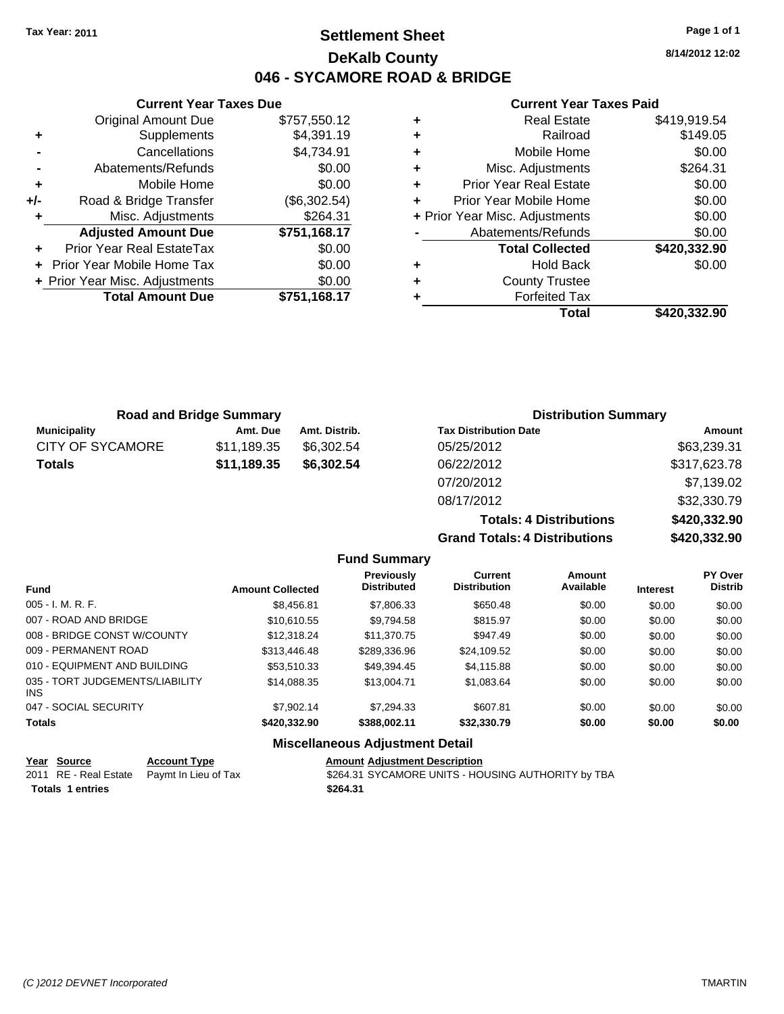# **Settlement Sheet Tax Year: 2011 Page 1 of 1 DeKalb County 046 - SYCAMORE ROAD & BRIDGE**

**8/14/2012 12:02**

### **Current Year Taxes Paid**

| Total                          | \$420,332,90 |
|--------------------------------|--------------|
| <b>Forfeited Tax</b>           |              |
| <b>County Trustee</b>          |              |
| Hold Back                      | \$0.00       |
| <b>Total Collected</b>         | \$420,332.90 |
| Abatements/Refunds             | \$0.00       |
| + Prior Year Misc. Adjustments | \$0.00       |
| Prior Year Mobile Home         | \$0.00       |
| <b>Prior Year Real Estate</b>  | \$0.00       |
| Misc. Adjustments              | \$264.31     |
| Mobile Home                    | \$0.00       |
| Railroad                       | \$149.05     |
| <b>Real Estate</b>             | \$419,919.54 |
|                                |              |

**Grand Totals: 4 Distributions \$420,332.90**

|                     | <b>Road and Bridge Summary</b> |               | <b>Distribution Summary</b>    |              |
|---------------------|--------------------------------|---------------|--------------------------------|--------------|
| <b>Municipality</b> | Amt. Due                       | Amt. Distrib. | <b>Tax Distribution Date</b>   | Amount       |
| CITY OF SYCAMORE    | \$11,189.35                    | \$6,302.54    | 05/25/2012                     | \$63,239.31  |
| Totals              | \$11,189.35                    | \$6,302.54    | 06/22/2012                     | \$317,623.78 |
|                     |                                |               | 07/20/2012                     | \$7,139.02   |
|                     |                                |               | 08/17/2012                     | \$32,330.79  |
|                     |                                |               | <b>Totals: 4 Distributions</b> | \$420,332.90 |

**Fund Summary Fund Interest Amount Collected Distributed PY Over Distrib Amount Available Current Distribution Previously** 005 - I. M. R. F. Charles Communication (St. 2006), \$8,456.81 \$7,806.33 \$650.48 \$0.00 \$0.00 \$0.00 \$0.00 007 - ROAD AND BRIDGE 60.00 \$10,610.55 \$9,794.58 \$815.97 \$0.00 \$0.00 \$0.00 \$0.00 008 - BRIDGE CONST W/COUNTY  $$12,318.24$   $$11,370.75$   $$947.49$   $$0.00$   $$0.00$   $$0.00$ 009 - PERMANENT ROAD \$313,446.48 \$289,336.96 \$24,109.52 \$0.00 \$0.00 \$0.00 \$0.00 010 - EQUIPMENT AND BUILDING \$53,510.33 \$49,394.45 \$4,115.88 \$0.00 \$0.00 \$0.00 035 - TORT JUDGEMENTS/LIABILITY INS \$14,088.35 \$13,004.71 \$1,083.64 \$0.00 \$0.00 \$0.00 \$0.00 047 - SOCIAL SECURITY \$7,902.14 \$7,294.33 \$607.81 \$0.00 \$0.00 \$0.00 **Totals \$420,332.90 \$388,002.11 \$32,330.79 \$0.00 \$0.00 \$0.00**

### **Miscellaneous Adjustment Detail**

|                         | Year Source | <b>Account Type</b>                        | <b>Amount Adiustment Description</b>               |
|-------------------------|-------------|--------------------------------------------|----------------------------------------------------|
|                         |             | 2011 RE - Real Estate Paymt In Lieu of Tax | \$264.31 SYCAMORE UNITS - HOUSING AUTHORITY by TBA |
| <b>Totals 1 entries</b> |             |                                            | \$264.31                                           |

|     | Cancellations                    | \$4,734.91   |
|-----|----------------------------------|--------------|
|     | Abatements/Refunds               | \$0.00       |
| ٠   | Mobile Home                      | \$0.00       |
| +/- | Road & Bridge Transfer           | (\$6,302.54) |
| ٠   | Misc. Adjustments                | \$264.31     |
|     | <b>Adjusted Amount Due</b>       | \$751,168.17 |
|     | <b>Prior Year Real EstateTax</b> | \$0.00       |
|     | + Prior Year Mobile Home Tax     | \$0.00       |
|     | + Prior Year Misc. Adjustments   | \$0.00       |
|     | <b>Total Amount Due</b>          | \$751,168.17 |
|     |                                  |              |

**+** Supplements \$4,391.19

**Current Year Taxes Due** Original Amount Due \$757,550.12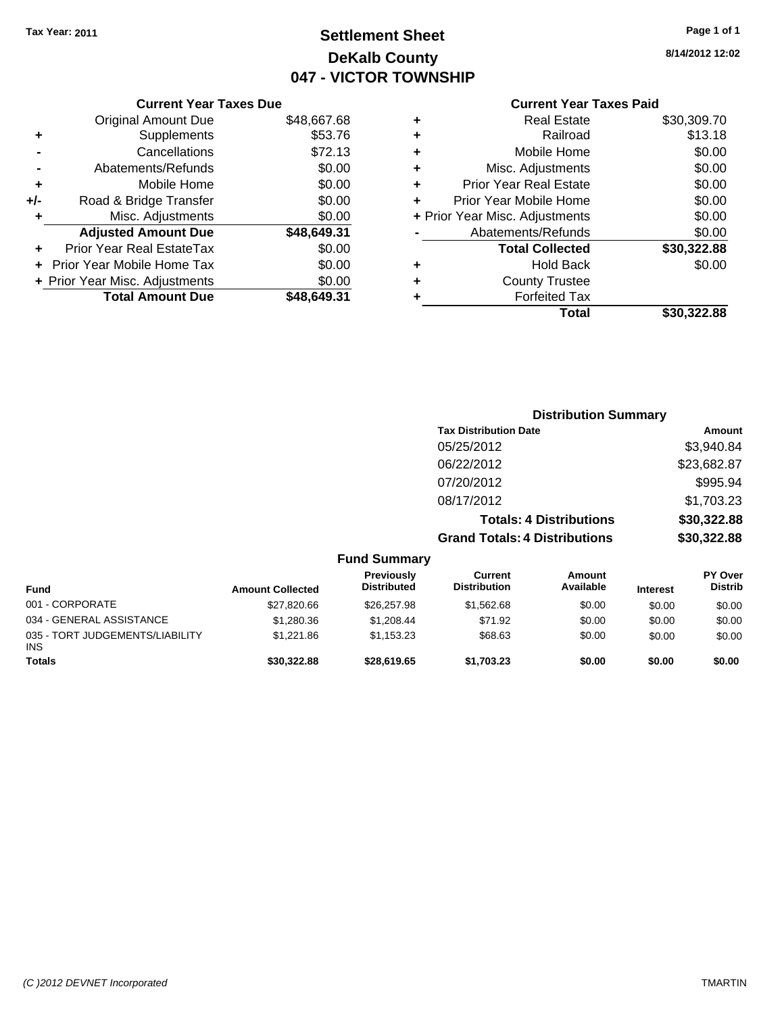# **Settlement Sheet Tax Year: 2011 Page 1 of 1 DeKalb County 047 - VICTOR TOWNSHIP**

**8/14/2012 12:02**

|     | <b>Current Year Taxes Due</b>     |             |  |  |  |
|-----|-----------------------------------|-------------|--|--|--|
|     | <b>Original Amount Due</b>        | \$48,667.68 |  |  |  |
| ٠   | Supplements                       | \$53.76     |  |  |  |
|     | Cancellations                     | \$72.13     |  |  |  |
|     | Abatements/Refunds                | \$0.00      |  |  |  |
| ٠   | Mobile Home                       | \$0.00      |  |  |  |
| +/- | Road & Bridge Transfer            | \$0.00      |  |  |  |
| ٠   | Misc. Adjustments                 | \$0.00      |  |  |  |
|     | <b>Adjusted Amount Due</b>        | \$48,649.31 |  |  |  |
|     | Prior Year Real EstateTax         | \$0.00      |  |  |  |
|     | <b>Prior Year Mobile Home Tax</b> | \$0.00      |  |  |  |
|     | + Prior Year Misc. Adjustments    | \$0.00      |  |  |  |
|     | <b>Total Amount Due</b>           | \$48,649.31 |  |  |  |
|     |                                   |             |  |  |  |

## **Current Year Taxes Paid**

| ٠                              | <b>Real Estate</b>            | \$30,309.70 |
|--------------------------------|-------------------------------|-------------|
| ÷                              | Railroad                      | \$13.18     |
| ٠                              | Mobile Home                   | \$0.00      |
| ٠                              | Misc. Adjustments             | \$0.00      |
| ٠                              | <b>Prior Year Real Estate</b> | \$0.00      |
| ÷                              | Prior Year Mobile Home        | \$0.00      |
| + Prior Year Misc. Adjustments |                               | \$0.00      |
|                                | Abatements/Refunds            | \$0.00      |
|                                | <b>Total Collected</b>        | \$30,322.88 |
| ٠                              | Hold Back                     | \$0.00      |
| ٠                              | <b>County Trustee</b>         |             |
| ٠                              | <b>Forfeited Tax</b>          |             |
|                                | Total                         | \$30,322.88 |
|                                |                               |             |

|                                               |                         |                                         |                                       | <b>Distribution Summary</b>    |                 |                           |
|-----------------------------------------------|-------------------------|-----------------------------------------|---------------------------------------|--------------------------------|-----------------|---------------------------|
|                                               |                         |                                         | <b>Tax Distribution Date</b>          |                                |                 | Amount                    |
|                                               |                         |                                         | 05/25/2012                            |                                |                 | \$3,940.84                |
|                                               |                         |                                         | 06/22/2012                            |                                |                 | \$23,682.87               |
|                                               |                         |                                         | 07/20/2012                            |                                |                 | \$995.94                  |
|                                               |                         |                                         | 08/17/2012                            |                                |                 | \$1,703.23                |
|                                               |                         |                                         |                                       | <b>Totals: 4 Distributions</b> |                 | \$30,322.88               |
|                                               |                         |                                         | <b>Grand Totals: 4 Distributions</b>  |                                |                 | \$30,322.88               |
|                                               |                         | <b>Fund Summary</b>                     |                                       |                                |                 |                           |
| <b>Fund</b>                                   | <b>Amount Collected</b> | <b>Previously</b><br><b>Distributed</b> | <b>Current</b><br><b>Distribution</b> | Amount<br>Available            | <b>Interest</b> | PY Over<br><b>Distrib</b> |
| 001 - CORPORATE                               | \$27,820.66             | \$26,257.98                             | \$1,562.68                            | \$0.00                         | \$0.00          | \$0.00                    |
| 034 - GENERAL ASSISTANCE                      | \$1,280.36              | \$1,208.44                              | \$71.92                               | \$0.00                         | \$0.00          | \$0.00                    |
| 035 - TORT JUDGEMENTS/LIABILITY<br><b>INS</b> | \$1,221.86              | \$1,153.23                              | \$68.63                               | \$0.00                         | \$0.00          | \$0.00                    |

**Totals \$30,322.88 \$28,619.65 \$1,703.23 \$0.00 \$0.00 \$0.00**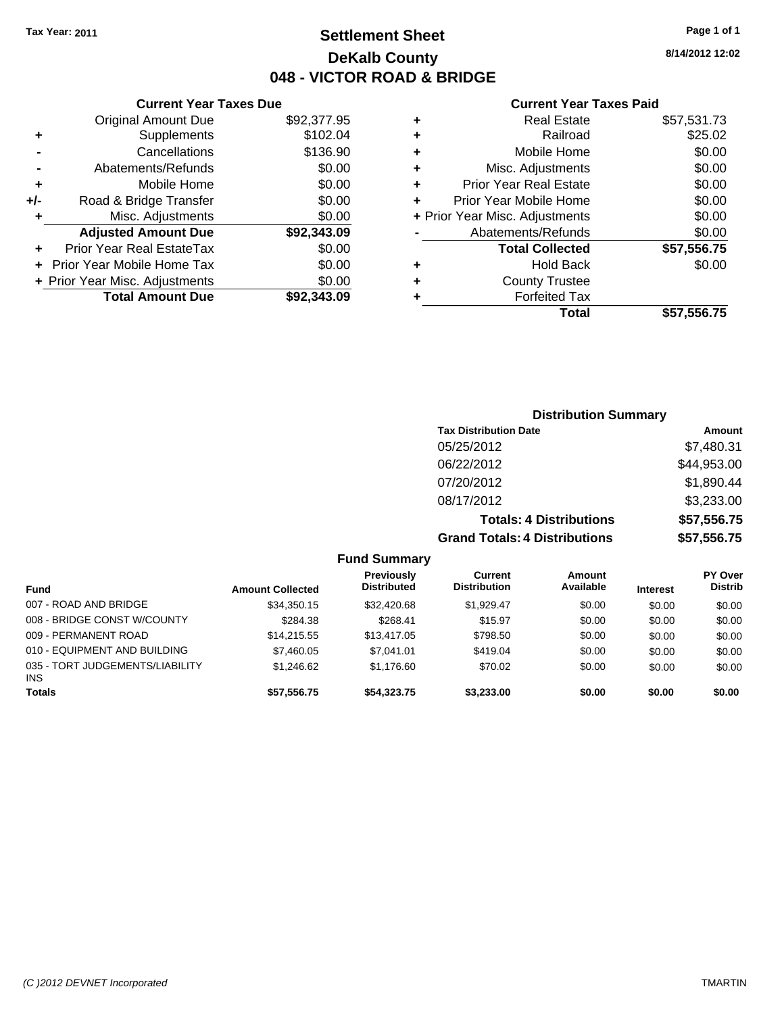**+** Supplements **-** Cancellations **-** Abatements/Refunds **+** Mobile Home **+/-** Road & Bridge Transfer **+** Misc. Adjustments

**+** Prior Year Real EstateTax **+** Prior Year Mobile Home Tax **+ Prior Year Misc. Adjustments** 

**Adjusted Amount Due** 

**Current Year Taxes Due**

# **Settlement Sheet Tax Year: 2011 Page 1 of 1 DeKalb County 048 - VICTOR ROAD & BRIDGE**

**8/14/2012 12:02**

### **Current Year Taxes Paid**

| <b>Original Amount Due</b> | \$92,377.95 | ٠ | <b>Real Estate</b>             | \$57,531.73 |
|----------------------------|-------------|---|--------------------------------|-------------|
| Supplements                | \$102.04    | ٠ | Railroad                       | \$25.02     |
| Cancellations              | \$136.90    | ٠ | Mobile Home                    | \$0.00      |
| Abatements/Refunds         | \$0.00      | ٠ | Misc. Adjustments              | \$0.00      |
| Mobile Home                | \$0.00      | ٠ | <b>Prior Year Real Estate</b>  | \$0.00      |
| oad & Bridge Transfer      | \$0.00      | ٠ | Prior Year Mobile Home         | \$0.00      |
| Misc. Adjustments          | \$0.00      |   | + Prior Year Misc. Adjustments | \$0.00      |
| <b>diusted Amount Due</b>  | \$92,343.09 |   | Abatements/Refunds             | \$0.00      |
| Year Real EstateTax        | \$0.00      |   | <b>Total Collected</b>         | \$57,556.75 |
| ear Mobile Home Tax        | \$0.00      | ٠ | <b>Hold Back</b>               | \$0.00      |
| ar Misc. Adjustments       | \$0.00      | ٠ | <b>County Trustee</b>          |             |
| <b>Total Amount Due</b>    | \$92,343.09 |   | <b>Forfeited Tax</b>           |             |
|                            |             |   | Total                          | \$57.556.75 |

| d Tax |             |
|-------|-------------|
| Total | \$57,556.75 |
|       |             |
|       |             |

## **Distribution Summary Tax Distribution Date Amount** 05/25/2012 \$7,480.31 06/22/2012 \$44,953.00 07/20/2012 \$1,890.44 08/17/2012 \$3,233.00 **Totals: 4 Distributions \$57,556.75**

**Grand Totals: 4 Distributions \$57,556.75**

|                                         |                         | <b>Fund Summary</b>                     |                                       |                     |                 |                                  |
|-----------------------------------------|-------------------------|-----------------------------------------|---------------------------------------|---------------------|-----------------|----------------------------------|
| Fund                                    | <b>Amount Collected</b> | <b>Previously</b><br><b>Distributed</b> | <b>Current</b><br><b>Distribution</b> | Amount<br>Available | <b>Interest</b> | <b>PY Over</b><br><b>Distrib</b> |
| 007 - ROAD AND BRIDGE                   | \$34.350.15             | \$32,420.68                             | \$1.929.47                            | \$0.00              | \$0.00          | \$0.00                           |
| 008 - BRIDGE CONST W/COUNTY             | \$284.38                | \$268.41                                | \$15.97                               | \$0.00              | \$0.00          | \$0.00                           |
| 009 - PERMANENT ROAD                    | \$14.215.55             | \$13,417.05                             | \$798.50                              | \$0.00              | \$0.00          | \$0.00                           |
| 010 - EQUIPMENT AND BUILDING            | \$7,460.05              | \$7.041.01                              | \$419.04                              | \$0.00              | \$0.00          | \$0.00                           |
| 035 - TORT JUDGEMENTS/LIABILITY<br>INS. | \$1,246.62              | \$1,176.60                              | \$70.02                               | \$0.00              | \$0.00          | \$0.00                           |
| Totals                                  | \$57,556.75             | \$54,323.75                             | \$3,233.00                            | \$0.00              | \$0.00          | \$0.00                           |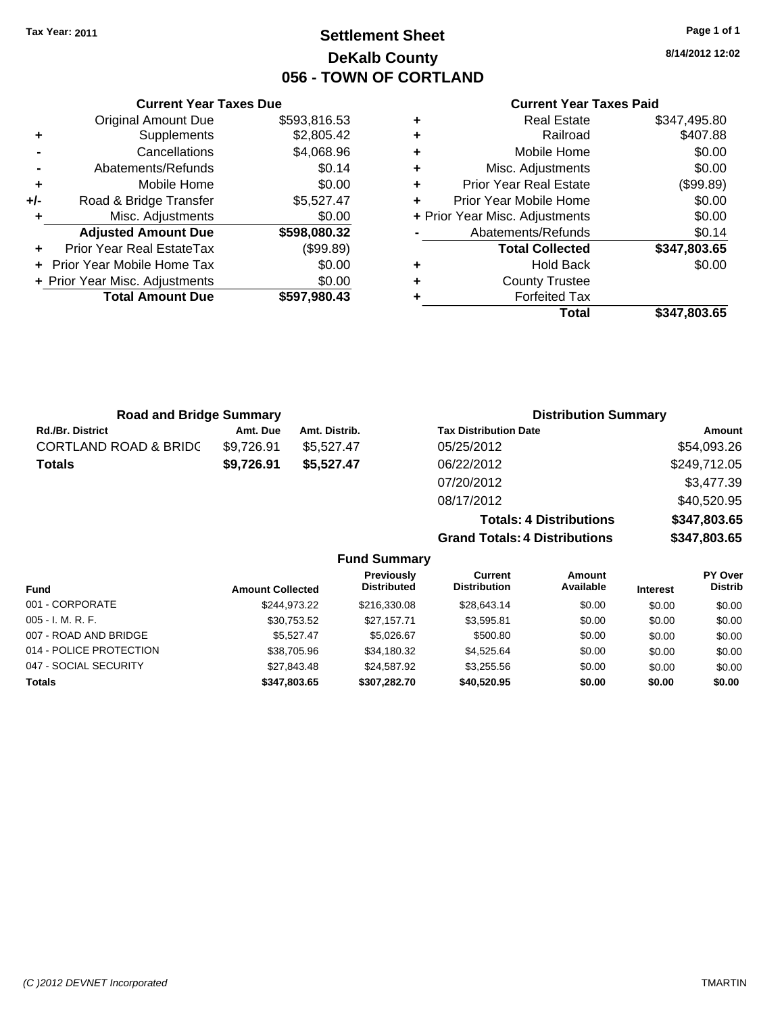**Current Year Taxes Due** Original Amount Due \$593,816.53

**Adjusted Amount Due \$598,080.32**

**Total Amount Due \$597,980.43**

**+** Supplements \$2,805.42 **-** Cancellations \$4,068.96 **-** Abatements/Refunds \$0.14 **+** Mobile Home \$0.00 **+/-** Road & Bridge Transfer \$5,527.47 **+** Misc. Adjustments \$0.00

**+** Prior Year Real EstateTax (\$99.89) **+** Prior Year Mobile Home Tax \$0.00 **+ Prior Year Misc. Adjustments**  $$0.00$ 

# **Settlement Sheet Tax Year: 2011 Page 1 of 1 DeKalb County 056 - TOWN OF CORTLAND**

**8/14/2012 12:02**

### **Current Year Taxes Paid**

| ٠ | <b>Real Estate</b>             | \$347,495.80 |
|---|--------------------------------|--------------|
| ٠ | Railroad                       | \$407.88     |
| ٠ | Mobile Home                    | \$0.00       |
| ٠ | Misc. Adjustments              | \$0.00       |
| ٠ | <b>Prior Year Real Estate</b>  | (\$99.89)    |
| ÷ | Prior Year Mobile Home         | \$0.00       |
|   | + Prior Year Misc. Adjustments | \$0.00       |
|   | Abatements/Refunds             | \$0.14       |
|   | <b>Total Collected</b>         | \$347,803.65 |
| ٠ | <b>Hold Back</b>               | \$0.00       |
| ٠ | <b>County Trustee</b>          |              |
|   | <b>Forfeited Tax</b>           |              |
|   | Total                          | \$347.803.65 |

**Totals: 4 Distributions \$347,803.65**

**Grand Totals: 4 Distributions \$347,803.65**

| <b>Road and Bridge Summary</b>   |            |               | <b>Distribution Summary</b>  |              |  |
|----------------------------------|------------|---------------|------------------------------|--------------|--|
| <b>Rd./Br. District</b>          | Amt. Due   | Amt. Distrib. | <b>Tax Distribution Date</b> | Amount       |  |
| <b>CORTLAND ROAD &amp; BRIDC</b> | \$9.726.91 | \$5.527.47    | 05/25/2012                   | \$54,093.26  |  |
| <b>Totals</b>                    | \$9,726.91 | \$5.527.47    | 06/22/2012                   | \$249,712.05 |  |
|                                  |            |               | 07/20/2012                   | \$3,477.39   |  |
|                                  |            |               | 08/17/2012                   | \$40,520.95  |  |

| <b>Fund Summary</b>     |                         |                                         |                                |                            |                 |                                  |
|-------------------------|-------------------------|-----------------------------------------|--------------------------------|----------------------------|-----------------|----------------------------------|
| <b>Fund</b>             | <b>Amount Collected</b> | <b>Previously</b><br><b>Distributed</b> | Current<br><b>Distribution</b> | <b>Amount</b><br>Available | <b>Interest</b> | <b>PY Over</b><br><b>Distrib</b> |
| 001 - CORPORATE         | \$244.973.22            | \$216,330.08                            | \$28,643.14                    | \$0.00                     | \$0.00          | \$0.00                           |
| $005 - I. M. R. F.$     | \$30,753.52             | \$27.157.71                             | \$3.595.81                     | \$0.00                     | \$0.00          | \$0.00                           |
| 007 - ROAD AND BRIDGE   | \$5.527.47              | \$5,026.67                              | \$500.80                       | \$0.00                     | \$0.00          | \$0.00                           |
| 014 - POLICE PROTECTION | \$38,705.96             | \$34,180.32                             | \$4.525.64                     | \$0.00                     | \$0.00          | \$0.00                           |
| 047 - SOCIAL SECURITY   | \$27,843,48             | \$24.587.92                             | \$3.255.56                     | \$0.00                     | \$0.00          | \$0.00                           |
| <b>Totals</b>           | \$347,803.65            | \$307,282.70                            | \$40,520.95                    | \$0.00                     | \$0.00          | \$0.00                           |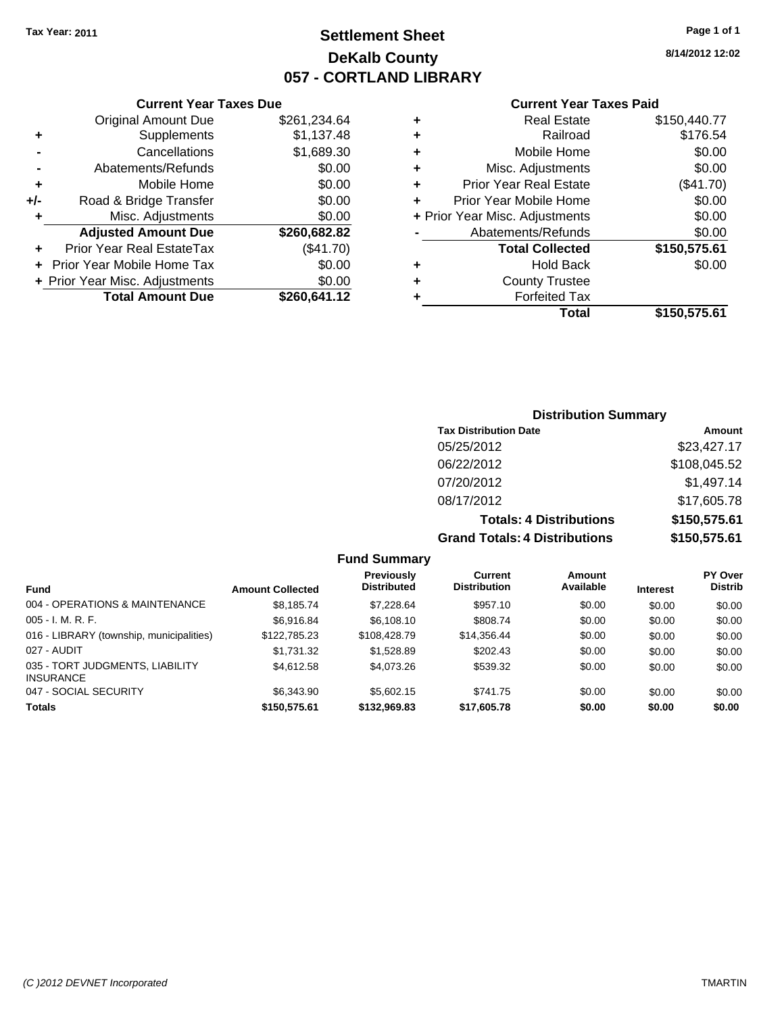# **Settlement Sheet Tax Year: 2011 Page 1 of 1 DeKalb County 057 - CORTLAND LIBRARY**

**8/14/2012 12:02**

### **Current Year Taxes Paid**

|     | <b>Current Year Taxes Due</b>  |              |
|-----|--------------------------------|--------------|
|     | <b>Original Amount Due</b>     | \$261,234.64 |
| ٠   | Supplements                    | \$1,137.48   |
|     | Cancellations                  | \$1,689.30   |
|     | Abatements/Refunds             | \$0.00       |
| ٠   | Mobile Home                    | \$0.00       |
| +/- | Road & Bridge Transfer         | \$0.00       |
| ٠   | Misc. Adjustments              | \$0.00       |
|     | <b>Adjusted Amount Due</b>     | \$260,682.82 |
| ٠   | Prior Year Real EstateTax      | (\$41.70)    |
|     | Prior Year Mobile Home Tax     | \$0.00       |
|     | + Prior Year Misc. Adjustments | \$0.00       |
|     | <b>Total Amount Due</b>        | \$260,641.12 |
|     |                                |              |

| ÷ | Railroad                       | \$176.54     |
|---|--------------------------------|--------------|
| ٠ | Mobile Home                    | \$0.00       |
| ٠ | Misc. Adjustments              | \$0.00       |
| ÷ | <b>Prior Year Real Estate</b>  | (\$41.70)    |
| ٠ | Prior Year Mobile Home         | \$0.00       |
|   | + Prior Year Misc. Adjustments | \$0.00       |
|   | Abatements/Refunds             | \$0.00       |
|   | <b>Total Collected</b>         | \$150,575.61 |
| ٠ | Hold Back                      | \$0.00       |
| ٠ | <b>County Trustee</b>          |              |
|   |                                |              |
| ٠ | <b>Forfeited Tax</b>           |              |
|   | Total                          | \$150,575.61 |

### **Distribution Summary Tax Distribution Date Amount** 05/25/2012 \$23,427.17 06/22/2012 \$108,045.52 07/20/2012 \$1,497.14 08/17/2012 \$17,605.78 **Totals: 4 Distributions \$150,575.61 Grand Totals: 4 Distributions \$150,575.61**

### **Fund Summary**

| <b>Fund</b>                                         | <b>Amount Collected</b> | Previously<br><b>Distributed</b> | Current<br><b>Distribution</b> | Amount<br>Available | <b>Interest</b> | <b>PY Over</b><br><b>Distrib</b> |
|-----------------------------------------------------|-------------------------|----------------------------------|--------------------------------|---------------------|-----------------|----------------------------------|
| 004 - OPERATIONS & MAINTENANCE                      | \$8,185.74              | \$7,228.64                       | \$957.10                       | \$0.00              | \$0.00          | \$0.00                           |
| $005 - I. M. R. F.$                                 | \$6.916.84              | \$6,108,10                       | \$808.74                       | \$0.00              | \$0.00          | \$0.00                           |
| 016 - LIBRARY (township, municipalities)            | \$122,785.23            | \$108,428.79                     | \$14,356.44                    | \$0.00              | \$0.00          | \$0.00                           |
| 027 - AUDIT                                         | \$1.731.32              | \$1.528.89                       | \$202.43                       | \$0.00              | \$0.00          | \$0.00                           |
| 035 - TORT JUDGMENTS, LIABILITY<br><b>INSURANCE</b> | \$4.612.58              | \$4.073.26                       | \$539.32                       | \$0.00              | \$0.00          | \$0.00                           |
| 047 - SOCIAL SECURITY                               | \$6,343.90              | \$5,602.15                       | \$741.75                       | \$0.00              | \$0.00          | \$0.00                           |
| <b>Totals</b>                                       | \$150,575.61            | \$132,969.83                     | \$17,605.78                    | \$0.00              | \$0.00          | \$0.00                           |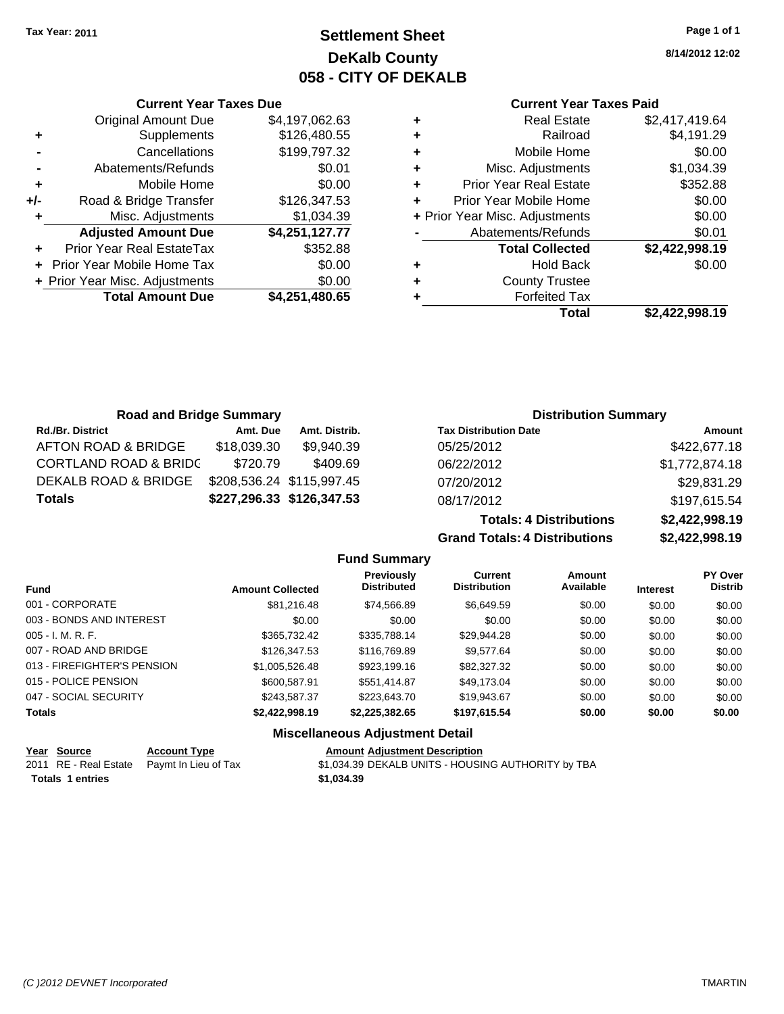**Current Year Taxes Due** Original Amount Due \$4,197,062.63

**Adjusted Amount Due \$4,251,127.77**

**Total Amount Due \$4,251,480.65**

**+** Supplements \$126,480.55 **-** Cancellations \$199,797.32 **-** Abatements/Refunds \$0.01 **+** Mobile Home \$0.00 **+/-** Road & Bridge Transfer \$126,347.53 **+** Misc. Adjustments \$1,034.39

**+** Prior Year Real EstateTax \$352.88 **+** Prior Year Mobile Home Tax \$0.00 **+ Prior Year Misc. Adjustments**  $$0.00$ 

# **Settlement Sheet Tax Year: 2011 Page 1 of 1 DeKalb County 058 - CITY OF DEKALB**

**8/14/2012 12:02**

### **Current Year Taxes Paid**

| ٠ | <b>Real Estate</b>             | \$2,417,419.64 |
|---|--------------------------------|----------------|
| ٠ | Railroad                       | \$4,191.29     |
| ٠ | Mobile Home                    | \$0.00         |
| ٠ | Misc. Adjustments              | \$1,034.39     |
| ÷ | <b>Prior Year Real Estate</b>  | \$352.88       |
| ÷ | Prior Year Mobile Home         | \$0.00         |
|   | + Prior Year Misc. Adjustments | \$0.00         |
|   | Abatements/Refunds             | \$0.01         |
|   | <b>Total Collected</b>         | \$2,422,998.19 |
| ٠ | Hold Back                      | \$0.00         |
| ٠ | <b>County Trustee</b>          |                |
| ٠ | <b>Forfeited Tax</b>           |                |
|   | Total                          | \$2.422.998.19 |

**Totals: 4 Distributions \$2,422,998.19**

**Grand Totals: 4 Distributions \$2,422,998.19**

| <b>Road and Bridge Summary</b>   |             |                           | <b>Distribution Summary</b>  |                |  |
|----------------------------------|-------------|---------------------------|------------------------------|----------------|--|
| <b>Rd./Br. District</b>          | Amt. Due    | Amt. Distrib.             | <b>Tax Distribution Date</b> | Amount         |  |
| AFTON ROAD & BRIDGE              | \$18,039.30 | \$9,940.39                | 05/25/2012                   | \$422,677.18   |  |
| <b>CORTLAND ROAD &amp; BRIDC</b> | \$720.79    | \$409.69                  | 06/22/2012                   | \$1,772,874.18 |  |
| DEKALB ROAD & BRIDGE             |             | \$208,536.24 \$115,997.45 | 07/20/2012                   | \$29,831.29    |  |
| <b>Totals</b>                    |             | \$227,296.33 \$126,347.53 | 08/17/2012                   | \$197,615.54   |  |

**Fund Summary Fund Interest Amount Collected Distributed PY Over Distrib Amount Available Current Distribution Previously** 001 - CORPORATE \$81,216.48 \$74,566.89 \$6,649.59 \$0.00 \$0.00 \$0.00 003 - BONDS AND INTEREST  $$0.00$   $$0.00$   $$0.00$   $$0.00$   $$0.00$   $$0.00$   $$0.00$   $$0.00$ 005 - I. M. R. F. \$365,732.42 \$335,788.14 \$29,944.28 \$0.00 \$0.00 \$0.00 007 - ROAD AND BRIDGE \$106,347.53 \$116,769.89 \$9,577.64 \$0.00 \$0.00 \$0.00 \$0.00 013 - FIREFIGHTER'S PENSION \$1,005,526.48 \$923,199.16 \$82,327.32 \$0.00 \$0.00 \$0.00 015 - POLICE PENSION \$600,587.91 \$551,414.87 \$49,173.04 \$0.00 \$0.00 \$0.00 \$0.00 047 - SOCIAL SECURITY 6243,587.37 \$223,643.70 \$19,943.67 \$0.00 \$0.00 \$0.00 \$0.00 **Totals \$2,422,998.19 \$2,225,382.65 \$197,615.54 \$0.00 \$0.00 \$0.00 Miscellaneous Adjustment Detail**

| Year Source             | <b>Account Type</b>                        | <b>Amount Adiustment Description</b>               |
|-------------------------|--------------------------------------------|----------------------------------------------------|
|                         | 2011 RE - Real Estate Paymt In Lieu of Tax | \$1,034.39 DEKALB UNITS - HOUSING AUTHORITY by TBA |
| <b>Totals 1 entries</b> |                                            | \$1.034.39                                         |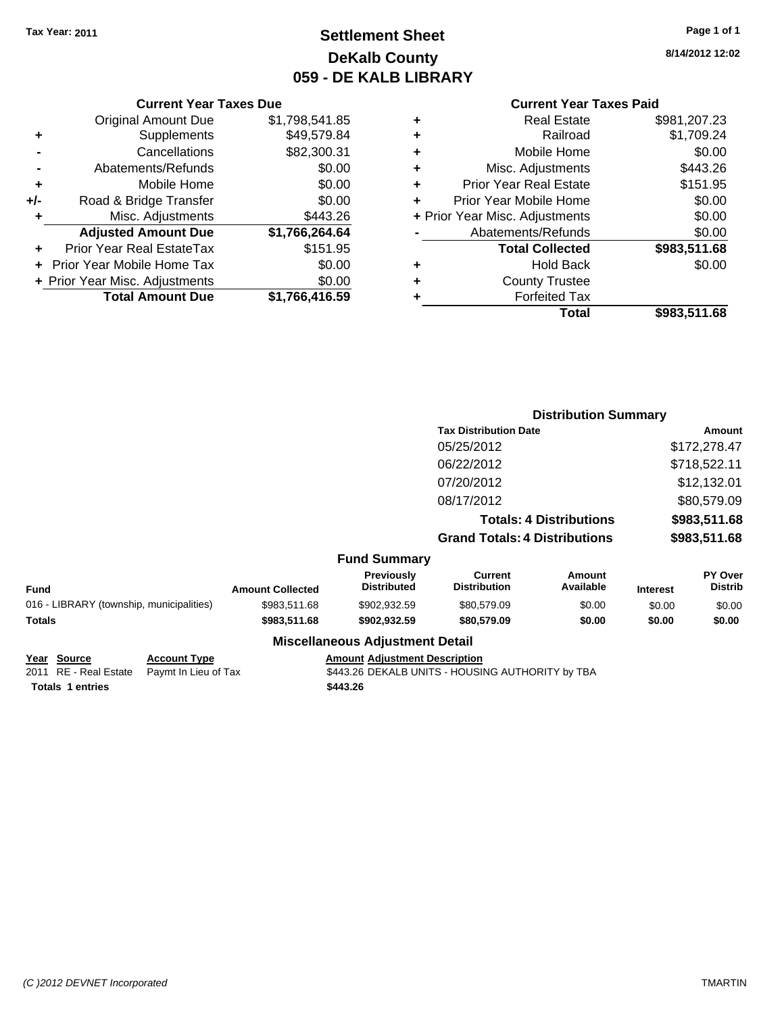# **Settlement Sheet Tax Year: 2011 Page 1 of 1 DeKalb County 059 - DE KALB LIBRARY**

**8/14/2012 12:02**

### **Current Year Taxes Paid**

|   | Total                          | \$983,511.68 |
|---|--------------------------------|--------------|
| ٠ | <b>Forfeited Tax</b>           |              |
| ٠ | <b>County Trustee</b>          |              |
| ٠ | <b>Hold Back</b>               | \$0.00       |
|   | <b>Total Collected</b>         | \$983,511.68 |
|   | Abatements/Refunds             | \$0.00       |
|   | + Prior Year Misc. Adjustments | \$0.00       |
| ÷ | Prior Year Mobile Home         | \$0.00       |
| ٠ | <b>Prior Year Real Estate</b>  | \$151.95     |
| ÷ | Misc. Adjustments              | \$443.26     |
| ٠ | Mobile Home                    | \$0.00       |
| ÷ | Railroad                       | \$1,709.24   |
| ٠ | Real Estate                    | \$981,207.23 |

|     | <b>Current Year Taxes Due</b>    |                |
|-----|----------------------------------|----------------|
|     | <b>Original Amount Due</b>       | \$1,798,541.85 |
| ٠   | Supplements                      | \$49,579.84    |
|     | Cancellations                    | \$82,300.31    |
|     | Abatements/Refunds               | \$0.00         |
| ٠   | Mobile Home                      | \$0.00         |
| +/- | Road & Bridge Transfer           | \$0.00         |
| ٠   | Misc. Adjustments                | \$443.26       |
|     | <b>Adjusted Amount Due</b>       | \$1,766,264.64 |
|     | <b>Prior Year Real EstateTax</b> | \$151.95       |
|     | Prior Year Mobile Home Tax       | \$0.00         |
|     | + Prior Year Misc. Adjustments   | \$0.00         |
|     | <b>Total Amount Due</b>          | \$1,766,416.59 |
|     |                                  |                |

|                                          |                         | <b>Distribution Summary</b>      |                                       |                                |                 |                                  |
|------------------------------------------|-------------------------|----------------------------------|---------------------------------------|--------------------------------|-----------------|----------------------------------|
|                                          |                         |                                  | <b>Tax Distribution Date</b>          |                                |                 | Amount                           |
|                                          |                         |                                  | 05/25/2012                            |                                |                 | \$172,278.47                     |
|                                          |                         |                                  | 06/22/2012                            |                                |                 | \$718,522.11                     |
|                                          |                         |                                  | 07/20/2012                            |                                |                 | \$12,132.01                      |
|                                          |                         |                                  | 08/17/2012                            |                                |                 | \$80,579.09                      |
|                                          |                         |                                  |                                       | <b>Totals: 4 Distributions</b> |                 | \$983,511.68                     |
|                                          |                         |                                  | <b>Grand Totals: 4 Distributions</b>  |                                |                 | \$983,511.68                     |
|                                          |                         | <b>Fund Summary</b>              |                                       |                                |                 |                                  |
| <b>Fund</b>                              | <b>Amount Collected</b> | Previously<br><b>Distributed</b> | <b>Current</b><br><b>Distribution</b> | Amount<br>Available            | <b>Interest</b> | <b>PY Over</b><br><b>Distrib</b> |
| 016 - LIBRARY (township, municipalities) | \$983,511.68            | \$902.932.59                     | \$80,579.09                           | \$0.00                         | \$0.00          | \$0.00                           |
| <b>Totals</b>                            | \$983,511.68            | \$902,932.59                     | \$80,579.09                           | \$0.00                         | \$0.00          | \$0.00                           |

#### **Miscellaneous Adjustment Detail**

**Year Source Account Type Amount Adjustment Description Totals \$443.26 1 entries**

2011 RE - Real Estate Paymt In Lieu of Tax **5443.26 DEKALB UNITS - HOUSING AUTHORITY** by TBA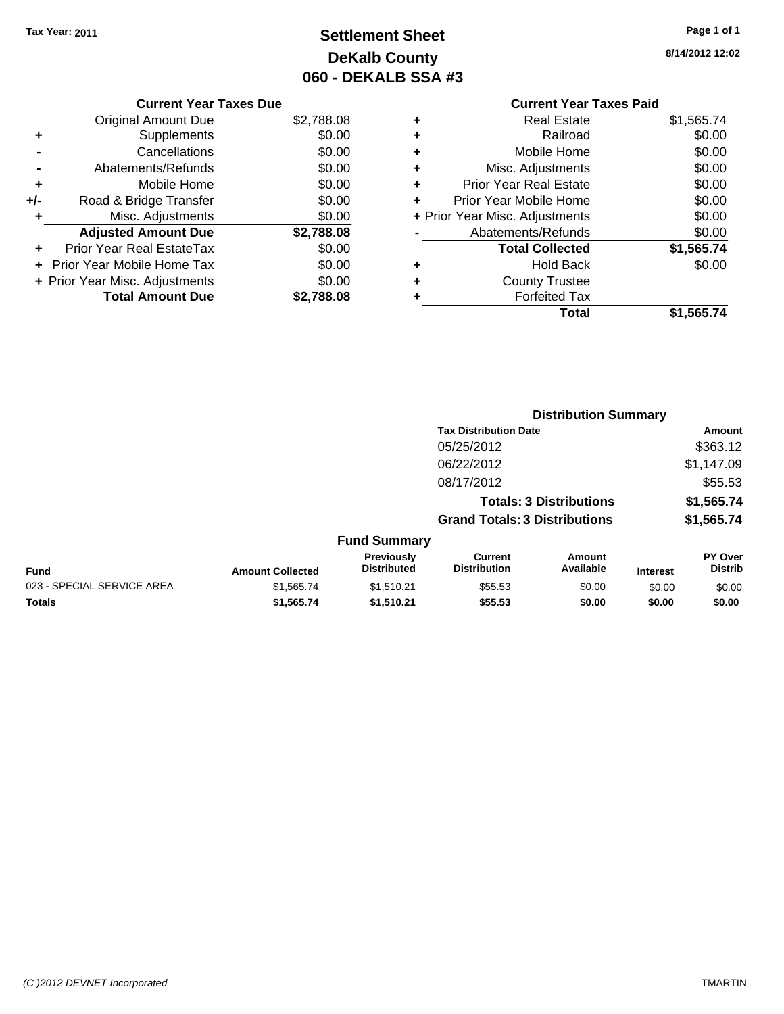# **Settlement Sheet Tax Year: 2011 Page 1 of 1 DeKalb County 060 - DEKALB SSA #3**

**8/14/2012 12:02**

### **Current Year Taxes Due**

|       | <b>Original Amount Due</b>        | \$2,788.08 |
|-------|-----------------------------------|------------|
| ٠     | Supplements                       | \$0.00     |
|       | Cancellations                     | \$0.00     |
|       | Abatements/Refunds                | \$0.00     |
| ÷     | Mobile Home                       | \$0.00     |
| $+/-$ | Road & Bridge Transfer            | \$0.00     |
| ٠     | Misc. Adjustments                 | \$0.00     |
|       | <b>Adjusted Amount Due</b>        | \$2,788.08 |
|       | <b>Prior Year Real EstateTax</b>  | \$0.00     |
|       | <b>Prior Year Mobile Home Tax</b> | \$0.00     |
|       | + Prior Year Misc. Adjustments    | \$0.00     |
|       | <b>Total Amount Due</b>           | \$2,788.08 |

# **Current Year Taxes Paid +** Real Estate \$1,565.74

|   | Total                          | \$1,565.74 |
|---|--------------------------------|------------|
|   | <b>Forfeited Tax</b>           |            |
|   | <b>County Trustee</b>          |            |
|   | <b>Hold Back</b>               | \$0.00     |
|   | <b>Total Collected</b>         | \$1,565.74 |
|   | Abatements/Refunds             | \$0.00     |
|   | + Prior Year Misc. Adjustments | \$0.00     |
|   | Prior Year Mobile Home         | \$0.00     |
|   | <b>Prior Year Real Estate</b>  | \$0.00     |
| ٠ | Misc. Adjustments              | \$0.00     |
| ٠ | Mobile Home                    | \$0.00     |
|   | Railroad                       | \$0.00     |
|   |                                |            |

|                            |                         |                                  | <b>Distribution Summary</b>           |                                |                 |                                  |
|----------------------------|-------------------------|----------------------------------|---------------------------------------|--------------------------------|-----------------|----------------------------------|
|                            |                         |                                  | <b>Tax Distribution Date</b>          |                                |                 | Amount                           |
|                            |                         |                                  | 05/25/2012                            |                                |                 | \$363.12                         |
|                            |                         |                                  | 06/22/2012                            |                                |                 | \$1,147.09                       |
|                            |                         |                                  | 08/17/2012                            |                                |                 | \$55.53                          |
|                            |                         |                                  |                                       | <b>Totals: 3 Distributions</b> |                 | \$1,565.74                       |
|                            |                         |                                  | <b>Grand Totals: 3 Distributions</b>  |                                |                 | \$1,565.74                       |
|                            |                         | <b>Fund Summary</b>              |                                       |                                |                 |                                  |
| <b>Fund</b>                | <b>Amount Collected</b> | Previously<br><b>Distributed</b> | <b>Current</b><br><b>Distribution</b> | Amount<br>Available            | <b>Interest</b> | <b>PY Over</b><br><b>Distrib</b> |
| 023 - SPECIAL SERVICE AREA | \$1,565.74              | \$1,510.21                       | \$55.53                               | \$0.00                         | \$0.00          | \$0.00                           |
| Totals                     | \$1,565.74              | \$1,510.21                       | \$55.53                               | \$0.00                         | \$0.00          | \$0.00                           |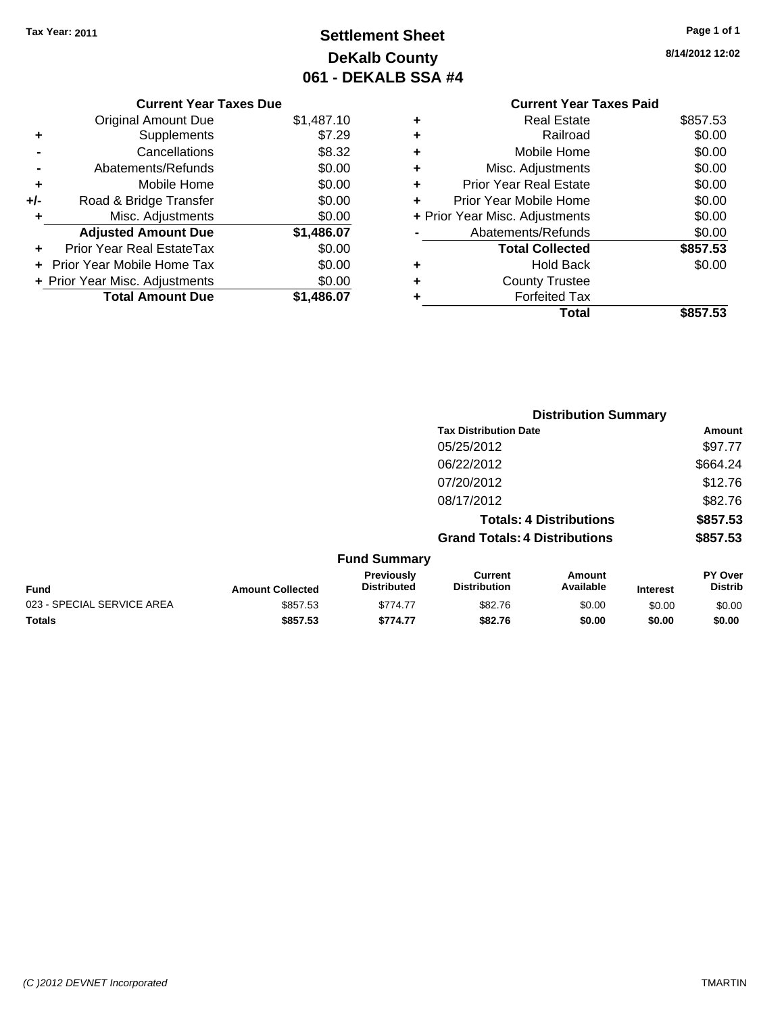# **Settlement Sheet Tax Year: 2011 Page 1 of 1 DeKalb County 061 - DEKALB SSA #4**

**8/14/2012 12:02**

|   | <b>Current Year Taxes Paid</b> |          |
|---|--------------------------------|----------|
| ÷ | Real Estate                    | \$857.53 |
| ÷ | Railroad                       | \$0.00   |
| ÷ | Mobile Home                    | \$0.00   |
| ÷ | Misc. Adjustments              | \$0.00   |
| ÷ | <b>Prior Year Real Estate</b>  | \$0.00   |
| ÷ | Prior Year Mobile Home         | \$0.00   |
|   | + Prior Year Misc. Adjustments | \$0.00   |
|   | Abatements/Refunds             | \$0.00   |
|   | <b>Total Collected</b>         | \$857.53 |
| ٠ | Hold Back                      | \$0.00   |
| ٠ | <b>County Trustee</b>          |          |
| ٠ | <b>Forfeited Tax</b>           |          |
|   | Total                          | \$857.53 |
|   |                                |          |

|     | <b>Current Year Taxes Due</b>     |            |
|-----|-----------------------------------|------------|
|     | <b>Original Amount Due</b>        | \$1,487.10 |
|     | Supplements                       | \$7.29     |
|     | Cancellations                     | \$8.32     |
|     | Abatements/Refunds                | \$0.00     |
| ٠   | Mobile Home                       | \$0.00     |
| +/- | Road & Bridge Transfer            | \$0.00     |
| ٠   | Misc. Adjustments                 | \$0.00     |
|     | <b>Adjusted Amount Due</b>        | \$1,486.07 |
|     | <b>Prior Year Real EstateTax</b>  | \$0.00     |
|     | <b>Prior Year Mobile Home Tax</b> | \$0.00     |
|     | + Prior Year Misc. Adjustments    | \$0.00     |
|     | <b>Total Amount Due</b>           | \$1.486.07 |
|     |                                   |            |

|                            |                         | <b>Distribution Summary</b>      |                                       |                                |                 |                           |  |
|----------------------------|-------------------------|----------------------------------|---------------------------------------|--------------------------------|-----------------|---------------------------|--|
|                            |                         |                                  | <b>Tax Distribution Date</b>          |                                |                 | <b>Amount</b>             |  |
|                            |                         |                                  | 05/25/2012                            |                                |                 | \$97.77                   |  |
|                            |                         |                                  | 06/22/2012                            |                                |                 | \$664.24                  |  |
|                            |                         |                                  | 07/20/2012                            |                                |                 | \$12.76                   |  |
|                            |                         |                                  | 08/17/2012                            |                                |                 | \$82.76                   |  |
|                            |                         |                                  |                                       | <b>Totals: 4 Distributions</b> |                 | \$857.53                  |  |
|                            |                         |                                  | <b>Grand Totals: 4 Distributions</b>  |                                |                 | \$857.53                  |  |
|                            |                         | <b>Fund Summary</b>              |                                       |                                |                 |                           |  |
| Fund                       | <b>Amount Collected</b> | Previously<br><b>Distributed</b> | <b>Current</b><br><b>Distribution</b> | Amount<br>Available            | <b>Interest</b> | PY Over<br><b>Distrib</b> |  |
| 023 - SPECIAL SERVICE AREA | \$857.53                | \$774.77                         | \$82.76                               | \$0.00                         | \$0.00          | \$0.00                    |  |
| Totals                     | \$857.53                | \$774.77                         | \$82.76                               | \$0.00                         | \$0.00          | \$0.00                    |  |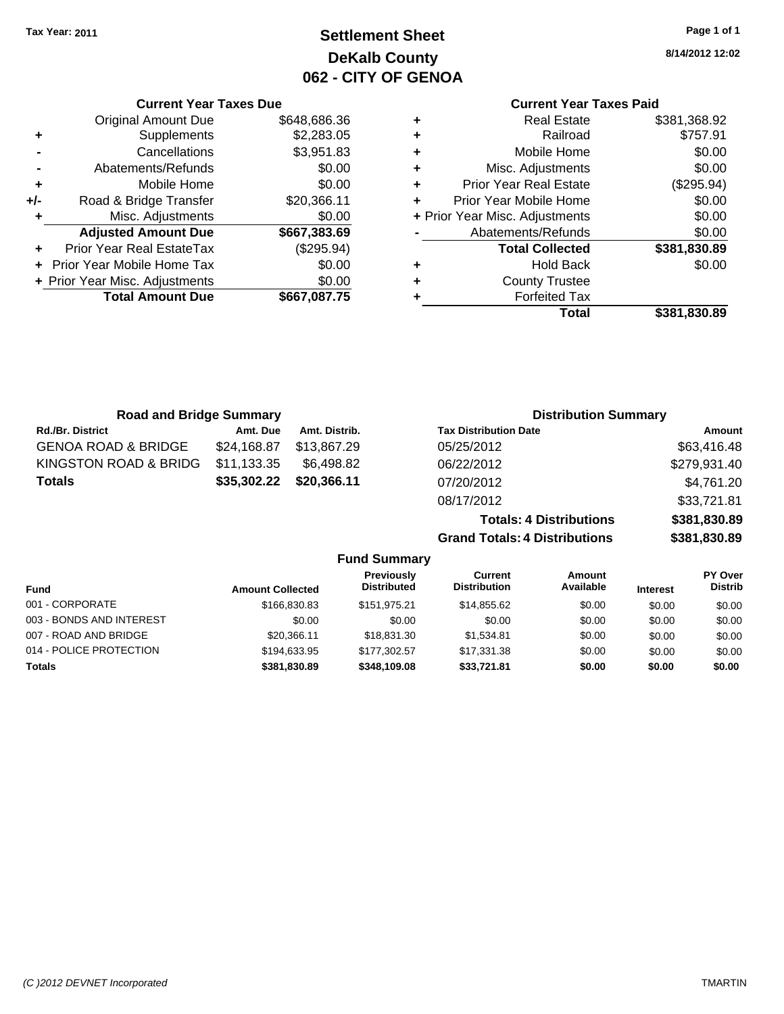# **Settlement Sheet Tax Year: 2011 Page 1 of 1 DeKalb County 062 - CITY OF GENOA**

**8/14/2012 12:02**

## **Current Year Taxes Paid**

|                                    | <b>Real Estate</b>     | \$381,368.92 |
|------------------------------------|------------------------|--------------|
| ٠                                  | Railroad               | \$757.91     |
| ÷                                  | Mobile Home            | \$0.00       |
| ٠                                  | Misc. Adjustments      | \$0.00       |
| <b>Prior Year Real Estate</b><br>٠ |                        | (\$295.94)   |
| Prior Year Mobile Home             |                        | \$0.00       |
| + Prior Year Misc. Adjustments     |                        | \$0.00       |
| Abatements/Refunds                 |                        | \$0.00       |
|                                    | <b>Total Collected</b> | \$381,830.89 |
|                                    | <b>Hold Back</b>       | \$0.00       |
|                                    | <b>County Trustee</b>  |              |
|                                    | <b>Forfeited Tax</b>   |              |
|                                    | Total                  | \$381,830.89 |

**Grand Totals: 4 Distributions \$381,830.89**

| <b>Current Year Taxes Due</b>    |                                |  |  |  |  |  |
|----------------------------------|--------------------------------|--|--|--|--|--|
| <b>Original Amount Due</b>       | \$648,686.36                   |  |  |  |  |  |
| Supplements                      | \$2,283.05                     |  |  |  |  |  |
| Cancellations                    | \$3,951.83                     |  |  |  |  |  |
| Abatements/Refunds               | \$0.00                         |  |  |  |  |  |
| Mobile Home                      | \$0.00                         |  |  |  |  |  |
| Road & Bridge Transfer           | \$20,366.11                    |  |  |  |  |  |
| Misc. Adjustments                | \$0.00                         |  |  |  |  |  |
| <b>Adjusted Amount Due</b>       | \$667,383.69                   |  |  |  |  |  |
| <b>Prior Year Real EstateTax</b> | (\$295.94)                     |  |  |  |  |  |
| Prior Year Mobile Home Tax       | \$0.00                         |  |  |  |  |  |
|                                  | \$0.00                         |  |  |  |  |  |
| <b>Total Amount Due</b>          | \$667.087.75                   |  |  |  |  |  |
|                                  | + Prior Year Misc. Adjustments |  |  |  |  |  |

| <b>Road and Bridge Summary</b> |             |               | <b>Distribution Summary</b>    |              |
|--------------------------------|-------------|---------------|--------------------------------|--------------|
| <b>Rd./Br. District</b>        | Amt. Due    | Amt. Distrib. | <b>Tax Distribution Date</b>   | Amount       |
| <b>GENOA ROAD &amp; BRIDGE</b> | \$24,168.87 | \$13,867.29   | 05/25/2012                     | \$63,416.48  |
| KINGSTON ROAD & BRIDG          | \$11,133.35 | \$6,498.82    | 06/22/2012                     | \$279,931.40 |
| <b>Totals</b>                  | \$35,302.22 | \$20,366.11   | 07/20/2012                     | \$4,761.20   |
|                                |             |               | 08/17/2012                     | \$33,721.81  |
|                                |             |               | <b>Totals: 4 Distributions</b> | \$381,830.89 |

|                          |                         | <b>Fund Summary</b>                     |                                |                            |                 |                                  |
|--------------------------|-------------------------|-----------------------------------------|--------------------------------|----------------------------|-----------------|----------------------------------|
| <b>Fund</b>              | <b>Amount Collected</b> | <b>Previously</b><br><b>Distributed</b> | Current<br><b>Distribution</b> | <b>Amount</b><br>Available | <b>Interest</b> | <b>PY Over</b><br><b>Distrib</b> |
| 001 - CORPORATE          | \$166,830.83            | \$151.975.21                            | \$14,855.62                    | \$0.00                     | \$0.00          | \$0.00                           |
| 003 - BONDS AND INTEREST | \$0.00                  | \$0.00                                  | \$0.00                         | \$0.00                     | \$0.00          | \$0.00                           |
| 007 - ROAD AND BRIDGE    | \$20,366.11             | \$18,831.30                             | \$1.534.81                     | \$0.00                     | \$0.00          | \$0.00                           |
| 014 - POLICE PROTECTION  | \$194.633.95            | \$177.302.57                            | \$17,331.38                    | \$0.00                     | \$0.00          | \$0.00                           |
| <b>Totals</b>            | \$381.830.89            | \$348,109.08                            | \$33.721.81                    | \$0.00                     | \$0.00          | \$0.00                           |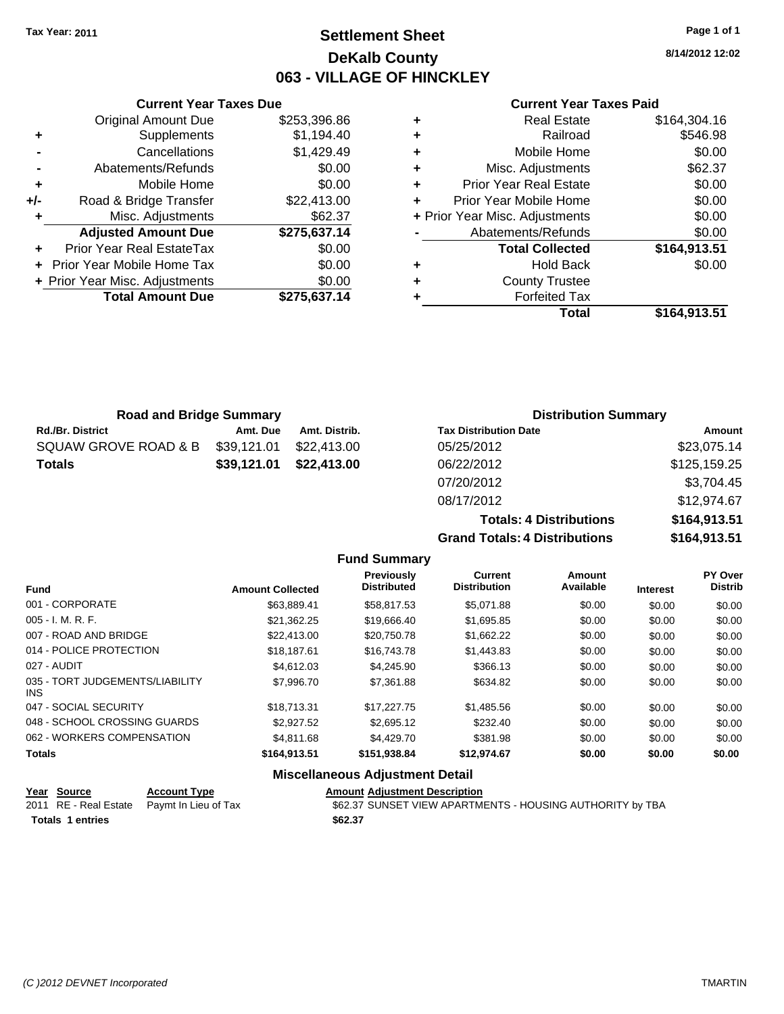# **Settlement Sheet Tax Year: 2011 Page 1 of 1 DeKalb County 063 - VILLAGE OF HINCKLEY**

**8/14/2012 12:02**

**Totals: 4 Distributions \$164,913.51 Grand Totals: 4 Distributions \$164,913.51**

### **Current Year Taxes Paid**

| 37.14  |   | <b>Forfeited Tax</b>           |              |
|--------|---|--------------------------------|--------------|
| \$0.00 | ٠ | <b>County Trustee</b>          |              |
| \$0.00 | ٠ | <b>Hold Back</b>               | \$0.00       |
| \$0.00 |   | <b>Total Collected</b>         | \$164,913.51 |
| 37.14  |   | Abatements/Refunds             | \$0.00       |
| 62.37  |   | + Prior Year Misc. Adjustments | \$0.00       |
| 13.00  | ÷ | Prior Year Mobile Home         | \$0.00       |
| \$0.00 | ٠ | <b>Prior Year Real Estate</b>  | \$0.00       |
| \$0.00 | ٠ | Misc. Adjustments              | \$62.37      |
| 29.49  | ٠ | Mobile Home                    | \$0.00       |
| 94.40  | ٠ | Railroad                       | \$546.98     |
| 96.86  | ٠ | <b>Real Estate</b>             | \$164,304.16 |
|        |   |                                |              |

|       | <b>Current Year Taxes Due</b>  |              |
|-------|--------------------------------|--------------|
|       | <b>Original Amount Due</b>     | \$253,396.86 |
| ٠     | Supplements                    | \$1,194.40   |
|       | Cancellations                  | \$1,429.49   |
|       | Abatements/Refunds             | \$0.00       |
| ٠     | Mobile Home                    | \$0.00       |
| $+/-$ | Road & Bridge Transfer         | \$22,413.00  |
|       | Misc. Adjustments              | \$62.37      |
|       | <b>Adjusted Amount Due</b>     | \$275,637.14 |
|       | Prior Year Real EstateTax      | \$0.00       |
|       | Prior Year Mobile Home Tax     | \$0.00       |
|       | + Prior Year Misc. Adjustments | \$0.00       |
|       | <b>Total Amount Due</b>        | \$275,637.14 |
|       |                                |              |

| <b>Road and Bridge Summary</b> |               |                              | <b>Distribution Summary</b> |  |  |
|--------------------------------|---------------|------------------------------|-----------------------------|--|--|
| Amt. Due                       | Amt. Distrib. | <b>Tax Distribution Date</b> | Amount                      |  |  |
| \$39,121.01                    | \$22,413,00   | 05/25/2012                   | \$23,075.14                 |  |  |
| \$39,121.01                    | \$22,413.00   | 06/22/2012                   | \$125,159.25                |  |  |
|                                |               | 07/20/2012                   | \$3,704.45                  |  |  |
|                                |               | 08/17/2012                   | \$12,974.67                 |  |  |
|                                |               |                              |                             |  |  |

|                     | <b>Totals: 4 Distributions</b>       |
|---------------------|--------------------------------------|
|                     | <b>Grand Totals: 4 Distributions</b> |
| <b>Fund Summary</b> |                                      |

|                                         |                         | vullillu v                       |                                       |                            |                 |                           |
|-----------------------------------------|-------------------------|----------------------------------|---------------------------------------|----------------------------|-----------------|---------------------------|
| <b>Fund</b>                             | <b>Amount Collected</b> | Previously<br><b>Distributed</b> | <b>Current</b><br><b>Distribution</b> | <b>Amount</b><br>Available | <b>Interest</b> | PY Over<br><b>Distrib</b> |
| 001 - CORPORATE                         | \$63,889.41             | \$58,817.53                      | \$5,071.88                            | \$0.00                     | \$0.00          | \$0.00                    |
| 005 - I. M. R. F.                       | \$21,362.25             | \$19,666.40                      | \$1,695.85                            | \$0.00                     | \$0.00          | \$0.00                    |
| 007 - ROAD AND BRIDGE                   | \$22,413.00             | \$20,750.78                      | \$1,662.22                            | \$0.00                     | \$0.00          | \$0.00                    |
| 014 - POLICE PROTECTION                 | \$18,187.61             | \$16,743.78                      | \$1,443.83                            | \$0.00                     | \$0.00          | \$0.00                    |
| 027 - AUDIT                             | \$4,612.03              | \$4,245.90                       | \$366.13                              | \$0.00                     | \$0.00          | \$0.00                    |
| 035 - TORT JUDGEMENTS/LIABILITY<br>INS. | \$7,996.70              | \$7,361.88                       | \$634.82                              | \$0.00                     | \$0.00          | \$0.00                    |
| 047 - SOCIAL SECURITY                   | \$18,713.31             | \$17,227.75                      | \$1,485.56                            | \$0.00                     | \$0.00          | \$0.00                    |
| 048 - SCHOOL CROSSING GUARDS            | \$2,927.52              | \$2,695.12                       | \$232.40                              | \$0.00                     | \$0.00          | \$0.00                    |
| 062 - WORKERS COMPENSATION              | \$4.811.68              | \$4,429.70                       | \$381.98                              | \$0.00                     | \$0.00          | \$0.00                    |
| <b>Totals</b>                           | \$164,913.51            | \$151,938.84                     | \$12,974.67                           | \$0.00                     | \$0.00          | \$0.00                    |
|                                         |                         | Miccollangeus Adjustment Detail  |                                       |                            |                 |                           |

### **Miscellaneous Adjustment Detail**

| Year Source             | <b>Account Type</b>                        | <b>Amount Adiustment Description</b>                      |
|-------------------------|--------------------------------------------|-----------------------------------------------------------|
|                         | 2011 RE - Real Estate Paymt In Lieu of Tax | \$62.37 SUNSET VIEW APARTMENTS - HOUSING AUTHORITY by TBA |
| <b>Totals 1 entries</b> |                                            | \$62.37                                                   |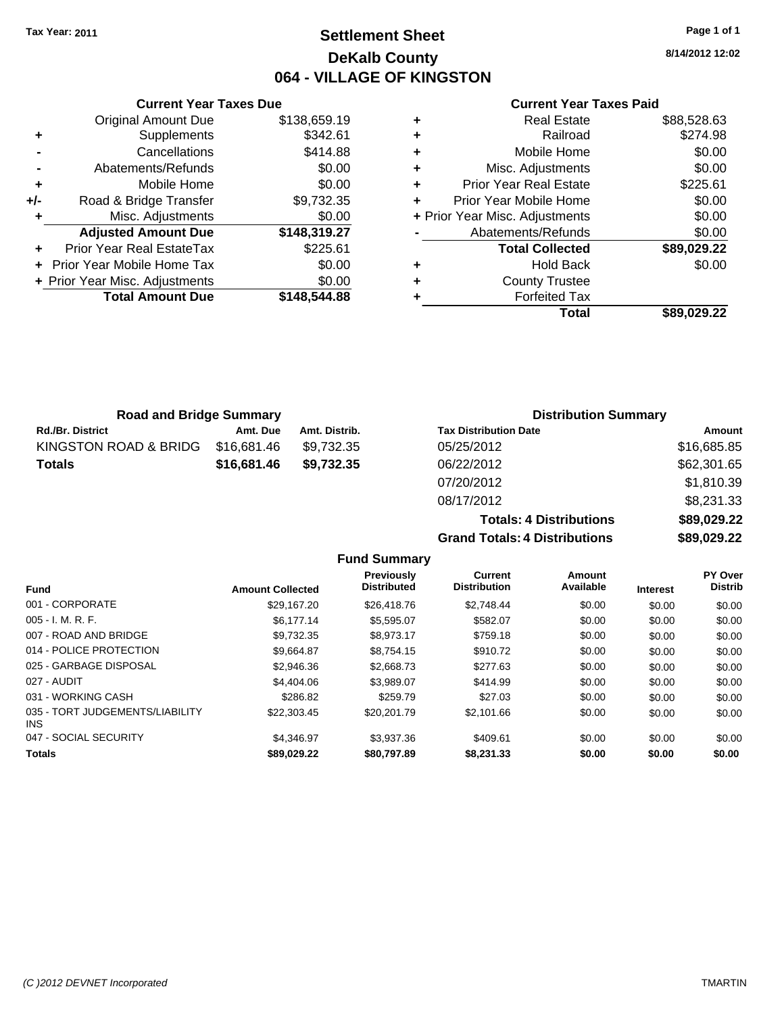# **Settlement Sheet Tax Year: 2011 Page 1 of 1 DeKalb County 064 - VILLAGE OF KINGSTON**

**8/14/2012 12:02**

### **Current Year Taxes Paid**

|     | <b>Current Year Taxes Due</b>  |              |   |
|-----|--------------------------------|--------------|---|
|     | Original Amount Due            | \$138,659.19 |   |
| ٠   | Supplements                    | \$342.61     | ٠ |
|     | Cancellations                  | \$414.88     | ٠ |
|     | Abatements/Refunds             | \$0.00       | ٠ |
|     | Mobile Home                    | \$0.00       | ٠ |
| +/- | Road & Bridge Transfer         | \$9,732.35   | ٠ |
|     | Misc. Adjustments              | \$0.00       |   |
|     | <b>Adjusted Amount Due</b>     | \$148,319.27 |   |
|     | Prior Year Real EstateTax      | \$225.61     |   |
|     | Prior Year Mobile Home Tax     | \$0.00       |   |
|     | + Prior Year Misc. Adjustments | \$0.00       | ٠ |
|     | <b>Total Amount Due</b>        | \$148,544.88 |   |
|     |                                |              |   |

| ٠ | <b>Real Estate</b>             | \$88,528.63 |
|---|--------------------------------|-------------|
| ٠ | Railroad                       | \$274.98    |
| ٠ | Mobile Home                    | \$0.00      |
| ٠ | Misc. Adjustments              | \$0.00      |
| ٠ | <b>Prior Year Real Estate</b>  | \$225.61    |
| ÷ | Prior Year Mobile Home         | \$0.00      |
|   | + Prior Year Misc. Adjustments | \$0.00      |
|   | Abatements/Refunds             | \$0.00      |
|   | <b>Total Collected</b>         | \$89,029.22 |
| ٠ | Hold Back                      | \$0.00      |
| ٠ | <b>County Trustee</b>          |             |
| ٠ | <b>Forfeited Tax</b>           |             |
|   | Total                          | \$89,029.22 |
|   |                                |             |

| <b>Road and Bridge Summary</b> |             |               | <b>Distribution Summary</b>  |             |  |
|--------------------------------|-------------|---------------|------------------------------|-------------|--|
| <b>Rd./Br. District</b>        | Amt. Due    | Amt. Distrib. | <b>Tax Distribution Date</b> | Amount      |  |
| KINGSTON ROAD & BRIDG          | \$16,681.46 | \$9.732.35    | 05/25/2012                   | \$16,685.85 |  |
| <b>Totals</b>                  | \$16,681.46 | \$9.732.35    | 06/22/2012                   | \$62,301.65 |  |
|                                |             |               | 07/20/2012                   | \$1,810.39  |  |

08/17/2012 \$8,231.33 **Totals: 4 Distributions \$89,029.22 Grand Totals: 4 Distributions \$89,029.22**

| <b>Fund</b>                                   | <b>Amount Collected</b> | <b>Previously</b><br><b>Distributed</b> | Current<br><b>Distribution</b> | Amount<br>Available | <b>Interest</b> | <b>PY Over</b><br><b>Distrib</b> |
|-----------------------------------------------|-------------------------|-----------------------------------------|--------------------------------|---------------------|-----------------|----------------------------------|
| 001 - CORPORATE                               | \$29.167.20             | \$26,418.76                             | \$2.748.44                     | \$0.00              | \$0.00          | \$0.00                           |
| $005 - I. M. R. F.$                           | \$6.177.14              | \$5.595.07                              | \$582.07                       | \$0.00              | \$0.00          | \$0.00                           |
| 007 - ROAD AND BRIDGE                         | \$9,732.35              | \$8.973.17                              | \$759.18                       | \$0.00              | \$0.00          | \$0.00                           |
| 014 - POLICE PROTECTION                       | \$9.664.87              | \$8.754.15                              | \$910.72                       | \$0.00              | \$0.00          | \$0.00                           |
| 025 - GARBAGE DISPOSAL                        | \$2,946.36              | \$2,668.73                              | \$277.63                       | \$0.00              | \$0.00          | \$0.00                           |
| 027 - AUDIT                                   | \$4,404.06              | \$3.989.07                              | \$414.99                       | \$0.00              | \$0.00          | \$0.00                           |
| 031 - WORKING CASH                            | \$286.82                | \$259.79                                | \$27.03                        | \$0.00              | \$0.00          | \$0.00                           |
| 035 - TORT JUDGEMENTS/LIABILITY<br><b>INS</b> | \$22,303.45             | \$20,201.79                             | \$2,101.66                     | \$0.00              | \$0.00          | \$0.00                           |
| 047 - SOCIAL SECURITY                         | \$4.346.97              | \$3,937.36                              | \$409.61                       | \$0.00              | \$0.00          | \$0.00                           |
| <b>Totals</b>                                 | \$89,029.22             | \$80,797.89                             | \$8,231.33                     | \$0.00              | \$0.00          | \$0.00                           |

**Fund Summary**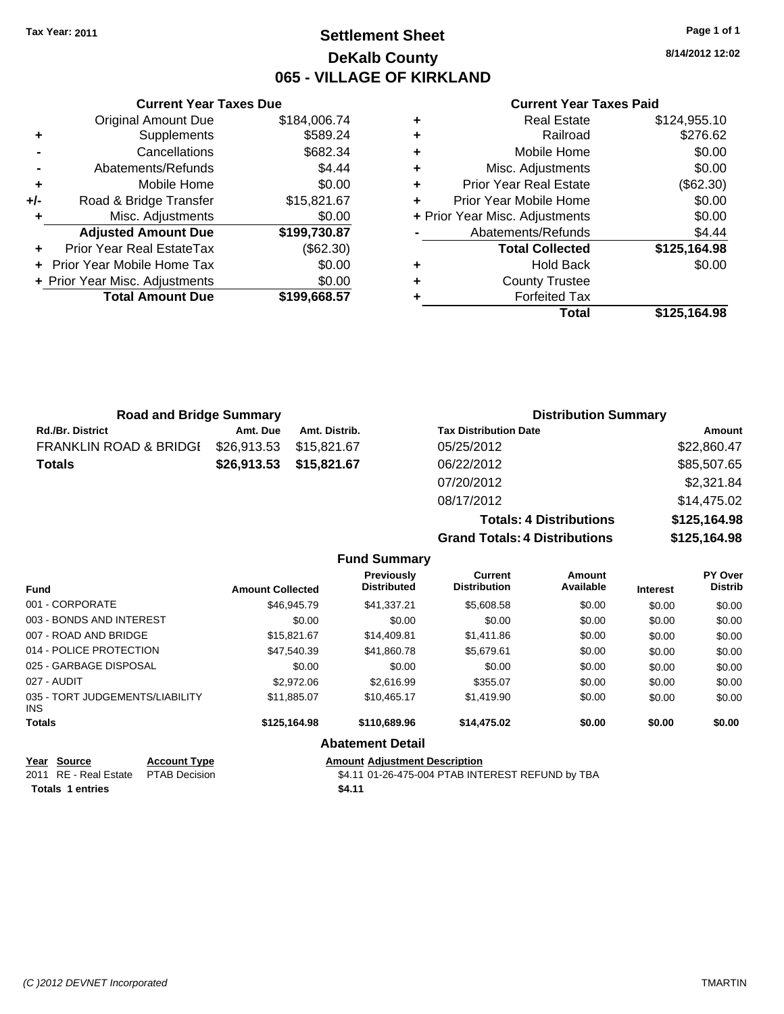# **Settlement Sheet Tax Year: 2011 Page 1 of 1 DeKalb County 065 - VILLAGE OF KIRKLAND**

**8/14/2012 12:02**

### **Current Year Taxes Paid**

| ٠ | <b>Real Estate</b>             | \$124,955.10 |
|---|--------------------------------|--------------|
| ٠ | Railroad                       | \$276.62     |
| ٠ | Mobile Home                    | \$0.00       |
| ٠ | Misc. Adjustments              | \$0.00       |
| ٠ | <b>Prior Year Real Estate</b>  | (\$62.30)    |
|   | Prior Year Mobile Home         | \$0.00       |
|   | + Prior Year Misc. Adjustments | \$0.00       |
|   | Abatements/Refunds             | \$4.44       |
|   | <b>Total Collected</b>         | \$125,164.98 |
| ٠ | <b>Hold Back</b>               | \$0.00       |
| ٠ | <b>County Trustee</b>          |              |
| ٠ | <b>Forfeited Tax</b>           |              |
|   | Total                          | \$125.164.98 |

**Grand Totals: 4 Distributions \$125,164.98**

|       | <b>Current Year Taxes Due</b>  |              |
|-------|--------------------------------|--------------|
|       | <b>Original Amount Due</b>     | \$184,006.74 |
| ٠     | Supplements                    | \$589.24     |
|       | Cancellations                  | \$682.34     |
|       | Abatements/Refunds             | \$4.44       |
| ٠     | Mobile Home                    | \$0.00       |
| $+/-$ | Road & Bridge Transfer         | \$15,821.67  |
| ٠     | Misc. Adjustments              | \$0.00       |
|       | <b>Adjusted Amount Due</b>     | \$199,730.87 |
|       | Prior Year Real EstateTax      | (\$62.30)    |
|       | Prior Year Mobile Home Tax     | \$0.00       |
|       | + Prior Year Misc. Adjustments | \$0.00       |
|       | <b>Total Amount Due</b>        | \$199,668.57 |
|       |                                |              |

| <b>Road and Bridge Summary</b> |             |               | <b>Distribution Summary</b>    |              |
|--------------------------------|-------------|---------------|--------------------------------|--------------|
| <b>Rd./Br. District</b>        | Amt. Due    | Amt. Distrib. | <b>Tax Distribution Date</b>   | Amount       |
| FRANKLIN ROAD & BRIDGI         | \$26,913.53 | \$15,821.67   | 05/25/2012                     | \$22,860.47  |
| <b>Totals</b>                  | \$26,913.53 | \$15,821.67   | 06/22/2012                     | \$85,507.65  |
|                                |             |               | 07/20/2012                     | \$2,321.84   |
|                                |             |               | 08/17/2012                     | \$14,475.02  |
|                                |             |               | <b>Totals: 4 Distributions</b> | \$125,164.98 |

|                                         |                         | <b>Fund Summary</b>              |                                       |                     |                 |                                  |
|-----------------------------------------|-------------------------|----------------------------------|---------------------------------------|---------------------|-----------------|----------------------------------|
| <b>Fund</b>                             | <b>Amount Collected</b> | Previously<br><b>Distributed</b> | <b>Current</b><br><b>Distribution</b> | Amount<br>Available | <b>Interest</b> | <b>PY Over</b><br><b>Distrib</b> |
| 001 - CORPORATE                         | \$46.945.79             | \$41.337.21                      | \$5,608.58                            | \$0.00              | \$0.00          | \$0.00                           |
| 003 - BONDS AND INTEREST                | \$0.00                  | \$0.00                           | \$0.00                                | \$0.00              | \$0.00          | \$0.00                           |
| 007 - ROAD AND BRIDGE                   | \$15,821.67             | \$14.409.81                      | \$1,411.86                            | \$0.00              | \$0.00          | \$0.00                           |
| 014 - POLICE PROTECTION                 | \$47,540.39             | \$41,860.78                      | \$5,679.61                            | \$0.00              | \$0.00          | \$0.00                           |
| 025 - GARBAGE DISPOSAL                  | \$0.00                  | \$0.00                           | \$0.00                                | \$0.00              | \$0.00          | \$0.00                           |
| 027 - AUDIT                             | \$2,972.06              | \$2,616.99                       | \$355.07                              | \$0.00              | \$0.00          | \$0.00                           |
| 035 - TORT JUDGEMENTS/LIABILITY<br>INS. | \$11.885.07             | \$10,465.17                      | \$1,419.90                            | \$0.00              | \$0.00          | \$0.00                           |
| Totals                                  | \$125,164.98            | \$110,689,96                     | \$14,475.02                           | \$0.00              | \$0.00          | \$0.00                           |
|                                         |                         | <b>Abatement Detail</b>          |                                       |                     |                 |                                  |

| Year Source                         | <b>Account Type</b> | <b>Amount Adjustment Description</b>             |
|-------------------------------------|---------------------|--------------------------------------------------|
| 2011 RE - Real Estate PTAB Decision |                     | \$4.11 01-26-475-004 PTAB INTEREST REFUND by TBA |
| Totals 1 entries                    |                     | \$4.11                                           |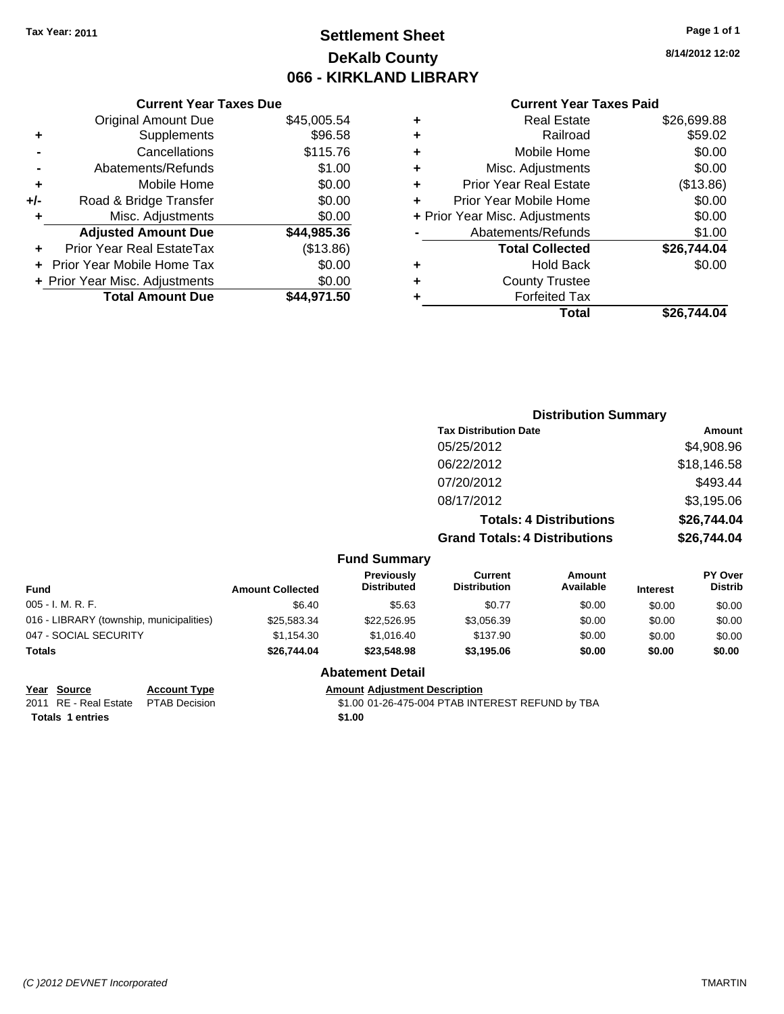# **Settlement Sheet Tax Year: 2011 Page 1 of 1 DeKalb County 066 - KIRKLAND LIBRARY**

**8/14/2012 12:02**

### **Current Year Taxes Paid**

|     | <b>Current Year Taxes Due</b>  |             |
|-----|--------------------------------|-------------|
|     | <b>Original Amount Due</b>     | \$45,005.54 |
| ٠   | Supplements                    | \$96.58     |
|     | Cancellations                  | \$115.76    |
|     | Abatements/Refunds             | \$1.00      |
| ٠   | Mobile Home                    | \$0.00      |
| +/- | Road & Bridge Transfer         | \$0.00      |
| ٠   | Misc. Adjustments              | \$0.00      |
|     | <b>Adjusted Amount Due</b>     | \$44,985.36 |
|     | Prior Year Real EstateTax      | (\$13.86)   |
|     | Prior Year Mobile Home Tax     | \$0.00      |
|     | + Prior Year Misc. Adjustments | \$0.00      |
|     | <b>Total Amount Due</b>        | \$44,971.50 |
|     |                                |             |

| ٠ | <b>Real Estate</b>             | \$26,699.88 |
|---|--------------------------------|-------------|
| ٠ | Railroad                       | \$59.02     |
| ٠ | Mobile Home                    | \$0.00      |
| ٠ | Misc. Adjustments              | \$0.00      |
| ٠ | <b>Prior Year Real Estate</b>  | (\$13.86)   |
| ÷ | Prior Year Mobile Home         | \$0.00      |
|   | + Prior Year Misc. Adjustments | \$0.00      |
|   | Abatements/Refunds             | \$1.00      |
|   | <b>Total Collected</b>         | \$26,744.04 |
| ٠ | <b>Hold Back</b>               | \$0.00      |
| ٠ | <b>County Trustee</b>          |             |
| ٠ | <b>Forfeited Tax</b>           |             |
|   | Total                          | \$26,744.04 |
|   |                                |             |

|                                          |                         |                                  | <b>Distribution Summary</b>           |                                |                 |                           |
|------------------------------------------|-------------------------|----------------------------------|---------------------------------------|--------------------------------|-----------------|---------------------------|
|                                          |                         |                                  | <b>Tax Distribution Date</b>          |                                |                 | Amount                    |
|                                          |                         |                                  | 05/25/2012                            |                                |                 | \$4,908.96                |
|                                          |                         |                                  | 06/22/2012                            |                                |                 | \$18,146.58               |
|                                          |                         |                                  | 07/20/2012                            |                                |                 | \$493.44                  |
|                                          |                         |                                  | 08/17/2012                            |                                |                 | \$3,195.06                |
|                                          |                         |                                  |                                       | <b>Totals: 4 Distributions</b> |                 | \$26,744.04               |
|                                          |                         |                                  | <b>Grand Totals: 4 Distributions</b>  |                                | \$26,744.04     |                           |
|                                          |                         | <b>Fund Summary</b>              |                                       |                                |                 |                           |
| <b>Fund</b>                              | <b>Amount Collected</b> | Previously<br><b>Distributed</b> | <b>Current</b><br><b>Distribution</b> | Amount<br>Available            | <b>Interest</b> | PY Over<br><b>Distrib</b> |
| 005 - I. M. R. F.                        | \$6.40                  | \$5.63                           | \$0.77                                | \$0.00                         | \$0.00          | \$0.00                    |
| 016 - LIBRARY (township, municipalities) | \$25,583.34             | \$22,526.95                      | \$3,056.39                            | \$0.00                         | \$0.00          | \$0.00                    |
|                                          |                         |                                  |                                       |                                |                 |                           |

| <b>Totals</b>         | \$26,744.04 | \$23,548.98 | \$3,195.06 | \$0.00 | \$0.00 | \$0.00 |
|-----------------------|-------------|-------------|------------|--------|--------|--------|
| 047 - SOCIAL SECURITY | \$1.154.30  | \$1.016.40  | \$137.90   | \$0.00 | \$0.00 | \$0.00 |

**Totals 1 entries** \$1.00

**Year Source Account Type Amount Adjustment Description**

**Abatement Detail**

PTAB Decision  $$1.00 01-26-475-004$  PTAB INTEREST REFUND by TBA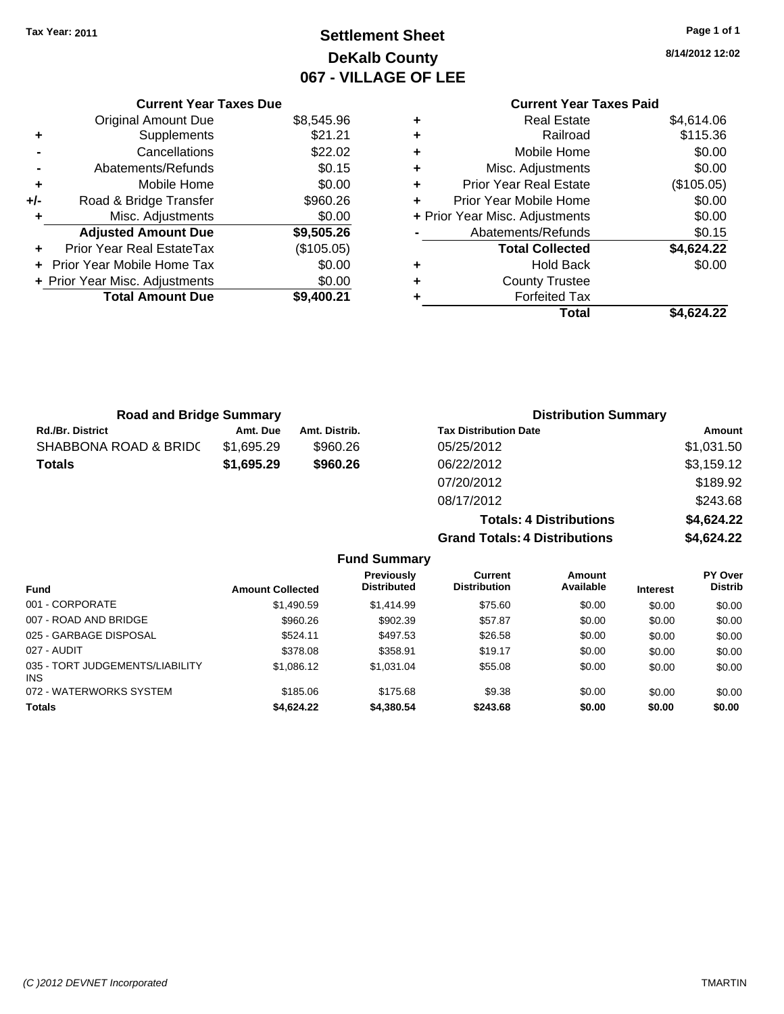# **Settlement Sheet Tax Year: 2011 Page 1 of 1 DeKalb County 067 - VILLAGE OF LEE**

**8/14/2012 12:02**

### **Current Year Taxes Paid**

|   | <b>Real Estate</b>             | \$4,614.06 |
|---|--------------------------------|------------|
| ٠ | Railroad                       | \$115.36   |
| ÷ | Mobile Home                    | \$0.00     |
| ٠ | Misc. Adjustments              | \$0.00     |
| ٠ | <b>Prior Year Real Estate</b>  | (\$105.05) |
| ÷ | Prior Year Mobile Home         | \$0.00     |
|   | + Prior Year Misc. Adjustments | \$0.00     |
|   | Abatements/Refunds             | \$0.15     |
|   | <b>Total Collected</b>         | \$4,624.22 |
| ٠ | <b>Hold Back</b>               | \$0.00     |
|   | <b>County Trustee</b>          |            |
|   | <b>Forfeited Tax</b>           |            |
|   | Total                          | \$4.624.22 |

**Grand Totals: 4 Distributions \$4,624.22**

|     | <b>Current Year Taxes Due</b>  |            |
|-----|--------------------------------|------------|
|     | <b>Original Amount Due</b>     | \$8,545.96 |
| ٠   | Supplements                    | \$21.21    |
|     | Cancellations                  | \$22.02    |
|     | Abatements/Refunds             | \$0.15     |
| ٠   | Mobile Home                    | \$0.00     |
| +/- | Road & Bridge Transfer         | \$960.26   |
| ٠   | Misc. Adjustments              | \$0.00     |
|     | <b>Adjusted Amount Due</b>     | \$9,505.26 |
|     | Prior Year Real EstateTax      | (\$105.05) |
|     | Prior Year Mobile Home Tax     | \$0.00     |
|     | + Prior Year Misc. Adjustments | \$0.00     |
|     | <b>Total Amount Due</b>        | \$9,400.21 |
|     |                                |            |

| <b>Road and Bridge Summary</b> |            |               | <b>Distribution Summary</b>    |            |
|--------------------------------|------------|---------------|--------------------------------|------------|
| <b>Rd./Br. District</b>        | Amt. Due   | Amt. Distrib. | <b>Tax Distribution Date</b>   | Amount     |
| SHABBONA ROAD & BRIDC          | \$1,695.29 | \$960.26      | 05/25/2012                     | \$1,031.50 |
| <b>Totals</b>                  | \$1,695.29 | \$960.26      | 06/22/2012                     | \$3,159.12 |
|                                |            |               | 07/20/2012                     | \$189.92   |
|                                |            |               | 08/17/2012                     | \$243.68   |
|                                |            |               | <b>Totals: 4 Distributions</b> | \$4,624.22 |

| <b>Amount Collected</b> | Previously<br><b>Distributed</b> | <b>Current</b><br><b>Distribution</b> | Amount<br>Available | <b>Interest</b> | PY Over<br><b>Distrib</b> |
|-------------------------|----------------------------------|---------------------------------------|---------------------|-----------------|---------------------------|
| \$1,490.59              | \$1,414.99                       | \$75.60                               | \$0.00              | \$0.00          | \$0.00                    |
| \$960.26                | \$902.39                         | \$57.87                               | \$0.00              | \$0.00          | \$0.00                    |
| \$524.11                | \$497.53                         | \$26.58                               | \$0.00              | \$0.00          | \$0.00                    |
| \$378.08                | \$358.91                         | \$19.17                               | \$0.00              | \$0.00          | \$0.00                    |
| \$1,086.12              | \$1.031.04                       | \$55.08                               | \$0.00              | \$0.00          | \$0.00                    |
| \$185.06                | \$175.68                         | \$9.38                                | \$0.00              | \$0.00          | \$0.00                    |
| \$4,624.22              | \$4,380.54                       | \$243.68                              | \$0.00              | \$0.00          | \$0.00                    |
|                         |                                  | <b>Fund Summary</b>                   |                     |                 |                           |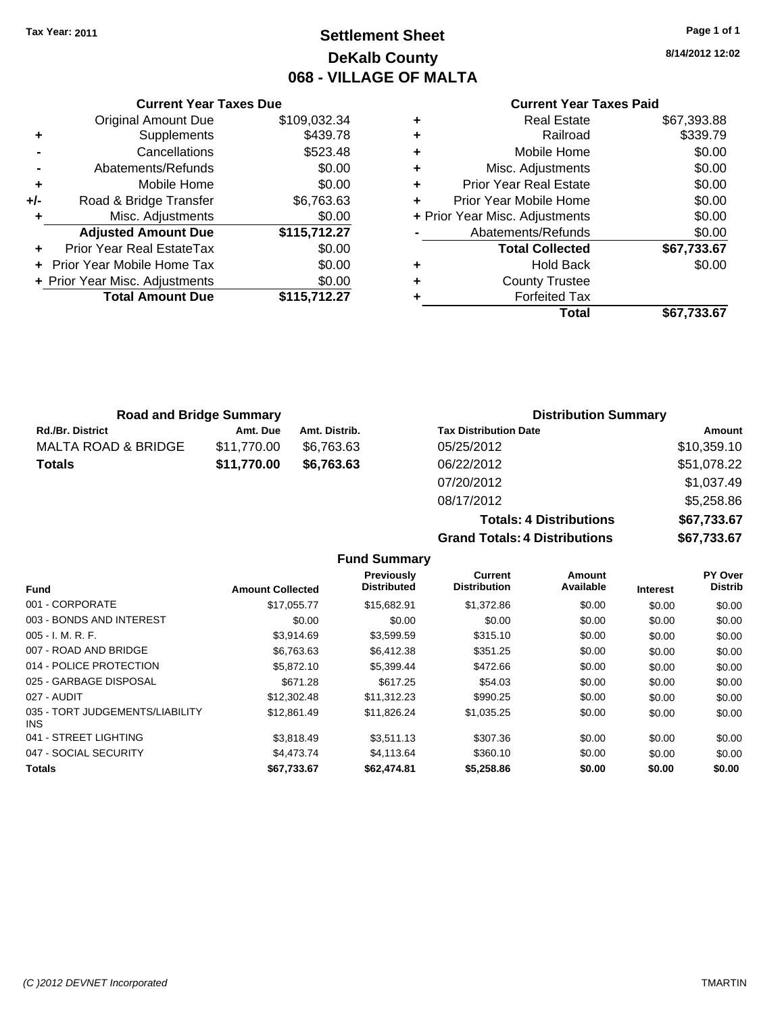# **Settlement Sheet Tax Year: 2011 Page 1 of 1 DeKalb County 068 - VILLAGE OF MALTA**

**8/14/2012 12:02**

### **Current Year Taxes Paid**

|                                      | <b>Current Year Taxes Due</b>            |              |  |  |  |  |
|--------------------------------------|------------------------------------------|--------------|--|--|--|--|
|                                      | <b>Original Amount Due</b>               | \$109,032.34 |  |  |  |  |
| ٠                                    | Supplements                              | \$439.78     |  |  |  |  |
|                                      | Cancellations                            | \$523.48     |  |  |  |  |
|                                      | Abatements/Refunds                       | \$0.00       |  |  |  |  |
| ٠                                    | Mobile Home                              | \$0.00       |  |  |  |  |
| +/-                                  | Road & Bridge Transfer                   | \$6,763.63   |  |  |  |  |
|                                      | Misc. Adjustments                        | \$0.00       |  |  |  |  |
|                                      | <b>Adjusted Amount Due</b>               | \$115,712.27 |  |  |  |  |
|                                      | Prior Year Real EstateTax                | \$0.00       |  |  |  |  |
| \$0.00<br>Prior Year Mobile Home Tax |                                          |              |  |  |  |  |
|                                      | \$0.00<br>+ Prior Year Misc. Adjustments |              |  |  |  |  |
|                                      | <b>Total Amount Due</b>                  | \$115.712.27 |  |  |  |  |
|                                      |                                          |              |  |  |  |  |

| ٠ | <b>Real Estate</b>             | \$67,393.88 |
|---|--------------------------------|-------------|
| ٠ | Railroad                       | \$339.79    |
| ٠ | Mobile Home                    | \$0.00      |
| ٠ | Misc. Adjustments              | \$0.00      |
| ٠ | <b>Prior Year Real Estate</b>  | \$0.00      |
| ٠ | Prior Year Mobile Home         | \$0.00      |
|   | + Prior Year Misc. Adjustments | \$0.00      |
|   | Abatements/Refunds             | \$0.00      |
|   | <b>Total Collected</b>         | \$67,733.67 |
| ٠ | <b>Hold Back</b>               | \$0.00      |
| ٠ | <b>County Trustee</b>          |             |
| ٠ | <b>Forfeited Tax</b>           |             |
|   | Total                          | \$67,733.67 |
|   |                                |             |

| <b>Road and Bridge Summary</b> |             |               | <b>Distribution Summary</b>  |             |
|--------------------------------|-------------|---------------|------------------------------|-------------|
| <b>Rd./Br. District</b>        | Amt. Due    | Amt. Distrib. | <b>Tax Distribution Date</b> | Amount      |
| MALTA ROAD & BRIDGE            | \$11.770.00 | \$6.763.63    | 05/25/2012                   | \$10,359.10 |
| <b>Totals</b>                  | \$11,770.00 | \$6.763.63    | 06/22/2012                   | \$51,078.22 |
|                                |             |               | 07/20/2012                   | \$1,037.49  |

08/17/2012 \$5,258.86 **Totals: 4 Distributions \$67,733.67 Grand Totals: 4 Distributions \$67,733.67**

|                                         |                         | <b>Fund Summary</b>              |                                |                     |                 |                                  |
|-----------------------------------------|-------------------------|----------------------------------|--------------------------------|---------------------|-----------------|----------------------------------|
| <b>Fund</b>                             | <b>Amount Collected</b> | Previously<br><b>Distributed</b> | Current<br><b>Distribution</b> | Amount<br>Available | <b>Interest</b> | <b>PY Over</b><br><b>Distrib</b> |
| 001 - CORPORATE                         | \$17,055.77             | \$15,682.91                      | \$1,372.86                     | \$0.00              | \$0.00          | \$0.00                           |
| 003 - BONDS AND INTEREST                | \$0.00                  | \$0.00                           | \$0.00                         | \$0.00              | \$0.00          | \$0.00                           |
| $005 - I. M. R. F.$                     | \$3,914.69              | \$3,599.59                       | \$315.10                       | \$0.00              | \$0.00          | \$0.00                           |
| 007 - ROAD AND BRIDGE                   | \$6,763.63              | \$6,412.38                       | \$351.25                       | \$0.00              | \$0.00          | \$0.00                           |
| 014 - POLICE PROTECTION                 | \$5,872.10              | \$5,399.44                       | \$472.66                       | \$0.00              | \$0.00          | \$0.00                           |
| 025 - GARBAGE DISPOSAL                  | \$671.28                | \$617.25                         | \$54.03                        | \$0.00              | \$0.00          | \$0.00                           |
| 027 - AUDIT                             | \$12,302.48             | \$11,312.23                      | \$990.25                       | \$0.00              | \$0.00          | \$0.00                           |
| 035 - TORT JUDGEMENTS/LIABILITY<br>INS. | \$12,861.49             | \$11,826.24                      | \$1,035.25                     | \$0.00              | \$0.00          | \$0.00                           |
| 041 - STREET LIGHTING                   | \$3,818.49              | \$3,511.13                       | \$307.36                       | \$0.00              | \$0.00          | \$0.00                           |
| 047 - SOCIAL SECURITY                   | \$4,473.74              | \$4.113.64                       | \$360.10                       | \$0.00              | \$0.00          | \$0.00                           |
| <b>Totals</b>                           | \$67,733.67             | \$62,474.81                      | \$5,258.86                     | \$0.00              | \$0.00          | \$0.00                           |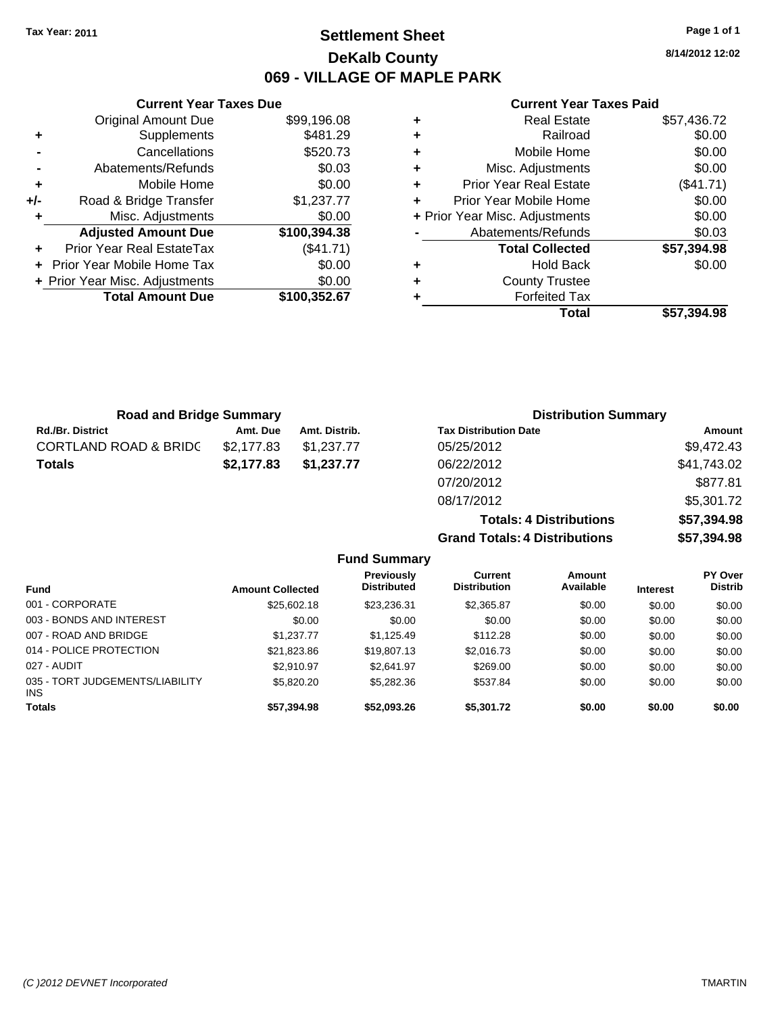# **Settlement Sheet Tax Year: 2011 Page 1 of 1 DeKalb County 069 - VILLAGE OF MAPLE PARK**

**8/14/2012 12:02**

### **Current Year Taxes Paid**

|     | <b>Current Year Taxes Due</b>  |              |  |
|-----|--------------------------------|--------------|--|
|     | <b>Original Amount Due</b>     | \$99,196.08  |  |
| ٠   | Supplements                    | \$481.29     |  |
|     | Cancellations                  | \$520.73     |  |
|     | Abatements/Refunds             | \$0.03       |  |
| ٠   | Mobile Home                    | \$0.00       |  |
| +/- | Road & Bridge Transfer         | \$1,237.77   |  |
| ٠   | Misc. Adjustments              | \$0.00       |  |
|     | <b>Adjusted Amount Due</b>     | \$100,394.38 |  |
|     | Prior Year Real EstateTax      | (\$41.71)    |  |
|     | Prior Year Mobile Home Tax     | \$0.00       |  |
|     | + Prior Year Misc. Adjustments | \$0.00       |  |
|     | <b>Total Amount Due</b>        | \$100,352.67 |  |
|     |                                |              |  |

| ٠ | <b>Real Estate</b>             | \$57,436.72 |
|---|--------------------------------|-------------|
| ٠ | Railroad                       | \$0.00      |
| ٠ | Mobile Home                    | \$0.00      |
| ٠ | Misc. Adjustments              | \$0.00      |
| ÷ | <b>Prior Year Real Estate</b>  | $(\$41.71)$ |
| ÷ | Prior Year Mobile Home         | \$0.00      |
|   | + Prior Year Misc. Adjustments | \$0.00      |
|   | Abatements/Refunds             | \$0.03      |
|   | <b>Total Collected</b>         | \$57,394.98 |
| ٠ | <b>Hold Back</b>               | \$0.00      |
| ٠ | <b>County Trustee</b>          |             |
| ٠ | <b>Forfeited Tax</b>           |             |
|   | Total                          | \$57,394.98 |

**Totals: 4 Distributions \$57,394.98**

**Grand Totals: 4 Distributions \$57,394.98**

| <b>Road and Bridge Summary</b>   |            |               | <b>Distribution Summary</b>  |             |
|----------------------------------|------------|---------------|------------------------------|-------------|
| <b>Rd./Br. District</b>          | Amt. Due   | Amt. Distrib. | <b>Tax Distribution Date</b> | Amount      |
| <b>CORTLAND ROAD &amp; BRIDC</b> | \$2.177.83 | \$1.237.77    | 05/25/2012                   | \$9,472.43  |
| <b>Totals</b>                    | \$2,177.83 | \$1,237.77    | 06/22/2012                   | \$41,743.02 |
|                                  |            |               | 07/20/2012                   | \$877.81    |
|                                  |            |               | 08/17/2012                   | \$5,301.72  |

|                                         |                         | <b>Fund Summary</b>                     |                                       |                     |                 |                                  |
|-----------------------------------------|-------------------------|-----------------------------------------|---------------------------------------|---------------------|-----------------|----------------------------------|
| Fund                                    | <b>Amount Collected</b> | <b>Previously</b><br><b>Distributed</b> | <b>Current</b><br><b>Distribution</b> | Amount<br>Available | <b>Interest</b> | <b>PY Over</b><br><b>Distrib</b> |
| 001 - CORPORATE                         | \$25,602.18             | \$23,236.31                             | \$2,365.87                            | \$0.00              | \$0.00          | \$0.00                           |
| 003 - BONDS AND INTEREST                | \$0.00                  | \$0.00                                  | \$0.00                                | \$0.00              | \$0.00          | \$0.00                           |
| 007 - ROAD AND BRIDGE                   | \$1,237.77              | \$1,125.49                              | \$112.28                              | \$0.00              | \$0.00          | \$0.00                           |
| 014 - POLICE PROTECTION                 | \$21,823.86             | \$19,807.13                             | \$2,016.73                            | \$0.00              | \$0.00          | \$0.00                           |
| 027 - AUDIT                             | \$2.910.97              | \$2,641.97                              | \$269.00                              | \$0.00              | \$0.00          | \$0.00                           |
| 035 - TORT JUDGEMENTS/LIABILITY<br>INS. | \$5,820.20              | \$5,282.36                              | \$537.84                              | \$0.00              | \$0.00          | \$0.00                           |
| Totals                                  | \$57,394.98             | \$52,093.26                             | \$5,301.72                            | \$0.00              | \$0.00          | \$0.00                           |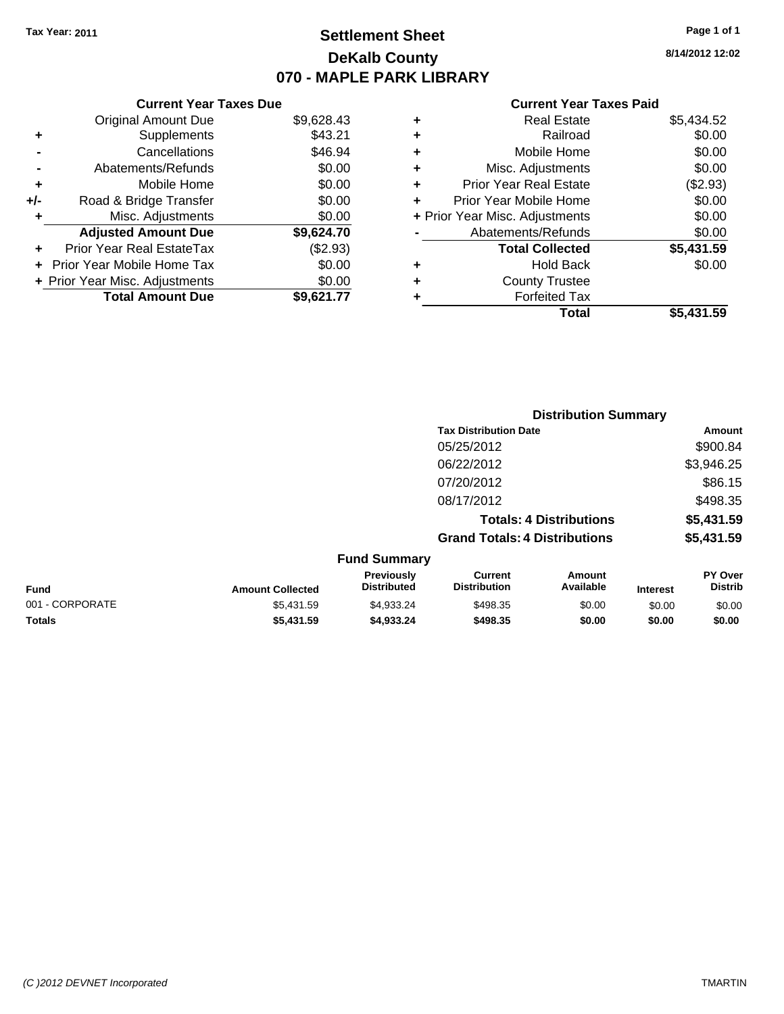# **Settlement Sheet Tax Year: 2011 Page 1 of 1 DeKalb County 070 - MAPLE PARK LIBRARY**

**8/14/2012 12:02**

### **Current Year Taxes Paid**

|   | Total                         | \$5,431.59                     |
|---|-------------------------------|--------------------------------|
| ٠ | <b>Forfeited Tax</b>          |                                |
| ٠ | <b>County Trustee</b>         |                                |
| ٠ | <b>Hold Back</b>              | \$0.00                         |
|   | <b>Total Collected</b>        | \$5,431.59                     |
|   | Abatements/Refunds            | \$0.00                         |
|   |                               | \$0.00                         |
| ٠ | Prior Year Mobile Home        | \$0.00                         |
| ٠ | <b>Prior Year Real Estate</b> | (\$2.93)                       |
| ٠ | Misc. Adjustments             | \$0.00                         |
| ٠ | Mobile Home                   | \$0.00                         |
| ٠ | Railroad                      | \$0.00                         |
| ٠ | <b>Real Estate</b>            | \$5,434.52                     |
|   |                               | + Prior Year Misc. Adjustments |

|     | <b>Current Year Taxes Due</b>    |            |
|-----|----------------------------------|------------|
|     | <b>Original Amount Due</b>       | \$9,628.43 |
| ٠   | Supplements                      | \$43.21    |
|     | Cancellations                    | \$46.94    |
|     | Abatements/Refunds               | \$0.00     |
| ٠   | Mobile Home                      | \$0.00     |
| +/- | Road & Bridge Transfer           | \$0.00     |
| ٠   | Misc. Adjustments                | \$0.00     |
|     | <b>Adjusted Amount Due</b>       | \$9,624.70 |
|     | <b>Prior Year Real EstateTax</b> | (\$2.93)   |
|     | Prior Year Mobile Home Tax       | \$0.00     |
|     | + Prior Year Misc. Adjustments   | \$0.00     |
|     | <b>Total Amount Due</b>          | \$9,621.77 |

|                         | <b>Distribution Summary</b>             |                                      |                     |                 |                           |
|-------------------------|-----------------------------------------|--------------------------------------|---------------------|-----------------|---------------------------|
|                         |                                         | <b>Tax Distribution Date</b>         |                     |                 | Amount                    |
|                         | 05/25/2012                              |                                      |                     |                 | \$900.84                  |
|                         |                                         | 06/22/2012                           |                     |                 | \$3,946.25                |
|                         |                                         | 07/20/2012                           |                     |                 | \$86.15                   |
|                         |                                         | 08/17/2012                           |                     |                 | \$498.35                  |
|                         |                                         | <b>Totals: 4 Distributions</b>       |                     |                 | \$5,431.59                |
|                         |                                         | <b>Grand Totals: 4 Distributions</b> |                     |                 | \$5,431.59                |
|                         | <b>Fund Summary</b>                     |                                      |                     |                 |                           |
| <b>Amount Collected</b> | <b>Previously</b><br><b>Distributed</b> | Current<br><b>Distribution</b>       | Amount<br>Available | <b>Interest</b> | PY Over<br><b>Distrib</b> |

| <b>Fund</b>     | <b>Amount Collected</b> | 11571V4311<br><b>Distributed</b> | <b>VALIVIII</b><br><b>Distribution</b> | Allivulit<br>Available | <b>Interest</b> | .<br><b>Distrib</b> |
|-----------------|-------------------------|----------------------------------|----------------------------------------|------------------------|-----------------|---------------------|
| 001 - CORPORATE | \$5.431.59              | \$4.933.24                       | \$498.35                               | \$0.00                 | \$0.00          | \$0.00              |
| <b>Totals</b>   | \$5,431.59              | \$4,933,24                       | \$498.35                               | \$0.00                 | \$0.00          | \$0.00              |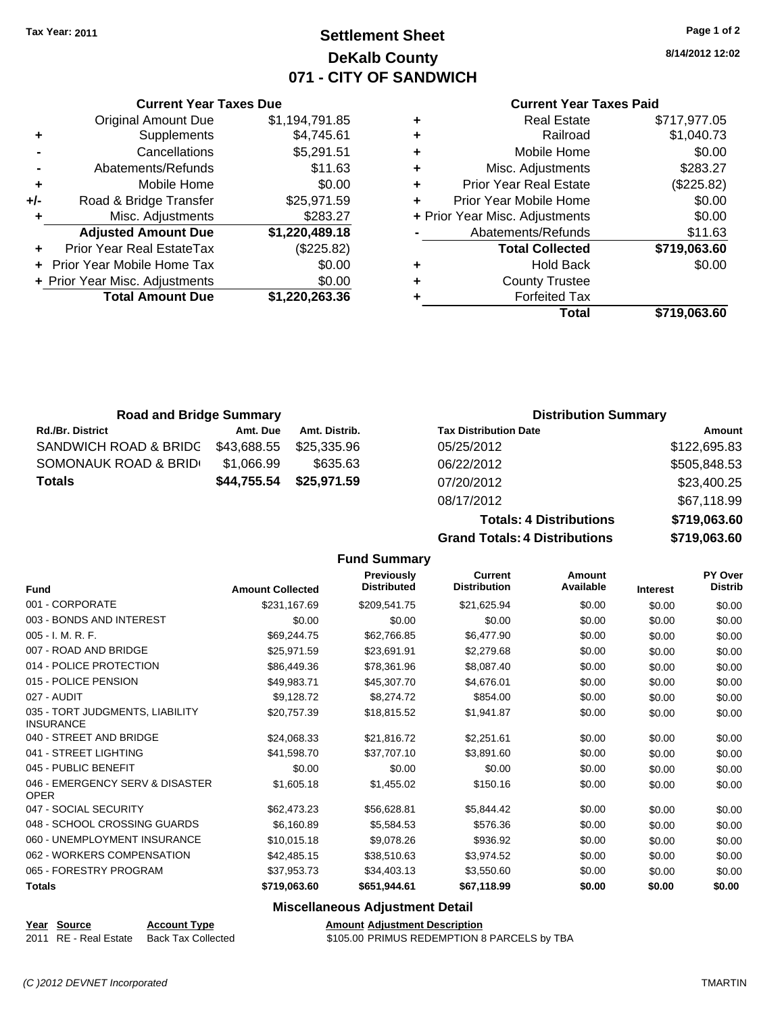# **Settlement Sheet Tax Year: 2011 Page 1 of 2 DeKalb County 071 - CITY OF SANDWICH**

**8/14/2012 12:02**

### **Current Year Taxes Paid**

|   | Total                          | \$719.063.60 |
|---|--------------------------------|--------------|
|   | <b>Forfeited Tax</b>           |              |
|   | <b>County Trustee</b>          |              |
| ٠ | <b>Hold Back</b>               | \$0.00       |
|   | <b>Total Collected</b>         | \$719,063.60 |
|   | Abatements/Refunds             | \$11.63      |
|   | + Prior Year Misc. Adjustments | \$0.00       |
|   | Prior Year Mobile Home         | \$0.00       |
| ٠ | <b>Prior Year Real Estate</b>  | (\$225.82)   |
| ٠ | Misc. Adjustments              | \$283.27     |
| ٠ | Mobile Home                    | \$0.00       |
| ٠ | Railroad                       | \$1,040.73   |
|   | <b>Real Estate</b>             | \$717,977.05 |

**Totals: 4 Distributions \$719,063.60**

**Grand Totals: 4 Distributions \$719,063.60**

|     | <b>Current Year Taxes Due</b>  |                |  |  |  |
|-----|--------------------------------|----------------|--|--|--|
|     | <b>Original Amount Due</b>     | \$1,194,791.85 |  |  |  |
| ٠   | Supplements                    | \$4,745.61     |  |  |  |
|     | Cancellations                  | \$5,291.51     |  |  |  |
|     | Abatements/Refunds             | \$11.63        |  |  |  |
| ٠   | Mobile Home                    | \$0.00         |  |  |  |
| +/- | Road & Bridge Transfer         | \$25,971.59    |  |  |  |
| ٠   | Misc. Adjustments              | \$283.27       |  |  |  |
|     | <b>Adjusted Amount Due</b>     | \$1,220,489.18 |  |  |  |
|     | Prior Year Real EstateTax      | (\$225.82)     |  |  |  |
|     | + Prior Year Mobile Home Tax   | \$0.00         |  |  |  |
|     | + Prior Year Misc. Adjustments | \$0.00         |  |  |  |
|     | <b>Total Amount Due</b>        | \$1,220,263.36 |  |  |  |
|     |                                |                |  |  |  |

| <b>Road and Bridge Summary</b> |             |               | <b>Distribution Summary</b>  |              |
|--------------------------------|-------------|---------------|------------------------------|--------------|
| <b>Rd./Br. District</b>        | Amt. Due    | Amt. Distrib. | <b>Tax Distribution Date</b> | Amount       |
| SANDWICH ROAD & BRIDC          | \$43,688.55 | \$25,335.96   | 05/25/2012                   | \$122,695.83 |
| SOMONAUK ROAD & BRID           | \$1,066.99  | \$635.63      | 06/22/2012                   | \$505,848.53 |
| <b>Totals</b>                  | \$44,755.54 | \$25,971.59   | 07/20/2012                   | \$23,400.25  |
|                                |             |               | 08/17/2012                   | \$67,118.99  |

### **Fund Summary**

|                                                     |                         | <b>Fund Summary</b>                     |                                       |                     |                 |                           |
|-----------------------------------------------------|-------------------------|-----------------------------------------|---------------------------------------|---------------------|-----------------|---------------------------|
| <b>Fund</b>                                         | <b>Amount Collected</b> | <b>Previously</b><br><b>Distributed</b> | <b>Current</b><br><b>Distribution</b> | Amount<br>Available | <b>Interest</b> | PY Over<br><b>Distrib</b> |
| 001 - CORPORATE                                     | \$231,167.69            | \$209,541.75                            | \$21,625.94                           | \$0.00              | \$0.00          | \$0.00                    |
| 003 - BONDS AND INTEREST                            | \$0.00                  | \$0.00                                  | \$0.00                                | \$0.00              | \$0.00          | \$0.00                    |
| 005 - I. M. R. F.                                   | \$69,244.75             | \$62,766.85                             | \$6,477.90                            | \$0.00              | \$0.00          | \$0.00                    |
| 007 - ROAD AND BRIDGE                               | \$25,971.59             | \$23,691.91                             | \$2,279.68                            | \$0.00              | \$0.00          | \$0.00                    |
| 014 - POLICE PROTECTION                             | \$86,449.36             | \$78,361.96                             | \$8,087.40                            | \$0.00              | \$0.00          | \$0.00                    |
| 015 - POLICE PENSION                                | \$49,983.71             | \$45,307.70                             | \$4,676.01                            | \$0.00              | \$0.00          | \$0.00                    |
| 027 - AUDIT                                         | \$9,128.72              | \$8,274.72                              | \$854.00                              | \$0.00              | \$0.00          | \$0.00                    |
| 035 - TORT JUDGMENTS, LIABILITY<br><b>INSURANCE</b> | \$20,757.39             | \$18,815.52                             | \$1,941.87                            | \$0.00              | \$0.00          | \$0.00                    |
| 040 - STREET AND BRIDGE                             | \$24,068.33             | \$21,816.72                             | \$2,251.61                            | \$0.00              | \$0.00          | \$0.00                    |
| 041 - STREET LIGHTING                               | \$41,598.70             | \$37,707.10                             | \$3,891.60                            | \$0.00              | \$0.00          | \$0.00                    |
| 045 - PUBLIC BENEFIT                                | \$0.00                  | \$0.00                                  | \$0.00                                | \$0.00              | \$0.00          | \$0.00                    |
| 046 - EMERGENCY SERV & DISASTER<br><b>OPER</b>      | \$1,605.18              | \$1,455.02                              | \$150.16                              | \$0.00              | \$0.00          | \$0.00                    |
| 047 - SOCIAL SECURITY                               | \$62,473.23             | \$56,628.81                             | \$5,844.42                            | \$0.00              | \$0.00          | \$0.00                    |
| 048 - SCHOOL CROSSING GUARDS                        | \$6,160.89              | \$5,584.53                              | \$576.36                              | \$0.00              | \$0.00          | \$0.00                    |
| 060 - UNEMPLOYMENT INSURANCE                        | \$10,015.18             | \$9,078.26                              | \$936.92                              | \$0.00              | \$0.00          | \$0.00                    |
| 062 - WORKERS COMPENSATION                          | \$42,485.15             | \$38,510.63                             | \$3,974.52                            | \$0.00              | \$0.00          | \$0.00                    |
| 065 - FORESTRY PROGRAM                              | \$37,953.73             | \$34,403.13                             | \$3,550.60                            | \$0.00              | \$0.00          | \$0.00                    |
| <b>Totals</b>                                       | \$719,063.60            | \$651,944.61                            | \$67,118.99                           | \$0.00              | \$0.00          | \$0.00                    |
|                                                     |                         |                                         |                                       |                     |                 |                           |

### **Miscellaneous Adjustment Detail**

**Year Source Account Type Amount Adjustment Description**<br>
2011 RE - Real Estate Back Tax Collected \$105.00 PRIMUS REDEMPTION 8

\$105.00 PRIMUS REDEMPTION 8 PARCELS by TBA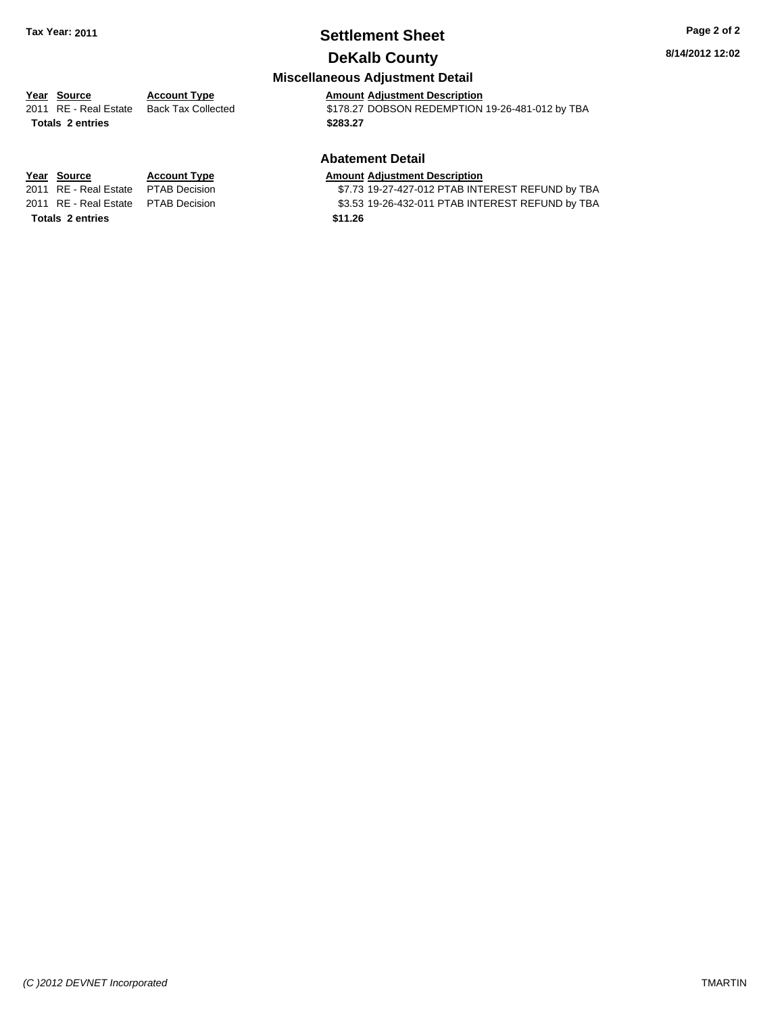# **Settlement Sheet Tax Year: 2011 Page 2 of 2**

## **DeKalb County**

**Miscellaneous Adjustment Detail**

**Year Source Account Type Amount Adjustment Description**<br>
2011 RE - Real Estate Back Tax Collected \$178.27 DOBSON REDEMPTION \$178.27 DOBSON REDEMPTION 19-26-481-012 by TBA **Totals \$283.27 2 entries**

### **Abatement Detail**

### **Year Source Account Type Amount Adjustment Description**

2011 RE - Real Estate \$7.73 19-27-427-012 PTAB INTEREST REFUND by TBA PTAB Decision 2011 RE - Real Estate \$3.53 19-26-432-011 PTAB INTEREST REFUND by TBA PTAB Decision

**Totals \$11.26 2 entries**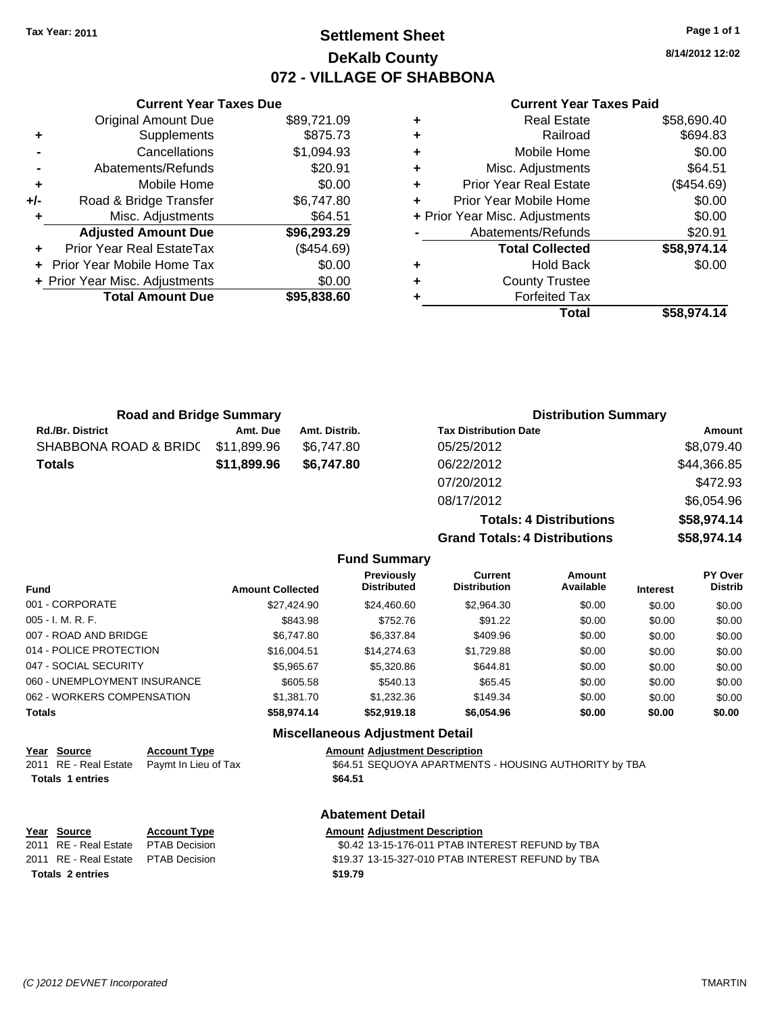# **Settlement Sheet Tax Year: 2011 Page 1 of 1 DeKalb County 072 - VILLAGE OF SHABBONA**

**8/14/2012 12:02**

### **Current Year Taxes Paid**

|   | Total                          | \$58,974.14 |
|---|--------------------------------|-------------|
|   | <b>Forfeited Tax</b>           |             |
| ٠ | <b>County Trustee</b>          |             |
| ٠ | <b>Hold Back</b>               | \$0.00      |
|   | <b>Total Collected</b>         | \$58,974.14 |
|   | Abatements/Refunds             | \$20.91     |
|   | + Prior Year Misc. Adjustments | \$0.00      |
| ٠ | Prior Year Mobile Home         | \$0.00      |
| ٠ | <b>Prior Year Real Estate</b>  | (\$454.69)  |
| ٠ | Misc. Adjustments              | \$64.51     |
| ٠ | Mobile Home                    | \$0.00      |
| ٠ | Railroad                       | \$694.83    |
|   | <b>Real Estate</b>             | \$58,690.40 |

|     | <b>Current Year Taxes Due</b>  |             |  |  |
|-----|--------------------------------|-------------|--|--|
|     | <b>Original Amount Due</b>     | \$89,721.09 |  |  |
| ٠   | Supplements                    | \$875.73    |  |  |
|     | Cancellations                  | \$1,094.93  |  |  |
|     | Abatements/Refunds             | \$20.91     |  |  |
| ٠   | Mobile Home                    | \$0.00      |  |  |
| +/- | Road & Bridge Transfer         | \$6,747.80  |  |  |
|     | Misc. Adjustments              | \$64.51     |  |  |
|     | <b>Adjusted Amount Due</b>     | \$96,293.29 |  |  |
|     | Prior Year Real EstateTax      | (\$454.69)  |  |  |
|     | Prior Year Mobile Home Tax     | \$0.00      |  |  |
|     | + Prior Year Misc. Adjustments | \$0.00      |  |  |
|     | <b>Total Amount Due</b>        | \$95,838.60 |  |  |
|     |                                |             |  |  |

| <b>Road and Bridge Summary</b> |             |               | <b>Distribution Summary</b>    |             |  |
|--------------------------------|-------------|---------------|--------------------------------|-------------|--|
| <b>Rd./Br. District</b>        | Amt. Due    | Amt. Distrib. | <b>Tax Distribution Date</b>   | Amount      |  |
| SHABBONA ROAD & BRIDC          | \$11,899.96 | \$6.747.80    | 05/25/2012                     | \$8,079.40  |  |
| <b>Totals</b>                  | \$11,899.96 | \$6,747.80    | 06/22/2012                     | \$44,366.85 |  |
|                                |             |               | 07/20/2012                     | \$472.93    |  |
|                                |             |               | 08/17/2012                     | \$6,054.96  |  |
|                                |             |               | <b>Totals: 4 Distributions</b> | \$58,974.14 |  |

**Grand Totals: 4** 

| ⊦ Distributions      | \$58,974.14 |  |  |
|----------------------|-------------|--|--|
| <b>Distributions</b> | \$58,974.14 |  |  |
|                      |             |  |  |

| <b>Fund</b>                  | <b>Amount Collected</b> | Previously<br><b>Distributed</b> | Current<br><b>Distribution</b> | Amount<br>Available | <b>Interest</b> | <b>PY Over</b><br><b>Distrib</b> |
|------------------------------|-------------------------|----------------------------------|--------------------------------|---------------------|-----------------|----------------------------------|
| 001 - CORPORATE              | \$27,424.90             | \$24,460.60                      | \$2,964.30                     | \$0.00              | \$0.00          | \$0.00                           |
| 005 - I. M. R. F.            | \$843.98                | \$752.76                         | \$91.22                        | \$0.00              | \$0.00          | \$0.00                           |
| 007 - ROAD AND BRIDGE        | \$6.747.80              | \$6,337.84                       | \$409.96                       | \$0.00              | \$0.00          | \$0.00                           |
| 014 - POLICE PROTECTION      | \$16,004.51             | \$14,274.63                      | \$1,729.88                     | \$0.00              | \$0.00          | \$0.00                           |
| 047 - SOCIAL SECURITY        | \$5.965.67              | \$5,320.86                       | \$644.81                       | \$0.00              | \$0.00          | \$0.00                           |
| 060 - UNEMPLOYMENT INSURANCE | \$605.58                | \$540.13                         | \$65.45                        | \$0.00              | \$0.00          | \$0.00                           |
| 062 - WORKERS COMPENSATION   | \$1,381.70              | \$1,232.36                       | \$149.34                       | \$0.00              | \$0.00          | \$0.00                           |
| Totals                       | \$58,974.14             | \$52,919.18                      | \$6,054.96                     | \$0.00              | \$0.00          | \$0.00                           |
|                              | --- --                  |                                  |                                |                     |                 |                                  |

**Fund Summary**

### **Miscellaneous Adjustment Detail**

|                         | <u>Year Source</u> | <b>Account Type</b>                        | <b>Amount Adjustment Description</b>                  |
|-------------------------|--------------------|--------------------------------------------|-------------------------------------------------------|
|                         |                    | 2011 RE - Real Estate Paymt In Lieu of Tax | \$64.51 SEQUOYA APARTMENTS - HOUSING AUTHORITY by TBA |
| <b>Totals 1 entries</b> |                    |                                            | \$64.51                                               |

|                                     | <b>Abatement Detail</b> |                                                   |  |  |
|-------------------------------------|-------------------------|---------------------------------------------------|--|--|
| Year Source                         | <b>Account Type</b>     | <b>Amount Adjustment Description</b>              |  |  |
| 2011 RE - Real Estate               | PTAB Decision           | \$0.42 13-15-176-011 PTAB INTEREST REFUND by TBA  |  |  |
| 2011 RE - Real Estate PTAB Decision |                         | \$19.37 13-15-327-010 PTAB INTEREST REFUND by TBA |  |  |
| <b>Totals 2 entries</b>             |                         | \$19.79                                           |  |  |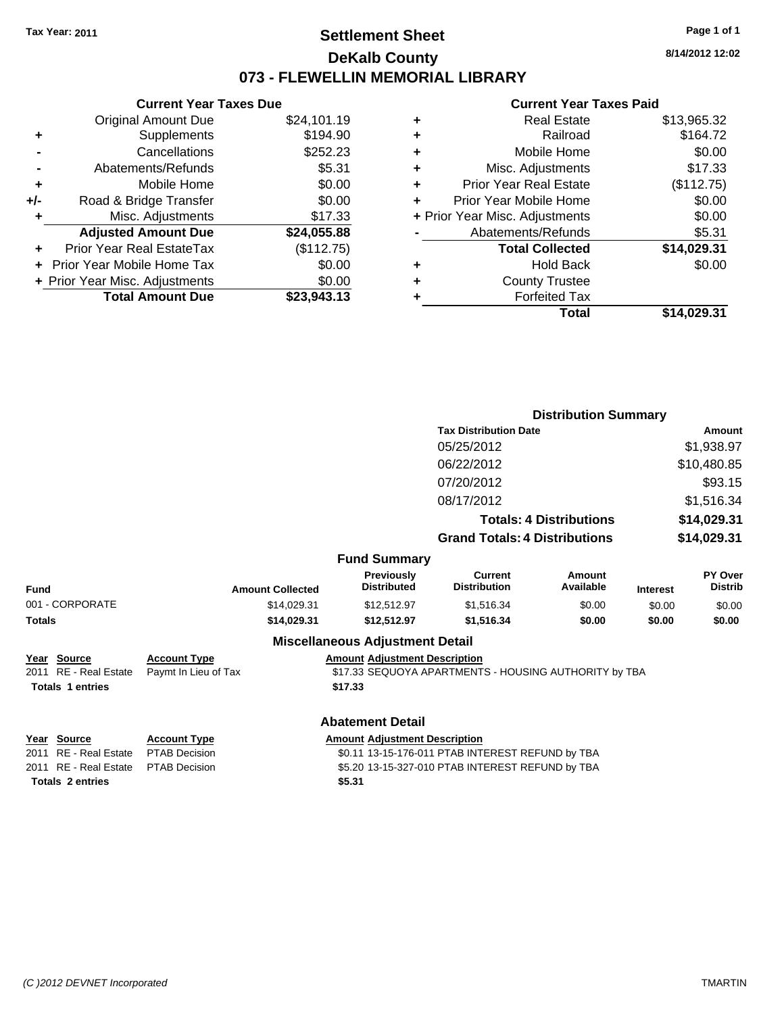# **Settlement Sheet Tax Year: 2011 Page 1 of 1 DeKalb County 073 - FLEWELLIN MEMORIAL LIBRARY**

**8/14/2012 12:02**

## **Current Year Taxes Paid**

| <b>Current Year Taxes Due</b>  |             |  |  |  |
|--------------------------------|-------------|--|--|--|
| <b>Original Amount Due</b>     | \$24,101.19 |  |  |  |
| Supplements                    | \$194.90    |  |  |  |
| Cancellations                  | \$252.23    |  |  |  |
| Abatements/Refunds             | \$5.31      |  |  |  |
| Mobile Home                    | \$0.00      |  |  |  |
| Road & Bridge Transfer         | \$0.00      |  |  |  |
| Misc. Adjustments              | \$17.33     |  |  |  |
| <b>Adjusted Amount Due</b>     | \$24,055.88 |  |  |  |
| Prior Year Real EstateTax      | (\$112.75)  |  |  |  |
| Prior Year Mobile Home Tax     | \$0.00      |  |  |  |
| + Prior Year Misc. Adjustments | \$0.00      |  |  |  |
| <b>Total Amount Due</b>        | \$23.943.13 |  |  |  |
|                                |             |  |  |  |

|   | Total                          | \$14,029.31 |
|---|--------------------------------|-------------|
| ٠ | <b>Forfeited Tax</b>           |             |
| ٠ | <b>County Trustee</b>          |             |
| ٠ | <b>Hold Back</b>               | \$0.00      |
|   | <b>Total Collected</b>         | \$14,029.31 |
|   | Abatements/Refunds             | \$5.31      |
|   | + Prior Year Misc. Adjustments | \$0.00      |
| ٠ | Prior Year Mobile Home         | \$0.00      |
| ÷ | <b>Prior Year Real Estate</b>  | (\$112.75)  |
| ٠ | Misc. Adjustments              | \$17.33     |
| ٠ | Mobile Home                    | \$0.00      |
| ٠ | Railroad                       | \$164.72    |
| ٠ | <b>Real Estate</b>             | \$13,965.32 |
|   |                                |             |

|                                                                 |                                             | <b>Distribution Summary</b>                      |                                                       |                                |                 |                                  |
|-----------------------------------------------------------------|---------------------------------------------|--------------------------------------------------|-------------------------------------------------------|--------------------------------|-----------------|----------------------------------|
|                                                                 |                                             |                                                  | <b>Tax Distribution Date</b>                          |                                |                 | Amount                           |
|                                                                 |                                             |                                                  | 05/25/2012                                            |                                |                 | \$1,938.97                       |
|                                                                 |                                             |                                                  | 06/22/2012                                            |                                |                 | \$10,480.85                      |
|                                                                 |                                             |                                                  | 07/20/2012                                            |                                |                 | \$93.15                          |
|                                                                 |                                             |                                                  | 08/17/2012                                            |                                |                 | \$1,516.34                       |
|                                                                 |                                             |                                                  |                                                       | <b>Totals: 4 Distributions</b> |                 | \$14,029.31                      |
|                                                                 |                                             |                                                  | <b>Grand Totals: 4 Distributions</b>                  |                                |                 | \$14,029.31                      |
|                                                                 |                                             | <b>Fund Summary</b>                              |                                                       |                                |                 |                                  |
| Fund                                                            | <b>Amount Collected</b>                     | <b>Previously</b><br><b>Distributed</b>          | <b>Current</b><br><b>Distribution</b>                 | Amount<br>Available            | <b>Interest</b> | <b>PY Over</b><br><b>Distrib</b> |
| 001 - CORPORATE                                                 | \$14,029.31                                 | \$12,512.97                                      | \$1,516.34                                            | \$0.00                         | \$0.00          | \$0.00                           |
| Totals                                                          | \$14,029.31                                 | \$12,512.97                                      | \$1,516.34                                            | \$0.00                         | \$0.00          | \$0.00                           |
|                                                                 |                                             | <b>Miscellaneous Adjustment Detail</b>           |                                                       |                                |                 |                                  |
| Year Source<br>2011 RE - Real Estate<br><b>Totals 1 entries</b> | <b>Account Type</b><br>Paymt In Lieu of Tax | <b>Amount Adjustment Description</b><br>\$17.33  | \$17.33 SEQUOYA APARTMENTS - HOUSING AUTHORITY by TBA |                                |                 |                                  |
|                                                                 |                                             | <b>Abatement Detail</b>                          |                                                       |                                |                 |                                  |
| Year Source                                                     | <b>Account Type</b>                         | <b>Amount Adjustment Description</b>             |                                                       |                                |                 |                                  |
| 2011 RE - Real Estate                                           | <b>PTAB Decision</b>                        | \$0.11 13-15-176-011 PTAB INTEREST REFUND by TBA |                                                       |                                |                 |                                  |

**Totals \$5.31 2 entries**

2011 RE - Real Estate \$5.20 13-15-327-010 PTAB INTEREST REFUND by TBA PTAB Decision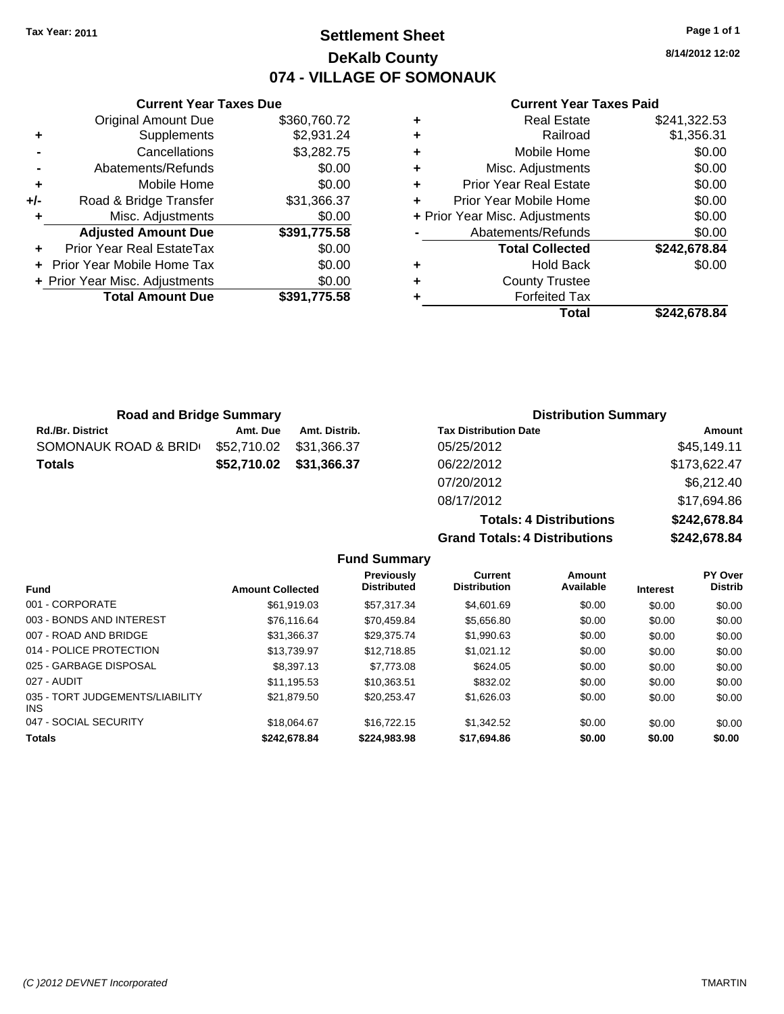# **Settlement Sheet Tax Year: 2011 Page 1 of 1 DeKalb County 074 - VILLAGE OF SOMONAUK**

**8/14/2012 12:02**

### **Current Year Taxes Paid**

|   | <b>Real Estate</b>             | \$241,322.53 |
|---|--------------------------------|--------------|
| ٠ | Railroad                       | \$1,356.31   |
| ٠ | Mobile Home                    | \$0.00       |
| ٠ | Misc. Adjustments              | \$0.00       |
| ٠ | <b>Prior Year Real Estate</b>  | \$0.00       |
| ٠ | Prior Year Mobile Home         | \$0.00       |
|   | + Prior Year Misc. Adjustments | \$0.00       |
|   | Abatements/Refunds             | \$0.00       |
|   | <b>Total Collected</b>         | \$242,678.84 |
| ٠ | Hold Back                      | \$0.00       |
| ٠ | <b>County Trustee</b>          |              |
| ٠ | <b>Forfeited Tax</b>           |              |
|   | Total                          | \$242.678.84 |

**Totals: 4 Distributions \$242,678.84**

| \$360,760.72<br>\$2,931.24 |
|----------------------------|
|                            |
|                            |
| \$3,282.75                 |
| \$0.00                     |
| \$0.00                     |
| \$31,366.37                |
| \$0.00                     |
| \$391,775.58               |
| \$0.00                     |
| \$0.00                     |
| \$0.00                     |
| \$391.775.58               |
|                            |

| <b>Road and Bridge Summary</b> |             |               | <b>Distribution Summary</b>  |              |  |
|--------------------------------|-------------|---------------|------------------------------|--------------|--|
| <b>Rd./Br. District</b>        | Amt. Due    | Amt. Distrib. | <b>Tax Distribution Date</b> | Amount       |  |
| SOMONAUK ROAD & BRID           | \$52,710.02 | \$31,366.37   | 05/25/2012                   | \$45,149.11  |  |
| <b>Totals</b>                  | \$52,710.02 | \$31,366.37   | 06/22/2012                   | \$173,622.47 |  |
|                                |             |               | 07/20/2012                   | \$6,212.40   |  |
|                                |             |               | 08/17/2012                   | \$17,694.86  |  |

### **Grand Totals: 4 Distributions \$242,678.84 Fund Summary**

| <b>Amount Collected</b> | <b>Previously</b><br><b>Distributed</b> | <b>Current</b><br><b>Distribution</b> | Amount<br>Available | <b>Interest</b> | PY Over<br><b>Distrib</b> |
|-------------------------|-----------------------------------------|---------------------------------------|---------------------|-----------------|---------------------------|
| \$61.919.03             | \$57.317.34                             | \$4,601.69                            | \$0.00              | \$0.00          | \$0.00                    |
| \$76.116.64             | \$70.459.84                             | \$5,656.80                            | \$0.00              | \$0.00          | \$0.00                    |
| \$31,366.37             | \$29.375.74                             | \$1,990.63                            | \$0.00              | \$0.00          | \$0.00                    |
| \$13.739.97             | \$12.718.85                             | \$1.021.12                            | \$0.00              | \$0.00          | \$0.00                    |
| \$8,397.13              | \$7.773.08                              | \$624.05                              | \$0.00              | \$0.00          | \$0.00                    |
| \$11.195.53             | \$10.363.51                             | \$832.02                              | \$0.00              | \$0.00          | \$0.00                    |
| \$21,879.50             | \$20.253.47                             | \$1,626.03                            | \$0.00              | \$0.00          | \$0.00                    |
| \$18.064.67             | \$16.722.15                             | \$1,342.52                            | \$0.00              | \$0.00          | \$0.00                    |
| \$242,678.84            | \$224,983.98                            | \$17,694.86                           | \$0.00              | \$0.00          | \$0.00                    |
|                         |                                         |                                       |                     |                 |                           |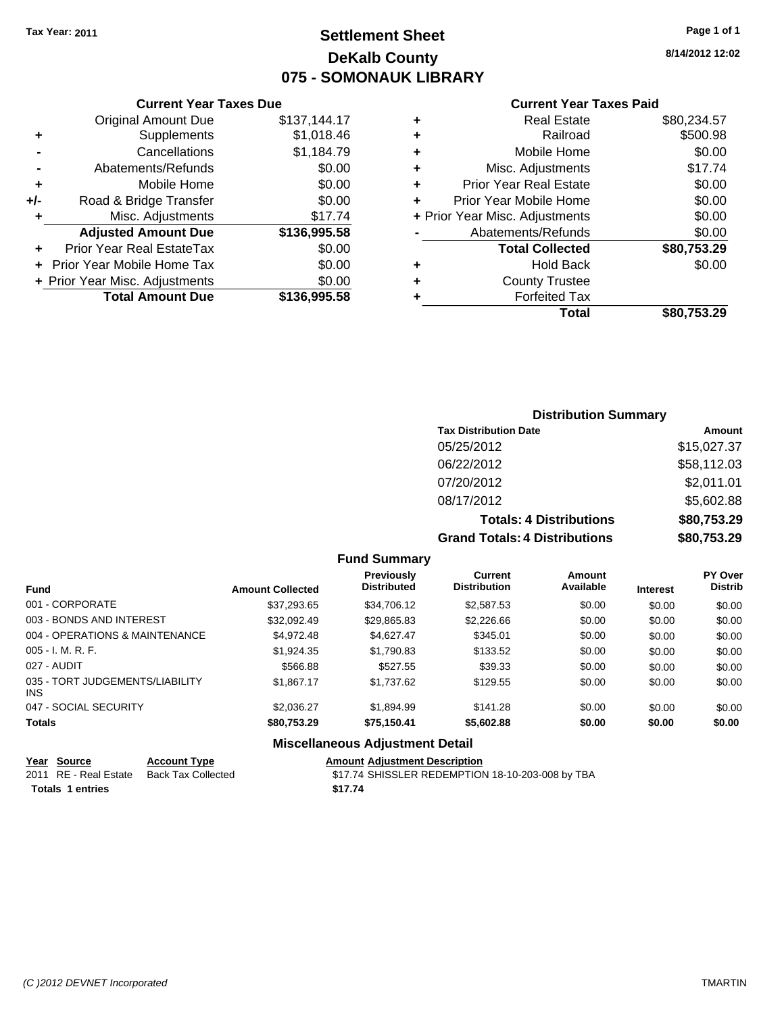# **Settlement Sheet Tax Year: 2011 Page 1 of 1 DeKalb County 075 - SOMONAUK LIBRARY**

**8/14/2012 12:02**

|                                          | <b>Current Year Taxes Due</b>               |              |  |  |  |  |
|------------------------------------------|---------------------------------------------|--------------|--|--|--|--|
|                                          | <b>Original Amount Due</b>                  | \$137,144.17 |  |  |  |  |
| ٠                                        | Supplements                                 | \$1,018.46   |  |  |  |  |
|                                          | Cancellations                               | \$1,184.79   |  |  |  |  |
|                                          | Abatements/Refunds                          | \$0.00       |  |  |  |  |
| ٠                                        | Mobile Home                                 | \$0.00       |  |  |  |  |
| +/-                                      | Road & Bridge Transfer                      | \$0.00       |  |  |  |  |
|                                          | Misc. Adjustments                           | \$17.74      |  |  |  |  |
|                                          | <b>Adjusted Amount Due</b>                  | \$136,995.58 |  |  |  |  |
| ÷                                        | Prior Year Real EstateTax                   | \$0.00       |  |  |  |  |
|                                          | \$0.00<br><b>Prior Year Mobile Home Tax</b> |              |  |  |  |  |
| \$0.00<br>+ Prior Year Misc. Adjustments |                                             |              |  |  |  |  |
|                                          | <b>Total Amount Due</b>                     | \$136,995.58 |  |  |  |  |
|                                          |                                             |              |  |  |  |  |

|   | <b>Current Year Taxes Paid</b> |             |  |  |  |  |
|---|--------------------------------|-------------|--|--|--|--|
| ٠ | <b>Real Estate</b>             | \$80,234.57 |  |  |  |  |
| ٠ | Railroad                       | \$500.98    |  |  |  |  |
| ٠ | Mobile Home                    | \$0.00      |  |  |  |  |
| ٠ | Misc. Adjustments              | \$17.74     |  |  |  |  |
| ٠ | <b>Prior Year Real Estate</b>  | \$0.00      |  |  |  |  |
| ÷ | Prior Year Mobile Home         | \$0.00      |  |  |  |  |
|   | + Prior Year Misc. Adjustments | \$0.00      |  |  |  |  |
|   | Abatements/Refunds             | \$0.00      |  |  |  |  |
|   | <b>Total Collected</b>         | \$80,753.29 |  |  |  |  |
|   | <b>Hold Back</b>               | \$0.00      |  |  |  |  |
| ٠ | <b>County Trustee</b>          |             |  |  |  |  |
|   | <b>Forfeited Tax</b>           |             |  |  |  |  |
|   | Total                          | \$80,753.29 |  |  |  |  |

### **Distribution Summary Tax Distribution Date Amount** 05/25/2012 \$15,027.37 06/22/2012 \$58,112.03 07/20/2012 \$2,011.01

| 08/17/2012                           | \$5,602.88  |
|--------------------------------------|-------------|
| <b>Totals: 4 Distributions</b>       | \$80,753.29 |
| <b>Grand Totals: 4 Distributions</b> | \$80,753.29 |

**Fund Summary**

| <b>Fund</b>                             | <b>Amount Collected</b> | <b>Previously</b><br><b>Distributed</b> | Current<br><b>Distribution</b> | Amount<br>Available | <b>Interest</b> | PY Over<br><b>Distrib</b> |
|-----------------------------------------|-------------------------|-----------------------------------------|--------------------------------|---------------------|-----------------|---------------------------|
| 001 - CORPORATE                         | \$37,293,65             | \$34,706.12                             | \$2,587.53                     | \$0.00              | \$0.00          | \$0.00                    |
| 003 - BONDS AND INTEREST                | \$32,092.49             | \$29,865.83                             | \$2,226.66                     | \$0.00              | \$0.00          | \$0.00                    |
| 004 - OPERATIONS & MAINTENANCE          | \$4.972.48              | \$4.627.47                              | \$345.01                       | \$0.00              | \$0.00          | \$0.00                    |
| $005 - I. M. R. F.$                     | \$1,924.35              | \$1,790.83                              | \$133.52                       | \$0.00              | \$0.00          | \$0.00                    |
| 027 - AUDIT                             | \$566.88                | \$527.55                                | \$39.33                        | \$0.00              | \$0.00          | \$0.00                    |
| 035 - TORT JUDGEMENTS/LIABILITY<br>INS. | \$1,867.17              | \$1,737.62                              | \$129.55                       | \$0.00              | \$0.00          | \$0.00                    |
| 047 - SOCIAL SECURITY                   | \$2,036.27              | \$1,894.99                              | \$141.28                       | \$0.00              | \$0.00          | \$0.00                    |
| <b>Totals</b>                           | \$80,753.29             | \$75,150.41                             | \$5,602.88                     | \$0.00              | \$0.00          | \$0.00                    |

| <b>Miscellaneous Adjustment Detail</b> |  |  |
|----------------------------------------|--|--|
|----------------------------------------|--|--|

| Year Source             | <b>Account Type</b>                      | <b>Amount Adiustment Description</b>             |
|-------------------------|------------------------------------------|--------------------------------------------------|
|                         | 2011 RE - Real Estate Back Tax Collected | \$17.74 SHISSLER REDEMPTION 18-10-203-008 by TBA |
| <b>Totals 1 entries</b> |                                          | \$17.74                                          |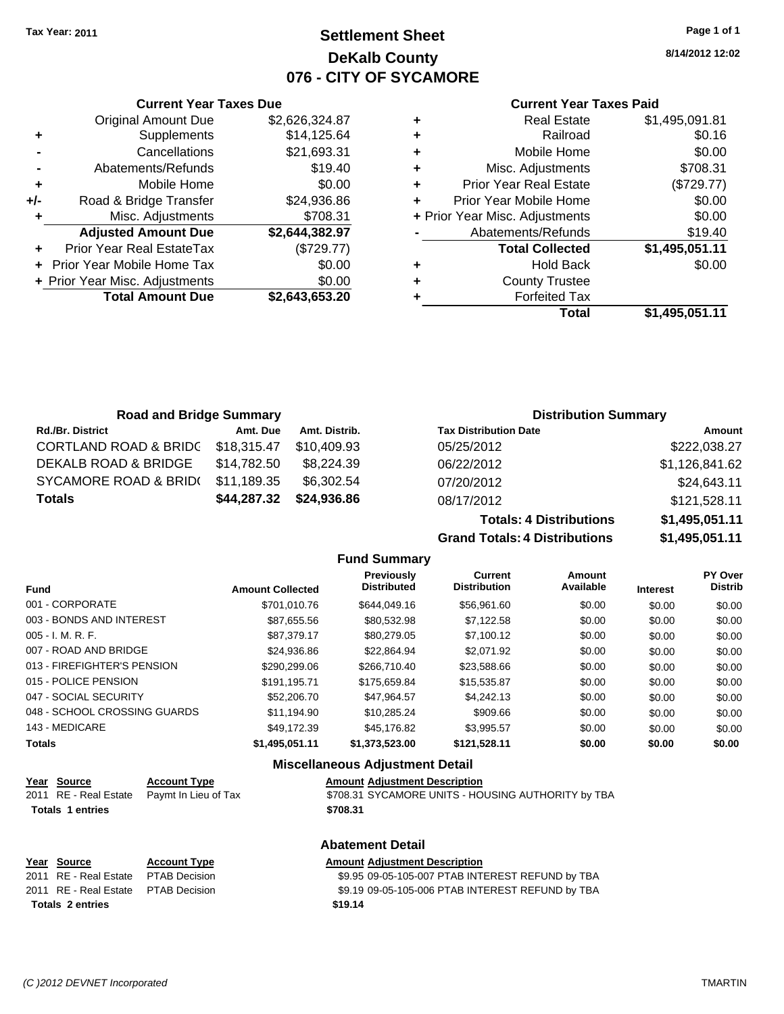**Current Year Taxes Due** Original Amount Due \$2,626,324.87

**Adjusted Amount Due \$2,644,382.97**

**Total Amount Due \$2,643,653.20**

**+** Supplements \$14,125.64 **-** Cancellations \$21,693.31 **-** Abatements/Refunds \$19.40 **+** Mobile Home \$0.00 **+/-** Road & Bridge Transfer \$24,936.86 **+** Misc. Adjustments \$708.31

**+** Prior Year Real EstateTax (\$729.77) **+** Prior Year Mobile Home Tax \$0.00 **+ Prior Year Misc. Adjustments**  $$0.00$ 

## **Settlement Sheet Tax Year: 2011 Page 1 of 1 DeKalb County 076 - CITY OF SYCAMORE**

**8/14/2012 12:02**

#### **Current Year Taxes Paid**

| ٠ | <b>Real Estate</b>             | \$1,495,091.81 |
|---|--------------------------------|----------------|
| ٠ | Railroad                       | \$0.16         |
| ÷ | Mobile Home                    | \$0.00         |
| ÷ | Misc. Adjustments              | \$708.31       |
| ÷ | <b>Prior Year Real Estate</b>  | (\$729.77)     |
| ÷ | Prior Year Mobile Home         | \$0.00         |
|   | + Prior Year Misc. Adjustments | \$0.00         |
|   | Abatements/Refunds             | \$19.40        |
|   | <b>Total Collected</b>         | \$1,495,051.11 |
| ٠ | <b>Hold Back</b>               | \$0.00         |
| ٠ | <b>County Trustee</b>          |                |
|   | <b>Forfeited Tax</b>           |                |
|   | Total                          | \$1,495,051.11 |
|   |                                |                |

| <b>Road and Bridge Summary</b>   |             |               | <b>Distribution Summary</b>  |                |
|----------------------------------|-------------|---------------|------------------------------|----------------|
| <b>Rd./Br. District</b>          | Amt. Due    | Amt. Distrib. | <b>Tax Distribution Date</b> | Amount         |
| <b>CORTLAND ROAD &amp; BRIDG</b> | \$18,315.47 | \$10.409.93   | 05/25/2012                   | \$222,038.27   |
| DEKALB ROAD & BRIDGE             | \$14,782.50 | \$8.224.39    | 06/22/2012                   | \$1,126,841.62 |
| SYCAMORE ROAD & BRID(            | \$11,189.35 | \$6,302.54    | 07/20/2012                   | \$24,643.11    |
| <b>Totals</b>                    | \$44,287.32 | \$24,936.86   | 08/17/2012                   | \$121,528.11   |

#### **Totals: 4 Distributions \$1,495,051.11 Grand Totals: 4 Distributions \$1,495,051.11 Fund Summary**

|                              |                         | I UIIU VUIIIIIUI Y                      |                                       |                     |                 |                                  |
|------------------------------|-------------------------|-----------------------------------------|---------------------------------------|---------------------|-----------------|----------------------------------|
| <b>Fund</b>                  | <b>Amount Collected</b> | <b>Previously</b><br><b>Distributed</b> | <b>Current</b><br><b>Distribution</b> | Amount<br>Available | <b>Interest</b> | <b>PY Over</b><br><b>Distrib</b> |
| 001 - CORPORATE              | \$701.010.76            | \$644,049.16                            | \$56,961,60                           | \$0.00              | \$0.00          | \$0.00                           |
| 003 - BONDS AND INTEREST     | \$87,655.56             | \$80,532.98                             | \$7,122.58                            | \$0.00              | \$0.00          | \$0.00                           |
| 005 - I. M. R. F.            | \$87.379.17             | \$80,279.05                             | \$7,100.12                            | \$0.00              | \$0.00          | \$0.00                           |
| 007 - ROAD AND BRIDGE        | \$24.936.86             | \$22.864.94                             | \$2,071.92                            | \$0.00              | \$0.00          | \$0.00                           |
| 013 - FIREFIGHTER'S PENSION  | \$290.299.06            | \$266,710.40                            | \$23,588.66                           | \$0.00              | \$0.00          | \$0.00                           |
| 015 - POLICE PENSION         | \$191.195.71            | \$175,659.84                            | \$15,535.87                           | \$0.00              | \$0.00          | \$0.00                           |
| 047 - SOCIAL SECURITY        | \$52,206.70             | \$47.964.57                             | \$4,242.13                            | \$0.00              | \$0.00          | \$0.00                           |
| 048 - SCHOOL CROSSING GUARDS | \$11.194.90             | \$10.285.24                             | \$909.66                              | \$0.00              | \$0.00          | \$0.00                           |
| 143 - MEDICARE               | \$49.172.39             | \$45.176.82                             | \$3.995.57                            | \$0.00              | \$0.00          | \$0.00                           |
| Totals                       | \$1,495,051.11          | \$1.373.523.00                          | \$121.528.11                          | \$0.00              | \$0.00          | \$0.00                           |
|                              |                         |                                         |                                       |                     |                 |                                  |

#### **Miscellaneous Adjustment Detail**

| Year Source             | <b>Account Type</b>                        | <b>Amount Adiustment Description</b>               |
|-------------------------|--------------------------------------------|----------------------------------------------------|
|                         | 2011 RE - Real Estate Paymt In Lieu of Tax | \$708.31 SYCAMORE UNITS - HOUSING AUTHORITY by TBA |
| <b>Totals 1 entries</b> |                                            | \$708.31                                           |

#### **Abatement Detail**

| Year Source                          | <b>Account Type</b> | <b>Amount Adiustment Description</b>             |
|--------------------------------------|---------------------|--------------------------------------------------|
| 2011 RE - Real Estate                | PTAB Decision       | \$9.95 09-05-105-007 PTAB INTEREST REFUND by TBA |
| 2011 RE - Real Estate  PTAB Decision |                     | \$9.19 09-05-105-006 PTAB INTEREST REFUND by TBA |
| <b>Totals 2 entries</b>              |                     | \$19.14                                          |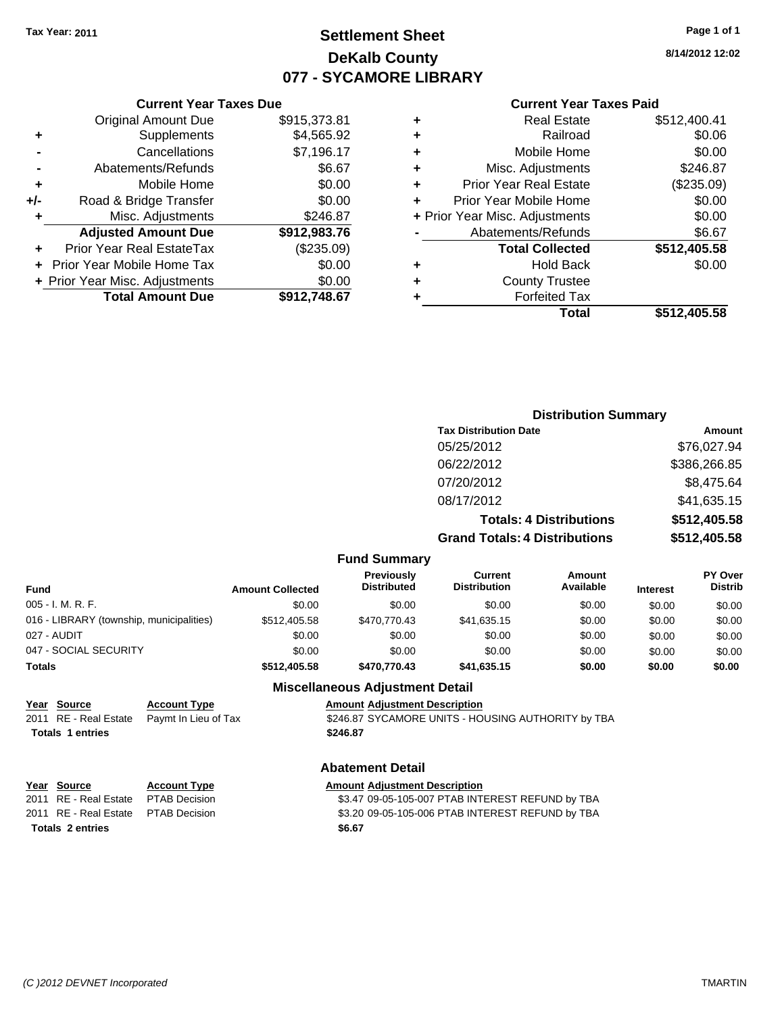## **Settlement Sheet Tax Year: 2011 Page 1 of 1 DeKalb County 077 - SYCAMORE LIBRARY**

**8/14/2012 12:02**

#### **Current Year Taxes Paid**

| Curre                   |   |              | <b>Current Year Taxes Due</b>  |     |
|-------------------------|---|--------------|--------------------------------|-----|
| Rea                     | ٠ | \$915,373.81 | <b>Original Amount Due</b>     |     |
|                         | ٠ | \$4,565.92   | Supplements                    | ٠   |
| Mobil                   | ٠ | \$7,196.17   | Cancellations                  |     |
| Misc. Adju              | ٠ | \$6.67       | Abatements/Refunds             |     |
| <b>Prior Year Rea</b>   | ٠ | \$0.00       | Mobile Home                    | ٠   |
| Prior Year Mobil        | ٠ | \$0.00       | Road & Bridge Transfer         | +/- |
| + Prior Year Misc. Adju |   | \$246.87     | Misc. Adjustments              | ٠   |
| Abatements/             |   | \$912,983.76 | <b>Adjusted Amount Due</b>     |     |
| <b>Total Co</b>         |   | (\$235.09)   | Prior Year Real EstateTax      |     |
| Hc                      | ٠ | \$0.00       | + Prior Year Mobile Home Tax   |     |
| County                  | ٠ | \$0.00       | + Prior Year Misc. Adjustments |     |
| Forfe                   |   | \$912,748.67 | <b>Total Amount Due</b>        |     |
|                         |   |              |                                |     |

|   | Total                          | \$512,405.58 |
|---|--------------------------------|--------------|
|   | <b>Forfeited Tax</b>           |              |
| ٠ | <b>County Trustee</b>          |              |
|   | <b>Hold Back</b>               | \$0.00       |
|   | <b>Total Collected</b>         | \$512,405.58 |
|   | Abatements/Refunds             | \$6.67       |
|   | + Prior Year Misc. Adjustments | \$0.00       |
| ÷ | Prior Year Mobile Home         | \$0.00       |
| ٠ | <b>Prior Year Real Estate</b>  | (\$235.09)   |
| ٠ | Misc. Adjustments              | \$246.87     |
| ٠ | Mobile Home                    | \$0.00       |
|   | Railroad                       | \$0.06       |
| ٠ | <b>Real Estate</b>             | \$512,400.41 |

#### **Distribution Summary Tax Distribution Date Amount** 05/25/2012 \$76,027.94 06/22/2012 \$386,266.85 07/20/2012 \$8,475.64 08/17/2012 \$41,635.15 **Totals: 4 Distributions \$512,405.58 Grand Totals: 4 Distributions \$512,405.58 Fund Summary Fund Interest Amount Collected Distributed PY Over Distrib Amount Available Current Distribution Previously**

| <b>Miscellaneous Adjustment Detail</b><br>$V_{max}$ $C_{min}$<br>Americal Adjustment Description<br>$A$ continued $T_{t}$ |  |              |              |             |        |        |        |
|---------------------------------------------------------------------------------------------------------------------------|--|--------------|--------------|-------------|--------|--------|--------|
|                                                                                                                           |  |              |              |             |        |        |        |
| Totals                                                                                                                    |  | \$512,405.58 | \$470,770.43 | \$41.635.15 | \$0.00 | \$0.00 | \$0.00 |
| 047 - SOCIAL SECURITY                                                                                                     |  | \$0.00       | \$0.00       | \$0.00      | \$0.00 | \$0.00 | \$0.00 |
| 027 - AUDIT                                                                                                               |  | \$0.00       | \$0.00       | \$0.00      | \$0.00 | \$0.00 | \$0.00 |
| 016 - LIBRARY (township, municipalities)                                                                                  |  | \$512,405.58 | \$470,770.43 | \$41.635.15 | \$0.00 | \$0.00 | \$0.00 |
| 005 - I. M. R. F.                                                                                                         |  | \$0.00       | \$0.00       | \$0.00      | \$0.00 | \$0.00 | \$0.00 |
|                                                                                                                           |  |              |              |             |        |        |        |

| Year Source                         | <b>Account Type</b>  | <b>Amount Adjustment Description</b>               |
|-------------------------------------|----------------------|----------------------------------------------------|
| 2011 RE - Real Estate               | Paymt In Lieu of Tax | \$246.87 SYCAMORE UNITS - HOUSING AUTHORITY by TBA |
| <b>Totals 1 entries</b>             |                      | \$246.87                                           |
|                                     |                      | <b>Abatement Detail</b>                            |
| Year Source                         | <b>Account Type</b>  | <b>Amount Adjustment Description</b>               |
| 2011 RE - Real Estate PTAB Decision |                      | \$3.47 09-05-105-007 PTAB INTEREST REFUND by TBA   |
|                                     |                      |                                                    |

**Totals \$6.67 2 entries**

2011 RE - Real Estate \$3.20 09-05-105-006 PTAB INTEREST REFUND by TBA PTAB Decision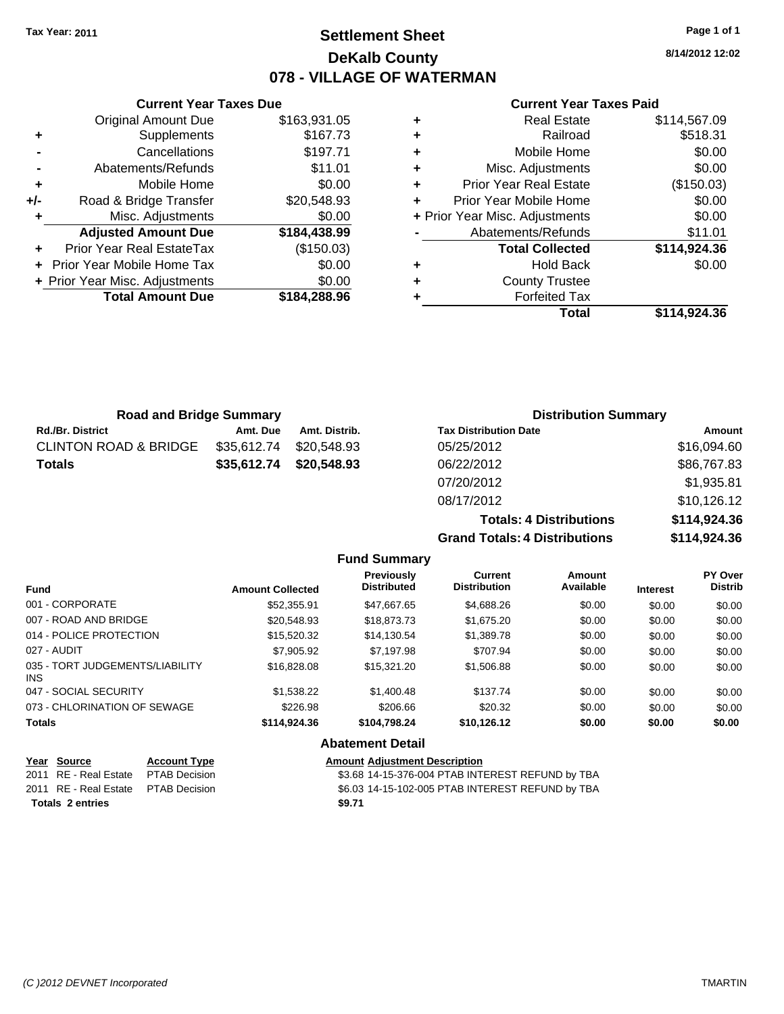**Current Year Taxes Due** Original Amount Due \$163,931.05

**Adjusted Amount Due \$184,438.99**

**Total Amount Due \$184,288.96**

**+** Supplements \$167.73 **-** Cancellations \$197.71 **-** Abatements/Refunds \$11.01 **+** Mobile Home \$0.00 **+/-** Road & Bridge Transfer \$20,548.93 **+** Misc. Adjustments \$0.00

**+** Prior Year Real EstateTax (\$150.03) **+** Prior Year Mobile Home Tax \$0.00 **+ Prior Year Misc. Adjustments**  $$0.00$ 

## **Settlement Sheet Tax Year: 2011 Page 1 of 1 DeKalb County 078 - VILLAGE OF WATERMAN**

**8/14/2012 12:02**

|   | Total                          | \$114.924.36 |
|---|--------------------------------|--------------|
|   | <b>Forfeited Tax</b>           |              |
| ٠ | <b>County Trustee</b>          |              |
| ٠ | <b>Hold Back</b>               | \$0.00       |
|   | <b>Total Collected</b>         | \$114,924.36 |
|   | Abatements/Refunds             | \$11.01      |
|   | + Prior Year Misc. Adjustments | \$0.00       |
| ٠ | Prior Year Mobile Home         | \$0.00       |
| ٠ | Prior Year Real Estate         | (\$150.03)   |
| ٠ | Misc. Adjustments              | \$0.00       |
| ٠ | Mobile Home                    | \$0.00       |
| ٠ | Railroad                       | \$518.31     |
| ÷ | <b>Real Estate</b>             | \$114,567.09 |
|   |                                |              |

| <b>Road and Bridge Summary</b>   |             |                         | <b>Distribution Summary</b>  |             |  |
|----------------------------------|-------------|-------------------------|------------------------------|-------------|--|
| <b>Rd./Br. District</b>          | Amt. Due    | Amt. Distrib.           | <b>Tax Distribution Date</b> | Amount      |  |
| <b>CLINTON ROAD &amp; BRIDGE</b> | \$35,612.74 | \$20.548.93             | 05/25/2012                   | \$16,094.60 |  |
| <b>Totals</b>                    |             | \$35,612.74 \$20,548.93 | 06/22/2012                   | \$86,767.83 |  |
|                                  |             |                         | 07/20/2012                   | \$1,935.81  |  |
|                                  |             |                         | 08/17/2012                   | \$10,126,12 |  |

|                     | 08/17/2012                           |               |              | \$10,126.12    |
|---------------------|--------------------------------------|---------------|--------------|----------------|
|                     | <b>Totals: 4 Distributions</b>       | \$114,924.36  |              |                |
|                     | <b>Grand Totals: 4 Distributions</b> |               | \$114,924.36 |                |
| <b>Fund Summary</b> |                                      |               |              |                |
| <b>Previously</b>   | Current                              | <b>Amount</b> |              | <b>PY Over</b> |
| Dietributod         | Dietribution                         | Availabla     | .            | Dietrik        |

| <b>Fund</b>                                   | <b>Amount Collected</b> | <b>Previously</b><br><b>Distributed</b> | Current<br><b>Distribution</b> | Amount<br>Available | <b>Interest</b> | <b>PY Over</b><br><b>Distrib</b> |
|-----------------------------------------------|-------------------------|-----------------------------------------|--------------------------------|---------------------|-----------------|----------------------------------|
| 001 - CORPORATE                               | \$52,355.91             | \$47,667.65                             | \$4,688.26                     | \$0.00              | \$0.00          | \$0.00                           |
| 007 - ROAD AND BRIDGE                         | \$20,548.93             | \$18,873,73                             | \$1,675.20                     | \$0.00              | \$0.00          | \$0.00                           |
| 014 - POLICE PROTECTION                       | \$15,520.32             | \$14,130.54                             | \$1,389.78                     | \$0.00              | \$0.00          | \$0.00                           |
| 027 - AUDIT                                   | \$7,905.92              | \$7.197.98                              | \$707.94                       | \$0.00              | \$0.00          | \$0.00                           |
| 035 - TORT JUDGEMENTS/LIABILITY<br><b>INS</b> | \$16,828.08             | \$15,321.20                             | \$1,506.88                     | \$0.00              | \$0.00          | \$0.00                           |
| 047 - SOCIAL SECURITY                         | \$1,538,22              | \$1,400.48                              | \$137.74                       | \$0.00              | \$0.00          | \$0.00                           |
| 073 - CHLORINATION OF SEWAGE                  | \$226.98                | \$206.66                                | \$20.32                        | \$0.00              | \$0.00          | \$0.00                           |
| <b>Totals</b>                                 | \$114.924.36            | \$104.798.24                            | \$10,126.12                    | \$0.00              | \$0.00          | \$0.00                           |
|                                               |                         | <b>Abatement Detail</b>                 |                                |                     |                 |                                  |

| Year Source                         | <b>Account Type</b> | <b>Amount Adjustment Description</b>             |
|-------------------------------------|---------------------|--------------------------------------------------|
| 2011 RE - Real Estate PTAB Decision |                     | \$3.68 14-15-376-004 PTAB INTEREST REFUND by TBA |
| 2011 RE - Real Estate PTAB Decision |                     | \$6.03 14-15-102-005 PTAB INTEREST REFUND by TBA |
| <b>Totals 2 entries</b>             |                     | \$9.71                                           |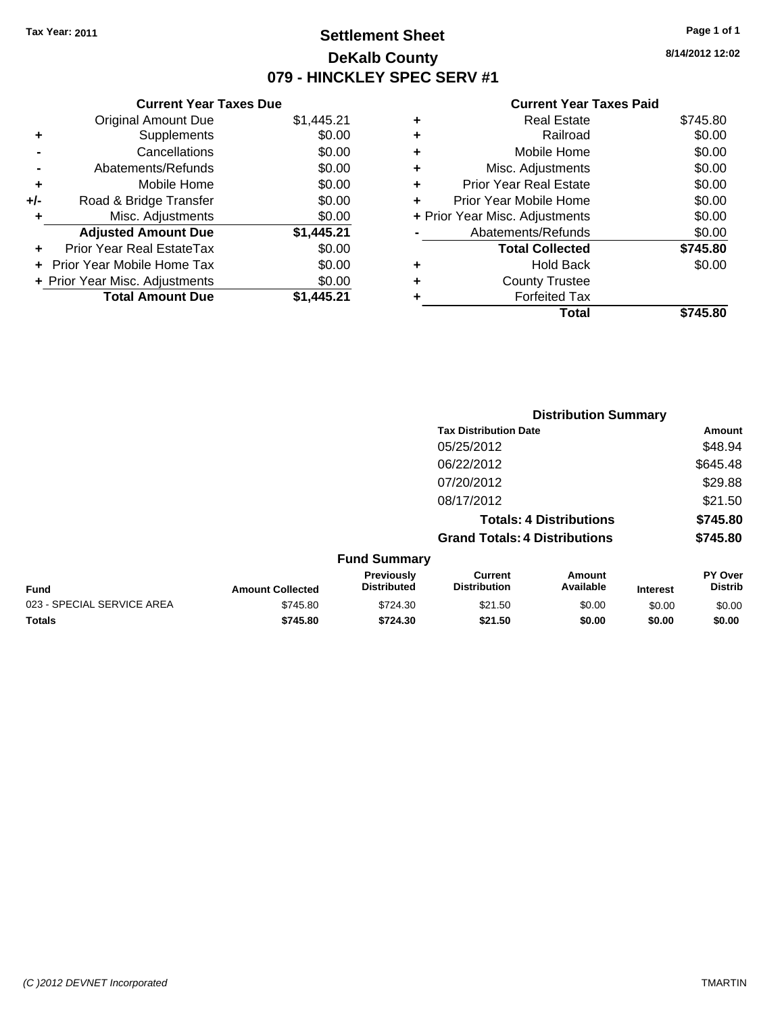## **Settlement Sheet Tax Year: 2011 Page 1 of 1 DeKalb County 079 - HINCKLEY SPEC SERV #1**

**8/14/2012 12:02**

| \$1,445.21 |
|------------|
| \$0.00     |
| \$0.00     |
| \$0.00     |
| \$0.00     |
| \$0.00     |
| \$0.00     |
| \$1,445.21 |
| \$0.00     |
| \$0.00     |
| \$0.00     |
| \$1.445.21 |
|            |

| ٠ | <b>Real Estate</b>             | \$745.80 |
|---|--------------------------------|----------|
| ٠ | Railroad                       | \$0.00   |
| ٠ | Mobile Home                    | \$0.00   |
| ٠ | Misc. Adjustments              | \$0.00   |
| ÷ | <b>Prior Year Real Estate</b>  | \$0.00   |
|   | Prior Year Mobile Home         | \$0.00   |
|   | + Prior Year Misc. Adjustments | \$0.00   |
|   | Abatements/Refunds             | \$0.00   |
|   | <b>Total Collected</b>         | \$745.80 |
| ٠ | <b>Hold Back</b>               | \$0.00   |
| ٠ | <b>County Trustee</b>          |          |
|   | <b>Forfeited Tax</b>           |          |
|   | Total                          | \$745.80 |
|   |                                |          |

|                            |                         |                                  |                                       | <b>Distribution Summary</b>    |                 |                                  |
|----------------------------|-------------------------|----------------------------------|---------------------------------------|--------------------------------|-----------------|----------------------------------|
|                            |                         |                                  | <b>Tax Distribution Date</b>          |                                |                 | Amount                           |
|                            |                         |                                  | 05/25/2012                            |                                |                 | \$48.94                          |
|                            |                         |                                  | 06/22/2012                            |                                |                 | \$645.48                         |
|                            |                         |                                  | 07/20/2012                            |                                |                 | \$29.88                          |
|                            |                         |                                  | 08/17/2012                            |                                |                 | \$21.50                          |
|                            |                         |                                  |                                       | <b>Totals: 4 Distributions</b> |                 | \$745.80                         |
|                            |                         |                                  | <b>Grand Totals: 4 Distributions</b>  |                                |                 | \$745.80                         |
|                            |                         | <b>Fund Summary</b>              |                                       |                                |                 |                                  |
| Fund                       | <b>Amount Collected</b> | Previously<br><b>Distributed</b> | <b>Current</b><br><b>Distribution</b> | Amount<br>Available            | <b>Interest</b> | <b>PY Over</b><br><b>Distrib</b> |
| 023 - SPECIAL SERVICE AREA | \$745.80                | \$724.30                         | \$21.50                               | \$0.00                         | \$0.00          | \$0.00                           |
| Totals                     | \$745.80                | \$724.30                         | \$21.50                               | \$0.00                         | \$0.00          | \$0.00                           |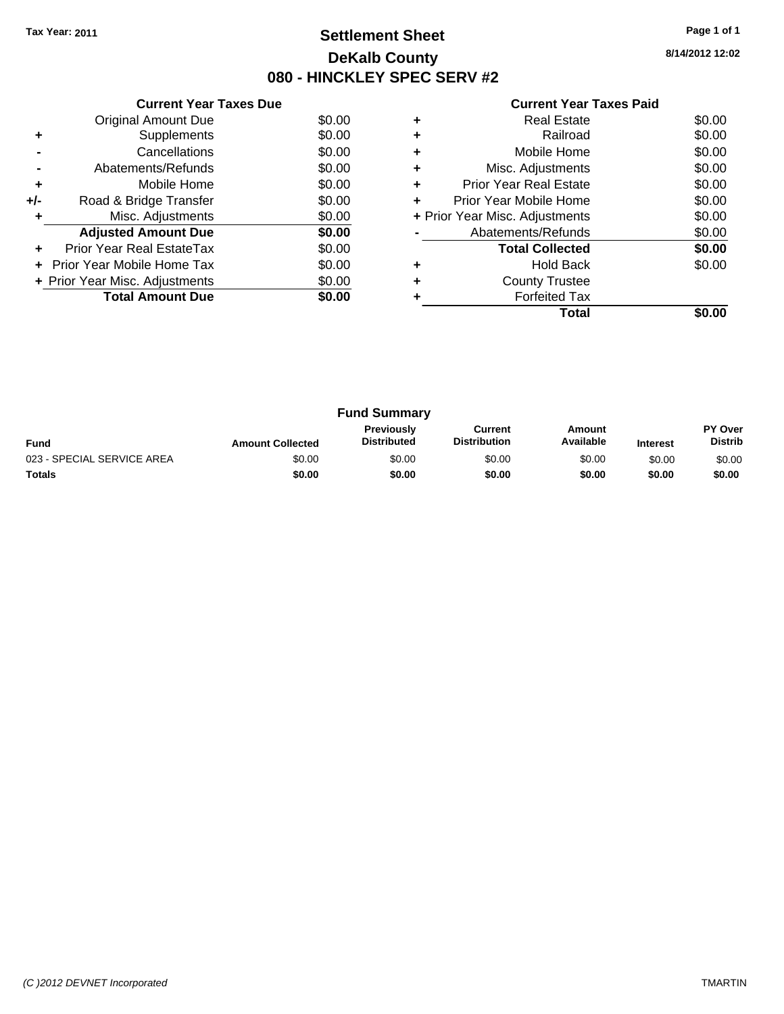## **Settlement Sheet Tax Year: 2011 Page 1 of 1 DeKalb County 080 - HINCKLEY SPEC SERV #2**

**8/14/2012 12:02**

|     | <b>Current Year Taxes Due</b>     |        |
|-----|-----------------------------------|--------|
|     | <b>Original Amount Due</b>        | \$0.00 |
| ٠   | Supplements                       | \$0.00 |
|     | Cancellations                     | \$0.00 |
|     | Abatements/Refunds                | \$0.00 |
| ٠   | Mobile Home                       | \$0.00 |
| +/- | Road & Bridge Transfer            | \$0.00 |
| ٠   | Misc. Adjustments                 | \$0.00 |
|     | <b>Adjusted Amount Due</b>        | \$0.00 |
|     | Prior Year Real EstateTax         | \$0.00 |
|     | <b>Prior Year Mobile Home Tax</b> | \$0.00 |
|     | + Prior Year Misc. Adjustments    | \$0.00 |
|     | <b>Total Amount Due</b>           | \$0.00 |
|     |                                   |        |

|   | Real Estate                    | \$0.00 |
|---|--------------------------------|--------|
|   | Railroad                       | \$0.00 |
|   | Mobile Home                    | \$0.00 |
| ٠ | Misc. Adjustments              | \$0.00 |
| ٠ | <b>Prior Year Real Estate</b>  | \$0.00 |
| ٠ | Prior Year Mobile Home         | \$0.00 |
|   | + Prior Year Misc. Adjustments | \$0.00 |
|   | Abatements/Refunds             | \$0.00 |
|   | <b>Total Collected</b>         | \$0.00 |
|   | <b>Hold Back</b>               | \$0.00 |
|   | <b>County Trustee</b>          |        |
|   | <b>Forfeited Tax</b>           |        |
|   | Total                          |        |

| <b>Fund Summary</b>        |                         |                                  |                                |                     |                 |                                  |
|----------------------------|-------------------------|----------------------------------|--------------------------------|---------------------|-----------------|----------------------------------|
| <b>Fund</b>                | <b>Amount Collected</b> | Previously<br><b>Distributed</b> | Current<br><b>Distribution</b> | Amount<br>Available | <b>Interest</b> | <b>PY Over</b><br><b>Distrib</b> |
| 023 - SPECIAL SERVICE AREA | \$0.00                  | \$0.00                           | \$0.00                         | \$0.00              | \$0.00          | \$0.00                           |
| <b>Totals</b>              | \$0.00                  | \$0.00                           | \$0.00                         | \$0.00              | \$0.00          | \$0.00                           |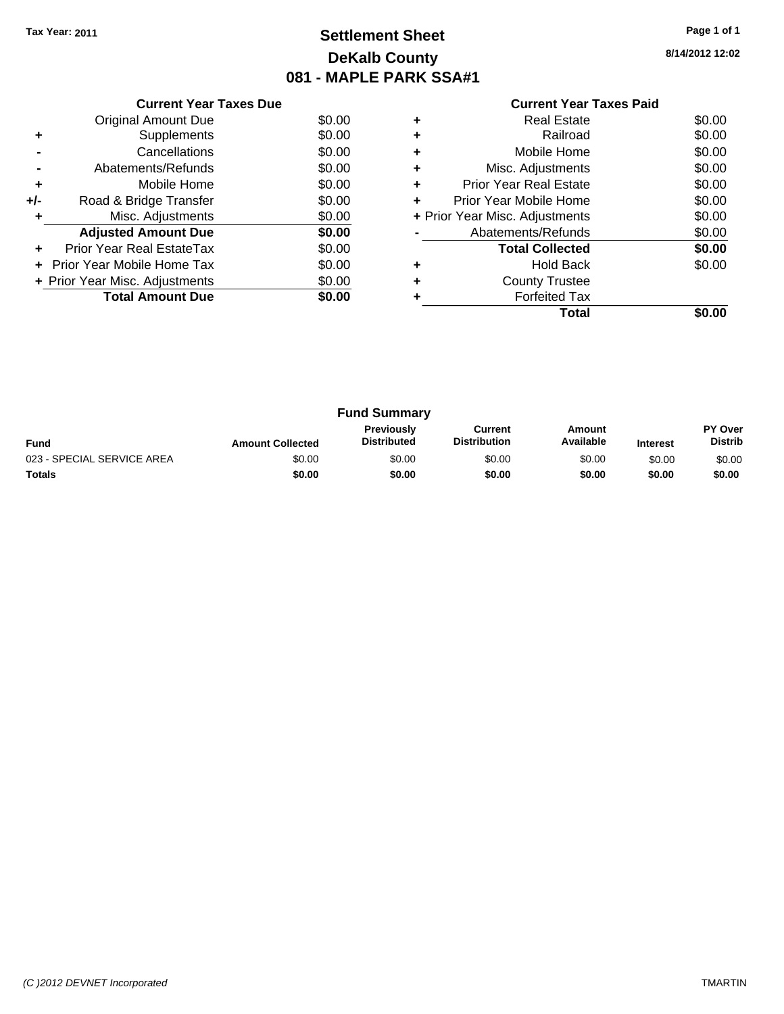## **Settlement Sheet Tax Year: 2011 Page 1 of 1 DeKalb County 081 - MAPLE PARK SSA#1**

**8/14/2012 12:02**

|     | <b>Current Year Taxes Due</b>     |        |
|-----|-----------------------------------|--------|
|     | <b>Original Amount Due</b>        | \$0.00 |
| ٠   | Supplements                       | \$0.00 |
|     | Cancellations                     | \$0.00 |
|     | Abatements/Refunds                | \$0.00 |
| ٠   | Mobile Home                       | \$0.00 |
| +/- | Road & Bridge Transfer            | \$0.00 |
| ٠   | Misc. Adjustments                 | \$0.00 |
|     | <b>Adjusted Amount Due</b>        | \$0.00 |
|     | Prior Year Real EstateTax         | \$0.00 |
|     | <b>Prior Year Mobile Home Tax</b> | \$0.00 |
|     | + Prior Year Misc. Adjustments    | \$0.00 |
|     | <b>Total Amount Due</b>           | \$0.00 |
|     |                                   |        |

|   | <b>Real Estate</b>             | \$0.00 |
|---|--------------------------------|--------|
| ٠ | Railroad                       | \$0.00 |
| ٠ | Mobile Home                    | \$0.00 |
| ٠ | Misc. Adjustments              | \$0.00 |
| ٠ | <b>Prior Year Real Estate</b>  | \$0.00 |
|   | Prior Year Mobile Home         | \$0.00 |
|   | + Prior Year Misc. Adjustments | \$0.00 |
|   | Abatements/Refunds             | \$0.00 |
|   | <b>Total Collected</b>         | \$0.00 |
| ٠ | <b>Hold Back</b>               | \$0.00 |
|   | <b>County Trustee</b>          |        |
|   | <b>Forfeited Tax</b>           |        |
|   | Total                          |        |

| <b>Fund Summary</b>        |                         |                                         |                                |                     |                 |                                  |
|----------------------------|-------------------------|-----------------------------------------|--------------------------------|---------------------|-----------------|----------------------------------|
| <b>Fund</b>                | <b>Amount Collected</b> | <b>Previously</b><br><b>Distributed</b> | Current<br><b>Distribution</b> | Amount<br>Available | <b>Interest</b> | <b>PY Over</b><br><b>Distrib</b> |
| 023 - SPECIAL SERVICE AREA | \$0.00                  | \$0.00                                  | \$0.00                         | \$0.00              | \$0.00          | \$0.00                           |
| <b>Totals</b>              | \$0.00                  | \$0.00                                  | \$0.00                         | \$0.00              | \$0.00          | \$0.00                           |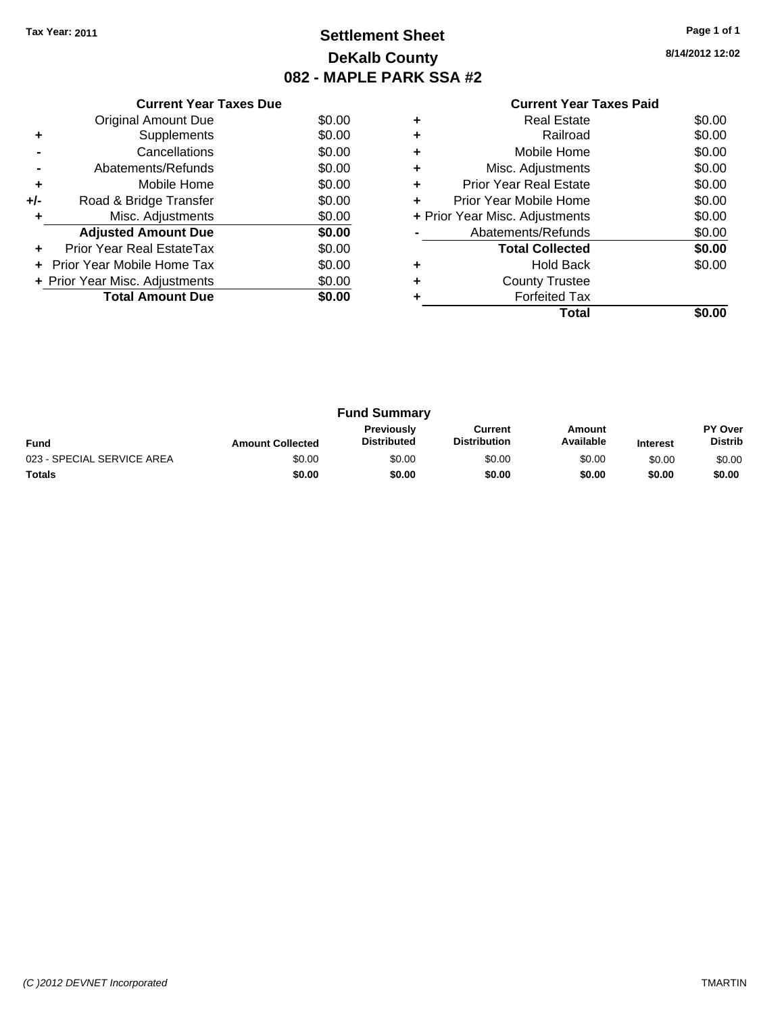## **Settlement Sheet Tax Year: 2011 Page 1 of 1 DeKalb County 082 - MAPLE PARK SSA #2**

**8/14/2012 12:02**

| <b>Current Year Taxes Paid</b> |  |  |
|--------------------------------|--|--|
|--------------------------------|--|--|

|     | <b>Current Year Taxes Due</b>  |        |  |  |  |  |
|-----|--------------------------------|--------|--|--|--|--|
|     | Original Amount Due            | \$0.00 |  |  |  |  |
| ٠   | Supplements                    | \$0.00 |  |  |  |  |
|     | Cancellations                  | \$0.00 |  |  |  |  |
|     | Abatements/Refunds             | \$0.00 |  |  |  |  |
| ٠   | Mobile Home                    | \$0.00 |  |  |  |  |
| +/- | Road & Bridge Transfer         | \$0.00 |  |  |  |  |
|     | Misc. Adjustments              | \$0.00 |  |  |  |  |
|     | <b>Adjusted Amount Due</b>     | \$0.00 |  |  |  |  |
|     | Prior Year Real EstateTax      | \$0.00 |  |  |  |  |
|     | Prior Year Mobile Home Tax     | \$0.00 |  |  |  |  |
|     | + Prior Year Misc. Adjustments | \$0.00 |  |  |  |  |
|     | <b>Total Amount Due</b>        | \$0.00 |  |  |  |  |
|     |                                |        |  |  |  |  |

|   | <b>Real Estate</b>             | \$0.00 |
|---|--------------------------------|--------|
| ٠ | Railroad                       | \$0.00 |
| ٠ | Mobile Home                    | \$0.00 |
| ٠ | Misc. Adjustments              | \$0.00 |
| ٠ | <b>Prior Year Real Estate</b>  | \$0.00 |
|   | Prior Year Mobile Home         | \$0.00 |
|   | + Prior Year Misc. Adjustments | \$0.00 |
|   | Abatements/Refunds             | \$0.00 |
|   | <b>Total Collected</b>         | \$0.00 |
| ٠ | <b>Hold Back</b>               | \$0.00 |
| ٠ | <b>County Trustee</b>          |        |
|   | <b>Forfeited Tax</b>           |        |
|   | Total                          |        |

| <b>Fund Summary</b>        |                         |                                         |                                |                     |                 |                                  |
|----------------------------|-------------------------|-----------------------------------------|--------------------------------|---------------------|-----------------|----------------------------------|
| <b>Fund</b>                | <b>Amount Collected</b> | <b>Previously</b><br><b>Distributed</b> | Current<br><b>Distribution</b> | Amount<br>Available | <b>Interest</b> | <b>PY Over</b><br><b>Distrib</b> |
| 023 - SPECIAL SERVICE AREA | \$0.00                  | \$0.00                                  | \$0.00                         | \$0.00              | \$0.00          | \$0.00                           |
| <b>Totals</b>              | \$0.00                  | \$0.00                                  | \$0.00                         | \$0.00              | \$0.00          | \$0.00                           |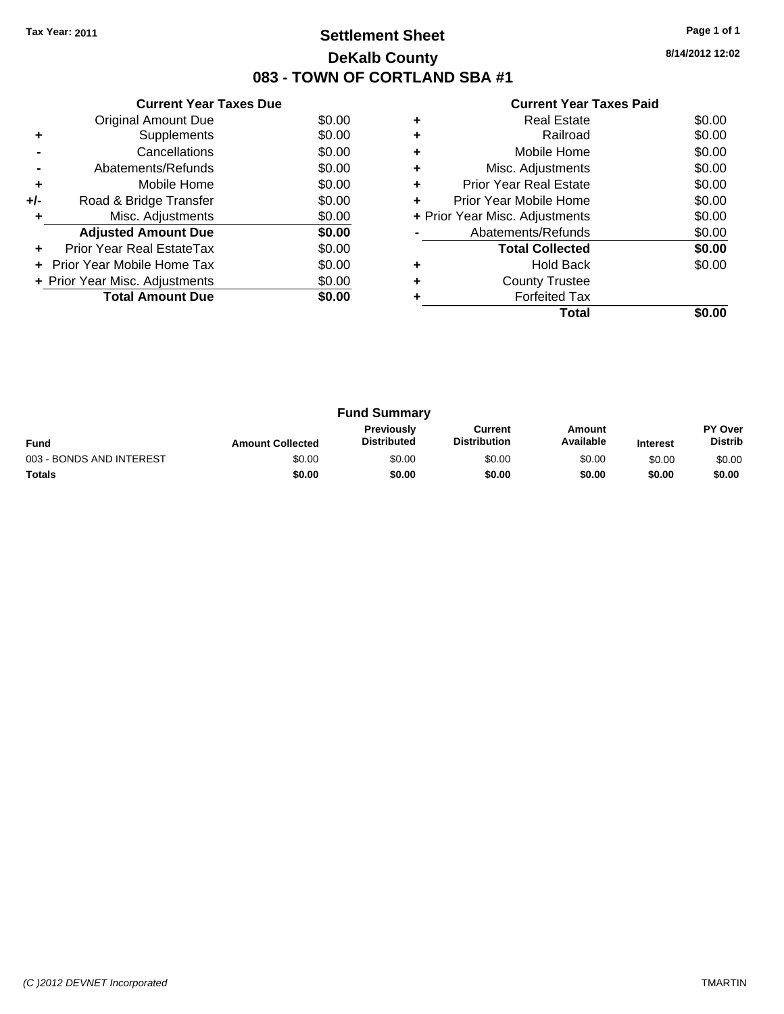## **Settlement Sheet Tax Year: 2011 Page 1 of 1 DeKalb County 083 - TOWN OF CORTLAND SBA #1**

**8/14/2012 12:02**

|     | <b>Current Year Taxes Due</b>  |        |
|-----|--------------------------------|--------|
|     | <b>Original Amount Due</b>     | \$0.00 |
| ٠   | Supplements                    | \$0.00 |
|     | Cancellations                  | \$0.00 |
|     | Abatements/Refunds             | \$0.00 |
| ٠   | Mobile Home                    | \$0.00 |
| +/- | Road & Bridge Transfer         | \$0.00 |
| ٠   | Misc. Adjustments              | \$0.00 |
|     | <b>Adjusted Amount Due</b>     | \$0.00 |
| ٠   | Prior Year Real EstateTax      | \$0.00 |
|     | Prior Year Mobile Home Tax     | \$0.00 |
|     | + Prior Year Misc. Adjustments | \$0.00 |
|     | <b>Total Amount Due</b>        | \$0.00 |
|     |                                |        |

|   | Total                          |        |
|---|--------------------------------|--------|
|   | <b>Forfeited Tax</b>           |        |
|   | <b>County Trustee</b>          |        |
|   | <b>Hold Back</b>               | \$0.00 |
|   | <b>Total Collected</b>         | \$0.00 |
|   | Abatements/Refunds             | \$0.00 |
|   | + Prior Year Misc. Adjustments | \$0.00 |
| ÷ | Prior Year Mobile Home         | \$0.00 |
| ÷ | <b>Prior Year Real Estate</b>  | \$0.00 |
| ٠ | Misc. Adjustments              | \$0.00 |
|   | Mobile Home                    | \$0.00 |
|   | Railroad                       | \$0.00 |
|   | Real Estate                    | \$0.00 |

| <b>Fund Summary</b>      |                         |                                  |                                |                     |                 |                                  |
|--------------------------|-------------------------|----------------------------------|--------------------------------|---------------------|-----------------|----------------------------------|
| <b>Fund</b>              | <b>Amount Collected</b> | Previously<br><b>Distributed</b> | Current<br><b>Distribution</b> | Amount<br>Available | <b>Interest</b> | <b>PY Over</b><br><b>Distrib</b> |
| 003 - BONDS AND INTEREST | \$0.00                  | \$0.00                           | \$0.00                         | \$0.00              | \$0.00          | \$0.00                           |
| Totals                   | \$0.00                  | \$0.00                           | \$0.00                         | \$0.00              | \$0.00          | \$0.00                           |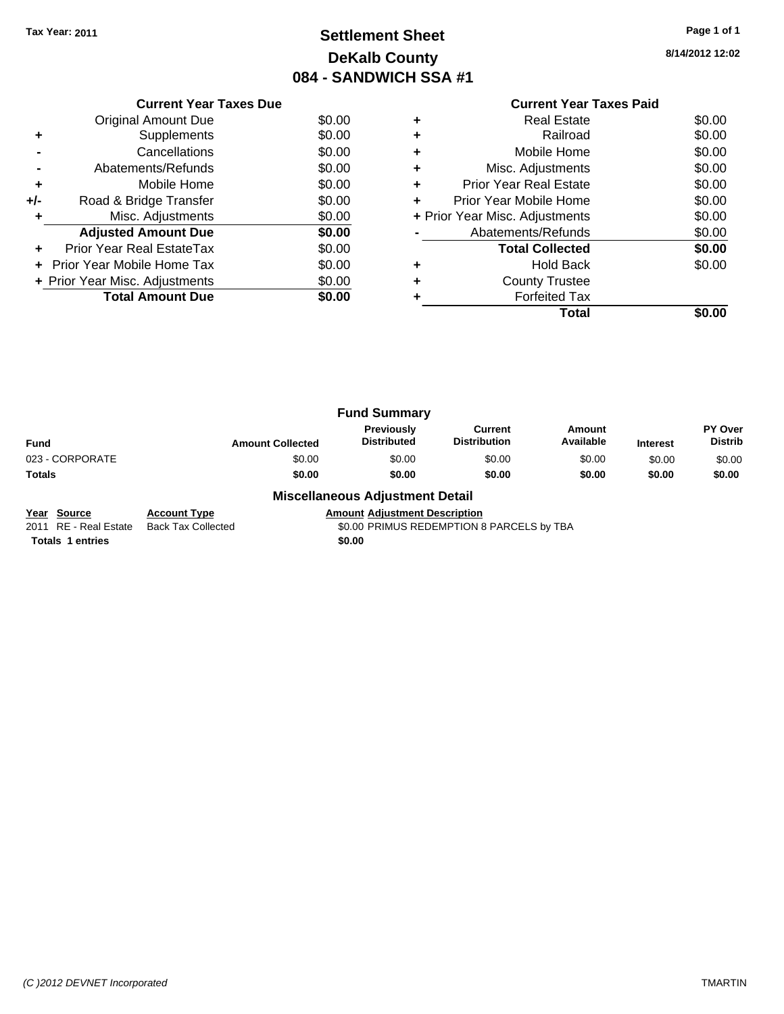## **Settlement Sheet Tax Year: 2011 Page 1 of 1 DeKalb County 084 - SANDWICH SSA #1**

**8/14/2012 12:02**

|     | <b>Current Year Taxes Due</b>  |        |  |  |  |  |
|-----|--------------------------------|--------|--|--|--|--|
|     | Original Amount Due            | \$0.00 |  |  |  |  |
|     | Supplements                    | \$0.00 |  |  |  |  |
|     | Cancellations                  | \$0.00 |  |  |  |  |
|     | Abatements/Refunds             | \$0.00 |  |  |  |  |
| ٠   | Mobile Home                    | \$0.00 |  |  |  |  |
| +/- | Road & Bridge Transfer         | \$0.00 |  |  |  |  |
|     | Misc. Adjustments              | \$0.00 |  |  |  |  |
|     | <b>Adjusted Amount Due</b>     | \$0.00 |  |  |  |  |
|     | Prior Year Real EstateTax      | \$0.00 |  |  |  |  |
|     | Prior Year Mobile Home Tax     | \$0.00 |  |  |  |  |
|     | + Prior Year Misc. Adjustments | \$0.00 |  |  |  |  |
|     | <b>Total Amount Due</b>        | SO.OO  |  |  |  |  |
|     |                                |        |  |  |  |  |

#### **Current Year Taxes Paid +** Real Estate \$0.00 **+** Railroad \$0.00 **+** Mobile Home \$0.00 **+** Misc. Adjustments \$0.00 **+** Prior Year Real Estate \$0.00 **+** Prior Year Mobile Home \$0.00 **+ Prior Year Misc. Adjustments**  $$0.00$ **-** Abatements/Refunds \$0.00 **Total Collected \$0.00 +** Hold Back \$0.00 **+** County Trustee **+** Forfeited Tax **Total \$0.00**

| <b>Fund Summary</b> |                         |                                  |                                |                     |                 |                                  |  |
|---------------------|-------------------------|----------------------------------|--------------------------------|---------------------|-----------------|----------------------------------|--|
| <b>Fund</b>         | <b>Amount Collected</b> | Previously<br><b>Distributed</b> | Current<br><b>Distribution</b> | Amount<br>Available | <b>Interest</b> | <b>PY Over</b><br><b>Distrib</b> |  |
| 023 - CORPORATE     | \$0.00                  | \$0.00                           | \$0.00                         | \$0.00              | \$0.00          | \$0.00                           |  |
| Totals              | \$0.00                  | \$0.00                           | \$0.00                         | \$0.00              | \$0.00          | \$0.00                           |  |
|                     | ---<br>.                | - --                             |                                |                     |                 |                                  |  |

#### **Miscellaneous Adjustment Detail**

**Year Source Account Type Amount Adjustment Description**<br>2011 RE - Real Estate Back Tax Collected **Amount SO.00 PRIMUS REDEMPTION** Back Tax Collected **2011 COLLECTED SOLID** SO.00 PRIMUS REDEMPTION 8 PARCELS by TBA

**Totals 1 entries** \$0.00

*(C )2012 DEVNET Incorporated* TMARTIN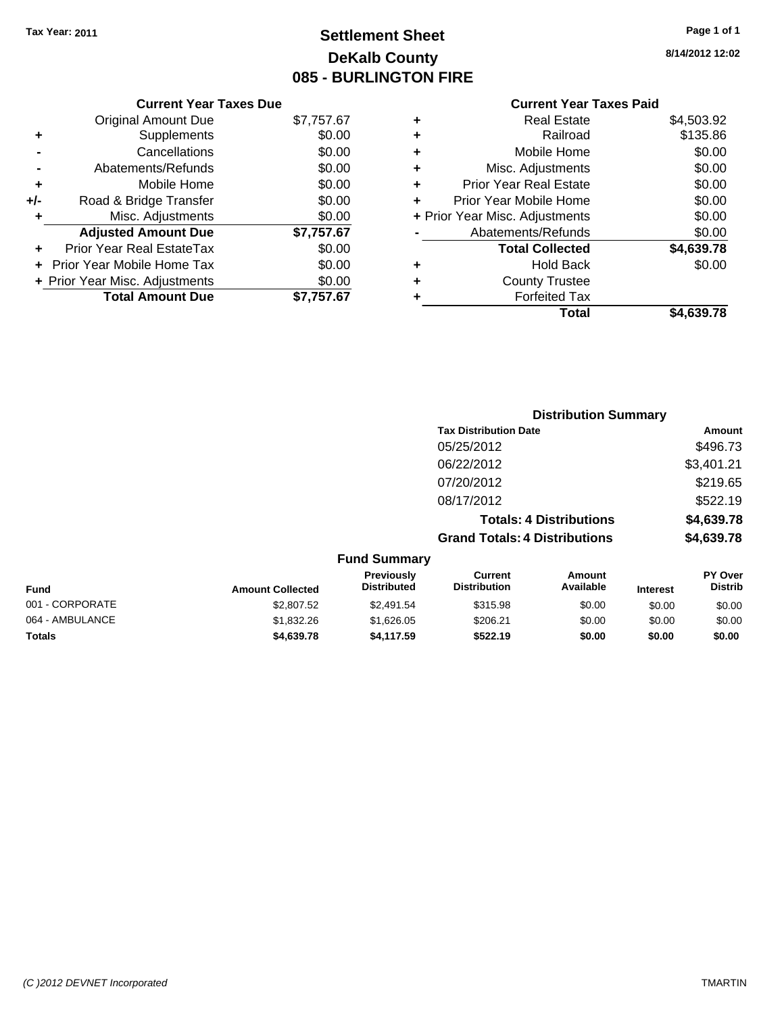## **Settlement Sheet Tax Year: 2011 Page 1 of 1 DeKalb County 085 - BURLINGTON FIRE**

**8/14/2012 12:02**

|   | Total                          | \$4,639.78 |
|---|--------------------------------|------------|
|   | <b>Forfeited Tax</b>           |            |
|   | <b>County Trustee</b>          |            |
|   | <b>Hold Back</b>               | \$0.00     |
|   | <b>Total Collected</b>         | \$4,639.78 |
|   | Abatements/Refunds             | \$0.00     |
|   | + Prior Year Misc. Adjustments | \$0.00     |
|   | Prior Year Mobile Home         | \$0.00     |
| ٠ | <b>Prior Year Real Estate</b>  | \$0.00     |
| ٠ | Misc. Adjustments              | \$0.00     |
| ٠ | Mobile Home                    | \$0.00     |
|   | Railroad                       | \$135.86   |
| ÷ | <b>Real Estate</b>             | \$4,503.92 |
|   |                                |            |

|     | <b>Current Year Taxes Due</b>  |            |
|-----|--------------------------------|------------|
|     | <b>Original Amount Due</b>     | \$7,757.67 |
| ٠   | Supplements                    | \$0.00     |
|     | Cancellations                  | \$0.00     |
|     | Abatements/Refunds             | \$0.00     |
| ٠   | Mobile Home                    | \$0.00     |
| +/- | Road & Bridge Transfer         | \$0.00     |
| ٠   | Misc. Adjustments              | \$0.00     |
|     | <b>Adjusted Amount Due</b>     | \$7,757.67 |
|     | Prior Year Real EstateTax      | \$0.00     |
|     | Prior Year Mobile Home Tax     | \$0.00     |
|     | + Prior Year Misc. Adjustments | \$0.00     |
|     | <b>Total Amount Due</b>        | \$7,757.67 |

|                     | <b>Distribution Summary</b>          |                                |                |  |  |
|---------------------|--------------------------------------|--------------------------------|----------------|--|--|
|                     | <b>Tax Distribution Date</b>         |                                | Amount         |  |  |
|                     | 05/25/2012                           |                                | \$496.73       |  |  |
|                     | 06/22/2012                           |                                | \$3,401.21     |  |  |
|                     | 07/20/2012                           |                                | \$219.65       |  |  |
|                     | 08/17/2012                           |                                | \$522.19       |  |  |
|                     |                                      | <b>Totals: 4 Distributions</b> | \$4,639.78     |  |  |
|                     | <b>Grand Totals: 4 Distributions</b> |                                | \$4,639.78     |  |  |
| <b>Fund Summary</b> |                                      |                                |                |  |  |
| <b>Previously</b>   | Current                              | Amount                         | <b>PY Over</b> |  |  |

| <b>Amount Collected</b> | <b>Distributed</b> | <b>Distribution</b> | Available | <b>Interest</b> | <b>Distrib</b> |
|-------------------------|--------------------|---------------------|-----------|-----------------|----------------|
| \$2,807.52              | \$2,491.54         | \$315.98            | \$0.00    | \$0.00          | \$0.00         |
| \$1,832.26              | \$1.626.05         | \$206.21            | \$0.00    | \$0.00          | \$0.00         |
| \$4,639.78              | \$4.117.59         | \$522.19            | \$0.00    | \$0.00          | \$0.00         |
|                         |                    |                     |           |                 |                |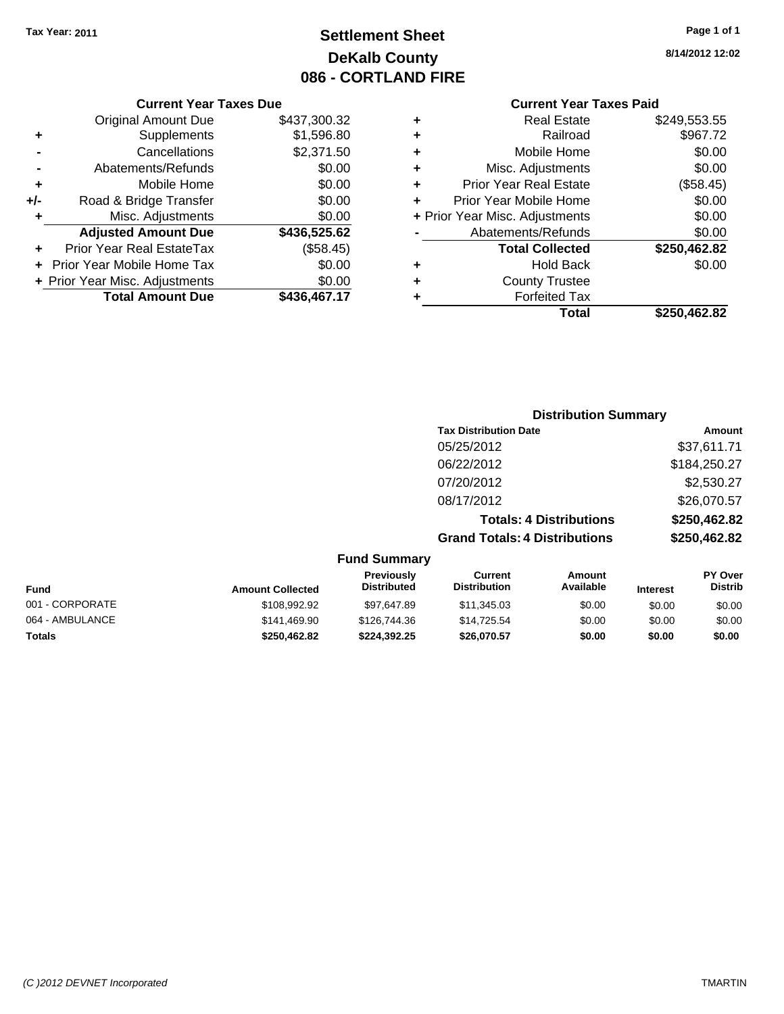## **Settlement Sheet Tax Year: 2011 Page 1 of 1 DeKalb County 086 - CORTLAND FIRE**

# **8/14/2012 12:02**

|   | <b>Current Year Taxes Paid</b> |              |
|---|--------------------------------|--------------|
| ٠ | <b>Real Estate</b>             | \$249,553.55 |
| ٠ | Railroad                       | \$967.72     |
| ٠ | Mobile Home                    | \$0.00       |
| ٠ | Misc. Adjustments              | \$0.00       |
| ٠ | <b>Prior Year Real Estate</b>  | (\$58.45)    |
| ÷ | Prior Year Mobile Home         | \$0.00       |
|   | + Prior Year Misc. Adjustments | \$0.00       |
|   | Abatements/Refunds             | \$0.00       |
|   | <b>Total Collected</b>         | \$250,462.82 |
| ٠ | Hold Back                      | \$0.00       |
|   | <b>County Trustee</b>          |              |
|   | <b>Forfeited Tax</b>           |              |
|   | Total                          | \$250,462.82 |

#### **Current Year Taxes Due** Original Amount Due \$437,300.32 **+** Supplements \$1,596.80 **-** Cancellations \$2,371.50 **-** Abatements/Refunds \$0.00 **+** Mobile Home \$0.00 **+/-** Road & Bridge Transfer \$0.00 **+** Misc. Adjustments \$0.00 **Adjusted Amount Due \$436,525.62 +** Prior Year Real EstateTax (\$58.45) **+** Prior Year Mobile Home Tax \$0.00 **+ Prior Year Misc. Adjustments**  $$0.00$ **Total Amount Due \$436,467.17**

#### **Distribution Summary**

| <b>Tax Distribution Date</b>         | Amount       |
|--------------------------------------|--------------|
| 05/25/2012                           | \$37,611.71  |
| 06/22/2012                           | \$184,250.27 |
| 07/20/2012                           | \$2,530.27   |
| 08/17/2012                           | \$26,070.57  |
| <b>Totals: 4 Distributions</b>       | \$250,462.82 |
| <b>Grand Totals: 4 Distributions</b> | \$250,462.82 |
|                                      |              |

#### **Fund Summary**

| <b>Fund</b>     | <b>Amount Collected</b> | <b>Previously</b><br><b>Distributed</b> | Current<br><b>Distribution</b> | Amount<br>Available | <b>Interest</b> | <b>PY Over</b><br><b>Distrib</b> |
|-----------------|-------------------------|-----------------------------------------|--------------------------------|---------------------|-----------------|----------------------------------|
| 001 - CORPORATE | \$108,992.92            | \$97.647.89                             | \$11,345.03                    | \$0.00              | \$0.00          | \$0.00                           |
| 064 - AMBULANCE | \$141,469.90            | \$126,744,36                            | \$14.725.54                    | \$0.00              | \$0.00          | \$0.00                           |
| <b>Totals</b>   | \$250.462.82            | \$224.392.25                            | \$26,070.57                    | \$0.00              | \$0.00          | \$0.00                           |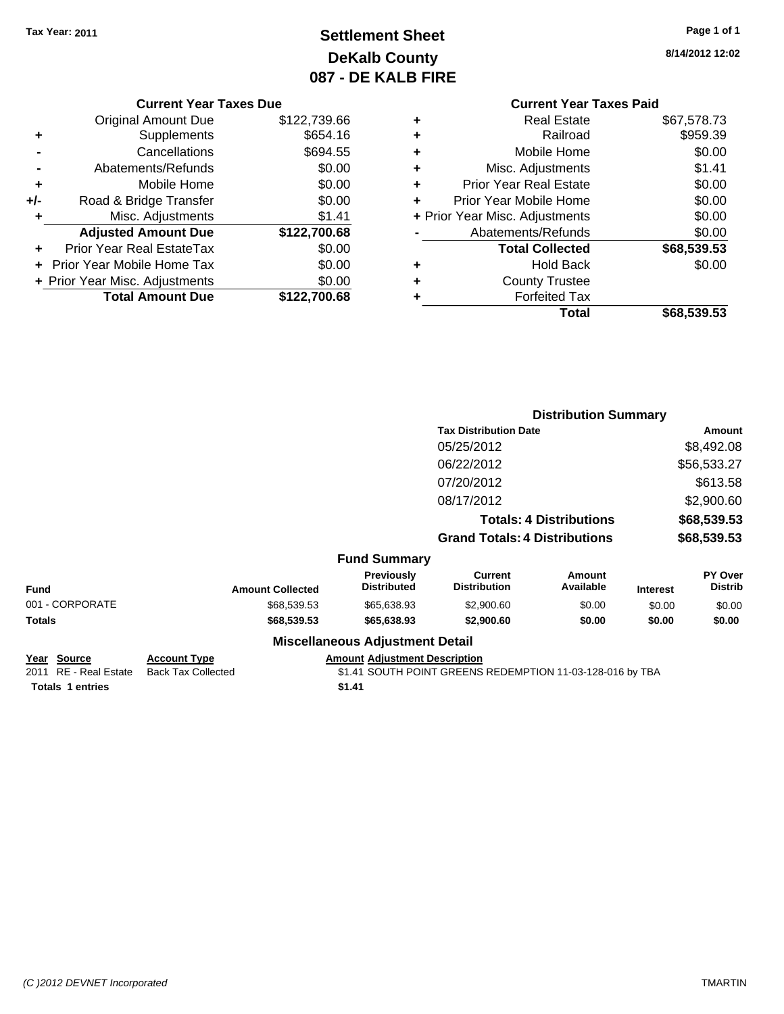## **Settlement Sheet Tax Year: 2011 Page 1 of 1 DeKalb County 087 - DE KALB FIRE**

**8/14/2012 12:02**

#### **Current Year Taxes Due**

|     | <b>Original Amount Due</b>        | \$122,739.66 |
|-----|-----------------------------------|--------------|
| ٠   | Supplements                       | \$654.16     |
|     | Cancellations                     | \$694.55     |
|     | Abatements/Refunds                | \$0.00       |
| ٠   | Mobile Home                       | \$0.00       |
| +/- | Road & Bridge Transfer            | \$0.00       |
| ٠   | Misc. Adjustments                 | \$1.41       |
|     | <b>Adjusted Amount Due</b>        | \$122,700.68 |
|     | Prior Year Real EstateTax         | \$0.00       |
|     | <b>Prior Year Mobile Home Tax</b> | \$0.00       |
|     | + Prior Year Misc. Adjustments    | \$0.00       |
|     | <b>Total Amount Due</b>           | \$122,700.68 |

#### **Current Year Taxes Paid**

|   | Total                          | \$68,539.53 |
|---|--------------------------------|-------------|
|   | <b>Forfeited Tax</b>           |             |
| ٠ | <b>County Trustee</b>          |             |
| ٠ | Hold Back                      | \$0.00      |
|   | <b>Total Collected</b>         | \$68,539.53 |
|   | Abatements/Refunds             | \$0.00      |
|   | + Prior Year Misc. Adjustments | \$0.00      |
|   | Prior Year Mobile Home         | \$0.00      |
| ٠ | <b>Prior Year Real Estate</b>  | \$0.00      |
| ٠ | Misc. Adjustments              | \$1.41      |
| ٠ | Mobile Home                    | \$0.00      |
| ÷ | Railroad                       | \$959.39    |
|   | <b>Real Estate</b>             | \$67,578.73 |

|                 | <b>Distribution Summary</b> |                                  |                                       |                                |                 |                           |
|-----------------|-----------------------------|----------------------------------|---------------------------------------|--------------------------------|-----------------|---------------------------|
|                 |                             |                                  | <b>Tax Distribution Date</b>          |                                |                 | Amount                    |
|                 |                             |                                  | 05/25/2012                            |                                |                 | \$8,492.08                |
|                 |                             |                                  | 06/22/2012                            |                                |                 | \$56,533.27               |
|                 |                             |                                  | 07/20/2012                            |                                |                 | \$613.58                  |
|                 |                             |                                  | 08/17/2012                            |                                |                 | \$2,900.60                |
|                 |                             |                                  |                                       | <b>Totals: 4 Distributions</b> |                 | \$68,539.53               |
|                 |                             |                                  | <b>Grand Totals: 4 Distributions</b>  |                                |                 | \$68,539.53               |
|                 |                             | <b>Fund Summary</b>              |                                       |                                |                 |                           |
| <b>Fund</b>     | <b>Amount Collected</b>     | Previously<br><b>Distributed</b> | <b>Current</b><br><b>Distribution</b> | Amount<br>Available            | <b>Interest</b> | PY Over<br><b>Distrib</b> |
| 001 - CORPORATE | \$68,539.53                 | \$65,638.93                      | \$2,900.60                            | \$0.00                         | \$0.00          | \$0.00                    |
| Totals          | \$68,539.53                 | \$65,638.93                      | \$2,900.60                            | \$0.00                         | \$0.00          | \$0.00                    |
|                 |                             | Miscellaneous Adiustment Detail  |                                       |                                |                 |                           |

#### **Miscellaneous Adjustment Detail**

**Year Source Account Type Amount Adjustment Description Totals 1 entries** \$1.41

2011 RE - Real Estate Back Tax Collected \$1.41 SOUTH POINT GREENS REDEMPTION 11-03-128-016 by TBA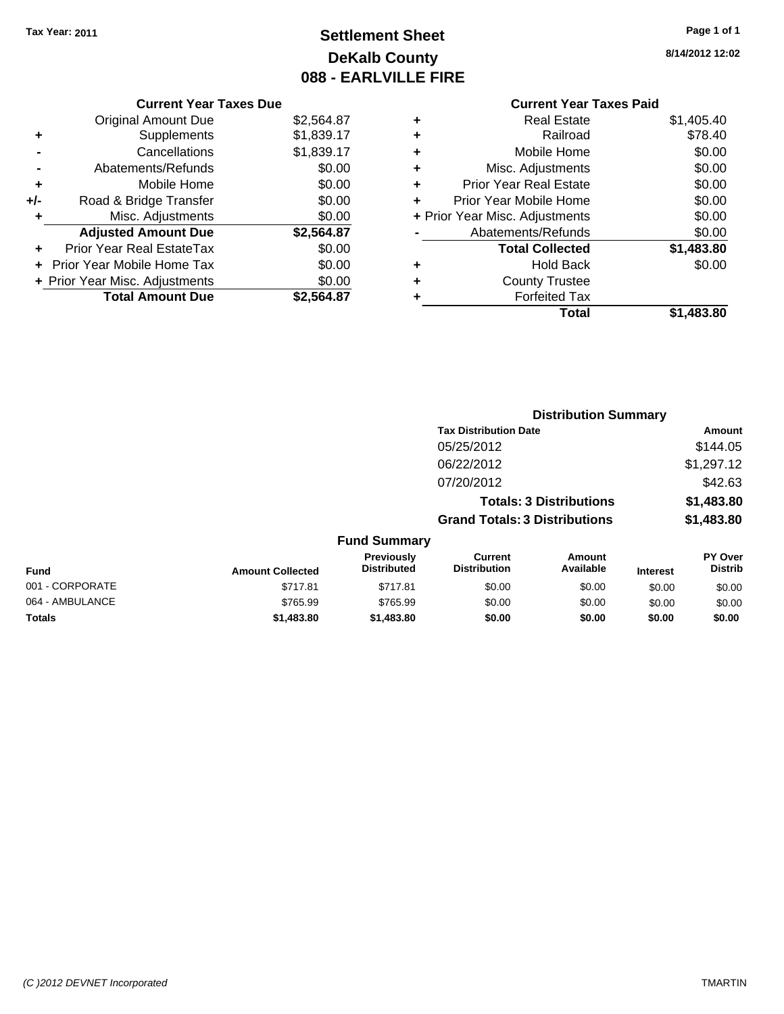Original Amount Due

**Adjusted Amount Due** 

**Total Amount Due** 

**+** Supplements **-** Cancellations **-** Abatements/Refunds **+** Mobile Home **+/-** Road & Bridge Transfer **+** Misc. Adjustments

**+** Prior Year Real EstateTax \$0.00 **+** Prior Year Mobile Home Tax **+ Prior Year Misc. Adjustments** 

## **Settlement Sheet Tax Year: 2011 Page 1 of 1 DeKalb County 088 - EARLVILLE FIRE**

**8/14/2012 12:02**

| <b>Current Year Taxes Due</b> |            |   | <b>Current Year Taxes Paid</b> |            |
|-------------------------------|------------|---|--------------------------------|------------|
| ıl Amount Due                 | \$2,564.87 | ÷ | <b>Real Estate</b>             | \$1,405.40 |
| Supplements                   | \$1,839.17 | ٠ | Railroad                       | \$78.40    |
| Cancellations                 | \$1,839.17 | ÷ | Mobile Home                    | \$0.00     |
| าents/Refunds                 | \$0.00     | ÷ | Misc. Adjustments              | \$0.00     |
| Mobile Home                   | \$0.00     | ÷ | <b>Prior Year Real Estate</b>  | \$0.00     |
| ridge Transfer                | \$0.00     | ÷ | Prior Year Mobile Home         | \$0.00     |
| . Adjustments                 | \$0.00     |   | + Prior Year Misc. Adjustments | \$0.00     |
| <b>Amount Due</b>             | \$2,564.87 |   | Abatements/Refunds             | \$0.00     |
| eal EstateTax                 | \$0.00     |   | <b>Total Collected</b>         | \$1,483.80 |
| pile Home Tax                 | \$0.00     | ٠ | <b>Hold Back</b>               | \$0.00     |
| . Adjustments                 | \$0.00     | ÷ | <b>County Trustee</b>          |            |
| <b>Amount Due</b>             | \$2,564.87 |   | <b>Forfeited Tax</b>           |            |
|                               |            |   | Total                          | \$1,483.80 |

|                 |                         |                                         |                                       | <b>Distribution Summary</b>    |                 |                           |
|-----------------|-------------------------|-----------------------------------------|---------------------------------------|--------------------------------|-----------------|---------------------------|
|                 |                         |                                         | <b>Tax Distribution Date</b>          |                                |                 | Amount                    |
|                 |                         |                                         | 05/25/2012                            |                                |                 | \$144.05                  |
|                 |                         |                                         | 06/22/2012                            |                                |                 | \$1,297.12                |
|                 |                         |                                         | 07/20/2012                            |                                |                 | \$42.63                   |
|                 |                         |                                         |                                       | <b>Totals: 3 Distributions</b> |                 | \$1,483.80                |
|                 |                         |                                         | <b>Grand Totals: 3 Distributions</b>  |                                |                 | \$1,483.80                |
|                 |                         | <b>Fund Summary</b>                     |                                       |                                |                 |                           |
| <b>Fund</b>     | <b>Amount Collected</b> | <b>Previously</b><br><b>Distributed</b> | <b>Current</b><br><b>Distribution</b> | Amount<br>Available            | <b>Interest</b> | PY Over<br><b>Distrib</b> |
| 001 - CORPORATE | \$717.81                | \$717.81                                | \$0.00                                | \$0.00                         | \$0.00          | \$0.00                    |
| 064 - AMBULANCE | \$765.99                | \$765.99                                | \$0.00                                | \$0.00                         | \$0.00          | \$0.00                    |
| Totals          | \$1,483.80              | \$1,483.80                              | \$0.00                                | \$0.00                         | \$0.00          | \$0.00                    |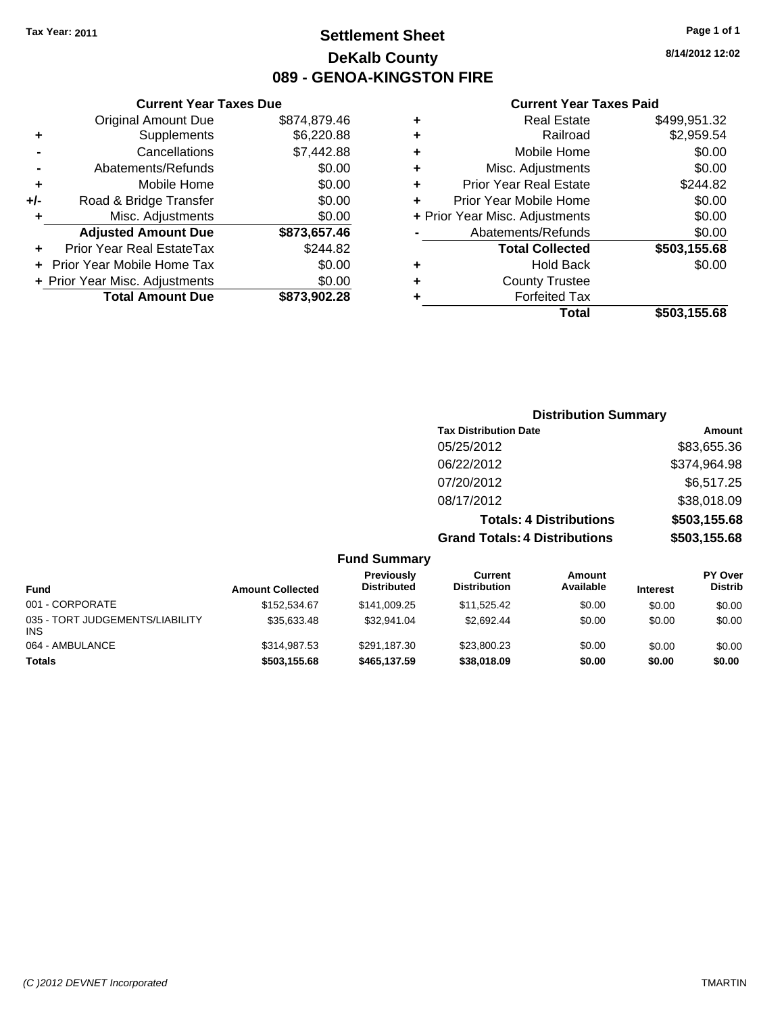## **Settlement Sheet Tax Year: 2011 Page 1 of 1 DeKalb County 089 - GENOA-KINGSTON FIRE**

**8/14/2012 12:02**

#### **Current Year Taxes Paid**

|     | <b>Current Year Taxes Due</b>  |              |
|-----|--------------------------------|--------------|
|     | <b>Original Amount Due</b>     | \$874,879.46 |
| ٠   | Supplements                    | \$6,220.88   |
|     | Cancellations                  | \$7,442.88   |
|     | Abatements/Refunds             | \$0.00       |
| ٠   | Mobile Home                    | \$0.00       |
| +/- | Road & Bridge Transfer         | \$0.00       |
| ٠   | Misc. Adjustments              | \$0.00       |
|     | <b>Adjusted Amount Due</b>     | \$873,657.46 |
|     | Prior Year Real EstateTax      | \$244.82     |
|     | Prior Year Mobile Home Tax     | \$0.00       |
|     | + Prior Year Misc. Adjustments | \$0.00       |
|     | <b>Total Amount Due</b>        | \$873,902.28 |

## **Distribution Summary**

| <b>Tax Distribution Date</b>         | Amount       |
|--------------------------------------|--------------|
| 05/25/2012                           | \$83,655.36  |
| 06/22/2012                           | \$374,964.98 |
| 07/20/2012                           | \$6,517.25   |
| 08/17/2012                           | \$38,018.09  |
| <b>Totals: 4 Distributions</b>       | \$503,155.68 |
| <b>Grand Totals: 4 Distributions</b> | \$503,155.68 |

#### **Fund Summary**

| <b>Fund</b>                            | <b>Amount Collected</b> | Previously<br><b>Distributed</b> | Current<br><b>Distribution</b> | Amount<br>Available | <b>Interest</b> | <b>PY Over</b><br><b>Distrib</b> |
|----------------------------------------|-------------------------|----------------------------------|--------------------------------|---------------------|-----------------|----------------------------------|
| 001 - CORPORATE                        | \$152,534.67            | \$141,009.25                     | \$11,525.42                    | \$0.00              | \$0.00          | \$0.00                           |
| 035 - TORT JUDGEMENTS/LIABILITY<br>INS | \$35,633.48             | \$32,941.04                      | \$2.692.44                     | \$0.00              | \$0.00          | \$0.00                           |
| 064 - AMBULANCE                        | \$314.987.53            | \$291.187.30                     | \$23,800.23                    | \$0.00              | \$0.00          | \$0.00                           |
| Totals                                 | \$503,155.68            | \$465,137.59                     | \$38,018.09                    | \$0.00              | \$0.00          | \$0.00                           |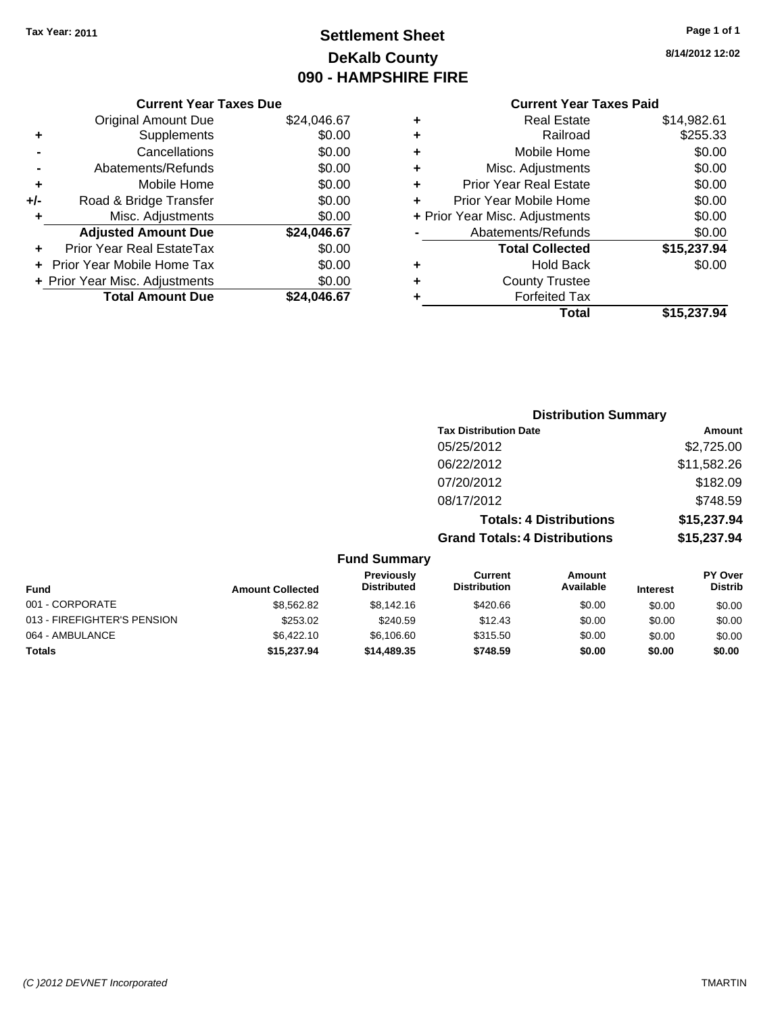## **Settlement Sheet Tax Year: 2011 Page 1 of 1 DeKalb County 090 - HAMPSHIRE FIRE**

**8/14/2012 12:02**

|     | <b>Original Amount Due</b>     | \$24,046.67 |
|-----|--------------------------------|-------------|
| ٠   | Supplements                    | \$0.00      |
|     | Cancellations                  | \$0.00      |
|     | Abatements/Refunds             | \$0.00      |
| ٠   | Mobile Home                    | \$0.00      |
| +/- | Road & Bridge Transfer         | \$0.00      |
| ٠   | Misc. Adjustments              | \$0.00      |
|     | <b>Adjusted Amount Due</b>     | \$24,046.67 |
|     | Prior Year Real EstateTax      | \$0.00      |
|     |                                |             |
|     | Prior Year Mobile Home Tax     | \$0.00      |
|     | + Prior Year Misc. Adjustments | \$0.00      |

#### **Current Year Taxes Paid**

| ٠ | <b>Real Estate</b>             | \$14,982.61 |
|---|--------------------------------|-------------|
| ٠ | Railroad                       | \$255.33    |
| ٠ | Mobile Home                    | \$0.00      |
| ÷ | Misc. Adjustments              | \$0.00      |
| ٠ | <b>Prior Year Real Estate</b>  | \$0.00      |
| ÷ | Prior Year Mobile Home         | \$0.00      |
|   | + Prior Year Misc. Adjustments | \$0.00      |
|   | Abatements/Refunds             | \$0.00      |
|   | <b>Total Collected</b>         | \$15,237.94 |
| ٠ | Hold Back                      | \$0.00      |
| ٠ | <b>County Trustee</b>          |             |
| ٠ | <b>Forfeited Tax</b>           |             |
|   | Total                          | \$15,237.94 |
|   |                                |             |

#### **Distribution Summary Tax Distribution Date Amount** 05/25/2012 \$2,725.00 06/22/2012 \$11,582.26 07/20/2012 \$182.09 08/17/2012 \$748.59 **Totals: 4 Distributions \$15,237.94 Grand Totals: 4 Distributions \$15,237.94 Fund Summary PY Over Amount Current Previously**

| <b>Fund</b>                 | <b>Amount Collected</b> | <b>Previously</b><br><b>Distributed</b> | Current<br><b>Distribution</b> | Amount<br>Available | <b>Interest</b> | <b>PY Over</b><br><b>Distrib</b> |
|-----------------------------|-------------------------|-----------------------------------------|--------------------------------|---------------------|-----------------|----------------------------------|
| 001 - CORPORATE             | \$8,562.82              | \$8,142.16                              | \$420.66                       | \$0.00              | \$0.00          | \$0.00                           |
| 013 - FIREFIGHTER'S PENSION | \$253.02                | \$240.59                                | \$12.43                        | \$0.00              | \$0.00          | \$0.00                           |
| 064 - AMBULANCE             | \$6,422.10              | \$6,106,60                              | \$315.50                       | \$0.00              | \$0.00          | \$0.00                           |
| <b>Totals</b>               | \$15,237.94             | \$14,489,35                             | \$748.59                       | \$0.00              | \$0.00          | \$0.00                           |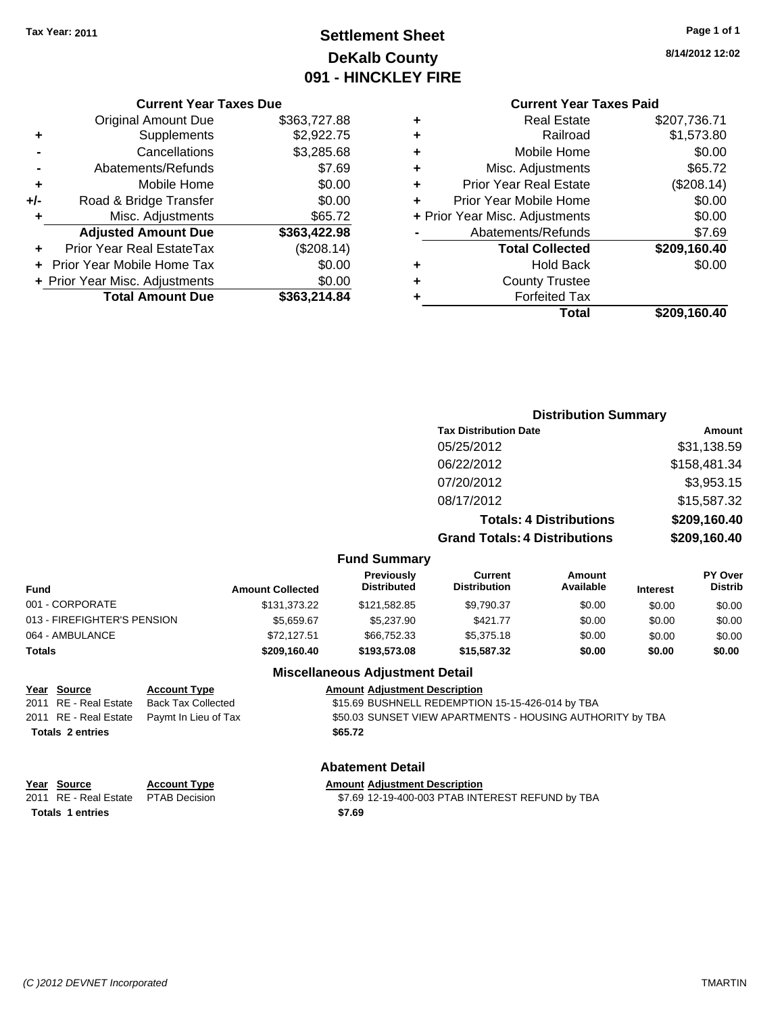## **Settlement Sheet Tax Year: 2011 Page 1 of 1 DeKalb County 091 - HINCKLEY FIRE**

**8/14/2012 12:02**

## **Current Year Taxes Paid**

|   | <b>Real Estate</b>             | \$207,736.71 |
|---|--------------------------------|--------------|
| ٠ | Railroad                       | \$1,573.80   |
| ٠ | Mobile Home                    | \$0.00       |
| ٠ | Misc. Adjustments              | \$65.72      |
| ٠ | <b>Prior Year Real Estate</b>  | (\$208.14)   |
| ٠ | Prior Year Mobile Home         | \$0.00       |
|   | + Prior Year Misc. Adjustments | \$0.00       |
|   | Abatements/Refunds             | \$7.69       |
|   | <b>Total Collected</b>         | \$209,160.40 |
| ٠ | <b>Hold Back</b>               | \$0.00       |
|   | <b>County Trustee</b>          |              |
|   | <b>Forfeited Tax</b>           |              |
|   | Total                          | \$209,160.40 |

**Distribution Summary**

#### **Current Year Taxes Due** Original Amount Due \$363,727.88 **+** Supplements \$2,922.75 **-** Cancellations \$3,285.68 **-** Abatements/Refunds \$7.69 **+** Mobile Home \$0.00 **+/-** Road & Bridge Transfer \$0.00 **+** Misc. Adjustments \$65.72 **Adjusted Amount Due \$363,422.98 +** Prior Year Real EstateTax (\$208.14) **+** Prior Year Mobile Home Tax \$0.00 **+ Prior Year Misc. Adjustments**  $$0.00$

**Total Amount Due \$363,214.84**

|                             |                         |                                  | <b>Tax Distribution Date</b>          |                                |                 | Amount                           |
|-----------------------------|-------------------------|----------------------------------|---------------------------------------|--------------------------------|-----------------|----------------------------------|
|                             |                         |                                  | 05/25/2012                            |                                |                 | \$31,138.59                      |
|                             |                         |                                  | 06/22/2012                            |                                |                 | \$158,481.34                     |
|                             |                         |                                  | 07/20/2012                            |                                |                 | \$3,953.15                       |
|                             |                         |                                  | 08/17/2012                            |                                |                 | \$15,587.32                      |
|                             |                         |                                  |                                       | <b>Totals: 4 Distributions</b> |                 | \$209,160.40                     |
|                             |                         |                                  | <b>Grand Totals: 4 Distributions</b>  |                                | \$209,160.40    |                                  |
|                             |                         | <b>Fund Summary</b>              |                                       |                                |                 |                                  |
| <b>Fund</b>                 | <b>Amount Collected</b> | Previously<br><b>Distributed</b> | <b>Current</b><br><b>Distribution</b> | Amount<br>Available            | <b>Interest</b> | <b>PY Over</b><br><b>Distrib</b> |
| 001 - CORPORATE             | \$131,373.22            | \$121,582.85                     | \$9,790.37                            | \$0.00                         | \$0.00          | \$0.00                           |
| 013 - FIREFIGHTER'S PENSION | \$5,659.67              | \$5,237.90                       | \$421.77                              | \$0.00                         | \$0.00          | \$0.00                           |
| 064 - AMBULANCE             | \$72,127.51             | \$66,752.33                      | \$5,375.18                            | \$0.00                         | \$0.00          | \$0.00                           |
| Totals                      | \$209,160.40            | \$193,573.08                     | \$15,587.32                           | \$0.00                         | \$0.00          | \$0.00                           |

#### **Miscellaneous Adjustment Detail**

| Year Source             | <b>Account Type</b>                        | <b>Amount Adjustment Description</b>                      |
|-------------------------|--------------------------------------------|-----------------------------------------------------------|
| 2011 RE - Real Estate   | Back Tax Collected                         | \$15.69 BUSHNELL REDEMPTION 15-15-426-014 by TBA          |
|                         | 2011 RE - Real Estate Paymt In Lieu of Tax | \$50.03 SUNSET VIEW APARTMENTS - HOUSING AUTHORITY by TBA |
| <b>Totals 2 entries</b> |                                            | \$65.72                                                   |
|                         |                                            |                                                           |

| Year Source                         | <b>Account Type</b> | Amount |
|-------------------------------------|---------------------|--------|
| 2011 RE - Real Estate PTAB Decision |                     | \$7.69 |
| <b>Totals 1 entries</b>             |                     | \$7.69 |

#### **Abatement Detail**

## **Account Type Amount Adjustment Description**

PTAB Decision  $$7.69$  12-19-400-003 PTAB INTEREST REFUND by TBA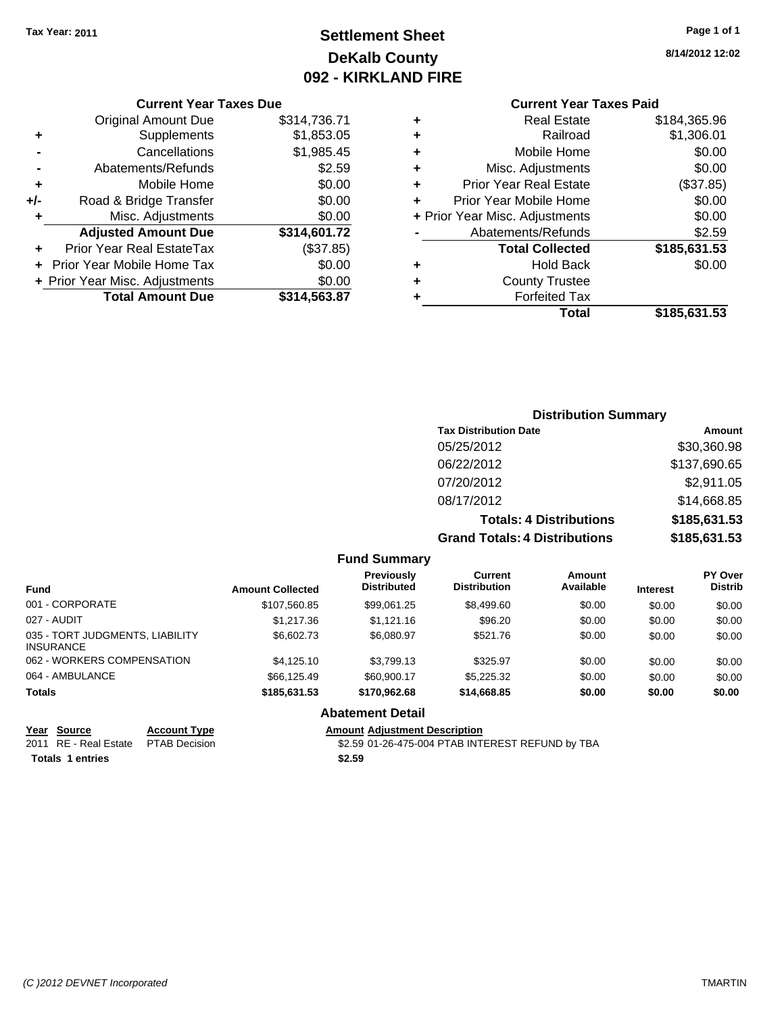## **Settlement Sheet Tax Year: 2011 Page 1 of 1 DeKalb County 092 - KIRKLAND FIRE**

**8/14/2012 12:02**

#### **Current Year Taxes Paid**

| <b>Forfeited Tax</b>           |              |
|--------------------------------|--------------|
|                                |              |
| <b>County Trustee</b>          |              |
| <b>Hold Back</b>               | \$0.00       |
| <b>Total Collected</b>         | \$185,631.53 |
| Abatements/Refunds             | \$2.59       |
| + Prior Year Misc. Adjustments | \$0.00       |
| Prior Year Mobile Home         | \$0.00       |
| <b>Prior Year Real Estate</b>  | (\$37.85)    |
| Misc. Adjustments              | \$0.00       |
| Mobile Home                    | \$0.00       |
| Railroad                       | \$1,306.01   |
| <b>Real Estate</b>             | \$184,365.96 |
|                                |              |

|     | <b>Current Year Taxes Due</b>  |              |
|-----|--------------------------------|--------------|
|     | <b>Original Amount Due</b>     | \$314,736.71 |
| ٠   | Supplements                    | \$1,853.05   |
|     | Cancellations                  | \$1,985.45   |
|     | Abatements/Refunds             | \$2.59       |
| ٠   | Mobile Home                    | \$0.00       |
| +/- | Road & Bridge Transfer         | \$0.00       |
| ٠   | Misc. Adjustments              | \$0.00       |
|     | <b>Adjusted Amount Due</b>     | \$314,601.72 |
|     | Prior Year Real EstateTax      | (\$37.85)    |
|     | Prior Year Mobile Home Tax     | \$0.00       |
|     | + Prior Year Misc. Adjustments | \$0.00       |
|     | <b>Total Amount Due</b>        | \$314,563.87 |

| <b>Distribution Summary</b>          |              |
|--------------------------------------|--------------|
| <b>Tax Distribution Date</b>         | Amount       |
| 05/25/2012                           | \$30,360.98  |
| 06/22/2012                           | \$137,690.65 |
| 07/20/2012                           | \$2,911.05   |
| 08/17/2012                           | \$14,668.85  |
| <b>Totals: 4 Distributions</b>       | \$185,631.53 |
| <b>Grand Totals: 4 Distributions</b> | \$185,631.53 |

|  | <b>Fund Summary</b> |  |
|--|---------------------|--|
|--|---------------------|--|

| <b>Amount Collected</b> | <b>Previously</b><br><b>Distributed</b> | Current<br><b>Distribution</b> | Amount<br>Available | <b>Interest</b> | PY Over<br><b>Distrib</b> |
|-------------------------|-----------------------------------------|--------------------------------|---------------------|-----------------|---------------------------|
| \$107,560.85            | \$99,061.25                             | \$8,499.60                     | \$0.00              | \$0.00          | \$0.00                    |
| \$1,217.36              | \$1,121.16                              | \$96.20                        | \$0.00              | \$0.00          | \$0.00                    |
| \$6,602.73              | \$6.080.97                              | \$521.76                       | \$0.00              | \$0.00          | \$0.00                    |
| \$4,125,10              | \$3.799.13                              | \$325.97                       | \$0.00              | \$0.00          | \$0.00                    |
| \$66.125.49             | \$60,900.17                             | \$5,225.32                     | \$0.00              | \$0.00          | \$0.00                    |
| \$185,631.53            | \$170.962.68                            | \$14,668.85                    | \$0.00              | \$0.00          | \$0.00                    |
|                         |                                         |                                |                     |                 |                           |

#### **Abatement Detail**

# **Year Source Account Type Amount Adjustment Description**<br>2011 RE - Real Estate PTAB Decision **Amount** \$2.59 01-26-475-004 PTAB INTI

 $\overline{32.59}$  01-26-475-004 PTAB INTEREST REFUND by TBA **Totals 1 entries** \$2.59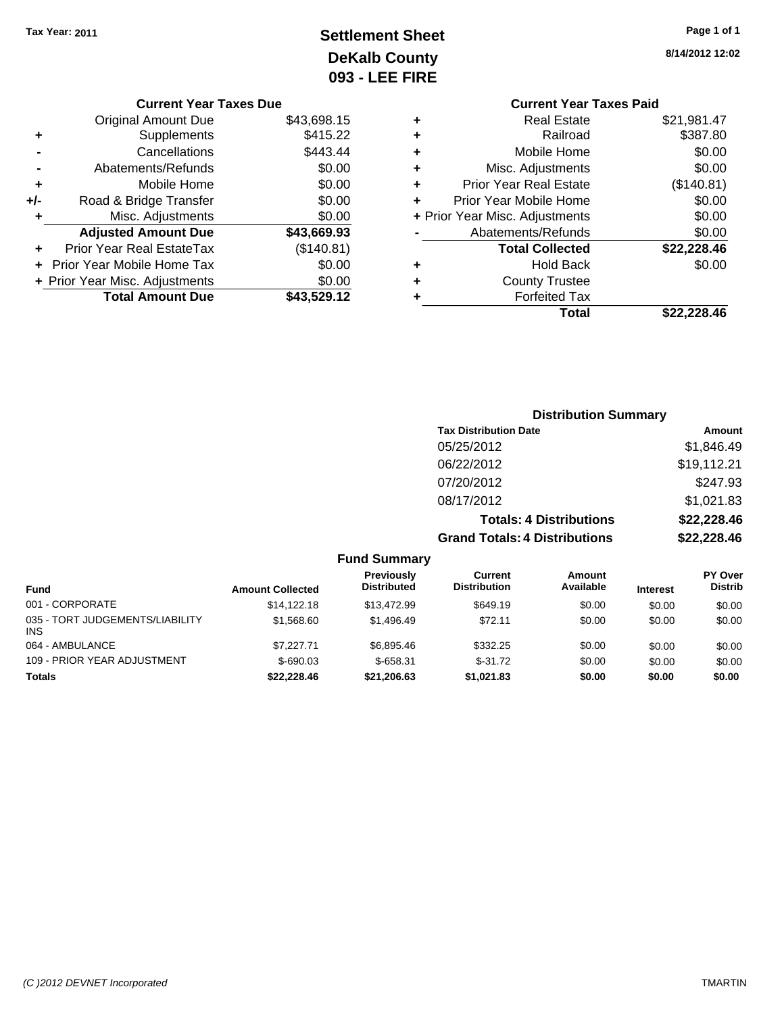# **Settlement Sheet Tax Year: 2011 Page 1 of 1 DeKalb County 093 - LEE FIRE**

|                                | 8/14/2012 1 |
|--------------------------------|-------------|
| <b>Current Year Taxes Paid</b> |             |
| Real Estate                    | \$21,981.4  |

| ٠ | <b>Real Estate</b>             | \$21,981.47 |
|---|--------------------------------|-------------|
| ٠ | Railroad                       | \$387.80    |
| ٠ | Mobile Home                    | \$0.00      |
| ٠ | Misc. Adjustments              | \$0.00      |
| ٠ | <b>Prior Year Real Estate</b>  | (\$140.81)  |
| ÷ | Prior Year Mobile Home         | \$0.00      |
|   | + Prior Year Misc. Adjustments | \$0.00      |
|   | Abatements/Refunds             | \$0.00      |
|   | <b>Total Collected</b>         | \$22,228.46 |
| ٠ | Hold Back                      | \$0.00      |
| ٠ | <b>County Trustee</b>          |             |
| ٠ | <b>Forfeited Tax</b>           |             |
|   | Total                          | \$22.228.46 |
|   |                                |             |

#### **Current Year Taxes Due** Original Amount Due \$43,698.15 **+** Supplements \$415.22 **-** Cancellations \$443.44 **-** Abatements/Refunds \$0.00 **+** Mobile Home \$0.00 **+/-** Road & Bridge Transfer \$0.00 **+** Misc. Adjustments \$0.00 **Adjusted Amount Due \$43,669.93 +** Prior Year Real EstateTax (\$140.81) **+** Prior Year Mobile Home Tax \$0.00 **+ Prior Year Misc. Adjustments**  $$0.00$ **Total Amount Due \$43,529.12**

|                                 |                         |                                  | <b>Distribution Summary</b>           |                                |                 |                           |
|---------------------------------|-------------------------|----------------------------------|---------------------------------------|--------------------------------|-----------------|---------------------------|
|                                 |                         |                                  | <b>Tax Distribution Date</b>          |                                |                 | Amount                    |
|                                 |                         |                                  | 05/25/2012                            |                                |                 | \$1,846.49                |
|                                 |                         |                                  | 06/22/2012                            |                                |                 | \$19,112.21               |
|                                 |                         |                                  | 07/20/2012                            |                                |                 | \$247.93                  |
|                                 |                         |                                  | 08/17/2012                            |                                |                 | \$1,021.83                |
|                                 |                         |                                  |                                       | <b>Totals: 4 Distributions</b> |                 | \$22,228.46               |
|                                 |                         |                                  | <b>Grand Totals: 4 Distributions</b>  |                                |                 | \$22,228.46               |
|                                 |                         | <b>Fund Summary</b>              |                                       |                                |                 |                           |
| <b>Fund</b>                     | <b>Amount Collected</b> | Previously<br><b>Distributed</b> | <b>Current</b><br><b>Distribution</b> | <b>Amount</b><br>Available     | <b>Interest</b> | PY Over<br><b>Distrib</b> |
| 001 - CORPORATE                 | \$14,122.18             | \$13,472.99                      | \$649.19                              | \$0.00                         | \$0.00          | \$0.00                    |
| 035 - TORT JUDGEMENTS/LIABILITY | \$1,568.60              | \$1,496.49                       | \$72.11                               | \$0.00                         | \$0.00          | \$0.00                    |

064 - AMBULANCE \$7,227.71 \$6,895.46 \$332.25 \$0.00 \$0.00 \$0.00 109 - PRIOR YEAR ADJUSTMENT  $$-690.03$   $$-658.31$   $$-31.72$   $$0.00$   $$0.00$   $$0.00$ **Totals \$22,228.46 \$21,206.63 \$1,021.83 \$0.00 \$0.00 \$0.00**

INS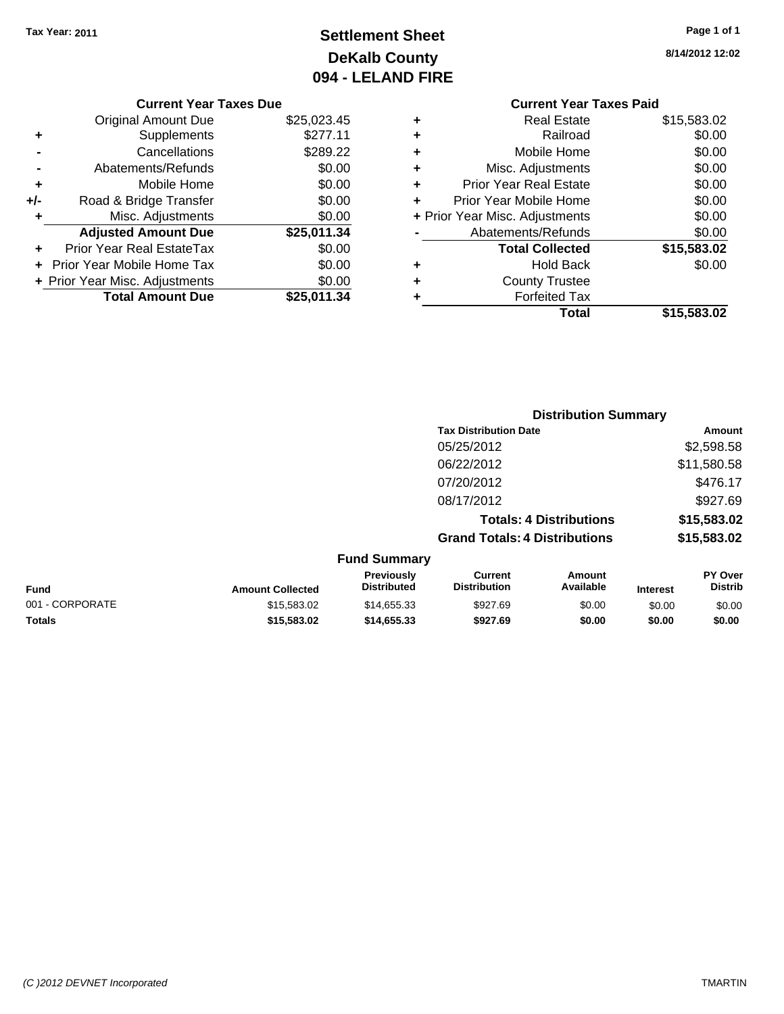# **Settlement Sheet Tax Year: 2011 Page 1 of 1 DeKalb County 094 - LELAND FIRE**

**8/14/2012 12:02**

# **Current Year Taxes Paid**

|     | <b>Original Amount Due</b>       | \$25,023.45 |
|-----|----------------------------------|-------------|
| ٠   | Supplements                      | \$277.11    |
|     | Cancellations                    | \$289.22    |
|     | Abatements/Refunds               | \$0.00      |
| ٠   | Mobile Home                      | \$0.00      |
| +/- | Road & Bridge Transfer           | \$0.00      |
| ٠   | Misc. Adjustments                | \$0.00      |
|     | <b>Adjusted Amount Due</b>       | \$25,011.34 |
|     | <b>Prior Year Real EstateTax</b> | \$0.00      |
|     | Prior Year Mobile Home Tax       | \$0.00      |
|     | + Prior Year Misc. Adjustments   | \$0.00      |
|     | <b>Total Amount Due</b>          | \$25,011.34 |
|     |                                  |             |

**Current Year Taxes Due**

| ٠ | <b>Real Estate</b>             | \$15,583.02 |
|---|--------------------------------|-------------|
| ٠ | Railroad                       | \$0.00      |
| ٠ | Mobile Home                    | \$0.00      |
| ٠ | Misc. Adjustments              | \$0.00      |
| ٠ | <b>Prior Year Real Estate</b>  | \$0.00      |
| ٠ | Prior Year Mobile Home         | \$0.00      |
|   | + Prior Year Misc. Adjustments | \$0.00      |
|   | Abatements/Refunds             | \$0.00      |
|   | <b>Total Collected</b>         | \$15,583.02 |
| ٠ | <b>Hold Back</b>               | \$0.00      |
| ٠ | <b>County Trustee</b>          |             |
| ٠ | <b>Forfeited Tax</b>           |             |
|   | Total                          | \$15,583.02 |
|   |                                |             |

|                         |                                         |                                      | <b>Distribution Summary</b>    |                 |                           |
|-------------------------|-----------------------------------------|--------------------------------------|--------------------------------|-----------------|---------------------------|
|                         |                                         | <b>Tax Distribution Date</b>         |                                |                 | Amount                    |
|                         |                                         | 05/25/2012                           |                                |                 | \$2,598.58                |
|                         |                                         | 06/22/2012                           |                                |                 | \$11,580.58               |
|                         |                                         | 07/20/2012                           |                                |                 | \$476.17                  |
|                         |                                         | 08/17/2012                           |                                |                 | \$927.69                  |
|                         |                                         |                                      | <b>Totals: 4 Distributions</b> |                 | \$15,583.02               |
|                         |                                         | <b>Grand Totals: 4 Distributions</b> |                                |                 | \$15,583.02               |
|                         | <b>Fund Summary</b>                     |                                      |                                |                 |                           |
| <b>Amount Collected</b> | <b>Previously</b><br><b>Distributed</b> | Current<br><b>Distribution</b>       | Amount<br>Available            | <b>Interest</b> | PY Over<br><b>Distrib</b> |

| Fund            | <b>Amount Collected</b> | <b>Previously</b><br><b>Distributed</b> | Current<br><b>Distribution</b> | Amount<br>Available | <b>Interest</b> | <b>PY Over</b><br><b>Distrib</b> |
|-----------------|-------------------------|-----------------------------------------|--------------------------------|---------------------|-----------------|----------------------------------|
| 001 - CORPORATE | \$15,583,02             | \$14.655.33                             | \$927.69                       | \$0.00              | \$0.00          | \$0.00                           |
| <b>Totals</b>   | \$15,583.02             | \$14,655,33                             | \$927.69                       | \$0.00              | \$0.00          | \$0.00                           |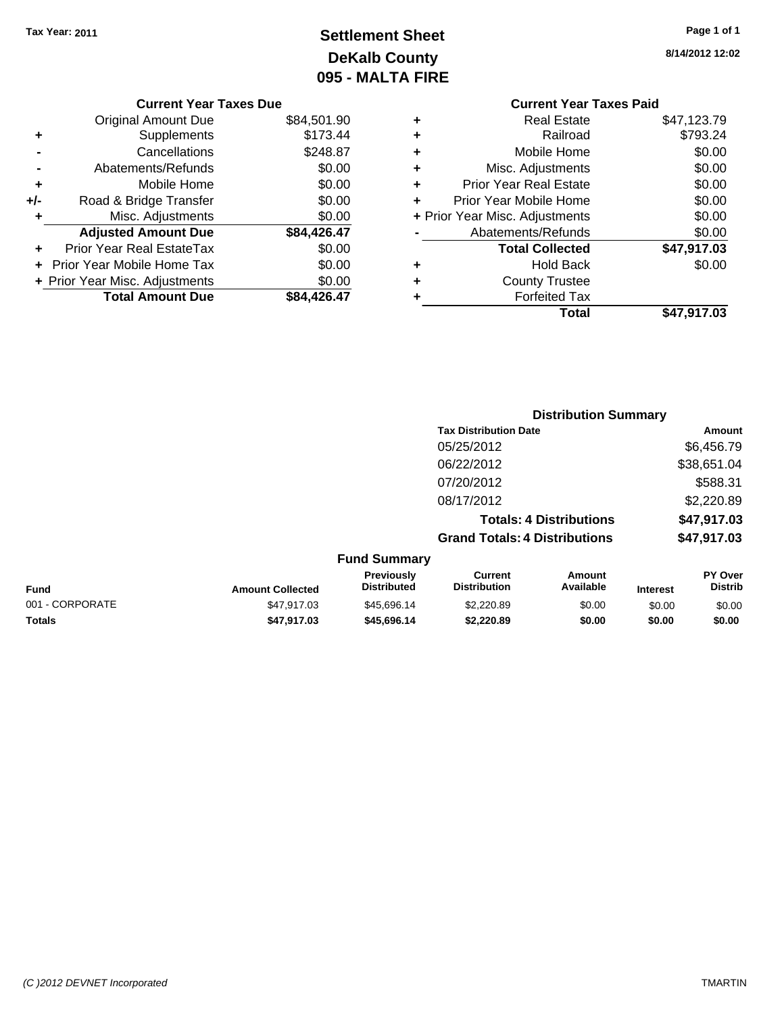# **Settlement Sheet Tax Year: 2011 Page 1 of 1 DeKalb County 095 - MALTA FIRE**

**8/14/2012 12:02**

| \$0.00<br>\$0.00 | ÷<br>÷ | <b>Prior Year Real Estate</b><br>Prior Year Mobile Home | \$0.00<br>\$0.00 |
|------------------|--------|---------------------------------------------------------|------------------|
| \$0.00           |        | + Prior Year Misc. Adjustments                          | \$0.00           |
| \$84,426.47      |        | Abatements/Refunds                                      | \$0.00           |
| \$0.00           |        | <b>Total Collected</b>                                  | \$47,917.03      |
| \$0.00           | ٠      | <b>Hold Back</b>                                        | \$0.00           |
| \$0.00           | ٠      | <b>County Trustee</b>                                   |                  |
| \$84,426.47      |        | <b>Forfeited Tax</b>                                    |                  |
|                  |        | Total                                                   | \$47,917.03      |

#### **Current Year Tax**

|     | <b>Original Amount Due</b>     | \$84,501.90 |
|-----|--------------------------------|-------------|
| ٠   | Supplements                    | \$173.44    |
|     | Cancellations                  | \$248.87    |
|     | Abatements/Refunds             | \$0.00      |
| ٠   | Mobile Home                    | \$0.00      |
| +/- | Road & Bridge Transfer         | \$0.00      |
| ٠   | Misc. Adjustments              | \$0.00      |
|     | <b>Adjusted Amount Due</b>     | \$84,426.47 |
|     | Prior Year Real EstateTax      | \$0.00      |
| ÷   | Prior Year Mobile Home Tax     | \$0.00      |
|     | + Prior Year Misc. Adjustments | \$0.00      |
|     | <b>Total Amount Due</b>        | \$84,426.47 |

## **Distribution Summary**

|                     | <b>Tax Distribution Date</b>         | Amount      |
|---------------------|--------------------------------------|-------------|
|                     | 05/25/2012                           | \$6,456.79  |
|                     | 06/22/2012                           | \$38,651.04 |
|                     | 07/20/2012                           | \$588.31    |
|                     | 08/17/2012                           | \$2,220.89  |
|                     | <b>Totals: 4 Distributions</b>       | \$47,917.03 |
|                     | <b>Grand Totals: 4 Distributions</b> | \$47,917.03 |
| <b>Fund Summary</b> |                                      |             |

| <b>Fund</b>     | <b>Amount Collected</b> | <b>Previously</b><br><b>Distributed</b> | Current<br><b>Distribution</b> | Amount<br>Available | <b>Interest</b> | PY Over<br><b>Distrib</b> |
|-----------------|-------------------------|-----------------------------------------|--------------------------------|---------------------|-----------------|---------------------------|
| 001 - CORPORATE | \$47.917.03             | \$45.696.14                             | \$2,220.89                     | \$0.00              | \$0.00          | \$0.00                    |
| <b>Totals</b>   | \$47.917.03             | \$45,696,14                             | \$2,220.89                     | \$0.00              | \$0.00          | \$0.00                    |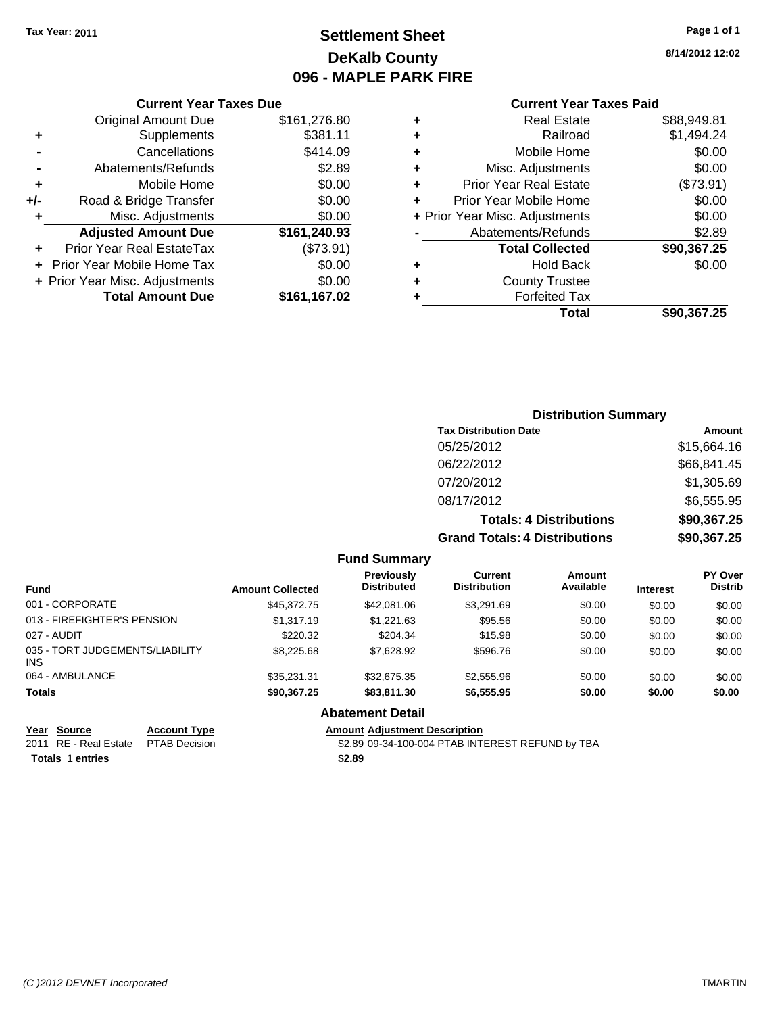## **Settlement Sheet Tax Year: 2011 Page 1 of 1 DeKalb County 096 - MAPLE PARK FIRE**

**8/14/2012 12:02**

#### **Current Year Taxes Paid**

|   | Total                          | \$90.367.25 |
|---|--------------------------------|-------------|
| ٠ | <b>Forfeited Tax</b>           |             |
| ٠ | <b>County Trustee</b>          |             |
| ٠ | <b>Hold Back</b>               | \$0.00      |
|   | <b>Total Collected</b>         | \$90,367.25 |
|   | Abatements/Refunds             | \$2.89      |
|   | + Prior Year Misc. Adjustments | \$0.00      |
| ÷ | Prior Year Mobile Home         | \$0.00      |
| ÷ | <b>Prior Year Real Estate</b>  | (\$73.91)   |
| ٠ | Misc. Adjustments              | \$0.00      |
| ٠ | Mobile Home                    | \$0.00      |
| ٠ | Railroad                       | \$1,494.24  |
| ٠ | <b>Real Estate</b>             | \$88,949.81 |

|     | <b>Current Year Taxes Due</b>    |              |
|-----|----------------------------------|--------------|
|     | <b>Original Amount Due</b>       | \$161,276.80 |
| ٠   | Supplements                      | \$381.11     |
|     | Cancellations                    | \$414.09     |
|     | Abatements/Refunds               | \$2.89       |
| ÷   | Mobile Home                      | \$0.00       |
| +/- | Road & Bridge Transfer           | \$0.00       |
| ٠   | Misc. Adjustments                | \$0.00       |
|     | <b>Adjusted Amount Due</b>       | \$161,240.93 |
|     | <b>Prior Year Real EstateTax</b> | (\$73.91)    |
|     | Prior Year Mobile Home Tax       | \$0.00       |
|     | + Prior Year Misc. Adjustments   | \$0.00       |
|     | <b>Total Amount Due</b>          | \$161,167.02 |

## **Distribution Summary Tax Distribution Date Amount** 05/25/2012 \$15,664.16 06/22/2012 \$66,841.45 07/20/2012 \$1,305.69 08/17/2012 \$6,555.95 **Totals: 4 Distributions \$90,367.25**

**Grand Totals: 4 Distributions \$90,367.25**

|  | <b>Fund Summary</b> |  |
|--|---------------------|--|
|--|---------------------|--|

| <b>Fund</b>                             | <b>Amount Collected</b> | <b>Previously</b><br><b>Distributed</b> | Current<br><b>Distribution</b> | Amount<br>Available | <b>Interest</b> | <b>PY Over</b><br><b>Distrib</b> |
|-----------------------------------------|-------------------------|-----------------------------------------|--------------------------------|---------------------|-----------------|----------------------------------|
| 001 - CORPORATE                         | \$45,372.75             | \$42,081,06                             | \$3.291.69                     | \$0.00              | \$0.00          | \$0.00                           |
| 013 - FIREFIGHTER'S PENSION             | \$1,317.19              | \$1.221.63                              | \$95.56                        | \$0.00              | \$0.00          | \$0.00                           |
| 027 - AUDIT                             | \$220.32                | \$204.34                                | \$15.98                        | \$0.00              | \$0.00          | \$0.00                           |
| 035 - TORT JUDGEMENTS/LIABILITY<br>INS. | \$8,225.68              | \$7.628.92                              | \$596.76                       | \$0.00              | \$0.00          | \$0.00                           |
| 064 - AMBULANCE                         | \$35.231.31             | \$32.675.35                             | \$2,555.96                     | \$0.00              | \$0.00          | \$0.00                           |
| <b>Totals</b>                           | \$90,367,25             | \$83,811.30                             | \$6,555.95                     | \$0.00              | \$0.00          | \$0.00                           |
|                                         |                         | $\blacksquare$                          |                                |                     |                 |                                  |

**Abatement Detail**

#### **Year Source Account Type Amount Adjustment Description**

2011 RE - Real Estate \$2.89 09-34-100-004 PTAB INTEREST REFUND by TBA PTAB Decision Totals 1 entries **12.89**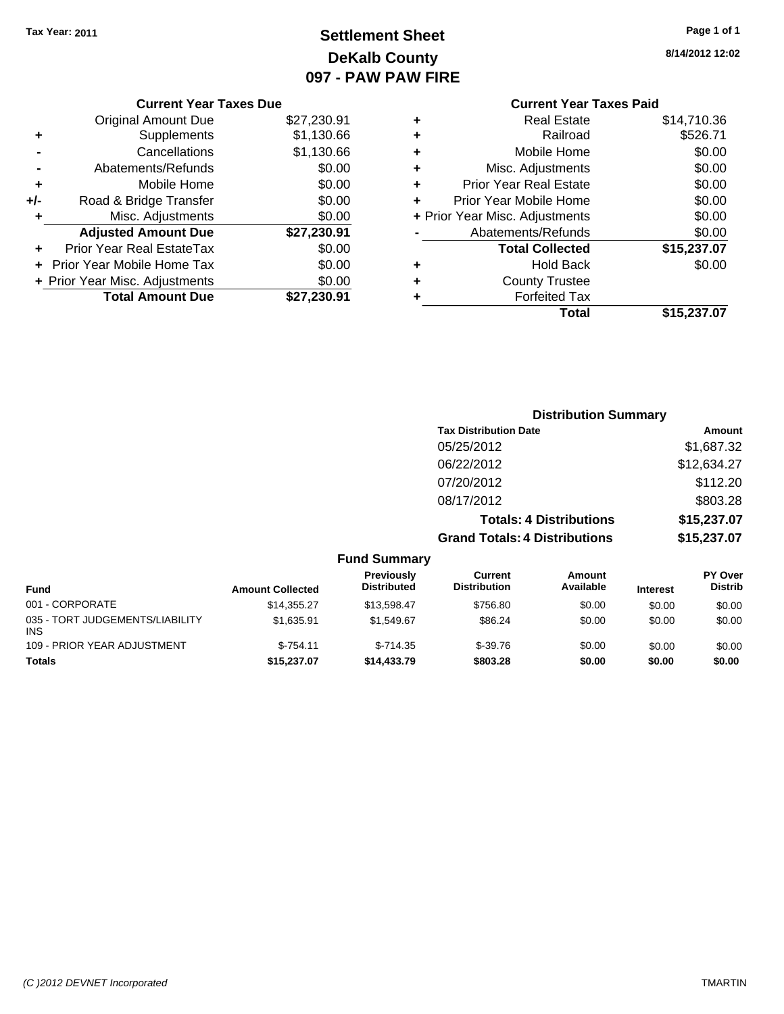## **Settlement Sheet Tax Year: 2011 Page 1 of 1 DeKalb County 097 - PAW PAW FIRE**

**8/14/2012 12:02**

|     | <b>Current Year Taxes Due</b>     |             |
|-----|-----------------------------------|-------------|
|     | <b>Original Amount Due</b>        | \$27,230.91 |
| ٠   | Supplements                       | \$1,130.66  |
|     | Cancellations                     | \$1,130.66  |
|     | Abatements/Refunds                | \$0.00      |
| ٠   | Mobile Home                       | \$0.00      |
| +/- | Road & Bridge Transfer            | \$0.00      |
| ٠   | Misc. Adjustments                 | \$0.00      |
|     | <b>Adjusted Amount Due</b>        | \$27,230.91 |
| ٠   | Prior Year Real EstateTax         | \$0.00      |
|     | <b>Prior Year Mobile Home Tax</b> | \$0.00      |
|     | + Prior Year Misc. Adjustments    | \$0.00      |
|     | <b>Total Amount Due</b>           | \$27,230.91 |

#### **Current Year Taxes Paid +** Real Estate \$14,710.36 **+** Railroad \$526.71 **+** Mobile Home \$0.00 **+** Misc. Adjustments \$0.00 **+** Prior Year Real Estate \$0.00 **+** Prior Year Mobile Home \$0.00 **+** Prior Year Misc. Adjustments  $$0.00$ **-** Abatements/Refunds \$0.00 **Total Collected \$15,237.07**

**+** Hold Back \$0.00

|   | Total                 | \$15,237.07 |
|---|-----------------------|-------------|
| ÷ | <b>Forfeited Tax</b>  |             |
| ÷ | <b>County Trustee</b> |             |

|                     | <b>Distribution Summary</b>          |             |
|---------------------|--------------------------------------|-------------|
|                     | <b>Tax Distribution Date</b>         | Amount      |
|                     | 05/25/2012                           | \$1,687.32  |
|                     | 06/22/2012                           | \$12,634.27 |
|                     | 07/20/2012                           | \$112.20    |
|                     | 08/17/2012                           | \$803.28    |
|                     | <b>Totals: 4 Distributions</b>       | \$15,237.07 |
|                     | <b>Grand Totals: 4 Distributions</b> | \$15,237.07 |
| <b>Fund Summary</b> |                                      |             |

| <b>Fund</b>                                   | <b>Amount Collected</b> | Previously<br><b>Distributed</b> | Current<br><b>Distribution</b> | Amount<br>Available | <b>Interest</b> | <b>PY Over</b><br><b>Distrib</b> |
|-----------------------------------------------|-------------------------|----------------------------------|--------------------------------|---------------------|-----------------|----------------------------------|
| 001 - CORPORATE                               | \$14,355,27             | \$13.598.47                      | \$756.80                       | \$0.00              | \$0.00          | \$0.00                           |
| 035 - TORT JUDGEMENTS/LIABILITY<br><b>INS</b> | \$1.635.91              | \$1.549.67                       | \$86.24                        | \$0.00              | \$0.00          | \$0.00                           |
| 109 - PRIOR YEAR ADJUSTMENT                   | $$-754.11$              | $$-714.35$                       | $$-39.76$                      | \$0.00              | \$0.00          | \$0.00                           |
| <b>Totals</b>                                 | \$15,237.07             | \$14,433,79                      | \$803.28                       | \$0.00              | \$0.00          | \$0.00                           |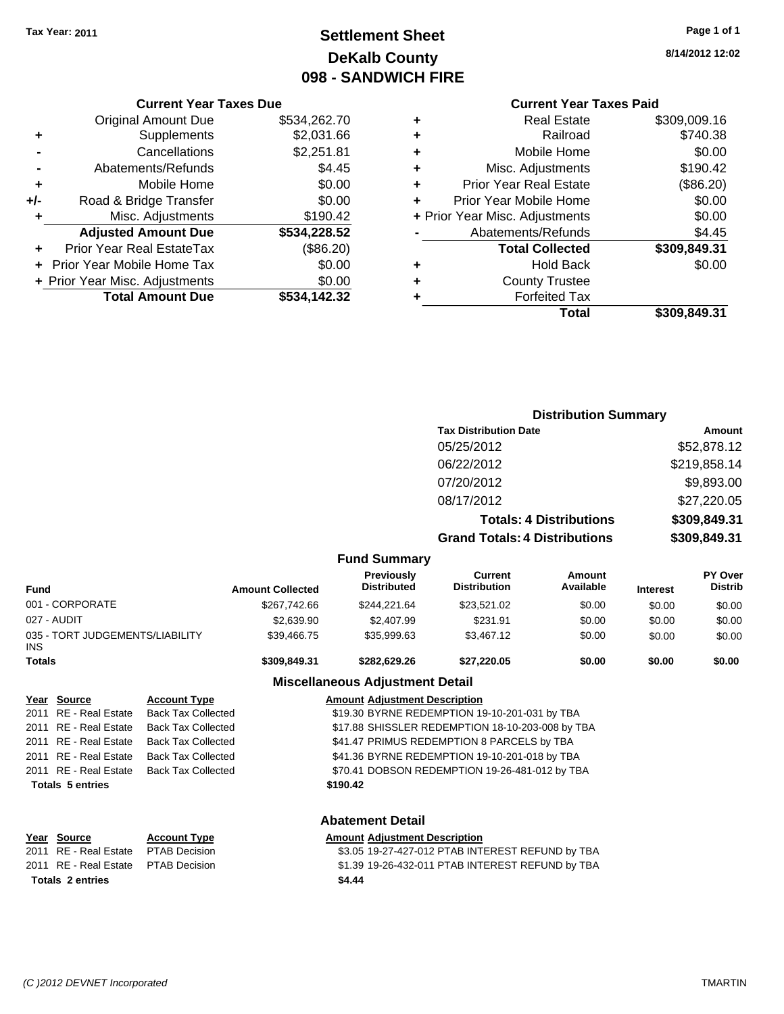## **Settlement Sheet Tax Year: 2011 Page 1 of 1 DeKalb County 098 - SANDWICH FIRE**

**8/14/2012 12:02**

## **Current Year Taxes Paid**

|   | Total                          | \$309,849.31 |
|---|--------------------------------|--------------|
|   | <b>Forfeited Tax</b>           |              |
|   | <b>County Trustee</b>          |              |
| ٠ | <b>Hold Back</b>               | \$0.00       |
|   | <b>Total Collected</b>         | \$309,849.31 |
|   | Abatements/Refunds             | \$4.45       |
|   | + Prior Year Misc. Adjustments | \$0.00       |
| ٠ | Prior Year Mobile Home         | \$0.00       |
| ÷ | <b>Prior Year Real Estate</b>  | (\$86.20)    |
| ÷ | Misc. Adjustments              | \$190.42     |
| ٠ | Mobile Home                    | \$0.00       |
| ٠ | Railroad                       | \$740.38     |
| ٠ | <b>Real Estate</b>             | \$309,009.16 |
|   |                                |              |

|     | <b>Current Year Taxes Due</b>  |              |
|-----|--------------------------------|--------------|
|     | <b>Original Amount Due</b>     | \$534,262.70 |
| ÷   | Supplements                    | \$2,031.66   |
|     | Cancellations                  | \$2,251.81   |
|     | Abatements/Refunds             | \$4.45       |
| ٠   | Mobile Home                    | \$0.00       |
| +/- | Road & Bridge Transfer         | \$0.00       |
| ٠   | Misc. Adjustments              | \$190.42     |
|     | <b>Adjusted Amount Due</b>     | \$534,228.52 |
|     | Prior Year Real EstateTax      | (\$86.20)    |
|     | Prior Year Mobile Home Tax     | \$0.00       |
|     | + Prior Year Misc. Adjustments | \$0.00       |
|     | <b>Total Amount Due</b>        | \$534.142.32 |

#### **Distribution Summary**

|                                         |                         |                                         | <b>Tax Distribution Date</b>          |                                |                 | Amount                           |
|-----------------------------------------|-------------------------|-----------------------------------------|---------------------------------------|--------------------------------|-----------------|----------------------------------|
|                                         |                         |                                         | 05/25/2012                            |                                |                 | \$52,878.12                      |
|                                         |                         |                                         | 06/22/2012                            |                                |                 | \$219,858.14                     |
|                                         |                         |                                         | 07/20/2012                            |                                |                 | \$9,893.00                       |
|                                         |                         |                                         | 08/17/2012                            |                                |                 | \$27,220.05                      |
|                                         |                         |                                         |                                       | <b>Totals: 4 Distributions</b> |                 | \$309,849.31                     |
|                                         |                         |                                         | <b>Grand Totals: 4 Distributions</b>  |                                |                 | \$309,849.31                     |
|                                         |                         | <b>Fund Summary</b>                     |                                       |                                |                 |                                  |
| <b>Fund</b>                             | <b>Amount Collected</b> | <b>Previously</b><br><b>Distributed</b> | <b>Current</b><br><b>Distribution</b> | Amount<br>Available            | <b>Interest</b> | <b>PY Over</b><br><b>Distrib</b> |
| 001 - CORPORATE                         | \$267,742.66            | \$244,221.64                            | \$23,521.02                           | \$0.00                         | \$0.00          | \$0.00                           |
| 027 - AUDIT                             | \$2,639.90              | \$2,407.99                              | \$231.91                              | \$0.00                         | \$0.00          | \$0.00                           |
| 035 - TORT JUDGEMENTS/LIABILITY<br>INS. | \$39,466.75             | \$35,999.63                             | \$3,467.12                            | \$0.00                         | \$0.00          | \$0.00                           |
| <b>Totals</b>                           | \$309,849.31            | \$282,629.26                            | \$27,220.05                           | \$0.00                         | \$0.00          | \$0.00                           |
|                                         |                         | <b>Miscellaneous Adjustment Detail</b>  |                                       |                                |                 |                                  |

#### **Year Source Account Type Amount Adjustment Description** 2011 RE - Real Estate Back Tax Collected \$19.30 BYRNE REDEMPTION 19-10-201-031 by TBA 2011 RE - Real Estate Back Tax Collected \$17.88 SHISSLER REDEMPTION 18-10-203-008 by TBA 2011 RE - Real Estate Back Tax Collected **\$41.47 PRIMUS REDEMPTION 8 PARCELS by TBA** 2011 RE - Real Estate Back Tax Collected \$41.36 BYRNE REDEMPTION 19-10-201-018 by TBA 2011 RE - Real Estate Back Tax Collected S70.41 DOBSON REDEMPTION 19-26-481-012 by TBA **Totals \$190.42 5 entries**

| Year Source                         | <b>Account Type</b> | Amount |
|-------------------------------------|---------------------|--------|
| 2011 RE - Real Estate PTAB Decision |                     | \$3.05 |
| 2011 RE - Real Estate PTAB Decision |                     | \$1.39 |
| <b>Totals 2 entries</b>             |                     | \$4.44 |

## **Abatement Detail**

#### **Yearch Type Amount** Adjustment Description

ision 2011 83.05 19-27-427-012 PTAB INTEREST REFUND by TBA 2011 Bision 81.39 19-26-432-011 PTAB INTEREST REFUND by TBA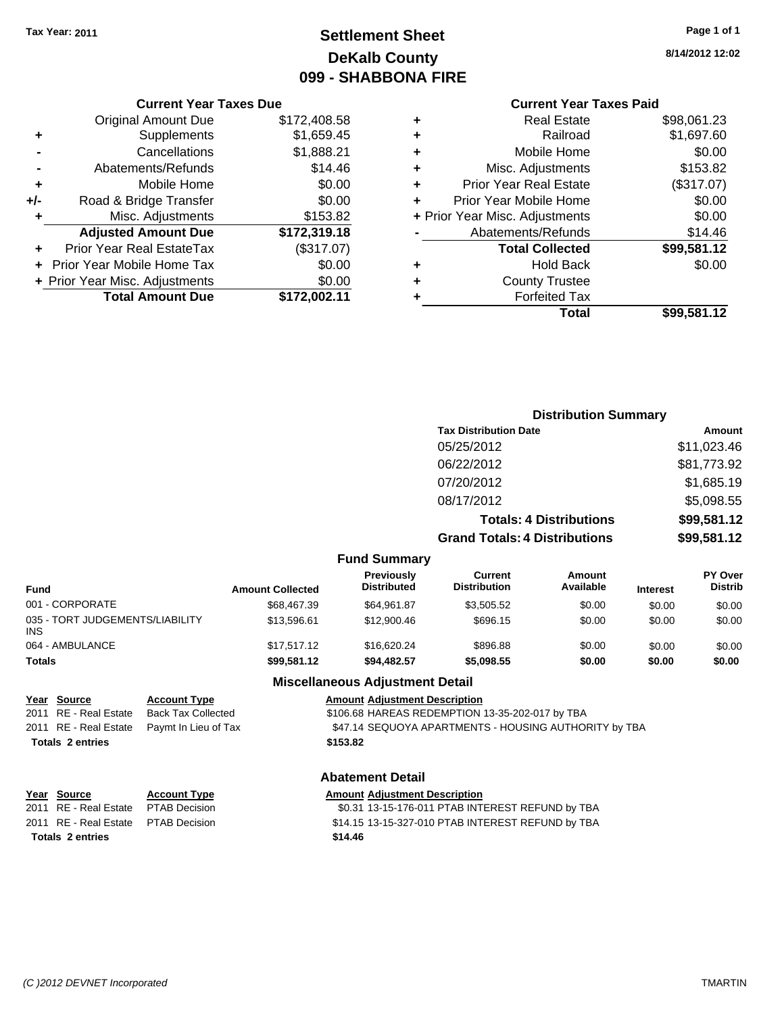## **Settlement Sheet Tax Year: 2011 Page 1 of 1 DeKalb County 099 - SHABBONA FIRE**

#### **8/14/2012 12:02**

#### **Current Year Taxes Paid**

|   | Total                          | \$99,581.12 |
|---|--------------------------------|-------------|
|   | <b>Forfeited Tax</b>           |             |
| ٠ | <b>County Trustee</b>          |             |
| ٠ | <b>Hold Back</b>               | \$0.00      |
|   | <b>Total Collected</b>         | \$99,581.12 |
|   | Abatements/Refunds             | \$14.46     |
|   | + Prior Year Misc. Adjustments | \$0.00      |
| ÷ | Prior Year Mobile Home         | \$0.00      |
| ٠ | <b>Prior Year Real Estate</b>  | (\$317.07)  |
| ٠ | Misc. Adjustments              | \$153.82    |
| ٠ | Mobile Home                    | \$0.00      |
| ٠ | Railroad                       | \$1,697.60  |
|   | <b>Real Estate</b>             | \$98,061.23 |

|     | <b>Current Year Taxes Due</b>     |              |
|-----|-----------------------------------|--------------|
|     | <b>Original Amount Due</b>        | \$172,408.58 |
| ٠   | Supplements                       | \$1,659.45   |
|     | Cancellations                     | \$1,888.21   |
|     | Abatements/Refunds                | \$14.46      |
| ٠   | Mobile Home                       | \$0.00       |
| +/- | Road & Bridge Transfer            | \$0.00       |
| ٠   | Misc. Adjustments                 | \$153.82     |
|     | <b>Adjusted Amount Due</b>        | \$172,319.18 |
|     | Prior Year Real EstateTax         | (\$317.07)   |
|     | <b>Prior Year Mobile Home Tax</b> | \$0.00       |
|     | + Prior Year Misc. Adjustments    | \$0.00       |
|     | <b>Total Amount Due</b>           | \$172,002.11 |

#### **Distribution Summary**

| Amount      |
|-------------|
| \$11,023.46 |
| \$81,773.92 |
| \$1,685.19  |
| \$5,098.55  |
| \$99,581.12 |
| \$99,581.12 |
|             |

#### **Fund Summary**

| Fund                                   | <b>Amount Collected</b> | <b>Previously</b><br><b>Distributed</b> | Current<br><b>Distribution</b> | Amount<br>Available | <b>Interest</b> | <b>PY Over</b><br><b>Distrib</b> |
|----------------------------------------|-------------------------|-----------------------------------------|--------------------------------|---------------------|-----------------|----------------------------------|
| 001 - CORPORATE                        | \$68,467.39             | \$64,961.87                             | \$3.505.52                     | \$0.00              | \$0.00          | \$0.00                           |
| 035 - TORT JUDGEMENTS/LIABILITY<br>INS | \$13,596.61             | \$12,900.46                             | \$696.15                       | \$0.00              | \$0.00          | \$0.00                           |
| 064 - AMBULANCE                        | \$17,517.12             | \$16,620,24                             | \$896.88                       | \$0.00              | \$0.00          | \$0.00                           |
| Totals                                 | \$99,581.12             | \$94,482.57                             | \$5,098.55                     | \$0.00              | \$0.00          | \$0.00                           |

# **Totals \$153.82 2 entries**

#### **Miscellaneous Adjustment Detail**

**Year Source Account Type AMOUNTYPE AMOUNT Adjustment Description** 2011 RE - Real Estate Back Tax Collected \$106.68 HAREAS REDEMPTION 13-35-202-017 by TBA

2011 RE - Real Estate Paymt In Lieu of Tax **\$47.14 SEQUOYA APARTMENTS - HOUSING AUTHORITY by TBA** 

#### **Abatement Detail**

| Year Source                         | <b>Account Type</b> | <b>Amount Adjustment Description</b>              |
|-------------------------------------|---------------------|---------------------------------------------------|
| 2011 RE - Real Estate PTAB Decision |                     | \$0.31 13-15-176-011 PTAB INTEREST REFUND by TBA  |
| 2011 RE - Real Estate PTAB Decision |                     | \$14.15 13-15-327-010 PTAB INTEREST REFUND by TBA |
| <b>Totals 2 entries</b>             |                     | \$14.46                                           |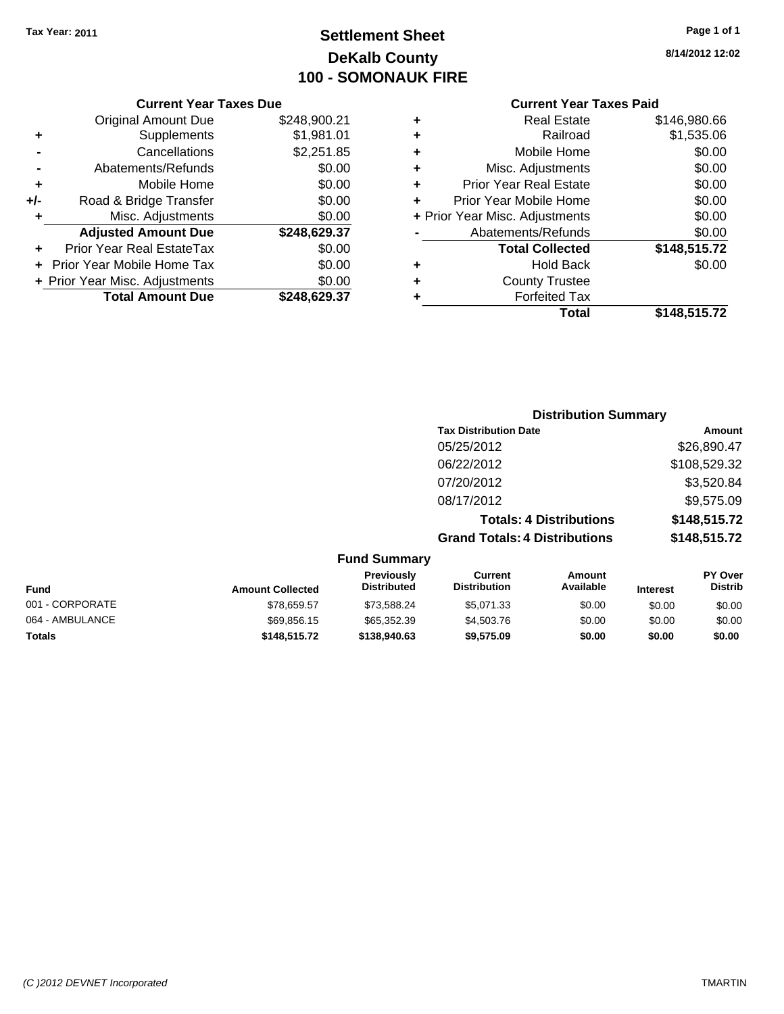## **Settlement Sheet Tax Year: 2011 Page 1 of 1 DeKalb County 100 - SOMONAUK FIRE**

**8/14/2012 12:02**

|       | <b>Original Amount Due</b>     | \$248,900.21 |
|-------|--------------------------------|--------------|
| ٠     | Supplements                    | \$1,981.01   |
|       | Cancellations                  | \$2,251.85   |
|       | Abatements/Refunds             | \$0.00       |
| ÷     | Mobile Home                    | \$0.00       |
| $+/-$ | Road & Bridge Transfer         | \$0.00       |
| ٠     | Misc. Adjustments              | \$0.00       |
|       | <b>Adjusted Amount Due</b>     | \$248,629.37 |
|       | Prior Year Real EstateTax      | \$0.00       |
|       | + Prior Year Mobile Home Tax   | \$0.00       |
|       | + Prior Year Misc. Adjustments | \$0.00       |
|       | <b>Total Amount Due</b>        | \$248,629.37 |

#### **Current Year Taxes Paid**

|   | Total                          | \$148,515.72 |
|---|--------------------------------|--------------|
| ٠ | <b>Forfeited Tax</b>           |              |
| ٠ | <b>County Trustee</b>          |              |
| ٠ | <b>Hold Back</b>               | \$0.00       |
|   | <b>Total Collected</b>         | \$148,515.72 |
|   | Abatements/Refunds             | \$0.00       |
|   | + Prior Year Misc. Adjustments | \$0.00       |
| ٠ | Prior Year Mobile Home         | \$0.00       |
| ٠ | <b>Prior Year Real Estate</b>  | \$0.00       |
| ٠ | Misc. Adjustments              | \$0.00       |
| ÷ | Mobile Home                    | \$0.00       |
| ٠ | Railroad                       | \$1,535.06   |
| ٠ | <b>Real Estate</b>             | \$146,980.66 |

## **Distribution Summary Tax Distribution Date Amount** 05/25/2012 \$26,890.47 06/22/2012 \$108,529.32 07/20/2012 \$3,520.84 08/17/2012 \$9,575.09 **Totals: 4 Distributions \$148,515.72 Grand Totals: 4 Distributions \$148,515.72 Fund Summary**

| .                       |                                  |                                |                     |                 |                                  |
|-------------------------|----------------------------------|--------------------------------|---------------------|-----------------|----------------------------------|
| <b>Amount Collected</b> | Previously<br><b>Distributed</b> | Current<br><b>Distribution</b> | Amount<br>Available | <b>Interest</b> | <b>PY Over</b><br><b>Distrib</b> |
| \$78,659.57             | \$73.588.24                      | \$5.071.33                     | \$0.00              | \$0.00          | \$0.00                           |
| \$69,856.15             | \$65,352.39                      | \$4,503.76                     | \$0.00              | \$0.00          | \$0.00                           |
| \$148,515,72            | \$138,940.63                     | \$9.575.09                     | \$0.00              | \$0.00          | \$0.00                           |
|                         |                                  |                                |                     |                 |                                  |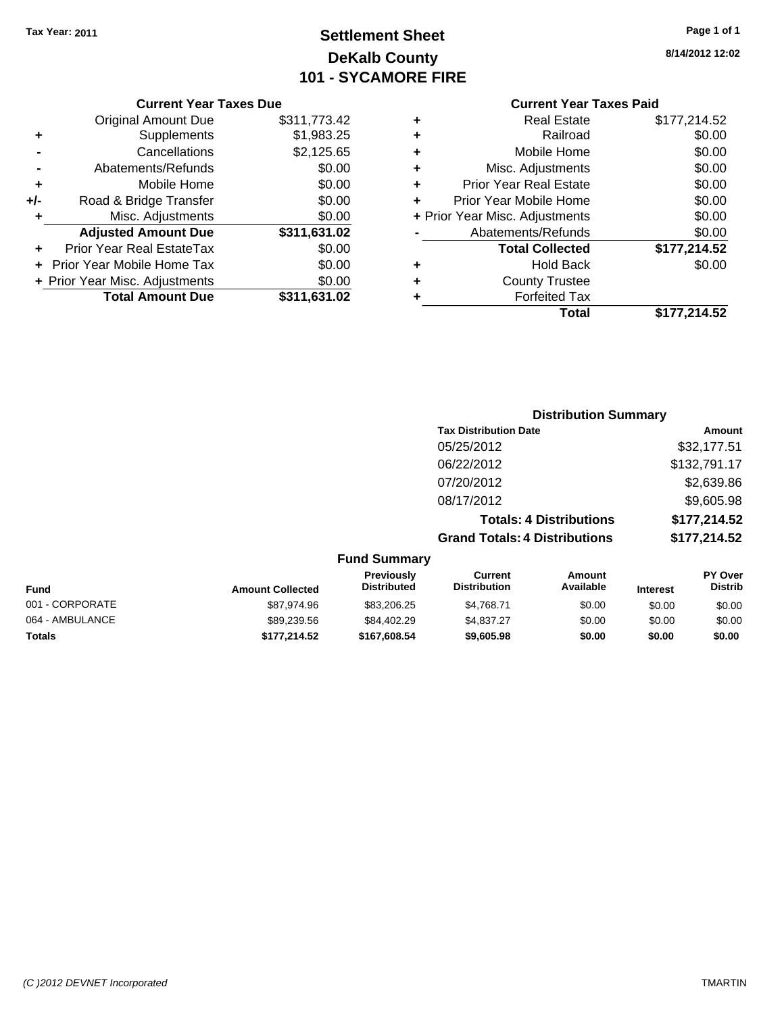## **Settlement Sheet Tax Year: 2011 Page 1 of 1 DeKalb County 101 - SYCAMORE FIRE**

**8/14/2012 12:02**

#### **Current Year Taxes Due**

|     | <b>Original Amount Due</b>       | \$311,773.42 |
|-----|----------------------------------|--------------|
| ٠   | Supplements                      | \$1,983.25   |
|     | Cancellations                    | \$2,125.65   |
|     | Abatements/Refunds               | \$0.00       |
| ÷   | Mobile Home                      | \$0.00       |
| +/- | Road & Bridge Transfer           | \$0.00       |
| ٠   | Misc. Adjustments                | \$0.00       |
|     | <b>Adjusted Amount Due</b>       | \$311,631.02 |
|     | <b>Prior Year Real EstateTax</b> | \$0.00       |
|     | Prior Year Mobile Home Tax       | \$0.00       |
|     | + Prior Year Misc. Adjustments   | \$0.00       |
|     | <b>Total Amount Due</b>          | \$311,631.02 |

#### **Current Year Taxes Paid**

|   | Total                          | \$177,214.52 |
|---|--------------------------------|--------------|
| ٠ | <b>Forfeited Tax</b>           |              |
| ٠ | <b>County Trustee</b>          |              |
| ٠ | Hold Back                      | \$0.00       |
|   | <b>Total Collected</b>         | \$177,214.52 |
|   | Abatements/Refunds             | \$0.00       |
|   | + Prior Year Misc. Adjustments | \$0.00       |
| ÷ | Prior Year Mobile Home         | \$0.00       |
| ٠ | <b>Prior Year Real Estate</b>  | \$0.00       |
| ٠ | Misc. Adjustments              | \$0.00       |
| ٠ | Mobile Home                    | \$0.00       |
| ÷ | Railroad                       | \$0.00       |
|   | <b>Real Estate</b>             | \$177,214.52 |

## **Distribution Summary Tax Distribution Date Amount** 05/25/2012 \$32,177.51 06/22/2012 \$132,791.17 07/20/2012 \$2,639.86 08/17/2012 \$9,605.98 **Totals: 4 Distributions \$177,214.52 Grand Totals: 4 Distributions \$177,214.52 Fund Summary**

| <b>Amount Collected</b> | <b>Previously</b><br><b>Distributed</b> | Current<br><b>Distribution</b> | Amount<br>Available | <b>Interest</b> | <b>PY Over</b><br><b>Distrib</b> |  |
|-------------------------|-----------------------------------------|--------------------------------|---------------------|-----------------|----------------------------------|--|
| \$87.974.96             | \$83,206.25                             | \$4.768.71                     | \$0.00              | \$0.00          | \$0.00                           |  |
| \$89,239.56             | \$84,402.29                             | \$4.837.27                     | \$0.00              | \$0.00          | \$0.00                           |  |
| \$177.214.52            | \$167,608.54                            | \$9,605.98                     | \$0.00              | \$0.00          | \$0.00                           |  |
|                         |                                         |                                |                     |                 |                                  |  |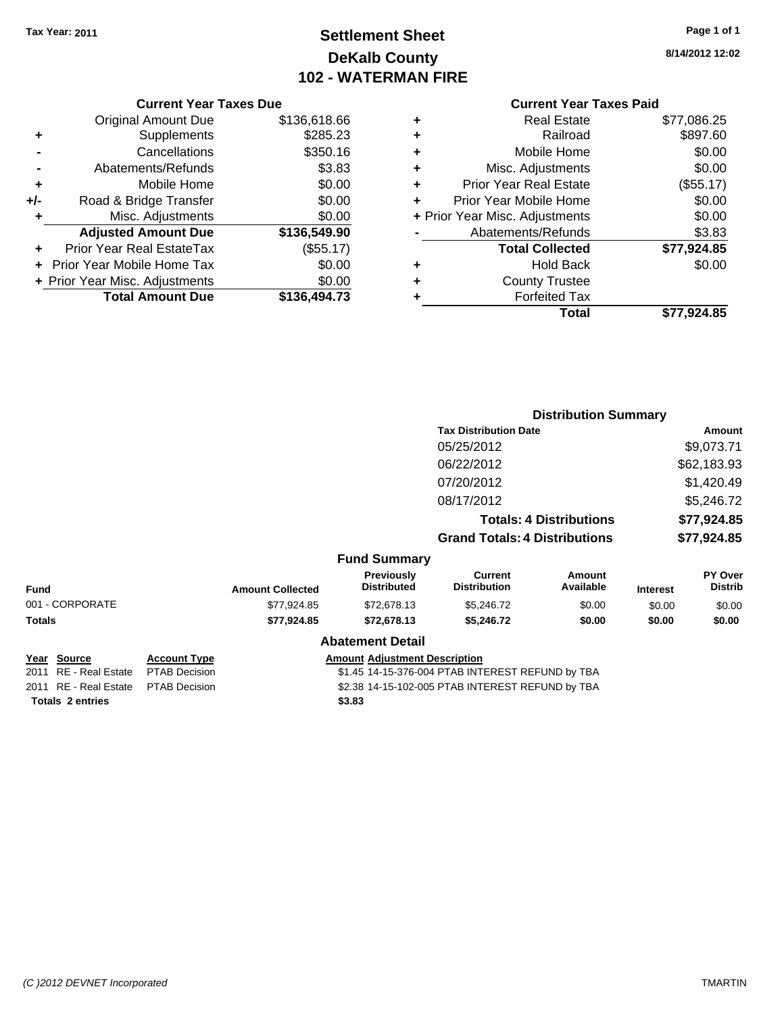## **Settlement Sheet Tax Year: 2011 Page 1 of 1 DeKalb County 102 - WATERMAN FIRE**

#### **8/14/2012 12:02**

|       | <b>Current Year Taxes Due</b>        |              |  |  |  |  |
|-------|--------------------------------------|--------------|--|--|--|--|
|       | <b>Original Amount Due</b>           | \$136,618.66 |  |  |  |  |
| ٠     | \$285.23<br>Supplements              |              |  |  |  |  |
|       | Cancellations                        | \$350.16     |  |  |  |  |
|       | Abatements/Refunds                   | \$3.83       |  |  |  |  |
| ٠     | Mobile Home                          | \$0.00       |  |  |  |  |
| $+/-$ | \$0.00<br>Road & Bridge Transfer     |              |  |  |  |  |
|       | Misc. Adjustments                    | \$0.00       |  |  |  |  |
|       | <b>Adjusted Amount Due</b>           | \$136,549.90 |  |  |  |  |
|       | Prior Year Real EstateTax            | (\$55.17)    |  |  |  |  |
|       | \$0.00<br>Prior Year Mobile Home Tax |              |  |  |  |  |
|       | + Prior Year Misc. Adjustments       | \$0.00       |  |  |  |  |
|       | <b>Total Amount Due</b>              | \$136,494.73 |  |  |  |  |
|       |                                      |              |  |  |  |  |

|   | <b>Current Year Taxes Paid</b> |             |
|---|--------------------------------|-------------|
| ٠ | <b>Real Estate</b>             | \$77,086.25 |
| ٠ | Railroad                       | \$897.60    |
| ٠ | Mobile Home                    | \$0.00      |
| ٠ | Misc. Adjustments              | \$0.00      |
| ٠ | <b>Prior Year Real Estate</b>  | (\$55.17)   |
| ÷ | Prior Year Mobile Home         | \$0.00      |
|   | + Prior Year Misc. Adjustments | \$0.00      |
|   | Abatements/Refunds             | \$3.83      |
|   | <b>Total Collected</b>         | \$77,924.85 |
| ٠ | <b>Hold Back</b>               | \$0.00      |
|   | <b>County Trustee</b>          |             |
| ٠ | <b>Forfeited Tax</b>           |             |
|   | Total                          | \$77,924.85 |

|                       |                      |                                                  |                                         | <b>Distribution Summary</b>          |                                |                 |                           |
|-----------------------|----------------------|--------------------------------------------------|-----------------------------------------|--------------------------------------|--------------------------------|-----------------|---------------------------|
|                       |                      |                                                  |                                         | <b>Tax Distribution Date</b>         |                                | Amount          |                           |
|                       |                      |                                                  |                                         | 05/25/2012                           |                                |                 | \$9,073.71                |
|                       |                      |                                                  |                                         | 06/22/2012                           |                                |                 | \$62,183.93               |
|                       |                      |                                                  |                                         | 07/20/2012                           |                                |                 | \$1,420.49                |
|                       |                      |                                                  |                                         | 08/17/2012                           |                                |                 | \$5,246.72                |
|                       |                      |                                                  |                                         |                                      | <b>Totals: 4 Distributions</b> |                 | \$77,924.85               |
|                       |                      |                                                  |                                         | <b>Grand Totals: 4 Distributions</b> |                                |                 | \$77,924.85               |
|                       |                      |                                                  | <b>Fund Summary</b>                     |                                      |                                |                 |                           |
| <b>Fund</b>           |                      | <b>Amount Collected</b>                          | <b>Previously</b><br><b>Distributed</b> | Current<br><b>Distribution</b>       | Amount<br>Available            | <b>Interest</b> | PY Over<br><b>Distrib</b> |
| 001 - CORPORATE       |                      | \$77,924.85                                      | \$72,678.13                             | \$5,246.72                           | \$0.00                         | \$0.00          | \$0.00                    |
| Totals                |                      | \$77,924.85                                      | \$72,678.13                             | \$5,246.72                           | \$0.00                         | \$0.00          | \$0.00                    |
|                       |                      |                                                  | <b>Abatement Detail</b>                 |                                      |                                |                 |                           |
| Year Source           | <b>Account Type</b>  | <b>Amount Adjustment Description</b>             |                                         |                                      |                                |                 |                           |
| 2011 RE - Real Estate | <b>PTAB Decision</b> | \$1.45 14-15-376-004 PTAB INTEREST REFUND by TBA |                                         |                                      |                                |                 |                           |

**Totals \$3.83 2 entries**

2011 RE - Real Estate \$2.38 14-15-102-005 PTAB INTEREST REFUND by TBA PTAB Decision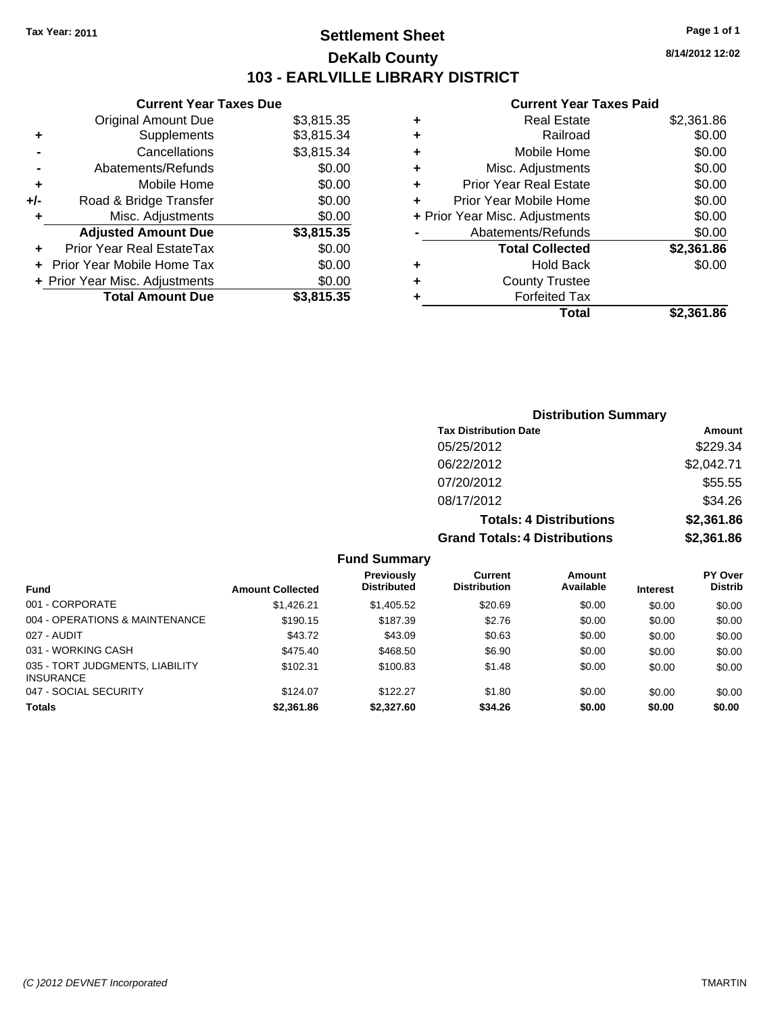## **Settlement Sheet Tax Year: 2011 Page 1 of 1 DeKalb County 103 - EARLVILLE LIBRARY DISTRICT**

**8/14/2012 12:02**

|     | <b>Current Year Taxes Due</b>  |            |  |  |  |
|-----|--------------------------------|------------|--|--|--|
|     | Original Amount Due            | \$3,815.35 |  |  |  |
| ÷   | Supplements                    | \$3,815.34 |  |  |  |
|     | Cancellations                  | \$3,815.34 |  |  |  |
|     | Abatements/Refunds             | \$0.00     |  |  |  |
| ٠   | Mobile Home                    | \$0.00     |  |  |  |
| +/- | Road & Bridge Transfer         | \$0.00     |  |  |  |
| ٠   | \$0.00<br>Misc. Adjustments    |            |  |  |  |
|     | <b>Adjusted Amount Due</b>     | \$3,815.35 |  |  |  |
|     | Prior Year Real EstateTax      | \$0.00     |  |  |  |
|     | Prior Year Mobile Home Tax     | \$0.00     |  |  |  |
|     | + Prior Year Misc. Adjustments | \$0.00     |  |  |  |
|     | <b>Total Amount Due</b>        | \$3,815.35 |  |  |  |
|     |                                |            |  |  |  |

| ٠ | Real Estate                    | \$2,361.86 |  |  |  |
|---|--------------------------------|------------|--|--|--|
| ٠ | Railroad                       | \$0.00     |  |  |  |
| ÷ | Mobile Home                    | \$0.00     |  |  |  |
| ٠ | Misc. Adjustments              | \$0.00     |  |  |  |
| ÷ | <b>Prior Year Real Estate</b>  | \$0.00     |  |  |  |
| ٠ | Prior Year Mobile Home         | \$0.00     |  |  |  |
|   | + Prior Year Misc. Adjustments | \$0.00     |  |  |  |
|   | Abatements/Refunds             | \$0.00     |  |  |  |
|   | <b>Total Collected</b>         | \$2,361.86 |  |  |  |
| ٠ | <b>Hold Back</b>               | \$0.00     |  |  |  |
| ٠ | <b>County Trustee</b>          |            |  |  |  |
| ٠ | <b>Forfeited Tax</b>           |            |  |  |  |
|   | Total                          | \$2,361.86 |  |  |  |

| <b>Distribution Summary</b>          |            |
|--------------------------------------|------------|
| <b>Tax Distribution Date</b>         | Amount     |
| 05/25/2012                           | \$229.34   |
| 06/22/2012                           | \$2,042.71 |
| 07/20/2012                           | \$55.55    |
| 08/17/2012                           | \$34.26    |
| <b>Totals: 4 Distributions</b>       | \$2,361.86 |
| <b>Grand Totals: 4 Distributions</b> | \$2,361.86 |

**Fund Summary**

|                                                     |                         | Previously         | Current             | Amount<br>Available |                 | PY Over        |
|-----------------------------------------------------|-------------------------|--------------------|---------------------|---------------------|-----------------|----------------|
| <b>Fund</b>                                         | <b>Amount Collected</b> | <b>Distributed</b> | <b>Distribution</b> |                     | <b>Interest</b> | <b>Distrib</b> |
| 001 - CORPORATE                                     | \$1,426.21              | \$1,405.52         | \$20.69             | \$0.00              | \$0.00          | \$0.00         |
| 004 - OPERATIONS & MAINTENANCE                      | \$190.15                | \$187.39           | \$2.76              | \$0.00              | \$0.00          | \$0.00         |
| 027 - AUDIT                                         | \$43.72                 | \$43.09            | \$0.63              | \$0.00              | \$0.00          | \$0.00         |
| 031 - WORKING CASH                                  | \$475.40                | \$468.50           | \$6.90              | \$0.00              | \$0.00          | \$0.00         |
| 035 - TORT JUDGMENTS, LIABILITY<br><b>INSURANCE</b> | \$102.31                | \$100.83           | \$1.48              | \$0.00              | \$0.00          | \$0.00         |
| 047 - SOCIAL SECURITY                               | \$124.07                | \$122.27           | \$1.80              | \$0.00              | \$0.00          | \$0.00         |
| <b>Totals</b>                                       | \$2,361.86              | \$2,327.60         | \$34.26             | \$0.00              | \$0.00          | \$0.00         |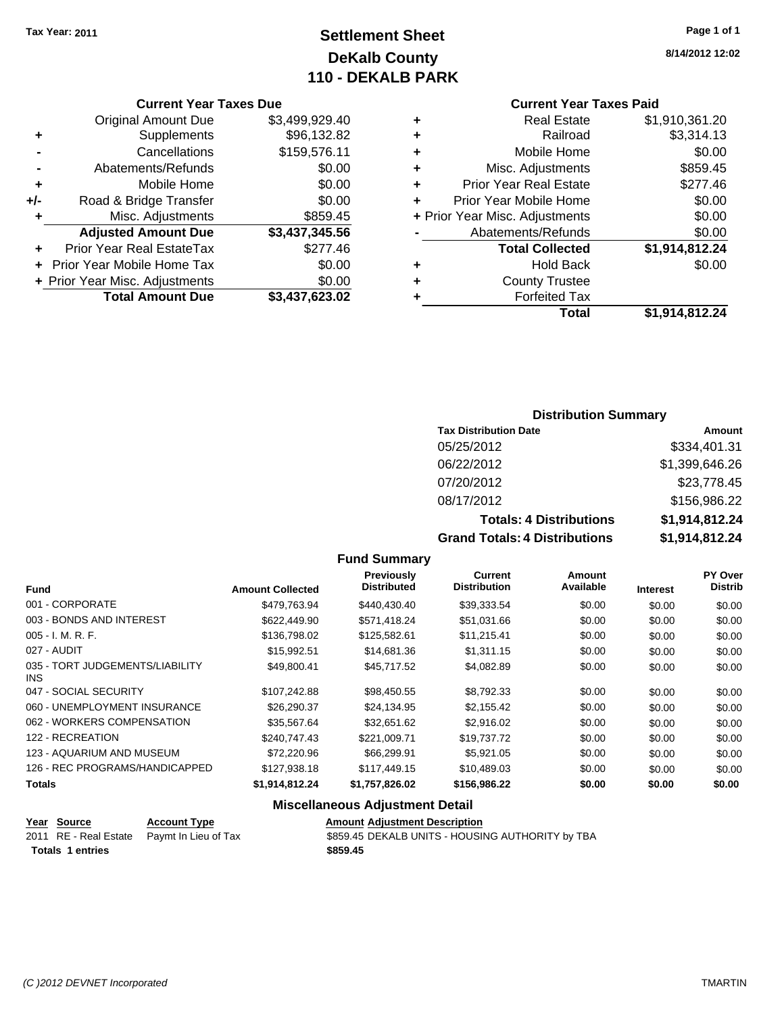## **Settlement Sheet Tax Year: 2011 Page 1 of 1 DeKalb County 110 - DEKALB PARK**

#### **Current Year Taxes Due**

|     | <b>Original Amount Due</b>                  | \$3,499,929.40 |  |  |  |
|-----|---------------------------------------------|----------------|--|--|--|
| ٠   | Supplements                                 | \$96,132.82    |  |  |  |
|     | Cancellations                               | \$159,576.11   |  |  |  |
|     | Abatements/Refunds                          | \$0.00         |  |  |  |
| ٠   | Mobile Home                                 | \$0.00         |  |  |  |
| +/- | Road & Bridge Transfer                      | \$0.00         |  |  |  |
| ٠   | Misc. Adjustments                           | \$859.45       |  |  |  |
|     | <b>Adjusted Amount Due</b>                  | \$3,437,345.56 |  |  |  |
|     | Prior Year Real EstateTax                   | \$277.46       |  |  |  |
|     | \$0.00<br><b>Prior Year Mobile Home Tax</b> |                |  |  |  |
|     | \$0.00<br>+ Prior Year Misc. Adjustments    |                |  |  |  |
|     | <b>Total Amount Due</b>                     | \$3,437,623.02 |  |  |  |

#### **Current Year Taxes Paid**

|   | <b>Real Estate</b>             | \$1,910,361.20 |
|---|--------------------------------|----------------|
| ٠ | Railroad                       | \$3,314.13     |
| ٠ | Mobile Home                    | \$0.00         |
| ٠ | Misc. Adjustments              | \$859.45       |
| ٠ | <b>Prior Year Real Estate</b>  | \$277.46       |
| ÷ | Prior Year Mobile Home         | \$0.00         |
|   | + Prior Year Misc. Adjustments | \$0.00         |
|   | Abatements/Refunds             | \$0.00         |
|   | <b>Total Collected</b>         | \$1,914,812.24 |
| ٠ | Hold Back                      | \$0.00         |
| ٠ | <b>County Trustee</b>          |                |
| ٠ | <b>Forfeited Tax</b>           |                |
|   | Total                          | \$1,914,812.24 |
|   |                                |                |

#### **Distribution Summary**

| <b>Tax Distribution Date</b>         | Amount         |
|--------------------------------------|----------------|
| 05/25/2012                           | \$334,401.31   |
| 06/22/2012                           | \$1,399,646.26 |
| 07/20/2012                           | \$23,778.45    |
| 08/17/2012                           | \$156,986.22   |
| <b>Totals: 4 Distributions</b>       | \$1,914,812.24 |
| <b>Grand Totals: 4 Distributions</b> | \$1,914,812.24 |

#### **Fund Summary**

| <b>Fund</b>                                   | <b>Amount Collected</b> | Previously<br><b>Distributed</b> | Current<br><b>Distribution</b> | Amount<br>Available |                 | <b>PY Over</b><br><b>Distrib</b> |
|-----------------------------------------------|-------------------------|----------------------------------|--------------------------------|---------------------|-----------------|----------------------------------|
|                                               |                         |                                  |                                |                     | <b>Interest</b> |                                  |
| 001 - CORPORATE                               | \$479,763.94            | \$440,430.40                     | \$39,333.54                    | \$0.00              | \$0.00          | \$0.00                           |
| 003 - BONDS AND INTEREST                      | \$622,449.90            | \$571,418.24                     | \$51,031.66                    | \$0.00              | \$0.00          | \$0.00                           |
| $005 - I. M. R. F.$                           | \$136,798.02            | \$125,582.61                     | \$11,215.41                    | \$0.00              | \$0.00          | \$0.00                           |
| 027 - AUDIT                                   | \$15,992.51             | \$14,681.36                      | \$1,311.15                     | \$0.00              | \$0.00          | \$0.00                           |
| 035 - TORT JUDGEMENTS/LIABILITY<br><b>INS</b> | \$49,800.41             | \$45,717.52                      | \$4,082.89                     | \$0.00              | \$0.00          | \$0.00                           |
| 047 - SOCIAL SECURITY                         | \$107,242.88            | \$98,450.55                      | \$8,792.33                     | \$0.00              | \$0.00          | \$0.00                           |
| 060 - UNEMPLOYMENT INSURANCE                  | \$26,290.37             | \$24.134.95                      | \$2,155.42                     | \$0.00              | \$0.00          | \$0.00                           |
| 062 - WORKERS COMPENSATION                    | \$35,567.64             | \$32.651.62                      | \$2,916.02                     | \$0.00              | \$0.00          | \$0.00                           |
| 122 - RECREATION                              | \$240,747.43            | \$221.009.71                     | \$19,737.72                    | \$0.00              | \$0.00          | \$0.00                           |
| 123 - AQUARIUM AND MUSEUM                     | \$72,220.96             | \$66,299.91                      | \$5,921.05                     | \$0.00              | \$0.00          | \$0.00                           |
| 126 - REC PROGRAMS/HANDICAPPED                | \$127,938.18            | \$117,449.15                     | \$10,489.03                    | \$0.00              | \$0.00          | \$0.00                           |
| <b>Totals</b>                                 | \$1,914,812.24          | \$1,757,826.02                   | \$156,986.22                   | \$0.00              | \$0.00          | \$0.00                           |

## **Miscellaneous Adjustment Detail**

|                         | <u>Year Source</u> | <b>Account Type</b>                         | <b>Amount Adjustment Description</b>             |  |  |
|-------------------------|--------------------|---------------------------------------------|--------------------------------------------------|--|--|
|                         |                    | 2011 RE - Real Estate  Paymt In Lieu of Tax | \$859.45 DEKALB UNITS - HOUSING AUTHORITY by TBA |  |  |
| <b>Totals 1 entries</b> |                    |                                             | \$859.45                                         |  |  |
|                         |                    |                                             |                                                  |  |  |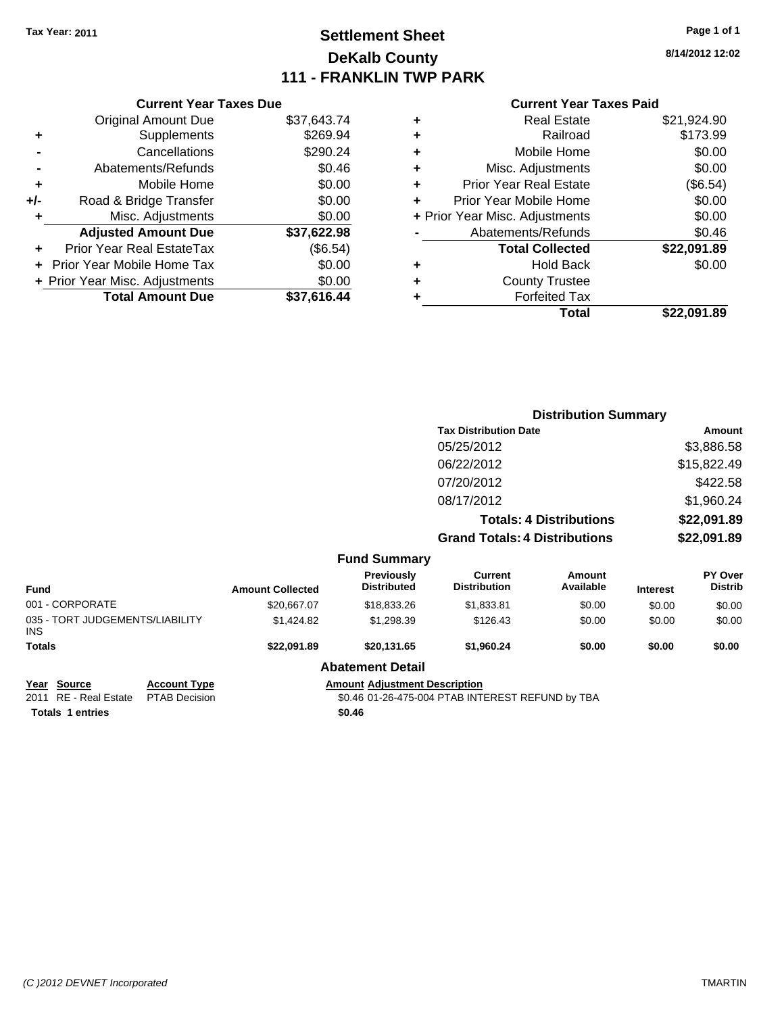## **Settlement Sheet Tax Year: 2011 Page 1 of 1 DeKalb County 111 - FRANKLIN TWP PARK**

**8/14/2012 12:02**

|       | <b>Current Year Taxes Due</b>  |             |  |
|-------|--------------------------------|-------------|--|
|       | <b>Original Amount Due</b>     | \$37,643.74 |  |
| ٠     | Supplements                    | \$269.94    |  |
|       | Cancellations                  | \$290.24    |  |
|       | Abatements/Refunds             | \$0.46      |  |
| ٠     | Mobile Home                    | \$0.00      |  |
| $+/-$ | Road & Bridge Transfer         | \$0.00      |  |
|       | Misc. Adjustments              | \$0.00      |  |
|       | <b>Adjusted Amount Due</b>     | \$37,622.98 |  |
|       | Prior Year Real EstateTax      | (\$6.54)    |  |
|       | Prior Year Mobile Home Tax     | \$0.00      |  |
|       | + Prior Year Misc. Adjustments | \$0.00      |  |
|       | <b>Total Amount Due</b>        | \$37,616.44 |  |
|       |                                |             |  |

|   | <b>Real Estate</b>             | \$21,924.90 |
|---|--------------------------------|-------------|
| ٠ | Railroad                       | \$173.99    |
| ٠ | Mobile Home                    | \$0.00      |
| ÷ | Misc. Adjustments              | \$0.00      |
| ٠ | <b>Prior Year Real Estate</b>  | (\$6.54)    |
| ٠ | Prior Year Mobile Home         | \$0.00      |
|   | + Prior Year Misc. Adjustments | \$0.00      |
|   | Abatements/Refunds             | \$0.46      |
|   | <b>Total Collected</b>         | \$22,091.89 |
| ٠ | Hold Back                      | \$0.00      |
| ٠ | <b>County Trustee</b>          |             |
| ٠ | <b>Forfeited Tax</b>           |             |
|   | Total                          | \$22,091.89 |

|                                        |                      |                                                  |                                      |                                      | <b>Distribution Summary</b>    |                 |                                  |
|----------------------------------------|----------------------|--------------------------------------------------|--------------------------------------|--------------------------------------|--------------------------------|-----------------|----------------------------------|
|                                        |                      |                                                  |                                      | <b>Tax Distribution Date</b>         |                                |                 | Amount                           |
|                                        |                      |                                                  |                                      | 05/25/2012                           |                                |                 | \$3,886.58                       |
|                                        |                      |                                                  |                                      | 06/22/2012                           |                                |                 | \$15,822.49                      |
|                                        |                      |                                                  |                                      | 07/20/2012                           |                                |                 | \$422.58                         |
|                                        |                      |                                                  |                                      | 08/17/2012                           |                                |                 | \$1,960.24                       |
|                                        |                      |                                                  |                                      |                                      | <b>Totals: 4 Distributions</b> |                 | \$22,091.89                      |
|                                        |                      |                                                  |                                      | <b>Grand Totals: 4 Distributions</b> |                                |                 | \$22,091.89                      |
|                                        |                      |                                                  | <b>Fund Summary</b>                  |                                      |                                |                 |                                  |
| Fund                                   |                      | <b>Amount Collected</b>                          | Previously<br><b>Distributed</b>     | Current<br><b>Distribution</b>       | Amount<br>Available            | <b>Interest</b> | <b>PY Over</b><br><b>Distrib</b> |
| 001 - CORPORATE                        |                      | \$20,667.07                                      | \$18,833.26                          | \$1,833.81                           | \$0.00                         | \$0.00          | \$0.00                           |
| 035 - TORT JUDGEMENTS/LIABILITY<br>INS |                      | \$1,424.82                                       | \$1,298.39                           | \$126.43                             | \$0.00                         | \$0.00          | \$0.00                           |
| Totals                                 |                      | \$22,091.89                                      | \$20,131.65                          | \$1,960.24                           | \$0.00                         | \$0.00          | \$0.00                           |
|                                        |                      |                                                  | <b>Abatement Detail</b>              |                                      |                                |                 |                                  |
| Year Source                            | <b>Account Type</b>  |                                                  | <b>Amount Adjustment Description</b> |                                      |                                |                 |                                  |
| 2011 RE - Real Estate                  | <b>PTAB Decision</b> | \$0.46 01-26-475-004 PTAB INTEREST REFUND by TBA |                                      |                                      |                                |                 |                                  |
| <b>Totals 1 entries</b>                |                      |                                                  | \$0.46                               |                                      |                                |                 |                                  |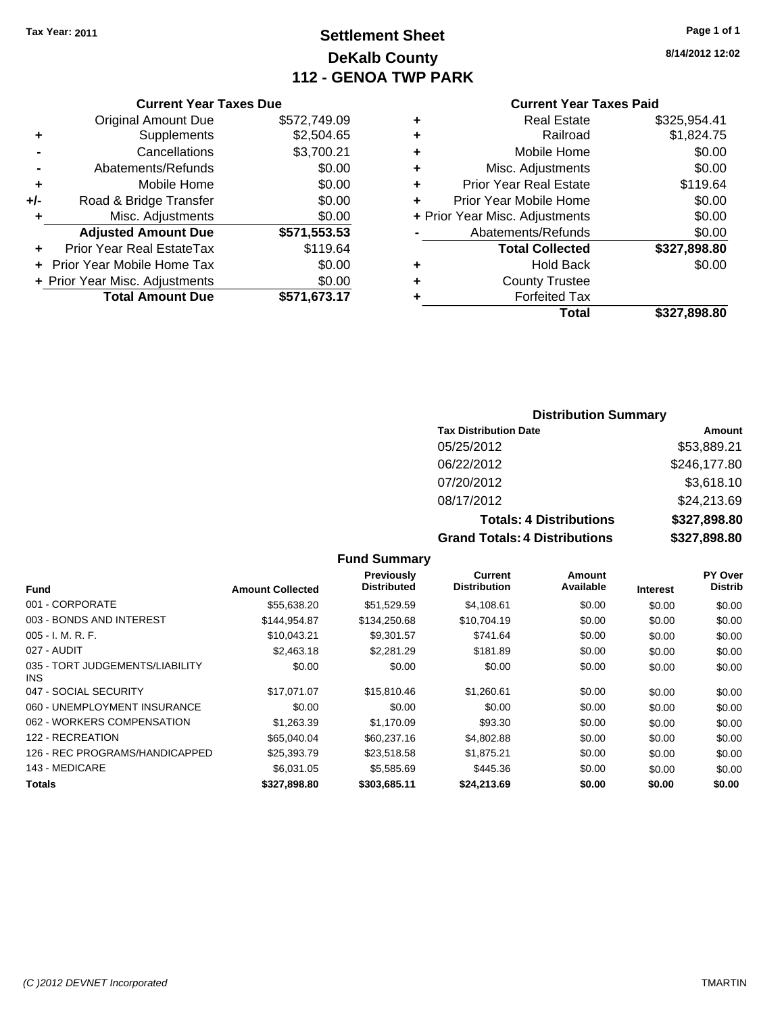## **Settlement Sheet Tax Year: 2011 Page 1 of 1 DeKalb County 112 - GENOA TWP PARK**

**8/14/2012 12:02**

#### **Current Year Taxes Due**

|       | <b>Original Amount Due</b>        | \$572,749.09 |
|-------|-----------------------------------|--------------|
| ٠     | Supplements                       | \$2,504.65   |
|       | Cancellations                     | \$3,700.21   |
|       | Abatements/Refunds                | \$0.00       |
| ÷     | Mobile Home                       | \$0.00       |
| $+/-$ | Road & Bridge Transfer            | \$0.00       |
| ٠     | Misc. Adjustments                 | \$0.00       |
|       | <b>Adjusted Amount Due</b>        | \$571,553.53 |
|       | <b>Prior Year Real EstateTax</b>  | \$119.64     |
|       | <b>Prior Year Mobile Home Tax</b> | \$0.00       |
|       | + Prior Year Misc. Adjustments    | \$0.00       |
|       | <b>Total Amount Due</b>           | \$571,673.17 |

#### **Current Year Taxes Paid**

| ٠ | <b>Real Estate</b>             | \$325,954.41 |
|---|--------------------------------|--------------|
| ٠ | Railroad                       | \$1,824.75   |
| ٠ | Mobile Home                    | \$0.00       |
| ٠ | Misc. Adjustments              | \$0.00       |
| ٠ | <b>Prior Year Real Estate</b>  | \$119.64     |
| ÷ | Prior Year Mobile Home         | \$0.00       |
|   | + Prior Year Misc. Adjustments | \$0.00       |
|   | Abatements/Refunds             | \$0.00       |
|   | <b>Total Collected</b>         | \$327,898.80 |
| ٠ | <b>Hold Back</b>               | \$0.00       |
| ٠ | <b>County Trustee</b>          |              |
| ٠ | <b>Forfeited Tax</b>           |              |
|   | Total                          | \$327,898.80 |
|   |                                |              |

#### **Distribution Summary**

| <b>Tax Distribution Date</b>         | Amount       |
|--------------------------------------|--------------|
| 05/25/2012                           | \$53,889.21  |
| 06/22/2012                           | \$246,177.80 |
| 07/20/2012                           | \$3,618.10   |
| 08/17/2012                           | \$24,213.69  |
| <b>Totals: 4 Distributions</b>       | \$327,898.80 |
| <b>Grand Totals: 4 Distributions</b> | \$327,898.80 |

#### **Fund Interest Amount Collected Distributed PY Over Distrib Amount Available Current Distribution Previously** 001 - CORPORATE \$55,638.20 \$51,529.59 \$4,108.61 \$0.00 \$0.00 \$0.00 003 - BONDS AND INTEREST \$144,954.87 \$134,250.68 \$10,704.19 \$0.00 \$0.00 \$0.00 005 - I. M. R. F. \$10,043.21 \$9,301.57 \$741.64 \$0.00 \$0.00 \$0.00 027 - AUDIT \$2,463.18 \$2,281.29 \$181.89 \$0.00 \$0.00 \$0.00 035 - TORT JUDGEMENTS/LIABILITY INS \$0.00 \$0.00 \$0.00 \$0.00 \$0.00 \$0.00 047 - SOCIAL SECURITY 617,071.07 \$15,810.46 \$1,260.61 \$0.00 \$0.00 \$0.00 \$0.00 060 - UNEMPLOYMENT INSURANCE  $$0.00$   $$0.00$   $$0.00$   $$0.00$   $$0.00$   $$0.00$   $$0.00$ 062 - WORKERS COMPENSATION \$1,263.39 \$1,170.09 \$93.30 \$0.00 \$0.00 \$0.00 \$0.00 122 - RECREATION \$65,040.04 \$60,237.16 \$4,802.88 \$0.00 \$0.00 \$0.00 126 - REC PROGRAMS/HANDICAPPED \$25,393.79 \$23,518.58 \$1,875.21 \$0.00 \$0.00 \$0.00 143 - MEDICARE \$6,031.05 \$5,585.69 \$445.36 \$0.00 \$0.00 \$0.00 **Totals \$327,898.80 \$303,685.11 \$24,213.69 \$0.00 \$0.00 \$0.00**

**Fund Summary**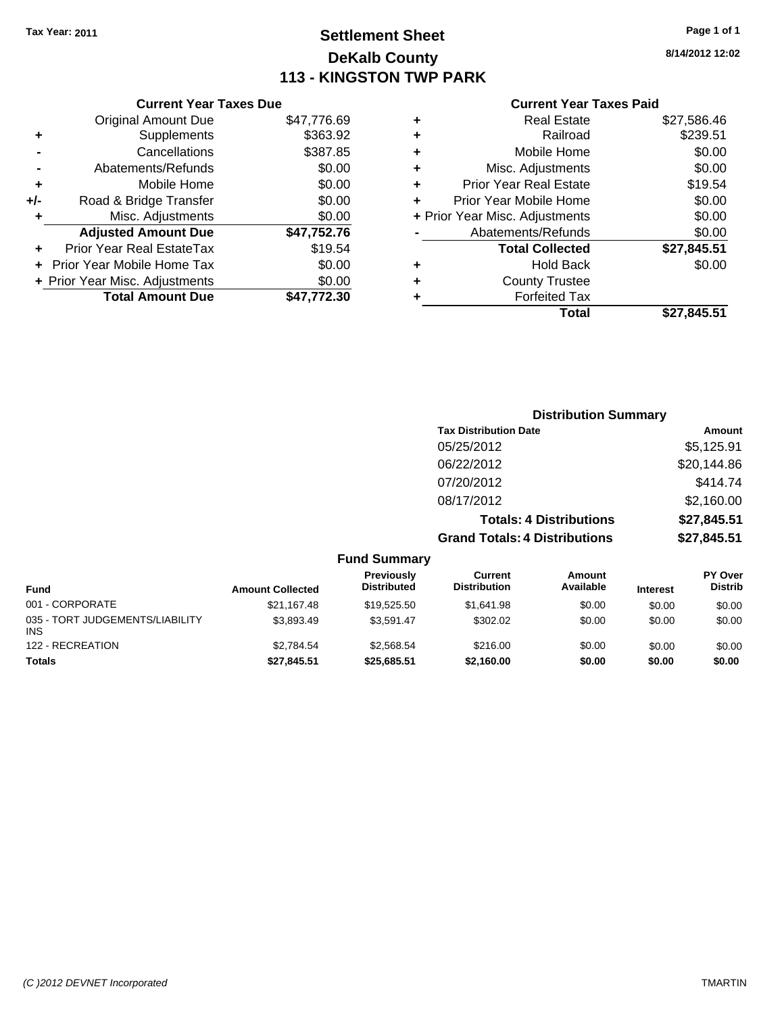## **Settlement Sheet Tax Year: 2011 Page 1 of 1 DeKalb County 113 - KINGSTON TWP PARK**

**8/14/2012 12:02**

|     | <b>Current Year Taxes Due</b>     |             |
|-----|-----------------------------------|-------------|
|     | <b>Original Amount Due</b>        | \$47,776.69 |
| ٠   | Supplements                       | \$363.92    |
|     | Cancellations                     | \$387.85    |
|     | Abatements/Refunds                | \$0.00      |
| ÷   | Mobile Home                       | \$0.00      |
| +/- | Road & Bridge Transfer            | \$0.00      |
| ٠   | Misc. Adjustments                 | \$0.00      |
|     | <b>Adjusted Amount Due</b>        | \$47,752.76 |
|     | Prior Year Real EstateTax         | \$19.54     |
|     | <b>Prior Year Mobile Home Tax</b> | \$0.00      |
|     | + Prior Year Misc. Adjustments    | \$0.00      |
|     | <b>Total Amount Due</b>           | \$47.772.30 |
|     |                                   |             |

#### **Current Year Taxes Paid**

|   | Total                          | \$27,845.51 |
|---|--------------------------------|-------------|
| ٠ | <b>Forfeited Tax</b>           |             |
| ٠ | <b>County Trustee</b>          |             |
| ٠ | <b>Hold Back</b>               | \$0.00      |
|   | <b>Total Collected</b>         | \$27,845.51 |
|   | Abatements/Refunds             | \$0.00      |
|   | + Prior Year Misc. Adjustments | \$0.00      |
|   | Prior Year Mobile Home         | \$0.00      |
| ٠ | <b>Prior Year Real Estate</b>  | \$19.54     |
| ٠ | Misc. Adjustments              | \$0.00      |
| ÷ | Mobile Home                    | \$0.00      |
| ٠ | Railroad                       | \$239.51    |
|   | <b>Real Estate</b>             | \$27,586.46 |

|                                 |                         |                                  |                                       | <b>Distribution Summary</b>    |                 |                           |
|---------------------------------|-------------------------|----------------------------------|---------------------------------------|--------------------------------|-----------------|---------------------------|
|                                 |                         |                                  | <b>Tax Distribution Date</b>          |                                |                 | Amount                    |
|                                 |                         |                                  | 05/25/2012                            |                                |                 | \$5,125.91                |
|                                 |                         |                                  | 06/22/2012                            |                                |                 | \$20,144.86               |
|                                 |                         |                                  | 07/20/2012                            |                                |                 | \$414.74                  |
|                                 |                         |                                  | 08/17/2012                            |                                |                 | \$2,160.00                |
|                                 |                         |                                  |                                       | <b>Totals: 4 Distributions</b> |                 | \$27,845.51               |
|                                 |                         |                                  | <b>Grand Totals: 4 Distributions</b>  |                                |                 | \$27,845.51               |
|                                 |                         | <b>Fund Summary</b>              |                                       |                                |                 |                           |
| <b>Fund</b>                     | <b>Amount Collected</b> | Previously<br><b>Distributed</b> | <b>Current</b><br><b>Distribution</b> | Amount<br>Available            | <b>Interest</b> | PY Over<br><b>Distrib</b> |
| 001 - CORPORATE                 | \$21,167.48             | \$19,525.50                      | \$1,641.98                            | \$0.00                         | \$0.00          | \$0.00                    |
| 035 - TORT JUDGEMENTS/LIABILITY | \$3,893.49              | \$3,591.47                       | \$302.02                              | \$0.00                         | \$0.00          | \$0.00                    |

122 - RECREATION \$1,000 \$1,000 \$2,784.54 \$2,568.54 \$216.00 \$0.00 \$0.00 \$0.00 \$0.00 **Totals \$27,845.51 \$25,685.51 \$2,160.00 \$0.00 \$0.00 \$0.00**

INS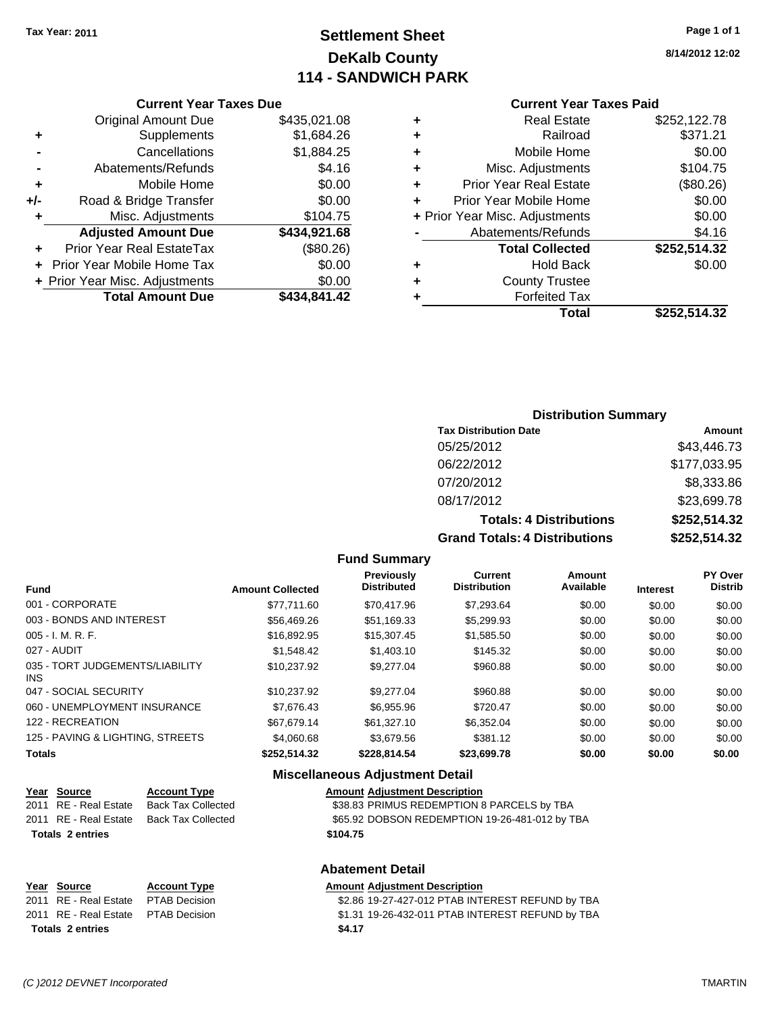## **Settlement Sheet Tax Year: 2011 Page 1 of 1 DeKalb County 114 - SANDWICH PARK**

**8/14/2012 12:02**

#### **Current Year Taxes Due**

|     | <b>Original Amount Due</b>        | \$435,021.08 |
|-----|-----------------------------------|--------------|
| ٠   | Supplements                       | \$1,684.26   |
|     | Cancellations                     | \$1,884.25   |
|     | Abatements/Refunds                | \$4.16       |
| ٠   | Mobile Home                       | \$0.00       |
| +/- | Road & Bridge Transfer            | \$0.00       |
| ٠   | Misc. Adjustments                 | \$104.75     |
|     | <b>Adjusted Amount Due</b>        | \$434,921.68 |
|     | <b>Prior Year Real EstateTax</b>  | (\$80.26)    |
|     | <b>Prior Year Mobile Home Tax</b> | \$0.00       |
|     | + Prior Year Misc. Adjustments    | \$0.00       |
|     | <b>Total Amount Due</b>           | \$434,841.42 |

#### **Current Year Taxes Paid**

| ٠ | <b>Real Estate</b>             | \$252,122.78 |
|---|--------------------------------|--------------|
| ٠ | Railroad                       | \$371.21     |
| ÷ | Mobile Home                    | \$0.00       |
| ٠ | Misc. Adjustments              | \$104.75     |
| ٠ | <b>Prior Year Real Estate</b>  | (\$80.26)    |
| ٠ | Prior Year Mobile Home         | \$0.00       |
|   | + Prior Year Misc. Adjustments | \$0.00       |
|   | Abatements/Refunds             | \$4.16       |
|   | <b>Total Collected</b>         | \$252,514.32 |
| ٠ | Hold Back                      | \$0.00       |
| ٠ | <b>County Trustee</b>          |              |
| ٠ | <b>Forfeited Tax</b>           |              |
|   | Total                          | \$252,514.32 |
|   |                                |              |

#### **Distribution Summary**

| <b>Tax Distribution Date</b>         | Amount       |
|--------------------------------------|--------------|
| 05/25/2012                           | \$43,446.73  |
| 06/22/2012                           | \$177,033.95 |
| 07/20/2012                           | \$8,333.86   |
| 08/17/2012                           | \$23,699.78  |
| <b>Totals: 4 Distributions</b>       | \$252,514.32 |
| <b>Grand Totals: 4 Distributions</b> | \$252,514.32 |

#### **Fund Summary**

| <b>Fund</b>                            | <b>Amount Collected</b> | <b>Previously</b><br><b>Distributed</b> | Current<br><b>Distribution</b> | Amount<br>Available | <b>Interest</b> | <b>PY Over</b><br><b>Distrib</b> |
|----------------------------------------|-------------------------|-----------------------------------------|--------------------------------|---------------------|-----------------|----------------------------------|
| 001 - CORPORATE                        | \$77.711.60             | \$70.417.96                             | \$7.293.64                     | \$0.00              | \$0.00          | \$0.00                           |
| 003 - BONDS AND INTEREST               | \$56,469.26             | \$51.169.33                             | \$5,299.93                     | \$0.00              | \$0.00          | \$0.00                           |
| 005 - I. M. R. F.                      | \$16.892.95             | \$15,307.45                             | \$1,585.50                     | \$0.00              | \$0.00          | \$0.00                           |
| 027 - AUDIT                            | \$1.548.42              | \$1,403.10                              | \$145.32                       | \$0.00              | \$0.00          | \$0.00                           |
| 035 - TORT JUDGEMENTS/LIABILITY<br>INS | \$10.237.92             | \$9,277,04                              | \$960.88                       | \$0.00              | \$0.00          | \$0.00                           |
| 047 - SOCIAL SECURITY                  | \$10.237.92             | \$9,277,04                              | \$960.88                       | \$0.00              | \$0.00          | \$0.00                           |
| 060 - UNEMPLOYMENT INSURANCE           | \$7.676.43              | \$6,955.96                              | \$720.47                       | \$0.00              | \$0.00          | \$0.00                           |
| 122 - RECREATION                       | \$67.679.14             | \$61,327.10                             | \$6,352.04                     | \$0.00              | \$0.00          | \$0.00                           |
| 125 - PAVING & LIGHTING, STREETS       | \$4,060.68              | \$3.679.56                              | \$381.12                       | \$0.00              | \$0.00          | \$0.00                           |
| Totals                                 | \$252,514.32            | \$228,814.54                            | \$23,699.78                    | \$0.00              | \$0.00          | \$0.00                           |

#### **Miscellaneous Adjustment Detail**

|                         | Year Source                         | <b>Account Type</b>       | <b>Amount Adjustment Description</b>           |
|-------------------------|-------------------------------------|---------------------------|------------------------------------------------|
|                         | 2011 RE - Real Estate               | <b>Back Tax Collected</b> | \$38.83 PRIMUS REDEMPTION 8 PARCELS by TBA     |
|                         | 2011 RE - Real Estate               | Back Tax Collected        | \$65.92 DOBSON REDEMPTION 19-26-481-012 by TBA |
|                         | \$104.75<br><b>Totals 2 entries</b> |                           |                                                |
| <b>Abatement Detail</b> |                                     |                           |                                                |

| Year Source                         | <b>Account Type</b> | <b>Amount Adjustment Description</b>             |
|-------------------------------------|---------------------|--------------------------------------------------|
| 2011 RE - Real Estate PTAB Decision |                     | \$2.86 19-27-427-012 PTAB INTEREST REFUND by TBA |
| 2011 RE - Real Estate PTAB Decision |                     | \$1.31 19-26-432-011 PTAB INTEREST REFUND by TBA |
| <b>Totals 2 entries</b>             |                     | \$4.17                                           |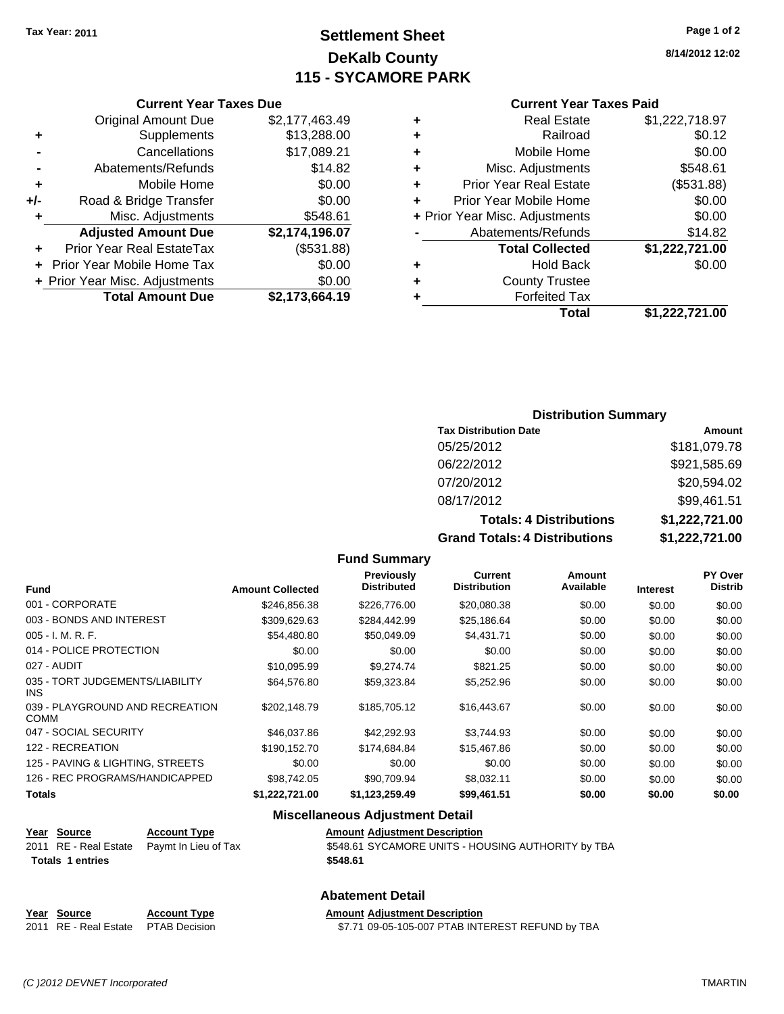## **Settlement Sheet Tax Year: 2011 Page 1 of 2 DeKalb County 115 - SYCAMORE PARK**

**8/14/2012 12:02**

|       | <b>Original Amount Due</b>     | \$2,177,463.49 |
|-------|--------------------------------|----------------|
| ٠     | Supplements                    | \$13,288.00    |
|       | Cancellations                  | \$17,089.21    |
|       | Abatements/Refunds             | \$14.82        |
| ٠     | Mobile Home                    | \$0.00         |
| $+/-$ | Road & Bridge Transfer         | \$0.00         |
| ۰     | Misc. Adjustments              | \$548.61       |
|       | <b>Adjusted Amount Due</b>     | \$2,174,196.07 |
|       | Prior Year Real EstateTax      | (\$531.88)     |
|       | Prior Year Mobile Home Tax     | \$0.00         |
|       | + Prior Year Misc. Adjustments | \$0.00         |
|       | <b>Total Amount Due</b>        | \$2,173,664.19 |

#### **Current Year Taxes Paid**

|   | <b>Real Estate</b>             | \$1,222,718.97 |
|---|--------------------------------|----------------|
| ٠ | Railroad                       | \$0.12         |
| ٠ | Mobile Home                    | \$0.00         |
| ٠ | Misc. Adjustments              | \$548.61       |
| ÷ | <b>Prior Year Real Estate</b>  | (\$531.88)     |
| ٠ | Prior Year Mobile Home         | \$0.00         |
|   | + Prior Year Misc. Adjustments | \$0.00         |
|   | Abatements/Refunds             | \$14.82        |
|   | <b>Total Collected</b>         | \$1,222,721.00 |
| ٠ | <b>Hold Back</b>               | \$0.00         |
| ٠ | <b>County Trustee</b>          |                |
| ٠ | <b>Forfeited Tax</b>           |                |
|   | Total                          | \$1,222,721.00 |
|   |                                |                |

#### **Distribution Summary**

| <b>Tax Distribution Date</b>         | Amount         |
|--------------------------------------|----------------|
| 05/25/2012                           | \$181,079.78   |
| 06/22/2012                           | \$921,585.69   |
| 07/20/2012                           | \$20,594.02    |
| 08/17/2012                           | \$99,461.51    |
| <b>Totals: 4 Distributions</b>       | \$1,222,721.00 |
| <b>Grand Totals: 4 Distributions</b> | \$1,222,721.00 |

#### **Fund Summary**

|                                                | <b>Amount Collected</b> | Previously<br><b>Distributed</b> | <b>Current</b><br><b>Distribution</b> | Amount<br>Available |                 | <b>PY Over</b><br><b>Distrib</b> |
|------------------------------------------------|-------------------------|----------------------------------|---------------------------------------|---------------------|-----------------|----------------------------------|
| <b>Fund</b>                                    |                         |                                  |                                       |                     | <b>Interest</b> |                                  |
| 001 - CORPORATE                                | \$246,856.38            | \$226,776.00                     | \$20,080.38                           | \$0.00              | \$0.00          | \$0.00                           |
| 003 - BONDS AND INTEREST                       | \$309,629.63            | \$284,442.99                     | \$25,186.64                           | \$0.00              | \$0.00          | \$0.00                           |
| $005 - I. M. R. F.$                            | \$54,480.80             | \$50,049.09                      | \$4,431.71                            | \$0.00              | \$0.00          | \$0.00                           |
| 014 - POLICE PROTECTION                        | \$0.00                  | \$0.00                           | \$0.00                                | \$0.00              | \$0.00          | \$0.00                           |
| 027 - AUDIT                                    | \$10,095.99             | \$9,274.74                       | \$821.25                              | \$0.00              | \$0.00          | \$0.00                           |
| 035 - TORT JUDGEMENTS/LIABILITY<br><b>INS</b>  | \$64,576.80             | \$59,323.84                      | \$5,252.96                            | \$0.00              | \$0.00          | \$0.00                           |
| 039 - PLAYGROUND AND RECREATION<br><b>COMM</b> | \$202.148.79            | \$185.705.12                     | \$16,443.67                           | \$0.00              | \$0.00          | \$0.00                           |
| 047 - SOCIAL SECURITY                          | \$46,037.86             | \$42.292.93                      | \$3,744.93                            | \$0.00              | \$0.00          | \$0.00                           |
| 122 - RECREATION                               | \$190.152.70            | \$174,684,84                     | \$15,467.86                           | \$0.00              | \$0.00          | \$0.00                           |
| 125 - PAVING & LIGHTING, STREETS               | \$0.00                  | \$0.00                           | \$0.00                                | \$0.00              | \$0.00          | \$0.00                           |
| 126 - REC PROGRAMS/HANDICAPPED                 | \$98.742.05             | \$90.709.94                      | \$8,032.11                            | \$0.00              | \$0.00          | \$0.00                           |
| <b>Totals</b>                                  | \$1,222,721.00          | \$1,123,259.49                   | \$99,461.51                           | \$0.00              | \$0.00          | \$0.00                           |

#### **Miscellaneous Adjustment Detail**

| Year Source             | <b>Account Type</b>                        | <b>Amount Adjustment Description</b>               |
|-------------------------|--------------------------------------------|----------------------------------------------------|
|                         | 2011 RE - Real Estate Paymt In Lieu of Tax | \$548.61 SYCAMORE UNITS - HOUSING AUTHORITY by TBA |
| <b>Totals 1 entries</b> |                                            | \$548.61                                           |

#### **Abatement Detail**

| Year Source           | <b>Account Typ</b> |
|-----------------------|--------------------|
| 2011 RE - Real Estate | <b>PTAB Decisi</b> |

**PE Amount Adjustment Description** 2011 67.71 09-05-105-007 PTAB INTEREST REFUND by TBA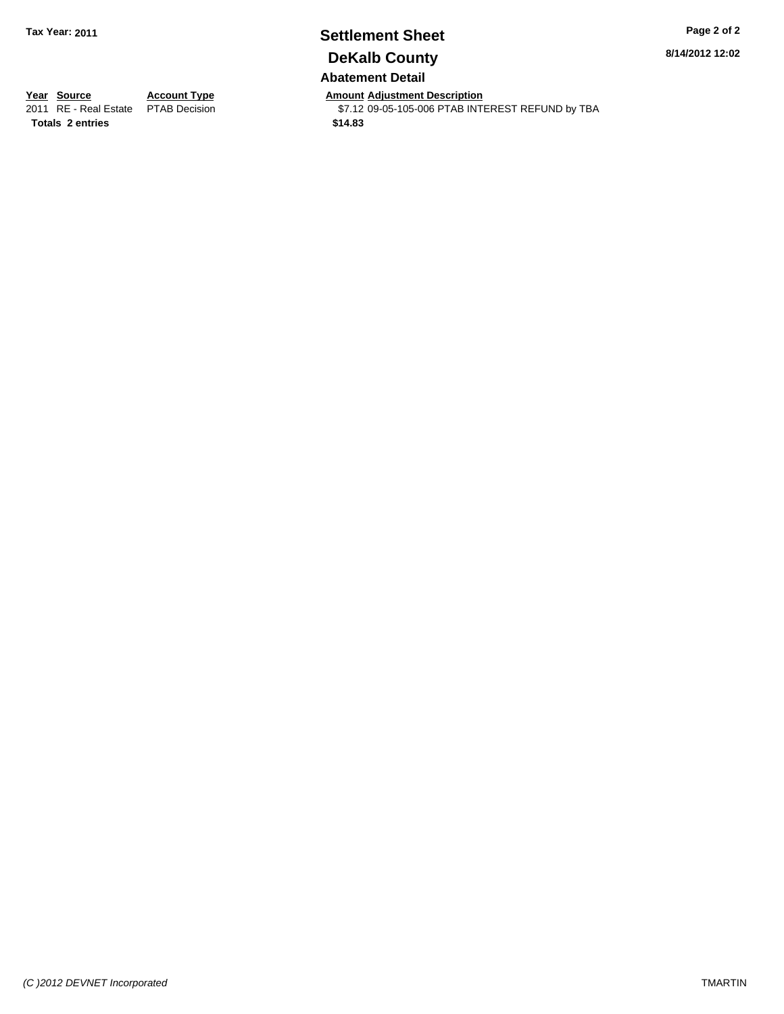## **Settlement Sheet Tax Year: 2011 Page 2 of 2 DeKalb County Abatement Detail**

**8/14/2012 12:02**

**Totals \$14.83 2 entries**

**Year Source Account Type Amount Adjustment Description**<br>2011 RE - Real Estate PTAB Decision **Amount** \$7.12 09-05-105-006 PTAB INTI  $$7.12$  09-05-105-006 PTAB INTEREST REFUND by TBA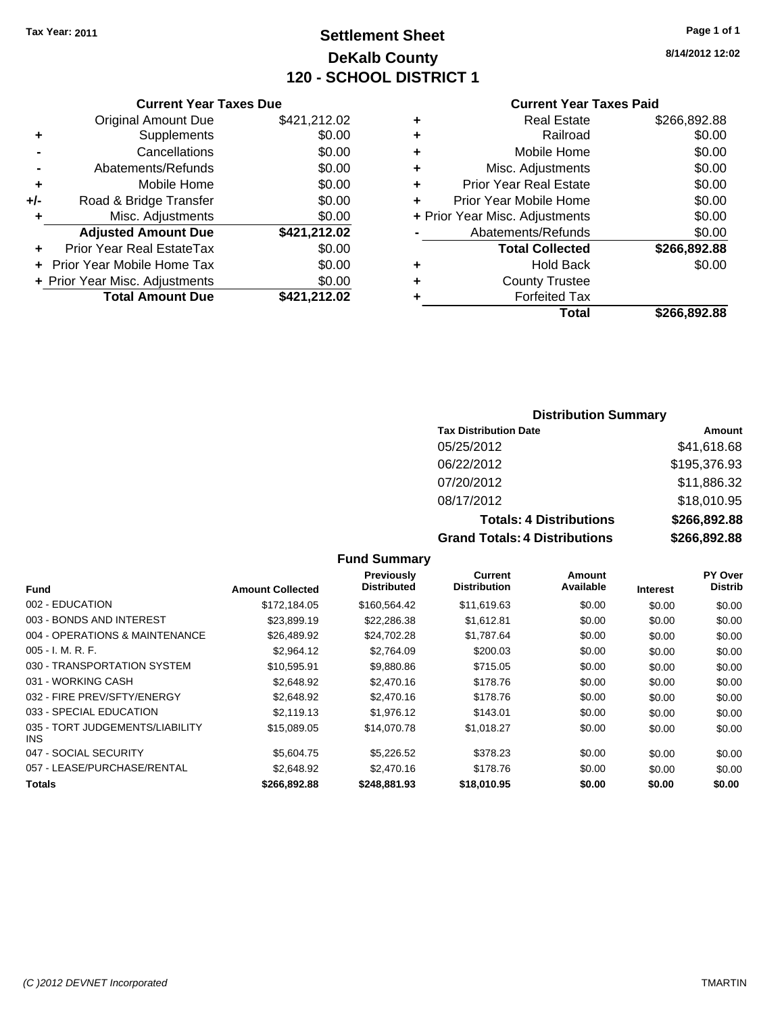## **Settlement Sheet Tax Year: 2011 Page 1 of 1 DeKalb County 120 - SCHOOL DISTRICT 1**

**8/14/2012 12:02**

#### **Current Year Taxes Due**

|     | <b>Original Amount Due</b>        | \$421,212.02 |
|-----|-----------------------------------|--------------|
|     | Supplements                       | \$0.00       |
|     | Cancellations                     | \$0.00       |
|     | Abatements/Refunds                | \$0.00       |
| ٠   | Mobile Home                       | \$0.00       |
| +/- | Road & Bridge Transfer            | \$0.00       |
|     | Misc. Adjustments                 | \$0.00       |
|     | <b>Adjusted Amount Due</b>        | \$421,212.02 |
|     | <b>Prior Year Real EstateTax</b>  | \$0.00       |
|     | <b>Prior Year Mobile Home Tax</b> | \$0.00       |
|     | + Prior Year Misc. Adjustments    | \$0.00       |
|     | <b>Total Amount Due</b>           | \$421,212.02 |

#### **Current Year Taxes Paid**

| ٠ | <b>Real Estate</b>             | \$266,892.88 |
|---|--------------------------------|--------------|
| ٠ | Railroad                       | \$0.00       |
| ٠ | Mobile Home                    | \$0.00       |
| ٠ | Misc. Adjustments              | \$0.00       |
| ٠ | <b>Prior Year Real Estate</b>  | \$0.00       |
|   | Prior Year Mobile Home         | \$0.00       |
|   | + Prior Year Misc. Adjustments | \$0.00       |
|   | Abatements/Refunds             | \$0.00       |
|   | <b>Total Collected</b>         | \$266,892.88 |
| ٠ | Hold Back                      | \$0.00       |
| ٠ | <b>County Trustee</b>          |              |
| ٠ | <b>Forfeited Tax</b>           |              |
|   | Total                          | \$266,892.88 |
|   |                                |              |

#### **Distribution Summary**

| <b>Tax Distribution Date</b>         | Amount       |
|--------------------------------------|--------------|
| 05/25/2012                           | \$41,618.68  |
| 06/22/2012                           | \$195,376.93 |
| 07/20/2012                           | \$11,886.32  |
| 08/17/2012                           | \$18,010.95  |
| <b>Totals: 4 Distributions</b>       | \$266,892.88 |
| <b>Grand Totals: 4 Distributions</b> | \$266,892.88 |

## **Fund Summary**

| Fund                                    | <b>Amount Collected</b> | <b>Previously</b><br><b>Distributed</b> | <b>Current</b><br><b>Distribution</b> | Amount<br>Available | <b>Interest</b> | <b>PY Over</b><br><b>Distrib</b> |
|-----------------------------------------|-------------------------|-----------------------------------------|---------------------------------------|---------------------|-----------------|----------------------------------|
| 002 - EDUCATION                         | \$172,184.05            | \$160,564.42                            | \$11,619.63                           | \$0.00              | \$0.00          | \$0.00                           |
| 003 - BONDS AND INTEREST                | \$23.899.19             | \$22,286.38                             | \$1,612.81                            | \$0.00              | \$0.00          | \$0.00                           |
| 004 - OPERATIONS & MAINTENANCE          | \$26,489.92             | \$24,702.28                             | \$1,787.64                            | \$0.00              | \$0.00          | \$0.00                           |
| $005 - I. M. R. F.$                     | \$2,964.12              | \$2,764.09                              | \$200.03                              | \$0.00              | \$0.00          | \$0.00                           |
| 030 - TRANSPORTATION SYSTEM             | \$10,595.91             | \$9,880.86                              | \$715.05                              | \$0.00              | \$0.00          | \$0.00                           |
| 031 - WORKING CASH                      | \$2,648.92              | \$2,470.16                              | \$178.76                              | \$0.00              | \$0.00          | \$0.00                           |
| 032 - FIRE PREV/SFTY/ENERGY             | \$2,648.92              | \$2,470.16                              | \$178.76                              | \$0.00              | \$0.00          | \$0.00                           |
| 033 - SPECIAL EDUCATION                 | \$2,119.13              | \$1,976.12                              | \$143.01                              | \$0.00              | \$0.00          | \$0.00                           |
| 035 - TORT JUDGEMENTS/LIABILITY<br>INS. | \$15,089.05             | \$14,070.78                             | \$1,018.27                            | \$0.00              | \$0.00          | \$0.00                           |
| 047 - SOCIAL SECURITY                   | \$5,604.75              | \$5,226.52                              | \$378.23                              | \$0.00              | \$0.00          | \$0.00                           |
| 057 - LEASE/PURCHASE/RENTAL             | \$2,648.92              | \$2,470.16                              | \$178.76                              | \$0.00              | \$0.00          | \$0.00                           |
| <b>Totals</b>                           | \$266,892.88            | \$248.881.93                            | \$18,010.95                           | \$0.00              | \$0.00          | \$0.00                           |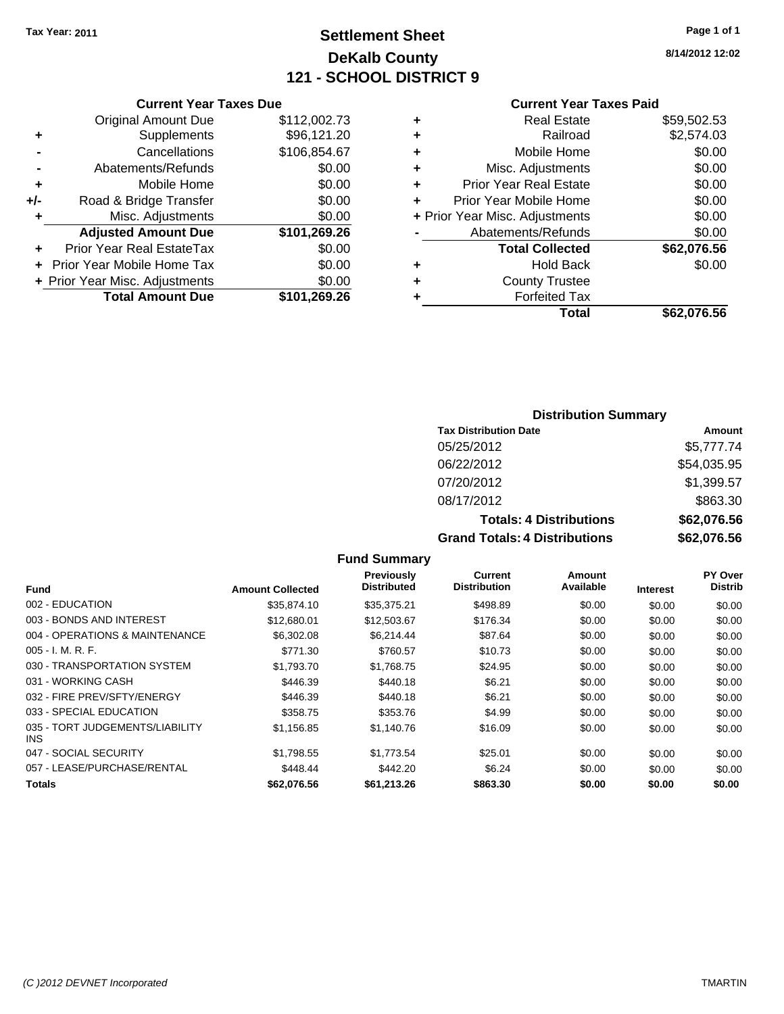## **Settlement Sheet Tax Year: 2011 Page 1 of 1 DeKalb County 121 - SCHOOL DISTRICT 9**

**8/14/2012 12:02**

#### **Current Year Taxes Paid**

|     | <b>Current Year Taxes Due</b>  |              |  |  |  |  |
|-----|--------------------------------|--------------|--|--|--|--|
|     | <b>Original Amount Due</b>     | \$112,002.73 |  |  |  |  |
| ٠   | Supplements                    | \$96,121.20  |  |  |  |  |
|     | \$106,854.67<br>Cancellations  |              |  |  |  |  |
|     | Abatements/Refunds             | \$0.00       |  |  |  |  |
| ٠   | Mobile Home                    | \$0.00       |  |  |  |  |
| +/- | Road & Bridge Transfer         | \$0.00       |  |  |  |  |
| ٠   | Misc. Adjustments              | \$0.00       |  |  |  |  |
|     | <b>Adjusted Amount Due</b>     | \$101,269.26 |  |  |  |  |
| ٠   | Prior Year Real EstateTax      | \$0.00       |  |  |  |  |
|     | Prior Year Mobile Home Tax     | \$0.00       |  |  |  |  |
|     | + Prior Year Misc. Adjustments | \$0.00       |  |  |  |  |
|     | <b>Total Amount Due</b>        | \$101,269.26 |  |  |  |  |
|     |                                |              |  |  |  |  |

| ٠ | <b>Real Estate</b>             | \$59,502.53 |
|---|--------------------------------|-------------|
| ٠ | Railroad                       | \$2,574.03  |
| ٠ | Mobile Home                    | \$0.00      |
| ٠ | Misc. Adjustments              | \$0.00      |
| ÷ | Prior Year Real Estate         | \$0.00      |
| ÷ | Prior Year Mobile Home         | \$0.00      |
|   | + Prior Year Misc. Adjustments | \$0.00      |
|   | Abatements/Refunds             | \$0.00      |
|   | <b>Total Collected</b>         | \$62,076.56 |
| ٠ | Hold Back                      | \$0.00      |
| ٠ | <b>County Trustee</b>          |             |
| ٠ | <b>Forfeited Tax</b>           |             |
|   | Total                          | \$62,076.56 |
|   |                                |             |

## **Distribution Summary**

| <b>Tax Distribution Date</b>         | Amount      |
|--------------------------------------|-------------|
| 05/25/2012                           | \$5,777.74  |
| 06/22/2012                           | \$54,035.95 |
| 07/20/2012                           | \$1,399.57  |
| 08/17/2012                           | \$863.30    |
| <b>Totals: 4 Distributions</b>       | \$62,076.56 |
| <b>Grand Totals: 4 Distributions</b> | \$62,076.56 |

|                                               |                         | Previously         | Current             | Amount    |                 | <b>PY Over</b> |
|-----------------------------------------------|-------------------------|--------------------|---------------------|-----------|-----------------|----------------|
| <b>Fund</b>                                   | <b>Amount Collected</b> | <b>Distributed</b> | <b>Distribution</b> | Available | <b>Interest</b> | <b>Distrib</b> |
| 002 - EDUCATION                               | \$35,874.10             | \$35,375.21        | \$498.89            | \$0.00    | \$0.00          | \$0.00         |
| 003 - BONDS AND INTEREST                      | \$12,680.01             | \$12,503.67        | \$176.34            | \$0.00    | \$0.00          | \$0.00         |
| 004 - OPERATIONS & MAINTENANCE                | \$6,302.08              | \$6,214.44         | \$87.64             | \$0.00    | \$0.00          | \$0.00         |
| $005 - I. M. R. F.$                           | \$771.30                | \$760.57           | \$10.73             | \$0.00    | \$0.00          | \$0.00         |
| 030 - TRANSPORTATION SYSTEM                   | \$1,793.70              | \$1,768.75         | \$24.95             | \$0.00    | \$0.00          | \$0.00         |
| 031 - WORKING CASH                            | \$446.39                | \$440.18           | \$6.21              | \$0.00    | \$0.00          | \$0.00         |
| 032 - FIRE PREV/SFTY/ENERGY                   | \$446.39                | \$440.18           | \$6.21              | \$0.00    | \$0.00          | \$0.00         |
| 033 - SPECIAL EDUCATION                       | \$358.75                | \$353.76           | \$4.99              | \$0.00    | \$0.00          | \$0.00         |
| 035 - TORT JUDGEMENTS/LIABILITY<br><b>INS</b> | \$1,156.85              | \$1,140.76         | \$16.09             | \$0.00    | \$0.00          | \$0.00         |
| 047 - SOCIAL SECURITY                         | \$1.798.55              | \$1.773.54         | \$25.01             | \$0.00    | \$0.00          | \$0.00         |
| 057 - LEASE/PURCHASE/RENTAL                   | \$448.44                | \$442.20           | \$6.24              | \$0.00    | \$0.00          | \$0.00         |
| Totals                                        | \$62,076.56             | \$61,213.26        | \$863.30            | \$0.00    | \$0.00          | \$0.00         |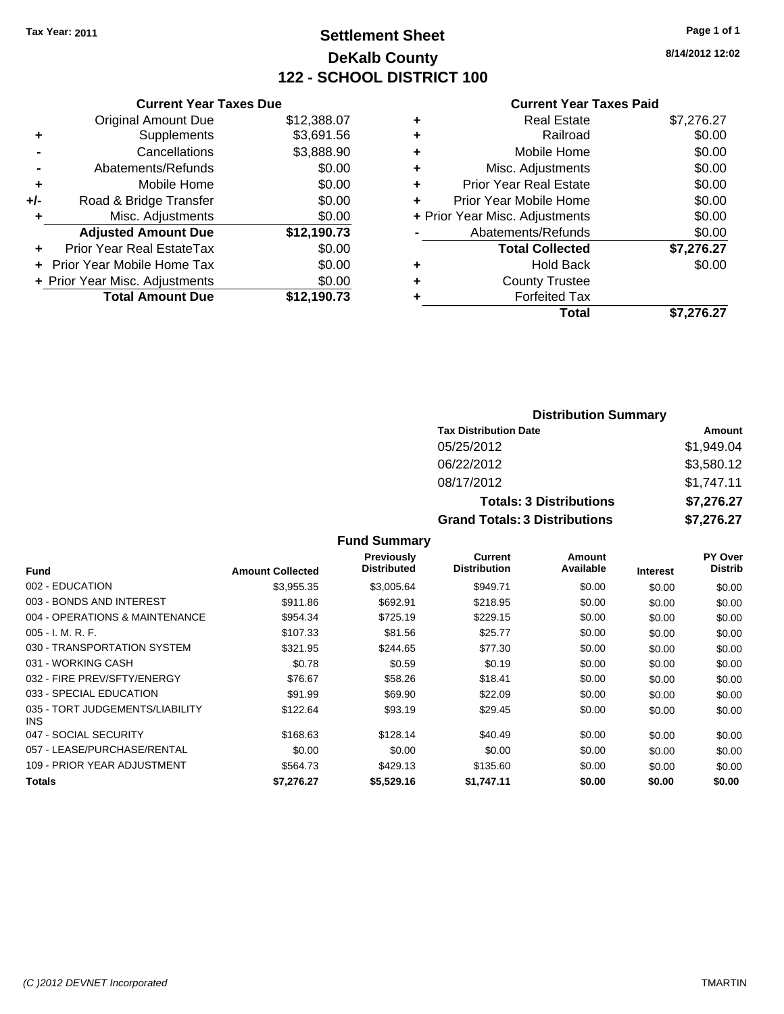## **Settlement Sheet Tax Year: 2011 Page 1 of 1 DeKalb County 122 - SCHOOL DISTRICT 100**

**8/14/2012 12:02**

#### **Current Year Taxes Paid**

|       | <b>Current Year Taxes Due</b>  |             |  |  |  |
|-------|--------------------------------|-------------|--|--|--|
|       | <b>Original Amount Due</b>     | \$12,388.07 |  |  |  |
| ٠     | Supplements                    | \$3,691.56  |  |  |  |
|       | Cancellations                  | \$3,888.90  |  |  |  |
|       | Abatements/Refunds             | \$0.00      |  |  |  |
| ٠     | Mobile Home                    | \$0.00      |  |  |  |
| $+/-$ | Road & Bridge Transfer         | \$0.00      |  |  |  |
| ٠     | Misc. Adjustments              | \$0.00      |  |  |  |
|       | <b>Adjusted Amount Due</b>     | \$12,190.73 |  |  |  |
| ٠     | Prior Year Real EstateTax      | \$0.00      |  |  |  |
|       | Prior Year Mobile Home Tax     | \$0.00      |  |  |  |
|       | + Prior Year Misc. Adjustments | \$0.00      |  |  |  |
|       | <b>Total Amount Due</b>        | \$12,190.73 |  |  |  |
|       |                                |             |  |  |  |

| ٠ | Real Estate                    | \$7,276.27 |
|---|--------------------------------|------------|
| ٠ | Railroad                       | \$0.00     |
| ٠ | Mobile Home                    | \$0.00     |
| ٠ | Misc. Adjustments              | \$0.00     |
| ٠ | <b>Prior Year Real Estate</b>  | \$0.00     |
| ٠ | Prior Year Mobile Home         | \$0.00     |
|   | + Prior Year Misc. Adjustments | \$0.00     |
|   | Abatements/Refunds             | \$0.00     |
|   | <b>Total Collected</b>         | \$7,276.27 |
| ٠ | <b>Hold Back</b>               | \$0.00     |
| ٠ | <b>County Trustee</b>          |            |
| ٠ | <b>Forfeited Tax</b>           |            |
|   | Total                          | \$7,276.27 |
|   |                                |            |

## **Distribution Summary Tax Distribution Date Amount** 05/25/2012 \$1,949.04 06/22/2012 \$3,580.12 08/17/2012 \$1,747.11 **Totals: 3 Distributions \$7,276.27 Grand Totals: 3 Distributions \$7,276.27**

|                                         |                         | <b>Previously</b><br><b>Distributed</b> | Current<br><b>Distribution</b> | Amount<br>Available |                 | PY Over<br>Distrib |
|-----------------------------------------|-------------------------|-----------------------------------------|--------------------------------|---------------------|-----------------|--------------------|
| Fund                                    | <b>Amount Collected</b> |                                         |                                |                     | <b>Interest</b> |                    |
| 002 - EDUCATION                         | \$3,955.35              | \$3,005.64                              | \$949.71                       | \$0.00              | \$0.00          | \$0.00             |
| 003 - BONDS AND INTEREST                | \$911.86                | \$692.91                                | \$218.95                       | \$0.00              | \$0.00          | \$0.00             |
| 004 - OPERATIONS & MAINTENANCE          | \$954.34                | \$725.19                                | \$229.15                       | \$0.00              | \$0.00          | \$0.00             |
| $005 - I. M. R. F.$                     | \$107.33                | \$81.56                                 | \$25.77                        | \$0.00              | \$0.00          | \$0.00             |
| 030 - TRANSPORTATION SYSTEM             | \$321.95                | \$244.65                                | \$77.30                        | \$0.00              | \$0.00          | \$0.00             |
| 031 - WORKING CASH                      | \$0.78                  | \$0.59                                  | \$0.19                         | \$0.00              | \$0.00          | \$0.00             |
| 032 - FIRE PREV/SFTY/ENERGY             | \$76.67                 | \$58.26                                 | \$18.41                        | \$0.00              | \$0.00          | \$0.00             |
| 033 - SPECIAL EDUCATION                 | \$91.99                 | \$69.90                                 | \$22.09                        | \$0.00              | \$0.00          | \$0.00             |
| 035 - TORT JUDGEMENTS/LIABILITY<br>INS. | \$122.64                | \$93.19                                 | \$29.45                        | \$0.00              | \$0.00          | \$0.00             |
| 047 - SOCIAL SECURITY                   | \$168.63                | \$128.14                                | \$40.49                        | \$0.00              | \$0.00          | \$0.00             |
| 057 - LEASE/PURCHASE/RENTAL             | \$0.00                  | \$0.00                                  | \$0.00                         | \$0.00              | \$0.00          | \$0.00             |
| 109 - PRIOR YEAR ADJUSTMENT             | \$564.73                | \$429.13                                | \$135.60                       | \$0.00              | \$0.00          | \$0.00             |
| Totals                                  | \$7.276.27              | \$5.529.16                              | \$1.747.11                     | \$0.00              | \$0.00          | \$0.00             |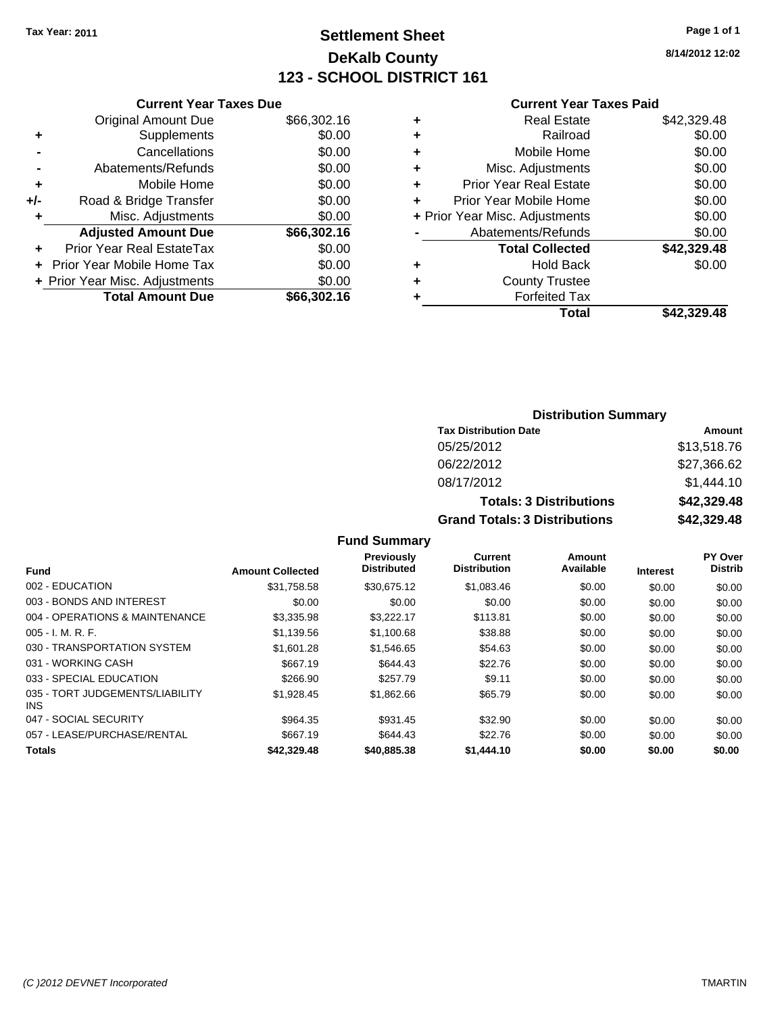## **Settlement Sheet Tax Year: 2011 Page 1 of 1 DeKalb County 123 - SCHOOL DISTRICT 161**

**8/14/2012 12:02**

#### **Current Year Taxes Paid**

|     | <b>Current Year Taxes Due</b>  |             |
|-----|--------------------------------|-------------|
|     | <b>Original Amount Due</b>     | \$66,302.16 |
| ٠   | Supplements                    | \$0.00      |
|     | Cancellations                  | \$0.00      |
|     | Abatements/Refunds             | \$0.00      |
| ٠   | Mobile Home                    | \$0.00      |
| +/- | Road & Bridge Transfer         | \$0.00      |
| ٠   | Misc. Adjustments              | \$0.00      |
|     | <b>Adjusted Amount Due</b>     | \$66,302.16 |
| ÷   | Prior Year Real EstateTax      | \$0.00      |
|     | Prior Year Mobile Home Tax     | \$0.00      |
|     | + Prior Year Misc. Adjustments | \$0.00      |
|     | <b>Total Amount Due</b>        | \$66,302.16 |
|     |                                |             |

|   | <b>Total</b>                   | \$42,329,48 |
|---|--------------------------------|-------------|
| ٠ | <b>Forfeited Tax</b>           |             |
| ٠ | <b>County Trustee</b>          |             |
| ٠ | Hold Back                      | \$0.00      |
|   | <b>Total Collected</b>         | \$42,329.48 |
|   | Abatements/Refunds             | \$0.00      |
|   | + Prior Year Misc. Adjustments | \$0.00      |
| ٠ | Prior Year Mobile Home         | \$0.00      |
| ÷ | <b>Prior Year Real Estate</b>  | \$0.00      |
| ٠ | Misc. Adjustments              | \$0.00      |
| ÷ | Mobile Home                    | \$0.00      |
| ٠ | Railroad                       | \$0.00      |
| ٠ | <b>Real Estate</b>             | \$42,329.48 |
|   |                                |             |

## **Distribution Summary Tax Distribution Date Amount** 05/25/2012 \$13,518.76 06/22/2012 \$27,366.62 08/17/2012 \$1,444.10 **Totals: 3 Distributions \$42,329.48 Grand Totals: 3 Distributions \$42,329.48**

|                                         |                         | <b>Previously</b>  | Current             | Amount    |                 | <b>PY Over</b> |
|-----------------------------------------|-------------------------|--------------------|---------------------|-----------|-----------------|----------------|
| <b>Fund</b>                             | <b>Amount Collected</b> | <b>Distributed</b> | <b>Distribution</b> | Available | <b>Interest</b> | <b>Distrib</b> |
| 002 - EDUCATION                         | \$31.758.58             | \$30.675.12        | \$1,083.46          | \$0.00    | \$0.00          | \$0.00         |
| 003 - BONDS AND INTEREST                | \$0.00                  | \$0.00             | \$0.00              | \$0.00    | \$0.00          | \$0.00         |
| 004 - OPERATIONS & MAINTENANCE          | \$3,335.98              | \$3.222.17         | \$113.81            | \$0.00    | \$0.00          | \$0.00         |
| $005 - I. M. R. F.$                     | \$1.139.56              | \$1,100.68         | \$38.88             | \$0.00    | \$0.00          | \$0.00         |
| 030 - TRANSPORTATION SYSTEM             | \$1,601.28              | \$1,546.65         | \$54.63             | \$0.00    | \$0.00          | \$0.00         |
| 031 - WORKING CASH                      | \$667.19                | \$644.43           | \$22.76             | \$0.00    | \$0.00          | \$0.00         |
| 033 - SPECIAL EDUCATION                 | \$266.90                | \$257.79           | \$9.11              | \$0.00    | \$0.00          | \$0.00         |
| 035 - TORT JUDGEMENTS/LIABILITY<br>INS. | \$1,928.45              | \$1,862.66         | \$65.79             | \$0.00    | \$0.00          | \$0.00         |
| 047 - SOCIAL SECURITY                   | \$964.35                | \$931.45           | \$32.90             | \$0.00    | \$0.00          | \$0.00         |
| 057 - LEASE/PURCHASE/RENTAL             | \$667.19                | \$644.43           | \$22.76             | \$0.00    | \$0.00          | \$0.00         |
| <b>Totals</b>                           | \$42,329.48             | \$40,885.38        | \$1,444.10          | \$0.00    | \$0.00          | \$0.00         |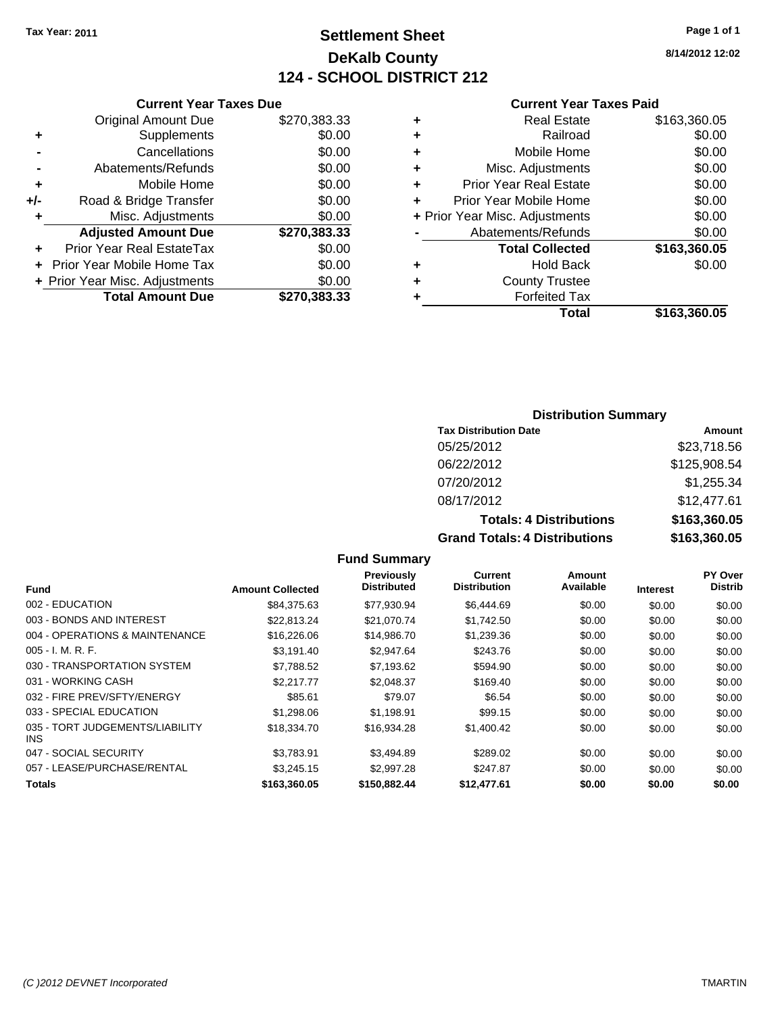## **Settlement Sheet Tax Year: 2011 Page 1 of 1 DeKalb County 124 - SCHOOL DISTRICT 212**

**8/14/2012 12:02**

#### **Current Year Taxes Paid**

|     | <b>Current Year Taxes Due</b>     |              |
|-----|-----------------------------------|--------------|
|     | <b>Original Amount Due</b>        | \$270,383.33 |
| ٠   | Supplements                       | \$0.00       |
|     | Cancellations                     | \$0.00       |
|     | Abatements/Refunds                | \$0.00       |
| ٠   | Mobile Home                       | \$0.00       |
| +/- | Road & Bridge Transfer            | \$0.00       |
| ٠   | Misc. Adjustments                 | \$0.00       |
|     | <b>Adjusted Amount Due</b>        | \$270,383.33 |
|     | Prior Year Real EstateTax         | \$0.00       |
|     | <b>Prior Year Mobile Home Tax</b> | \$0.00       |
|     | + Prior Year Misc. Adjustments    | \$0.00       |
|     | <b>Total Amount Due</b>           | \$270,383.33 |

## **Distribution Summary**

| <b>Tax Distribution Date</b>         | Amount       |
|--------------------------------------|--------------|
| 05/25/2012                           | \$23,718.56  |
| 06/22/2012                           | \$125,908.54 |
| 07/20/2012                           | \$1,255.34   |
| 08/17/2012                           | \$12,477.61  |
| <b>Totals: 4 Distributions</b>       | \$163,360.05 |
| <b>Grand Totals: 4 Distributions</b> | \$163,360.05 |

|                                         |                         | Previously         | Current             | Amount    |                 | PY Over        |
|-----------------------------------------|-------------------------|--------------------|---------------------|-----------|-----------------|----------------|
| <b>Fund</b>                             | <b>Amount Collected</b> | <b>Distributed</b> | <b>Distribution</b> | Available | <b>Interest</b> | <b>Distrib</b> |
| 002 - EDUCATION                         | \$84,375.63             | \$77,930.94        | \$6,444.69          | \$0.00    | \$0.00          | \$0.00         |
| 003 - BONDS AND INTEREST                | \$22.813.24             | \$21.070.74        | \$1,742.50          | \$0.00    | \$0.00          | \$0.00         |
| 004 - OPERATIONS & MAINTENANCE          | \$16,226.06             | \$14,986,70        | \$1,239.36          | \$0.00    | \$0.00          | \$0.00         |
| $005 - I. M. R. F.$                     | \$3,191.40              | \$2,947.64         | \$243.76            | \$0.00    | \$0.00          | \$0.00         |
| 030 - TRANSPORTATION SYSTEM             | \$7,788.52              | \$7,193.62         | \$594.90            | \$0.00    | \$0.00          | \$0.00         |
| 031 - WORKING CASH                      | \$2,217.77              | \$2.048.37         | \$169.40            | \$0.00    | \$0.00          | \$0.00         |
| 032 - FIRE PREV/SFTY/ENERGY             | \$85.61                 | \$79.07            | \$6.54              | \$0.00    | \$0.00          | \$0.00         |
| 033 - SPECIAL EDUCATION                 | \$1,298.06              | \$1,198.91         | \$99.15             | \$0.00    | \$0.00          | \$0.00         |
| 035 - TORT JUDGEMENTS/LIABILITY<br>INS. | \$18,334.70             | \$16,934.28        | \$1,400.42          | \$0.00    | \$0.00          | \$0.00         |
| 047 - SOCIAL SECURITY                   | \$3,783.91              | \$3,494.89         | \$289.02            | \$0.00    | \$0.00          | \$0.00         |
| 057 - LEASE/PURCHASE/RENTAL             | \$3,245.15              | \$2,997.28         | \$247.87            | \$0.00    | \$0.00          | \$0.00         |
| Totals                                  | \$163,360.05            | \$150,882,44       | \$12,477.61         | \$0.00    | \$0.00          | \$0.00         |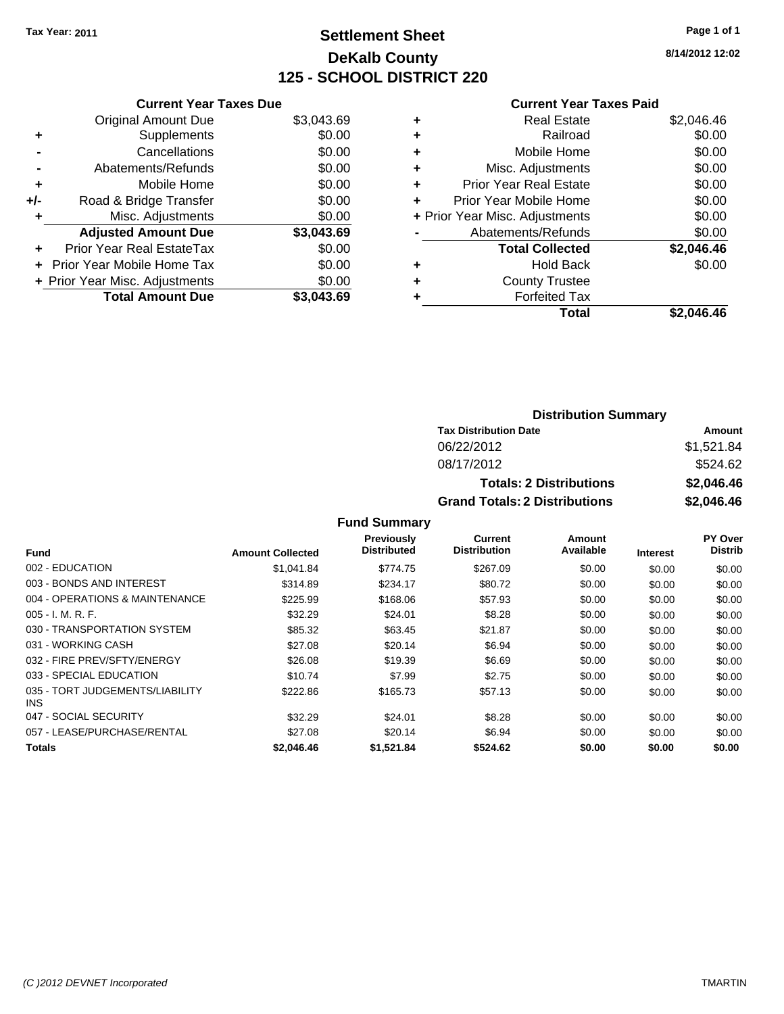## **Settlement Sheet Tax Year: 2011 Page 1 of 1 DeKalb County 125 - SCHOOL DISTRICT 220**

**8/14/2012 12:02**

#### **Current Year Taxes Paid**

|     | <b>Current Year Taxes Due</b>  |            |
|-----|--------------------------------|------------|
|     | <b>Original Amount Due</b>     | \$3,043.69 |
| ٠   | Supplements                    | \$0.00     |
|     | Cancellations                  | \$0.00     |
|     | Abatements/Refunds             | \$0.00     |
| ٠   | Mobile Home                    | \$0.00     |
| +/- | Road & Bridge Transfer         | \$0.00     |
|     | Misc. Adjustments              | \$0.00     |
|     | <b>Adjusted Amount Due</b>     | \$3,043.69 |
| ÷   | Prior Year Real EstateTax      | \$0.00     |
| ÷   | Prior Year Mobile Home Tax     | \$0.00     |
|     | + Prior Year Misc. Adjustments | \$0.00     |
|     | <b>Total Amount Due</b>        | \$3.043.69 |

| <b>Real Estate</b>             | \$2,046.46 |
|--------------------------------|------------|
| Railroad                       | \$0.00     |
| Mobile Home                    | \$0.00     |
| Misc. Adjustments              | \$0.00     |
| <b>Prior Year Real Estate</b>  | \$0.00     |
| Prior Year Mobile Home         | \$0.00     |
| + Prior Year Misc. Adjustments | \$0.00     |
| Abatements/Refunds             | \$0.00     |
| <b>Total Collected</b>         | \$2,046.46 |
| <b>Hold Back</b>               | \$0.00     |
| <b>County Trustee</b>          |            |
| <b>Forfeited Tax</b>           |            |
| Total                          | \$2.046.46 |
|                                |            |

| <b>Distribution Summary</b>          |            |  |  |
|--------------------------------------|------------|--|--|
| <b>Tax Distribution Date</b>         | Amount     |  |  |
| 06/22/2012                           | \$1,521.84 |  |  |
| 08/17/2012                           | \$524.62   |  |  |
| <b>Totals: 2 Distributions</b>       | \$2,046.46 |  |  |
| <b>Grand Totals: 2 Distributions</b> | \$2,046.46 |  |  |

|                                         |                         | <b>Previously</b><br><b>Distributed</b> | Current<br><b>Distribution</b> | Amount<br>Available |                 | PY Over<br><b>Distrib</b> |
|-----------------------------------------|-------------------------|-----------------------------------------|--------------------------------|---------------------|-----------------|---------------------------|
| <b>Fund</b>                             | <b>Amount Collected</b> |                                         |                                |                     | <b>Interest</b> |                           |
| 002 - EDUCATION                         | \$1.041.84              | \$774.75                                | \$267.09                       | \$0.00              | \$0.00          | \$0.00                    |
| 003 - BONDS AND INTEREST                | \$314.89                | \$234.17                                | \$80.72                        | \$0.00              | \$0.00          | \$0.00                    |
| 004 - OPERATIONS & MAINTENANCE          | \$225.99                | \$168.06                                | \$57.93                        | \$0.00              | \$0.00          | \$0.00                    |
| $005 - I. M. R. F.$                     | \$32.29                 | \$24.01                                 | \$8.28                         | \$0.00              | \$0.00          | \$0.00                    |
| 030 - TRANSPORTATION SYSTEM             | \$85.32                 | \$63.45                                 | \$21.87                        | \$0.00              | \$0.00          | \$0.00                    |
| 031 - WORKING CASH                      | \$27.08                 | \$20.14                                 | \$6.94                         | \$0.00              | \$0.00          | \$0.00                    |
| 032 - FIRE PREV/SFTY/ENERGY             | \$26.08                 | \$19.39                                 | \$6.69                         | \$0.00              | \$0.00          | \$0.00                    |
| 033 - SPECIAL EDUCATION                 | \$10.74                 | \$7.99                                  | \$2.75                         | \$0.00              | \$0.00          | \$0.00                    |
| 035 - TORT JUDGEMENTS/LIABILITY<br>INS. | \$222.86                | \$165.73                                | \$57.13                        | \$0.00              | \$0.00          | \$0.00                    |
| 047 - SOCIAL SECURITY                   | \$32.29                 | \$24.01                                 | \$8.28                         | \$0.00              | \$0.00          | \$0.00                    |
| 057 - LEASE/PURCHASE/RENTAL             | \$27.08                 | \$20.14                                 | \$6.94                         | \$0.00              | \$0.00          | \$0.00                    |
| Totals                                  | \$2,046.46              | \$1,521.84                              | \$524.62                       | \$0.00              | \$0.00          | \$0.00                    |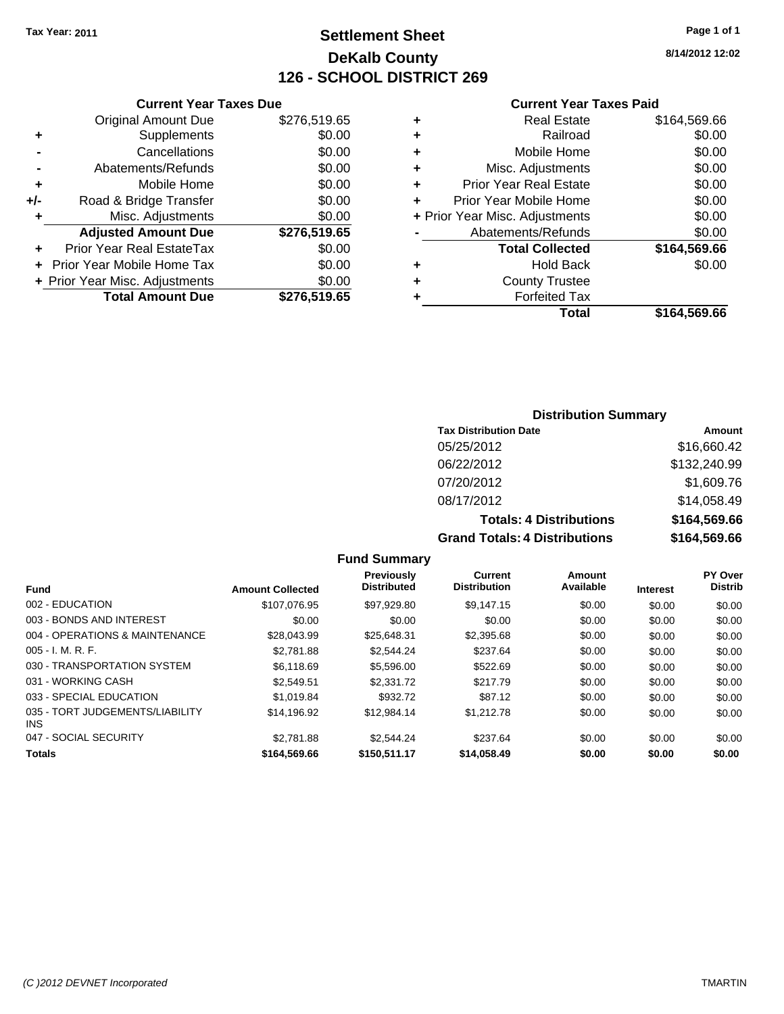## **Settlement Sheet Tax Year: 2011 Page 1 of 1 DeKalb County 126 - SCHOOL DISTRICT 269**

**8/14/2012 12:02**

| <b>Current Year Taxes Due</b> |  |  |  |
|-------------------------------|--|--|--|

|       | <b>Original Amount Due</b>     | \$276,519.65 |
|-------|--------------------------------|--------------|
|       | Supplements                    | \$0.00       |
|       | Cancellations                  | \$0.00       |
|       | Abatements/Refunds             | \$0.00       |
| ÷     | Mobile Home                    | \$0.00       |
| $+/-$ | Road & Bridge Transfer         | \$0.00       |
| ٠     | Misc. Adjustments              | \$0.00       |
|       | <b>Adjusted Amount Due</b>     | \$276,519.65 |
|       | Prior Year Real EstateTax      | \$0.00       |
|       | Prior Year Mobile Home Tax     | \$0.00       |
|       | + Prior Year Misc. Adjustments | \$0.00       |
|       | <b>Total Amount Due</b>        | \$276,519.65 |
|       |                                |              |

## **Current Year Taxes Paid**

|   | Total                          | \$164,569.66 |
|---|--------------------------------|--------------|
| ٠ | <b>Forfeited Tax</b>           |              |
| ٠ | <b>County Trustee</b>          |              |
| ٠ | <b>Hold Back</b>               | \$0.00       |
|   | <b>Total Collected</b>         | \$164,569.66 |
|   | Abatements/Refunds             | \$0.00       |
|   | + Prior Year Misc. Adjustments | \$0.00       |
| ÷ | Prior Year Mobile Home         | \$0.00       |
| ٠ | Prior Year Real Estate         | \$0.00       |
| ٠ | Misc. Adjustments              | \$0.00       |
| ÷ | Mobile Home                    | \$0.00       |
| ٠ | Railroad                       | \$0.00       |
| ٠ | <b>Real Estate</b>             | \$164,569.66 |

## **Distribution Summary**

| <b>Tax Distribution Date</b>         | Amount       |
|--------------------------------------|--------------|
| 05/25/2012                           | \$16,660.42  |
| 06/22/2012                           | \$132,240.99 |
| 07/20/2012                           | \$1,609.76   |
| 08/17/2012                           | \$14,058.49  |
| <b>Totals: 4 Distributions</b>       | \$164,569.66 |
| <b>Grand Totals: 4 Distributions</b> | \$164,569.66 |

|                                               |                         | <b>Previously</b>  | Current             | Amount    |                 | <b>PY Over</b> |
|-----------------------------------------------|-------------------------|--------------------|---------------------|-----------|-----------------|----------------|
| <b>Fund</b>                                   | <b>Amount Collected</b> | <b>Distributed</b> | <b>Distribution</b> | Available | <b>Interest</b> | <b>Distrib</b> |
| 002 - EDUCATION                               | \$107.076.95            | \$97.929.80        | \$9.147.15          | \$0.00    | \$0.00          | \$0.00         |
| 003 - BONDS AND INTEREST                      | \$0.00                  | \$0.00             | \$0.00              | \$0.00    | \$0.00          | \$0.00         |
| 004 - OPERATIONS & MAINTENANCE                | \$28,043.99             | \$25,648.31        | \$2,395.68          | \$0.00    | \$0.00          | \$0.00         |
| $005 - I. M. R. F.$                           | \$2,781.88              | \$2,544.24         | \$237.64            | \$0.00    | \$0.00          | \$0.00         |
| 030 - TRANSPORTATION SYSTEM                   | \$6,118,69              | \$5,596,00         | \$522.69            | \$0.00    | \$0.00          | \$0.00         |
| 031 - WORKING CASH                            | \$2.549.51              | \$2,331.72         | \$217.79            | \$0.00    | \$0.00          | \$0.00         |
| 033 - SPECIAL EDUCATION                       | \$1.019.84              | \$932.72           | \$87.12             | \$0.00    | \$0.00          | \$0.00         |
| 035 - TORT JUDGEMENTS/LIABILITY<br><b>INS</b> | \$14.196.92             | \$12.984.14        | \$1,212.78          | \$0.00    | \$0.00          | \$0.00         |
| 047 - SOCIAL SECURITY                         | \$2,781.88              | \$2.544.24         | \$237.64            | \$0.00    | \$0.00          | \$0.00         |
| <b>Totals</b>                                 | \$164,569,66            | \$150,511.17       | \$14,058,49         | \$0.00    | \$0.00          | \$0.00         |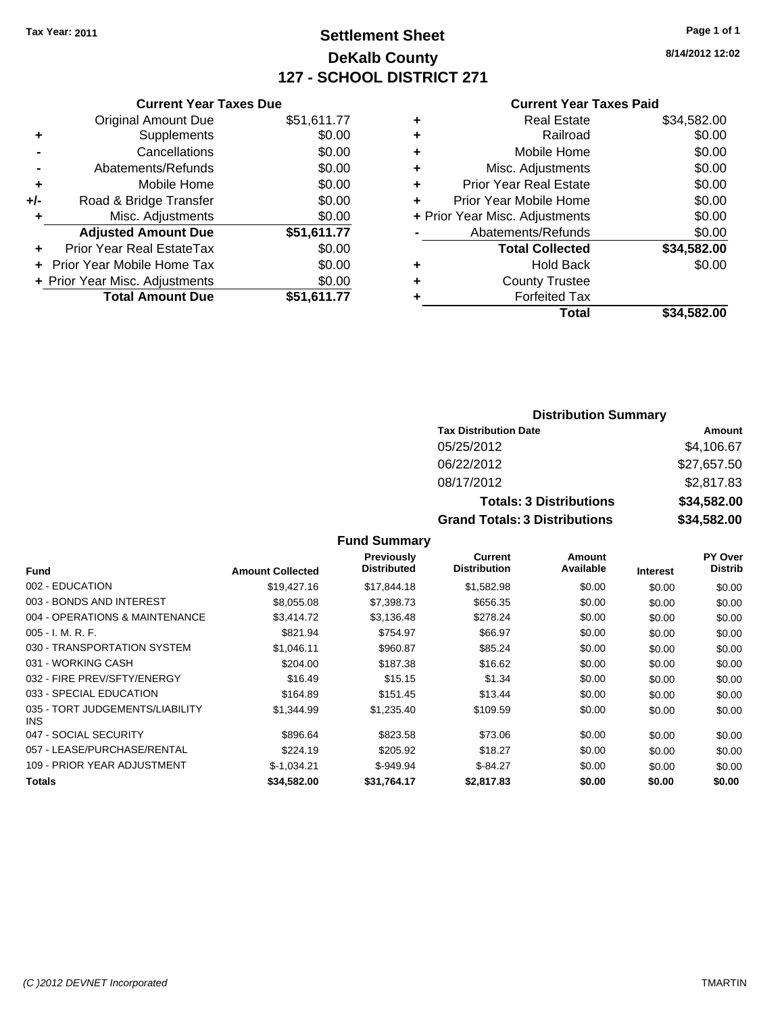## **Settlement Sheet Tax Year: 2011 Page 1 of 1 DeKalb County 127 - SCHOOL DISTRICT 271**

**8/14/2012 12:02**

#### **Current Year Taxes Paid**

|     | <b>Current Year Taxes Due</b>  |             |
|-----|--------------------------------|-------------|
|     | <b>Original Amount Due</b>     | \$51,611.77 |
| ٠   | Supplements                    | \$0.00      |
|     | Cancellations                  | \$0.00      |
|     | Abatements/Refunds             | \$0.00      |
| ٠   | Mobile Home                    | \$0.00      |
| +/- | Road & Bridge Transfer         | \$0.00      |
| ٠   | Misc. Adjustments              | \$0.00      |
|     | <b>Adjusted Amount Due</b>     | \$51,611.77 |
| ٠   | Prior Year Real EstateTax      | \$0.00      |
|     | Prior Year Mobile Home Tax     | \$0.00      |
|     | + Prior Year Misc. Adjustments | \$0.00      |
|     | <b>Total Amount Due</b>        | \$51,611.77 |

|   | <b>Real Estate</b>             | \$34,582.00 |
|---|--------------------------------|-------------|
| ٠ | Railroad                       | \$0.00      |
| ٠ | Mobile Home                    | \$0.00      |
| ٠ | Misc. Adjustments              | \$0.00      |
| ٠ | <b>Prior Year Real Estate</b>  | \$0.00      |
| ٠ | Prior Year Mobile Home         | \$0.00      |
|   | + Prior Year Misc. Adjustments | \$0.00      |
|   | Abatements/Refunds             | \$0.00      |
|   | <b>Total Collected</b>         | \$34,582.00 |
| ٠ | Hold Back                      | \$0.00      |
| ٠ | <b>County Trustee</b>          |             |
| ٠ | <b>Forfeited Tax</b>           |             |
|   | Total                          | \$34.582.00 |

## **Distribution Summary Tax Distribution Date Amount** 05/25/2012 \$4,106.67 06/22/2012 \$27,657.50 08/17/2012 \$2,817.83 **Totals: 3 Distributions \$34,582.00 Grand Totals: 3 Distributions \$34,582.00**

|                                         |                         | <b>Previously</b>  | Current             | Amount    |                 | PY Over        |
|-----------------------------------------|-------------------------|--------------------|---------------------|-----------|-----------------|----------------|
| <b>Fund</b>                             | <b>Amount Collected</b> | <b>Distributed</b> | <b>Distribution</b> | Available | <b>Interest</b> | <b>Distrib</b> |
| 002 - EDUCATION                         | \$19,427.16             | \$17,844.18        | \$1,582.98          | \$0.00    | \$0.00          | \$0.00         |
| 003 - BONDS AND INTEREST                | \$8.055.08              | \$7,398,73         | \$656.35            | \$0.00    | \$0.00          | \$0.00         |
| 004 - OPERATIONS & MAINTENANCE          | \$3.414.72              | \$3,136.48         | \$278.24            | \$0.00    | \$0.00          | \$0.00         |
| $005 - I. M. R. F.$                     | \$821.94                | \$754.97           | \$66.97             | \$0.00    | \$0.00          | \$0.00         |
| 030 - TRANSPORTATION SYSTEM             | \$1.046.11              | \$960.87           | \$85.24             | \$0.00    | \$0.00          | \$0.00         |
| 031 - WORKING CASH                      | \$204.00                | \$187.38           | \$16.62             | \$0.00    | \$0.00          | \$0.00         |
| 032 - FIRE PREV/SFTY/ENERGY             | \$16.49                 | \$15.15            | \$1.34              | \$0.00    | \$0.00          | \$0.00         |
| 033 - SPECIAL EDUCATION                 | \$164.89                | \$151.45           | \$13.44             | \$0.00    | \$0.00          | \$0.00         |
| 035 - TORT JUDGEMENTS/LIABILITY<br>INS. | \$1,344.99              | \$1,235.40         | \$109.59            | \$0.00    | \$0.00          | \$0.00         |
| 047 - SOCIAL SECURITY                   | \$896.64                | \$823.58           | \$73.06             | \$0.00    | \$0.00          | \$0.00         |
| 057 - LEASE/PURCHASE/RENTAL             | \$224.19                | \$205.92           | \$18.27             | \$0.00    | \$0.00          | \$0.00         |
| 109 - PRIOR YEAR ADJUSTMENT             | $$-1.034.21$            | $$-949.94$         | $$-84.27$           | \$0.00    | \$0.00          | \$0.00         |
| Totals                                  | \$34.582.00             | \$31,764.17        | \$2.817.83          | \$0.00    | \$0.00          | \$0.00         |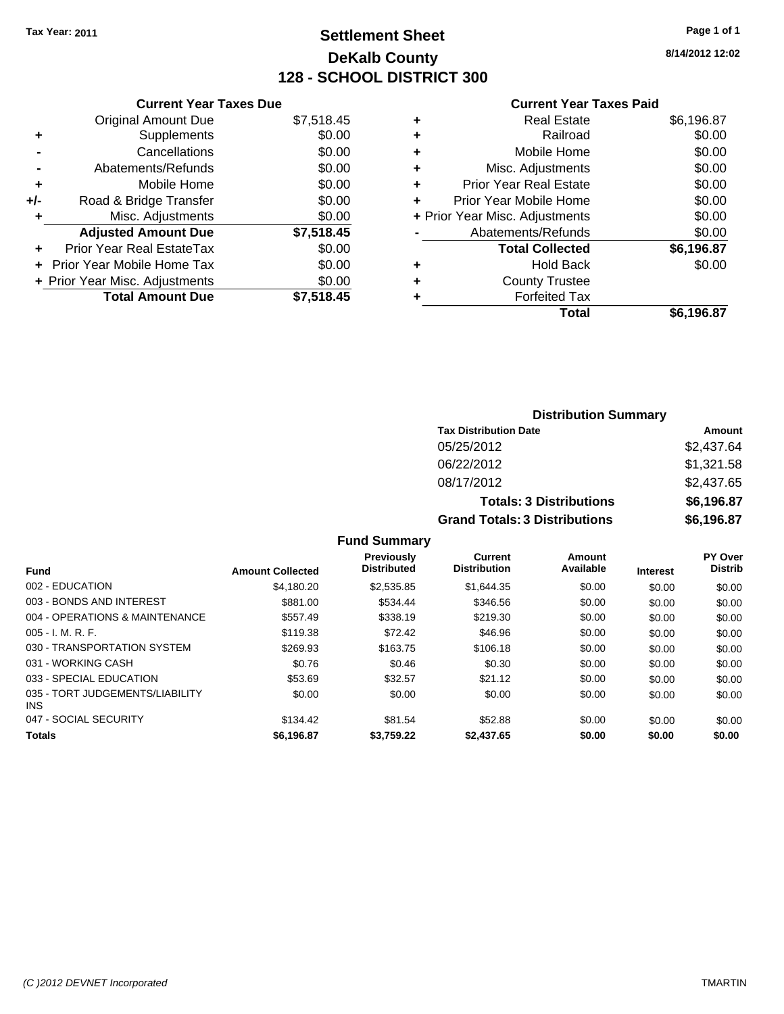## **Settlement Sheet Tax Year: 2011 Page 1 of 1 DeKalb County 128 - SCHOOL DISTRICT 300**

**8/14/2012 12:02**

#### **Current Year Taxes Paid**

|     | <b>Current Year Taxes Due</b>     |            |
|-----|-----------------------------------|------------|
|     | <b>Original Amount Due</b>        | \$7,518.45 |
| ٠   | Supplements                       | \$0.00     |
|     | Cancellations                     | \$0.00     |
|     | Abatements/Refunds                | \$0.00     |
| ٠   | Mobile Home                       | \$0.00     |
| +/- | Road & Bridge Transfer            | \$0.00     |
|     | Misc. Adjustments                 | \$0.00     |
|     | <b>Adjusted Amount Due</b>        | \$7,518.45 |
| ÷   | Prior Year Real EstateTax         | \$0.00     |
|     | <b>Prior Year Mobile Home Tax</b> | \$0.00     |
|     | + Prior Year Misc. Adjustments    | \$0.00     |
|     | <b>Total Amount Due</b>           | \$7.518.45 |

| ٠ | <b>Real Estate</b>             | \$6,196.87 |
|---|--------------------------------|------------|
| ٠ | Railroad                       | \$0.00     |
| ٠ | Mobile Home                    | \$0.00     |
| ٠ | Misc. Adjustments              | \$0.00     |
| ÷ | Prior Year Real Estate         | \$0.00     |
| ٠ | Prior Year Mobile Home         | \$0.00     |
|   | + Prior Year Misc. Adjustments | \$0.00     |
|   | Abatements/Refunds             | \$0.00     |
|   | <b>Total Collected</b>         | \$6,196.87 |
| ٠ | <b>Hold Back</b>               | \$0.00     |
| ٠ | <b>County Trustee</b>          |            |
| ٠ | <b>Forfeited Tax</b>           |            |
|   | Total                          | \$6,196.87 |

| <b>Distribution Summary</b>          |            |
|--------------------------------------|------------|
| <b>Tax Distribution Date</b>         | Amount     |
| 05/25/2012                           | \$2,437.64 |
| 06/22/2012                           | \$1,321.58 |
| 08/17/2012                           | \$2,437.65 |
| <b>Totals: 3 Distributions</b>       | \$6,196.87 |
| <b>Grand Totals: 3 Distributions</b> | \$6,196.87 |

|  | <b>Fund Summary</b> |
|--|---------------------|
|--|---------------------|

|                                         |                         | <b>Previously</b><br><b>Distributed</b> | Current<br><b>Distribution</b> | Amount<br>Available |                 | <b>PY Over</b><br><b>Distrib</b> |
|-----------------------------------------|-------------------------|-----------------------------------------|--------------------------------|---------------------|-----------------|----------------------------------|
| <b>Fund</b>                             | <b>Amount Collected</b> |                                         |                                |                     | <b>Interest</b> |                                  |
| 002 - EDUCATION                         | \$4.180.20              | \$2,535.85                              | \$1,644.35                     | \$0.00              | \$0.00          | \$0.00                           |
| 003 - BONDS AND INTEREST                | \$881.00                | \$534.44                                | \$346.56                       | \$0.00              | \$0.00          | \$0.00                           |
| 004 - OPERATIONS & MAINTENANCE          | \$557.49                | \$338.19                                | \$219.30                       | \$0.00              | \$0.00          | \$0.00                           |
| $005 - I. M. R. F.$                     | \$119.38                | \$72.42                                 | \$46.96                        | \$0.00              | \$0.00          | \$0.00                           |
| 030 - TRANSPORTATION SYSTEM             | \$269.93                | \$163.75                                | \$106.18                       | \$0.00              | \$0.00          | \$0.00                           |
| 031 - WORKING CASH                      | \$0.76                  | \$0.46                                  | \$0.30                         | \$0.00              | \$0.00          | \$0.00                           |
| 033 - SPECIAL EDUCATION                 | \$53.69                 | \$32.57                                 | \$21.12                        | \$0.00              | \$0.00          | \$0.00                           |
| 035 - TORT JUDGEMENTS/LIABILITY<br>INS. | \$0.00                  | \$0.00                                  | \$0.00                         | \$0.00              | \$0.00          | \$0.00                           |
| 047 - SOCIAL SECURITY                   | \$134.42                | \$81.54                                 | \$52.88                        | \$0.00              | \$0.00          | \$0.00                           |
| <b>Totals</b>                           | \$6,196.87              | \$3,759.22                              | \$2,437.65                     | \$0.00              | \$0.00          | \$0.00                           |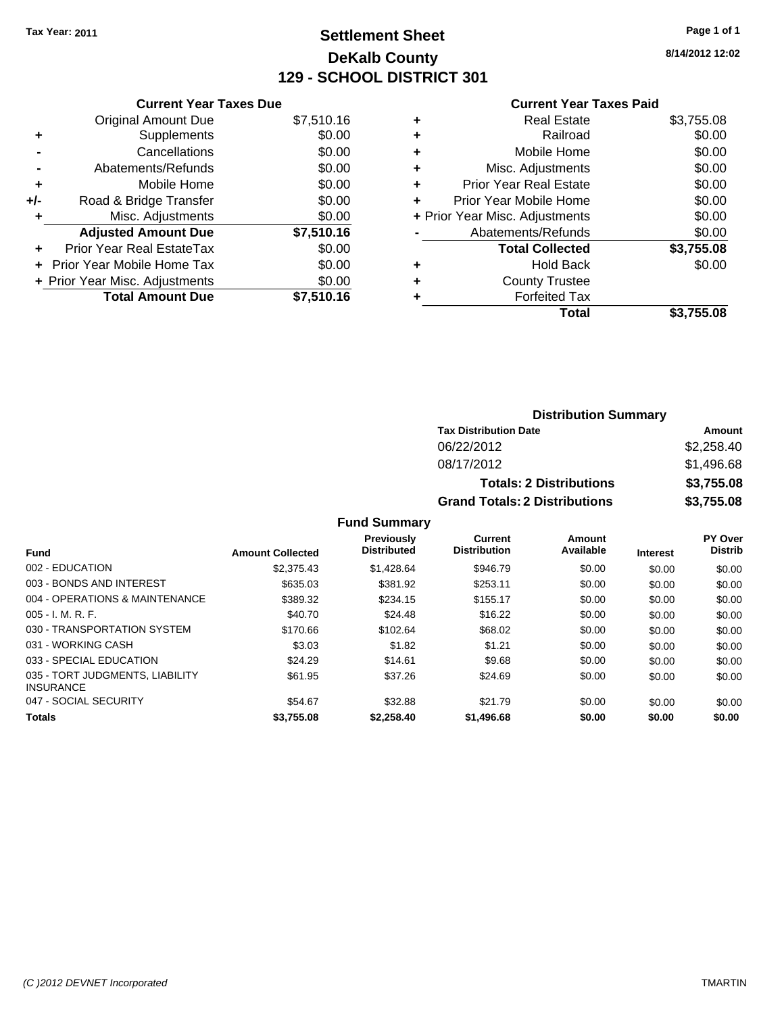## **Settlement Sheet Tax Year: 2011 Page 1 of 1 DeKalb County 129 - SCHOOL DISTRICT 301**

**8/14/2012 12:02**

#### **Current Year Taxes Paid**

|     | <b>Current Year Taxes Due</b>     |            |
|-----|-----------------------------------|------------|
|     | <b>Original Amount Due</b>        | \$7,510.16 |
| ٠   | Supplements                       | \$0.00     |
|     | Cancellations                     | \$0.00     |
|     | Abatements/Refunds                | \$0.00     |
| ٠   | Mobile Home                       | \$0.00     |
| +/- | Road & Bridge Transfer            | \$0.00     |
|     | Misc. Adjustments                 | \$0.00     |
|     | <b>Adjusted Amount Due</b>        | \$7,510.16 |
| ÷   | Prior Year Real EstateTax         | \$0.00     |
|     | <b>Prior Year Mobile Home Tax</b> | \$0.00     |
|     | + Prior Year Misc. Adjustments    | \$0.00     |
|     | <b>Total Amount Due</b>           | \$7,510.16 |

| <b>Real Estate</b>             | \$3,755.08 |
|--------------------------------|------------|
| Railroad                       | \$0.00     |
| Mobile Home                    | \$0.00     |
| Misc. Adjustments              | \$0.00     |
| Prior Year Real Estate         | \$0.00     |
| Prior Year Mobile Home         | \$0.00     |
| + Prior Year Misc. Adjustments | \$0.00     |
| Abatements/Refunds             | \$0.00     |
| <b>Total Collected</b>         | \$3,755.08 |
| <b>Hold Back</b>               | \$0.00     |
| <b>County Trustee</b>          |            |
| <b>Forfeited Tax</b>           |            |
| Total                          | \$3.755.08 |
|                                |            |

| <b>Distribution Summary</b>          |            |  |  |  |
|--------------------------------------|------------|--|--|--|
| <b>Tax Distribution Date</b>         | Amount     |  |  |  |
| 06/22/2012                           | \$2,258.40 |  |  |  |
| 08/17/2012                           | \$1,496.68 |  |  |  |
| <b>Totals: 2 Distributions</b>       | \$3,755.08 |  |  |  |
| <b>Grand Totals: 2 Distributions</b> | \$3,755.08 |  |  |  |

|                                                     |                         | <b>Previously</b>  | Current             | Amount    |                 | <b>PY Over</b> |
|-----------------------------------------------------|-------------------------|--------------------|---------------------|-----------|-----------------|----------------|
| <b>Fund</b>                                         | <b>Amount Collected</b> | <b>Distributed</b> | <b>Distribution</b> | Available | <b>Interest</b> | <b>Distrib</b> |
| 002 - EDUCATION                                     | \$2,375.43              | \$1.428.64         | \$946.79            | \$0.00    | \$0.00          | \$0.00         |
| 003 - BONDS AND INTEREST                            | \$635.03                | \$381.92           | \$253.11            | \$0.00    | \$0.00          | \$0.00         |
| 004 - OPERATIONS & MAINTENANCE                      | \$389.32                | \$234.15           | \$155.17            | \$0.00    | \$0.00          | \$0.00         |
| $005 - I. M. R. F.$                                 | \$40.70                 | \$24.48            | \$16.22             | \$0.00    | \$0.00          | \$0.00         |
| 030 - TRANSPORTATION SYSTEM                         | \$170.66                | \$102.64           | \$68.02             | \$0.00    | \$0.00          | \$0.00         |
| 031 - WORKING CASH                                  | \$3.03                  | \$1.82             | \$1.21              | \$0.00    | \$0.00          | \$0.00         |
| 033 - SPECIAL EDUCATION                             | \$24.29                 | \$14.61            | \$9.68              | \$0.00    | \$0.00          | \$0.00         |
| 035 - TORT JUDGMENTS, LIABILITY<br><b>INSURANCE</b> | \$61.95                 | \$37.26            | \$24.69             | \$0.00    | \$0.00          | \$0.00         |
| 047 - SOCIAL SECURITY                               | \$54.67                 | \$32.88            | \$21.79             | \$0.00    | \$0.00          | \$0.00         |
| <b>Totals</b>                                       | \$3.755.08              | \$2,258,40         | \$1,496.68          | \$0.00    | \$0.00          | \$0.00         |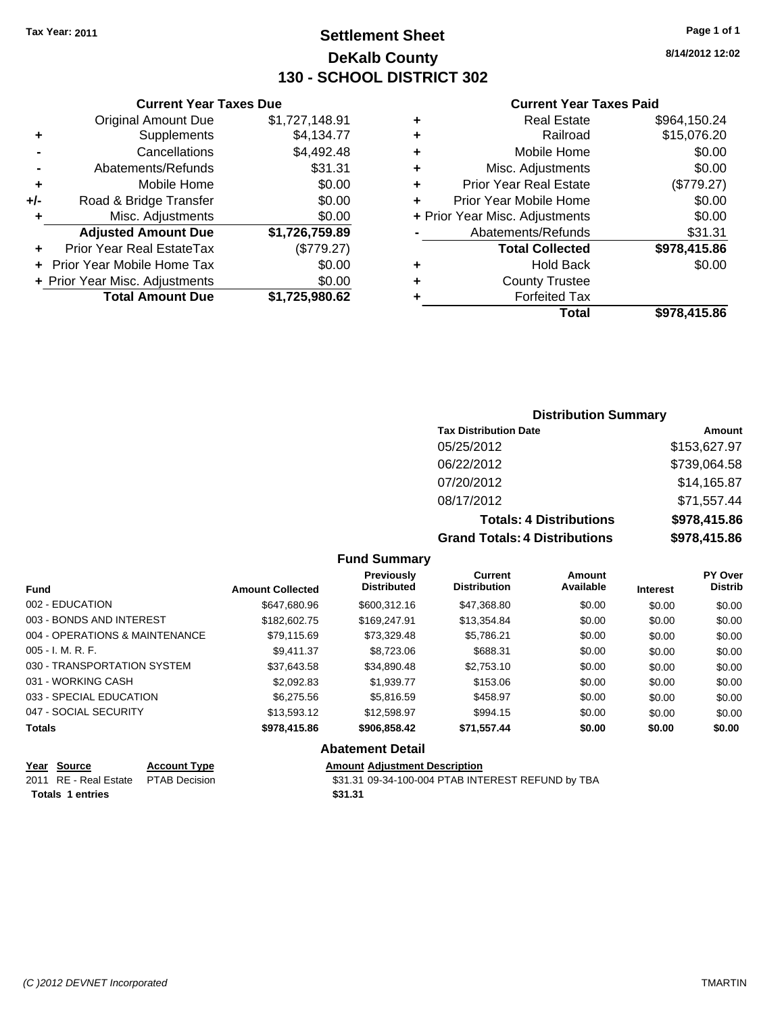**Current Year Taxes Due**

## **Settlement Sheet Tax Year: 2011 Page 1 of 1 DeKalb County 130 - SCHOOL DISTRICT 302**

**8/14/2012 12:02**

#### **Current Year Taxes Paid**

|     |                                |                |   | <b>Total</b>                   | \$978,415.86 |
|-----|--------------------------------|----------------|---|--------------------------------|--------------|
|     | <b>Total Amount Due</b>        | \$1,725,980.62 |   | <b>Forfeited Tax</b>           |              |
|     | + Prior Year Misc. Adjustments | \$0.00         | ٠ | <b>County Trustee</b>          |              |
|     | + Prior Year Mobile Home Tax   | \$0.00         | ٠ | <b>Hold Back</b>               | \$0.00       |
| ÷.  | Prior Year Real EstateTax      | (\$779.27)     |   | <b>Total Collected</b>         | \$978,415.86 |
|     | <b>Adjusted Amount Due</b>     | \$1,726,759.89 |   | Abatements/Refunds             | \$31.31      |
|     | Misc. Adjustments              | \$0.00         |   | + Prior Year Misc. Adjustments | \$0.00       |
| +/- | Road & Bridge Transfer         | \$0.00         | ٠ | Prior Year Mobile Home         | \$0.00       |
| ٠   | Mobile Home                    | \$0.00         | ÷ | <b>Prior Year Real Estate</b>  | (\$779.27)   |
|     | Abatements/Refunds             | \$31.31        | ٠ | Misc. Adjustments              | \$0.00       |
|     | Cancellations                  | \$4,492.48     | ٠ | Mobile Home                    | \$0.00       |
| ٠   | Supplements                    | \$4,134.77     | ٠ | Railroad                       | \$15,076.20  |
|     | <b>Original Amount Due</b>     | \$1,727,148.91 | ٠ | <b>Real Estate</b>             | \$964,150.24 |
|     |                                |                |   |                                |              |

## **Distribution Summary**

| <b>Tax Distribution Date</b>         | Amount       |
|--------------------------------------|--------------|
| 05/25/2012                           | \$153,627.97 |
| 06/22/2012                           | \$739,064.58 |
| 07/20/2012                           | \$14,165.87  |
| 08/17/2012                           | \$71,557.44  |
| <b>Totals: 4 Distributions</b>       | \$978,415.86 |
| <b>Grand Totals: 4 Distributions</b> | \$978,415.86 |

#### **Fund Summary**

| <b>Fund</b>                    | <b>Amount Collected</b> | <b>Previously</b><br><b>Distributed</b> | <b>Current</b><br><b>Distribution</b> | Amount<br>Available | <b>Interest</b> | PY Over<br><b>Distrib</b> |
|--------------------------------|-------------------------|-----------------------------------------|---------------------------------------|---------------------|-----------------|---------------------------|
| 002 - EDUCATION                | \$647,680.96            | \$600.312.16                            | \$47,368.80                           | \$0.00              | \$0.00          | \$0.00                    |
| 003 - BONDS AND INTEREST       | \$182,602.75            | \$169,247.91                            | \$13,354.84                           | \$0.00              | \$0.00          | \$0.00                    |
| 004 - OPERATIONS & MAINTENANCE | \$79.115.69             | \$73,329.48                             | \$5.786.21                            | \$0.00              | \$0.00          | \$0.00                    |
| $005 - I. M. R. F.$            | \$9.411.37              | \$8,723.06                              | \$688.31                              | \$0.00              | \$0.00          | \$0.00                    |
| 030 - TRANSPORTATION SYSTEM    | \$37,643.58             | \$34,890.48                             | \$2,753.10                            | \$0.00              | \$0.00          | \$0.00                    |
| 031 - WORKING CASH             | \$2,092.83              | \$1.939.77                              | \$153.06                              | \$0.00              | \$0.00          | \$0.00                    |
| 033 - SPECIAL EDUCATION        | \$6,275.56              | \$5.816.59                              | \$458.97                              | \$0.00              | \$0.00          | \$0.00                    |
| 047 - SOCIAL SECURITY          | \$13.593.12             | \$12,598.97                             | \$994.15                              | \$0.00              | \$0.00          | \$0.00                    |
| <b>Totals</b>                  | \$978,415.86            | \$906.858.42                            | \$71,557.44                           | \$0.00              | \$0.00          | \$0.00                    |

## **Abatement Detail**

| Year Source                         | <b>Account Type</b> | <b>Amount Adiustment Description</b>              |
|-------------------------------------|---------------------|---------------------------------------------------|
| 2011 RE - Real Estate PTAB Decision |                     | \$31.31 09-34-100-004 PTAB INTEREST REFUND by TBA |
| <b>Totals 1 entries</b>             |                     | \$31.31                                           |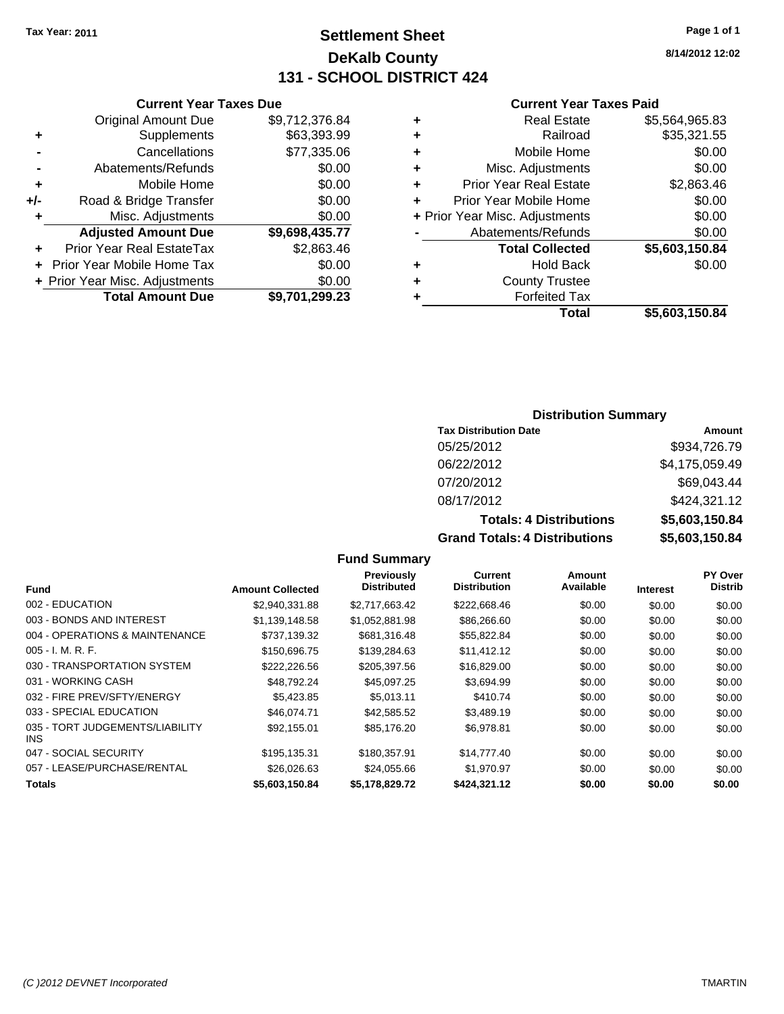## **Settlement Sheet Tax Year: 2011 Page 1 of 1 DeKalb County 131 - SCHOOL DISTRICT 424**

**8/14/2012 12:02**

#### **Current Year Taxes Paid**

|   | Total                          | \$5,603,150.84 |
|---|--------------------------------|----------------|
| ٠ | <b>Forfeited Tax</b>           |                |
| ٠ | <b>County Trustee</b>          |                |
| ٠ | <b>Hold Back</b>               | \$0.00         |
|   | <b>Total Collected</b>         | \$5,603,150.84 |
|   | Abatements/Refunds             | \$0.00         |
|   | + Prior Year Misc. Adjustments | \$0.00         |
| ÷ | Prior Year Mobile Home         | \$0.00         |
| ÷ | <b>Prior Year Real Estate</b>  | \$2,863.46     |
| ٠ | Misc. Adjustments              | \$0.00         |
| ٠ | Mobile Home                    | \$0.00         |
| ٠ | Railroad                       | \$35,321.55    |
| ٠ | <b>Real Estate</b>             | \$5,564,965.83 |
|   |                                |                |

|     | <b>Current Year Taxes Due</b>  |                |
|-----|--------------------------------|----------------|
|     | <b>Original Amount Due</b>     | \$9,712,376.84 |
| ٠   | Supplements                    | \$63,393.99    |
|     | Cancellations                  | \$77,335.06    |
|     | Abatements/Refunds             | \$0.00         |
| ٠   | Mobile Home                    | \$0.00         |
| +/- | Road & Bridge Transfer         | \$0.00         |
|     | Misc. Adjustments              | \$0.00         |
|     | <b>Adjusted Amount Due</b>     | \$9,698,435.77 |
|     | Prior Year Real EstateTax      | \$2,863.46     |
|     | Prior Year Mobile Home Tax     | \$0.00         |
|     | + Prior Year Misc. Adjustments | \$0.00         |
|     | <b>Total Amount Due</b>        | \$9.701.299.23 |

## **Distribution Summary**

| <b>Tax Distribution Date</b>     | Amount         |
|----------------------------------|----------------|
| 05/25/2012                       | \$934,726.79   |
| 06/22/2012                       | \$4,175,059.49 |
| 07/20/2012                       | \$69,043.44    |
| 08/17/2012                       | \$424,321.12   |
| <b>Totals: 4 Distributions</b>   | \$5,603,150.84 |
| Osan di Tatalan 4 Diatullantiana |                |

**Grand Totals: 4 Distributions \$5,603,150.84**

|                                         |                         | <b>Previously</b>  | Current             | Amount    |                 | PY Over        |
|-----------------------------------------|-------------------------|--------------------|---------------------|-----------|-----------------|----------------|
| <b>Fund</b>                             | <b>Amount Collected</b> | <b>Distributed</b> | <b>Distribution</b> | Available | <b>Interest</b> | <b>Distrib</b> |
| 002 - EDUCATION                         | \$2.940.331.88          | \$2.717.663.42     | \$222,668.46        | \$0.00    | \$0.00          | \$0.00         |
| 003 - BONDS AND INTEREST                | \$1,139,148.58          | \$1,052,881.98     | \$86,266.60         | \$0.00    | \$0.00          | \$0.00         |
| 004 - OPERATIONS & MAINTENANCE          | \$737.139.32            | \$681.316.48       | \$55,822.84         | \$0.00    | \$0.00          | \$0.00         |
| $005 - I. M. R. F.$                     | \$150,696.75            | \$139,284.63       | \$11,412.12         | \$0.00    | \$0.00          | \$0.00         |
| 030 - TRANSPORTATION SYSTEM             | \$222,226.56            | \$205,397.56       | \$16,829.00         | \$0.00    | \$0.00          | \$0.00         |
| 031 - WORKING CASH                      | \$48.792.24             | \$45,097.25        | \$3,694.99          | \$0.00    | \$0.00          | \$0.00         |
| 032 - FIRE PREV/SFTY/ENERGY             | \$5.423.85              | \$5.013.11         | \$410.74            | \$0.00    | \$0.00          | \$0.00         |
| 033 - SPECIAL EDUCATION                 | \$46,074.71             | \$42.585.52        | \$3,489.19          | \$0.00    | \$0.00          | \$0.00         |
| 035 - TORT JUDGEMENTS/LIABILITY<br>INS. | \$92,155,01             | \$85.176.20        | \$6.978.81          | \$0.00    | \$0.00          | \$0.00         |
| 047 - SOCIAL SECURITY                   | \$195,135.31            | \$180,357.91       | \$14,777.40         | \$0.00    | \$0.00          | \$0.00         |
| 057 - LEASE/PURCHASE/RENTAL             | \$26,026,63             | \$24.055.66        | \$1,970.97          | \$0.00    | \$0.00          | \$0.00         |
| <b>Totals</b>                           | \$5,603,150.84          | \$5,178,829.72     | \$424,321.12        | \$0.00    | \$0.00          | \$0.00         |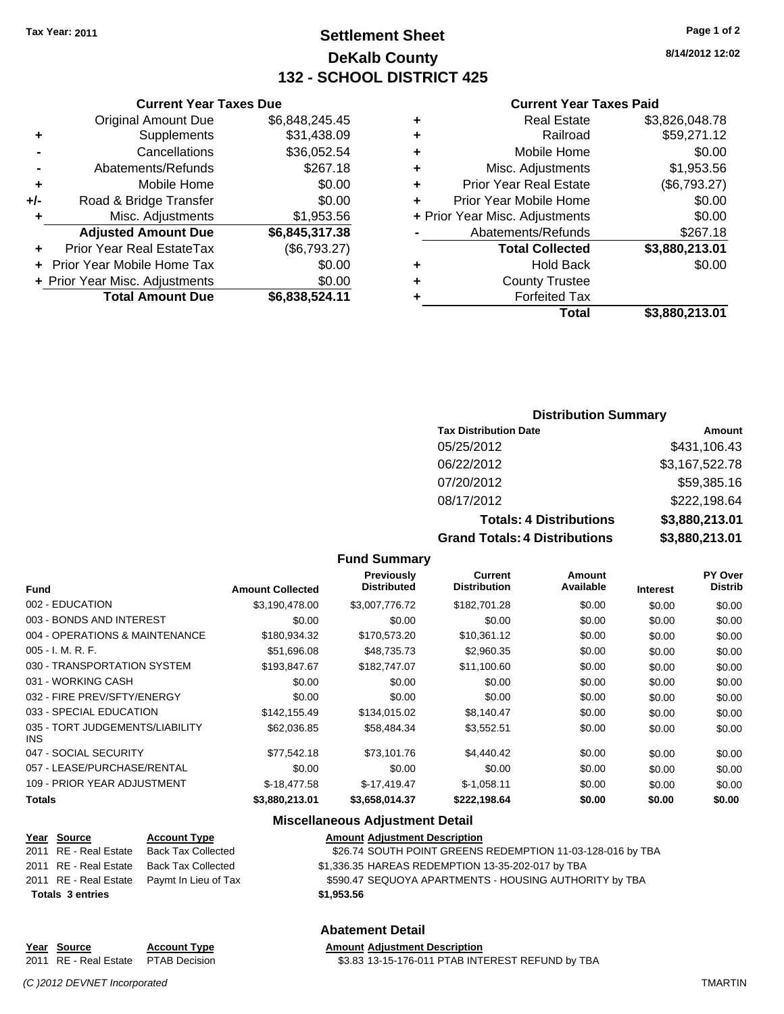## **Settlement Sheet Tax Year: 2011 Page 1 of 2 DeKalb County 132 - SCHOOL DISTRICT 425**

**8/14/2012 12:02**

#### **Current Year Taxes Paid**

|   | Total                          | \$3,880,213.01 |
|---|--------------------------------|----------------|
|   | <b>Forfeited Tax</b>           |                |
| ٠ | <b>County Trustee</b>          |                |
|   | <b>Hold Back</b>               | \$0.00         |
|   | <b>Total Collected</b>         | \$3,880,213.01 |
|   | Abatements/Refunds             | \$267.18       |
|   | + Prior Year Misc. Adjustments | \$0.00         |
| ÷ | Prior Year Mobile Home         | \$0.00         |
| ٠ | <b>Prior Year Real Estate</b>  | (\$6,793.27)   |
| ٠ | Misc. Adjustments              | \$1,953.56     |
| ٠ | Mobile Home                    | \$0.00         |
| ٠ | Railroad                       | \$59,271.12    |
| ٠ | <b>Real Estate</b>             | \$3,826,048.78 |
|   |                                |                |

## **Current Year Taxes Due** Original Amount Due \$6,848,245.45 **+** Supplements \$31,438.09 **-** Cancellations \$36,052.54 **-** Abatements/Refunds \$267.18 **+** Mobile Home \$0.00 **+/-** Road & Bridge Transfer \$0.00 **+** Misc. Adjustments \$1,953.56 **Adjusted Amount Due \$6,845,317.38 +** Prior Year Real EstateTax (\$6,793.27) **+** Prior Year Mobile Home Tax \$0.00 **+ Prior Year Misc. Adjustments**  $$0.00$ **Total Amount Due \$6,838,524.11**

#### **Distribution Summary**

| <b>Tax Distribution Date</b>         | Amount         |
|--------------------------------------|----------------|
| 05/25/2012                           | \$431,106.43   |
| 06/22/2012                           | \$3,167,522.78 |
| 07/20/2012                           | \$59,385.16    |
| 08/17/2012                           | \$222,198.64   |
| <b>Totals: 4 Distributions</b>       | \$3,880,213.01 |
| <b>Grand Totals: 4 Distributions</b> | \$3,880,213.01 |

#### **Fund Summary**

|                                               |                         | <b>Previously</b><br><b>Distributed</b> | Current<br><b>Distribution</b> | Amount<br>Available |                 | <b>PY Over</b><br><b>Distrib</b> |
|-----------------------------------------------|-------------------------|-----------------------------------------|--------------------------------|---------------------|-----------------|----------------------------------|
| <b>Fund</b>                                   | <b>Amount Collected</b> |                                         |                                |                     | <b>Interest</b> |                                  |
| 002 - EDUCATION                               | \$3,190,478.00          | \$3,007,776.72                          | \$182,701.28                   | \$0.00              | \$0.00          | \$0.00                           |
| 003 - BONDS AND INTEREST                      | \$0.00                  | \$0.00                                  | \$0.00                         | \$0.00              | \$0.00          | \$0.00                           |
| 004 - OPERATIONS & MAINTENANCE                | \$180,934.32            | \$170,573.20                            | \$10,361.12                    | \$0.00              | \$0.00          | \$0.00                           |
| $005 - I. M. R. F.$                           | \$51,696.08             | \$48.735.73                             | \$2,960.35                     | \$0.00              | \$0.00          | \$0.00                           |
| 030 - TRANSPORTATION SYSTEM                   | \$193,847.67            | \$182,747.07                            | \$11,100.60                    | \$0.00              | \$0.00          | \$0.00                           |
| 031 - WORKING CASH                            | \$0.00                  | \$0.00                                  | \$0.00                         | \$0.00              | \$0.00          | \$0.00                           |
| 032 - FIRE PREV/SFTY/ENERGY                   | \$0.00                  | \$0.00                                  | \$0.00                         | \$0.00              | \$0.00          | \$0.00                           |
| 033 - SPECIAL EDUCATION                       | \$142,155.49            | \$134,015.02                            | \$8,140.47                     | \$0.00              | \$0.00          | \$0.00                           |
| 035 - TORT JUDGEMENTS/LIABILITY<br><b>INS</b> | \$62,036.85             | \$58.484.34                             | \$3.552.51                     | \$0.00              | \$0.00          | \$0.00                           |
| 047 - SOCIAL SECURITY                         | \$77.542.18             | \$73.101.76                             | \$4,440.42                     | \$0.00              | \$0.00          | \$0.00                           |
| 057 - LEASE/PURCHASE/RENTAL                   | \$0.00                  | \$0.00                                  | \$0.00                         | \$0.00              | \$0.00          | \$0.00                           |
| 109 - PRIOR YEAR ADJUSTMENT                   | $$-18,477.58$           | $$-17,419.47$                           | $$-1,058.11$                   | \$0.00              | \$0.00          | \$0.00                           |
| <b>Totals</b>                                 | \$3,880,213.01          | \$3,658,014.37                          | \$222.198.64                   | \$0.00              | \$0.00          | \$0.00                           |

## **Miscellaneous Adjustment Detail**

**Abatement Detail**

| Year Source             | <b>Account Type</b>                        |            | <b>Amount Adjustment Description</b> |
|-------------------------|--------------------------------------------|------------|--------------------------------------|
| 2011 RE - Real Estate   | <b>Back Tax Collected</b>                  |            | \$26.74 SOUTH POINT GREENS           |
| 2011 RE - Real Estate   | <b>Back Tax Collected</b>                  |            | \$1,336.35 HAREAS REDEMPTION         |
|                         | 2011 RE - Real Estate Paymt In Lieu of Tax |            | \$590.47 SEQUOYA APARTMENT           |
| <b>Totals 3 entries</b> |                                            | \$1,953.56 |                                      |

\$1,336.35 HAREAS REDEMPTION 13-35-202-017 by TBA

\$590.47 SEQUOYA APARTMENTS - HOUSING AUTHORITY by TBA

\$26.74 SOUTH POINT GREENS REDEMPTION 11-03-128-016 by TBA

**Totals \$1,953.56 3 entries**

#### **Year Source Account Type Amount Adjustment Description** 2011 RE - Real Estate \$3.83 13-15-176-011 PTAB INTEREST REFUND by TBA PTAB Decision

*(C )2012 DEVNET Incorporated* TMARTIN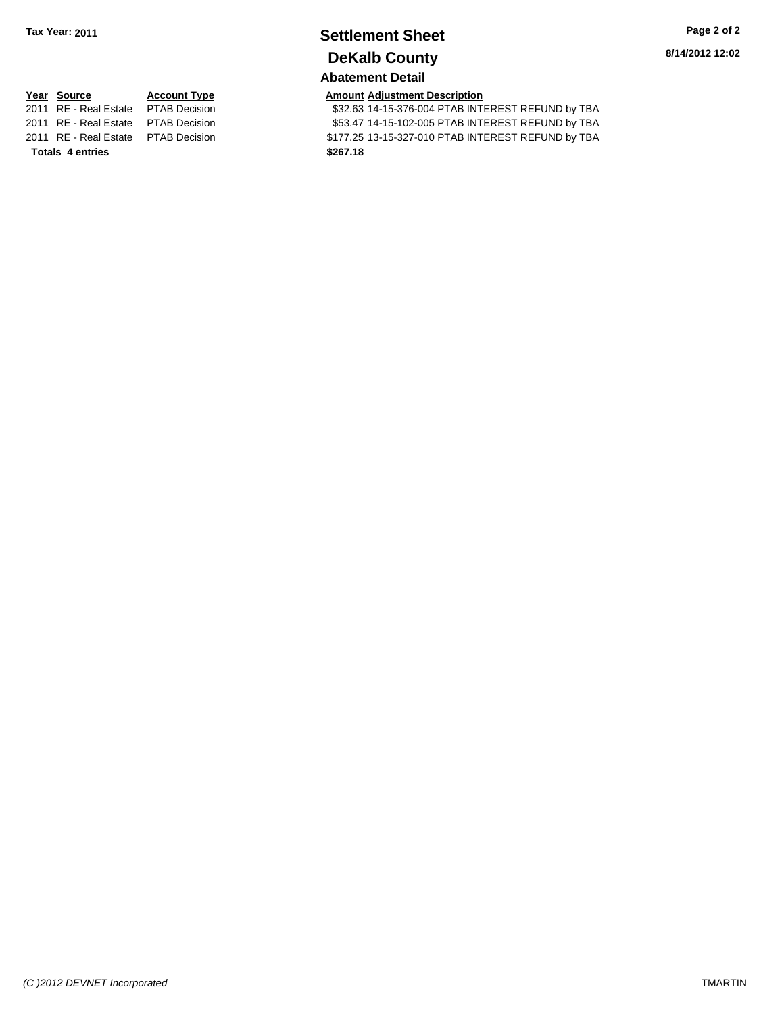## **Settlement Sheet Tax Year: 2011 Page 2 of 2 DeKalb County**

**8/14/2012 12:02**

## **Abatement Detail**

\$32.63 14-15-376-004 PTAB INTEREST REFUND by TBA 2011 RE - Real Estate \$53.47 14-15-102-005 PTAB INTEREST REFUND by TBA PTAB Decision 2011 RE - Real Estate \$177.25 13-15-327-010 PTAB INTEREST REFUND by TBA PTAB Decision

# **<u>Year Source</u> <b>Account Type Amount Adjustment Description**<br>2011 RE - Real Estate PTAB Decision **AMOUNT \$32.63 14-15-376-004 PTAB INT**

**Totals \$267.18 4 entries**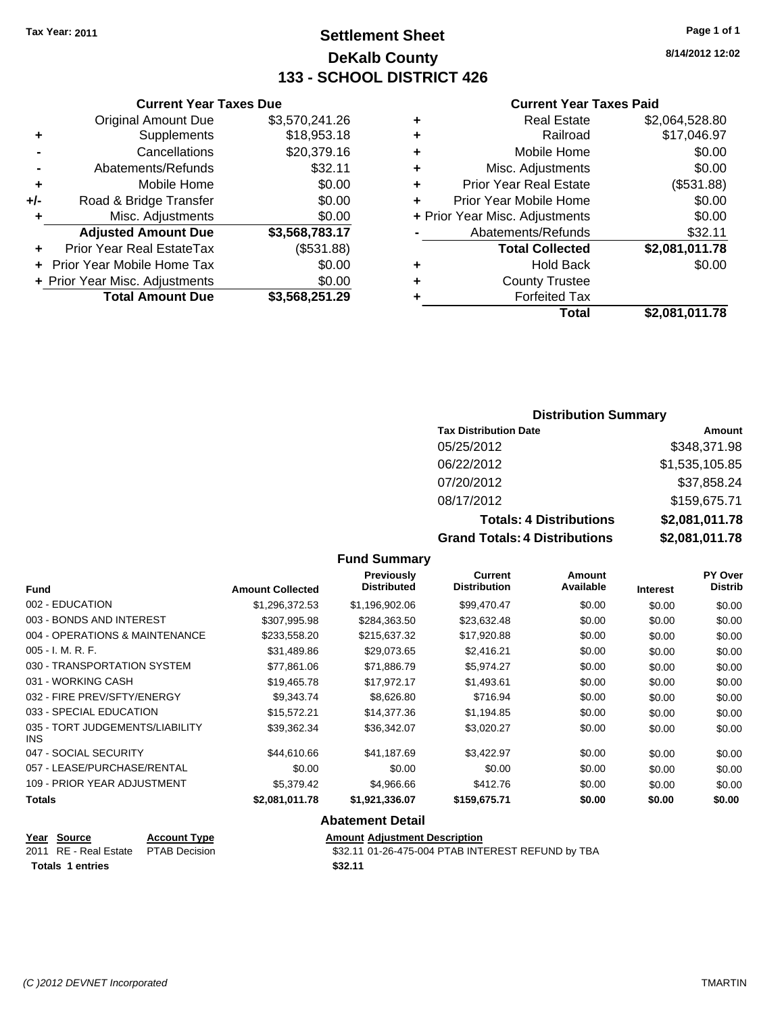## **Settlement Sheet Tax Year: 2011 Page 1 of 1 DeKalb County 133 - SCHOOL DISTRICT 426**

**8/14/2012 12:02**

#### **Current Year Taxes Paid**

| ٠ | Real Estate                    | \$2,064,528.80 |
|---|--------------------------------|----------------|
| ٠ | Railroad                       | \$17,046.97    |
| ٠ | Mobile Home                    | \$0.00         |
| ٠ | Misc. Adjustments              | \$0.00         |
| ÷ | <b>Prior Year Real Estate</b>  | (\$531.88)     |
| ٠ | Prior Year Mobile Home         | \$0.00         |
|   | + Prior Year Misc. Adjustments | \$0.00         |
|   | Abatements/Refunds             | \$32.11        |
|   | <b>Total Collected</b>         | \$2,081,011.78 |
| ٠ | Hold Back                      | \$0.00         |
| ٠ | <b>County Trustee</b>          |                |
|   | <b>Forfeited Tax</b>           |                |
|   | Total                          | \$2,081,011.78 |

## **Current Year Taxes Due** Original Amount Due \$3,570,241.26 **+** Supplements \$18,953.18 **-** Cancellations \$20,379.16 **-** Abatements/Refunds \$32.11 **+** Mobile Home \$0.00 **+/-** Road & Bridge Transfer \$0.00 **+** Misc. Adjustments \$0.00 **Adjusted Amount Due \$3,568,783.17 +** Prior Year Real EstateTax (\$531.88) **+** Prior Year Mobile Home Tax \$0.00 **+ Prior Year Misc. Adjustments**  $$0.00$

**Total Amount Due \$3,568,251.29**

## **Distribution Summary**

| <b>Tax Distribution Date</b>   | Amount               |  |  |
|--------------------------------|----------------------|--|--|
| 05/25/2012                     | \$348,371.98         |  |  |
| 06/22/2012                     | \$1,535,105.85       |  |  |
| 07/20/2012                     | \$37,858.24          |  |  |
| 08/17/2012                     | \$159,675.71         |  |  |
| <b>Totals: 4 Distributions</b> | \$2,081,011.78       |  |  |
| Crond Tatolo: 1 Diotributional | <u>ድግ ሰዐ4 ሰ44 70</u> |  |  |

**Grand Totals: 4 Distributions \$2,081,011.78**

|  | <b>Fund Summary</b> |
|--|---------------------|
|--|---------------------|

| <b>Fund</b>                                   | <b>Amount Collected</b> | <b>Previously</b><br><b>Distributed</b> | <b>Current</b><br><b>Distribution</b> | Amount<br>Available | <b>Interest</b> | <b>PY Over</b><br><b>Distrib</b> |
|-----------------------------------------------|-------------------------|-----------------------------------------|---------------------------------------|---------------------|-----------------|----------------------------------|
| 002 - EDUCATION                               | \$1,296,372.53          | \$1,196,902.06                          | \$99,470.47                           | \$0.00              | \$0.00          | \$0.00                           |
| 003 - BONDS AND INTEREST                      | \$307,995.98            | \$284,363.50                            | \$23,632.48                           | \$0.00              | \$0.00          | \$0.00                           |
| 004 - OPERATIONS & MAINTENANCE                | \$233,558.20            | \$215,637.32                            | \$17,920.88                           | \$0.00              | \$0.00          | \$0.00                           |
| $005 - I. M. R. F.$                           | \$31.489.86             | \$29.073.65                             | \$2,416.21                            | \$0.00              | \$0.00          | \$0.00                           |
| 030 - TRANSPORTATION SYSTEM                   | \$77,861.06             | \$71,886.79                             | \$5,974.27                            | \$0.00              | \$0.00          | \$0.00                           |
| 031 - WORKING CASH                            | \$19.465.78             | \$17,972.17                             | \$1,493.61                            | \$0.00              | \$0.00          | \$0.00                           |
| 032 - FIRE PREV/SFTY/ENERGY                   | \$9.343.74              | \$8,626.80                              | \$716.94                              | \$0.00              | \$0.00          | \$0.00                           |
| 033 - SPECIAL EDUCATION                       | \$15,572.21             | \$14,377.36                             | \$1,194.85                            | \$0.00              | \$0.00          | \$0.00                           |
| 035 - TORT JUDGEMENTS/LIABILITY<br><b>INS</b> | \$39.362.34             | \$36,342.07                             | \$3,020.27                            | \$0.00              | \$0.00          | \$0.00                           |
| 047 - SOCIAL SECURITY                         | \$44,610.66             | \$41,187.69                             | \$3,422.97                            | \$0.00              | \$0.00          | \$0.00                           |
| 057 - LEASE/PURCHASE/RENTAL                   | \$0.00                  | \$0.00                                  | \$0.00                                | \$0.00              | \$0.00          | \$0.00                           |
| 109 - PRIOR YEAR ADJUSTMENT                   | \$5,379.42              | \$4,966.66                              | \$412.76                              | \$0.00              | \$0.00          | \$0.00                           |
| Totals                                        | \$2,081,011.78          | \$1,921,336.07                          | \$159,675.71                          | \$0.00              | \$0.00          | \$0.00                           |
|                                               |                         | Alexandria Detail                       |                                       |                     |                 |                                  |

**Abatement Detail**

**Totals 1 entries** \$32.11

**Year Source Account Type Amount Adjustment Description** 2011 RE - Real Estate \$32.11 01-26-475-004 PTAB INTEREST REFUND by TBA PTAB Decision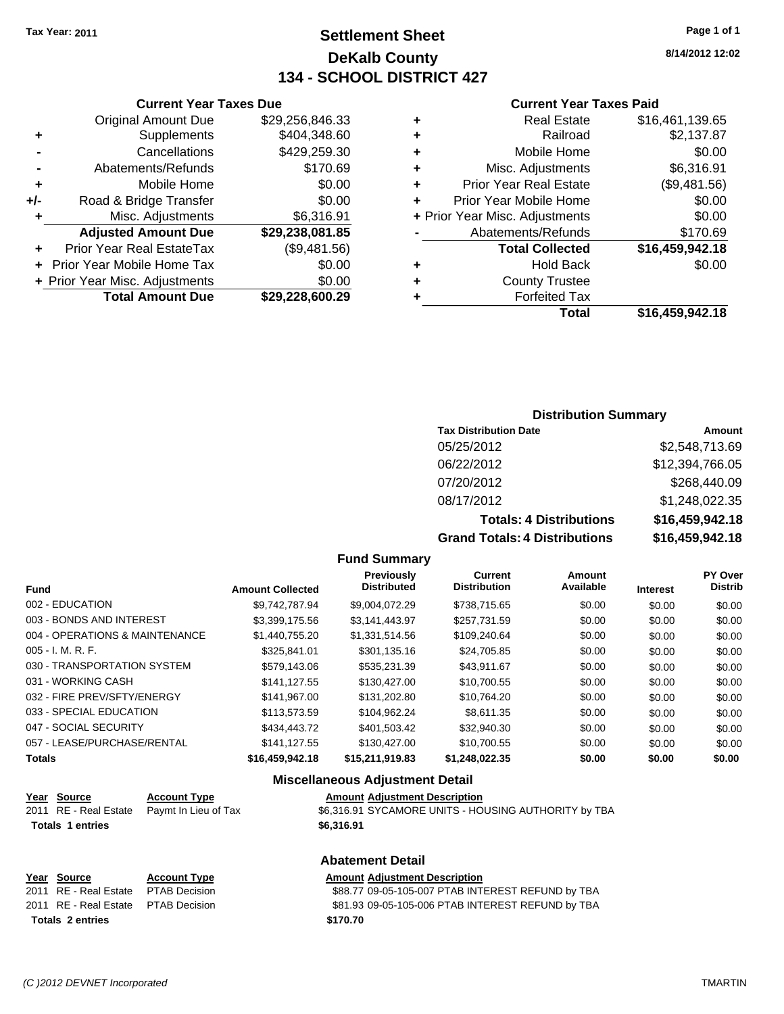## **Settlement Sheet Tax Year: 2011 Page 1 of 1 DeKalb County 134 - SCHOOL DISTRICT 427**

**8/14/2012 12:02**

#### **Current Year Taxes Paid**

|   | <b>Real Estate</b>             | \$16,461,139.65 |
|---|--------------------------------|-----------------|
| ٠ | Railroad                       | \$2,137.87      |
| ٠ | Mobile Home                    | \$0.00          |
| ٠ | Misc. Adjustments              | \$6,316.91      |
| ٠ | <b>Prior Year Real Estate</b>  | (\$9,481.56)    |
| ÷ | Prior Year Mobile Home         | \$0.00          |
|   | + Prior Year Misc. Adjustments | \$0.00          |
|   | Abatements/Refunds             | \$170.69        |
|   | <b>Total Collected</b>         | \$16,459,942.18 |
| ٠ | <b>Hold Back</b>               | \$0.00          |
| ٠ | <b>County Trustee</b>          |                 |
|   | <b>Forfeited Tax</b>           |                 |
|   | Total                          | \$16.459.942.18 |

## **Current Year Taxes Due** Original Amount Due \$29,256,846.33 **+** Supplements \$404,348.60 **-** Cancellations \$429,259.30 **-** Abatements/Refunds \$170.69 **+** Mobile Home \$0.00 **+/-** Road & Bridge Transfer \$0.00 **+** Misc. Adjustments \$6,316.91 **Adjusted Amount Due \$29,238,081.85 +** Prior Year Real EstateTax (\$9,481.56) **+** Prior Year Mobile Home Tax \$0.00

**+ Prior Year Misc. Adjustments**  $$0.00$ 

**Total Amount Due \$29,228,600.29**

#### **Distribution Summary**

| <b>Tax Distribution Date</b>   | Amount          |
|--------------------------------|-----------------|
| 05/25/2012                     | \$2,548,713.69  |
| 06/22/2012                     | \$12,394,766.05 |
| 07/20/2012                     | \$268,440.09    |
| 08/17/2012                     | \$1,248,022.35  |
| <b>Totals: 4 Distributions</b> | \$16,459,942.18 |
|                                |                 |

**Grand Totals: 4 Distributions \$16,459,942.18**

## **Fund Summary**

| <b>Fund</b>                    | <b>Amount Collected</b> | Previously<br><b>Distributed</b> | <b>Current</b><br><b>Distribution</b> | <b>Amount</b><br>Available | <b>Interest</b> | PY Over<br><b>Distrib</b> |
|--------------------------------|-------------------------|----------------------------------|---------------------------------------|----------------------------|-----------------|---------------------------|
| 002 - EDUCATION                | \$9.742.787.94          | \$9,004,072.29                   | \$738.715.65                          | \$0.00                     | \$0.00          | \$0.00                    |
| 003 - BONDS AND INTEREST       | \$3.399.175.56          | \$3.141.443.97                   | \$257.731.59                          | \$0.00                     | \$0.00          | \$0.00                    |
| 004 - OPERATIONS & MAINTENANCE | \$1,440,755.20          | \$1,331,514.56                   | \$109,240.64                          | \$0.00                     | \$0.00          | \$0.00                    |
| 005 - I. M. R. F.              | \$325.841.01            | \$301.135.16                     | \$24.705.85                           | \$0.00                     | \$0.00          | \$0.00                    |
| 030 - TRANSPORTATION SYSTEM    | \$579,143.06            | \$535.231.39                     | \$43.911.67                           | \$0.00                     | \$0.00          | \$0.00                    |
| 031 - WORKING CASH             | \$141.127.55            | \$130,427,00                     | \$10.700.55                           | \$0.00                     | \$0.00          | \$0.00                    |
| 032 - FIRE PREV/SFTY/ENERGY    | \$141,967,00            | \$131.202.80                     | \$10.764.20                           | \$0.00                     | \$0.00          | \$0.00                    |
| 033 - SPECIAL EDUCATION        | \$113,573,59            | \$104.962.24                     | \$8.611.35                            | \$0.00                     | \$0.00          | \$0.00                    |
| 047 - SOCIAL SECURITY          | \$434,443.72            | \$401.503.42                     | \$32,940.30                           | \$0.00                     | \$0.00          | \$0.00                    |
| 057 - LEASE/PURCHASE/RENTAL    | \$141.127.55            | \$130,427,00                     | \$10.700.55                           | \$0.00                     | \$0.00          | \$0.00                    |
| Totals                         | \$16,459,942.18         | \$15,211,919.83                  | \$1,248,022.35                        | \$0.00                     | \$0.00          | \$0.00                    |

## **Miscellaneous Adjustment Detail**

| Year Source             | <b>Account Type</b>                         | <b>Amount Adjustment Description</b>                 |
|-------------------------|---------------------------------------------|------------------------------------------------------|
|                         | 2011 RE - Real Estate  Paymt In Lieu of Tax | \$6,316.91 SYCAMORE UNITS - HOUSING AUTHORITY by TBA |
| <b>Totals 1 entries</b> |                                             | \$6,316,91                                           |

## **Abatement Detail**

#### **Year Source Account Type Amount Adjustment Description**

2011 RE - Real Estate \$88.77 09-05-105-007 PTAB INTEREST REFUND by TBA PTAB Decision 2011 RE - Real Estate \$81.93 09-05-105-006 PTAB INTEREST REFUND by TBA PTAB Decision **Totals \$170.70 2 entries**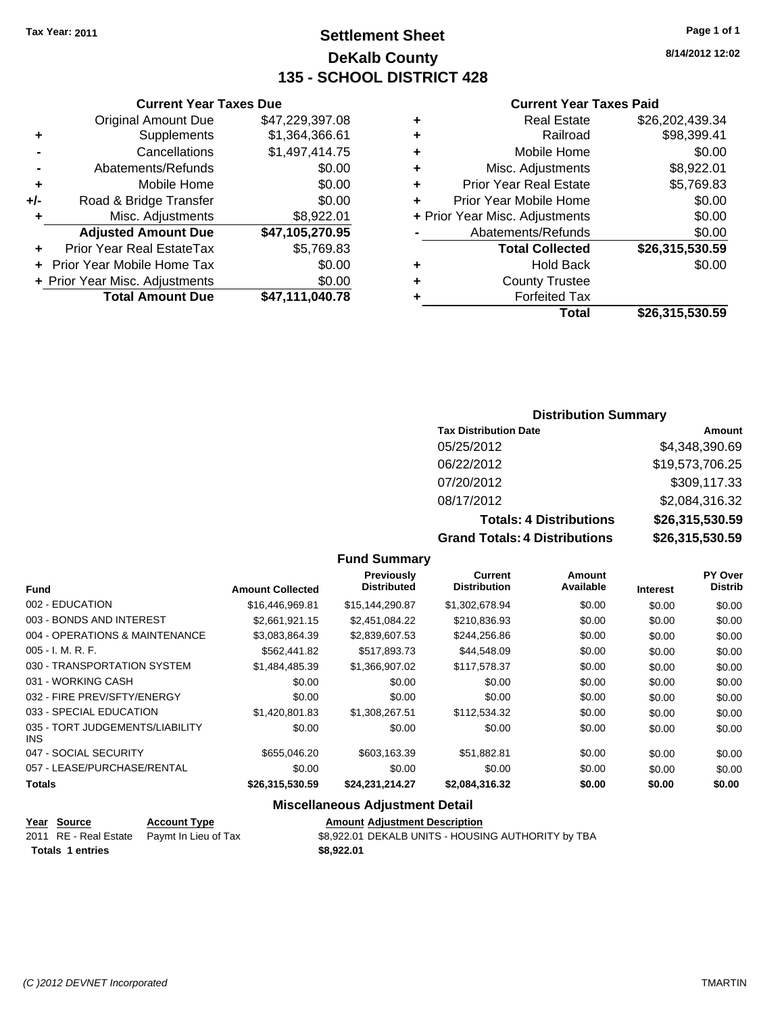## **Settlement Sheet Tax Year: 2011 Page 1 of 1 DeKalb County 135 - SCHOOL DISTRICT 428**

**8/14/2012 12:02**

## **Current Year Taxes Paid**

| ٠ | <b>Real Estate</b>             | \$26,202,439.34 |
|---|--------------------------------|-----------------|
| ٠ | Railroad                       | \$98,399.41     |
| ٠ | Mobile Home                    | \$0.00          |
| ٠ | Misc. Adjustments              | \$8,922.01      |
| ÷ | <b>Prior Year Real Estate</b>  | \$5,769.83      |
| ÷ | Prior Year Mobile Home         | \$0.00          |
|   | + Prior Year Misc. Adjustments | \$0.00          |
|   | Abatements/Refunds             | \$0.00          |
|   | <b>Total Collected</b>         | \$26,315,530.59 |
| ٠ | <b>Hold Back</b>               | \$0.00          |
|   | <b>County Trustee</b>          |                 |
|   | <b>Forfeited Tax</b>           |                 |
|   | Total                          | \$26.315.530.59 |

|     | <b>Current Year Taxes Due</b>    |                 |  |  |  |
|-----|----------------------------------|-----------------|--|--|--|
|     | <b>Original Amount Due</b>       | \$47,229,397.08 |  |  |  |
| ٠   | Supplements                      | \$1,364,366.61  |  |  |  |
|     | Cancellations                    | \$1,497,414.75  |  |  |  |
|     | Abatements/Refunds               | \$0.00          |  |  |  |
| ٠   | Mobile Home                      | \$0.00          |  |  |  |
| +/- | Road & Bridge Transfer           | \$0.00          |  |  |  |
| ٠   | Misc. Adjustments                | \$8,922.01      |  |  |  |
|     | <b>Adjusted Amount Due</b>       | \$47,105,270.95 |  |  |  |
|     | <b>Prior Year Real EstateTax</b> | \$5,769.83      |  |  |  |
|     | Prior Year Mobile Home Tax       | \$0.00          |  |  |  |
|     | + Prior Year Misc. Adjustments   | \$0.00          |  |  |  |
|     | <b>Total Amount Due</b>          | \$47,111,040.78 |  |  |  |

## **Distribution Summary**

| <b>Tax Distribution Date</b>   | Amount          |
|--------------------------------|-----------------|
| 05/25/2012                     | \$4,348,390.69  |
| 06/22/2012                     | \$19,573,706.25 |
| 07/20/2012                     | \$309,117.33    |
| 08/17/2012                     | \$2,084,316.32  |
| <b>Totals: 4 Distributions</b> | \$26,315,530.59 |
|                                |                 |

**Grand Totals: 4 Distributions \$26,315,530.59**

| <b>Fund</b>                             | <b>Amount Collected</b> | <b>Previously</b><br><b>Distributed</b> | <b>Current</b><br><b>Distribution</b> | Amount<br>Available | <b>Interest</b> | <b>PY Over</b><br><b>Distrib</b> |
|-----------------------------------------|-------------------------|-----------------------------------------|---------------------------------------|---------------------|-----------------|----------------------------------|
| 002 - EDUCATION                         | \$16,446,969.81         | \$15,144,290.87                         | \$1,302,678.94                        | \$0.00              | \$0.00          | \$0.00                           |
| 003 - BONDS AND INTEREST                | \$2.661.921.15          | \$2.451.084.22                          | \$210.836.93                          | \$0.00              | \$0.00          | \$0.00                           |
| 004 - OPERATIONS & MAINTENANCE          | \$3.083.864.39          | \$2,839,607.53                          | \$244.256.86                          | \$0.00              | \$0.00          | \$0.00                           |
| $005 - I. M. R. F.$                     | \$562,441.82            | \$517.893.73                            | \$44,548.09                           | \$0.00              | \$0.00          | \$0.00                           |
| 030 - TRANSPORTATION SYSTEM             | \$1.484.485.39          | \$1,366,907.02                          | \$117,578.37                          | \$0.00              | \$0.00          | \$0.00                           |
| 031 - WORKING CASH                      | \$0.00                  | \$0.00                                  | \$0.00                                | \$0.00              | \$0.00          | \$0.00                           |
| 032 - FIRE PREV/SFTY/ENERGY             | \$0.00                  | \$0.00                                  | \$0.00                                | \$0.00              | \$0.00          | \$0.00                           |
| 033 - SPECIAL EDUCATION                 | \$1.420,801.83          | \$1,308,267.51                          | \$112,534,32                          | \$0.00              | \$0.00          | \$0.00                           |
| 035 - TORT JUDGEMENTS/LIABILITY<br>INS. | \$0.00                  | \$0.00                                  | \$0.00                                | \$0.00              | \$0.00          | \$0.00                           |
| 047 - SOCIAL SECURITY                   | \$655,046.20            | \$603.163.39                            | \$51,882.81                           | \$0.00              | \$0.00          | \$0.00                           |
| 057 - LEASE/PURCHASE/RENTAL             | \$0.00                  | \$0.00                                  | \$0.00                                | \$0.00              | \$0.00          | \$0.00                           |
| <b>Totals</b>                           | \$26,315,530.59         | \$24,231,214.27                         | \$2,084,316.32                        | \$0.00              | \$0.00          | \$0.00                           |
|                                         |                         | Missellanesse Adioatorent Batall        |                                       |                     |                 |                                  |

**Fund Summary**

## **Miscellaneous Adjustment Detail**

| Year Source             | <b>Account Type</b>                        | <b>Amount Adjustment Description</b>               |
|-------------------------|--------------------------------------------|----------------------------------------------------|
|                         | 2011 RE - Real Estate Paymt In Lieu of Tax | \$8,922.01 DEKALB UNITS - HOUSING AUTHORITY by TBA |
| <b>Totals 1 entries</b> |                                            | \$8,922,01                                         |
|                         |                                            |                                                    |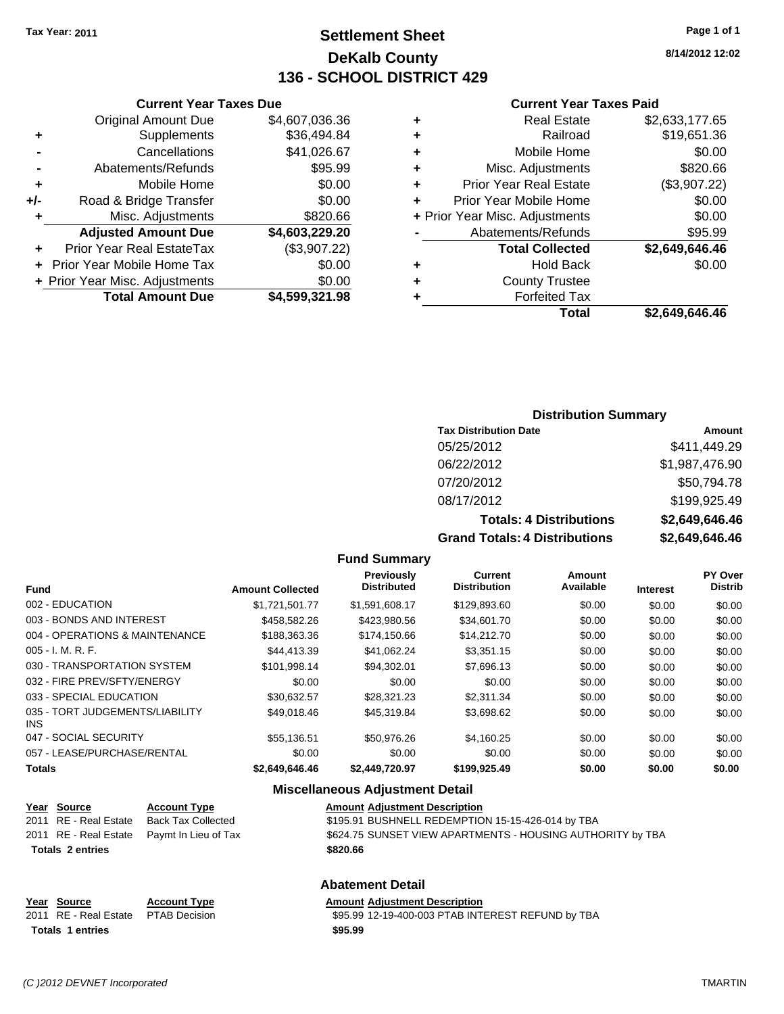## **Settlement Sheet Tax Year: 2011 Page 1 of 1 DeKalb County 136 - SCHOOL DISTRICT 429**

**8/14/2012 12:02**

#### **Current Year Taxes Paid**

|   | <b>Real Estate</b>             | \$2,633,177.65 |
|---|--------------------------------|----------------|
| ٠ | Railroad                       | \$19,651.36    |
| ٠ | Mobile Home                    | \$0.00         |
| ٠ | Misc. Adjustments              | \$820.66       |
| ٠ | <b>Prior Year Real Estate</b>  | (\$3,907.22)   |
| ÷ | Prior Year Mobile Home         | \$0.00         |
|   | + Prior Year Misc. Adjustments | \$0.00         |
|   | Abatements/Refunds             | \$95.99        |
|   | <b>Total Collected</b>         | \$2,649,646.46 |
| ٠ | <b>Hold Back</b>               | \$0.00         |
| ٠ | <b>County Trustee</b>          |                |
|   | <b>Forfeited Tax</b>           |                |
|   | Total                          | \$2.649.646.46 |

## **Current Year Taxes Due** Original Amount Due \$4,607,036.36 **+** Supplements \$36,494.84 **-** Cancellations \$41,026.67 **-** Abatements/Refunds \$95.99 **+** Mobile Home \$0.00 **+/-** Road & Bridge Transfer \$0.00 **+** Misc. Adjustments \$820.66 **Adjusted Amount Due \$4,603,229.20 +** Prior Year Real EstateTax (\$3,907.22) **+** Prior Year Mobile Home Tax \$0.00 **+ Prior Year Misc. Adjustments**  $$0.00$ **Total Amount Due \$4,599,321.98**

#### **Distribution Summary**

| <b>Tax Distribution Date</b>                                                                                                                                                                                                   | Amount         |
|--------------------------------------------------------------------------------------------------------------------------------------------------------------------------------------------------------------------------------|----------------|
| 05/25/2012                                                                                                                                                                                                                     | \$411,449.29   |
| 06/22/2012                                                                                                                                                                                                                     | \$1,987,476.90 |
| 07/20/2012                                                                                                                                                                                                                     | \$50,794.78    |
| 08/17/2012                                                                                                                                                                                                                     | \$199,925.49   |
| <b>Totals: 4 Distributions</b>                                                                                                                                                                                                 | \$2,649,646.46 |
| Associated the different product of the second property of the second property of the second property of the second property of the second property of the second property of the second property of the second property of th | 00 010 010 10  |

**Grand Totals: 4 Distributions \$2,649,646.46**

#### **Fund Summary**

| <b>Fund</b>                             | <b>Amount Collected</b> | <b>Previously</b><br><b>Distributed</b> | <b>Current</b><br><b>Distribution</b> | Amount<br>Available | <b>Interest</b> | PY Over<br><b>Distrib</b> |
|-----------------------------------------|-------------------------|-----------------------------------------|---------------------------------------|---------------------|-----------------|---------------------------|
| 002 - EDUCATION                         | \$1,721,501.77          | \$1,591,608.17                          | \$129,893.60                          | \$0.00              | \$0.00          | \$0.00                    |
| 003 - BONDS AND INTEREST                | \$458,582.26            | \$423,980.56                            | \$34,601.70                           | \$0.00              | \$0.00          | \$0.00                    |
| 004 - OPERATIONS & MAINTENANCE          | \$188,363.36            | \$174.150.66                            | \$14,212.70                           | \$0.00              | \$0.00          | \$0.00                    |
| 005 - I. M. R. F.                       | \$44,413.39             | \$41,062.24                             | \$3,351.15                            | \$0.00              | \$0.00          | \$0.00                    |
| 030 - TRANSPORTATION SYSTEM             | \$101,998.14            | \$94,302.01                             | \$7,696.13                            | \$0.00              | \$0.00          | \$0.00                    |
| 032 - FIRE PREV/SFTY/ENERGY             | \$0.00                  | \$0.00                                  | \$0.00                                | \$0.00              | \$0.00          | \$0.00                    |
| 033 - SPECIAL EDUCATION                 | \$30.632.57             | \$28,321.23                             | \$2.311.34                            | \$0.00              | \$0.00          | \$0.00                    |
| 035 - TORT JUDGEMENTS/LIABILITY<br>INS. | \$49,018.46             | \$45,319.84                             | \$3,698.62                            | \$0.00              | \$0.00          | \$0.00                    |
| 047 - SOCIAL SECURITY                   | \$55,136.51             | \$50,976.26                             | \$4,160.25                            | \$0.00              | \$0.00          | \$0.00                    |
| 057 - LEASE/PURCHASE/RENTAL             | \$0.00                  | \$0.00                                  | \$0.00                                | \$0.00              | \$0.00          | \$0.00                    |
| <b>Totals</b>                           | \$2,649,646.46          | \$2,449,720.97                          | \$199,925.49                          | \$0.00              | \$0.00          | \$0.00                    |

#### **Miscellaneous Adjustment Detail**

| Year Source             | <b>Account Type</b>                        | <b>Amount Adjustment Description</b>                       |
|-------------------------|--------------------------------------------|------------------------------------------------------------|
| 2011 RE - Real Estate   | Back Tax Collected                         | \$195.91 BUSHNELL REDEMPTION 15-15-426-014 by TBA          |
|                         | 2011 RE - Real Estate Paymt In Lieu of Tax | \$624.75 SUNSET VIEW APARTMENTS - HOUSING AUTHORITY by TBA |
| <b>Totals 2 entries</b> |                                            | \$820.66                                                   |
|                         |                                            |                                                            |
|                         |                                            |                                                            |

#### **Abatement Detail**

## **Year Source Account Type Amount Adjustment Description Totals \$95.99 1 entries**

\$95.99 12-19-400-003 PTAB INTEREST REFUND by TBA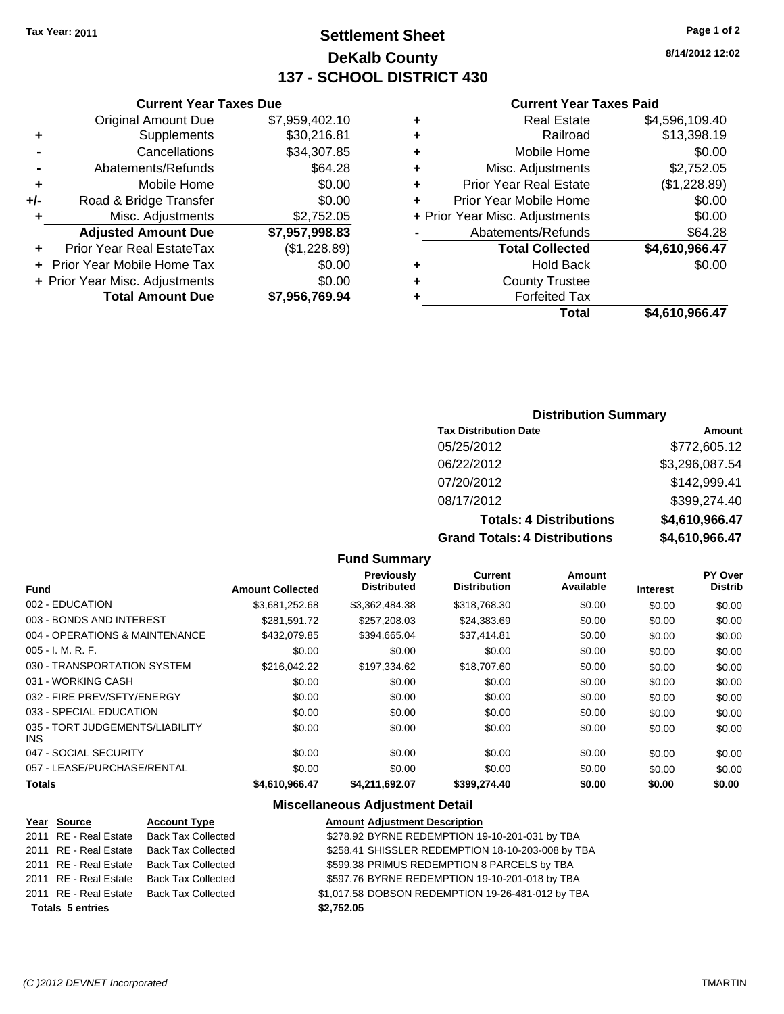## **Settlement Sheet Tax Year: 2011 Page 1 of 2 DeKalb County 137 - SCHOOL DISTRICT 430**

**8/14/2012 12:02**

#### **Current Year Taxes Paid**

| ٠ | <b>Real Estate</b>             | \$4,596,109.40 |
|---|--------------------------------|----------------|
|   | Railroad                       | \$13,398.19    |
| ٠ | Mobile Home                    | \$0.00         |
| ٠ | Misc. Adjustments              | \$2,752.05     |
| ٠ | <b>Prior Year Real Estate</b>  | (\$1,228.89)   |
|   | Prior Year Mobile Home         | \$0.00         |
|   | + Prior Year Misc. Adjustments | \$0.00         |
|   | Abatements/Refunds             | \$64.28        |
|   | <b>Total Collected</b>         | \$4,610,966.47 |
| ٠ | <b>Hold Back</b>               | \$0.00         |
| ÷ | <b>County Trustee</b>          |                |
|   | <b>Forfeited Tax</b>           |                |
|   | Total                          | \$4.610.966.47 |

## **Current Year Taxes Due** Original Amount Due \$7,959,402.10 **+** Supplements \$30,216.81 **-** Cancellations \$34,307.85 **-** Abatements/Refunds \$64.28 **+** Mobile Home \$0.00 **+/-** Road & Bridge Transfer \$0.00 **+** Misc. Adjustments \$2,752.05 **Adjusted Amount Due \$7,957,998.83 +** Prior Year Real EstateTax (\$1,228.89)

| <b>Total Amount Due</b>        | \$7,956,769.94 |
|--------------------------------|----------------|
| + Prior Year Misc. Adjustments | \$0.00         |
| + Prior Year Mobile Home Tax   | \$0.00         |

## **Distribution Summary**

| <b>Tax Distribution Date</b>   | Amount             |
|--------------------------------|--------------------|
| 05/25/2012                     | \$772,605.12       |
| 06/22/2012                     | \$3,296,087.54     |
| 07/20/2012                     | \$142,999.41       |
| 08/17/2012                     | \$399,274.40       |
| <b>Totals: 4 Distributions</b> | \$4,610,966.47     |
| _____________                  | 818 888 1 <b>9</b> |

**Grand Totals: 4 Distributions \$4,610,966.47**

## **Fund Summary**

|                                               |                         | Previously         | Current             | Amount    |                 | PY Over        |
|-----------------------------------------------|-------------------------|--------------------|---------------------|-----------|-----------------|----------------|
| <b>Fund</b>                                   | <b>Amount Collected</b> | <b>Distributed</b> | <b>Distribution</b> | Available | <b>Interest</b> | <b>Distrib</b> |
| 002 - EDUCATION                               | \$3,681,252.68          | \$3,362,484.38     | \$318,768.30        | \$0.00    | \$0.00          | \$0.00         |
| 003 - BONDS AND INTEREST                      | \$281.591.72            | \$257,208.03       | \$24,383.69         | \$0.00    | \$0.00          | \$0.00         |
| 004 - OPERATIONS & MAINTENANCE                | \$432.079.85            | \$394.665.04       | \$37,414.81         | \$0.00    | \$0.00          | \$0.00         |
| $005 - I. M. R. F.$                           | \$0.00                  | \$0.00             | \$0.00              | \$0.00    | \$0.00          | \$0.00         |
| 030 - TRANSPORTATION SYSTEM                   | \$216.042.22            | \$197.334.62       | \$18,707.60         | \$0.00    | \$0.00          | \$0.00         |
| 031 - WORKING CASH                            | \$0.00                  | \$0.00             | \$0.00              | \$0.00    | \$0.00          | \$0.00         |
| 032 - FIRE PREV/SFTY/ENERGY                   | \$0.00                  | \$0.00             | \$0.00              | \$0.00    | \$0.00          | \$0.00         |
| 033 - SPECIAL EDUCATION                       | \$0.00                  | \$0.00             | \$0.00              | \$0.00    | \$0.00          | \$0.00         |
| 035 - TORT JUDGEMENTS/LIABILITY<br><b>INS</b> | \$0.00                  | \$0.00             | \$0.00              | \$0.00    | \$0.00          | \$0.00         |
| 047 - SOCIAL SECURITY                         | \$0.00                  | \$0.00             | \$0.00              | \$0.00    | \$0.00          | \$0.00         |
| 057 - LEASE/PURCHASE/RENTAL                   | \$0.00                  | \$0.00             | \$0.00              | \$0.00    | \$0.00          | \$0.00         |
| <b>Totals</b>                                 | \$4,610,966.47          | \$4,211,692.07     | \$399,274.40        | \$0.00    | \$0.00          | \$0.00         |

#### **Miscellaneous Adjustment Detail**

| Year Source             | <b>Account Type</b>       | <b>Amount Adjustment Description</b>              |
|-------------------------|---------------------------|---------------------------------------------------|
| 2011 RE - Real Estate   | <b>Back Tax Collected</b> | \$278.92 BYRNE REDEMPTION 19-10-201-031 by TBA    |
| 2011 RE - Real Estate   | <b>Back Tax Collected</b> | \$258.41 SHISSLER REDEMPTION 18-10-203-008 by TBA |
| 2011 RE - Real Estate   | <b>Back Tax Collected</b> | \$599.38 PRIMUS REDEMPTION 8 PARCELS by TBA       |
| 2011 RE - Real Estate   | <b>Back Tax Collected</b> | \$597.76 BYRNE REDEMPTION 19-10-201-018 by TBA    |
| 2011 RE - Real Estate   | Back Tax Collected        | \$1,017.58 DOBSON REDEMPTION 19-26-481-012 by TBA |
| <b>Totals 5 entries</b> |                           | \$2,752.05                                        |
|                         |                           |                                                   |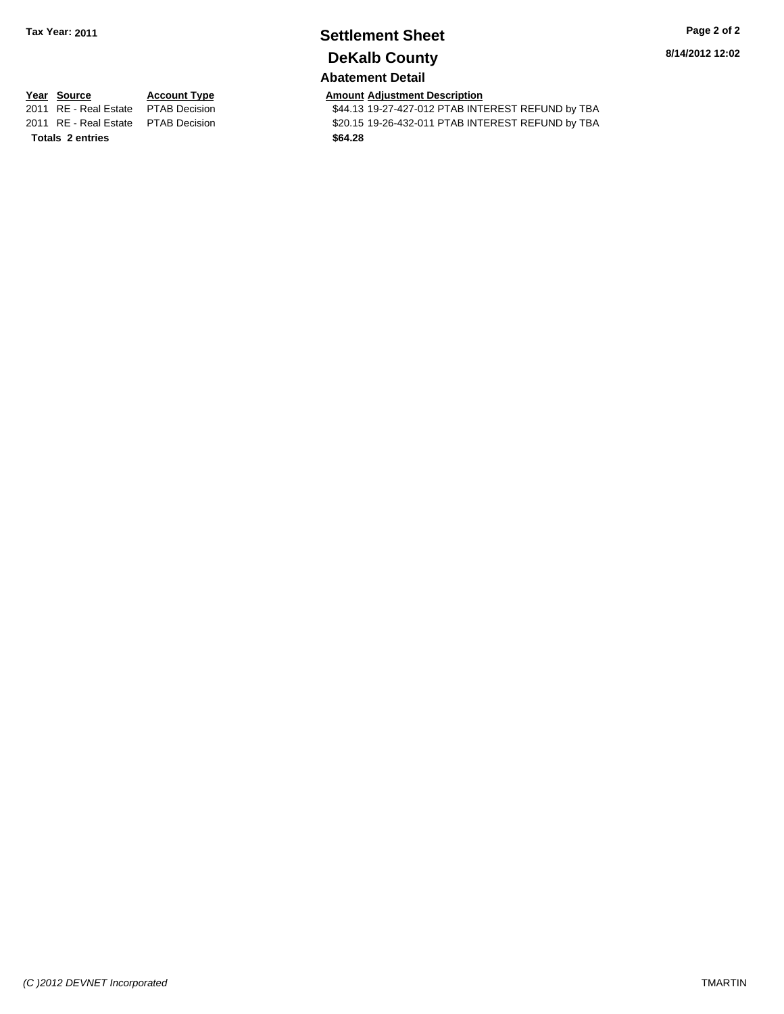## **Settlement Sheet Tax Year: 2011 Page 2 of 2 DeKalb County**

**8/14/2012 12:02**

## **Abatement Detail**

**Totals \$64.28 2 entries**

**Year Source Account Type Amount Adjustment Description**<br>
2011 RE - Real Estate PTAB Decision **AMOUNT S44.13** 19-27-427-012 PTAB INTI \$44.13 19-27-427-012 PTAB INTEREST REFUND by TBA 2011 RE - Real Estate \$20.15 19-26-432-011 PTAB INTEREST REFUND by TBA PTAB Decision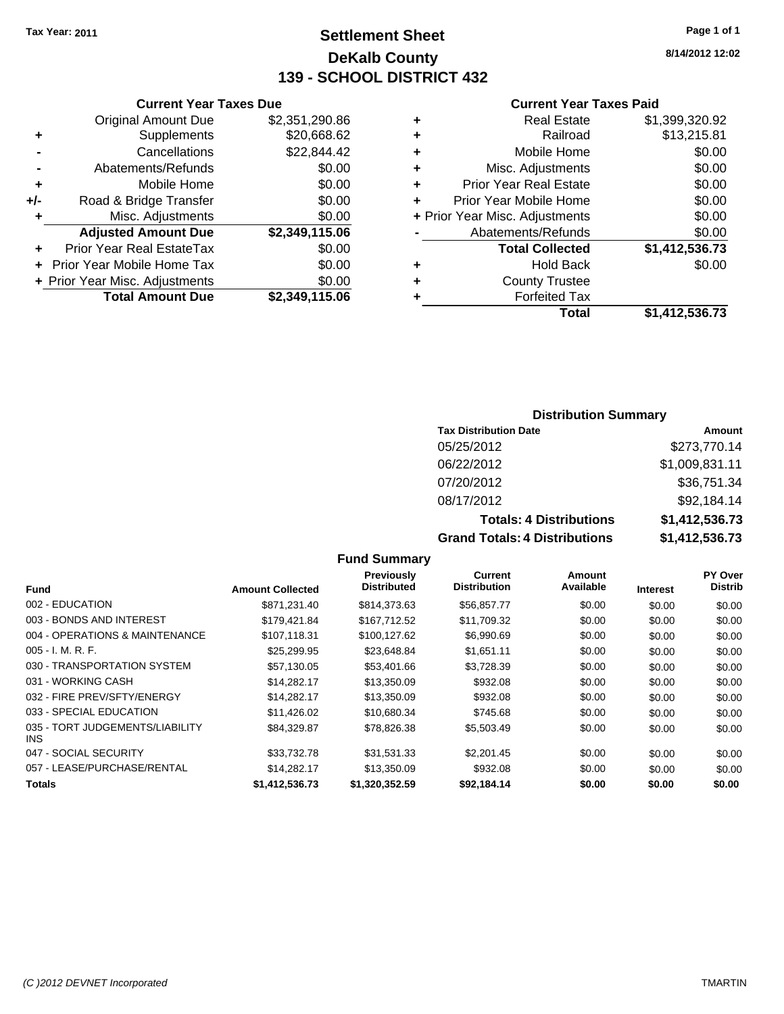## **Settlement Sheet Tax Year: 2011 Page 1 of 1 DeKalb County 139 - SCHOOL DISTRICT 432**

**8/14/2012 12:02**

#### **Current Year Taxes Paid**

| <b>Curren</b>            |   | <b>Current Year Taxes Due</b> |                                |       |
|--------------------------|---|-------------------------------|--------------------------------|-------|
| Real                     | ٠ | \$2,351,290.86                | <b>Original Amount Due</b>     |       |
| R                        | ٠ | \$20,668.62                   | Supplements                    | ٠     |
| Mobile                   | ٠ | \$22,844.42                   | Cancellations                  |       |
| Misc. Adjus              | ٠ | \$0.00                        | Abatements/Refunds             |       |
| Prior Year Real          | ÷ | \$0.00                        | Mobile Home                    | ٠     |
| <b>Prior Year Mobile</b> |   | \$0.00                        | Road & Bridge Transfer         | $+/-$ |
| + Prior Year Misc. Adjus |   | \$0.00                        | Misc. Adjustments              | ٠     |
| Abatements/R             |   | \$2,349,115.06                | <b>Adjusted Amount Due</b>     |       |
| <b>Total Col</b>         |   | \$0.00                        | Prior Year Real EstateTax      |       |
| Hol                      | ٠ | \$0.00                        | + Prior Year Mobile Home Tax   |       |
| County T                 | ٠ | \$0.00                        | + Prior Year Misc. Adjustments |       |
| Forfeit                  |   | \$2,349,115.06                | <b>Total Amount Due</b>        |       |
|                          |   |                               |                                |       |

|   | <b>Real Estate</b>             | \$1,399,320.92 |
|---|--------------------------------|----------------|
| ٠ | Railroad                       | \$13,215.81    |
| ٠ | Mobile Home                    | \$0.00         |
| ٠ | Misc. Adjustments              | \$0.00         |
| ٠ | <b>Prior Year Real Estate</b>  | \$0.00         |
|   | Prior Year Mobile Home         | \$0.00         |
|   | + Prior Year Misc. Adjustments | \$0.00         |
|   | Abatements/Refunds             | \$0.00         |
|   | <b>Total Collected</b>         | \$1,412,536.73 |
| ٠ | <b>Hold Back</b>               | \$0.00         |
| ٠ | <b>County Trustee</b>          |                |
|   | <b>Forfeited Tax</b>           |                |
|   | Total                          | \$1,412,536.73 |

## **Distribution Summary**

| <b>Tax Distribution Date</b>         | Amount         |
|--------------------------------------|----------------|
| 05/25/2012                           | \$273,770.14   |
| 06/22/2012                           | \$1,009,831.11 |
| 07/20/2012                           | \$36,751.34    |
| 08/17/2012                           | \$92,184.14    |
| <b>Totals: 4 Distributions</b>       | \$1,412,536.73 |
| <b>Grand Totals: 4 Distributions</b> | \$1,412,536.73 |

|                                               |                         | Previously         | Current             | Amount    |                 | PY Over        |
|-----------------------------------------------|-------------------------|--------------------|---------------------|-----------|-----------------|----------------|
| <b>Fund</b>                                   | <b>Amount Collected</b> | <b>Distributed</b> | <b>Distribution</b> | Available | <b>Interest</b> | <b>Distrib</b> |
| 002 - EDUCATION                               | \$871.231.40            | \$814,373.63       | \$56,857.77         | \$0.00    | \$0.00          | \$0.00         |
| 003 - BONDS AND INTEREST                      | \$179,421.84            | \$167,712.52       | \$11,709.32         | \$0.00    | \$0.00          | \$0.00         |
| 004 - OPERATIONS & MAINTENANCE                | \$107.118.31            | \$100.127.62       | \$6,990.69          | \$0.00    | \$0.00          | \$0.00         |
| $005 - I. M. R. F.$                           | \$25,299.95             | \$23,648.84        | \$1,651.11          | \$0.00    | \$0.00          | \$0.00         |
| 030 - TRANSPORTATION SYSTEM                   | \$57,130.05             | \$53,401.66        | \$3,728.39          | \$0.00    | \$0.00          | \$0.00         |
| 031 - WORKING CASH                            | \$14.282.17             | \$13,350.09        | \$932.08            | \$0.00    | \$0.00          | \$0.00         |
| 032 - FIRE PREV/SFTY/ENERGY                   | \$14,282.17             | \$13,350.09        | \$932.08            | \$0.00    | \$0.00          | \$0.00         |
| 033 - SPECIAL EDUCATION                       | \$11,426.02             | \$10.680.34        | \$745.68            | \$0.00    | \$0.00          | \$0.00         |
| 035 - TORT JUDGEMENTS/LIABILITY<br><b>INS</b> | \$84.329.87             | \$78,826,38        | \$5,503.49          | \$0.00    | \$0.00          | \$0.00         |
| 047 - SOCIAL SECURITY                         | \$33,732.78             | \$31,531.33        | \$2,201.45          | \$0.00    | \$0.00          | \$0.00         |
| 057 - LEASE/PURCHASE/RENTAL                   | \$14.282.17             | \$13,350.09        | \$932.08            | \$0.00    | \$0.00          | \$0.00         |
| Totals                                        | \$1,412,536.73          | \$1,320,352.59     | \$92,184.14         | \$0.00    | \$0.00          | \$0.00         |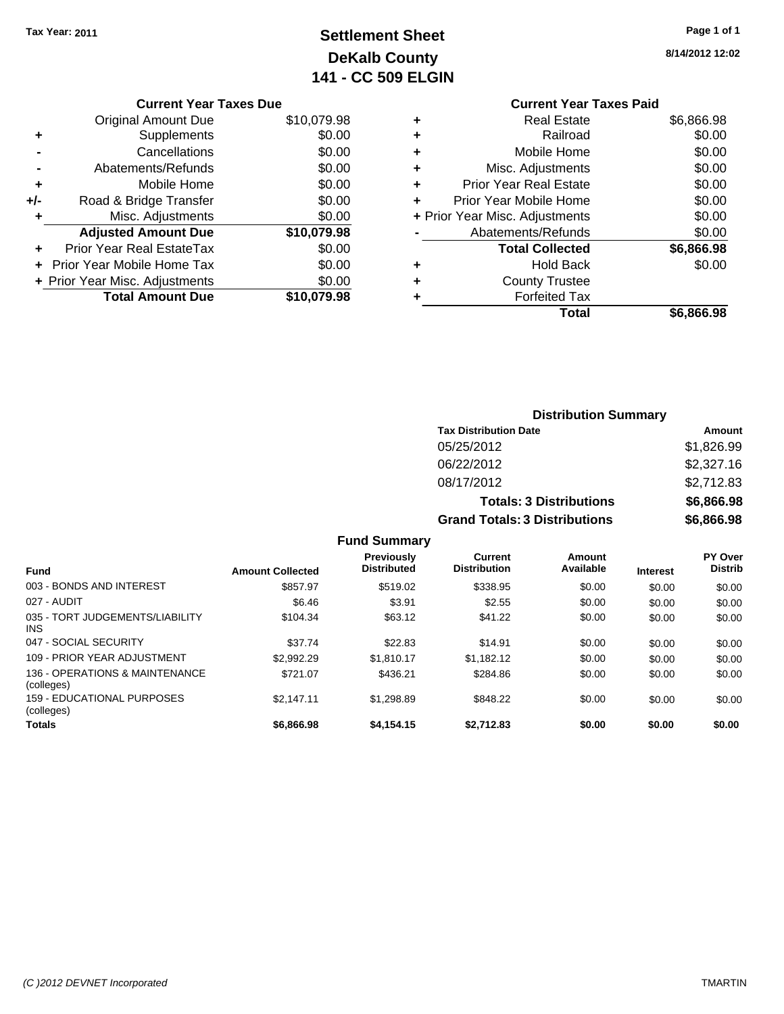## **Settlement Sheet Tax Year: 2011 Page 1 of 1 DeKalb County 141 - CC 509 ELGIN**

**8/14/2012 12:02**

| <b>Original Amount Due</b> | \$10,079.98                    |
|----------------------------|--------------------------------|
| Supplements                | \$0.00                         |
| Cancellations              | \$0.00                         |
| Abatements/Refunds         | \$0.00                         |
| Mobile Home                | \$0.00                         |
| Road & Bridge Transfer     | \$0.00                         |
| Misc. Adjustments          | \$0.00                         |
| <b>Adjusted Amount Due</b> | \$10,079.98                    |
| Prior Year Real EstateTax  | \$0.00                         |
| Prior Year Mobile Home Tax | \$0.00                         |
|                            | \$0.00                         |
| <b>Total Amount Due</b>    | \$10,079.98                    |
|                            | + Prior Year Misc. Adjustments |

## **Current Year Taxes Paid**

|   | <b>Real Estate</b>             | \$6,866.98 |
|---|--------------------------------|------------|
|   | Railroad                       | \$0.00     |
| ٠ | Mobile Home                    | \$0.00     |
| ٠ | Misc. Adjustments              | \$0.00     |
|   | <b>Prior Year Real Estate</b>  | \$0.00     |
|   | Prior Year Mobile Home         | \$0.00     |
|   | + Prior Year Misc. Adjustments | \$0.00     |
|   | Abatements/Refunds             | \$0.00     |
|   | <b>Total Collected</b>         | \$6,866.98 |
| ٠ | <b>Hold Back</b>               | \$0.00     |
| ٠ | <b>County Trustee</b>          |            |
|   | <b>Forfeited Tax</b>           |            |
|   | Total                          | \$6,866.98 |
|   |                                |            |

| <b>Distribution Summary</b>          |            |
|--------------------------------------|------------|
| <b>Tax Distribution Date</b>         | Amount     |
| 05/25/2012                           | \$1,826.99 |
| 06/22/2012                           | \$2,327.16 |
| 08/17/2012                           | \$2,712.83 |
| <b>Totals: 3 Distributions</b>       | \$6,866.98 |
| <b>Grand Totals: 3 Distributions</b> | \$6,866.98 |
| <b>Fund Summary</b>                  |            |

| <b>Fund</b>                                  | <b>Amount Collected</b> | <b>Previously</b><br><b>Distributed</b> | Current<br><b>Distribution</b> | Amount<br>Available | <b>Interest</b> | <b>PY Over</b><br><b>Distrib</b> |
|----------------------------------------------|-------------------------|-----------------------------------------|--------------------------------|---------------------|-----------------|----------------------------------|
| 003 - BONDS AND INTEREST                     | \$857.97                | \$519.02                                | \$338.95                       | \$0.00              | \$0.00          | \$0.00                           |
| 027 - AUDIT                                  | \$6.46                  | \$3.91                                  | \$2.55                         | \$0.00              | \$0.00          | \$0.00                           |
| 035 - TORT JUDGEMENTS/LIABILITY<br>INS.      | \$104.34                | \$63.12                                 | \$41.22                        | \$0.00              | \$0.00          | \$0.00                           |
| 047 - SOCIAL SECURITY                        | \$37.74                 | \$22.83                                 | \$14.91                        | \$0.00              | \$0.00          | \$0.00                           |
| 109 - PRIOR YEAR ADJUSTMENT                  | \$2,992.29              | \$1.810.17                              | \$1.182.12                     | \$0.00              | \$0.00          | \$0.00                           |
| 136 - OPERATIONS & MAINTENANCE<br>(colleges) | \$721.07                | \$436.21                                | \$284.86                       | \$0.00              | \$0.00          | \$0.00                           |
| 159 - EDUCATIONAL PURPOSES<br>(colleges)     | \$2.147.11              | \$1.298.89                              | \$848.22                       | \$0.00              | \$0.00          | \$0.00                           |
| Totals                                       | \$6,866.98              | \$4,154.15                              | \$2.712.83                     | \$0.00              | \$0.00          | \$0.00                           |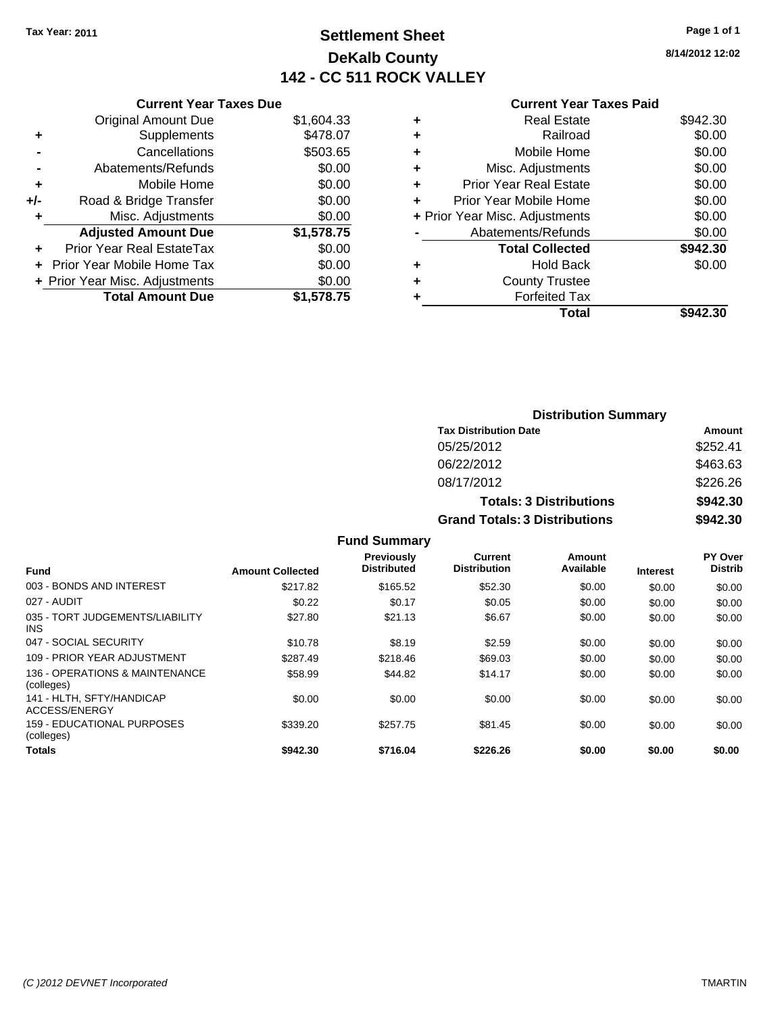## **Settlement Sheet Tax Year: 2011 Page 1 of 1 DeKalb County 142 - CC 511 ROCK VALLEY**

**8/14/2012 12:02**

#### **Current Year Taxes Paid**

|     | <b>Current Year Taxes Due</b>  |            |   |
|-----|--------------------------------|------------|---|
|     | <b>Original Amount Due</b>     | \$1,604.33 |   |
|     | Supplements                    | \$478.07   |   |
|     | Cancellations                  | \$503.65   |   |
|     | Abatements/Refunds             | \$0.00     |   |
| ٠   | Mobile Home                    | \$0.00     | ٠ |
| +/- | Road & Bridge Transfer         | \$0.00     |   |
| ٠   | Misc. Adjustments              | \$0.00     |   |
|     | <b>Adjusted Amount Due</b>     | \$1,578.75 |   |
|     | Prior Year Real EstateTax      | \$0.00     |   |
|     | Prior Year Mobile Home Tax     | \$0.00     |   |
|     | + Prior Year Misc. Adjustments | \$0.00     |   |
|     | <b>Total Amount Due</b>        | \$1,578.75 |   |
|     |                                |            |   |

| <b>Real Estate</b>             | \$942.30 |
|--------------------------------|----------|
| Railroad                       | \$0.00   |
| Mobile Home                    | \$0.00   |
| Misc. Adjustments              | \$0.00   |
| <b>Prior Year Real Estate</b>  | \$0.00   |
| Prior Year Mobile Home         | \$0.00   |
| + Prior Year Misc. Adjustments | \$0.00   |
| Abatements/Refunds             | \$0.00   |
| <b>Total Collected</b>         | \$942.30 |
| <b>Hold Back</b>               | \$0.00   |
| <b>County Trustee</b>          |          |
| <b>Forfeited Tax</b>           |          |
| Total                          | \$942.30 |
|                                |          |

|                     | <b>Distribution Summary</b>          |          |
|---------------------|--------------------------------------|----------|
|                     | <b>Tax Distribution Date</b>         | Amount   |
|                     | 05/25/2012                           | \$252.41 |
|                     | 06/22/2012                           | \$463.63 |
|                     | 08/17/2012                           | \$226.26 |
|                     | <b>Totals: 3 Distributions</b>       | \$942.30 |
|                     | <b>Grand Totals: 3 Distributions</b> | \$942.30 |
| <b>Fund Summary</b> |                                      |          |

|                                               |                         | vullillu                         |                                |                     |                 |                                  |
|-----------------------------------------------|-------------------------|----------------------------------|--------------------------------|---------------------|-----------------|----------------------------------|
| <b>Fund</b>                                   | <b>Amount Collected</b> | Previously<br><b>Distributed</b> | Current<br><b>Distribution</b> | Amount<br>Available | <b>Interest</b> | <b>PY Over</b><br><b>Distrib</b> |
| 003 - BONDS AND INTEREST                      | \$217.82                | \$165.52                         | \$52.30                        | \$0.00              | \$0.00          | \$0.00                           |
| 027 - AUDIT                                   | \$0.22                  | \$0.17                           | \$0.05                         | \$0.00              | \$0.00          | \$0.00                           |
| 035 - TORT JUDGEMENTS/LIABILITY<br><b>INS</b> | \$27.80                 | \$21.13                          | \$6.67                         | \$0.00              | \$0.00          | \$0.00                           |
| 047 - SOCIAL SECURITY                         | \$10.78                 | \$8.19                           | \$2.59                         | \$0.00              | \$0.00          | \$0.00                           |
| 109 - PRIOR YEAR ADJUSTMENT                   | \$287.49                | \$218.46                         | \$69.03                        | \$0.00              | \$0.00          | \$0.00                           |
| 136 - OPERATIONS & MAINTENANCE<br>(colleges)  | \$58.99                 | \$44.82                          | \$14.17                        | \$0.00              | \$0.00          | \$0.00                           |
| 141 - HLTH, SFTY/HANDICAP<br>ACCESS/ENERGY    | \$0.00                  | \$0.00                           | \$0.00                         | \$0.00              | \$0.00          | \$0.00                           |
| 159 - EDUCATIONAL PURPOSES<br>(colleges)      | \$339.20                | \$257.75                         | \$81.45                        | \$0.00              | \$0.00          | \$0.00                           |
| <b>Totals</b>                                 | \$942.30                | \$716.04                         | \$226.26                       | \$0.00              | \$0.00          | \$0.00                           |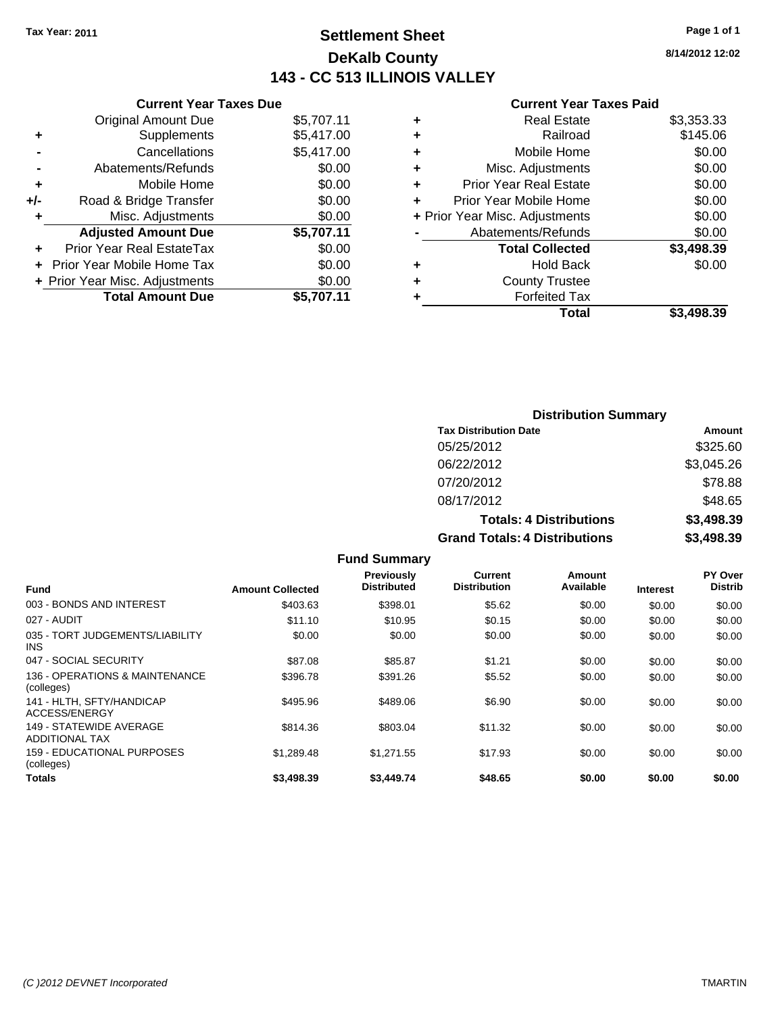**Current Year Taxes Due** Original Amount Due \$5,707.1

## **Settlement Sheet Tax Year: 2011 Page 1 of 1 DeKalb County 143 - CC 513 ILLINOIS VALLEY**

**8/14/2012 12:02**

#### **Current Year Taxes Paid**

| \$3,498.39 | <b>Total</b>                   |   |            |                                |     |
|------------|--------------------------------|---|------------|--------------------------------|-----|
|            | <b>Forfeited Tax</b>           |   | \$5,707.11 | <b>Total Amount Due</b>        |     |
|            | <b>County Trustee</b>          | ٠ | \$0.00     | + Prior Year Misc. Adjustments |     |
| \$0.00     | <b>Hold Back</b>               | ٠ | \$0.00     | + Prior Year Mobile Home Tax   |     |
| \$3,498.39 | <b>Total Collected</b>         |   | \$0.00     | Prior Year Real EstateTax      | ÷.  |
| \$0.00     | Abatements/Refunds             |   | \$5,707.11 | <b>Adjusted Amount Due</b>     |     |
| \$0.00     | + Prior Year Misc. Adjustments |   | \$0.00     | Misc. Adjustments              |     |
| \$0.00     | Prior Year Mobile Home         |   | \$0.00     | Road & Bridge Transfer         | +/- |
| \$0.00     | <b>Prior Year Real Estate</b>  | ٠ | \$0.00     | Mobile Home                    | ÷   |
| \$0.00     | Misc. Adjustments              | ٠ | \$0.00     | Abatements/Refunds             |     |
| \$0.00     | Mobile Home                    | ٠ | \$5,417.00 | Cancellations                  |     |
| \$145.06   | Railroad                       | ٠ | \$5,417.00 | Supplements                    | ٠   |
| \$3,353.33 | <b>Real Estate</b>             | ÷ | \$5,707.11 | Original Amount Due            |     |
|            |                                |   |            |                                |     |

## **Distribution Summary Tax Distribution Date Amount** 05/25/2012 \$325.60 06/22/2012 \$3,045.26 07/20/2012 \$78.88 08/17/2012 \$48.65 **Totals: 4 Distributions \$3,498.39 Grand Totals: 4 Distributions \$3,498.39**

**Fund Summary Fund Interest Amount Collected Distributed PY Over Distrib Amount Available Current Distribution Previously** 003 - BONDS AND INTEREST 6 \$403.63 \$398.01 \$5.62 \$0.00 \$0.00 \$0.00 \$0.00 027 - AUDIT \$11.10 \$10.95 \$0.15 \$0.00 \$0.00 \$0.00 035 - TORT JUDGEMENTS/LIABILITY INS \$0.00 \$0.00 \$0.00 \$0.00 \$0.00 \$0.00 047 - SOCIAL SECURITY \$87.08 \$85.87 \$0.00 \$0.00 \$0.00 \$0.00 \$0.00 136 - OPERATIONS & MAINTENANCE (colleges)  $$396.78$  \$391.26 \$5.52 \$0.00 \$0.00 \$0.00 141 - HLTH, SFTY/HANDICAP ACCESS/ENERGY  $$489.96$  \$489.06 \$6.90 \$0.00 \$0.00 \$0.00 \$0.00 149 - STATEWIDE AVERAGE ADDITIONAL TAX \$814.36 \$803.04 \$11.32 \$0.00 \$0.00 \$0.00 159 - EDUCATIONAL PURPOSES (colleges) \$1,289.48 \$1,271.55 \$17.93 \$0.00 \$0.00 \$0.00 **Totals \$3,498.39 \$3,449.74 \$48.65 \$0.00 \$0.00 \$0.00**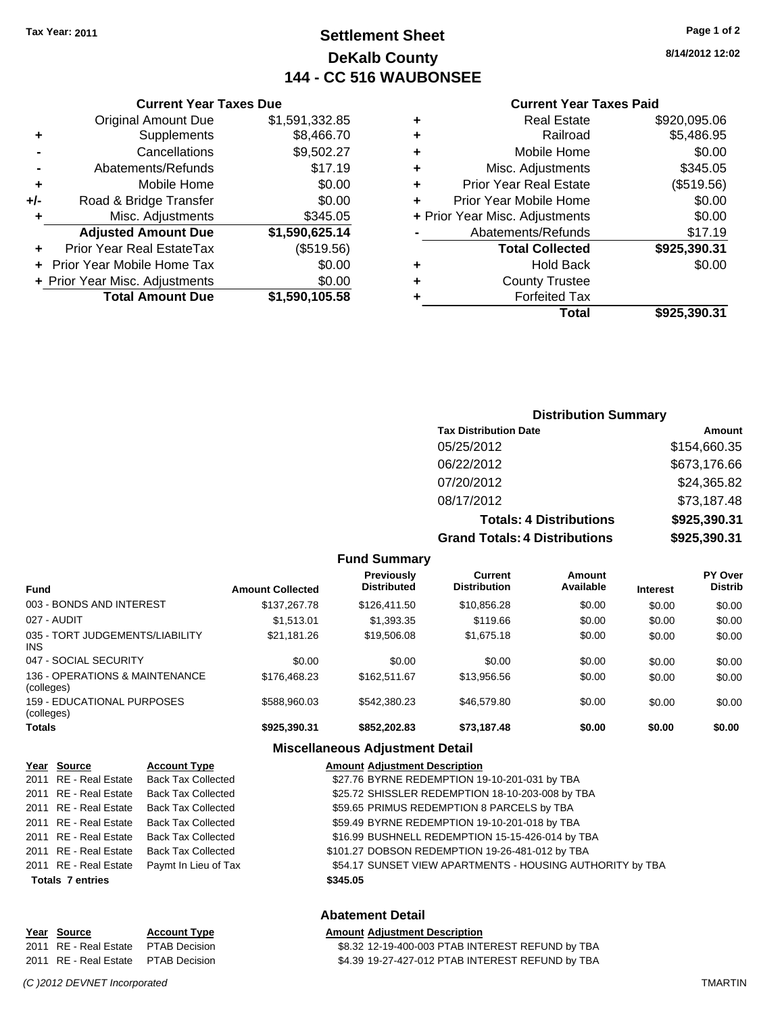## **Settlement Sheet Tax Year: 2011 Page 1 of 2 DeKalb County 144 - CC 516 WAUBONSEE**

**8/14/2012 12:02**

#### **Current Year Taxes Paid**

| ٠ | <b>Real Estate</b>             | \$920,095.06 |
|---|--------------------------------|--------------|
| ٠ | Railroad                       | \$5,486.95   |
| ٠ | Mobile Home                    | \$0.00       |
| ٠ | Misc. Adjustments              | \$345.05     |
| ٠ | <b>Prior Year Real Estate</b>  | (\$519.56)   |
|   | Prior Year Mobile Home         | \$0.00       |
|   | + Prior Year Misc. Adjustments | \$0.00       |
|   | Abatements/Refunds             | \$17.19      |
|   | <b>Total Collected</b>         | \$925,390.31 |
| ٠ | <b>Hold Back</b>               | \$0.00       |
| ٠ | <b>County Trustee</b>          |              |
|   | <b>Forfeited Tax</b>           |              |
|   | Total                          | \$925.390.31 |
|   |                                |              |

## **Current Year Taxes Due** Original Amount Due \$1,591,332.85 **+** Supplements \$8,466.70 **-** Cancellations \$9,502.27 **-** Abatements/Refunds \$17.19 **+** Mobile Home \$0.00 **+/-** Road & Bridge Transfer \$0.00 **+** Misc. Adjustments \$345.05 **Adjusted Amount Due \$1,590,625.14 +** Prior Year Real EstateTax (\$519.56) **+** Prior Year Mobile Home Tax \$0.00 **+ Prior Year Misc. Adjustments**  $$0.00$ **Total Amount Due \$1,590,105.58**

## **Distribution Summary**

| <b>Tax Distribution Date</b>         | Amount       |
|--------------------------------------|--------------|
| 05/25/2012                           | \$154,660.35 |
| 06/22/2012                           | \$673,176.66 |
| 07/20/2012                           | \$24,365.82  |
| 08/17/2012                           | \$73,187.48  |
| <b>Totals: 4 Distributions</b>       | \$925,390.31 |
| <b>Grand Totals: 4 Distributions</b> | \$925,390.31 |

| <b>Fund</b>                                  | <b>Amount Collected</b> | <b>Previously</b><br><b>Distributed</b> | Current<br><b>Distribution</b> | Amount<br>Available | <b>Interest</b> | PY Over<br><b>Distrib</b> |
|----------------------------------------------|-------------------------|-----------------------------------------|--------------------------------|---------------------|-----------------|---------------------------|
| 003 - BONDS AND INTEREST                     | \$137,267.78            | \$126,411.50                            | \$10,856.28                    | \$0.00              | \$0.00          | \$0.00                    |
| 027 - AUDIT                                  | \$1.513.01              | \$1,393.35                              | \$119.66                       | \$0.00              | \$0.00          | \$0.00                    |
| 035 - TORT JUDGEMENTS/LIABILITY<br>INS       | \$21,181.26             | \$19,506.08                             | \$1,675.18                     | \$0.00              | \$0.00          | \$0.00                    |
| 047 - SOCIAL SECURITY                        | \$0.00                  | \$0.00                                  | \$0.00                         | \$0.00              | \$0.00          | \$0.00                    |
| 136 - OPERATIONS & MAINTENANCE<br>(colleges) | \$176,468.23            | \$162.511.67                            | \$13,956.56                    | \$0.00              | \$0.00          | \$0.00                    |
| 159 - EDUCATIONAL PURPOSES<br>(colleges)     | \$588,960.03            | \$542.380.23                            | \$46,579.80                    | \$0.00              | \$0.00          | \$0.00                    |
| Totals                                       | \$925,390.31            | \$852,202.83                            | \$73,187.48                    | \$0.00              | \$0.00          | \$0.00                    |
|                                              |                         |                                         |                                |                     |                 |                           |

**Fund Summary**

#### **Miscellaneous Adjustment Detail**

| Year Source             | <b>Account Type</b>                        | <b>Amount Adjustment Description</b>                      |
|-------------------------|--------------------------------------------|-----------------------------------------------------------|
|                         | 2011 RE - Real Estate Back Tax Collected   | \$27.76 BYRNE REDEMPTION 19-10-201-031 by TBA             |
| 2011 RE - Real Estate   | Back Tax Collected                         | \$25.72 SHISSLER REDEMPTION 18-10-203-008 by TBA          |
|                         | 2011 RE - Real Estate Back Tax Collected   | \$59.65 PRIMUS REDEMPTION 8 PARCELS by TBA                |
|                         | 2011 RE - Real Estate Back Tax Collected   | \$59.49 BYRNE REDEMPTION 19-10-201-018 by TBA             |
|                         | 2011 RE - Real Estate Back Tax Collected   | \$16.99 BUSHNELL REDEMPTION 15-15-426-014 by TBA          |
|                         | 2011 RE - Real Estate Back Tax Collected   | \$101.27 DOBSON REDEMPTION 19-26-481-012 by TBA           |
|                         | 2011 RE - Real Estate Paymt In Lieu of Tax | \$54.17 SUNSET VIEW APARTMENTS - HOUSING AUTHORITY by TBA |
| <b>Totals 7 entries</b> |                                            | \$345.05                                                  |

| Year Source           | <b>Account Type</b>  |
|-----------------------|----------------------|
| 2011 RE - Real Estate | <b>PTAB Decision</b> |
| 2011 RE - Real Estate | <b>PTAB Decision</b> |

## **Abatement Detail**

**Amount Adjustment Description** 2011 88.32 12-19-400-003 PTAB INTEREST REFUND by TBA 24.39 19-27-427-012 PTAB INTEREST REFUND by TBA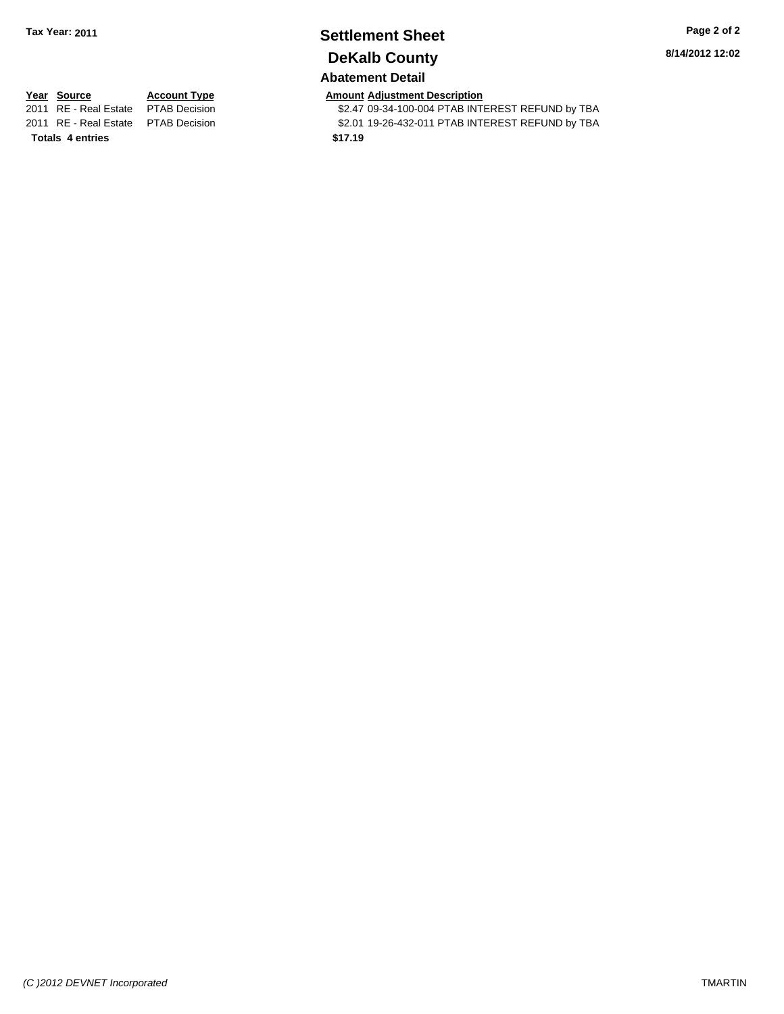## **Settlement Sheet Tax Year: 2011 Page 2 of 2 DeKalb County**

**8/14/2012 12:02**

## **Abatement Detail**

**Totals \$17.19 4 entries**

**Year Source Account Type Amount Adjustment Description**<br>2011 RE - Real Estate PTAB Decision **Amount** \$2.47 09-34-100-004 PTAB INTI \$2.47 09-34-100-004 PTAB INTEREST REFUND by TBA 2011 RE - Real Estate \$2.01 19-26-432-011 PTAB INTEREST REFUND by TBA PTAB Decision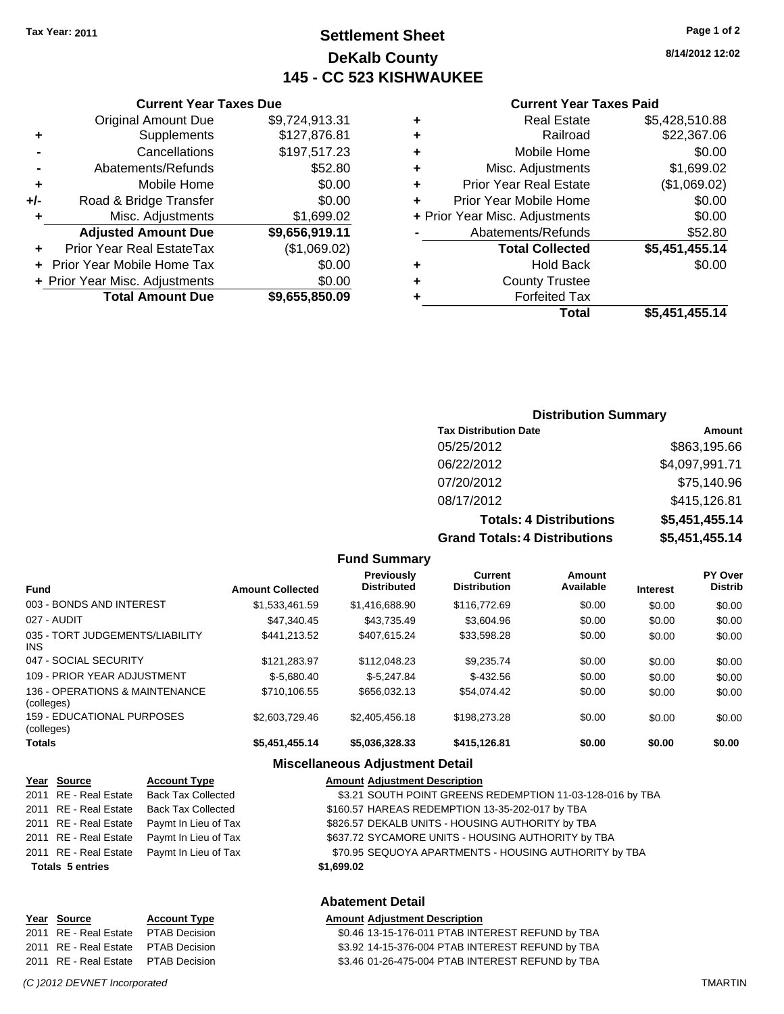## **Settlement Sheet Tax Year: 2011 Page 1 of 2 DeKalb County 145 - CC 523 KISHWAUKEE**

**8/14/2012 12:02**

## **Current Year Taxes Paid**

|   | Total                          | \$5,451,455.14 |
|---|--------------------------------|----------------|
| ٠ | <b>Forfeited Tax</b>           |                |
| ٠ | <b>County Trustee</b>          |                |
| ٠ | <b>Hold Back</b>               | \$0.00         |
|   | <b>Total Collected</b>         | \$5,451,455.14 |
|   | Abatements/Refunds             | \$52.80        |
|   | + Prior Year Misc. Adjustments | \$0.00         |
| ٠ | Prior Year Mobile Home         | \$0.00         |
| ٠ | Prior Year Real Estate         | (\$1,069.02)   |
| ٠ | Misc. Adjustments              | \$1,699.02     |
| ٠ | Mobile Home                    | \$0.00         |
| ٠ | Railroad                       | \$22,367.06    |
| ٠ | <b>Real Estate</b>             | \$5,428,510.88 |
|   |                                |                |

|     | <b>Current Year Taxes Due</b>    |                |  |  |
|-----|----------------------------------|----------------|--|--|
|     | <b>Original Amount Due</b>       | \$9,724,913.31 |  |  |
| ٠   | Supplements                      | \$127,876.81   |  |  |
|     | Cancellations                    | \$197,517.23   |  |  |
|     | Abatements/Refunds               | \$52.80        |  |  |
| ٠   | Mobile Home                      | \$0.00         |  |  |
| +/- | Road & Bridge Transfer           | \$0.00         |  |  |
| ٠   | Misc. Adjustments                | \$1,699.02     |  |  |
|     | <b>Adjusted Amount Due</b>       | \$9,656,919.11 |  |  |
|     | <b>Prior Year Real EstateTax</b> | (\$1,069.02)   |  |  |
|     | Prior Year Mobile Home Tax       | \$0.00         |  |  |
|     | + Prior Year Misc. Adjustments   | \$0.00         |  |  |
|     | <b>Total Amount Due</b>          | \$9,655,850.09 |  |  |
|     |                                  |                |  |  |

## **Distribution Summary**

| <b>Tax Distribution Date</b>         | Amount         |
|--------------------------------------|----------------|
| 05/25/2012                           | \$863,195.66   |
| 06/22/2012                           | \$4,097,991.71 |
| 07/20/2012                           | \$75,140.96    |
| 08/17/2012                           | \$415,126.81   |
| <b>Totals: 4 Distributions</b>       | \$5,451,455.14 |
| <b>Grand Totals: 4 Distributions</b> | \$5,451,455.14 |

**Fund Summary Fund Interest Amount Collected Distributed PY Over Distrib Amount Available Current Distribution Previously** 003 - BONDS AND INTEREST \$1,533,461.59 \$1,416,688.90 \$116,772.69 \$0.00 \$0.00 \$0.00 027 - AUDIT \$47,340.45 \$43,735.49 \$3,604.96 \$0.00 \$0.00 \$0.00 035 - TORT JUDGEMENTS/LIABILITY INS \$441,213.52 \$407,615.24 \$33,598.28 \$0.00 \$0.00 \$0.00 047 - SOCIAL SECURITY \$121,283.97 \$112,048.23 \$9,235.74 \$0.00 \$0.00 \$0.00 109 - PRIOR YEAR ADJUSTMENT  $$-5,680.40$   $$-5,680.40$   $$-432.56$   $$0.00$   $$0.00$   $$0.00$ 136 - OPERATIONS & MAINTENANCE (colleges) \$710,106.55 \$656,032.13 \$54,074.42 \$0.00 \$0.00 \$0.00 159 - EDUCATIONAL PURPOSES (colleges) \$2,603,729.46 \$2,405,456.18 \$198,273.28 \$0.00 \$0.00 \$0.00 **Totals \$5,451,455.14 \$5,036,328.33 \$415,126.81 \$0.00 \$0.00 \$0.00**

#### **Miscellaneous Adjustment Detail**

| Year Source             | <b>Account Type</b>       | <b>Amount Adjustment Description</b>                      |
|-------------------------|---------------------------|-----------------------------------------------------------|
| 2011 RE - Real Estate   | <b>Back Tax Collected</b> | \$3.21 SOUTH POINT GREENS REDEMPTION 11-03-128-016 by TBA |
| 2011 RE - Real Estate   | <b>Back Tax Collected</b> | \$160.57 HAREAS REDEMPTION 13-35-202-017 by TBA           |
| 2011 RE - Real Estate   | Paymt In Lieu of Tax      | \$826.57 DEKALB UNITS - HOUSING AUTHORITY by TBA          |
| 2011 RE - Real Estate   | Paymt In Lieu of Tax      | \$637.72 SYCAMORE UNITS - HOUSING AUTHORITY by TBA        |
| 2011 RE - Real Estate   | Paymt In Lieu of Tax      | \$70.95 SEQUOYA APARTMENTS - HOUSING AUTHORITY by TBA     |
| <b>Totals 5 entries</b> |                           | \$1,699.02                                                |
|                         |                           |                                                           |

#### **Abatement Detail**

| Year Source                         | <b>Account Type</b> | <b>Amount Adjustment Description</b>             |
|-------------------------------------|---------------------|--------------------------------------------------|
| 2011 RE - Real Estate PTAB Decision |                     | \$0.46 13-15-176-011 PTAB INTEREST REFUND by TBA |
| 2011 RE - Real Estate PTAB Decision |                     | \$3.92 14-15-376-004 PTAB INTEREST REFUND by TBA |
| 2011 RE - Real Estate PTAB Decision |                     | \$3.46 01-26-475-004 PTAB INTEREST REFUND by TBA |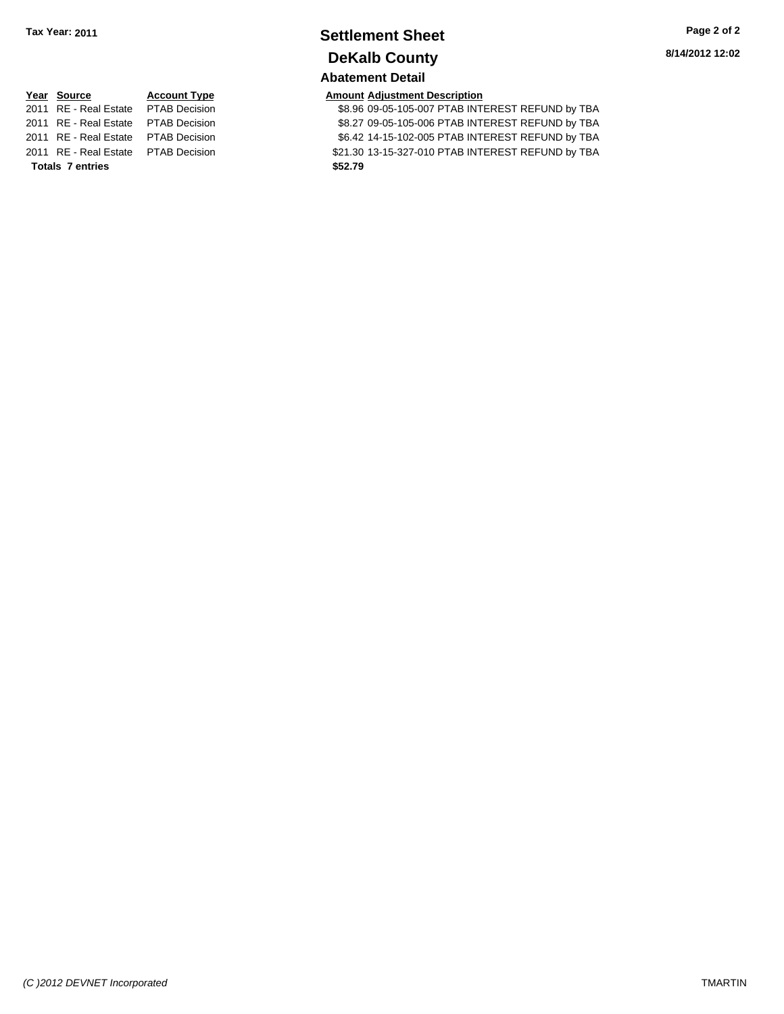## **Settlement Sheet Tax Year: 2011 Page 2 of 2 DeKalb County Abatement Detail**

**8/14/2012 12:02**

# **Year Source Account Type Amount Adjustment Description Totals \$52.79 7 entries**

2011 RE - Real Estate PTAB Decision 38.96 09-05-105-007 PTAB INTEREST REFUND by TBA 2011 RE - Real Estate \$8.27 09-05-105-006 PTAB INTEREST REFUND by TBA PTAB Decision 2011 RE - Real Estate PTAB Decision 66.42 14-15-102-005 PTAB INTEREST REFUND by TBA 2011 RE - Real Estate \$21.30 13-15-327-010 PTAB INTEREST REFUND by TBA PTAB Decision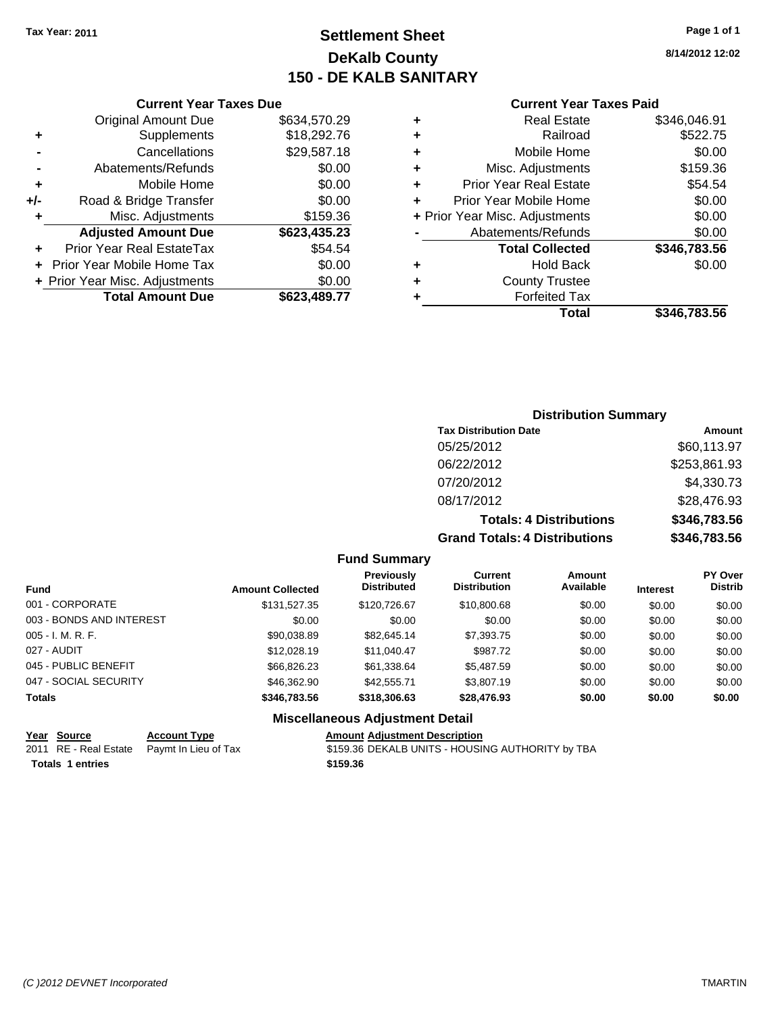## **Settlement Sheet Tax Year: 2011 Page 1 of 1 DeKalb County 150 - DE KALB SANITARY**

**8/14/2012 12:02**

| <b>Current Year Taxes Paid</b> |  |  |  |
|--------------------------------|--|--|--|
|--------------------------------|--|--|--|

|     | <b>Current Year Taxes Due</b>  |              |
|-----|--------------------------------|--------------|
|     | <b>Original Amount Due</b>     | \$634,570.29 |
| ٠   | Supplements                    | \$18,292.76  |
|     | Cancellations                  | \$29,587.18  |
|     | Abatements/Refunds             | \$0.00       |
| ٠   | Mobile Home                    | \$0.00       |
| +/- | Road & Bridge Transfer         | \$0.00       |
| ٠   | Misc. Adjustments              | \$159.36     |
|     | <b>Adjusted Amount Due</b>     | \$623,435.23 |
| ٠   | Prior Year Real EstateTax      | \$54.54      |
|     | Prior Year Mobile Home Tax     | \$0.00       |
|     | + Prior Year Misc. Adjustments | \$0.00       |
|     | <b>Total Amount Due</b>        | \$623,489.77 |
|     |                                |              |

|   | <b>Real Estate</b>             | \$346,046.91 |
|---|--------------------------------|--------------|
| ٠ | Railroad                       | \$522.75     |
| ٠ | Mobile Home                    | \$0.00       |
| ٠ | Misc. Adjustments              | \$159.36     |
| ٠ | <b>Prior Year Real Estate</b>  | \$54.54      |
| ÷ | Prior Year Mobile Home         | \$0.00       |
|   | + Prior Year Misc. Adjustments | \$0.00       |
|   | Abatements/Refunds             | \$0.00       |
|   | <b>Total Collected</b>         | \$346,783.56 |
| ٠ | <b>Hold Back</b>               | \$0.00       |
| ٠ | <b>County Trustee</b>          |              |
| ٠ | <b>Forfeited Tax</b>           |              |
|   | Total                          | \$346,783,56 |
|   |                                |              |

| <b>Distribution Summary</b>          |              |
|--------------------------------------|--------------|
| <b>Tax Distribution Date</b>         | Amount       |
| 05/25/2012                           | \$60,113.97  |
| 06/22/2012                           | \$253,861.93 |
| 07/20/2012                           | \$4,330.73   |
| 08/17/2012                           | \$28,476.93  |
| <b>Totals: 4 Distributions</b>       | \$346,783.56 |
| <b>Grand Totals: 4 Distributions</b> | \$346,783.56 |

**Fund Summary**

|                          |                         | <b>Previously</b>  | Current             | Amount    |                 | <b>PY Over</b> |
|--------------------------|-------------------------|--------------------|---------------------|-----------|-----------------|----------------|
| <b>Fund</b>              | <b>Amount Collected</b> | <b>Distributed</b> | <b>Distribution</b> | Available | <b>Interest</b> | <b>Distrib</b> |
| 001 - CORPORATE          | \$131,527.35            | \$120,726.67       | \$10,800.68         | \$0.00    | \$0.00          | \$0.00         |
| 003 - BONDS AND INTEREST | \$0.00                  | \$0.00             | \$0.00              | \$0.00    | \$0.00          | \$0.00         |
| $005 - I. M. R. F.$      | \$90.038.89             | \$82.645.14        | \$7,393.75          | \$0.00    | \$0.00          | \$0.00         |
| 027 - AUDIT              | \$12,028.19             | \$11,040.47        | \$987.72            | \$0.00    | \$0.00          | \$0.00         |
| 045 - PUBLIC BENEFIT     | \$66,826,23             | \$61.338.64        | \$5.487.59          | \$0.00    | \$0.00          | \$0.00         |
| 047 - SOCIAL SECURITY    | \$46,362.90             | \$42,555,71        | \$3,807.19          | \$0.00    | \$0.00          | \$0.00         |
| <b>Totals</b>            | \$346,783.56            | \$318,306.63       | \$28,476.93         | \$0.00    | \$0.00          | \$0.00         |

## **Miscellaneous Adjustment Detail**

| Year Source             | <b>Account Type</b>                        | <b>Amount Adjustment Description</b> |
|-------------------------|--------------------------------------------|--------------------------------------|
|                         | 2011 RE - Real Estate Paymt In Lieu of Tax | \$159.36 DEKALB UNITS - HOUSII       |
| <b>Totals 1 entries</b> |                                            | \$159.36                             |

x 3159.36 DEKALB UNITS - HOUSING AUTHORITY by TBA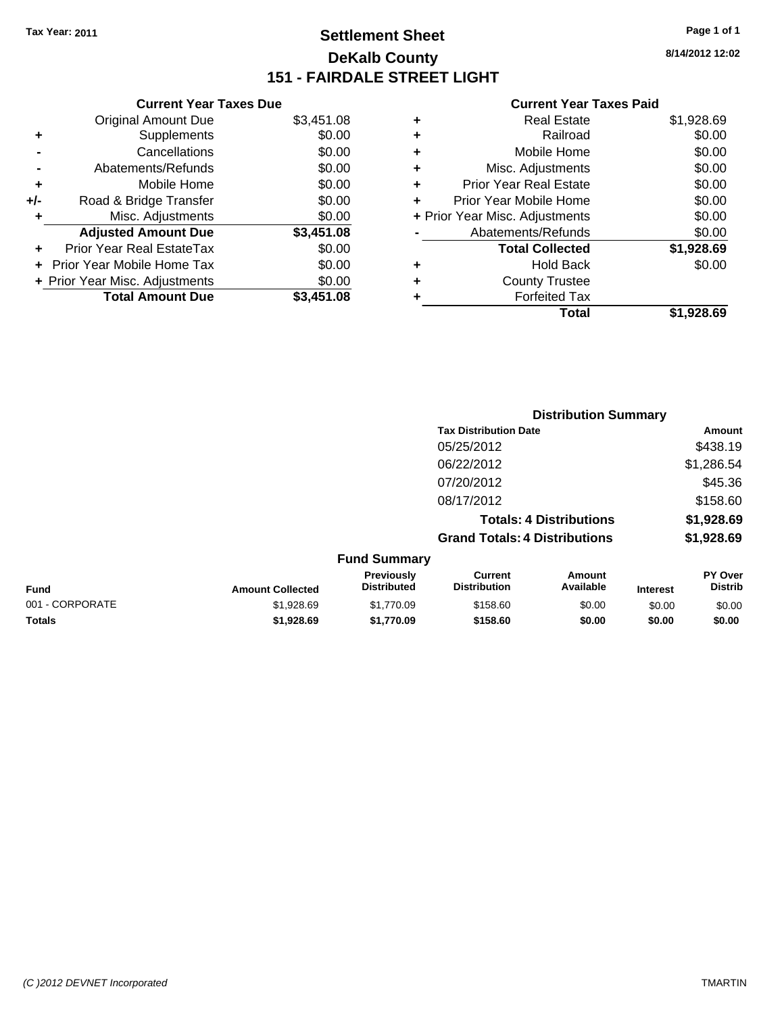## **Settlement Sheet Tax Year: 2011 Page 1 of 1 DeKalb County 151 - FAIRDALE STREET LIGHT**

**8/14/2012 12:02**

## **Current Year Taxes Paid**

|     | <b>Current Year Taxes Due</b>  |            |     |
|-----|--------------------------------|------------|-----|
|     | <b>Original Amount Due</b>     | \$3,451.08 | ٠   |
|     | Supplements                    | \$0.00     | ٠   |
|     | Cancellations                  | \$0.00     |     |
|     | Abatements/Refunds             | \$0.00     | ٠   |
|     | Mobile Home                    | \$0.00     |     |
| +/- | Road & Bridge Transfer         | \$0.00     | ٠   |
|     | Misc. Adjustments              | \$0.00     | + F |
|     | <b>Adjusted Amount Due</b>     | \$3,451.08 |     |
|     | Prior Year Real EstateTax      | \$0.00     |     |
|     | Prior Year Mobile Home Tax     | \$0.00     |     |
|     | + Prior Year Misc. Adjustments | \$0.00     |     |
|     | <b>Total Amount Due</b>        | \$3.451.08 |     |
|     |                                |            |     |

| ٠ | <b>Real Estate</b>             | \$1,928.69 |
|---|--------------------------------|------------|
| ٠ | Railroad                       | \$0.00     |
| ٠ | Mobile Home                    | \$0.00     |
| ٠ | Misc. Adjustments              | \$0.00     |
| ٠ | <b>Prior Year Real Estate</b>  | \$0.00     |
| ٠ | Prior Year Mobile Home         | \$0.00     |
|   | + Prior Year Misc. Adjustments | \$0.00     |
|   | Abatements/Refunds             | \$0.00     |
|   | <b>Total Collected</b>         | \$1,928.69 |
| ٠ | Hold Back                      | \$0.00     |
| ٠ | <b>County Trustee</b>          |            |
| ٠ | <b>Forfeited Tax</b>           |            |
|   | Total                          | \$1.928.69 |

|                 |                         |                                  | <b>Distribution Summary</b>          |                                |                 |                           |
|-----------------|-------------------------|----------------------------------|--------------------------------------|--------------------------------|-----------------|---------------------------|
|                 |                         |                                  | <b>Tax Distribution Date</b>         |                                |                 | Amount                    |
|                 |                         |                                  | 05/25/2012                           |                                |                 | \$438.19                  |
|                 |                         |                                  | 06/22/2012                           |                                |                 | \$1,286.54                |
|                 |                         |                                  | 07/20/2012                           |                                |                 | \$45.36                   |
|                 |                         |                                  | 08/17/2012                           |                                |                 | \$158.60                  |
|                 |                         |                                  |                                      | <b>Totals: 4 Distributions</b> |                 | \$1,928.69                |
|                 |                         |                                  | <b>Grand Totals: 4 Distributions</b> |                                |                 | \$1,928.69                |
|                 |                         | <b>Fund Summary</b>              |                                      |                                |                 |                           |
| <b>Fund</b>     | <b>Amount Collected</b> | Previously<br><b>Distributed</b> | Current<br><b>Distribution</b>       | Amount<br>Available            | <b>Interest</b> | PY Over<br><b>Distrib</b> |
| 001 - CORPORATE | \$1,928.69              | \$1,770.09                       | \$158.60                             | \$0.00                         | \$0.00          | \$0.00                    |
| Totals          | \$1,928.69              | \$1,770.09                       | \$158.60                             | \$0.00                         | \$0.00          | \$0.00                    |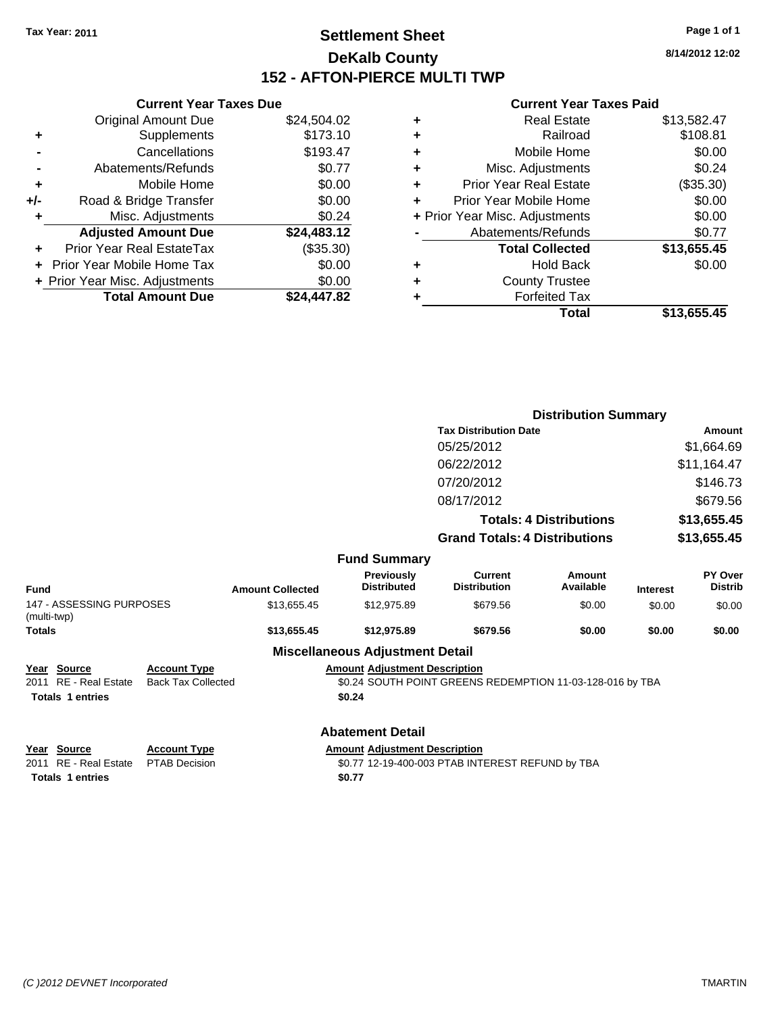## **Settlement Sheet Tax Year: 2011 Page 1 of 1 DeKalb County 152 - AFTON-PIERCE MULTI TWP**

**8/14/2012 12:02**

## **Current Year Taxes Paid**

|     | <b>Current Year Taxes Due</b>  |             |   | <b>Current Year Taxes Paid</b> |             |
|-----|--------------------------------|-------------|---|--------------------------------|-------------|
|     | <b>Original Amount Due</b>     | \$24,504.02 |   | <b>Real Estate</b>             | \$13,582.47 |
| ٠   | Supplements                    | \$173.10    | ٠ | Railroad                       | \$108.81    |
|     | Cancellations                  | \$193.47    | ٠ | Mobile Home                    | \$0.00      |
|     | Abatements/Refunds             | \$0.77      | ٠ | Misc. Adjustments              | \$0.24      |
| ÷   | Mobile Home                    | \$0.00      | ÷ | <b>Prior Year Real Estate</b>  | (\$35.30)   |
| +/- | Road & Bridge Transfer         | \$0.00      |   | Prior Year Mobile Home         | \$0.00      |
|     | Misc. Adjustments              | \$0.24      |   | + Prior Year Misc. Adjustments | \$0.00      |
|     | <b>Adjusted Amount Due</b>     | \$24,483.12 |   | Abatements/Refunds             | \$0.77      |
| ÷.  | Prior Year Real EstateTax      | (\$35.30)   |   | <b>Total Collected</b>         | \$13,655.45 |
|     | + Prior Year Mobile Home Tax   | \$0.00      | ٠ | <b>Hold Back</b>               | \$0.00      |
|     | + Prior Year Misc. Adjustments | \$0.00      |   | <b>County Trustee</b>          |             |
|     | <b>Total Amount Due</b>        | \$24,447.82 |   | <b>Forfeited Tax</b>           |             |
|     |                                |             |   | <b>Total</b>                   | \$13,655.45 |

|                                         |                           |                         |                                         |                                                           | <b>Distribution Summary</b>    |                 |                                  |
|-----------------------------------------|---------------------------|-------------------------|-----------------------------------------|-----------------------------------------------------------|--------------------------------|-----------------|----------------------------------|
|                                         |                           |                         |                                         | <b>Tax Distribution Date</b>                              |                                |                 | Amount                           |
|                                         |                           |                         |                                         | 05/25/2012                                                |                                |                 | \$1,664.69                       |
|                                         |                           |                         |                                         | 06/22/2012                                                |                                |                 | \$11,164.47                      |
|                                         |                           |                         |                                         | 07/20/2012                                                |                                |                 | \$146.73                         |
|                                         |                           |                         |                                         | 08/17/2012                                                |                                |                 | \$679.56                         |
|                                         |                           |                         |                                         |                                                           | <b>Totals: 4 Distributions</b> |                 | \$13,655.45                      |
|                                         |                           |                         |                                         | <b>Grand Totals: 4 Distributions</b>                      |                                |                 | \$13,655.45                      |
|                                         |                           |                         | <b>Fund Summary</b>                     |                                                           |                                |                 |                                  |
| Fund                                    |                           | <b>Amount Collected</b> | <b>Previously</b><br><b>Distributed</b> | <b>Current</b><br><b>Distribution</b>                     | Amount<br>Available            | <b>Interest</b> | <b>PY Over</b><br><b>Distrib</b> |
| 147 - ASSESSING PURPOSES<br>(multi-twp) |                           | \$13,655.45             | \$12,975.89                             | \$679.56                                                  | \$0.00                         | \$0.00          | \$0.00                           |
| <b>Totals</b>                           |                           | \$13,655.45             | \$12,975.89                             | \$679.56                                                  | \$0.00                         | \$0.00          | \$0.00                           |
|                                         |                           |                         | <b>Miscellaneous Adjustment Detail</b>  |                                                           |                                |                 |                                  |
| Year Source                             | <b>Account Type</b>       |                         | <b>Amount Adjustment Description</b>    |                                                           |                                |                 |                                  |
| 2011 RE - Real Estate                   | <b>Back Tax Collected</b> |                         |                                         | \$0.24 SOUTH POINT GREENS REDEMPTION 11-03-128-016 by TBA |                                |                 |                                  |
| <b>Totals 1 entries</b>                 |                           |                         | \$0.24                                  |                                                           |                                |                 |                                  |
|                                         |                           |                         | <b>Abatement Detail</b>                 |                                                           |                                |                 |                                  |

| Year Source                         | <b>Account Type</b> | Amount |
|-------------------------------------|---------------------|--------|
| 2011 RE - Real Estate PTAB Decision |                     | \$0.77 |
| Totals 1 entries                    |                     | \$0.77 |

**<u>Account Type</u>**<br> **PTAB** Decision<br> **SO.77 12-19-400-003 PTAB INT** \$0.77 12-19-400-003 PTAB INTEREST REFUND by TBA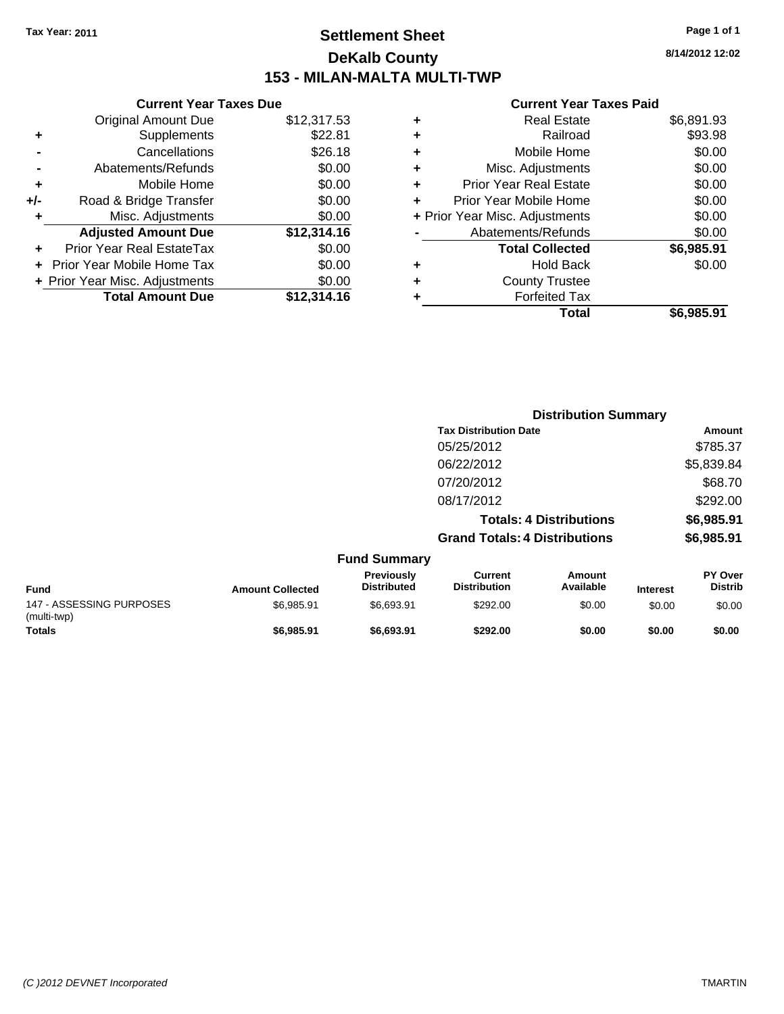## **Settlement Sheet Tax Year: 2011 Page 1 of 1 DeKalb County 153 - MILAN-MALTA MULTI-TWP**

**8/14/2012 12:02**

## **Current Year Taxes Paid**

|     | <b>Current Year Taxes Due</b>  |             |   |                 |
|-----|--------------------------------|-------------|---|-----------------|
|     | <b>Original Amount Due</b>     | \$12,317.53 | ٠ |                 |
|     | <b>Supplements</b>             | \$22.81     | ٠ |                 |
|     | Cancellations                  | \$26.18     | ٠ |                 |
|     | Abatements/Refunds             | \$0.00      | ٠ | Mi              |
|     | Mobile Home                    | \$0.00      | ٠ | Prior Y         |
| +/- | Road & Bridge Transfer         | \$0.00      |   | Prior Ye        |
|     | Misc. Adjustments              | \$0.00      |   | + Prior Year Mi |
|     | <b>Adjusted Amount Due</b>     | \$12,314.16 |   | Abat            |
|     | Prior Year Real EstateTax      | \$0.00      |   |                 |
|     | + Prior Year Mobile Home Tax   | \$0.00      | ٠ |                 |
|     | + Prior Year Misc. Adjustments | \$0.00      | ٠ |                 |
|     | <b>Total Amount Due</b>        | \$12,314.16 |   |                 |
|     |                                |             |   |                 |

|   | <b>Real Estate</b>             | \$6,891.93 |
|---|--------------------------------|------------|
| ÷ | Railroad                       | \$93.98    |
| ٠ | Mobile Home                    | \$0.00     |
| ٠ | Misc. Adjustments              | \$0.00     |
| ٠ | <b>Prior Year Real Estate</b>  | \$0.00     |
|   | Prior Year Mobile Home         | \$0.00     |
|   | + Prior Year Misc. Adjustments | \$0.00     |
|   | Abatements/Refunds             | \$0.00     |
|   | <b>Total Collected</b>         | \$6,985.91 |
| ٠ | Hold Back                      | \$0.00     |
| ٠ | <b>County Trustee</b>          |            |
|   | <b>Forfeited Tax</b>           |            |
|   | Total                          | \$6,985.91 |
|   |                                |            |

|                                         |                         | <b>Distribution Summary</b>      |                                       |                                |                 |                           |  |
|-----------------------------------------|-------------------------|----------------------------------|---------------------------------------|--------------------------------|-----------------|---------------------------|--|
|                                         |                         |                                  | <b>Tax Distribution Date</b>          |                                |                 | Amount                    |  |
|                                         |                         |                                  | 05/25/2012                            |                                |                 | \$785.37                  |  |
|                                         |                         |                                  | 06/22/2012                            |                                |                 | \$5,839.84                |  |
|                                         |                         |                                  | 07/20/2012                            |                                |                 | \$68.70                   |  |
|                                         |                         |                                  | 08/17/2012                            |                                |                 | \$292.00                  |  |
|                                         |                         |                                  |                                       | <b>Totals: 4 Distributions</b> |                 | \$6,985.91                |  |
|                                         |                         |                                  | <b>Grand Totals: 4 Distributions</b>  |                                |                 | \$6,985.91                |  |
|                                         |                         | <b>Fund Summary</b>              |                                       |                                |                 |                           |  |
| <b>Fund</b>                             | <b>Amount Collected</b> | Previously<br><b>Distributed</b> | <b>Current</b><br><b>Distribution</b> | Amount<br>Available            | <b>Interest</b> | PY Over<br><b>Distrib</b> |  |
| 147 - ASSESSING PURPOSES<br>(multi-twp) | \$6,985.91              | \$6,693.91                       | \$292.00                              | \$0.00                         | \$0.00          | \$0.00                    |  |
| <b>Totals</b>                           | \$6,985.91              | \$6,693.91                       | \$292.00                              | \$0.00                         | \$0.00          | \$0.00                    |  |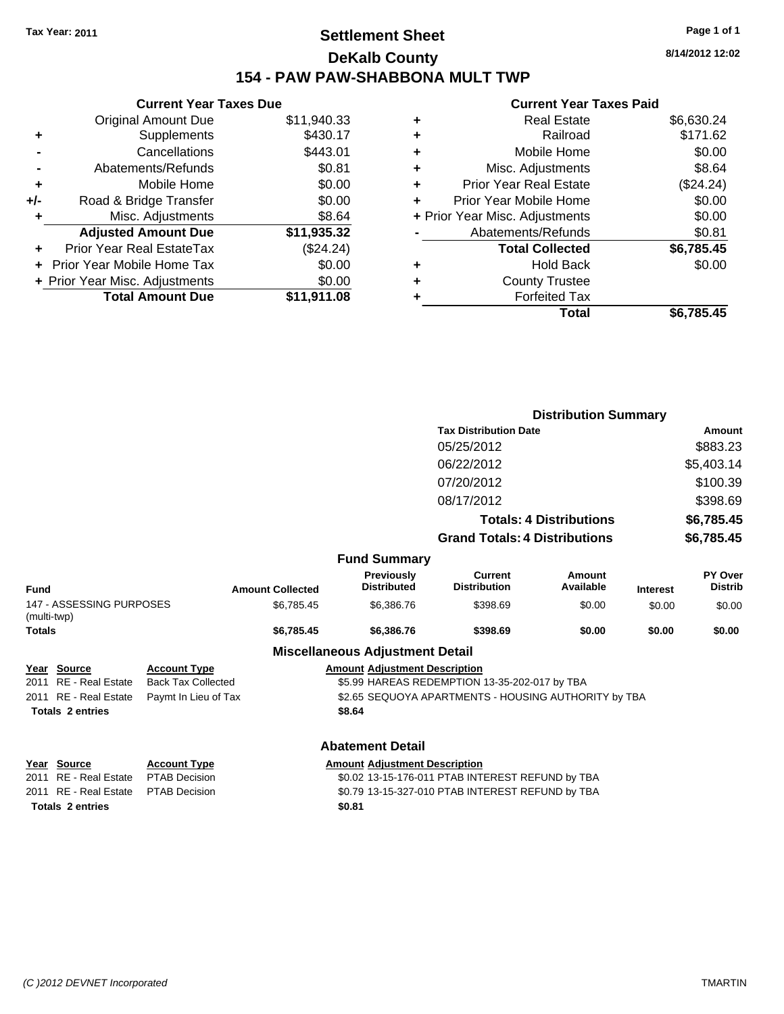## **Settlement Sheet Tax Year: 2011 Page 1 of 1 DeKalb County 154 - PAW PAW-SHABBONA MULT TWP**

**8/14/2012 12:02**

#### **Current Year Taxes Paid**

|     | <b>Current Year Taxes Due</b>     |             |   |              |
|-----|-----------------------------------|-------------|---|--------------|
|     | <b>Original Amount Due</b>        | \$11,940.33 | ٠ |              |
|     | Supplements                       | \$430.17    | ٠ |              |
|     | Cancellations                     | \$443.01    | ٠ |              |
|     | Abatements/Refunds                | \$0.81      | ٠ |              |
|     | Mobile Home                       | \$0.00      |   | Prior        |
| +/- | Road & Bridge Transfer            | \$0.00      |   | Prior \      |
| ٠   | Misc. Adjustments                 | \$8.64      |   | + Prior Year |
|     | <b>Adjusted Amount Due</b>        | \$11,935.32 |   | Abi          |
|     | Prior Year Real EstateTax         | (\$24.24)   |   |              |
|     | <b>Prior Year Mobile Home Tax</b> | \$0.00      | ٠ |              |
|     | + Prior Year Misc. Adjustments    | \$0.00      |   |              |
|     | <b>Total Amount Due</b>           | \$11,911.08 |   |              |
|     |                                   |             |   |              |

|   | <b>Real Estate</b>             | \$6,630.24 |
|---|--------------------------------|------------|
| ٠ | Railroad                       | \$171.62   |
| ٠ | Mobile Home                    | \$0.00     |
| ٠ | Misc. Adjustments              | \$8.64     |
| ٠ | <b>Prior Year Real Estate</b>  | (\$24.24)  |
| ÷ | Prior Year Mobile Home         | \$0.00     |
|   | + Prior Year Misc. Adjustments | \$0.00     |
|   | Abatements/Refunds             | \$0.81     |
|   | <b>Total Collected</b>         | \$6,785.45 |
| ٠ | <b>Hold Back</b>               | \$0.00     |
| ٠ | <b>County Trustee</b>          |            |
|   | <b>Forfeited Tax</b>           |            |
|   | Total                          | \$6,785.45 |
|   |                                |            |

|                                         |                           |                         |                                        | <b>Distribution Summary</b>                          |                                |                 |                           |
|-----------------------------------------|---------------------------|-------------------------|----------------------------------------|------------------------------------------------------|--------------------------------|-----------------|---------------------------|
|                                         |                           |                         |                                        | <b>Tax Distribution Date</b>                         |                                |                 | Amount                    |
|                                         |                           |                         |                                        | 05/25/2012                                           |                                |                 | \$883.23                  |
|                                         |                           |                         |                                        | 06/22/2012                                           |                                |                 | \$5,403.14                |
|                                         |                           |                         |                                        | 07/20/2012                                           |                                |                 | \$100.39                  |
|                                         |                           |                         |                                        | 08/17/2012                                           |                                |                 | \$398.69                  |
|                                         |                           |                         |                                        |                                                      | <b>Totals: 4 Distributions</b> |                 | \$6,785.45                |
|                                         |                           |                         |                                        | <b>Grand Totals: 4 Distributions</b>                 |                                |                 | \$6,785.45                |
|                                         |                           |                         | <b>Fund Summary</b>                    |                                                      |                                |                 |                           |
| Fund                                    |                           | <b>Amount Collected</b> | Previously<br><b>Distributed</b>       | <b>Current</b><br><b>Distribution</b>                | Amount<br>Available            | <b>Interest</b> | PY Over<br><b>Distrib</b> |
| 147 - ASSESSING PURPOSES<br>(multi-twp) |                           | \$6,785.45              | \$6,386.76                             | \$398.69                                             | \$0.00                         | \$0.00          | \$0.00                    |
| <b>Totals</b>                           |                           | \$6,785.45              | \$6,386.76                             | \$398.69                                             | \$0.00                         | \$0.00          | \$0.00                    |
|                                         |                           |                         | <b>Miscellaneous Adjustment Detail</b> |                                                      |                                |                 |                           |
| Year Source                             | <b>Account Type</b>       |                         | <b>Amount Adjustment Description</b>   |                                                      |                                |                 |                           |
| 2011 RE - Real Estate                   | <b>Back Tax Collected</b> |                         |                                        | \$5.99 HAREAS REDEMPTION 13-35-202-017 by TBA        |                                |                 |                           |
| 2011 RE - Real Estate                   | Paymt In Lieu of Tax      |                         |                                        | \$2.65 SEQUOYA APARTMENTS - HOUSING AUTHORITY by TBA |                                |                 |                           |
| <b>Totals 2 entries</b>                 |                           |                         | \$8.64                                 |                                                      |                                |                 |                           |
|                                         |                           |                         | Ahatamant Datail                       |                                                      |                                |                 |                           |

**Totals \$0.81 2 entries**

#### **Abatement Detail**

**Year Source Account Type Amount Adjustment Description**<br>2011 RE - Real Estate PTAB Decision **Amount** \$0.02 13-15-176-011 PTAB INT \$0.02 13-15-176-011 PTAB INTEREST REFUND by TBA 2011 RE - Real Estate \$0.79 13-15-327-010 PTAB INTEREST REFUND by TBA PTAB Decision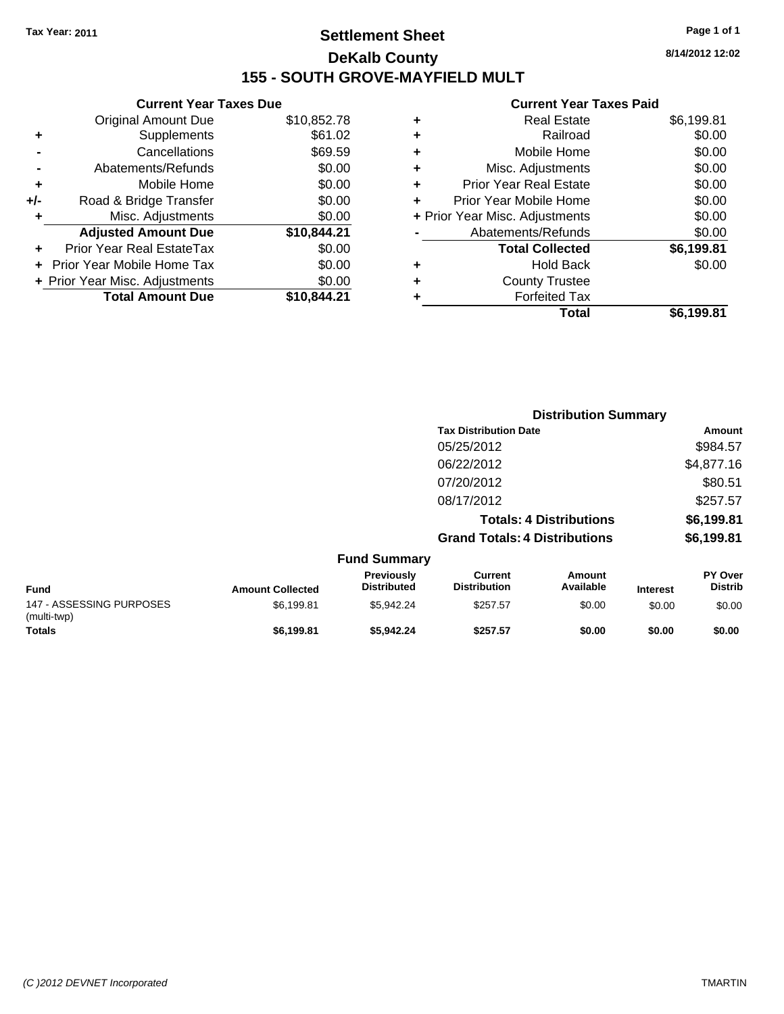## **Settlement Sheet Tax Year: 2011 Page 1 of 1 DeKalb County 155 - SOUTH GROVE-MAYFIELD MULT**

**8/14/2012 12:02**

#### **Current Year Taxes Paid**

|   | Total                          | \$6.199.81 |
|---|--------------------------------|------------|
|   | <b>Forfeited Tax</b>           |            |
| ٠ | <b>County Trustee</b>          |            |
| ٠ | <b>Hold Back</b>               | \$0.00     |
|   | <b>Total Collected</b>         | \$6,199.81 |
|   | Abatements/Refunds             | \$0.00     |
|   | + Prior Year Misc. Adjustments | \$0.00     |
| ÷ | Prior Year Mobile Home         | \$0.00     |
| ٠ | <b>Prior Year Real Estate</b>  | \$0.00     |
| ÷ | Misc. Adjustments              | \$0.00     |
| ٠ | Mobile Home                    | \$0.00     |
| ٠ | Railroad                       | \$0.00     |
| ٠ | Real Estate                    | \$6,199.81 |

|     | <b>Current Year Taxes Due</b>  |             |  |  |  |
|-----|--------------------------------|-------------|--|--|--|
|     | <b>Original Amount Due</b>     | \$10,852.78 |  |  |  |
| ٠   | Supplements                    | \$61.02     |  |  |  |
|     | Cancellations                  | \$69.59     |  |  |  |
|     | Abatements/Refunds             | \$0.00      |  |  |  |
| ٠   | Mobile Home                    | \$0.00      |  |  |  |
| +/- | Road & Bridge Transfer         | \$0.00      |  |  |  |
| ٠   | Misc. Adjustments              | \$0.00      |  |  |  |
|     | <b>Adjusted Amount Due</b>     | \$10,844.21 |  |  |  |
|     | Prior Year Real EstateTax      | \$0.00      |  |  |  |
|     | Prior Year Mobile Home Tax     | \$0.00      |  |  |  |
|     | + Prior Year Misc. Adjustments | \$0.00      |  |  |  |
|     | <b>Total Amount Due</b>        | \$10,844.21 |  |  |  |

|                                         |                         |                                  |                                       | <b>Distribution Summary</b>    |                 |                           |
|-----------------------------------------|-------------------------|----------------------------------|---------------------------------------|--------------------------------|-----------------|---------------------------|
|                                         |                         |                                  | <b>Tax Distribution Date</b>          |                                |                 | <b>Amount</b>             |
|                                         |                         |                                  | 05/25/2012                            |                                |                 | \$984.57                  |
|                                         |                         |                                  | 06/22/2012                            |                                |                 | \$4,877.16                |
|                                         |                         |                                  | 07/20/2012                            |                                |                 | \$80.51                   |
|                                         |                         |                                  | 08/17/2012                            |                                |                 | \$257.57                  |
|                                         |                         |                                  |                                       | <b>Totals: 4 Distributions</b> |                 | \$6,199.81                |
|                                         |                         |                                  | <b>Grand Totals: 4 Distributions</b>  |                                |                 | \$6,199.81                |
|                                         |                         | <b>Fund Summary</b>              |                                       |                                |                 |                           |
| <b>Fund</b>                             | <b>Amount Collected</b> | Previously<br><b>Distributed</b> | <b>Current</b><br><b>Distribution</b> | Amount<br>Available            | <b>Interest</b> | PY Over<br><b>Distrib</b> |
| 147 - ASSESSING PURPOSES<br>(multi-twp) | \$6,199.81              | \$5,942.24                       | \$257.57                              | \$0.00                         | \$0.00          | \$0.00                    |
| <b>Totals</b>                           | \$6,199.81              | \$5,942.24                       | \$257.57                              | \$0.00                         | \$0.00          | \$0.00                    |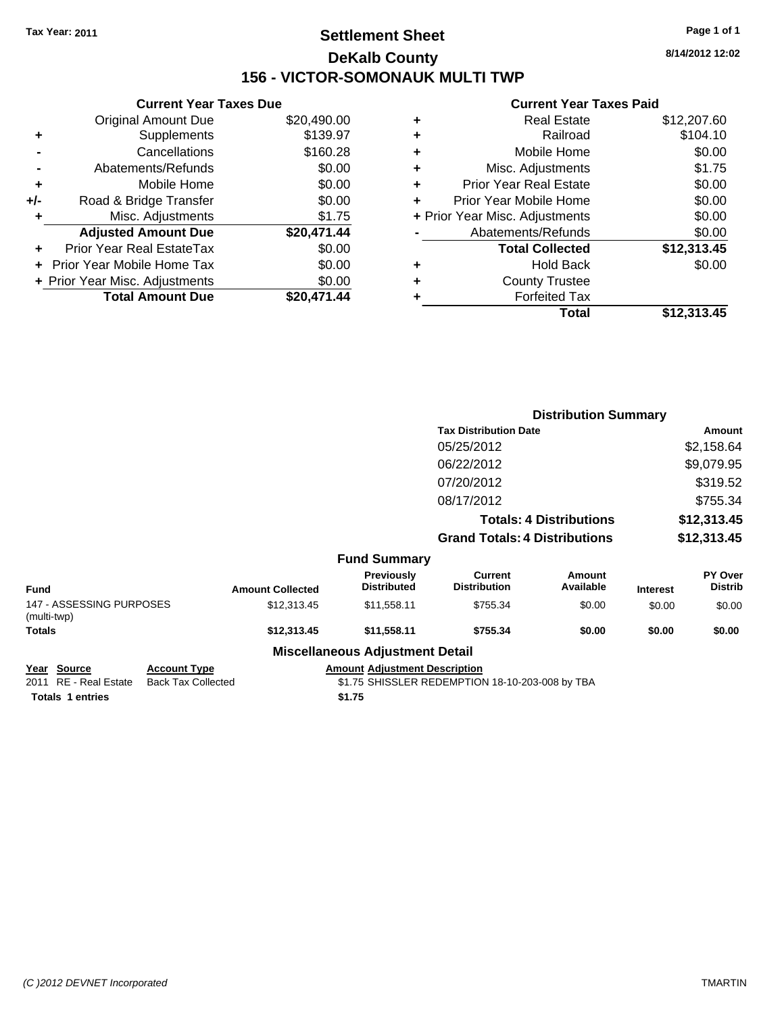## **Settlement Sheet Tax Year: 2011 Page 1 of 1 DeKalb County 156 - VICTOR-SOMONAUK MULTI TWP**

**8/14/2012 12:02**

## **Current Year Taxes Paid**

| <b>Current Year Taxes Due</b>     |                                |
|-----------------------------------|--------------------------------|
| <b>Original Amount Due</b>        | \$20,490.00                    |
| Supplements                       | \$139.97                       |
| Cancellations                     | \$160.28                       |
| Abatements/Refunds                | \$0.00                         |
| Mobile Home                       | \$0.00                         |
| Road & Bridge Transfer            | \$0.00                         |
| Misc. Adjustments                 | \$1.75                         |
| <b>Adjusted Amount Due</b>        | \$20,471.44                    |
| Prior Year Real EstateTax         | \$0.00                         |
| <b>Prior Year Mobile Home Tax</b> | \$0.00                         |
|                                   | \$0.00                         |
| <b>Total Amount Due</b>           | \$20.471.44                    |
|                                   | + Prior Year Misc. Adjustments |

|   | <b>Real Estate</b>             | \$12,207.60 |
|---|--------------------------------|-------------|
| ٠ | Railroad                       | \$104.10    |
| ٠ | Mobile Home                    | \$0.00      |
| ٠ | Misc. Adjustments              | \$1.75      |
| ÷ | <b>Prior Year Real Estate</b>  | \$0.00      |
|   | Prior Year Mobile Home         | \$0.00      |
|   | + Prior Year Misc. Adjustments | \$0.00      |
|   | Abatements/Refunds             | \$0.00      |
|   | <b>Total Collected</b>         | \$12,313.45 |
| ٠ | <b>Hold Back</b>               | \$0.00      |
| ٠ | <b>County Trustee</b>          |             |
| ٠ | <b>Forfeited Tax</b>           |             |
|   | Total                          | \$12,313.45 |
|   |                                |             |

|                                         |                         |                                         | <b>Distribution Summary</b>           |                                |                 |                                  |
|-----------------------------------------|-------------------------|-----------------------------------------|---------------------------------------|--------------------------------|-----------------|----------------------------------|
|                                         |                         |                                         | <b>Tax Distribution Date</b>          |                                |                 | Amount                           |
|                                         |                         |                                         | 05/25/2012                            |                                |                 | \$2,158.64                       |
|                                         |                         |                                         | 06/22/2012                            |                                |                 | \$9,079.95                       |
|                                         |                         |                                         | 07/20/2012                            |                                |                 | \$319.52                         |
|                                         |                         |                                         | 08/17/2012                            |                                |                 | \$755.34                         |
|                                         |                         |                                         |                                       | <b>Totals: 4 Distributions</b> |                 | \$12,313.45                      |
|                                         |                         |                                         | <b>Grand Totals: 4 Distributions</b>  |                                |                 | \$12,313.45                      |
|                                         |                         | <b>Fund Summary</b>                     |                                       |                                |                 |                                  |
| Fund                                    | <b>Amount Collected</b> | <b>Previously</b><br><b>Distributed</b> | <b>Current</b><br><b>Distribution</b> | Amount<br>Available            | <b>Interest</b> | <b>PY Over</b><br><b>Distrib</b> |
| 147 - ASSESSING PURPOSES<br>(multi-twp) | \$12,313.45             | \$11,558.11                             | \$755.34                              | \$0.00                         | \$0.00          | \$0.00                           |
| Totals                                  | \$12,313.45             | \$11,558.11                             | \$755.34                              | \$0.00                         | \$0.00          | \$0.00                           |
|                                         |                         | <b>Miscellaneous Adjustment Detail</b>  |                                       |                                |                 |                                  |
|                                         |                         |                                         |                                       |                                |                 |                                  |

Totals 1 entries \$1.75

**Year Source Account Type Amount Adjustment Description**<br>2011 RE - Real Estate Back Tax Collected \$1.75 SHISSLER REDEMPTION \$1.75 SHISSLER REDEMPTION 18-10-203-008 by TBA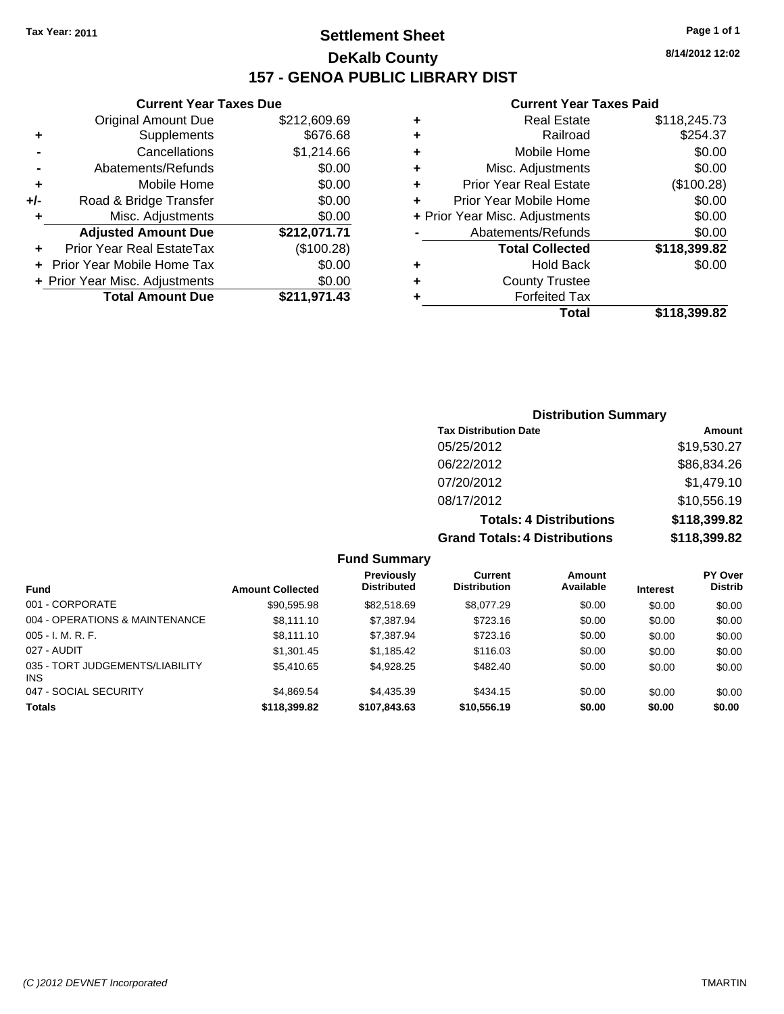## **Settlement Sheet Tax Year: 2011 Page 1 of 1 DeKalb County 157 - GENOA PUBLIC LIBRARY DIST**

**8/14/2012 12:02**

## **Current Year Taxes Paid**

| ٠ | <b>Real Estate</b>             | \$118,245.73 |
|---|--------------------------------|--------------|
| ٠ | Railroad                       | \$254.37     |
| ٠ | Mobile Home                    | \$0.00       |
| ٠ | Misc. Adjustments              | \$0.00       |
| ٠ | <b>Prior Year Real Estate</b>  | (\$100.28)   |
| ٠ | Prior Year Mobile Home         | \$0.00       |
|   | + Prior Year Misc. Adjustments | \$0.00       |
|   | Abatements/Refunds             | \$0.00       |
|   | <b>Total Collected</b>         | \$118,399.82 |
| ٠ | <b>Hold Back</b>               | \$0.00       |
| ٠ | <b>County Trustee</b>          |              |
| ٠ | <b>Forfeited Tax</b>           |              |
|   | Total                          | \$118,399.82 |
|   |                                |              |

|     | <b>Current Year Taxes Due</b>  |              |  |  |
|-----|--------------------------------|--------------|--|--|
|     | <b>Original Amount Due</b>     | \$212,609.69 |  |  |
| ٠   | Supplements                    | \$676.68     |  |  |
|     | Cancellations                  | \$1,214.66   |  |  |
|     | Abatements/Refunds             | \$0.00       |  |  |
| ÷   | Mobile Home                    | \$0.00       |  |  |
| +/- | Road & Bridge Transfer         | \$0.00       |  |  |
| ٠   | Misc. Adjustments              | \$0.00       |  |  |
|     | <b>Adjusted Amount Due</b>     | \$212,071.71 |  |  |
|     | Prior Year Real EstateTax      | (\$100.28)   |  |  |
|     | Prior Year Mobile Home Tax     | \$0.00       |  |  |
|     | + Prior Year Misc. Adjustments | \$0.00       |  |  |
|     | <b>Total Amount Due</b>        | \$211,971.43 |  |  |

## **Distribution Summary**

| <b>Tax Distribution Date</b>         | Amount       |
|--------------------------------------|--------------|
| 05/25/2012                           | \$19,530.27  |
| 06/22/2012                           | \$86,834.26  |
| 07/20/2012                           | \$1,479.10   |
| 08/17/2012                           | \$10,556.19  |
| <b>Totals: 4 Distributions</b>       | \$118,399.82 |
| <b>Grand Totals: 4 Distributions</b> | \$118,399.82 |

|                                         |                         | Previously         | Current             | Amount    |                 | <b>PY Over</b> |
|-----------------------------------------|-------------------------|--------------------|---------------------|-----------|-----------------|----------------|
| <b>Fund</b>                             | <b>Amount Collected</b> | <b>Distributed</b> | <b>Distribution</b> | Available | <b>Interest</b> | <b>Distrib</b> |
| 001 - CORPORATE                         | \$90,595.98             | \$82.518.69        | \$8,077.29          | \$0.00    | \$0.00          | \$0.00         |
| 004 - OPERATIONS & MAINTENANCE          | \$8.111.10              | \$7,387.94         | \$723.16            | \$0.00    | \$0.00          | \$0.00         |
| $005 - I. M. R. F.$                     | \$8,111.10              | \$7,387.94         | \$723.16            | \$0.00    | \$0.00          | \$0.00         |
| 027 - AUDIT                             | \$1,301.45              | \$1,185.42         | \$116.03            | \$0.00    | \$0.00          | \$0.00         |
| 035 - TORT JUDGEMENTS/LIABILITY<br>INS. | \$5,410.65              | \$4,928.25         | \$482.40            | \$0.00    | \$0.00          | \$0.00         |
| 047 - SOCIAL SECURITY                   | \$4.869.54              | \$4,435.39         | \$434.15            | \$0.00    | \$0.00          | \$0.00         |
| <b>Totals</b>                           | \$118,399.82            | \$107,843.63       | \$10,556.19         | \$0.00    | \$0.00          | \$0.00         |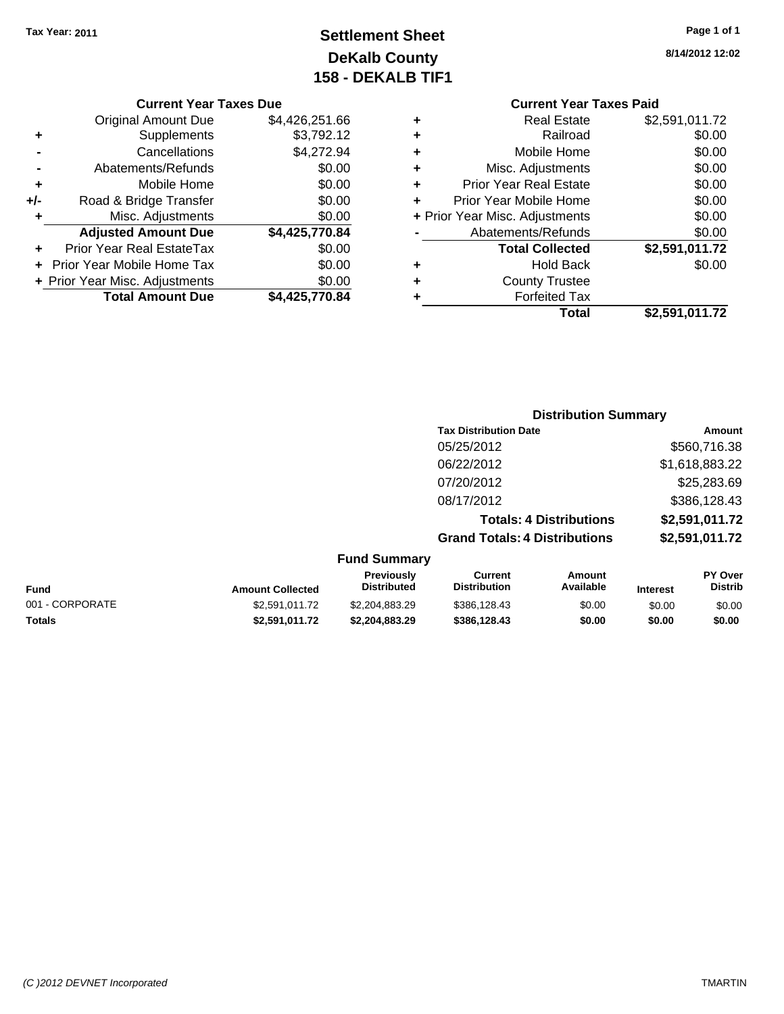## **Settlement Sheet Tax Year: 2011 Page 1 of 1 DeKalb County 158 - DEKALB TIF1**

#### **Current Year Taxes Due**

| <b>Original Amount Due</b> | \$4,426,251.66                 |
|----------------------------|--------------------------------|
| Supplements                | \$3,792.12                     |
| Cancellations              | \$4,272.94                     |
| Abatements/Refunds         | \$0.00                         |
| Mobile Home                | \$0.00                         |
| Road & Bridge Transfer     | \$0.00                         |
| Misc. Adjustments          | \$0.00                         |
| <b>Adjusted Amount Due</b> | \$4,425,770.84                 |
| Prior Year Real EstateTax  | \$0.00                         |
| Prior Year Mobile Home Tax | \$0.00                         |
|                            | \$0.00                         |
| <b>Total Amount Due</b>    | \$4,425,770.84                 |
|                            | + Prior Year Misc. Adjustments |

## **8/14/2012 12:02**

|   | <b>Current Year Taxes Paid</b> |                |  |  |  |
|---|--------------------------------|----------------|--|--|--|
| ٠ | <b>Real Estate</b>             | \$2,591,011.72 |  |  |  |
| ٠ | Railroad                       | \$0.00         |  |  |  |
| ٠ | Mobile Home                    | \$0.00         |  |  |  |
| ٠ | Misc. Adjustments              | \$0.00         |  |  |  |
| ٠ | <b>Prior Year Real Estate</b>  | \$0.00         |  |  |  |
| ÷ | Prior Year Mobile Home         | \$0.00         |  |  |  |
|   | + Prior Year Misc. Adjustments | \$0.00         |  |  |  |
|   | Abatements/Refunds             | \$0.00         |  |  |  |
|   | <b>Total Collected</b>         | \$2,591,011.72 |  |  |  |
|   | <b>Hold Back</b>               | \$0.00         |  |  |  |
|   | <b>County Trustee</b>          |                |  |  |  |
|   | <b>Forfeited Tax</b>           |                |  |  |  |
|   | Total                          | \$2,591,011.72 |  |  |  |
|   |                                |                |  |  |  |

## **Distribution Summary Tax Distribution Date Amount** 05/25/2012 \$560,716.38 06/22/2012 \$1,618,883.22 07/20/2012 \$25,283.69 08/17/2012 \$386,128.43 **Totals: 4 Distributions \$2,591,011.72 Grand Totals: 4 Distributions \$2,591,011.72**

|  | <b>Fund Summary</b> |
|--|---------------------|
|--|---------------------|

| <b>Fund</b>     | <b>Amount Collected</b> | Previously<br><b>Distributed</b> | Current<br><b>Distribution</b> | Amount<br>Available | <b>Interest</b> | <b>PY Over</b><br><b>Distrib</b> |
|-----------------|-------------------------|----------------------------------|--------------------------------|---------------------|-----------------|----------------------------------|
| 001 - CORPORATE | \$2.591.011.72          | \$2,204,883,29                   | \$386,128.43                   | \$0.00              | \$0.00          | \$0.00                           |
| <b>Totals</b>   | \$2.591.011.72          | \$2.204.883.29                   | \$386.128.43                   | \$0.00              | \$0.00          | \$0.00                           |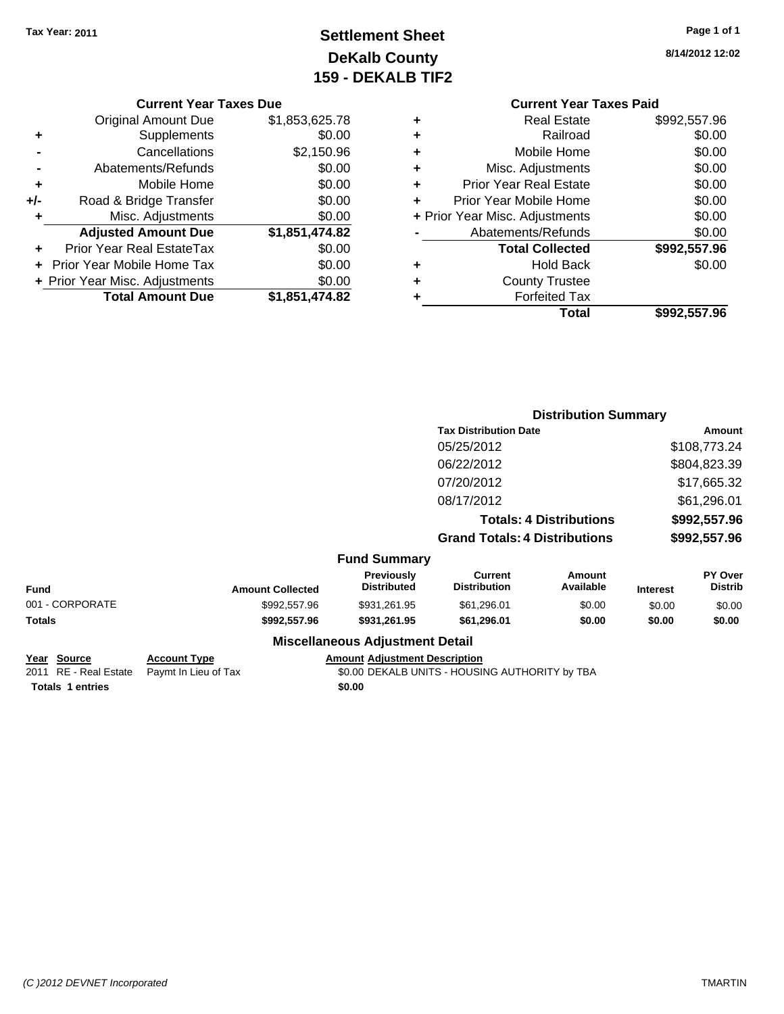### **Settlement Sheet Tax Year: 2011 Page 1 of 1 DeKalb County 159 - DEKALB TIF2**

**8/14/2012 12:02**

#### **Current Year Taxes Due**

|       | <b>Original Amount Due</b>       | \$1,853,625.78 |
|-------|----------------------------------|----------------|
| ٠     | Supplements                      | \$0.00         |
|       | Cancellations                    | \$2,150.96     |
|       | Abatements/Refunds               | \$0.00         |
| ٠     | Mobile Home                      | \$0.00         |
| $+/-$ | Road & Bridge Transfer           | \$0.00         |
| ٠     | Misc. Adjustments                | \$0.00         |
|       | <b>Adjusted Amount Due</b>       | \$1,851,474.82 |
|       | <b>Prior Year Real EstateTax</b> | \$0.00         |
|       | Prior Year Mobile Home Tax       | \$0.00         |
|       | + Prior Year Misc. Adjustments   | \$0.00         |
|       | <b>Total Amount Due</b>          | \$1,851,474.82 |

#### **Current Year Taxes Paid +** Real Estate \$992,557.96 **+** Railroad \$0.00

|   | Total                          | \$992.557.96 |
|---|--------------------------------|--------------|
|   | <b>Forfeited Tax</b>           |              |
| ÷ | <b>County Trustee</b>          |              |
| ٠ | <b>Hold Back</b>               | \$0.00       |
|   | <b>Total Collected</b>         | \$992,557.96 |
|   | Abatements/Refunds             | \$0.00       |
|   | + Prior Year Misc. Adjustments | \$0.00       |
|   | Prior Year Mobile Home         | \$0.00       |
| ٠ | <b>Prior Year Real Estate</b>  | \$0.00       |
| ÷ | Misc. Adjustments              | \$0.00       |
| ÷ | Mobile Home                    | \$0.00       |
|   |                                |              |

#### **Distribution Summary Tax Distribution Date Amount** 05/25/2012 \$108,773.24 06/22/2012 \$804,823.39 07/20/2012 \$17,665.32 08/17/2012 \$61,296.01 **Totals: 4 Distributions \$992,557.96 Grand Totals: 4 Distributions \$992,557.96 Fund Summary Fund Interest Amount Collected Distributed PY Over Distrib Amount Available Current Distribution Previously**

### 001 - CORPORATE 6000 \$992,557.96 \$931,261.95 \$61,296.01 \$0.00 \$0.00 \$0.00 \$0.00 **Totals \$992,557.96 \$931,261.95 \$61,296.01 \$0.00 \$0.00 \$0.00 Miscellaneous Adjustment Detail Year Source Account Type Amount Adjustment Description** 2011 RE - Real Estate Paymt In Lieu of Tax \$0.00 DEKALB UNITS - HOUSING AUTHORITY by TBA

**Totals \$0.00 1 entries**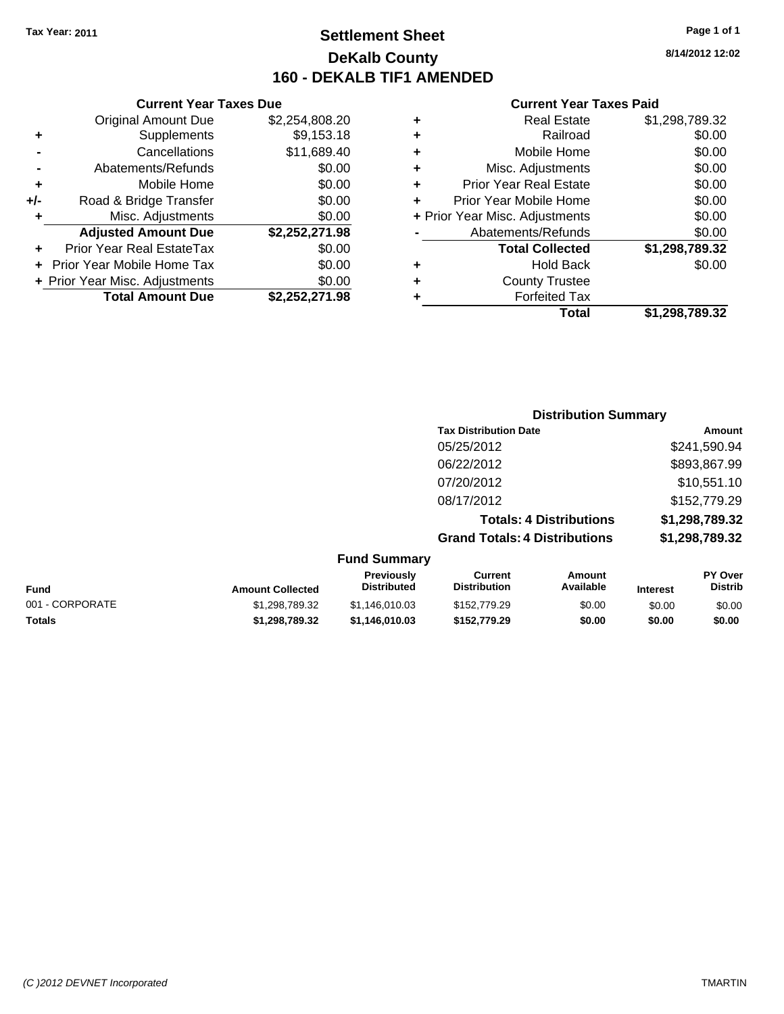### **Settlement Sheet Tax Year: 2011 Page 1 of 1 DeKalb County 160 - DEKALB TIF1 AMENDED**

#### **Current Year Taxes Due**

|     | <b>Original Amount Due</b>       | \$2,254,808.20 |
|-----|----------------------------------|----------------|
| ٠   | Supplements                      | \$9,153.18     |
|     | Cancellations                    | \$11,689.40    |
|     | Abatements/Refunds               | \$0.00         |
| ٠   | Mobile Home                      | \$0.00         |
| +/- | Road & Bridge Transfer           | \$0.00         |
| ٠   | Misc. Adjustments                | \$0.00         |
|     | <b>Adjusted Amount Due</b>       | \$2,252,271.98 |
|     | <b>Prior Year Real EstateTax</b> | \$0.00         |
|     | Prior Year Mobile Home Tax       | \$0.00         |
|     | + Prior Year Misc. Adjustments   | \$0.00         |
|     | <b>Total Amount Due</b>          | \$2,252,271.98 |

#### **Current Year Taxes Paid**

|   | <b>Real Estate</b>             | \$1,298,789.32 |
|---|--------------------------------|----------------|
| ٠ | Railroad                       | \$0.00         |
| ٠ | Mobile Home                    | \$0.00         |
| ٠ | Misc. Adjustments              | \$0.00         |
| ٠ | <b>Prior Year Real Estate</b>  | \$0.00         |
|   | Prior Year Mobile Home         | \$0.00         |
|   | + Prior Year Misc. Adjustments | \$0.00         |
|   | Abatements/Refunds             | \$0.00         |
|   | <b>Total Collected</b>         | \$1,298,789.32 |
| ٠ | Hold Back                      | \$0.00         |
| ٠ | <b>County Trustee</b>          |                |
| ٠ | <b>Forfeited Tax</b>           |                |
|   | Total                          | \$1,298,789.32 |
|   |                                |                |

### **Distribution Summary Tax Distribution Date Amount** 05/25/2012 \$241,590.94 06/22/2012 \$893,867.99 07/20/2012 \$10,551.10 08/17/2012 \$152,779.29 **Totals: 4 Distributions \$1,298,789.32 Grand Totals: 4 Distributions \$1,298,789.32 Fund Summary**

| <b>Fund</b>     | <b>Amount Collected</b> | <b>Previously</b><br><b>Distributed</b> | Current<br><b>Distribution</b> | Amount<br>Available | <b>Interest</b> | <b>PY Over</b><br>Distrib |
|-----------------|-------------------------|-----------------------------------------|--------------------------------|---------------------|-----------------|---------------------------|
| 001 - CORPORATE | \$1,298,789.32          | \$1.146.010.03                          | \$152,779.29                   | \$0.00              | \$0.00          | \$0.00                    |
| <b>Totals</b>   | \$1,298,789.32          | \$1.146.010.03                          | \$152,779.29                   | \$0.00              | \$0.00          | \$0.00                    |

**8/14/2012 12:02**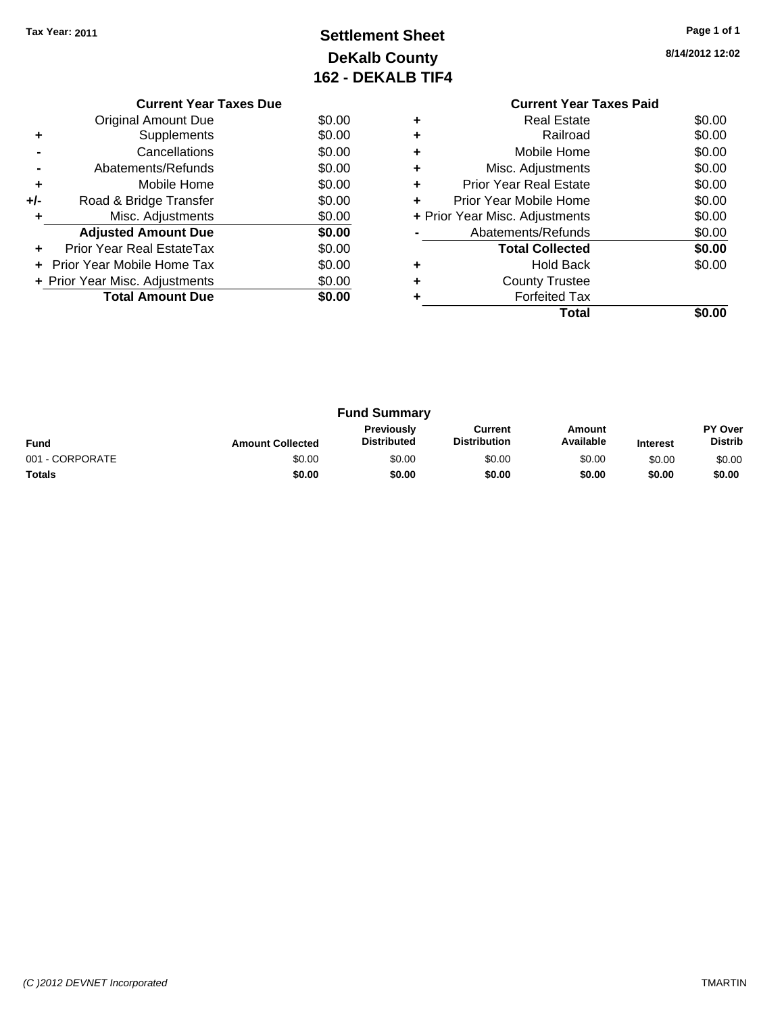### **Settlement Sheet Tax Year: 2011 Page 1 of 1 DeKalb County 162 - DEKALB TIF4**

**8/14/2012 12:02**

|     | <b>Current Year Taxes Due</b>     |        |  |
|-----|-----------------------------------|--------|--|
|     | <b>Original Amount Due</b>        | \$0.00 |  |
|     | Supplements                       | \$0.00 |  |
|     | Cancellations                     | \$0.00 |  |
|     | Abatements/Refunds                | \$0.00 |  |
| ٠   | Mobile Home                       | \$0.00 |  |
| +/- | Road & Bridge Transfer            | \$0.00 |  |
|     | Misc. Adjustments                 | \$0.00 |  |
|     | <b>Adjusted Amount Due</b>        | \$0.00 |  |
|     | Prior Year Real EstateTax         | \$0.00 |  |
|     | <b>Prior Year Mobile Home Tax</b> | \$0.00 |  |
|     | + Prior Year Misc. Adjustments    | \$0.00 |  |
|     | <b>Total Amount Due</b>           | \$0.00 |  |
|     |                                   |        |  |

### **Current Year Taxes Paid +** Real Estate \$0.00 **+** Railroad \$0.00

| ٠ | Mobile Home                    | \$0.00 |
|---|--------------------------------|--------|
|   | Misc. Adjustments              | \$0.00 |
|   | <b>Prior Year Real Estate</b>  | \$0.00 |
|   | Prior Year Mobile Home         | \$0.00 |
|   | + Prior Year Misc. Adjustments | \$0.00 |
|   | Abatements/Refunds             | \$0.00 |
|   | <b>Total Collected</b>         | \$0.00 |
|   | <b>Hold Back</b>               | \$0.00 |
| ÷ | <b>County Trustee</b>          |        |
|   | <b>Forfeited Tax</b>           |        |
|   | Total                          |        |

| <b>Fund Summary</b> |                         |                                         |                                |                     |                 |                           |
|---------------------|-------------------------|-----------------------------------------|--------------------------------|---------------------|-----------------|---------------------------|
| <b>Fund</b>         | <b>Amount Collected</b> | <b>Previously</b><br><b>Distributed</b> | Current<br><b>Distribution</b> | Amount<br>Available | <b>Interest</b> | PY Over<br><b>Distrib</b> |
| 001 - CORPORATE     | \$0.00                  | \$0.00                                  | \$0.00                         | \$0.00              | \$0.00          | \$0.00                    |
| <b>Totals</b>       | \$0.00                  | \$0.00                                  | \$0.00                         | \$0.00              | \$0.00          | \$0.00                    |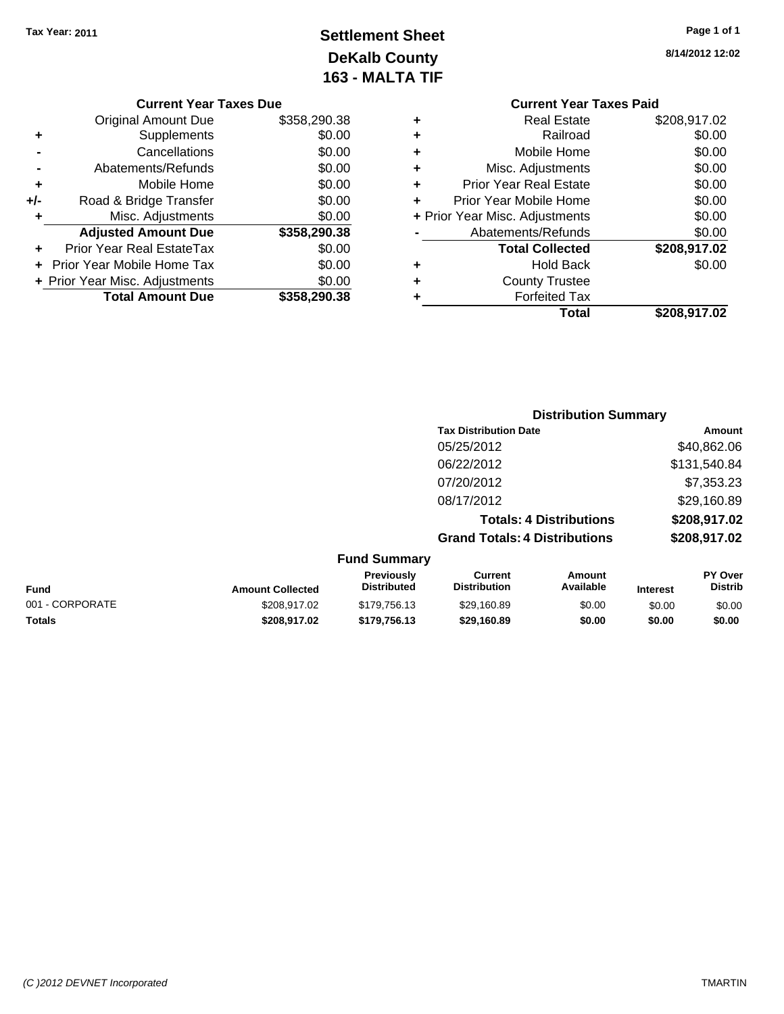### **Settlement Sheet Tax Year: 2011 Page 1 of 1 DeKalb County 163 - MALTA TIF**

**8/14/2012 12:02**

|   | Total                          | \$208,917.02 |
|---|--------------------------------|--------------|
|   | <b>Forfeited Tax</b>           |              |
| ٠ | <b>County Trustee</b>          |              |
| ٠ | <b>Hold Back</b>               | \$0.00       |
|   | <b>Total Collected</b>         | \$208,917.02 |
|   | Abatements/Refunds             | \$0.00       |
|   | + Prior Year Misc. Adjustments | \$0.00       |
| ÷ | Prior Year Mobile Home         | \$0.00       |
| ٠ | <b>Prior Year Real Estate</b>  | \$0.00       |
| ٠ | Misc. Adjustments              | \$0.00       |
| ٠ | Mobile Home                    | \$0.00       |
| ٠ | Railroad                       | \$0.00       |
| ٠ | <b>Real Estate</b>             | \$208,917.02 |
|   | <b>Current Year Taxes Paid</b> |              |

|     | <b>Current Year Taxes Due</b>  |              |
|-----|--------------------------------|--------------|
|     | Original Amount Due            | \$358,290.38 |
| ٠   | Supplements                    | \$0.00       |
|     | Cancellations                  | \$0.00       |
|     | Abatements/Refunds             | \$0.00       |
| ٠   | Mobile Home                    | \$0.00       |
| +/- | Road & Bridge Transfer         | \$0.00       |
|     | Misc. Adjustments              | \$0.00       |
|     | <b>Adjusted Amount Due</b>     | \$358,290.38 |
|     | Prior Year Real EstateTax      | \$0.00       |
|     | Prior Year Mobile Home Tax     | \$0.00       |
|     | + Prior Year Misc. Adjustments | \$0.00       |
|     | <b>Total Amount Due</b>        | \$358.290.38 |

| <b>Distribution Summary</b>          |              |  |
|--------------------------------------|--------------|--|
| <b>Tax Distribution Date</b>         | Amount       |  |
| 05/25/2012                           | \$40,862.06  |  |
| 06/22/2012                           | \$131,540.84 |  |
| 07/20/2012                           | \$7,353.23   |  |
| 08/17/2012                           | \$29,160.89  |  |
| <b>Totals: 4 Distributions</b>       | \$208,917.02 |  |
| <b>Grand Totals: 4 Distributions</b> | \$208,917.02 |  |

|  | <b>Fund Summary</b> |
|--|---------------------|
|--|---------------------|

| <b>Amount Collected</b> | Previously<br><b>Distributed</b> | Current<br>Distribution | Amount<br>Available | Interest | <b>PY Over</b><br><b>Distrib</b> |
|-------------------------|----------------------------------|-------------------------|---------------------|----------|----------------------------------|
| \$208,917.02            | \$179,756.13                     | \$29.160.89             | \$0.00              | \$0.00   | \$0.00                           |
| \$208,917.02            | \$179.756.13                     | \$29.160.89             | \$0.00              | \$0.00   | \$0.00                           |
|                         |                                  |                         |                     |          |                                  |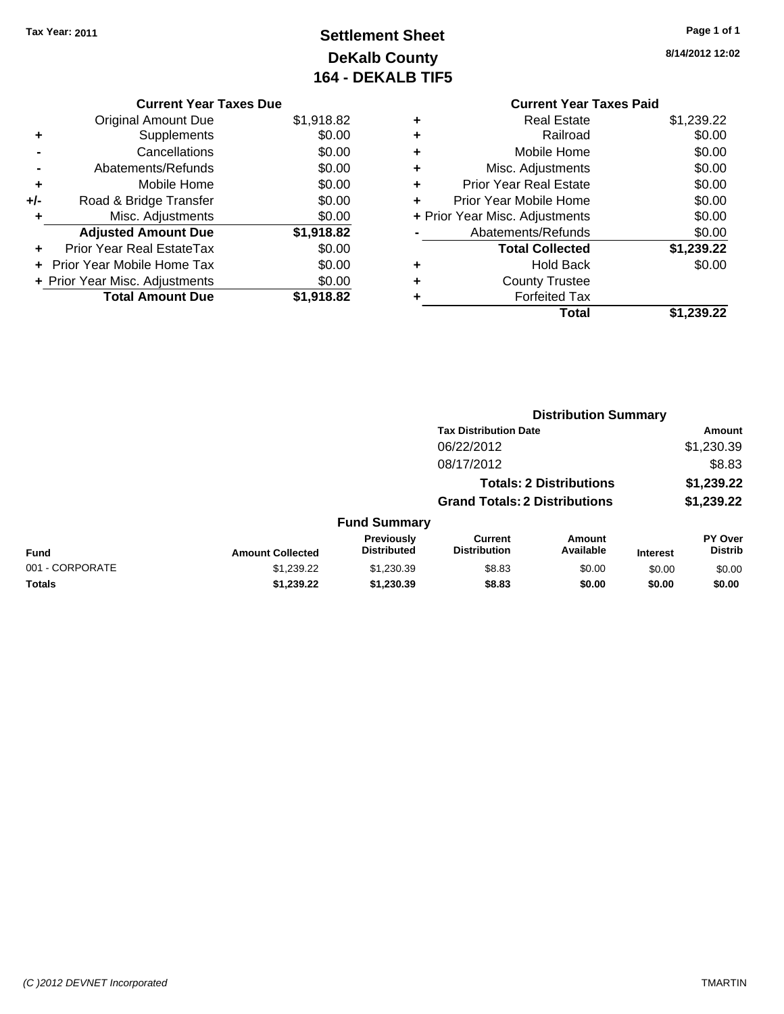### **Settlement Sheet Tax Year: 2011 Page 1 of 1 DeKalb County 164 - DEKALB TIF5**

**8/14/2012 12:02**

#### **Current Year Taxes Due**

|   | <b>Original Amount Due</b>     | \$1,918.82 |
|---|--------------------------------|------------|
|   | Supplements                    | \$0.00     |
|   | Cancellations                  | \$0.00     |
|   | Abatements/Refunds             | \$0.00     |
| ٠ | Mobile Home                    | \$0.00     |
|   | Road & Bridge Transfer         | \$0.00     |
| ÷ | Misc. Adjustments              | \$0.00     |
|   | <b>Adjusted Amount Due</b>     | \$1,918.82 |
|   | Prior Year Real EstateTax      | \$0.00     |
|   | + Prior Year Mobile Home Tax   | \$0.00     |
|   | + Prior Year Misc. Adjustments | \$0.00     |
|   | <b>Total Amount Due</b>        | \$1.918.82 |

#### **Current Year Taxes Paid +** Real Estate \$1,239.22 **+** Railroad \$0.00 **+** Mobile Home \$0.00 **+** Misc. Adjustments \$0.00 **+** Prior Year Real Estate \$0.00 **+** Prior Year Mobile Home \$0.00

|           | Total                          | \$1,239.22 |
|-----------|--------------------------------|------------|
| ÷         | <b>Forfeited Tax</b>           |            |
| ÷         | <b>County Trustee</b>          |            |
| $\ddot{}$ | <b>Hold Back</b>               | \$0.00     |
|           | <b>Total Collected</b>         | \$1,239.22 |
|           | Abatements/Refunds             | \$0.00     |
|           | + Prior Year Misc. Adjustments | \$0.00     |

|                 |                         |                                  |                                       | <b>Distribution Summary</b>    |                 |                                  |
|-----------------|-------------------------|----------------------------------|---------------------------------------|--------------------------------|-----------------|----------------------------------|
|                 |                         |                                  | <b>Tax Distribution Date</b>          |                                |                 | Amount                           |
|                 |                         |                                  | 06/22/2012                            |                                |                 | \$1,230.39                       |
|                 |                         |                                  | 08/17/2012                            |                                |                 | \$8.83                           |
|                 |                         |                                  |                                       | <b>Totals: 2 Distributions</b> |                 | \$1,239.22                       |
|                 |                         |                                  | <b>Grand Totals: 2 Distributions</b>  |                                |                 | \$1,239.22                       |
|                 |                         | <b>Fund Summary</b>              |                                       |                                |                 |                                  |
| Fund            | <b>Amount Collected</b> | Previously<br><b>Distributed</b> | <b>Current</b><br><b>Distribution</b> | Amount<br>Available            | <b>Interest</b> | <b>PY Over</b><br><b>Distrib</b> |
| 001 - CORPORATE | \$1,239.22              | \$1,230.39                       | \$8.83                                | \$0.00                         | \$0.00          | \$0.00                           |
| Totals          | \$1,239.22              | \$1,230.39                       | \$8.83                                | \$0.00                         | \$0.00          | \$0.00                           |
|                 |                         |                                  |                                       |                                |                 |                                  |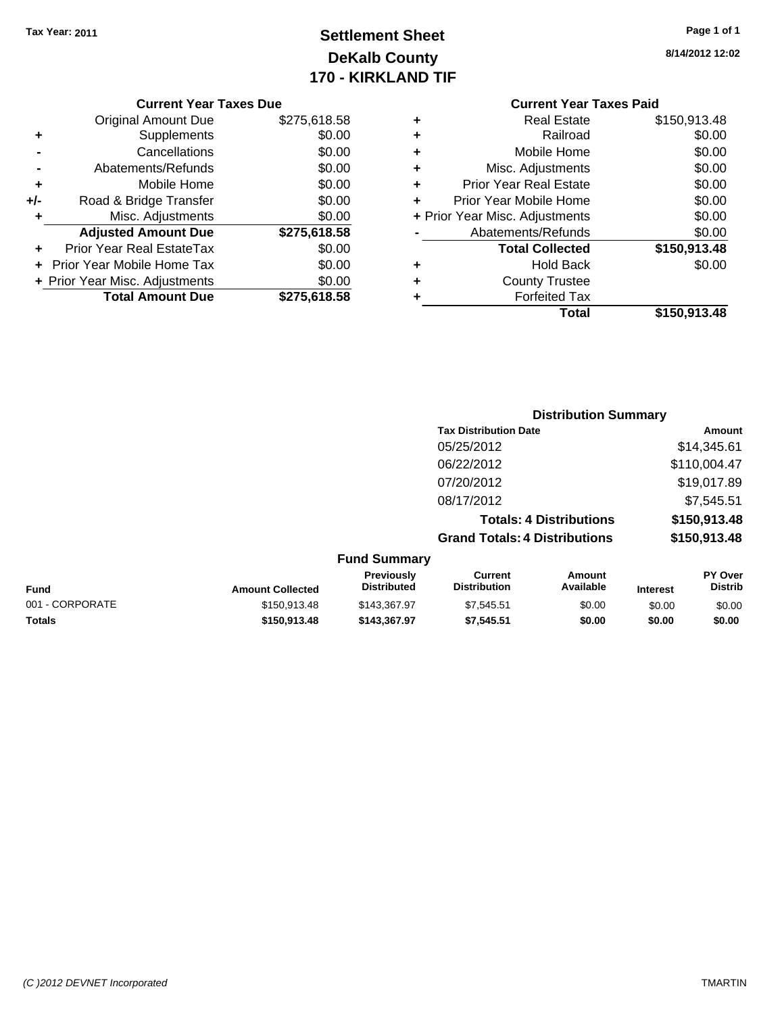### **Settlement Sheet Tax Year: 2011 Page 1 of 1 DeKalb County 170 - KIRKLAND TIF**

**8/14/2012 12:02**

#### **Current Year Taxes Due**

|     | <b>Original Amount Due</b>     | \$275,618.58 |
|-----|--------------------------------|--------------|
| ٠   | Supplements                    | \$0.00       |
|     | Cancellations                  | \$0.00       |
|     | Abatements/Refunds             | \$0.00       |
| ٠   | Mobile Home                    | \$0.00       |
| +/- | Road & Bridge Transfer         | \$0.00       |
| ٠   | Misc. Adjustments              | \$0.00       |
|     | <b>Adjusted Amount Due</b>     | \$275,618.58 |
|     | Prior Year Real EstateTax      | \$0.00       |
|     | Prior Year Mobile Home Tax     | \$0.00       |
|     | + Prior Year Misc. Adjustments | \$0.00       |
|     | <b>Total Amount Due</b>        | \$275,618.58 |

### **Current Year Taxes Paid**

| ٠ | Real Estate                    | \$150,913.48 |
|---|--------------------------------|--------------|
| ٠ | Railroad                       | \$0.00       |
| ٠ | Mobile Home                    | \$0.00       |
| ٠ | Misc. Adjustments              | \$0.00       |
| ٠ | <b>Prior Year Real Estate</b>  | \$0.00       |
| ٠ | Prior Year Mobile Home         | \$0.00       |
|   | + Prior Year Misc. Adjustments | \$0.00       |
|   | Abatements/Refunds             | \$0.00       |
|   | <b>Total Collected</b>         | \$150,913.48 |
| ٠ | <b>Hold Back</b>               | \$0.00       |
| ٠ | <b>County Trustee</b>          |              |
| ٠ | <b>Forfeited Tax</b>           |              |
|   | Total                          | \$150,913.48 |
|   |                                |              |

#### **Distribution Summary Tax Distribution Date Amount** 05/25/2012 \$14,345.61 06/22/2012 \$110,004.47 07/20/2012 \$19,017.89 08/17/2012 \$7,545.51 **Totals: 4 Distributions \$150,913.48 Grand Totals: 4 Distributions \$150,913.48 Fund Summary PY Over Amount Current Previously**

| <b>Fund</b>     | <b>Amount Collected</b> | Previouslv<br><b>Distributed</b> | Current<br><b>Distribution</b> | Amount<br>Available | <b>Interest</b> | <b>PY Over</b><br>Distrib |
|-----------------|-------------------------|----------------------------------|--------------------------------|---------------------|-----------------|---------------------------|
| 001 - CORPORATE | \$150,913.48            | \$143,367.97                     | \$7.545.51                     | \$0.00              | \$0.00          | \$0.00                    |
| <b>Totals</b>   | \$150.913.48            | \$143,367.97                     | \$7.545.51                     | \$0.00              | \$0.00          | \$0.00                    |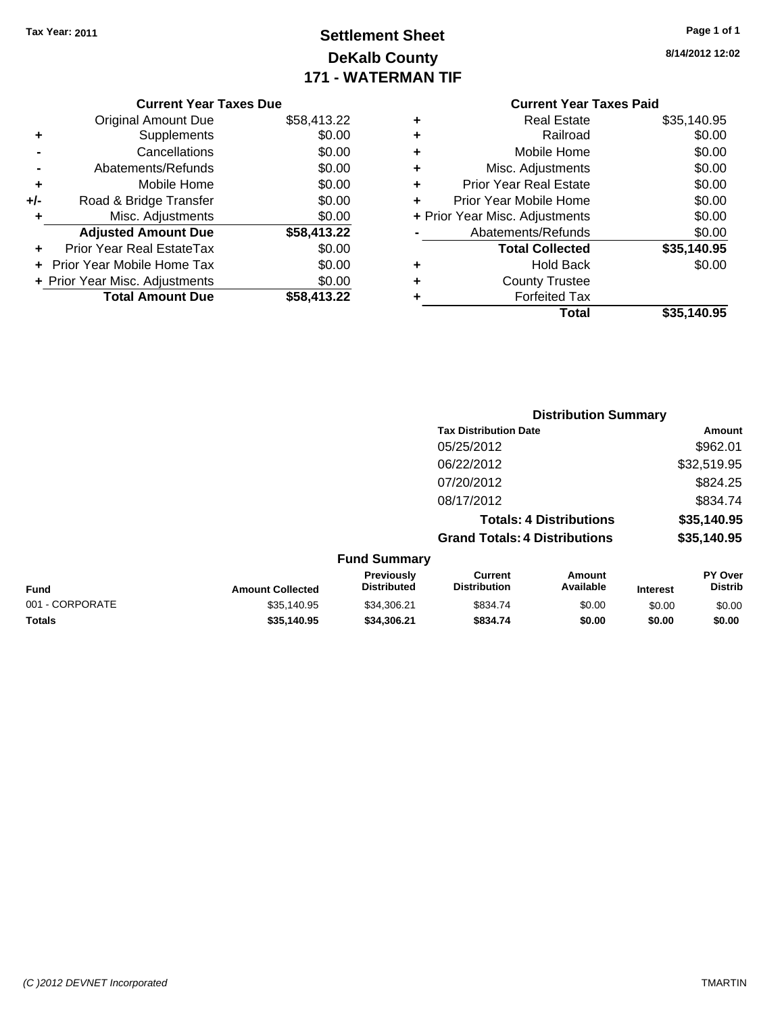### **Settlement Sheet Tax Year: 2011 Page 1 of 1 DeKalb County 171 - WATERMAN TIF**

**8/14/2012 12:02**

|     | <b>Current Year Taxes Due</b>  |             |
|-----|--------------------------------|-------------|
|     | Original Amount Due            | \$58,413.22 |
| ٠   | Supplements                    | \$0.00      |
|     | Cancellations                  | \$0.00      |
|     | Abatements/Refunds             | \$0.00      |
| ٠   | Mobile Home                    | \$0.00      |
| +/- | Road & Bridge Transfer         | \$0.00      |
|     | Misc. Adjustments              | \$0.00      |
|     | <b>Adjusted Amount Due</b>     | \$58,413.22 |
|     | Prior Year Real EstateTax      | \$0.00      |
|     | Prior Year Mobile Home Tax     | \$0.00      |
|     | + Prior Year Misc. Adjustments | \$0.00      |
|     | <b>Total Amount Due</b>        | \$58,413.22 |
|     |                                |             |

### **Current Year Taxes Paid**

| ٠ | <b>Real Estate</b>             | \$35,140.95 |
|---|--------------------------------|-------------|
| ٠ | Railroad                       | \$0.00      |
| ٠ | Mobile Home                    | \$0.00      |
| ٠ | Misc. Adjustments              | \$0.00      |
| ٠ | <b>Prior Year Real Estate</b>  | \$0.00      |
| ٠ | Prior Year Mobile Home         | \$0.00      |
|   | + Prior Year Misc. Adjustments | \$0.00      |
|   | Abatements/Refunds             | \$0.00      |
|   | <b>Total Collected</b>         | \$35,140.95 |
| ٠ | <b>Hold Back</b>               | \$0.00      |
| ٠ | <b>County Trustee</b>          |             |
| ٠ | <b>Forfeited Tax</b>           |             |
|   | Total                          | \$35,140.95 |
|   |                                |             |

|                 |                         |                                  | <b>Distribution Summary</b>           |                                |                 |                                  |
|-----------------|-------------------------|----------------------------------|---------------------------------------|--------------------------------|-----------------|----------------------------------|
|                 |                         |                                  | <b>Tax Distribution Date</b>          |                                |                 | Amount                           |
|                 |                         |                                  | 05/25/2012                            |                                |                 | \$962.01                         |
|                 |                         |                                  | 06/22/2012                            |                                |                 | \$32,519.95                      |
|                 |                         |                                  | 07/20/2012                            |                                |                 | \$824.25                         |
|                 |                         |                                  | 08/17/2012                            |                                |                 | \$834.74                         |
|                 |                         |                                  |                                       | <b>Totals: 4 Distributions</b> |                 | \$35,140.95                      |
|                 |                         |                                  | <b>Grand Totals: 4 Distributions</b>  |                                |                 | \$35,140.95                      |
|                 |                         | <b>Fund Summary</b>              |                                       |                                |                 |                                  |
| Fund            | <b>Amount Collected</b> | Previously<br><b>Distributed</b> | <b>Current</b><br><b>Distribution</b> | Amount<br>Available            | <b>Interest</b> | <b>PY Over</b><br><b>Distrib</b> |
| 001 - CORPORATE | \$35.140.95             | \$34.306.21                      | \$834.74                              | \$0.00                         | \$0.00          | \$0.00                           |
|                 |                         |                                  |                                       |                                |                 |                                  |

**Totals \$35,140.95 \$34,306.21 \$834.74 \$0.00 \$0.00 \$0.00**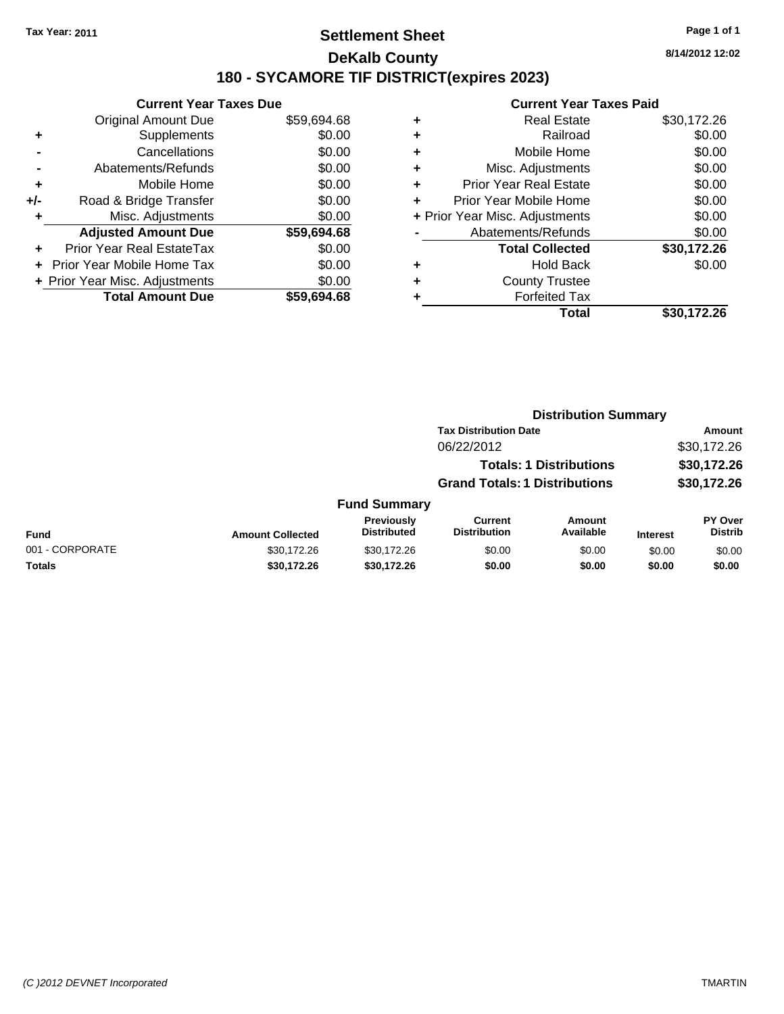### **Settlement Sheet Tax Year: 2011 Page 1 of 1 DeKalb County 180 - SYCAMORE TIF DISTRICT(expires 2023)**

#### **Current Year Taxes Due** Original Amount Due \$59,694.68 **+** Supplements \$0.00 **-** Cancellations \$0.00 **-** Abatements/Refunds \$0.00 **+** Mobile Home \$0.00 **+/-** Road & Bridge Transfer \$0.00 **+** Misc. Adjustments \$0.00 **Adjusted Amount Due \$59,694.68 +** Prior Year Real EstateTax \$0.00 **+** Prior Year Mobile Home Tax \$0.00 **+ Prior Year Misc. Adjustments**  $$0.00$ **Total Amount Due \$59,694.68**

#### **Current Year Taxes Paid +** Real Estate \$30,172.26 **+** Railroad \$0.00 **+** Mobile Home \$0.00 **+** Misc. Adjustments \$0.00 **+** Prior Year Real Estate \$0.00 **+** Prior Year Mobile Home \$0.00 **+** Prior Year Misc. Adjustments  $\text{\$0.00}$ Abatements/Refunds \$0.00 **Total Collected \$30,172.26 +** Hold Back \$0.00 **+** County Trustee **+** Forfeited Tax **Total \$30,172.26**

**Distribution Summary**

|                 |                         |                                  | <b>Tax Distribution Date</b>         |                                |                 | Amount                           |
|-----------------|-------------------------|----------------------------------|--------------------------------------|--------------------------------|-----------------|----------------------------------|
|                 |                         |                                  | 06/22/2012                           |                                |                 | \$30,172.26                      |
|                 |                         |                                  |                                      | <b>Totals: 1 Distributions</b> |                 | \$30,172.26                      |
|                 |                         |                                  | <b>Grand Totals: 1 Distributions</b> |                                |                 | \$30,172.26                      |
|                 |                         | <b>Fund Summary</b>              |                                      |                                |                 |                                  |
| Fund            | <b>Amount Collected</b> | Previously<br><b>Distributed</b> | Current<br><b>Distribution</b>       | Amount<br>Available            | <b>Interest</b> | <b>PY Over</b><br><b>Distrib</b> |
| 001 - CORPORATE | \$30,172.26             | \$30,172.26                      | \$0.00                               | \$0.00                         | \$0.00          | \$0.00                           |
| Totals          | \$30,172.26             | \$30,172.26                      | \$0.00                               | \$0.00                         | \$0.00          | \$0.00                           |
|                 |                         |                                  |                                      |                                |                 |                                  |

**8/14/2012 12:02**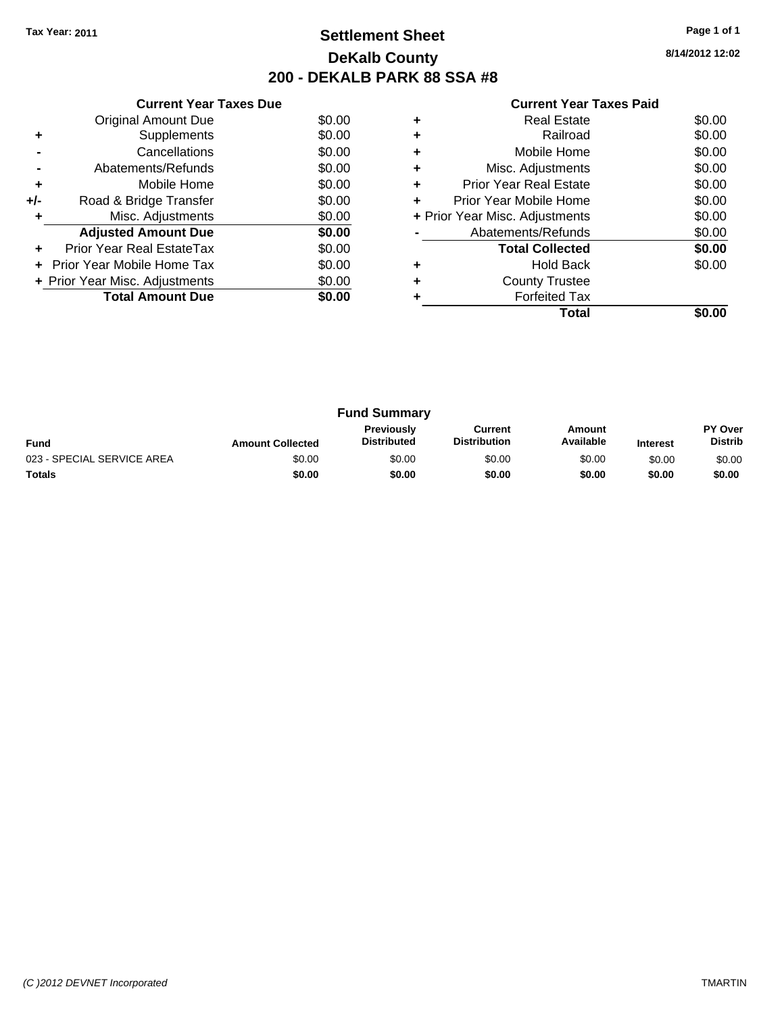### **Settlement Sheet Tax Year: 2011 Page 1 of 1 DeKalb County 200 - DEKALB PARK 88 SSA #8**

**8/14/2012 12:02**

|     | <b>Current Year Taxes Due</b>  |        |
|-----|--------------------------------|--------|
|     | Original Amount Due            | \$0.00 |
| ٠   | Supplements                    | \$0.00 |
|     | Cancellations                  | \$0.00 |
|     | Abatements/Refunds             | \$0.00 |
| ٠   | Mobile Home                    | \$0.00 |
| +/- | Road & Bridge Transfer         | \$0.00 |
| ٠   | Misc. Adjustments              | \$0.00 |
|     | <b>Adjusted Amount Due</b>     | \$0.00 |
|     | Prior Year Real EstateTax      | \$0.00 |
|     | Prior Year Mobile Home Tax     | \$0.00 |
|     | + Prior Year Misc. Adjustments | \$0.00 |
|     | <b>Total Amount Due</b>        | \$0.00 |
|     |                                |        |

|   | Total                          |        |
|---|--------------------------------|--------|
|   | <b>Forfeited Tax</b>           |        |
|   | <b>County Trustee</b>          |        |
|   | <b>Hold Back</b>               | \$0.00 |
|   | <b>Total Collected</b>         | \$0.00 |
|   | Abatements/Refunds             | \$0.00 |
|   | + Prior Year Misc. Adjustments | \$0.00 |
| ٠ | Prior Year Mobile Home         | \$0.00 |
| ٠ | Prior Year Real Estate         | \$0.00 |
| ٠ | Misc. Adjustments              | \$0.00 |
| ٠ | Mobile Home                    | \$0.00 |
| ٠ | Railroad                       | \$0.00 |
| ٠ | Real Estate                    | \$0.00 |

| <b>Fund Summary</b>        |                         |                                  |                                |                     |                 |                                  |
|----------------------------|-------------------------|----------------------------------|--------------------------------|---------------------|-----------------|----------------------------------|
| <b>Fund</b>                | <b>Amount Collected</b> | Previously<br><b>Distributed</b> | Current<br><b>Distribution</b> | Amount<br>Available | <b>Interest</b> | <b>PY Over</b><br><b>Distrib</b> |
| 023 - SPECIAL SERVICE AREA | \$0.00                  | \$0.00                           | \$0.00                         | \$0.00              | \$0.00          | \$0.00                           |
| <b>Totals</b>              | \$0.00                  | \$0.00                           | \$0.00                         | \$0.00              | \$0.00          | \$0.00                           |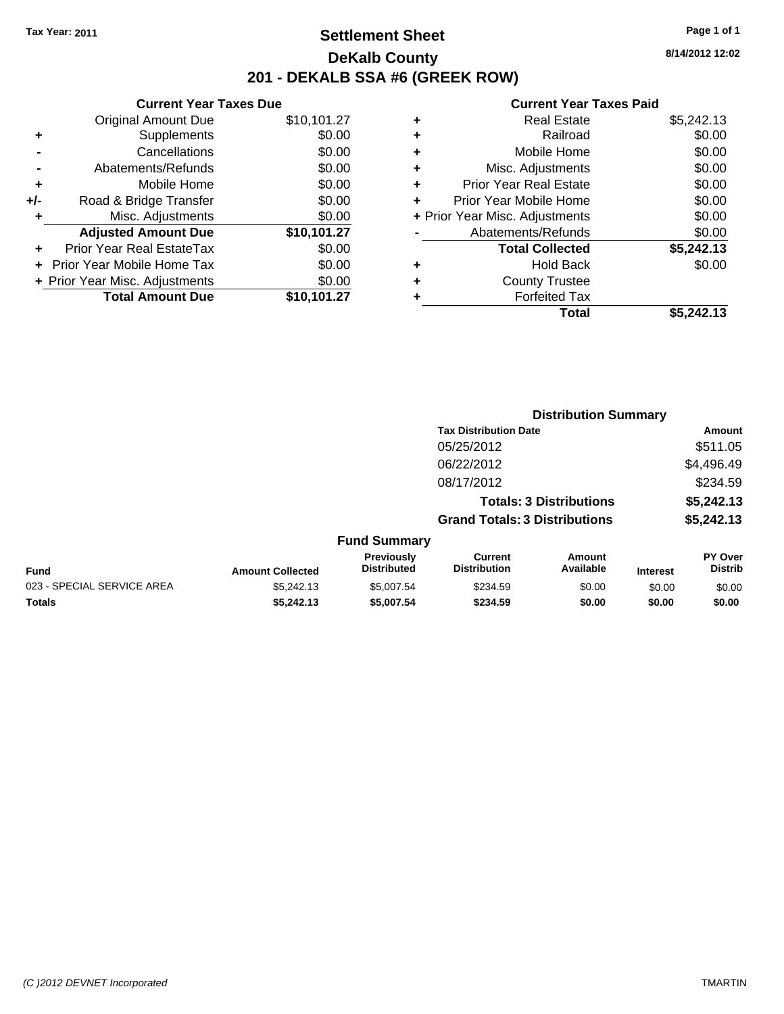### **Settlement Sheet Tax Year: 2011 Page 1 of 1 DeKalb County 201 - DEKALB SSA #6 (GREEK ROW)**

**8/14/2012 12:02**

| <b>Current Year Taxes Due</b>     |             |
|-----------------------------------|-------------|
| <b>Original Amount Due</b>        | \$10,101.27 |
| Supplements                       | \$0.00      |
| Cancellations                     | \$0.00      |
| Abatements/Refunds                | \$0.00      |
| Mobile Home                       | \$0.00      |
| Road & Bridge Transfer            | \$0.00      |
| Misc. Adjustments                 | \$0.00      |
| <b>Adjusted Amount Due</b>        | \$10,101.27 |
| Prior Year Real EstateTax         | \$0.00      |
| <b>Prior Year Mobile Home Tax</b> | \$0.00      |
| + Prior Year Misc. Adjustments    | \$0.00      |
|                                   |             |
|                                   |             |

| ٠ | <b>Real Estate</b>             | \$5,242.13 |
|---|--------------------------------|------------|
| ٠ | Railroad                       | \$0.00     |
| ٠ | Mobile Home                    | \$0.00     |
| ٠ | Misc. Adjustments              | \$0.00     |
| ٠ | Prior Year Real Estate         | \$0.00     |
| ÷ | Prior Year Mobile Home         | \$0.00     |
|   | + Prior Year Misc. Adjustments | \$0.00     |
|   | Abatements/Refunds             | \$0.00     |
|   | <b>Total Collected</b>         | \$5,242.13 |
| ٠ | <b>Hold Back</b>               | \$0.00     |
| ٠ | <b>County Trustee</b>          |            |
| ٠ | <b>Forfeited Tax</b>           |            |
|   | Total                          | \$5.242.13 |

|                            |                              |                                  | <b>Distribution Summary</b>           |                                |                 |                                  |  |  |  |  |  |  |  |                                      |  |            |
|----------------------------|------------------------------|----------------------------------|---------------------------------------|--------------------------------|-----------------|----------------------------------|--|--|--|--|--|--|--|--------------------------------------|--|------------|
|                            | <b>Tax Distribution Date</b> |                                  |                                       |                                |                 | Amount                           |  |  |  |  |  |  |  |                                      |  |            |
|                            |                              |                                  | 05/25/2012                            |                                |                 | \$511.05                         |  |  |  |  |  |  |  |                                      |  |            |
|                            |                              |                                  | 06/22/2012                            |                                |                 | \$4,496.49                       |  |  |  |  |  |  |  |                                      |  |            |
|                            |                              |                                  | 08/17/2012                            |                                |                 | \$234.59                         |  |  |  |  |  |  |  |                                      |  |            |
|                            |                              |                                  |                                       | <b>Totals: 3 Distributions</b> |                 | \$5,242.13                       |  |  |  |  |  |  |  |                                      |  |            |
|                            |                              |                                  |                                       |                                |                 |                                  |  |  |  |  |  |  |  | <b>Grand Totals: 3 Distributions</b> |  | \$5,242.13 |
|                            |                              | <b>Fund Summary</b>              |                                       |                                |                 |                                  |  |  |  |  |  |  |  |                                      |  |            |
| Fund                       | <b>Amount Collected</b>      | Previously<br><b>Distributed</b> | <b>Current</b><br><b>Distribution</b> | Amount<br>Available            | <b>Interest</b> | <b>PY Over</b><br><b>Distrib</b> |  |  |  |  |  |  |  |                                      |  |            |
| 023 - SPECIAL SERVICE AREA | \$5,242.13                   | \$5,007.54                       | \$234.59                              | \$0.00                         | \$0.00          | \$0.00                           |  |  |  |  |  |  |  |                                      |  |            |
| Totals                     | \$5,242.13                   | \$5,007.54                       | \$234.59                              | \$0.00                         | \$0.00          | \$0.00                           |  |  |  |  |  |  |  |                                      |  |            |
|                            |                              |                                  |                                       |                                |                 |                                  |  |  |  |  |  |  |  |                                      |  |            |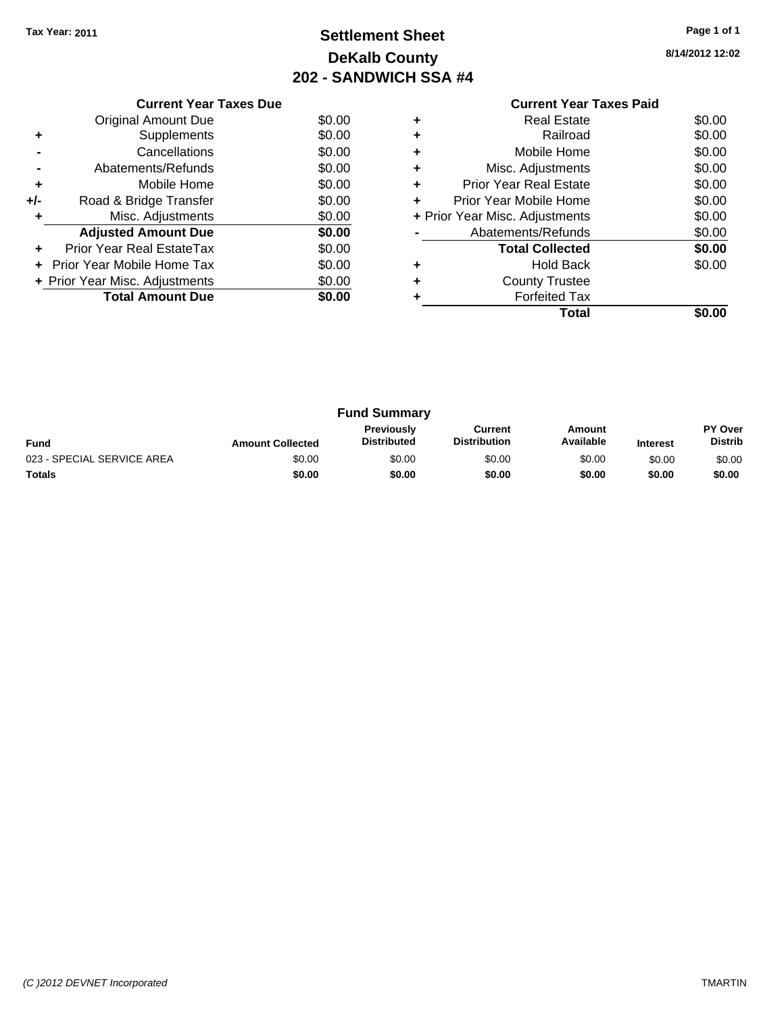### **Settlement Sheet Tax Year: 2011 Page 1 of 1 DeKalb County 202 - SANDWICH SSA #4**

**8/14/2012 12:02**

|     | <b>Current Year Taxes Due</b>     |        |
|-----|-----------------------------------|--------|
|     | Original Amount Due               | \$0.00 |
| ٠   | Supplements                       | \$0.00 |
|     | Cancellations                     | \$0.00 |
|     | Abatements/Refunds                | \$0.00 |
| ٠   | Mobile Home                       | \$0.00 |
| +/- | Road & Bridge Transfer            | \$0.00 |
| ٠   | Misc. Adjustments                 | \$0.00 |
|     | <b>Adjusted Amount Due</b>        | \$0.00 |
| ÷   | Prior Year Real EstateTax         | \$0.00 |
| ٠   | <b>Prior Year Mobile Home Tax</b> | \$0.00 |
|     | + Prior Year Misc. Adjustments    | \$0.00 |
|     | <b>Total Amount Due</b>           | \$0.00 |
|     |                                   |        |

|   | Total                          | SO.OO  |
|---|--------------------------------|--------|
|   | <b>Forfeited Tax</b>           |        |
| ٠ | <b>County Trustee</b>          |        |
| ٠ | <b>Hold Back</b>               | \$0.00 |
|   | <b>Total Collected</b>         | \$0.00 |
|   | Abatements/Refunds             | \$0.00 |
|   | + Prior Year Misc. Adjustments | \$0.00 |
|   | Prior Year Mobile Home         | \$0.00 |
| ٠ | <b>Prior Year Real Estate</b>  | \$0.00 |
| ٠ | Misc. Adjustments              | \$0.00 |
|   | Mobile Home                    | \$0.00 |
|   | Railroad                       | \$0.00 |
| ٠ | Real Estate                    | \$0.00 |

|                            | <b>Fund Summary</b>     |                                         |                                |                     |                 |                           |
|----------------------------|-------------------------|-----------------------------------------|--------------------------------|---------------------|-----------------|---------------------------|
| <b>Fund</b>                | <b>Amount Collected</b> | <b>Previously</b><br><b>Distributed</b> | Current<br><b>Distribution</b> | Amount<br>Available | <b>Interest</b> | PY Over<br><b>Distrib</b> |
| 023 - SPECIAL SERVICE AREA | \$0.00                  | \$0.00                                  | \$0.00                         | \$0.00              | \$0.00          | \$0.00                    |
| <b>Totals</b>              | \$0.00                  | \$0.00                                  | \$0.00                         | \$0.00              | \$0.00          | \$0.00                    |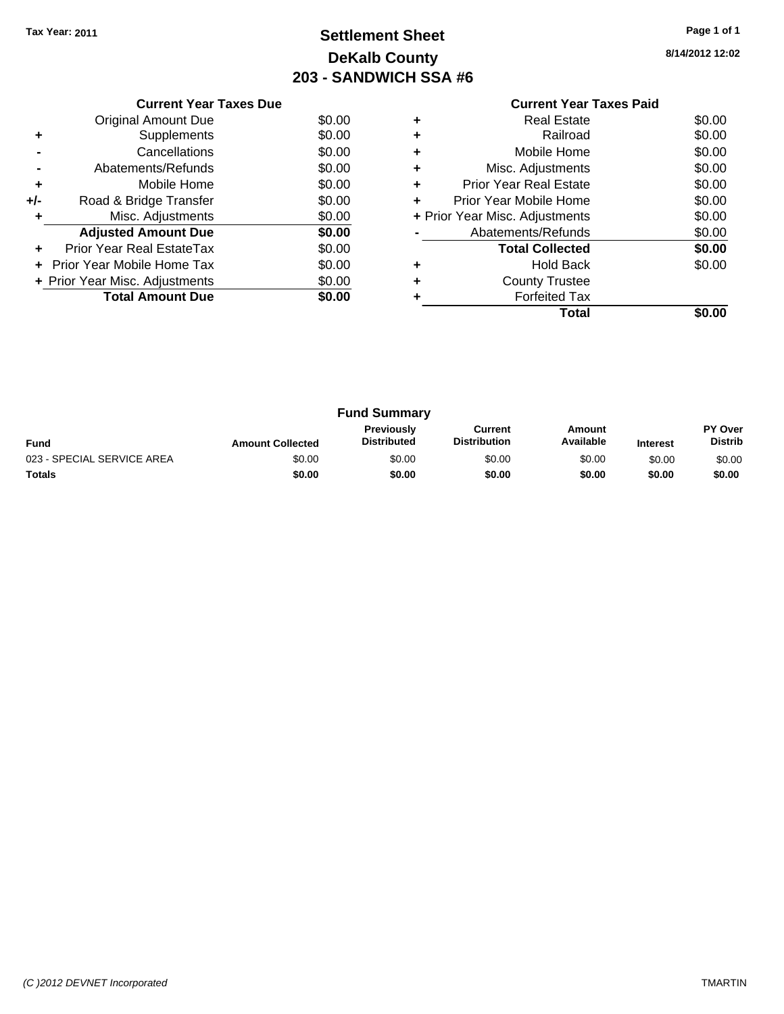### **Settlement Sheet Tax Year: 2011 Page 1 of 1 DeKalb County 203 - SANDWICH SSA #6**

**8/14/2012 12:02**

|     | <b>Current Year Taxes Due</b>  |        |
|-----|--------------------------------|--------|
|     | Original Amount Due            | \$0.00 |
| ٠   | Supplements                    | \$0.00 |
|     | Cancellations                  | \$0.00 |
|     | Abatements/Refunds             | \$0.00 |
| ٠   | Mobile Home                    | \$0.00 |
| +/- | Road & Bridge Transfer         | \$0.00 |
|     | Misc. Adjustments              | \$0.00 |
|     | <b>Adjusted Amount Due</b>     | \$0.00 |
|     | Prior Year Real EstateTax      | \$0.00 |
| ٠   | Prior Year Mobile Home Tax     | \$0.00 |
|     | + Prior Year Misc. Adjustments | \$0.00 |
|     | <b>Total Amount Due</b>        | \$0.00 |
|     |                                |        |

|   | Total                          |        |
|---|--------------------------------|--------|
|   | <b>Forfeited Tax</b>           |        |
| ٠ | <b>County Trustee</b>          |        |
| ٠ | <b>Hold Back</b>               | \$0.00 |
|   | <b>Total Collected</b>         | \$0.00 |
|   | Abatements/Refunds             | \$0.00 |
|   | + Prior Year Misc. Adjustments | \$0.00 |
|   | Prior Year Mobile Home         | \$0.00 |
| ٠ | <b>Prior Year Real Estate</b>  | \$0.00 |
| ٠ | Misc. Adjustments              | \$0.00 |
| ٠ | Mobile Home                    | \$0.00 |
|   | Railroad                       | \$0.00 |
| ٠ | Real Estate                    | \$0.00 |

|                            |                         | <b>Fund Summary</b>                     |                                |                     |                 |                           |
|----------------------------|-------------------------|-----------------------------------------|--------------------------------|---------------------|-----------------|---------------------------|
| <b>Fund</b>                | <b>Amount Collected</b> | <b>Previously</b><br><b>Distributed</b> | Current<br><b>Distribution</b> | Amount<br>Available | <b>Interest</b> | PY Over<br><b>Distrib</b> |
| 023 - SPECIAL SERVICE AREA | \$0.00                  | \$0.00                                  | \$0.00                         | \$0.00              | \$0.00          | \$0.00                    |
| <b>Totals</b>              | \$0.00                  | \$0.00                                  | \$0.00                         | \$0.00              | \$0.00          | \$0.00                    |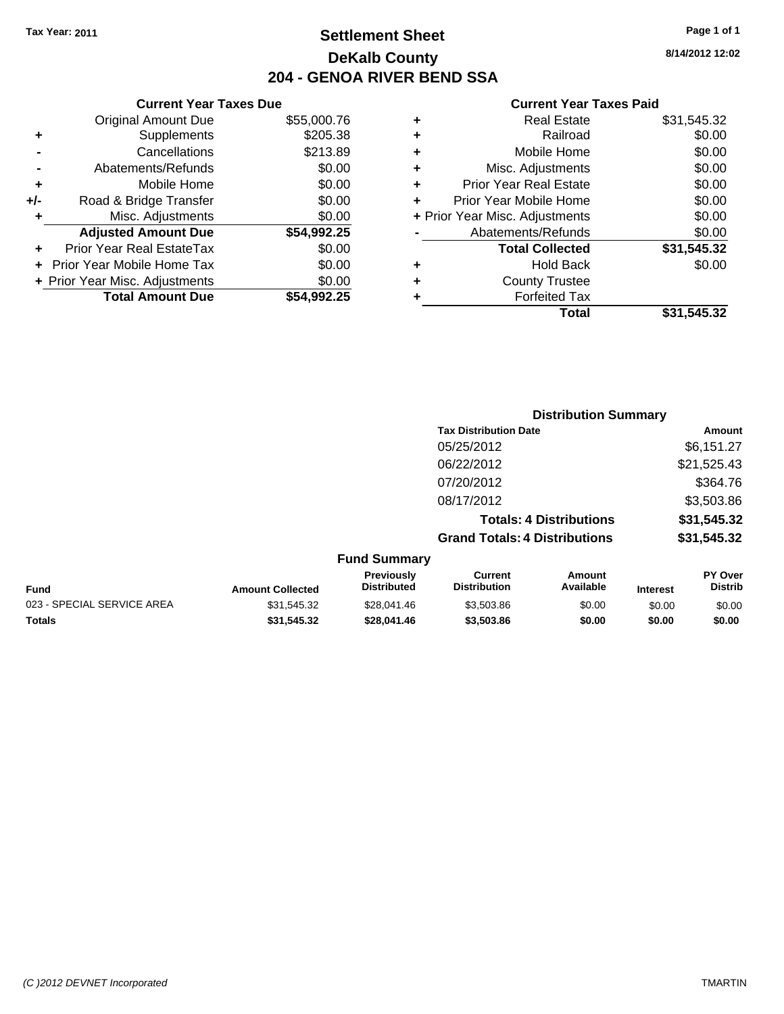### **Settlement Sheet Tax Year: 2011 Page 1 of 1 DeKalb County 204 - GENOA RIVER BEND SSA**

### **8/14/2012 12:02**

| <b>Current Year Taxes Due</b>  |             |  |  |  |  |
|--------------------------------|-------------|--|--|--|--|
| <b>Original Amount Due</b>     | \$55,000.76 |  |  |  |  |
| Supplements                    | \$205.38    |  |  |  |  |
| Cancellations                  | \$213.89    |  |  |  |  |
| \$0.00<br>Abatements/Refunds   |             |  |  |  |  |
| Mobile Home                    | \$0.00      |  |  |  |  |
| Road & Bridge Transfer         | \$0.00      |  |  |  |  |
| Misc. Adjustments              | \$0.00      |  |  |  |  |
| <b>Adjusted Amount Due</b>     | \$54,992.25 |  |  |  |  |
| Prior Year Real EstateTax      | \$0.00      |  |  |  |  |
| Prior Year Mobile Home Tax     | \$0.00      |  |  |  |  |
| + Prior Year Misc. Adjustments | \$0.00      |  |  |  |  |
| <b>Total Amount Due</b>        | \$54.992.25 |  |  |  |  |
|                                |             |  |  |  |  |

| ٠ | <b>Real Estate</b>             | \$31,545.32 |
|---|--------------------------------|-------------|
| ٠ | Railroad                       | \$0.00      |
| ٠ | Mobile Home                    | \$0.00      |
| ٠ | Misc. Adjustments              | \$0.00      |
| ÷ | <b>Prior Year Real Estate</b>  | \$0.00      |
| ٠ | Prior Year Mobile Home         | \$0.00      |
|   | + Prior Year Misc. Adjustments | \$0.00      |
|   | Abatements/Refunds             | \$0.00      |
|   | <b>Total Collected</b>         | \$31,545.32 |
| ٠ | <b>Hold Back</b>               | \$0.00      |
| ٠ | <b>County Trustee</b>          |             |
| ٠ | <b>Forfeited Tax</b>           |             |
|   | Total                          | \$31,545.32 |
|   |                                |             |

|                         |                                  | <b>Distribution Summary</b>           |                                |                 |                           |  |
|-------------------------|----------------------------------|---------------------------------------|--------------------------------|-----------------|---------------------------|--|
|                         |                                  | <b>Tax Distribution Date</b>          |                                |                 | Amount                    |  |
|                         |                                  | 05/25/2012                            |                                |                 | \$6,151.27                |  |
|                         |                                  | 06/22/2012                            |                                |                 | \$21,525.43               |  |
|                         |                                  | 07/20/2012                            |                                |                 | \$364.76                  |  |
|                         |                                  | 08/17/2012                            |                                |                 | \$3,503.86                |  |
|                         |                                  |                                       | <b>Totals: 4 Distributions</b> |                 | \$31,545.32               |  |
|                         |                                  | <b>Grand Totals: 4 Distributions</b>  |                                |                 | \$31,545.32               |  |
|                         | <b>Fund Summary</b>              |                                       |                                |                 |                           |  |
| <b>Amount Collected</b> | Previously<br><b>Distributed</b> | <b>Current</b><br><b>Distribution</b> | Amount<br>Available            | <b>Interest</b> | PY Over<br><b>Distrib</b> |  |
| $0.01 \times 10.00$     | 0.000044                         | 0.0000                                | 0000                           | $\sim$ $\sim$   | $\sim$ $\sim$             |  |

| <b>Fund</b>                | <b>Amount Collected</b> | Distributed | <b>Distribution</b> | Available | <b>Interest</b> | Distrib |
|----------------------------|-------------------------|-------------|---------------------|-----------|-----------------|---------|
| 023 - SPECIAL SERVICE AREA | \$31.545.32             | \$28.041.46 | \$3.503.86          | \$0.00    | \$0.00          | \$0.00  |
| <b>Totals</b>              | \$31.545.32             | \$28,041.46 | \$3,503.86          | \$0.00    | \$0.00          | \$0.00  |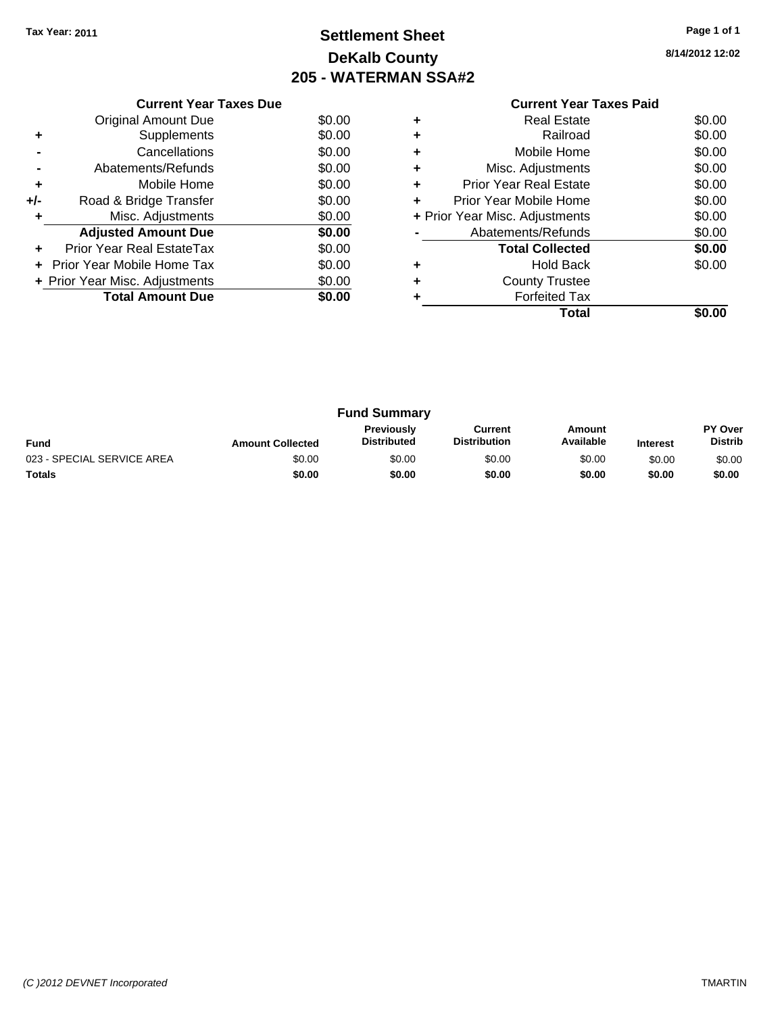### **Settlement Sheet Tax Year: 2011 Page 1 of 1 DeKalb County 205 - WATERMAN SSA#2**

**8/14/2012 12:02**

|     | <b>Current Year Taxes Due</b>  |        |
|-----|--------------------------------|--------|
|     | <b>Original Amount Due</b>     | \$0.00 |
|     | Supplements                    | \$0.00 |
|     | Cancellations                  | \$0.00 |
|     | Abatements/Refunds             | \$0.00 |
| ٠   | Mobile Home                    | \$0.00 |
| +/- | Road & Bridge Transfer         | \$0.00 |
| ٠   | Misc. Adjustments              | \$0.00 |
|     | <b>Adjusted Amount Due</b>     | \$0.00 |
| ÷   | Prior Year Real EstateTax      | \$0.00 |
| ÷   | Prior Year Mobile Home Tax     | \$0.00 |
|     | + Prior Year Misc. Adjustments | \$0.00 |
|     | <b>Total Amount Due</b>        | \$0.00 |
|     |                                |        |

|   | Real Estate                    | \$0.00 |
|---|--------------------------------|--------|
| ٠ | Railroad                       | \$0.00 |
| ٠ | Mobile Home                    | \$0.00 |
| ٠ | Misc. Adjustments              | \$0.00 |
| ٠ | Prior Year Real Estate         | \$0.00 |
|   | Prior Year Mobile Home         | \$0.00 |
|   | + Prior Year Misc. Adjustments | \$0.00 |
|   | Abatements/Refunds             | \$0.00 |
|   | <b>Total Collected</b>         | \$0.00 |
| ٠ | <b>Hold Back</b>               | \$0.00 |
| ٠ | <b>County Trustee</b>          |        |
|   | <b>Forfeited Tax</b>           |        |
|   | Total                          |        |

| <b>Fund Summary</b>        |                         |                                         |                                |                     |                 |                           |
|----------------------------|-------------------------|-----------------------------------------|--------------------------------|---------------------|-----------------|---------------------------|
| <b>Fund</b>                | <b>Amount Collected</b> | <b>Previously</b><br><b>Distributed</b> | Current<br><b>Distribution</b> | Amount<br>Available | <b>Interest</b> | PY Over<br><b>Distrib</b> |
| 023 - SPECIAL SERVICE AREA | \$0.00                  | \$0.00                                  | \$0.00                         | \$0.00              | \$0.00          | \$0.00                    |
| <b>Totals</b>              | \$0.00                  | \$0.00                                  | \$0.00                         | \$0.00              | \$0.00          | \$0.00                    |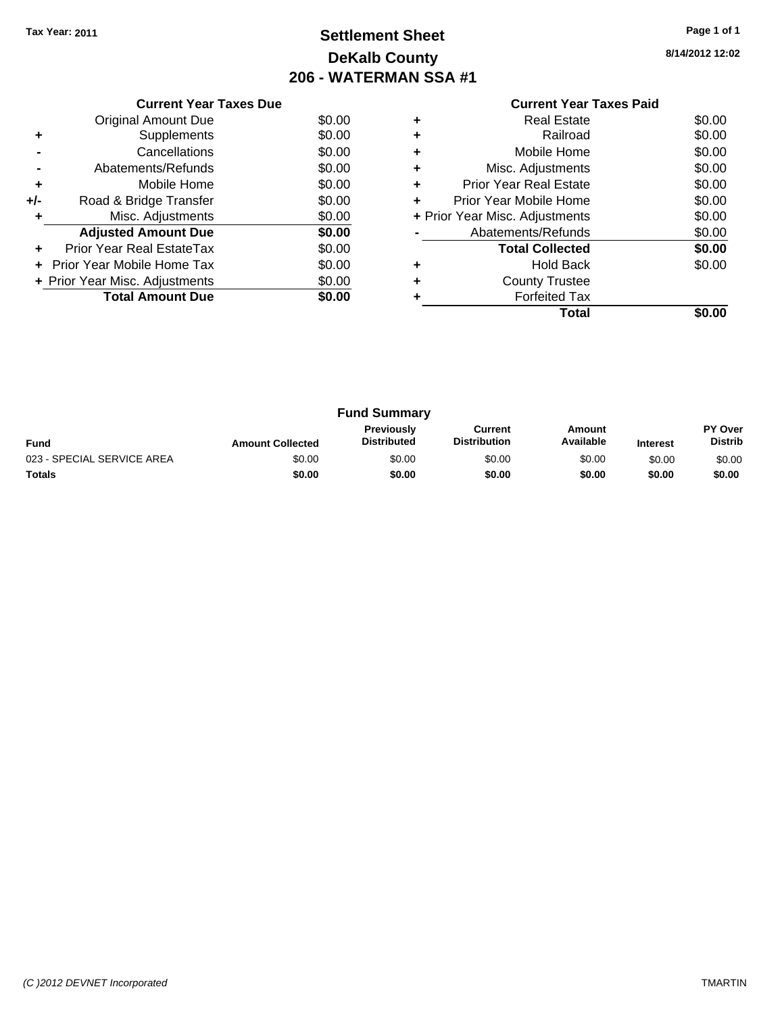### **Settlement Sheet Tax Year: 2011 Page 1 of 1 DeKalb County 206 - WATERMAN SSA #1**

**8/14/2012 12:02**

| <b>Current Year Taxes Paid</b> |  |  |
|--------------------------------|--|--|

|     | <b>Current Year Taxes Due</b>     |        |
|-----|-----------------------------------|--------|
|     | Original Amount Due               | \$0.00 |
|     | Supplements                       | \$0.00 |
|     | Cancellations                     | \$0.00 |
|     | Abatements/Refunds                | \$0.00 |
| ٠   | Mobile Home                       | \$0.00 |
| +/- | Road & Bridge Transfer            | \$0.00 |
|     | Misc. Adjustments                 | \$0.00 |
|     | <b>Adjusted Amount Due</b>        | \$0.00 |
|     | Prior Year Real EstateTax         | \$0.00 |
|     | <b>Prior Year Mobile Home Tax</b> | \$0.00 |
|     | + Prior Year Misc. Adjustments    | \$0.00 |
|     | <b>Total Amount Due</b>           | \$0.00 |
|     |                                   |        |

|   | <b>Real Estate</b>             | \$0.00 |
|---|--------------------------------|--------|
| ٠ | Railroad                       | \$0.00 |
| ٠ | Mobile Home                    | \$0.00 |
| ٠ | Misc. Adjustments              | \$0.00 |
| ٠ | <b>Prior Year Real Estate</b>  | \$0.00 |
|   | Prior Year Mobile Home         | \$0.00 |
|   | + Prior Year Misc. Adjustments | \$0.00 |
|   | Abatements/Refunds             | \$0.00 |
|   | <b>Total Collected</b>         | \$0.00 |
| ٠ | <b>Hold Back</b>               | \$0.00 |
| ٠ | <b>County Trustee</b>          |        |
|   | <b>Forfeited Tax</b>           |        |
|   | Total                          |        |

| <b>Fund Summary</b>        |                         |                                         |                                |                     |                 |                                  |
|----------------------------|-------------------------|-----------------------------------------|--------------------------------|---------------------|-----------------|----------------------------------|
| <b>Fund</b>                | <b>Amount Collected</b> | <b>Previously</b><br><b>Distributed</b> | Current<br><b>Distribution</b> | Amount<br>Available | <b>Interest</b> | <b>PY Over</b><br><b>Distrib</b> |
| 023 - SPECIAL SERVICE AREA | \$0.00                  | \$0.00                                  | \$0.00                         | \$0.00              | \$0.00          | \$0.00                           |
| <b>Totals</b>              | \$0.00                  | \$0.00                                  | \$0.00                         | \$0.00              | \$0.00          | \$0.00                           |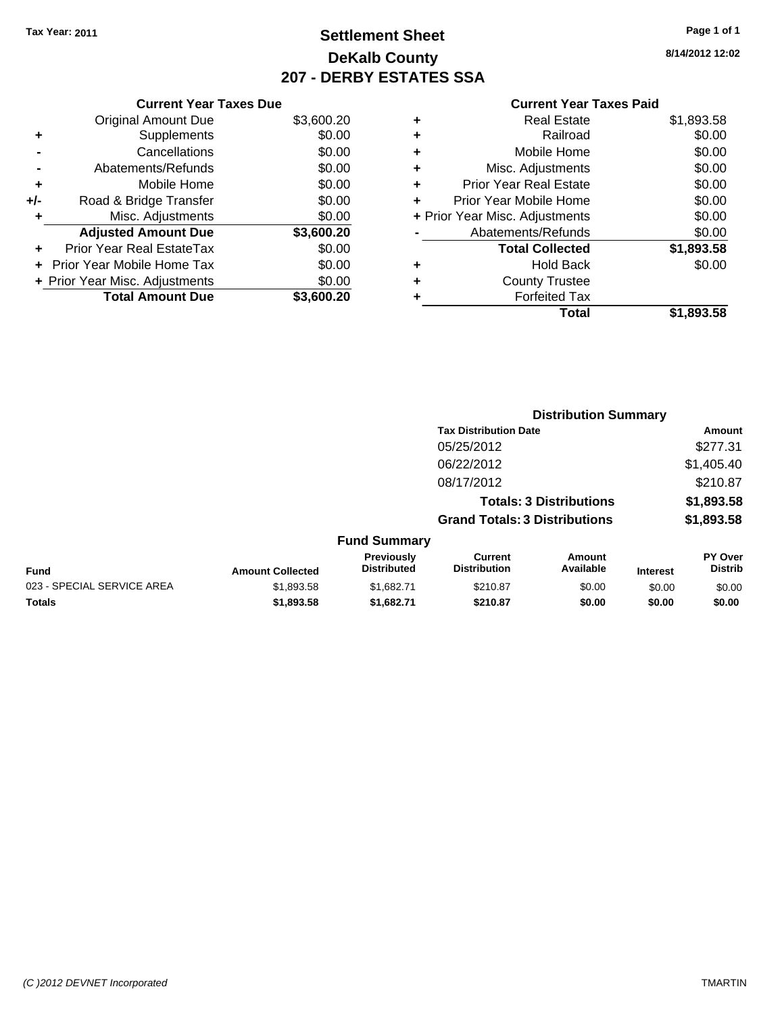### **Settlement Sheet Tax Year: 2011 Page 1 of 1 DeKalb County 207 - DERBY ESTATES SSA**

**8/14/2012 12:02**

|     | <b>Current Year Taxes Due</b>  |            |     |
|-----|--------------------------------|------------|-----|
|     | <b>Original Amount Due</b>     | \$3,600.20 |     |
|     | Supplements                    | \$0.00     |     |
|     | Cancellations                  | \$0.00     |     |
|     | Abatements/Refunds             | \$0.00     |     |
|     | Mobile Home                    | \$0.00     |     |
| +/- | Road & Bridge Transfer         | \$0.00     |     |
|     | Misc. Adjustments              | \$0.00     | + P |
|     | <b>Adjusted Amount Due</b>     | \$3,600.20 |     |
|     | Prior Year Real EstateTax      | \$0.00     |     |
|     | Prior Year Mobile Home Tax     | \$0.00     |     |
|     | + Prior Year Misc. Adjustments | \$0.00     |     |
|     | <b>Total Amount Due</b>        | \$3,600.20 |     |
|     |                                |            |     |

| ٠ | <b>Real Estate</b>             | \$1,893.58 |
|---|--------------------------------|------------|
| ٠ | Railroad                       | \$0.00     |
| ٠ | Mobile Home                    | \$0.00     |
| ٠ | Misc. Adjustments              | \$0.00     |
| ٠ | <b>Prior Year Real Estate</b>  | \$0.00     |
| ÷ | Prior Year Mobile Home         | \$0.00     |
|   | + Prior Year Misc. Adjustments | \$0.00     |
|   | Abatements/Refunds             | \$0.00     |
|   | <b>Total Collected</b>         | \$1,893.58 |
| ٠ | <b>Hold Back</b>               | \$0.00     |
| ٠ | <b>County Trustee</b>          |            |
| ٠ | <b>Forfeited Tax</b>           |            |
|   | Total                          | \$1,893.58 |

|                            |                         | <b>Distribution Summary</b>      |                                       |                                |                 |                                  |
|----------------------------|-------------------------|----------------------------------|---------------------------------------|--------------------------------|-----------------|----------------------------------|
|                            |                         |                                  | <b>Tax Distribution Date</b>          |                                |                 | Amount                           |
|                            |                         |                                  | 05/25/2012                            |                                |                 | \$277.31                         |
|                            |                         |                                  | 06/22/2012                            |                                |                 | \$1,405.40                       |
|                            |                         |                                  | 08/17/2012                            |                                |                 | \$210.87                         |
|                            |                         |                                  |                                       | <b>Totals: 3 Distributions</b> |                 | \$1,893.58                       |
|                            |                         |                                  | <b>Grand Totals: 3 Distributions</b>  |                                |                 | \$1,893.58                       |
|                            |                         | <b>Fund Summary</b>              |                                       |                                |                 |                                  |
| Fund                       | <b>Amount Collected</b> | Previously<br><b>Distributed</b> | <b>Current</b><br><b>Distribution</b> | <b>Amount</b><br>Available     | <b>Interest</b> | <b>PY Over</b><br><b>Distrib</b> |
| 023 - SPECIAL SERVICE AREA | \$1,893.58              | \$1,682.71                       | \$210.87                              | \$0.00                         | \$0.00          | \$0.00                           |
| Totals                     | \$1,893.58              | \$1,682.71                       | \$210.87                              | \$0.00                         | \$0.00          | \$0.00                           |
|                            |                         |                                  |                                       |                                |                 |                                  |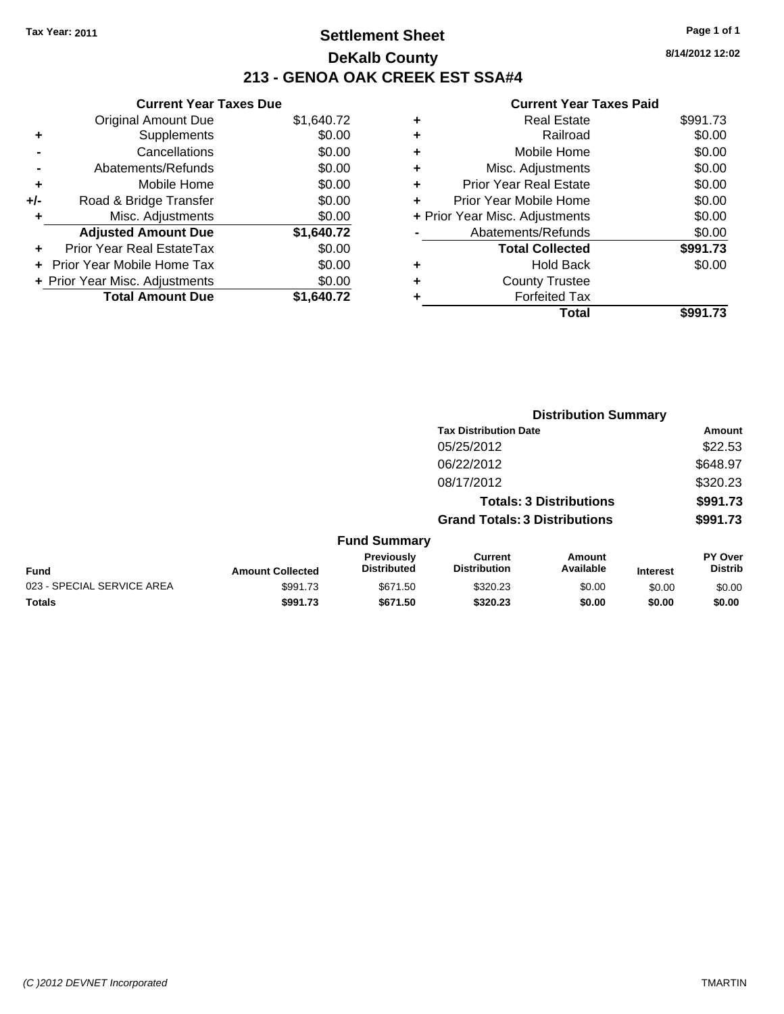### **Settlement Sheet Tax Year: 2011 Page 1 of 1 DeKalb County 213 - GENOA OAK CREEK EST SSA#4**

**8/14/2012 12:02**

|     | <b>Current Year Taxes Due</b>  |            |  |  |  |  |
|-----|--------------------------------|------------|--|--|--|--|
|     | <b>Original Amount Due</b>     | \$1,640.72 |  |  |  |  |
| ٠   | Supplements                    | \$0.00     |  |  |  |  |
|     | Cancellations                  | \$0.00     |  |  |  |  |
|     | Abatements/Refunds             | \$0.00     |  |  |  |  |
| ٠   | Mobile Home                    | \$0.00     |  |  |  |  |
| +/- | Road & Bridge Transfer         | \$0.00     |  |  |  |  |
|     | Misc. Adjustments              | \$0.00     |  |  |  |  |
|     | <b>Adjusted Amount Due</b>     | \$1,640.72 |  |  |  |  |
|     | Prior Year Real EstateTax      | \$0.00     |  |  |  |  |
|     | Prior Year Mobile Home Tax     | \$0.00     |  |  |  |  |
|     | + Prior Year Misc. Adjustments | \$0.00     |  |  |  |  |
|     | <b>Total Amount Due</b>        | \$1.640.72 |  |  |  |  |

|   | Total                          | \$991.73 |
|---|--------------------------------|----------|
|   | <b>Forfeited Tax</b>           |          |
| ÷ | <b>County Trustee</b>          |          |
| ٠ | <b>Hold Back</b>               | \$0.00   |
|   | <b>Total Collected</b>         | \$991.73 |
|   | Abatements/Refunds             | \$0.00   |
|   | + Prior Year Misc. Adjustments | \$0.00   |
| ٠ | Prior Year Mobile Home         | \$0.00   |
| ÷ | <b>Prior Year Real Estate</b>  | \$0.00   |
| ٠ | Misc. Adjustments              | \$0.00   |
| ٠ | Mobile Home                    | \$0.00   |
| ٠ | Railroad                       | \$0.00   |
| ٠ | <b>Real Estate</b>             | \$991.73 |
|   |                                |          |

|                            | <b>Distribution Summary</b> |                                  |                                       |                                |                 |                           |
|----------------------------|-----------------------------|----------------------------------|---------------------------------------|--------------------------------|-----------------|---------------------------|
|                            |                             |                                  | <b>Tax Distribution Date</b>          |                                |                 | Amount                    |
|                            |                             |                                  | 05/25/2012                            |                                |                 | \$22.53                   |
|                            |                             |                                  | 06/22/2012                            |                                |                 | \$648.97                  |
|                            |                             |                                  | 08/17/2012                            |                                |                 | \$320.23                  |
|                            |                             |                                  |                                       | <b>Totals: 3 Distributions</b> |                 | \$991.73                  |
|                            |                             |                                  | <b>Grand Totals: 3 Distributions</b>  |                                |                 | \$991.73                  |
|                            |                             | <b>Fund Summary</b>              |                                       |                                |                 |                           |
| Fund                       | <b>Amount Collected</b>     | Previously<br><b>Distributed</b> | <b>Current</b><br><b>Distribution</b> | <b>Amount</b><br>Available     | <b>Interest</b> | PY Over<br><b>Distrib</b> |
| 023 - SPECIAL SERVICE AREA | \$991.73                    | \$671.50                         | \$320.23                              | \$0.00                         | \$0.00          | \$0.00                    |
| Totals                     | \$991.73                    | \$671.50                         | \$320.23                              | \$0.00                         | \$0.00          | \$0.00                    |
|                            |                             |                                  |                                       |                                |                 |                           |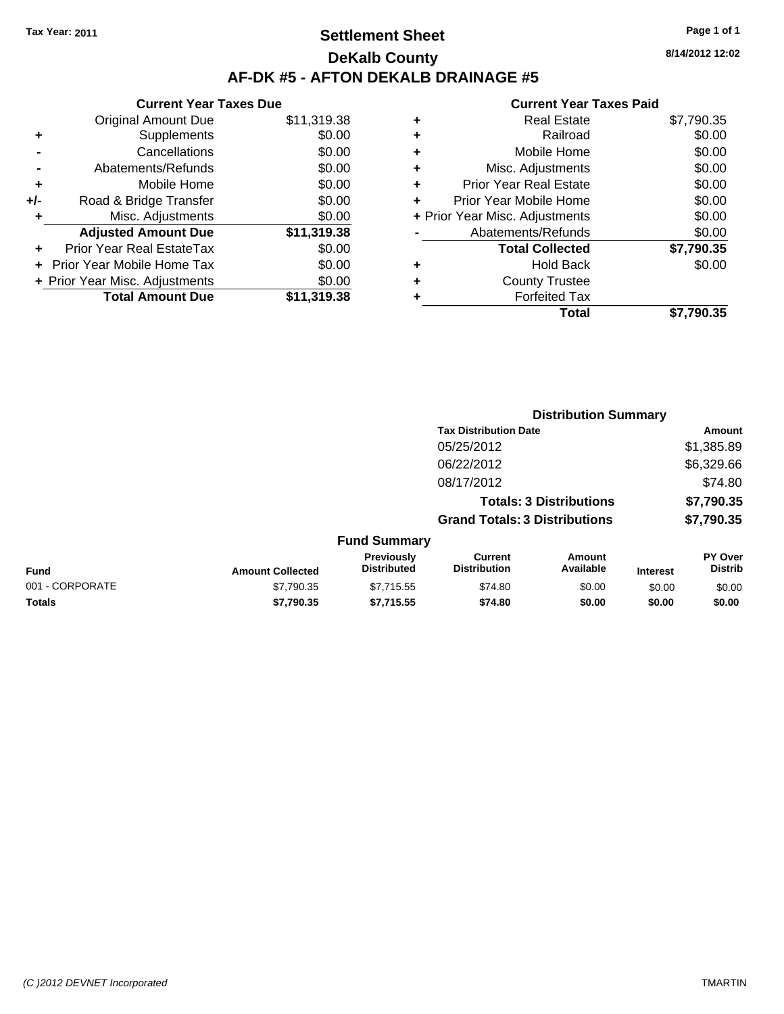### **Settlement Sheet Tax Year: 2011 Page 1 of 1 DeKalb County AF-DK #5 - AFTON DEKALB DRAINAGE #5**

**Current Year Taxes Due** Original Amount Due \$11,319.38 **+** Supplements \$0.00 **-** Cancellations \$0.00 **-** Abatements/Refunds \$0.00 **+** Mobile Home \$0.00 **+/-** Road & Bridge Transfer \$0.00 **+** Misc. Adjustments \$0.00 **Adjusted Amount Due \$11,319.38 +** Prior Year Real EstateTax \$0.00 **+** Prior Year Mobile Home Tax \$0.00 **+ Prior Year Misc. Adjustments**  $$0.00$ **Total Amount Due \$11,319.38**

|   | <b>Real Estate</b>             | \$7,790.35 |
|---|--------------------------------|------------|
| ٠ | Railroad                       | \$0.00     |
| ٠ | Mobile Home                    | \$0.00     |
| ٠ | Misc. Adjustments              | \$0.00     |
| ٠ | <b>Prior Year Real Estate</b>  | \$0.00     |
|   | Prior Year Mobile Home         | \$0.00     |
|   | + Prior Year Misc. Adjustments | \$0.00     |
|   | Abatements/Refunds             | \$0.00     |
|   | <b>Total Collected</b>         | \$7,790.35 |
| ٠ | Hold Back                      | \$0.00     |
| ٠ | <b>County Trustee</b>          |            |
| ٠ | <b>Forfeited Tax</b>           |            |
|   | Total                          | \$7,790.35 |
|   |                                |            |

|                 |                         |                                  |                                       | <b>Distribution Summary</b>    |                 |                           |
|-----------------|-------------------------|----------------------------------|---------------------------------------|--------------------------------|-----------------|---------------------------|
|                 |                         |                                  | <b>Tax Distribution Date</b>          |                                |                 | Amount                    |
|                 |                         |                                  | 05/25/2012                            |                                |                 | \$1,385.89                |
|                 |                         |                                  | 06/22/2012                            |                                |                 | \$6,329.66                |
|                 |                         |                                  | 08/17/2012                            |                                |                 | \$74.80                   |
|                 |                         |                                  |                                       | <b>Totals: 3 Distributions</b> |                 | \$7,790.35                |
|                 |                         |                                  | <b>Grand Totals: 3 Distributions</b>  |                                |                 | \$7,790.35                |
|                 |                         | <b>Fund Summary</b>              |                                       |                                |                 |                           |
| <b>Fund</b>     | <b>Amount Collected</b> | Previously<br><b>Distributed</b> | <b>Current</b><br><b>Distribution</b> | Amount<br>Available            | <b>Interest</b> | PY Over<br><b>Distrib</b> |
| 001 - CORPORATE | \$7,790.35              | \$7,715.55                       | \$74.80                               | \$0.00                         | \$0.00          | \$0.00                    |
| Totals          | \$7,790.35              | \$7,715.55                       | \$74.80                               | \$0.00                         | \$0.00          | \$0.00                    |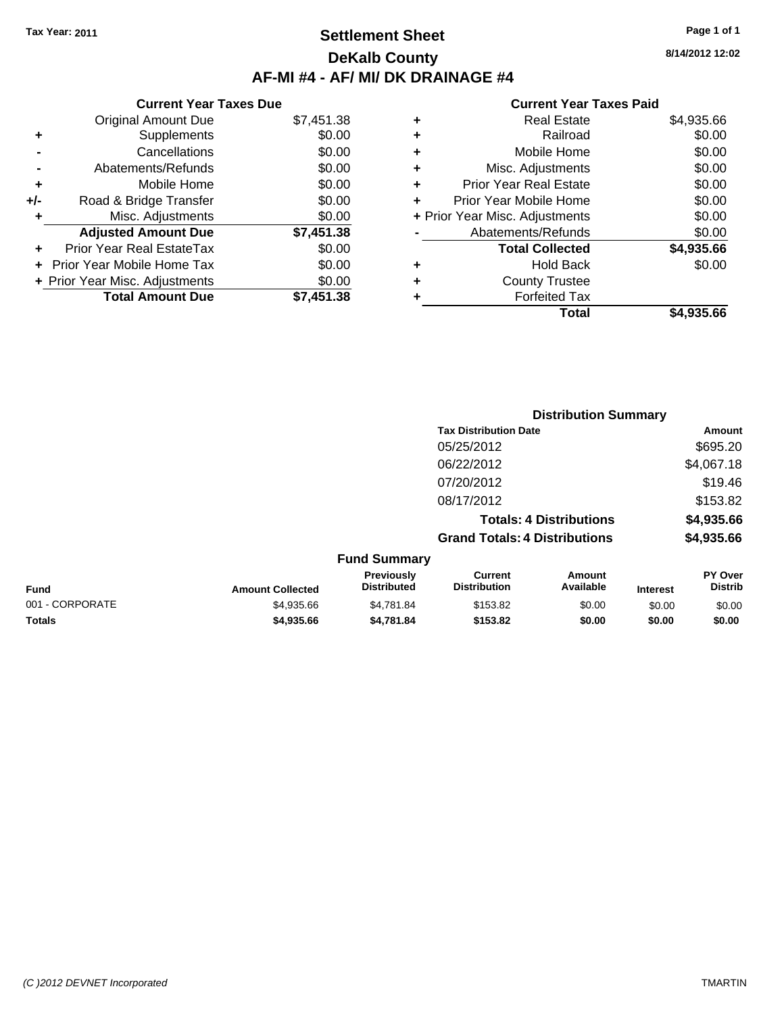### **Settlement Sheet Tax Year: 2011 Page 1 of 1 DeKalb County AF-MI #4 - AF/ MI/ DK DRAINAGE #4**

|       | <b>Current Year Taxes Due</b>     |            |  |  |  |  |
|-------|-----------------------------------|------------|--|--|--|--|
|       | <b>Original Amount Due</b>        | \$7,451.38 |  |  |  |  |
| ٠     | Supplements                       | \$0.00     |  |  |  |  |
|       | Cancellations                     | \$0.00     |  |  |  |  |
|       | Abatements/Refunds                | \$0.00     |  |  |  |  |
| ٠     | Mobile Home                       | \$0.00     |  |  |  |  |
| $+/-$ | Road & Bridge Transfer            | \$0.00     |  |  |  |  |
| ٠     | Misc. Adjustments                 | \$0.00     |  |  |  |  |
|       | <b>Adjusted Amount Due</b>        | \$7,451.38 |  |  |  |  |
|       | Prior Year Real EstateTax         | \$0.00     |  |  |  |  |
|       | <b>Prior Year Mobile Home Tax</b> | \$0.00     |  |  |  |  |
|       | + Prior Year Misc. Adjustments    | \$0.00     |  |  |  |  |
|       | <b>Total Amount Due</b>           | \$7,451.38 |  |  |  |  |

#### **Current Year Taxes Paid**

|   | Real Estate                    | \$4,935.66 |
|---|--------------------------------|------------|
| ٠ | Railroad                       | \$0.00     |
| ٠ | Mobile Home                    | \$0.00     |
| ٠ | Misc. Adjustments              | \$0.00     |
| ٠ | <b>Prior Year Real Estate</b>  | \$0.00     |
| ÷ | Prior Year Mobile Home         | \$0.00     |
|   | + Prior Year Misc. Adjustments | \$0.00     |
|   | Abatements/Refunds             | \$0.00     |
|   | <b>Total Collected</b>         | \$4,935.66 |
| ٠ | Hold Back                      | \$0.00     |
| ٠ | <b>County Trustee</b>          |            |
| ٠ | <b>Forfeited Tax</b>           |            |
|   | Total                          | \$4,935.66 |
|   |                                |            |

|                 |                         |                                  |                                       | <b>Distribution Summary</b>    |                 |                                  |
|-----------------|-------------------------|----------------------------------|---------------------------------------|--------------------------------|-----------------|----------------------------------|
|                 |                         |                                  | <b>Tax Distribution Date</b>          |                                |                 | Amount                           |
|                 |                         |                                  | 05/25/2012                            |                                |                 | \$695.20                         |
|                 |                         |                                  | 06/22/2012                            |                                |                 | \$4,067.18                       |
|                 |                         |                                  | 07/20/2012                            |                                |                 | \$19.46                          |
|                 |                         |                                  | 08/17/2012                            |                                |                 | \$153.82                         |
|                 |                         |                                  |                                       | <b>Totals: 4 Distributions</b> |                 | \$4,935.66                       |
|                 |                         |                                  | <b>Grand Totals: 4 Distributions</b>  |                                |                 | \$4,935.66                       |
|                 |                         | <b>Fund Summary</b>              |                                       |                                |                 |                                  |
| Fund            | <b>Amount Collected</b> | Previously<br><b>Distributed</b> | <b>Current</b><br><b>Distribution</b> | Amount<br>Available            | <b>Interest</b> | <b>PY Over</b><br><b>Distrib</b> |
| 001 - CORPORATE | \$4,935.66              | \$4,781.84                       | \$153.82                              | \$0.00                         | \$0.00          | \$0.00                           |
|                 |                         |                                  |                                       |                                |                 |                                  |

**Totals \$4,935.66 \$4,781.84 \$153.82 \$0.00 \$0.00 \$0.00**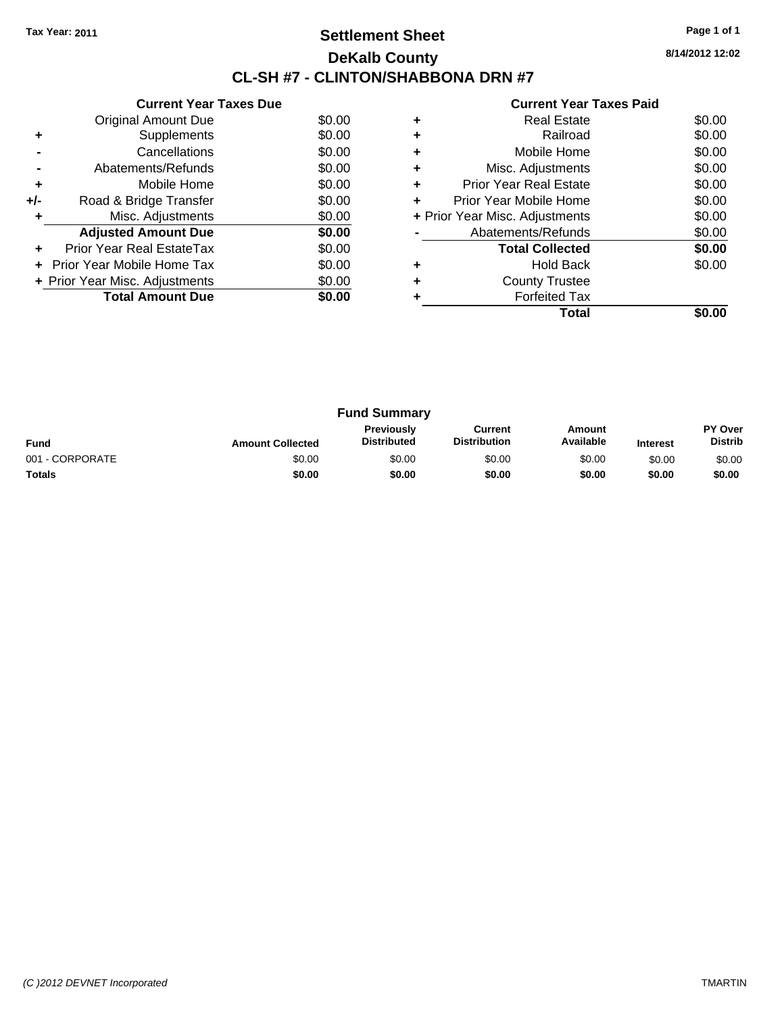### **Settlement Sheet Tax Year: 2011 Page 1 of 1 DeKalb County CL-SH #7 - CLINTON/SHABBONA DRN #7**

**8/14/2012 12:02**

|     | <b>Current Year Taxes Due</b>     |        |
|-----|-----------------------------------|--------|
|     | Original Amount Due               | \$0.00 |
| ٠   | Supplements                       | \$0.00 |
|     | Cancellations                     | \$0.00 |
|     | Abatements/Refunds                | \$0.00 |
| ٠   | Mobile Home                       | \$0.00 |
| +/- | Road & Bridge Transfer            | \$0.00 |
|     | Misc. Adjustments                 | \$0.00 |
|     | <b>Adjusted Amount Due</b>        | \$0.00 |
|     | Prior Year Real EstateTax         | \$0.00 |
|     | <b>Prior Year Mobile Home Tax</b> | \$0.00 |
|     | + Prior Year Misc. Adjustments    | \$0.00 |
|     | <b>Total Amount Due</b>           | \$0.00 |
|     |                                   |        |

|   | Total                          |        |
|---|--------------------------------|--------|
|   | <b>Forfeited Tax</b>           |        |
| ٠ | <b>County Trustee</b>          |        |
|   | <b>Hold Back</b>               | \$0.00 |
|   | <b>Total Collected</b>         | \$0.00 |
|   | Abatements/Refunds             | \$0.00 |
|   | + Prior Year Misc. Adjustments | \$0.00 |
| ٠ | Prior Year Mobile Home         | \$0.00 |
| ٠ | <b>Prior Year Real Estate</b>  | \$0.00 |
|   | Misc. Adjustments              | \$0.00 |
| ٠ | Mobile Home                    | \$0.00 |
|   | Railroad                       | \$0.00 |
|   | <b>Real Estate</b>             | \$0.00 |
|   |                                |        |

| <b>Fund Summary</b> |                         |                                         |                                |                     |                 |                           |
|---------------------|-------------------------|-----------------------------------------|--------------------------------|---------------------|-----------------|---------------------------|
| <b>Fund</b>         | <b>Amount Collected</b> | <b>Previously</b><br><b>Distributed</b> | Current<br><b>Distribution</b> | Amount<br>Available | <b>Interest</b> | PY Over<br><b>Distrib</b> |
| 001 - CORPORATE     | \$0.00                  | \$0.00                                  | \$0.00                         | \$0.00              | \$0.00          | \$0.00                    |
| <b>Totals</b>       | \$0.00                  | \$0.00                                  | \$0.00                         | \$0.00              | \$0.00          | \$0.00                    |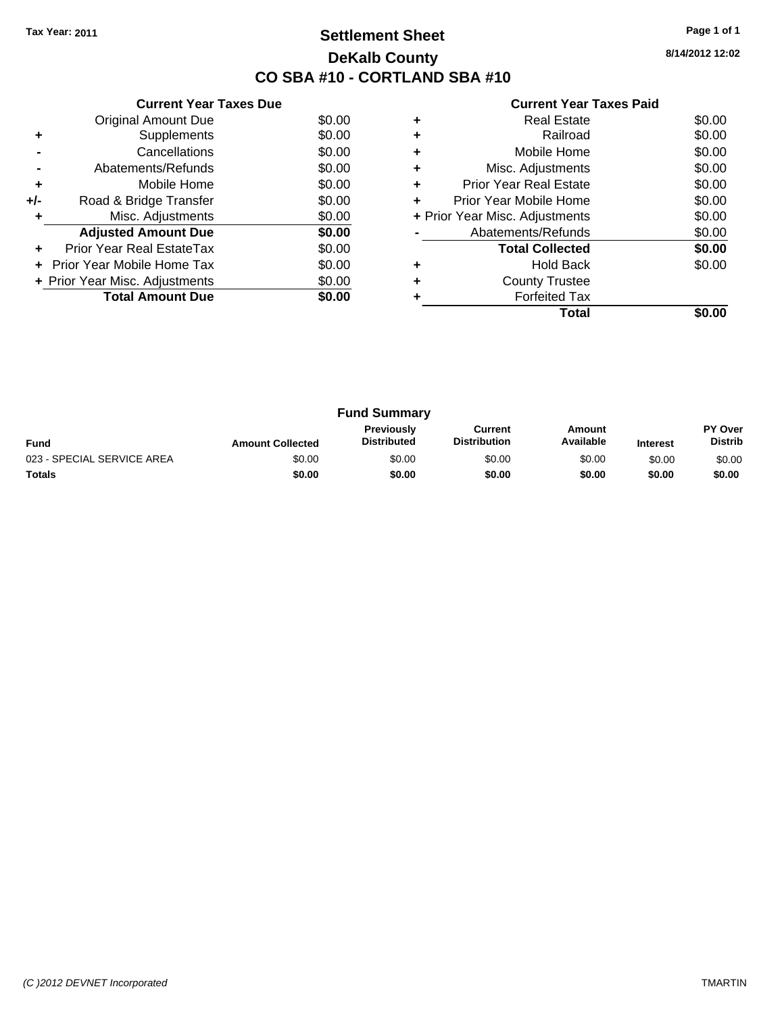### **Settlement Sheet Tax Year: 2011 Page 1 of 1 DeKalb County CO SBA #10 - CORTLAND SBA #10**

**8/14/2012 12:02**

| <b>Current Year Taxes Paid</b> |  |  |  |  |
|--------------------------------|--|--|--|--|
|--------------------------------|--|--|--|--|

| <b>Current Year Taxes Due</b> |                                   |        |  |  |  |
|-------------------------------|-----------------------------------|--------|--|--|--|
|                               | Original Amount Due               | \$0.00 |  |  |  |
| ٠                             | Supplements                       | \$0.00 |  |  |  |
|                               | Cancellations                     | \$0.00 |  |  |  |
|                               | Abatements/Refunds                | \$0.00 |  |  |  |
| ٠                             | Mobile Home                       | \$0.00 |  |  |  |
| +/-                           | Road & Bridge Transfer            | \$0.00 |  |  |  |
|                               | Misc. Adjustments                 | \$0.00 |  |  |  |
|                               | <b>Adjusted Amount Due</b>        | \$0.00 |  |  |  |
|                               | Prior Year Real EstateTax         | \$0.00 |  |  |  |
|                               | <b>Prior Year Mobile Home Tax</b> | \$0.00 |  |  |  |
|                               | + Prior Year Misc. Adjustments    | \$0.00 |  |  |  |
|                               | <b>Total Amount Due</b>           | \$0.00 |  |  |  |
|                               |                                   |        |  |  |  |

|   | <b>Real Estate</b>             | \$0.00 |
|---|--------------------------------|--------|
|   | Railroad                       | \$0.00 |
| ٠ | Mobile Home                    | \$0.00 |
| ٠ | Misc. Adjustments              | \$0.00 |
| ٠ | <b>Prior Year Real Estate</b>  | \$0.00 |
| ٠ | Prior Year Mobile Home         | \$0.00 |
|   | + Prior Year Misc. Adjustments | \$0.00 |
|   | Abatements/Refunds             | \$0.00 |
|   | <b>Total Collected</b>         | \$0.00 |
|   | <b>Hold Back</b>               | \$0.00 |
| ٠ | <b>County Trustee</b>          |        |
|   | <b>Forfeited Tax</b>           |        |
|   | Total                          |        |

| <b>Fund Summary</b>        |                         |                                         |                                |                     |                 |                                  |
|----------------------------|-------------------------|-----------------------------------------|--------------------------------|---------------------|-----------------|----------------------------------|
| <b>Fund</b>                | <b>Amount Collected</b> | <b>Previously</b><br><b>Distributed</b> | Current<br><b>Distribution</b> | Amount<br>Available | <b>Interest</b> | <b>PY Over</b><br><b>Distrib</b> |
| 023 - SPECIAL SERVICE AREA | \$0.00                  | \$0.00                                  | \$0.00                         | \$0.00              | \$0.00          | \$0.00                           |
| <b>Totals</b>              | \$0.00                  | \$0.00                                  | \$0.00                         | \$0.00              | \$0.00          | \$0.00                           |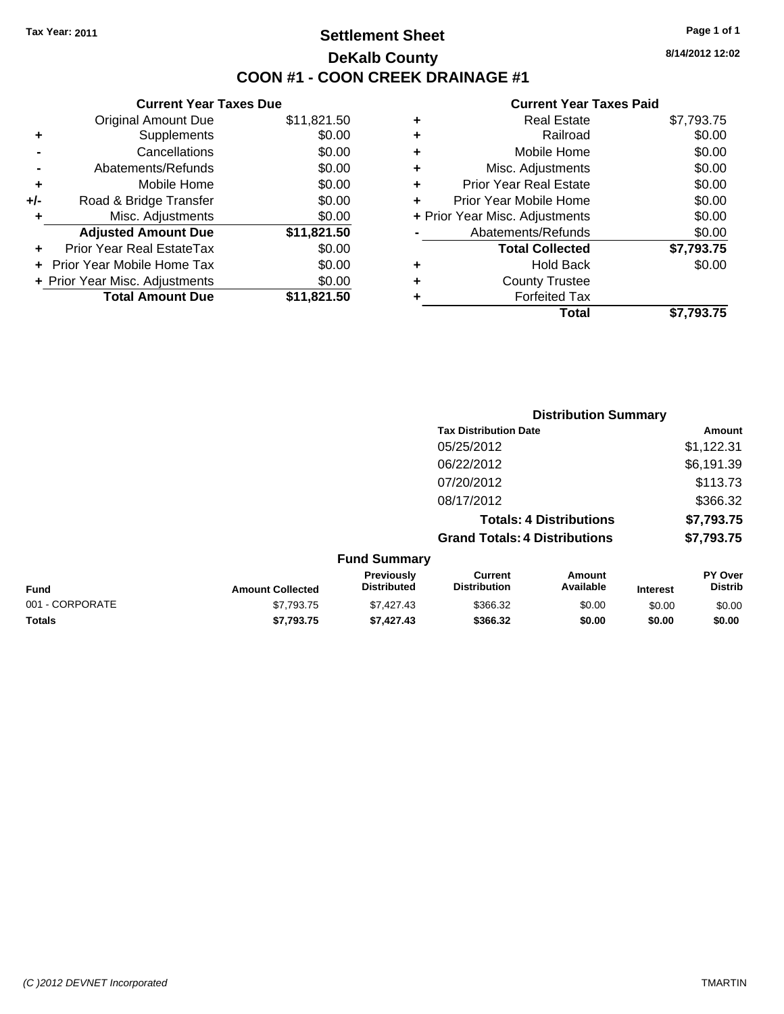### **Settlement Sheet Tax Year: 2011 Page 1 of 1 DeKalb County COON #1 - COON CREEK DRAINAGE #1**

**8/14/2012 12:02**

#### **Current Year Taxes Paid**

|     | <b>Current Year Taxes Due</b>  |             |
|-----|--------------------------------|-------------|
|     | <b>Original Amount Due</b>     | \$11,821.50 |
| ٠   | Supplements                    | \$0.00      |
|     | Cancellations                  | \$0.00      |
|     | Abatements/Refunds             | \$0.00      |
| ٠   | Mobile Home                    | \$0.00      |
| +/- | Road & Bridge Transfer         | \$0.00      |
| ٠   | Misc. Adjustments              | \$0.00      |
|     | <b>Adjusted Amount Due</b>     | \$11,821.50 |
| ٠   | Prior Year Real EstateTax      | \$0.00      |
|     | Prior Year Mobile Home Tax     | \$0.00      |
|     | + Prior Year Misc. Adjustments | \$0.00      |
|     | <b>Total Amount Due</b>        | \$11.821.50 |

| \$7,793.75 |
|------------|
| \$0.00     |
| \$0.00     |
| \$0.00     |
| \$0.00     |
| \$0.00     |
| \$0.00     |
| \$0.00     |
| \$7,793.75 |
| \$0.00     |
|            |
|            |
| \$7,793.75 |
|            |

|                 |                         |                                  |                                       | <b>Distribution Summary</b>    |                 |                           |
|-----------------|-------------------------|----------------------------------|---------------------------------------|--------------------------------|-----------------|---------------------------|
|                 |                         |                                  | <b>Tax Distribution Date</b>          |                                |                 | Amount                    |
|                 |                         |                                  | 05/25/2012                            |                                |                 | \$1,122.31                |
|                 |                         |                                  | 06/22/2012                            |                                |                 | \$6,191.39                |
|                 |                         |                                  | 07/20/2012                            |                                |                 | \$113.73                  |
|                 |                         |                                  | 08/17/2012                            |                                |                 | \$366.32                  |
|                 |                         |                                  |                                       | <b>Totals: 4 Distributions</b> |                 | \$7,793.75                |
|                 |                         |                                  | <b>Grand Totals: 4 Distributions</b>  |                                |                 | \$7,793.75                |
|                 |                         | <b>Fund Summary</b>              |                                       |                                |                 |                           |
| <b>Fund</b>     | <b>Amount Collected</b> | Previously<br><b>Distributed</b> | <b>Current</b><br><b>Distribution</b> | Amount<br>Available            | <b>Interest</b> | PY Over<br><b>Distrib</b> |
| 001 - CORPORATE | \$7.793.75              | \$7,427.43                       | \$366.32                              | \$0.00                         | \$0.00          | \$0.00                    |

**Totals \$7,793.75 \$7,427.43 \$366.32 \$0.00 \$0.00 \$0.00**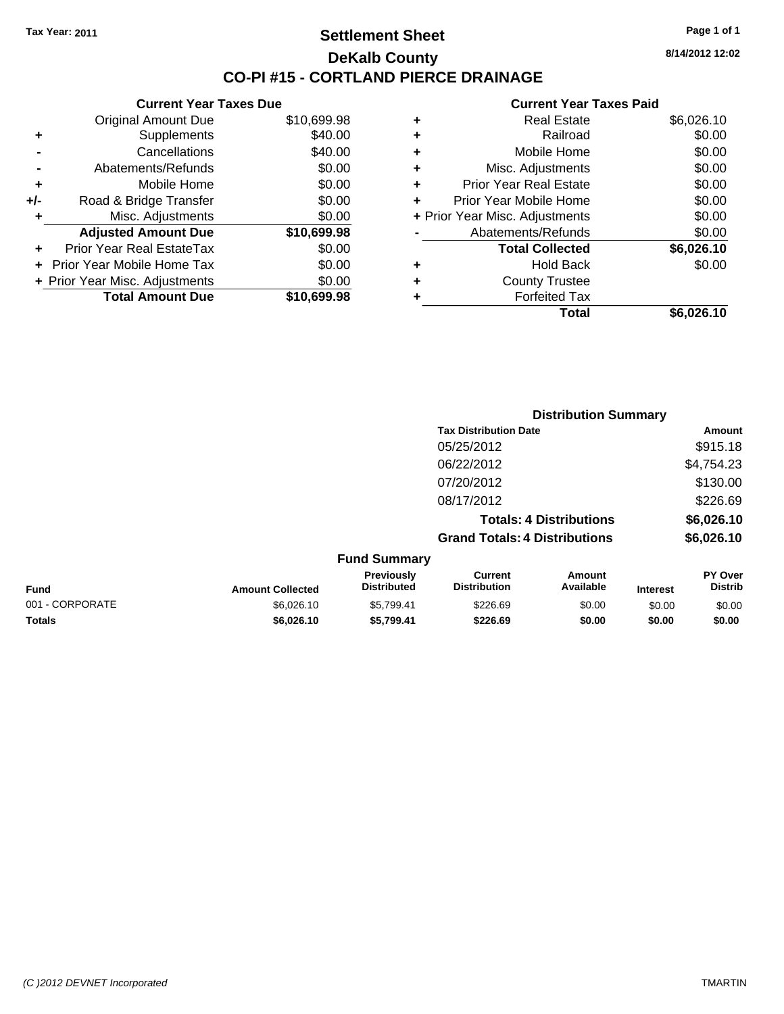### **Settlement Sheet Tax Year: 2011 Page 1 of 1 DeKalb County CO-PI #15 - CORTLAND PIERCE DRAINAGE**

**8/14/2012 12:02**

#### **Current Year Taxes Paid**

| <b>Current Year Taxes Due</b> |                                  |             |  |  |
|-------------------------------|----------------------------------|-------------|--|--|
|                               | <b>Original Amount Due</b>       | \$10,699.98 |  |  |
| ٠                             | Supplements                      | \$40.00     |  |  |
|                               | Cancellations                    | \$40.00     |  |  |
|                               | Abatements/Refunds               | \$0.00      |  |  |
| ٠                             | Mobile Home                      | \$0.00      |  |  |
| +/-                           | Road & Bridge Transfer           | \$0.00      |  |  |
| ٠                             | Misc. Adjustments                | \$0.00      |  |  |
|                               | <b>Adjusted Amount Due</b>       | \$10,699.98 |  |  |
| ٠                             | <b>Prior Year Real EstateTax</b> | \$0.00      |  |  |
|                               | Prior Year Mobile Home Tax       | \$0.00      |  |  |
|                               | + Prior Year Misc. Adjustments   | \$0.00      |  |  |
|                               | <b>Total Amount Due</b>          | \$10,699.98 |  |  |
|                               |                                  |             |  |  |

| ٠ | <b>Real Estate</b>             | \$6,026.10 |
|---|--------------------------------|------------|
| ٠ | Railroad                       | \$0.00     |
| ٠ | Mobile Home                    | \$0.00     |
| ٠ | Misc. Adjustments              | \$0.00     |
| ÷ | <b>Prior Year Real Estate</b>  | \$0.00     |
| ٠ | Prior Year Mobile Home         | \$0.00     |
|   | + Prior Year Misc. Adjustments | \$0.00     |
|   | Abatements/Refunds             | \$0.00     |
|   | <b>Total Collected</b>         | \$6,026.10 |
| ٠ | Hold Back                      | \$0.00     |
| ٠ | <b>County Trustee</b>          |            |
| ٠ | <b>Forfeited Tax</b>           |            |
|   | Total                          | \$6,026.10 |
|   |                                |            |

|                 |                         |                                  |                                       | <b>Distribution Summary</b>    |                 |                           |
|-----------------|-------------------------|----------------------------------|---------------------------------------|--------------------------------|-----------------|---------------------------|
|                 |                         |                                  | <b>Tax Distribution Date</b>          |                                |                 | Amount                    |
|                 |                         |                                  | 05/25/2012                            |                                |                 | \$915.18                  |
|                 |                         |                                  | 06/22/2012                            |                                |                 | \$4,754.23                |
|                 |                         |                                  | 07/20/2012                            |                                |                 | \$130.00                  |
|                 |                         |                                  | 08/17/2012                            |                                |                 | \$226.69                  |
|                 |                         |                                  |                                       | <b>Totals: 4 Distributions</b> |                 | \$6,026.10                |
|                 |                         |                                  | <b>Grand Totals: 4 Distributions</b>  |                                |                 | \$6,026.10                |
|                 |                         | <b>Fund Summary</b>              |                                       |                                |                 |                           |
| <b>Fund</b>     | <b>Amount Collected</b> | Previously<br><b>Distributed</b> | <b>Current</b><br><b>Distribution</b> | Amount<br>Available            | <b>Interest</b> | PY Over<br><b>Distrib</b> |
| 001 - CORPORATE | \$6,026,10              | \$5,799.41                       | \$226.69                              | \$0.00                         | \$0.00          | \$0.00                    |

**Totals \$6,026.10 \$5,799.41 \$226.69 \$0.00 \$0.00 \$0.00**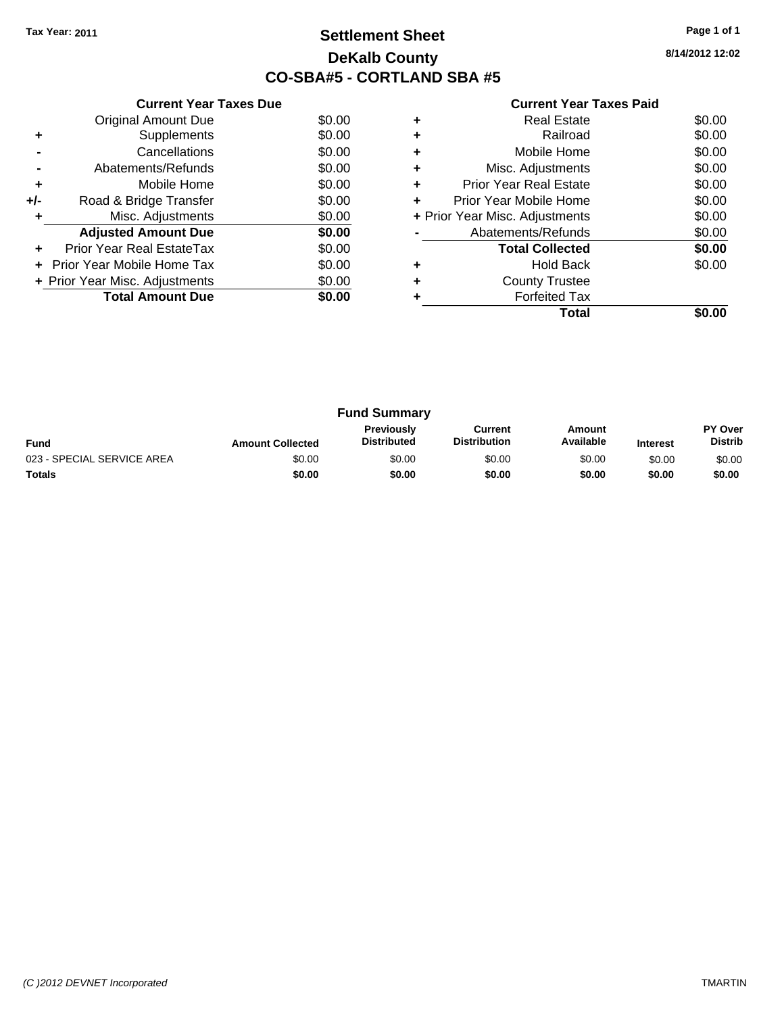### **Settlement Sheet Tax Year: 2011 Page 1 of 1 DeKalb County CO-SBA#5 - CORTLAND SBA #5**

**8/14/2012 12:02**

|     | <b>Current Year Taxes Due</b>  |        |
|-----|--------------------------------|--------|
|     | <b>Original Amount Due</b>     | \$0.00 |
| ٠   | Supplements                    | \$0.00 |
|     | Cancellations                  | \$0.00 |
|     | Abatements/Refunds             | \$0.00 |
| ٠   | Mobile Home                    | \$0.00 |
| +/- | Road & Bridge Transfer         | \$0.00 |
| ٠   | Misc. Adjustments              | \$0.00 |
|     | <b>Adjusted Amount Due</b>     | \$0.00 |
|     | Prior Year Real EstateTax      | \$0.00 |
|     | Prior Year Mobile Home Tax     | \$0.00 |
|     | + Prior Year Misc. Adjustments | \$0.00 |
|     | <b>Total Amount Due</b>        | \$0.00 |
|     |                                |        |

| <b>Real Estate</b>             | \$0.00 |
|--------------------------------|--------|
| Railroad                       | \$0.00 |
| Mobile Home                    | \$0.00 |
| Misc. Adjustments              | \$0.00 |
| <b>Prior Year Real Estate</b>  | \$0.00 |
| Prior Year Mobile Home         | \$0.00 |
| + Prior Year Misc. Adjustments | \$0.00 |
| Abatements/Refunds             | \$0.00 |
| <b>Total Collected</b>         | \$0.00 |
| <b>Hold Back</b>               | \$0.00 |
| <b>County Trustee</b>          |        |
| <b>Forfeited Tax</b>           |        |
| Total                          |        |
|                                |        |

| <b>Fund Summary</b>        |                         |                                         |                                |                     |                 |                           |
|----------------------------|-------------------------|-----------------------------------------|--------------------------------|---------------------|-----------------|---------------------------|
| Fund                       | <b>Amount Collected</b> | <b>Previously</b><br><b>Distributed</b> | Current<br><b>Distribution</b> | Amount<br>Available | <b>Interest</b> | PY Over<br><b>Distrib</b> |
| 023 - SPECIAL SERVICE AREA | \$0.00                  | \$0.00                                  | \$0.00                         | \$0.00              | \$0.00          | \$0.00                    |
| <b>Totals</b>              | \$0.00                  | \$0.00                                  | \$0.00                         | \$0.00              | \$0.00          | \$0.00                    |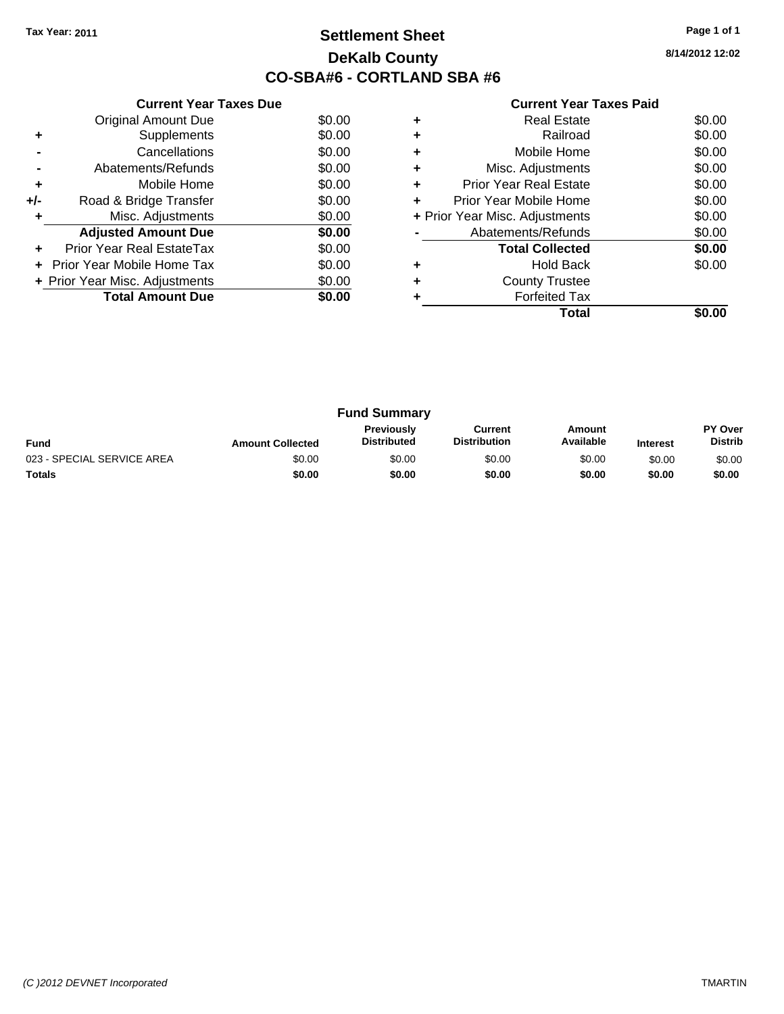### **Settlement Sheet Tax Year: 2011 Page 1 of 1 DeKalb County CO-SBA#6 - CORTLAND SBA #6**

**8/14/2012 12:02**

|     | <b>Current Year Taxes Due</b>  |        |
|-----|--------------------------------|--------|
|     | <b>Original Amount Due</b>     | \$0.00 |
| ٠   | Supplements                    | \$0.00 |
|     | Cancellations                  | \$0.00 |
|     | Abatements/Refunds             | \$0.00 |
| ٠   | Mobile Home                    | \$0.00 |
| +/- | Road & Bridge Transfer         | \$0.00 |
| ٠   | Misc. Adjustments              | \$0.00 |
|     | <b>Adjusted Amount Due</b>     | \$0.00 |
|     | Prior Year Real EstateTax      | \$0.00 |
|     | Prior Year Mobile Home Tax     | \$0.00 |
|     | + Prior Year Misc. Adjustments | \$0.00 |
|     | <b>Total Amount Due</b>        | \$0.00 |
|     |                                |        |

|   | <b>Real Estate</b>             | \$0.00 |
|---|--------------------------------|--------|
| ٠ | Railroad                       | \$0.00 |
| ٠ | Mobile Home                    | \$0.00 |
| ٠ | Misc. Adjustments              | \$0.00 |
| ٠ | <b>Prior Year Real Estate</b>  | \$0.00 |
| ÷ | Prior Year Mobile Home         | \$0.00 |
|   | + Prior Year Misc. Adjustments | \$0.00 |
|   | Abatements/Refunds             | \$0.00 |
|   | <b>Total Collected</b>         | \$0.00 |
|   | <b>Hold Back</b>               | \$0.00 |
| ٠ | <b>County Trustee</b>          |        |
|   | Forfeited Tax                  |        |
|   | Total                          |        |

| <b>Fund Summary</b>        |                         |                                         |                                |                     |                 |                           |
|----------------------------|-------------------------|-----------------------------------------|--------------------------------|---------------------|-----------------|---------------------------|
| Fund                       | <b>Amount Collected</b> | <b>Previously</b><br><b>Distributed</b> | Current<br><b>Distribution</b> | Amount<br>Available | <b>Interest</b> | PY Over<br><b>Distrib</b> |
| 023 - SPECIAL SERVICE AREA | \$0.00                  | \$0.00                                  | \$0.00                         | \$0.00              | \$0.00          | \$0.00                    |
| <b>Totals</b>              | \$0.00                  | \$0.00                                  | \$0.00                         | \$0.00              | \$0.00          | \$0.00                    |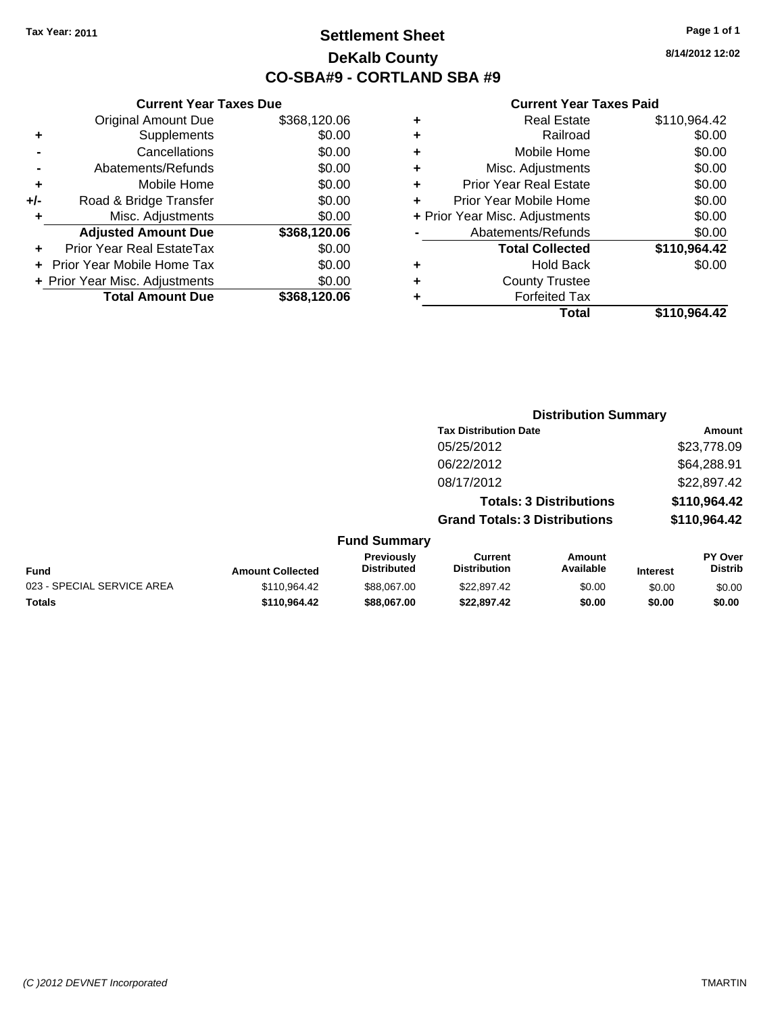**Current Year Taxes Due** Original Amount Due \$368,120.06

**Adjusted Amount Due \$368,120.06**

**Total Amount Due \$368,120.06**

**+** Supplements \$0.00 **-** Cancellations \$0.00 **-** Abatements/Refunds \$0.00 **+** Mobile Home \$0.00 **+/-** Road & Bridge Transfer \$0.00 **+** Misc. Adjustments \$0.00

**+** Prior Year Real EstateTax \$0.00 **+** Prior Year Mobile Home Tax \$0.00 **+ Prior Year Misc. Adjustments**  $$0.00$ 

### **Settlement Sheet Tax Year: 2011 Page 1 of 1 DeKalb County CO-SBA#9 - CORTLAND SBA #9**

**8/14/2012 12:02**

|   | Total                          | \$110,964.42 |
|---|--------------------------------|--------------|
|   | <b>Forfeited Tax</b>           |              |
| ٠ | <b>County Trustee</b>          |              |
| ٠ | <b>Hold Back</b>               | \$0.00       |
|   | <b>Total Collected</b>         | \$110,964.42 |
|   | Abatements/Refunds             | \$0.00       |
|   | + Prior Year Misc. Adjustments | \$0.00       |
|   | Prior Year Mobile Home         | \$0.00       |
| ٠ | <b>Prior Year Real Estate</b>  | \$0.00       |
| ٠ | Misc. Adjustments              | \$0.00       |
| ٠ | Mobile Home                    | \$0.00       |
| ٠ | Railroad                       | \$0.00       |
| ٠ | <b>Real Estate</b>             | \$110,964.42 |

|                            |                         |                                  | <b>Distribution Summary</b>           |                                |                 |                           |
|----------------------------|-------------------------|----------------------------------|---------------------------------------|--------------------------------|-----------------|---------------------------|
|                            |                         |                                  | <b>Tax Distribution Date</b>          |                                |                 | Amount                    |
|                            |                         |                                  | 05/25/2012                            |                                |                 | \$23,778.09               |
|                            |                         |                                  | 06/22/2012                            |                                |                 | \$64,288.91               |
|                            |                         |                                  | 08/17/2012                            |                                |                 | \$22,897.42               |
|                            |                         |                                  |                                       | <b>Totals: 3 Distributions</b> |                 | \$110,964.42              |
|                            |                         |                                  | <b>Grand Totals: 3 Distributions</b>  |                                |                 | \$110,964.42              |
|                            |                         | <b>Fund Summary</b>              |                                       |                                |                 |                           |
| <b>Fund</b>                | <b>Amount Collected</b> | Previously<br><b>Distributed</b> | <b>Current</b><br><b>Distribution</b> | Amount<br>Available            | <b>Interest</b> | PY Over<br><b>Distrib</b> |
| 023 - SPECIAL SERVICE AREA | \$110,964.42            | \$88,067.00                      | \$22,897.42                           | \$0.00                         | \$0.00          | \$0.00                    |
| Totals                     | \$110,964.42            | \$88,067,00                      | \$22,897.42                           | \$0.00                         | \$0.00          | \$0.00                    |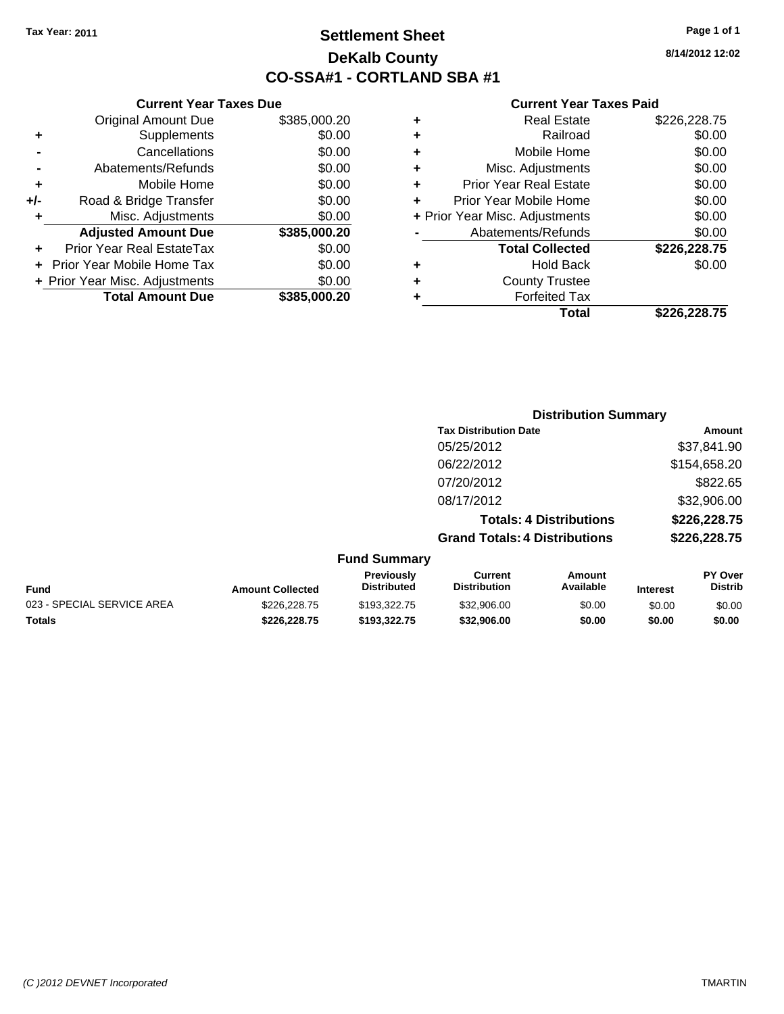### **Settlement Sheet Tax Year: 2011 Page 1 of 1 DeKalb County CO-SSA#1 - CORTLAND SBA #1**

**8/14/2012 12:02**

| Total                          | \$226.228.75 |
|--------------------------------|--------------|
| <b>Forfeited Tax</b>           |              |
| <b>County Trustee</b>          |              |
| Hold Back                      | \$0.00       |
| <b>Total Collected</b>         | \$226,228.75 |
| Abatements/Refunds             | \$0.00       |
| + Prior Year Misc. Adjustments | \$0.00       |
| Prior Year Mobile Home         | \$0.00       |
| <b>Prior Year Real Estate</b>  | \$0.00       |
| Misc. Adjustments              | \$0.00       |
| Mobile Home                    | \$0.00       |
| Railroad                       | \$0.00       |
| Real Estate                    | \$226,228.75 |
|                                |              |

|     | <b>Current Year Taxes Due</b>  |              |
|-----|--------------------------------|--------------|
|     | <b>Original Amount Due</b>     | \$385,000.20 |
| ٠   | Supplements                    | \$0.00       |
|     | Cancellations                  | \$0.00       |
|     | Abatements/Refunds             | \$0.00       |
| ٠   | Mobile Home                    | \$0.00       |
| +/- | Road & Bridge Transfer         | \$0.00       |
|     | Misc. Adjustments              | \$0.00       |
|     | <b>Adjusted Amount Due</b>     | \$385,000.20 |
|     | Prior Year Real EstateTax      | \$0.00       |
|     | Prior Year Mobile Home Tax     | \$0.00       |
|     | + Prior Year Misc. Adjustments | \$0.00       |
|     | <b>Total Amount Due</b>        | \$385.000.20 |

|                     | <b>Distribution Summary</b>          |               |
|---------------------|--------------------------------------|---------------|
|                     | <b>Tax Distribution Date</b>         | <b>Amount</b> |
|                     | 05/25/2012                           | \$37,841.90   |
|                     | 06/22/2012                           | \$154,658.20  |
|                     | 07/20/2012                           | \$822.65      |
|                     | 08/17/2012                           | \$32,906.00   |
|                     | <b>Totals: 4 Distributions</b>       | \$226,228.75  |
|                     | <b>Grand Totals: 4 Distributions</b> | \$226,228.75  |
| <b>Fund Summary</b> |                                      |               |

| <b>Fund</b>                | <b>Amount Collected</b> | <b>Previously</b><br><b>Distributed</b> | Current<br><b>Distribution</b> | Amount<br>Available | <b>Interest</b> | <b>PY Over</b><br><b>Distrib</b> |
|----------------------------|-------------------------|-----------------------------------------|--------------------------------|---------------------|-----------------|----------------------------------|
| 023 - SPECIAL SERVICE AREA | \$226,228.75            | \$193,322,75                            | \$32,906.00                    | \$0.00              | \$0.00          | \$0.00                           |
| <b>Totals</b>              | \$226.228.75            | \$193.322.75                            | \$32,906,00                    | \$0.00              | \$0.00          | \$0.00                           |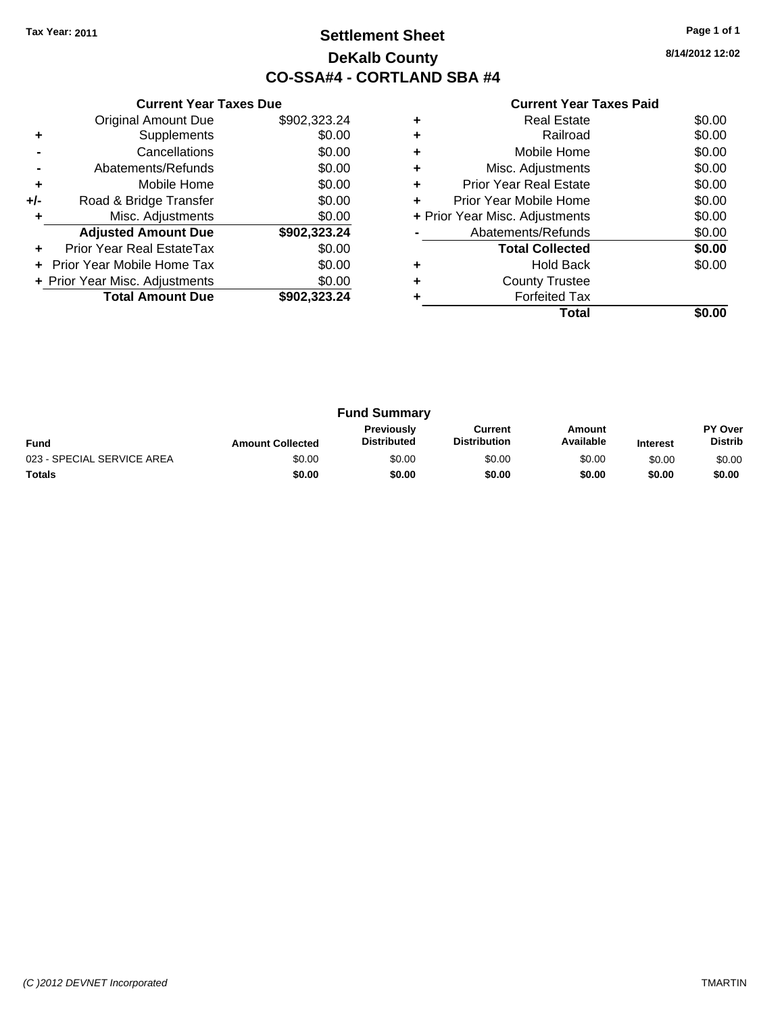### **Settlement Sheet Tax Year: 2011 Page 1 of 1 DeKalb County CO-SSA#4 - CORTLAND SBA #4**

**8/14/2012 12:02**

|     | <b>Current Year Taxes Due</b>  |              |
|-----|--------------------------------|--------------|
|     | <b>Original Amount Due</b>     | \$902,323.24 |
| ٠   | Supplements                    | \$0.00       |
|     | Cancellations                  | \$0.00       |
|     | Abatements/Refunds             | \$0.00       |
| ٠   | Mobile Home                    | \$0.00       |
| +/- | Road & Bridge Transfer         | \$0.00       |
|     | Misc. Adjustments              | \$0.00       |
|     | <b>Adjusted Amount Due</b>     | \$902,323.24 |
|     | Prior Year Real EstateTax      | \$0.00       |
|     | Prior Year Mobile Home Tax     | \$0.00       |
|     | + Prior Year Misc. Adjustments | \$0.00       |
|     | <b>Total Amount Due</b>        | \$902.323.24 |
|     |                                |              |

|   | <b>Real Estate</b>             | \$0.00 |
|---|--------------------------------|--------|
|   | Railroad                       | \$0.00 |
| ٠ | Mobile Home                    | \$0.00 |
|   | Misc. Adjustments              | \$0.00 |
|   | <b>Prior Year Real Estate</b>  | \$0.00 |
| ÷ | Prior Year Mobile Home         | \$0.00 |
|   | + Prior Year Misc. Adjustments | \$0.00 |
|   | Abatements/Refunds             | \$0.00 |
|   | <b>Total Collected</b>         | \$0.00 |
|   | <b>Hold Back</b>               | \$0.00 |
|   | <b>County Trustee</b>          |        |
|   | <b>Forfeited Tax</b>           |        |
|   | Total                          |        |

|                            |                         | <b>Fund Summary</b>              |                                |                     |                 |                                  |
|----------------------------|-------------------------|----------------------------------|--------------------------------|---------------------|-----------------|----------------------------------|
| <b>Fund</b>                | <b>Amount Collected</b> | Previously<br><b>Distributed</b> | Current<br><b>Distribution</b> | Amount<br>Available | <b>Interest</b> | <b>PY Over</b><br><b>Distrib</b> |
| 023 - SPECIAL SERVICE AREA | \$0.00                  | \$0.00                           | \$0.00                         | \$0.00              | \$0.00          | \$0.00                           |
| <b>Totals</b>              | \$0.00                  | \$0.00                           | \$0.00                         | \$0.00              | \$0.00          | \$0.00                           |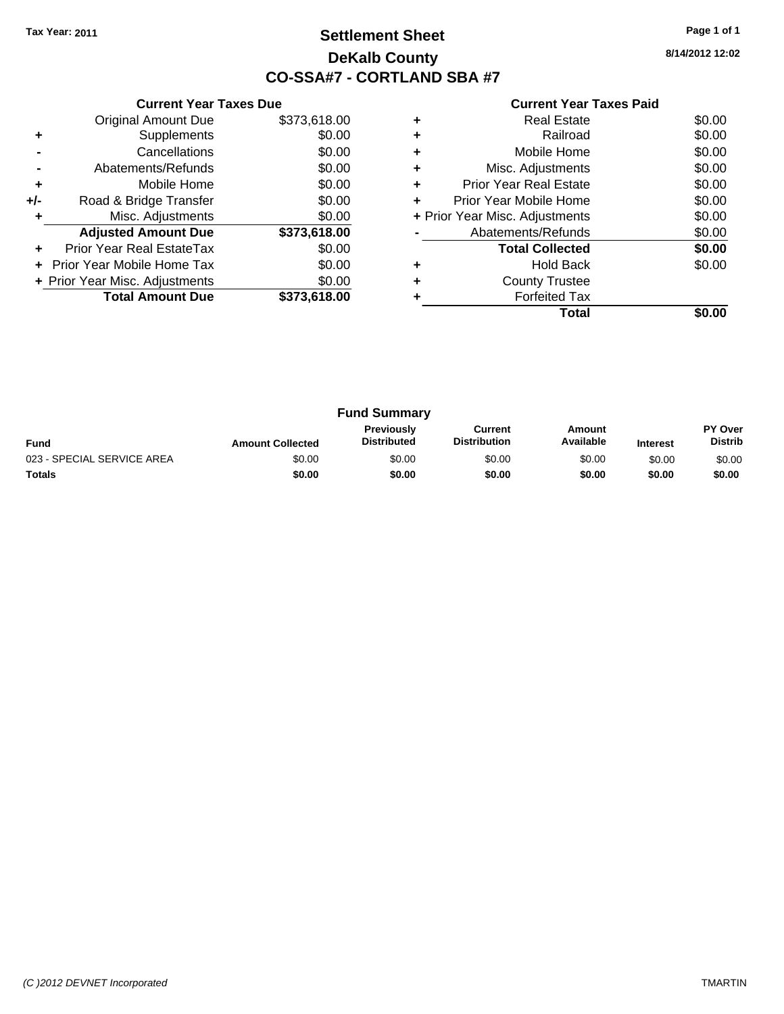### **Settlement Sheet Tax Year: 2011 Page 1 of 1 DeKalb County CO-SSA#7 - CORTLAND SBA #7**

**8/14/2012 12:02**

|     | <b>Current Year Taxes Due</b>  |              |
|-----|--------------------------------|--------------|
|     | <b>Original Amount Due</b>     | \$373,618.00 |
| ٠   | Supplements                    | \$0.00       |
|     | Cancellations                  | \$0.00       |
|     | Abatements/Refunds             | \$0.00       |
| ٠   | Mobile Home                    | \$0.00       |
| +/- | Road & Bridge Transfer         | \$0.00       |
|     | Misc. Adjustments              | \$0.00       |
|     | <b>Adjusted Amount Due</b>     | \$373,618.00 |
| ٠   | Prior Year Real EstateTax      | \$0.00       |
|     | Prior Year Mobile Home Tax     | \$0.00       |
|     | + Prior Year Misc. Adjustments | \$0.00       |
|     | <b>Total Amount Due</b>        | \$373,618,00 |
|     |                                |              |

|   | Total                          |        |
|---|--------------------------------|--------|
|   | <b>Forfeited Tax</b>           |        |
|   | <b>County Trustee</b>          |        |
|   | <b>Hold Back</b>               | \$0.00 |
|   | <b>Total Collected</b>         | \$0.00 |
|   | Abatements/Refunds             | \$0.00 |
|   | + Prior Year Misc. Adjustments | \$0.00 |
| ÷ | Prior Year Mobile Home         | \$0.00 |
| ٠ | <b>Prior Year Real Estate</b>  | \$0.00 |
|   | Misc. Adjustments              | \$0.00 |
|   | Mobile Home                    | \$0.00 |
| ٠ | Railroad                       | \$0.00 |
|   | Real Estate                    | \$0.00 |

|                            |                         | <b>Fund Summary</b>              |                                |                     |                 |                           |
|----------------------------|-------------------------|----------------------------------|--------------------------------|---------------------|-----------------|---------------------------|
| <b>Fund</b>                | <b>Amount Collected</b> | Previously<br><b>Distributed</b> | Current<br><b>Distribution</b> | Amount<br>Available | <b>Interest</b> | PY Over<br><b>Distrib</b> |
| 023 - SPECIAL SERVICE AREA | \$0.00                  | \$0.00                           | \$0.00                         | \$0.00              | \$0.00          | \$0.00                    |
| <b>Totals</b>              | \$0.00                  | \$0.00                           | \$0.00                         | \$0.00              | \$0.00          | \$0.00                    |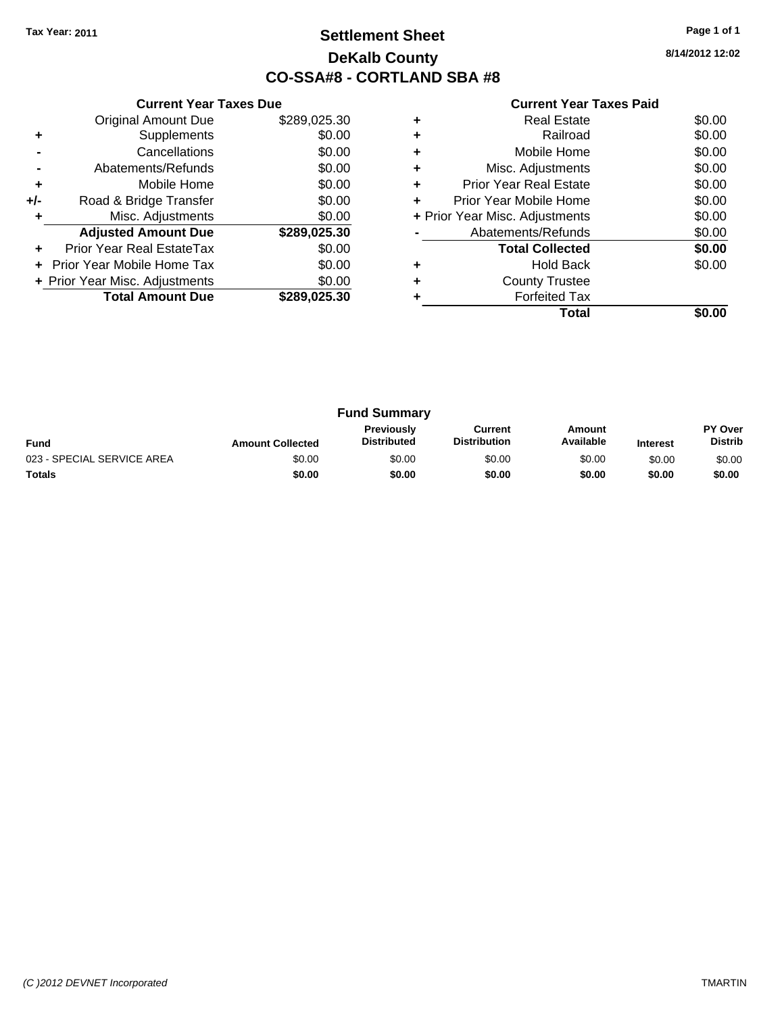### **Settlement Sheet Tax Year: 2011 Page 1 of 1 DeKalb County CO-SSA#8 - CORTLAND SBA #8**

**8/14/2012 12:02**

|     | <b>Current Year Taxes Due</b>  |              |
|-----|--------------------------------|--------------|
|     | <b>Original Amount Due</b>     | \$289,025.30 |
| ٠   | Supplements                    | \$0.00       |
|     | Cancellations                  | \$0.00       |
|     | Abatements/Refunds             | \$0.00       |
| ٠   | Mobile Home                    | \$0.00       |
| +/- | Road & Bridge Transfer         | \$0.00       |
|     | Misc. Adjustments              | \$0.00       |
|     | <b>Adjusted Amount Due</b>     | \$289,025.30 |
|     | Prior Year Real EstateTax      | \$0.00       |
|     | Prior Year Mobile Home Tax     | \$0.00       |
|     | + Prior Year Misc. Adjustments | \$0.00       |
|     | <b>Total Amount Due</b>        | \$289,025.30 |
|     |                                |              |

|   | Total                          |        |
|---|--------------------------------|--------|
|   | <b>Forfeited Tax</b>           |        |
| ٠ | <b>County Trustee</b>          |        |
|   | <b>Hold Back</b>               | \$0.00 |
|   | <b>Total Collected</b>         | \$0.00 |
|   | Abatements/Refunds             | \$0.00 |
|   | + Prior Year Misc. Adjustments | \$0.00 |
| ÷ | Prior Year Mobile Home         | \$0.00 |
| ٠ | <b>Prior Year Real Estate</b>  | \$0.00 |
| ٠ | Misc. Adjustments              | \$0.00 |
| ٠ | Mobile Home                    | \$0.00 |
|   | Railroad                       | \$0.00 |
| ٠ | <b>Real Estate</b>             | \$0.00 |

| <b>Fund Summary</b>        |                         |                                         |                                |                     |                 |                           |
|----------------------------|-------------------------|-----------------------------------------|--------------------------------|---------------------|-----------------|---------------------------|
| <b>Fund</b>                | <b>Amount Collected</b> | <b>Previously</b><br><b>Distributed</b> | Current<br><b>Distribution</b> | Amount<br>Available | <b>Interest</b> | PY Over<br><b>Distrib</b> |
| 023 - SPECIAL SERVICE AREA | \$0.00                  | \$0.00                                  | \$0.00                         | \$0.00              | \$0.00          | \$0.00                    |
| <b>Totals</b>              | \$0.00                  | \$0.00                                  | \$0.00                         | \$0.00              | \$0.00          | \$0.00                    |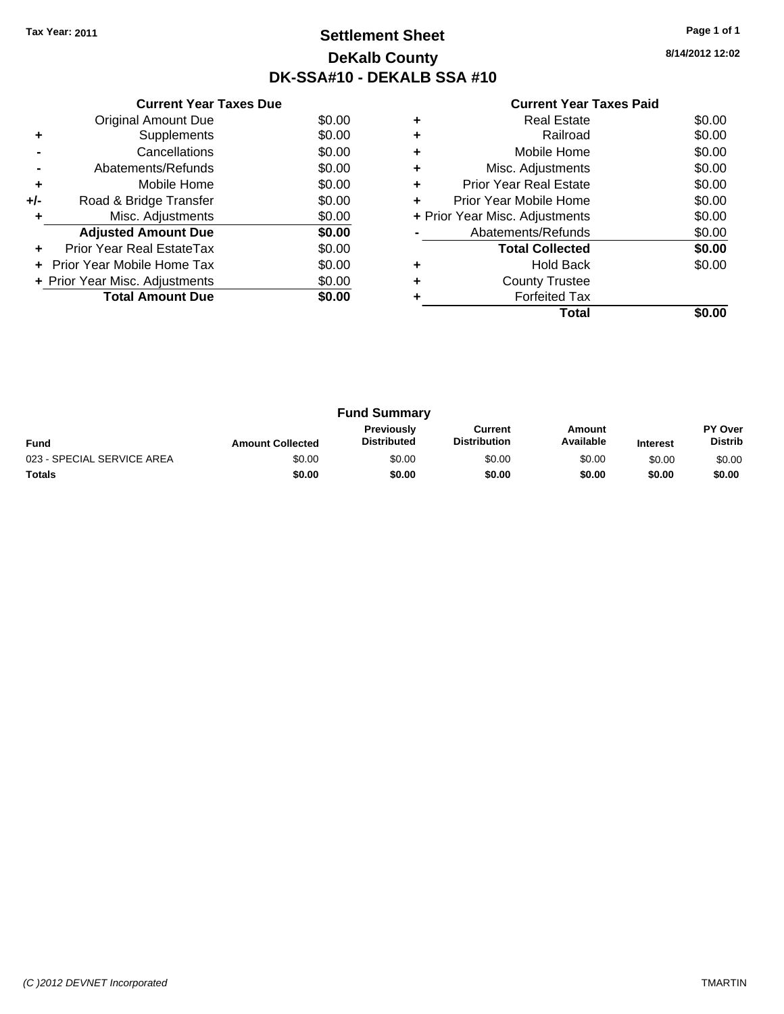### **Settlement Sheet Tax Year: 2011 Page 1 of 1 DeKalb County DK-SSA#10 - DEKALB SSA #10**

**8/14/2012 12:02**

|     | <b>Current Year Taxes Due</b>     |        |
|-----|-----------------------------------|--------|
|     | <b>Original Amount Due</b>        | \$0.00 |
| ٠   | Supplements                       | \$0.00 |
|     | Cancellations                     | \$0.00 |
|     | Abatements/Refunds                | \$0.00 |
| ٠   | Mobile Home                       | \$0.00 |
| +/- | Road & Bridge Transfer            | \$0.00 |
| ٠   | Misc. Adjustments                 | \$0.00 |
|     | <b>Adjusted Amount Due</b>        | \$0.00 |
|     | Prior Year Real EstateTax         | \$0.00 |
|     | <b>Prior Year Mobile Home Tax</b> | \$0.00 |
|     | + Prior Year Misc. Adjustments    | \$0.00 |
|     | <b>Total Amount Due</b>           | \$0.00 |
|     |                                   |        |

|   | Total                          |        |
|---|--------------------------------|--------|
|   | <b>Forfeited Tax</b>           |        |
|   | <b>County Trustee</b>          |        |
|   | <b>Hold Back</b>               | \$0.00 |
|   | <b>Total Collected</b>         | \$0.00 |
|   | Abatements/Refunds             | \$0.00 |
|   | + Prior Year Misc. Adjustments | \$0.00 |
|   | Prior Year Mobile Home         | \$0.00 |
| ٠ | <b>Prior Year Real Estate</b>  | \$0.00 |
| ٠ | Misc. Adjustments              | \$0.00 |
|   | Mobile Home                    | \$0.00 |
|   | Railroad                       | \$0.00 |
|   | Real Estate                    | \$0.00 |

|                            |                         | <b>Fund Summary</b>                     |                                |                     |                 |                                  |
|----------------------------|-------------------------|-----------------------------------------|--------------------------------|---------------------|-----------------|----------------------------------|
| <b>Fund</b>                | <b>Amount Collected</b> | <b>Previously</b><br><b>Distributed</b> | Current<br><b>Distribution</b> | Amount<br>Available | <b>Interest</b> | <b>PY Over</b><br><b>Distrib</b> |
| 023 - SPECIAL SERVICE AREA | \$0.00                  | \$0.00                                  | \$0.00                         | \$0.00              | \$0.00          | \$0.00                           |
| <b>Totals</b>              | \$0.00                  | \$0.00                                  | \$0.00                         | \$0.00              | \$0.00          | \$0.00                           |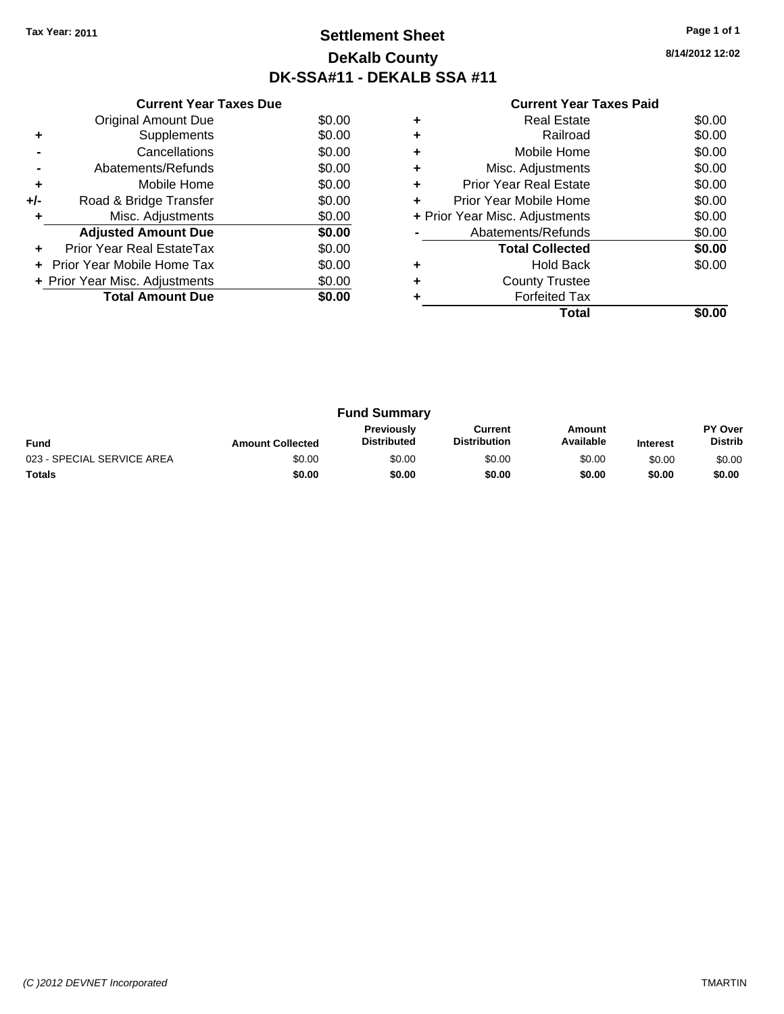### **Settlement Sheet Tax Year: 2011 Page 1 of 1 DeKalb County DK-SSA#11 - DEKALB SSA #11**

**8/14/2012 12:02**

|     | <b>Current Year Taxes Due</b>     |        |
|-----|-----------------------------------|--------|
|     | <b>Original Amount Due</b>        | \$0.00 |
| ٠   | Supplements                       | \$0.00 |
|     | Cancellations                     | \$0.00 |
|     | Abatements/Refunds                | \$0.00 |
| ٠   | Mobile Home                       | \$0.00 |
| +/- | Road & Bridge Transfer            | \$0.00 |
|     | Misc. Adjustments                 | \$0.00 |
|     | <b>Adjusted Amount Due</b>        | \$0.00 |
|     | Prior Year Real EstateTax         | \$0.00 |
|     | <b>Prior Year Mobile Home Tax</b> | \$0.00 |
|     | + Prior Year Misc. Adjustments    | \$0.00 |
|     | <b>Total Amount Due</b>           | \$0.00 |
|     |                                   |        |

|   | Real Estate                    | \$0.00 |
|---|--------------------------------|--------|
|   | Railroad                       | \$0.00 |
|   | Mobile Home                    | \$0.00 |
|   | Misc. Adjustments              | \$0.00 |
|   | <b>Prior Year Real Estate</b>  | \$0.00 |
| ÷ | Prior Year Mobile Home         | \$0.00 |
|   | + Prior Year Misc. Adjustments | \$0.00 |
|   | Abatements/Refunds             | \$0.00 |
|   | <b>Total Collected</b>         | \$0.00 |
|   | <b>Hold Back</b>               | \$0.00 |
|   | <b>County Trustee</b>          |        |
|   | <b>Forfeited Tax</b>           |        |
|   | Total                          |        |

| <b>Fund Summary</b>        |                         |                                  |                                |                     |                 |                           |
|----------------------------|-------------------------|----------------------------------|--------------------------------|---------------------|-----------------|---------------------------|
| <b>Fund</b>                | <b>Amount Collected</b> | Previously<br><b>Distributed</b> | Current<br><b>Distribution</b> | Amount<br>Available | <b>Interest</b> | PY Over<br><b>Distrib</b> |
| 023 - SPECIAL SERVICE AREA | \$0.00                  | \$0.00                           | \$0.00                         | \$0.00              | \$0.00          | \$0.00                    |
| <b>Totals</b>              | \$0.00                  | \$0.00                           | \$0.00                         | \$0.00              | \$0.00          | \$0.00                    |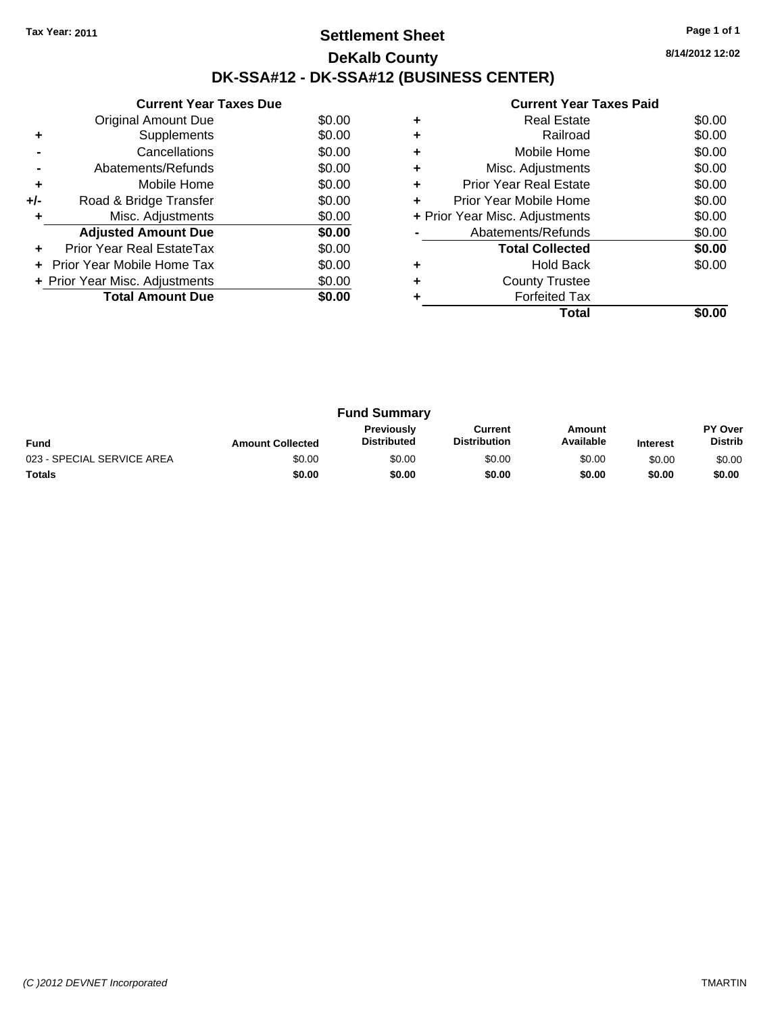### **Settlement Sheet Tax Year: 2011 Page 1 of 1 DeKalb County DK-SSA#12 - DK-SSA#12 (BUSINESS CENTER)**

**8/14/2012 12:02**

|     | <b>Current Year Taxes Due</b>  |        |
|-----|--------------------------------|--------|
|     | Original Amount Due            | \$0.00 |
| ٠   | Supplements                    | \$0.00 |
|     | Cancellations                  | \$0.00 |
|     | Abatements/Refunds             | \$0.00 |
| ٠   | Mobile Home                    | \$0.00 |
| +/- | Road & Bridge Transfer         | \$0.00 |
| ٠   | Misc. Adjustments              | \$0.00 |
|     | <b>Adjusted Amount Due</b>     | \$0.00 |
|     | Prior Year Real EstateTax      | \$0.00 |
|     | Prior Year Mobile Home Tax     | \$0.00 |
|     | + Prior Year Misc. Adjustments | \$0.00 |
|     | <b>Total Amount Due</b>        | \$0.00 |
|     |                                |        |

|   | Total                          |        |
|---|--------------------------------|--------|
|   | <b>Forfeited Tax</b>           |        |
|   | <b>County Trustee</b>          |        |
|   | <b>Hold Back</b>               | \$0.00 |
|   | <b>Total Collected</b>         | \$0.00 |
|   | Abatements/Refunds             | \$0.00 |
|   | + Prior Year Misc. Adjustments | \$0.00 |
| ٠ | Prior Year Mobile Home         | \$0.00 |
| ٠ | <b>Prior Year Real Estate</b>  | \$0.00 |
|   | Misc. Adjustments              | \$0.00 |
| ٠ | Mobile Home                    | \$0.00 |
|   | Railroad                       | \$0.00 |
|   | <b>Real Estate</b>             | \$0.00 |
|   |                                |        |

| <b>Fund Summary</b>        |                         |                                         |                                |                     |                 |                           |
|----------------------------|-------------------------|-----------------------------------------|--------------------------------|---------------------|-----------------|---------------------------|
| <b>Fund</b>                | <b>Amount Collected</b> | <b>Previously</b><br><b>Distributed</b> | Current<br><b>Distribution</b> | Amount<br>Available | <b>Interest</b> | PY Over<br><b>Distrib</b> |
| 023 - SPECIAL SERVICE AREA | \$0.00                  | \$0.00                                  | \$0.00                         | \$0.00              | \$0.00          | \$0.00                    |
| <b>Totals</b>              | \$0.00                  | \$0.00                                  | \$0.00                         | \$0.00              | \$0.00          | \$0.00                    |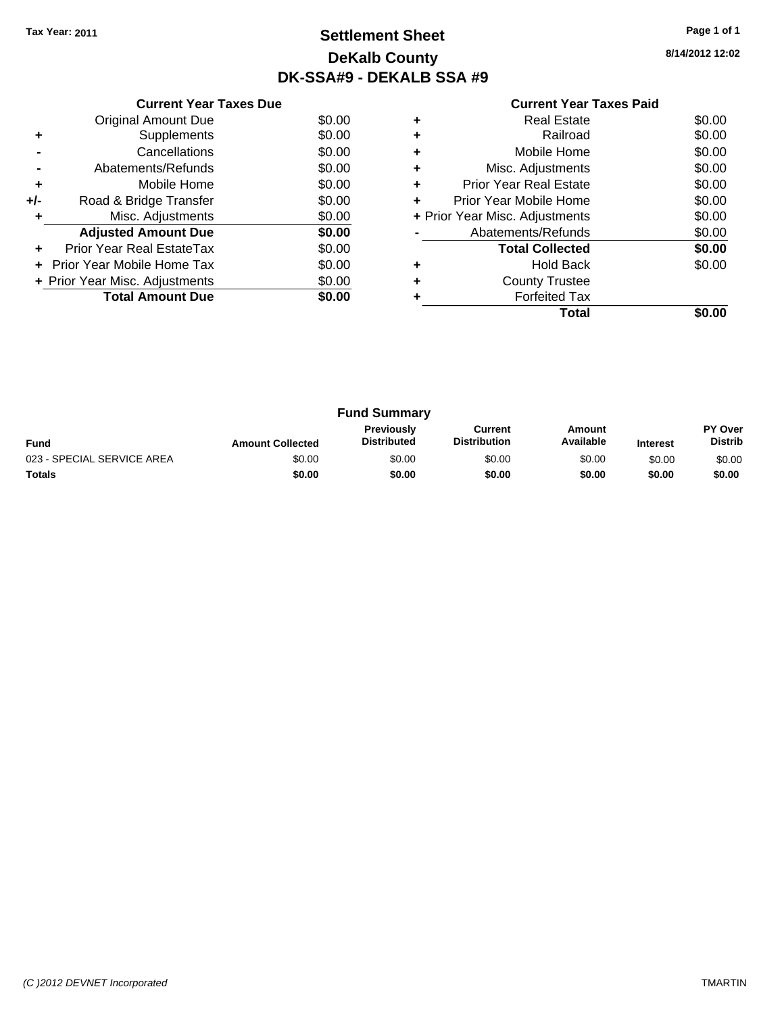### **Settlement Sheet Tax Year: 2011 Page 1 of 1 DeKalb County DK-SSA#9 - DEKALB SSA #9**

**8/14/2012 12:02**

|     | <b>Current Year Taxes Due</b>     |        |
|-----|-----------------------------------|--------|
|     | Original Amount Due               | \$0.00 |
| ٠   | Supplements                       | \$0.00 |
|     | Cancellations                     | \$0.00 |
|     | Abatements/Refunds                | \$0.00 |
| ٠   | Mobile Home                       | \$0.00 |
| +/- | Road & Bridge Transfer            | \$0.00 |
| ٠   | Misc. Adjustments                 | \$0.00 |
|     | <b>Adjusted Amount Due</b>        | \$0.00 |
| ٠   | Prior Year Real EstateTax         | \$0.00 |
|     | <b>Prior Year Mobile Home Tax</b> | \$0.00 |
|     | + Prior Year Misc. Adjustments    | \$0.00 |
|     | <b>Total Amount Due</b>           | \$0.00 |
|     |                                   |        |

| <b>Real Estate</b>             | \$0.00 |
|--------------------------------|--------|
| Railroad                       | \$0.00 |
| Mobile Home                    | \$0.00 |
| Misc. Adjustments              | \$0.00 |
| <b>Prior Year Real Estate</b>  | \$0.00 |
| Prior Year Mobile Home         | \$0.00 |
| + Prior Year Misc. Adjustments | \$0.00 |
| Abatements/Refunds             | \$0.00 |
| <b>Total Collected</b>         | \$0.00 |
| <b>Hold Back</b>               | \$0.00 |
| <b>County Trustee</b>          |        |
| <b>Forfeited Tax</b>           |        |
| Total                          |        |
|                                |        |

| <b>Fund Summary</b>        |                         |                                         |                                |                     |                 |                           |
|----------------------------|-------------------------|-----------------------------------------|--------------------------------|---------------------|-----------------|---------------------------|
| <b>Fund</b>                | <b>Amount Collected</b> | <b>Previously</b><br><b>Distributed</b> | Current<br><b>Distribution</b> | Amount<br>Available | <b>Interest</b> | PY Over<br><b>Distrib</b> |
| 023 - SPECIAL SERVICE AREA | \$0.00                  | \$0.00                                  | \$0.00                         | \$0.00              | \$0.00          | \$0.00                    |
| <b>Totals</b>              | \$0.00                  | \$0.00                                  | \$0.00                         | \$0.00              | \$0.00          | \$0.00                    |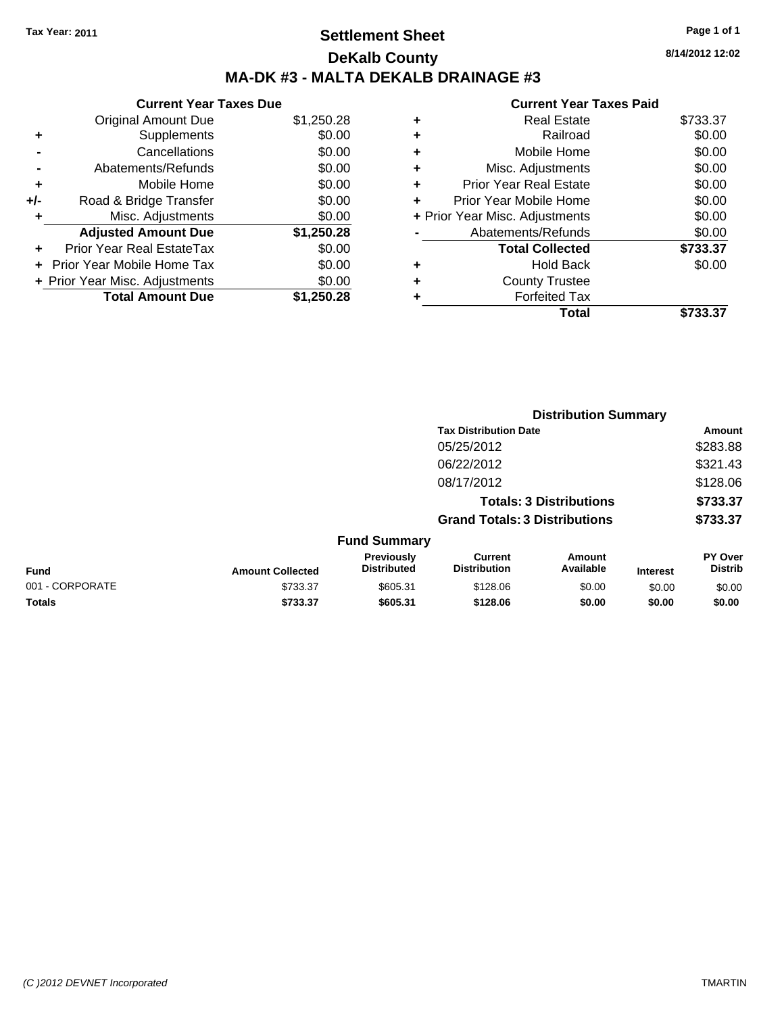### **Settlement Sheet Tax Year: 2011 Page 1 of 1 DeKalb County MA-DK #3 - MALTA DEKALB DRAINAGE #3**

**8/14/2012 12:02**

|     | <b>Current Year Taxes Due</b>  |            |
|-----|--------------------------------|------------|
|     | <b>Original Amount Due</b>     | \$1,250.28 |
| ٠   | Supplements                    | \$0.00     |
|     | Cancellations                  | \$0.00     |
|     | Abatements/Refunds             | \$0.00     |
| ٠   | Mobile Home                    | \$0.00     |
| +/- | Road & Bridge Transfer         | \$0.00     |
| ٠   | Misc. Adjustments              | \$0.00     |
|     | <b>Adjusted Amount Due</b>     | \$1,250.28 |
|     | Prior Year Real EstateTax      | \$0.00     |
| ÷   | Prior Year Mobile Home Tax     | \$0.00     |
|     | + Prior Year Misc. Adjustments | \$0.00     |
|     | <b>Total Amount Due</b>        | \$1,250.28 |

|   | Total                          | \$733.37 |
|---|--------------------------------|----------|
| ٠ | <b>Forfeited Tax</b>           |          |
| ٠ | <b>County Trustee</b>          |          |
| ٠ | <b>Hold Back</b>               | \$0.00   |
|   | <b>Total Collected</b>         | \$733.37 |
|   | Abatements/Refunds             | \$0.00   |
|   | + Prior Year Misc. Adjustments | \$0.00   |
| ٠ | Prior Year Mobile Home         | \$0.00   |
| ÷ | <b>Prior Year Real Estate</b>  | \$0.00   |
| ٠ | Misc. Adjustments              | \$0.00   |
| ٠ | Mobile Home                    | \$0.00   |
| ٠ | Railroad                       | \$0.00   |
| ٠ | <b>Real Estate</b>             | \$733.37 |
|   |                                |          |

|                 |                         |                                  | <b>Distribution Summary</b>           |                                |                 |                                  |  |
|-----------------|-------------------------|----------------------------------|---------------------------------------|--------------------------------|-----------------|----------------------------------|--|
|                 |                         |                                  | <b>Tax Distribution Date</b>          |                                |                 | Amount                           |  |
|                 |                         |                                  | 05/25/2012                            |                                |                 | \$283.88                         |  |
|                 |                         |                                  | 06/22/2012                            |                                |                 | \$321.43                         |  |
|                 |                         |                                  | 08/17/2012                            |                                |                 | \$128.06                         |  |
|                 |                         |                                  |                                       | <b>Totals: 3 Distributions</b> |                 | \$733.37                         |  |
|                 |                         |                                  | <b>Grand Totals: 3 Distributions</b>  |                                |                 | \$733.37                         |  |
|                 |                         | <b>Fund Summary</b>              |                                       |                                |                 |                                  |  |
| Fund            | <b>Amount Collected</b> | Previously<br><b>Distributed</b> | <b>Current</b><br><b>Distribution</b> | Amount<br>Available            | <b>Interest</b> | <b>PY Over</b><br><b>Distrib</b> |  |
| 001 - CORPORATE | \$733.37                | \$605.31                         | \$128.06                              | \$0.00                         | \$0.00          | \$0.00                           |  |
| Totals          | \$733.37                | \$605.31                         | \$128.06                              | \$0.00                         | \$0.00          | \$0.00                           |  |
|                 |                         |                                  |                                       |                                |                 |                                  |  |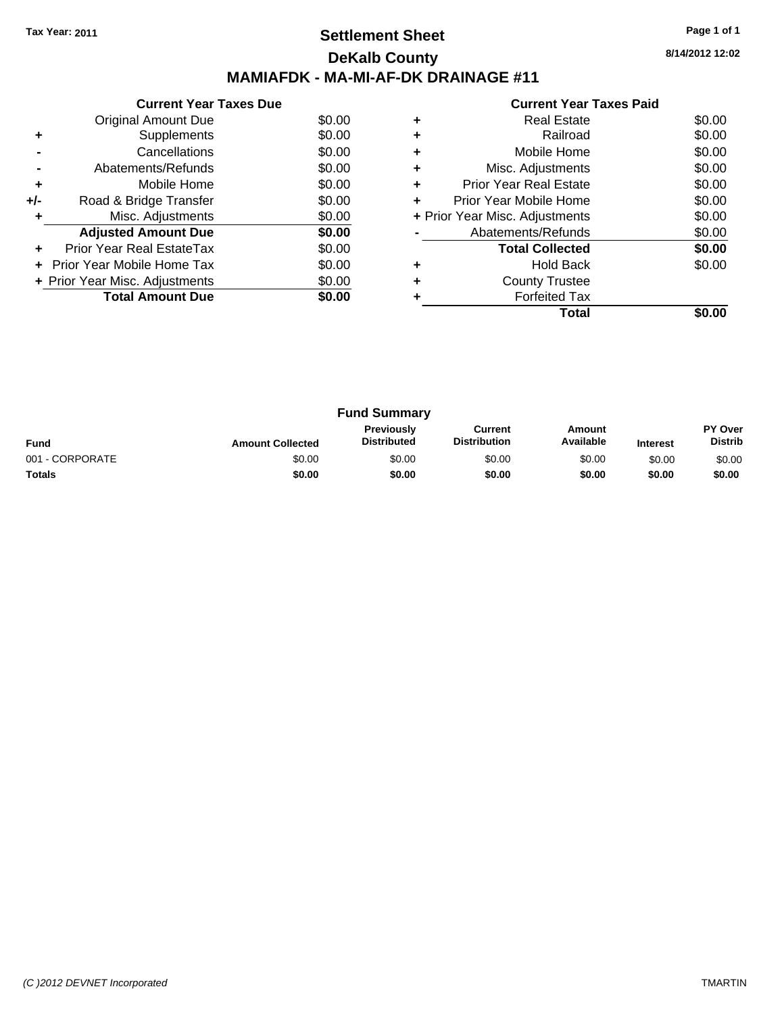### **Settlement Sheet Tax Year: 2011 Page 1 of 1 DeKalb County MAMIAFDK - MA-MI-AF-DK DRAINAGE #11**

**8/14/2012 12:02**

|       | <b>Current Year Taxes Due</b>     |        |
|-------|-----------------------------------|--------|
|       | Original Amount Due               | \$0.00 |
| ÷     | Supplements                       | \$0.00 |
|       | Cancellations                     | \$0.00 |
|       | Abatements/Refunds                | \$0.00 |
| ٠     | Mobile Home                       | \$0.00 |
| $+/-$ | Road & Bridge Transfer            | \$0.00 |
|       | Misc. Adjustments                 | \$0.00 |
|       | <b>Adjusted Amount Due</b>        | \$0.00 |
|       | Prior Year Real EstateTax         | \$0.00 |
|       | <b>Prior Year Mobile Home Tax</b> | \$0.00 |
|       | + Prior Year Misc. Adjustments    | \$0.00 |
|       | <b>Total Amount Due</b>           | \$0.00 |
|       |                                   |        |

|   | <b>Current Year Taxes Paid</b> |        |
|---|--------------------------------|--------|
|   | Real Estate                    | \$0.00 |
|   | Railroad                       | \$0.00 |
|   | Mobile Home                    | \$0.00 |
| ٠ | Misc. Adjustments              | \$0.00 |
|   | <b>Prior Year Real Estate</b>  | \$0.00 |
|   | Prior Year Mobile Home         | \$0.00 |
|   | + Prior Year Misc. Adjustments | \$0.00 |
|   | Abatements/Refunds             | \$0.00 |
|   | <b>Total Collected</b>         | \$0.00 |
|   | <b>Hold Back</b>               | \$0.00 |
|   | <b>County Trustee</b>          |        |
|   | <b>Forfeited Tax</b>           |        |
|   | Total                          |        |

| <b>Fund Summary</b> |                         |                                  |                                |                     |                 |                                  |
|---------------------|-------------------------|----------------------------------|--------------------------------|---------------------|-----------------|----------------------------------|
| <b>Fund</b>         | <b>Amount Collected</b> | Previously<br><b>Distributed</b> | Current<br><b>Distribution</b> | Amount<br>Available | <b>Interest</b> | <b>PY Over</b><br><b>Distrib</b> |
| 001 - CORPORATE     | \$0.00                  | \$0.00                           | \$0.00                         | \$0.00              | \$0.00          | \$0.00                           |
| <b>Totals</b>       | \$0.00                  | \$0.00                           | \$0.00                         | \$0.00              | \$0.00          | \$0.00                           |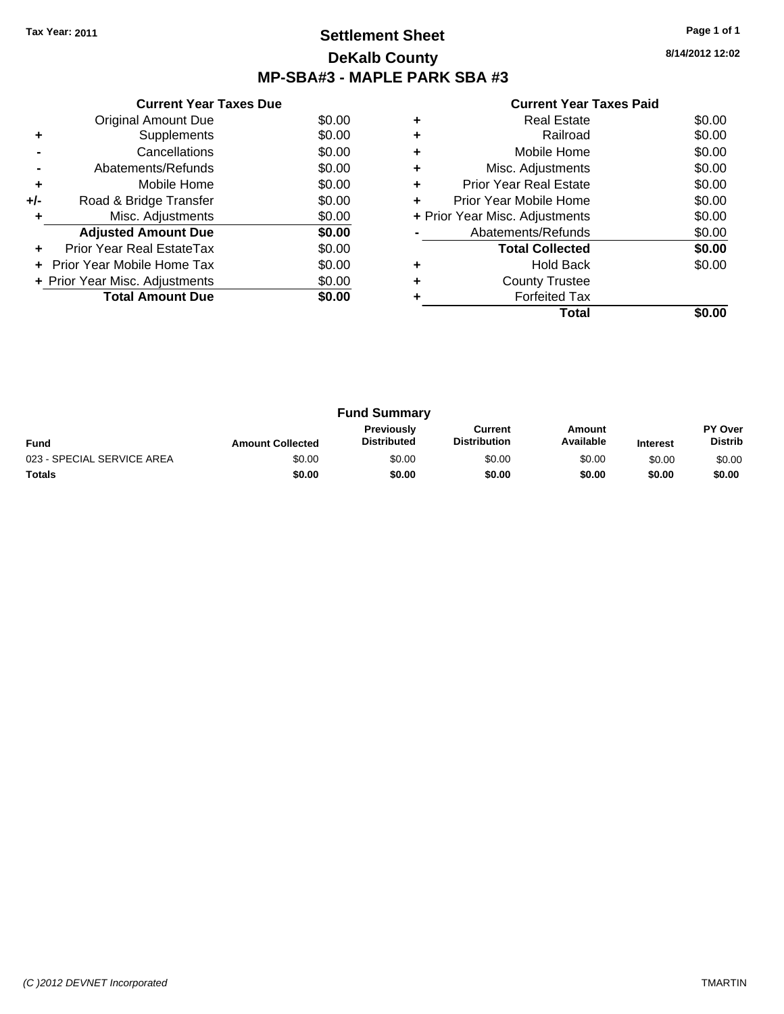## **Settlement Sheet Tax Year: 2011 Page 1 of 1 DeKalb County MP-SBA#3 - MAPLE PARK SBA #3**

| <b>Current Year Taxes Paid</b> |  |  |
|--------------------------------|--|--|
|--------------------------------|--|--|

|     | <b>Current Year Taxes Due</b>  |        |
|-----|--------------------------------|--------|
|     | <b>Original Amount Due</b>     | \$0.00 |
| ٠   | Supplements                    | \$0.00 |
|     | Cancellations                  | \$0.00 |
|     | Abatements/Refunds             | \$0.00 |
| ٠   | Mobile Home                    | \$0.00 |
| +/- | Road & Bridge Transfer         | \$0.00 |
|     | Misc. Adjustments              | \$0.00 |
|     | <b>Adjusted Amount Due</b>     | \$0.00 |
|     | Prior Year Real EstateTax      | \$0.00 |
|     | \$0.00                         |        |
|     | + Prior Year Misc. Adjustments | \$0.00 |
|     | <b>Total Amount Due</b>        | \$0.00 |
|     |                                |        |

|   | <b>Real Estate</b>             | \$0.00 |
|---|--------------------------------|--------|
|   | Railroad                       | \$0.00 |
|   | Mobile Home                    | \$0.00 |
| ٠ | Misc. Adjustments              | \$0.00 |
| ٠ | <b>Prior Year Real Estate</b>  | \$0.00 |
| ٠ | Prior Year Mobile Home         | \$0.00 |
|   | + Prior Year Misc. Adjustments | \$0.00 |
|   | Abatements/Refunds             | \$0.00 |
|   | <b>Total Collected</b>         | \$0.00 |
|   | <b>Hold Back</b>               | \$0.00 |
|   | <b>County Trustee</b>          |        |
|   | <b>Forfeited Tax</b>           |        |
|   | Total                          |        |

| <b>Fund Summary</b>        |                         |                                         |                                |                     |                 |                           |
|----------------------------|-------------------------|-----------------------------------------|--------------------------------|---------------------|-----------------|---------------------------|
| <b>Fund</b>                | <b>Amount Collected</b> | <b>Previously</b><br><b>Distributed</b> | Current<br><b>Distribution</b> | Amount<br>Available | <b>Interest</b> | PY Over<br><b>Distrib</b> |
| 023 - SPECIAL SERVICE AREA | \$0.00                  | \$0.00                                  | \$0.00                         | \$0.00              | \$0.00          | \$0.00                    |
| <b>Totals</b>              | \$0.00                  | \$0.00                                  | \$0.00                         | \$0.00              | \$0.00          | \$0.00                    |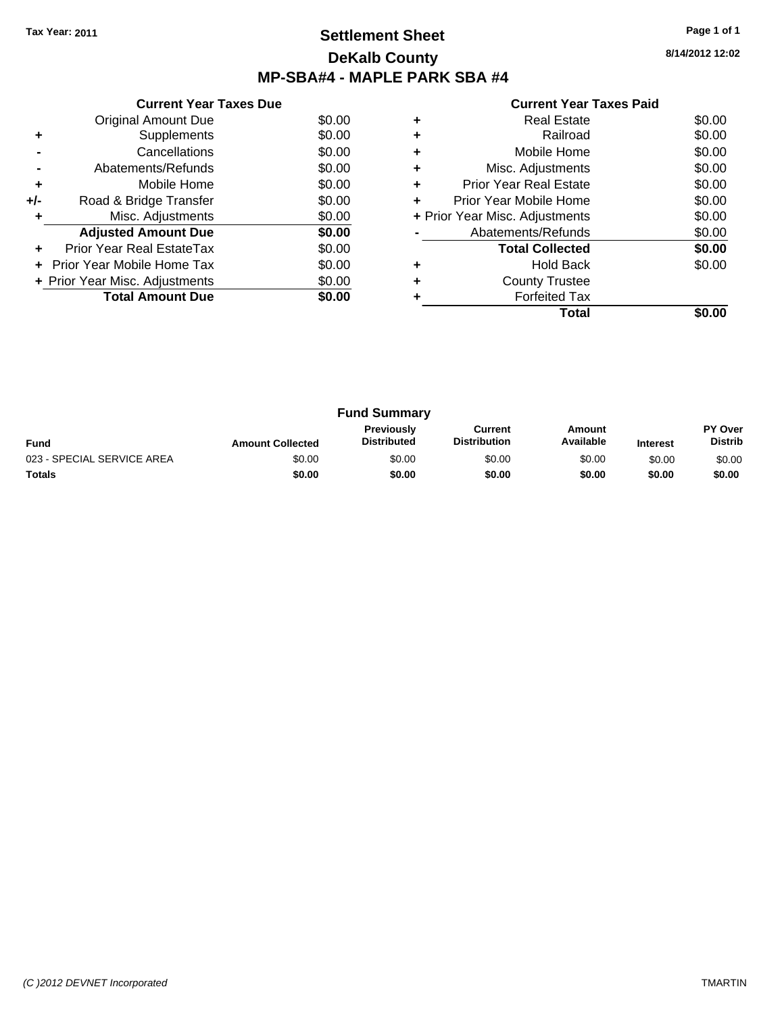## **Settlement Sheet Tax Year: 2011 Page 1 of 1 DeKalb County MP-SBA#4 - MAPLE PARK SBA #4**

|  | <b>Current Year Taxes Paid</b> |  |  |  |
|--|--------------------------------|--|--|--|
|--|--------------------------------|--|--|--|

|     | <b>Current Year Taxes Due</b>  |        |
|-----|--------------------------------|--------|
|     | Original Amount Due            | \$0.00 |
| ٠   | Supplements                    | \$0.00 |
|     | Cancellations                  | \$0.00 |
|     | Abatements/Refunds             | \$0.00 |
| ٠   | Mobile Home                    | \$0.00 |
| +/- | Road & Bridge Transfer         | \$0.00 |
|     | Misc. Adjustments              | \$0.00 |
|     | <b>Adjusted Amount Due</b>     | \$0.00 |
|     | Prior Year Real EstateTax      | \$0.00 |
|     | Prior Year Mobile Home Tax     | \$0.00 |
|     | + Prior Year Misc. Adjustments | \$0.00 |
|     | <b>Total Amount Due</b>        | \$0.00 |
|     |                                |        |

|   | <b>Real Estate</b>             | \$0.00 |
|---|--------------------------------|--------|
|   | Railroad                       | \$0.00 |
|   | Mobile Home                    | \$0.00 |
| ٠ | Misc. Adjustments              | \$0.00 |
| ٠ | <b>Prior Year Real Estate</b>  | \$0.00 |
|   | Prior Year Mobile Home         | \$0.00 |
|   | + Prior Year Misc. Adjustments | \$0.00 |
|   | Abatements/Refunds             | \$0.00 |
|   | <b>Total Collected</b>         | \$0.00 |
|   | <b>Hold Back</b>               | \$0.00 |
|   | <b>County Trustee</b>          |        |
|   | <b>Forfeited Tax</b>           |        |
|   | Total                          |        |

| <b>Fund Summary</b>        |                         |                                         |                                |                     |                 |                                  |
|----------------------------|-------------------------|-----------------------------------------|--------------------------------|---------------------|-----------------|----------------------------------|
| <b>Fund</b>                | <b>Amount Collected</b> | <b>Previously</b><br><b>Distributed</b> | Current<br><b>Distribution</b> | Amount<br>Available | <b>Interest</b> | <b>PY Over</b><br><b>Distrib</b> |
| 023 - SPECIAL SERVICE AREA | \$0.00                  | \$0.00                                  | \$0.00                         | \$0.00              | \$0.00          | \$0.00                           |
| <b>Totals</b>              | \$0.00                  | \$0.00                                  | \$0.00                         | \$0.00              | \$0.00          | \$0.00                           |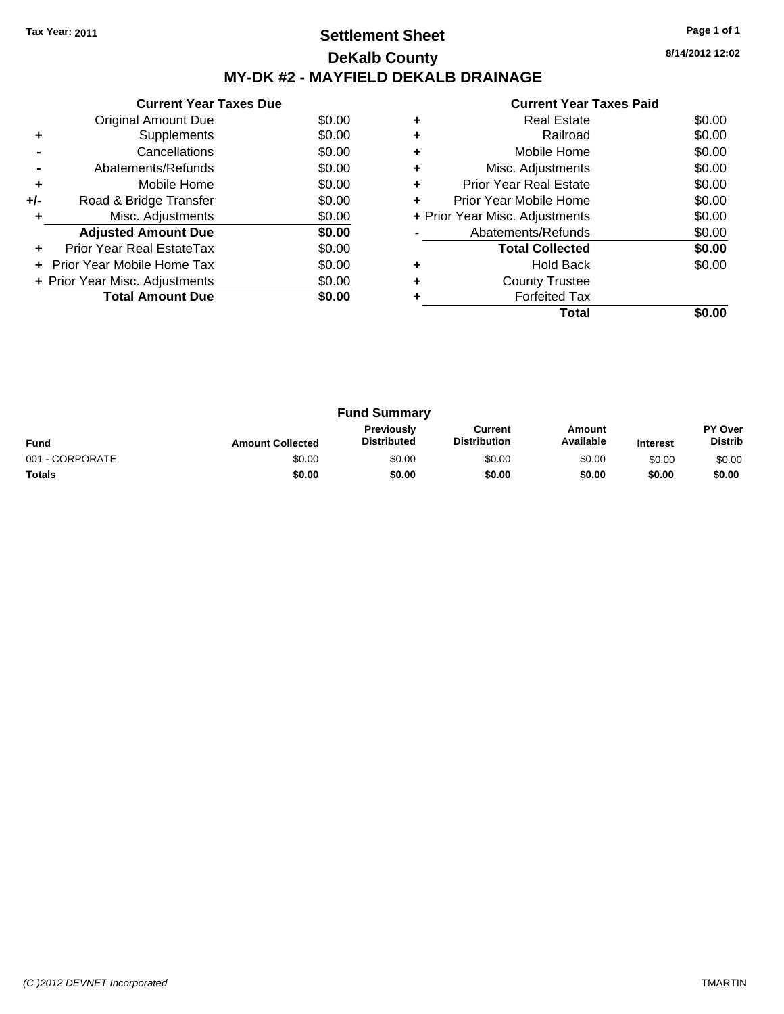## **Settlement Sheet Tax Year: 2011 Page 1 of 1 DeKalb County MY-DK #2 - MAYFIELD DEKALB DRAINAGE**

**8/14/2012 12:02**

|     | <b>Current Year Taxes Due</b>  |        |  |  |  |  |  |
|-----|--------------------------------|--------|--|--|--|--|--|
|     | Original Amount Due            | \$0.00 |  |  |  |  |  |
| ٠   | Supplements                    | \$0.00 |  |  |  |  |  |
|     | Cancellations                  | \$0.00 |  |  |  |  |  |
|     | Abatements/Refunds             | \$0.00 |  |  |  |  |  |
| ٠   | Mobile Home                    | \$0.00 |  |  |  |  |  |
| +/- | Road & Bridge Transfer         | \$0.00 |  |  |  |  |  |
| ÷   | Misc. Adjustments              | \$0.00 |  |  |  |  |  |
|     | <b>Adjusted Amount Due</b>     | \$0.00 |  |  |  |  |  |
|     | Prior Year Real EstateTax      | \$0.00 |  |  |  |  |  |
|     | Prior Year Mobile Home Tax     | \$0.00 |  |  |  |  |  |
|     | + Prior Year Misc. Adjustments | \$0.00 |  |  |  |  |  |
|     | <b>Total Amount Due</b>        | \$0.00 |  |  |  |  |  |
|     |                                |        |  |  |  |  |  |

|   | <b>Real Estate</b>             | \$0.00 |
|---|--------------------------------|--------|
|   | Railroad                       | \$0.00 |
|   | Mobile Home                    | \$0.00 |
|   | Misc. Adjustments              | \$0.00 |
| ٠ | <b>Prior Year Real Estate</b>  | \$0.00 |
| ÷ | Prior Year Mobile Home         | \$0.00 |
|   | + Prior Year Misc. Adjustments | \$0.00 |
|   | Abatements/Refunds             | \$0.00 |
|   | <b>Total Collected</b>         | \$0.00 |
|   | <b>Hold Back</b>               | \$0.00 |
|   | <b>County Trustee</b>          |        |
|   | <b>Forfeited Tax</b>           |        |
|   | Total                          |        |

|                 |                         | <b>Fund Summary</b>                     |                                |                     |                 |                           |
|-----------------|-------------------------|-----------------------------------------|--------------------------------|---------------------|-----------------|---------------------------|
| <b>Fund</b>     | <b>Amount Collected</b> | <b>Previously</b><br><b>Distributed</b> | Current<br><b>Distribution</b> | Amount<br>Available | <b>Interest</b> | PY Over<br><b>Distrib</b> |
| 001 - CORPORATE | \$0.00                  | \$0.00                                  | \$0.00                         | \$0.00              | \$0.00          | \$0.00                    |
| <b>Totals</b>   | \$0.00                  | \$0.00                                  | \$0.00                         | \$0.00              | \$0.00          | \$0.00                    |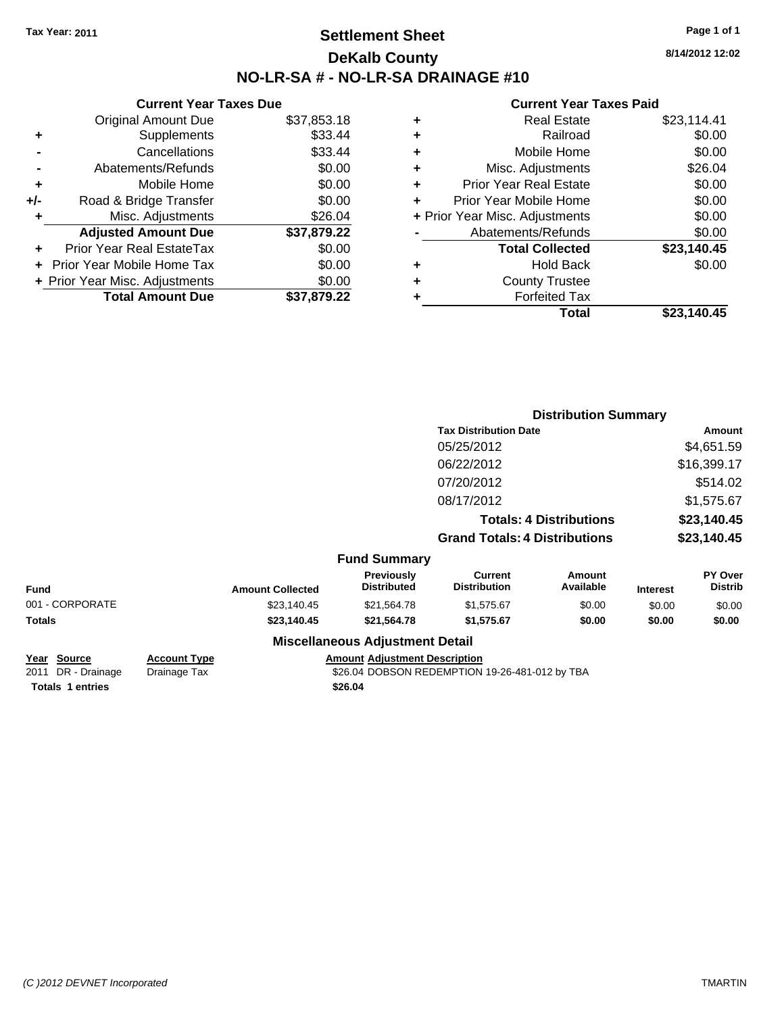## **Settlement Sheet Tax Year: 2011 Page 1 of 1 DeKalb County NO-LR-SA # - NO-LR-SA DRAINAGE #10**

**8/14/2012 12:02**

### **Current Year Taxes Paid**

|     | <b>Current Year Taxes Due</b>  |             |  |
|-----|--------------------------------|-------------|--|
|     | <b>Original Amount Due</b>     | \$37,853.18 |  |
| ٠   | Supplements                    | \$33.44     |  |
|     | Cancellations                  | \$33.44     |  |
|     | Abatements/Refunds             | \$0.00      |  |
| ٠   | Mobile Home                    | \$0.00      |  |
| +/- | Road & Bridge Transfer         | \$0.00      |  |
| ٠   | Misc. Adjustments              | \$26.04     |  |
|     | <b>Adjusted Amount Due</b>     | \$37,879.22 |  |
| ٠   | Prior Year Real EstateTax      | \$0.00      |  |
|     | Prior Year Mobile Home Tax     | \$0.00      |  |
|     | + Prior Year Misc. Adjustments | \$0.00      |  |
|     | <b>Total Amount Due</b>        | \$37,879.22 |  |
|     |                                |             |  |

| ٠ | <b>Real Estate</b>             | \$23,114.41 |
|---|--------------------------------|-------------|
| ٠ | Railroad                       | \$0.00      |
| ٠ | Mobile Home                    | \$0.00      |
| ٠ | Misc. Adjustments              | \$26.04     |
| ٠ | <b>Prior Year Real Estate</b>  | \$0.00      |
| ٠ | Prior Year Mobile Home         | \$0.00      |
|   | + Prior Year Misc. Adjustments | \$0.00      |
|   | Abatements/Refunds             | \$0.00      |
|   | <b>Total Collected</b>         | \$23,140.45 |
| ٠ | Hold Back                      | \$0.00      |
| ٠ | <b>County Trustee</b>          |             |
| ٠ | <b>Forfeited Tax</b>           |             |
|   | Total                          | \$23,140.45 |
|   |                                |             |

|                 |                         |                                         | <b>Distribution Summary</b>           |                                |                 |                           |
|-----------------|-------------------------|-----------------------------------------|---------------------------------------|--------------------------------|-----------------|---------------------------|
|                 |                         |                                         | <b>Tax Distribution Date</b>          |                                |                 | Amount                    |
|                 |                         |                                         | 05/25/2012                            |                                |                 | \$4,651.59                |
|                 |                         |                                         | 06/22/2012                            |                                |                 | \$16,399.17               |
|                 |                         |                                         | 07/20/2012                            |                                |                 | \$514.02                  |
|                 |                         |                                         | 08/17/2012                            |                                |                 | \$1,575.67                |
|                 |                         |                                         |                                       | <b>Totals: 4 Distributions</b> |                 | \$23,140.45               |
|                 |                         |                                         | <b>Grand Totals: 4 Distributions</b>  |                                |                 | \$23,140.45               |
|                 |                         | <b>Fund Summary</b>                     |                                       |                                |                 |                           |
| <b>Fund</b>     | <b>Amount Collected</b> | <b>Previously</b><br><b>Distributed</b> | <b>Current</b><br><b>Distribution</b> | Amount<br>Available            | <b>Interest</b> | PY Over<br><b>Distrib</b> |
| 001 - CORPORATE | \$23,140.45             | \$21,564.78                             | \$1,575.67                            | \$0.00                         | \$0.00          | \$0.00                    |
| Totals          | \$23,140.45             | \$21,564.78                             | \$1,575.67                            | \$0.00                         | \$0.00          | \$0.00                    |
|                 |                         | <b>Miscellaneous Adjustment Detail</b>  |                                       |                                |                 |                           |

**Totals \$26.04 1 entries**

**Year Source Account Type Amount Adjustment Description** 2011 DR - Drainage \$26.04 DOBSON REDEMPTION 19-26-481-012 by TBA Drainage Tax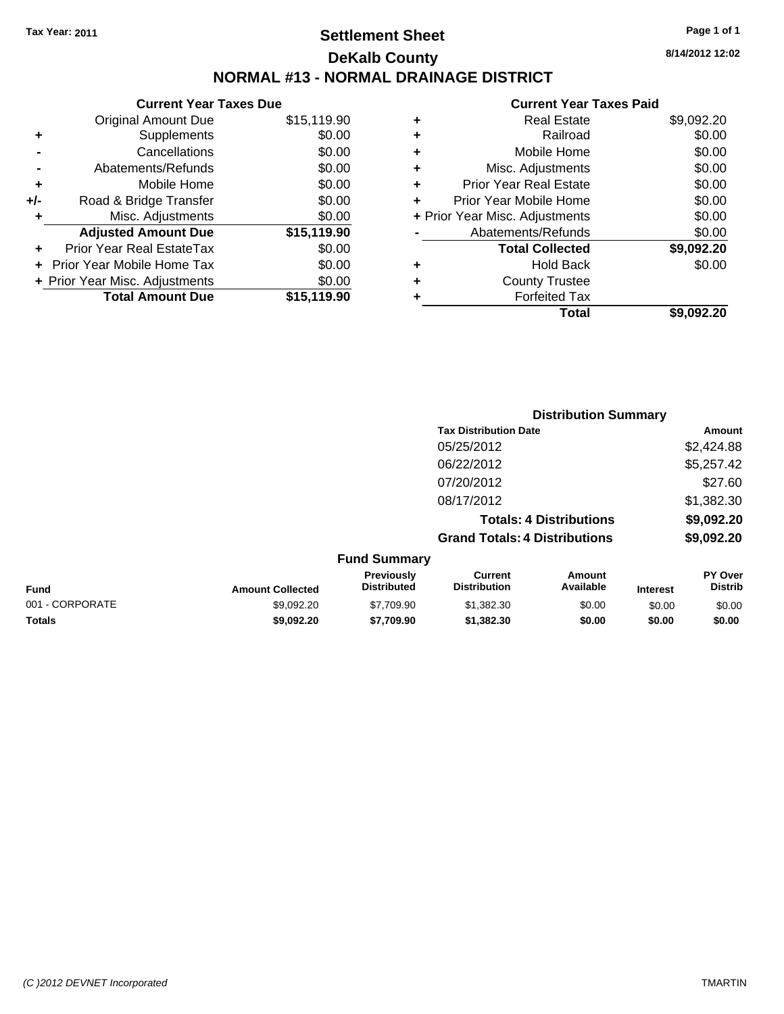## **Settlement Sheet Tax Year: 2011 Page 1 of 1 DeKalb County NORMAL #13 - NORMAL DRAINAGE DISTRICT**

### **Current Year Taxes Due** Original Amount Due \$15,119.90 **+** Supplements \$0.00 **-** Cancellations \$0.00 **-** Abatements/Refunds \$0.00 **+** Mobile Home \$0.00 **+/-** Road & Bridge Transfer \$0.00 **+** Misc. Adjustments \$0.00 **Adjusted Amount Due \$15,119.90 +** Prior Year Real EstateTax \$0.00 **+** Prior Year Mobile Home Tax \$0.00 **+ Prior Year Misc. Adjustments**  $$0.00$ **Total Amount Due \$15,119.90**

#### **Current Year Taxes Paid**

| ٠ | <b>Real Estate</b>             | \$9,092.20 |
|---|--------------------------------|------------|
| ٠ | Railroad                       | \$0.00     |
| ٠ | Mobile Home                    | \$0.00     |
| ٠ | Misc. Adjustments              | \$0.00     |
| ٠ | <b>Prior Year Real Estate</b>  | \$0.00     |
| ٠ | Prior Year Mobile Home         | \$0.00     |
|   | + Prior Year Misc. Adjustments | \$0.00     |
|   | Abatements/Refunds             | \$0.00     |
|   | <b>Total Collected</b>         | \$9,092.20 |
| ٠ | <b>Hold Back</b>               | \$0.00     |
| ٠ | <b>County Trustee</b>          |            |
| ٠ | <b>Forfeited Tax</b>           |            |
|   | Total                          | \$9,092.20 |
|   |                                |            |

|                 |                         |                                  |                                       | <b>Distribution Summary</b>    |                 |                                  |
|-----------------|-------------------------|----------------------------------|---------------------------------------|--------------------------------|-----------------|----------------------------------|
|                 |                         |                                  | <b>Tax Distribution Date</b>          |                                |                 | Amount                           |
|                 |                         |                                  | 05/25/2012                            |                                |                 | \$2,424.88                       |
|                 |                         |                                  | 06/22/2012                            |                                |                 | \$5,257.42                       |
|                 |                         |                                  | 07/20/2012                            |                                |                 | \$27.60                          |
|                 |                         |                                  | 08/17/2012                            |                                |                 | \$1,382.30                       |
|                 |                         |                                  |                                       | <b>Totals: 4 Distributions</b> |                 | \$9,092.20                       |
|                 |                         |                                  | <b>Grand Totals: 4 Distributions</b>  |                                |                 | \$9,092.20                       |
|                 |                         | <b>Fund Summary</b>              |                                       |                                |                 |                                  |
| Fund            | <b>Amount Collected</b> | Previously<br><b>Distributed</b> | <b>Current</b><br><b>Distribution</b> | Amount<br>Available            | <b>Interest</b> | <b>PY Over</b><br><b>Distrib</b> |
| 001 - CORPORATE | \$9,092.20              | \$7,709.90                       | \$1,382.30                            | \$0.00                         | \$0.00          | \$0.00                           |
|                 |                         |                                  |                                       |                                |                 |                                  |

**Totals \$9,092.20 \$7,709.90 \$1,382.30 \$0.00 \$0.00 \$0.00**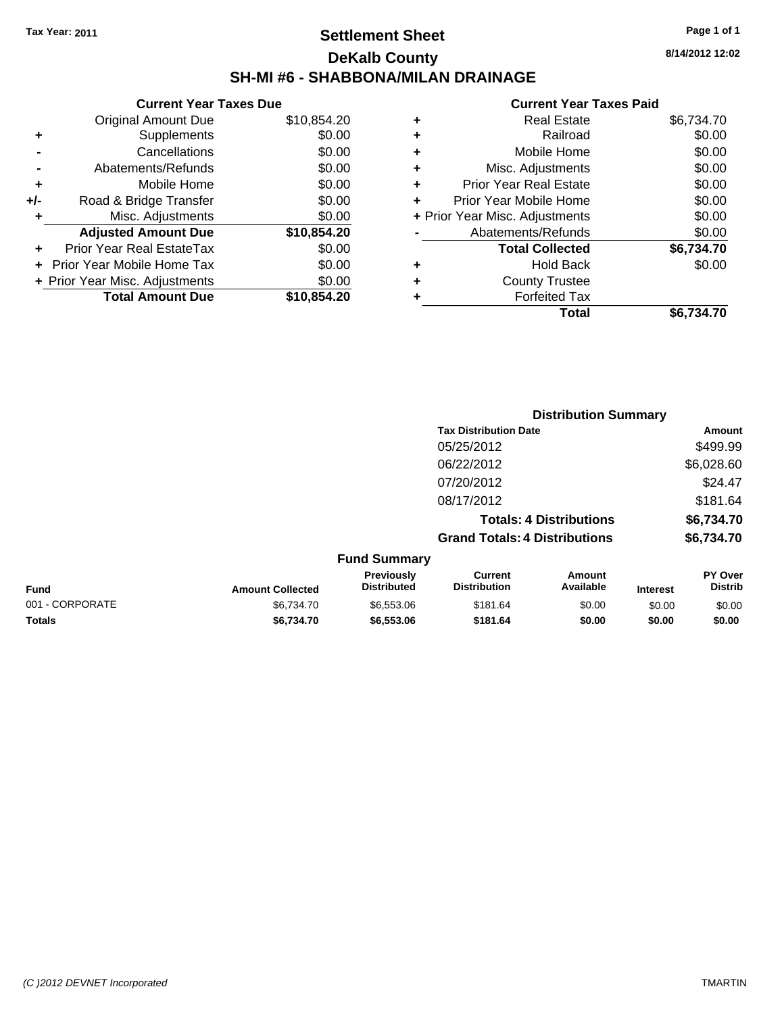## **Settlement Sheet Tax Year: 2011 Page 1 of 1 DeKalb County SH-MI #6 - SHABBONA/MILAN DRAINAGE**

**8/14/2012 12:02**

### **Current Year Taxes Paid**

|     | <b>Current Year Taxes Due</b>  |             |  |
|-----|--------------------------------|-------------|--|
|     | <b>Original Amount Due</b>     | \$10,854.20 |  |
| ٠   | Supplements                    | \$0.00      |  |
|     | Cancellations                  | \$0.00      |  |
|     | Abatements/Refunds             | \$0.00      |  |
| ٠   | Mobile Home                    | \$0.00      |  |
| +/- | Road & Bridge Transfer         | \$0.00      |  |
| ٠   | Misc. Adjustments              | \$0.00      |  |
|     | <b>Adjusted Amount Due</b>     | \$10,854.20 |  |
| ÷   | Prior Year Real EstateTax      | \$0.00      |  |
|     | Prior Year Mobile Home Tax     | \$0.00      |  |
|     | + Prior Year Misc. Adjustments | \$0.00      |  |
|     | <b>Total Amount Due</b>        | \$10,854.20 |  |
|     |                                |             |  |

| ٠                              | <b>Real Estate</b>            | \$6,734.70 |
|--------------------------------|-------------------------------|------------|
| ٠                              | Railroad                      | \$0.00     |
| ٠                              | Mobile Home                   | \$0.00     |
| ٠                              | Misc. Adjustments             | \$0.00     |
| ÷                              | <b>Prior Year Real Estate</b> | \$0.00     |
|                                | Prior Year Mobile Home        | \$0.00     |
| + Prior Year Misc. Adjustments |                               | \$0.00     |
|                                | Abatements/Refunds            | \$0.00     |
|                                | <b>Total Collected</b>        | \$6,734.70 |
| ٠                              | <b>Hold Back</b>              | \$0.00     |
| ٠                              | <b>County Trustee</b>         |            |
| ٠                              | <b>Forfeited Tax</b>          |            |
|                                | Total                         | \$6.734.70 |
|                                |                               |            |

|                 |                         |                                         |                                       | <b>Distribution Summary</b>    |                 |                           |
|-----------------|-------------------------|-----------------------------------------|---------------------------------------|--------------------------------|-----------------|---------------------------|
|                 |                         |                                         | <b>Tax Distribution Date</b>          |                                |                 | Amount                    |
|                 |                         |                                         | 05/25/2012                            |                                |                 | \$499.99                  |
|                 |                         |                                         | 06/22/2012                            |                                |                 | \$6,028.60                |
|                 |                         |                                         | 07/20/2012                            |                                |                 | \$24.47                   |
|                 |                         |                                         | 08/17/2012                            |                                |                 | \$181.64                  |
|                 |                         |                                         |                                       | <b>Totals: 4 Distributions</b> |                 | \$6,734.70                |
|                 |                         |                                         | <b>Grand Totals: 4 Distributions</b>  |                                |                 | \$6,734.70                |
|                 |                         | <b>Fund Summary</b>                     |                                       |                                |                 |                           |
| <b>Fund</b>     | <b>Amount Collected</b> | <b>Previously</b><br><b>Distributed</b> | <b>Current</b><br><b>Distribution</b> | Amount<br>Available            | <b>Interest</b> | PY Over<br><b>Distrib</b> |
| 001 - CORPORATE | \$6,734.70              | \$6,553.06                              | \$181.64                              | \$0.00                         | \$0.00          | \$0.00                    |
| <b>Totals</b>   | \$6,734.70              | \$6,553.06                              | \$181.64                              | \$0.00                         | \$0.00          | \$0.00                    |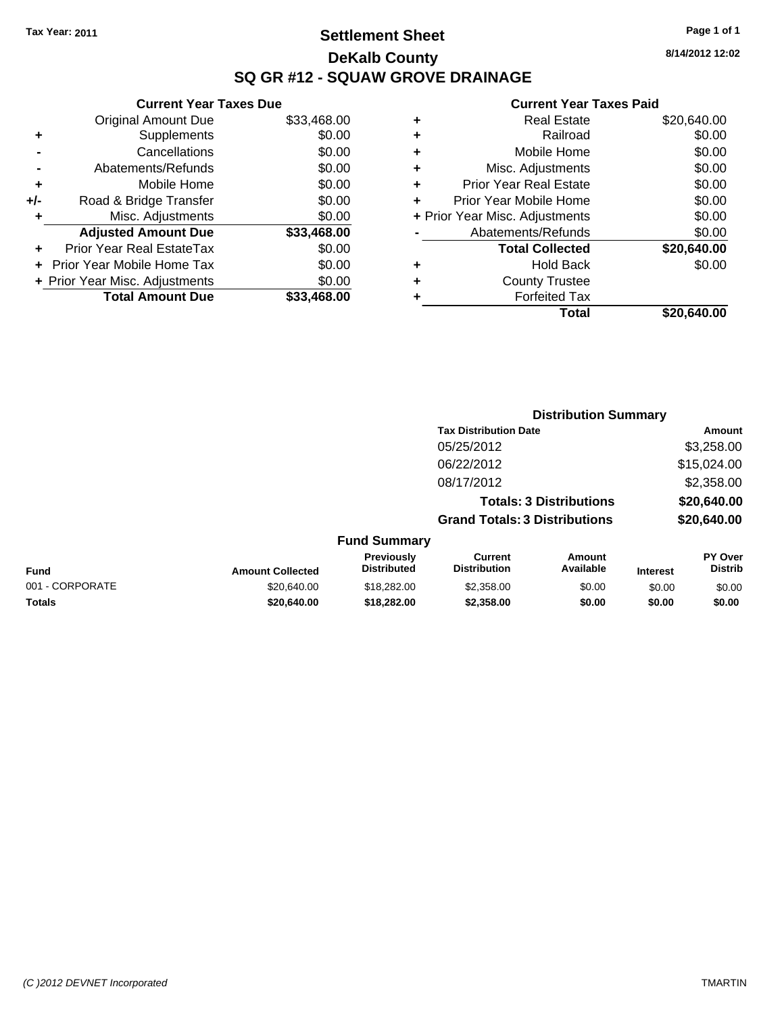## **Settlement Sheet Tax Year: 2011 Page 1 of 1 DeKalb County SQ GR #12 - SQUAW GROVE DRAINAGE**

**8/14/2012 12:02**

| <b>Prior Year Real Estate</b><br>Prior Year Mobile Home<br>+ Prior Year Misc. Adjustments<br>Abatements/Refunds<br><b>Total Collected</b><br><b>Hold Back</b><br><b>County Trustee</b><br><b>Forfeited Tax</b> | \$0.00<br>\$0.00<br>\$0.00<br>\$0.00<br>\$20,640.00<br>\$0.00 |
|----------------------------------------------------------------------------------------------------------------------------------------------------------------------------------------------------------------|---------------------------------------------------------------|
|                                                                                                                                                                                                                |                                                               |
|                                                                                                                                                                                                                |                                                               |
|                                                                                                                                                                                                                |                                                               |
|                                                                                                                                                                                                                |                                                               |
|                                                                                                                                                                                                                |                                                               |
|                                                                                                                                                                                                                |                                                               |
|                                                                                                                                                                                                                |                                                               |
|                                                                                                                                                                                                                |                                                               |
| Misc. Adjustments                                                                                                                                                                                              | \$0.00                                                        |
| Mobile Home                                                                                                                                                                                                    | \$0.00                                                        |
| Railroad                                                                                                                                                                                                       | \$0.00                                                        |
| <b>Real Estate</b>                                                                                                                                                                                             | \$20,640.00                                                   |
|                                                                                                                                                                                                                |                                                               |

|     | <b>Current Year Taxes Due</b>    |             |
|-----|----------------------------------|-------------|
|     | <b>Original Amount Due</b>       | \$33,468.00 |
| ٠   | Supplements                      | \$0.00      |
|     | Cancellations                    | \$0.00      |
|     | Abatements/Refunds               | \$0.00      |
| ٠   | Mobile Home                      | \$0.00      |
| +/- | Road & Bridge Transfer           | \$0.00      |
|     | Misc. Adjustments                | \$0.00      |
|     | <b>Adjusted Amount Due</b>       | \$33,468.00 |
|     | <b>Prior Year Real EstateTax</b> | \$0.00      |
|     | Prior Year Mobile Home Tax       | \$0.00      |
|     | + Prior Year Misc. Adjustments   | \$0.00      |
|     | <b>Total Amount Due</b>          | \$33.468.00 |

|                 |                         |                                  |                                       | <b>Distribution Summary</b>    |                 |                           |
|-----------------|-------------------------|----------------------------------|---------------------------------------|--------------------------------|-----------------|---------------------------|
|                 |                         |                                  | <b>Tax Distribution Date</b>          |                                |                 | Amount                    |
|                 |                         |                                  | 05/25/2012                            |                                |                 | \$3,258.00                |
|                 |                         |                                  | 06/22/2012                            |                                |                 | \$15,024.00               |
|                 |                         |                                  | 08/17/2012                            |                                |                 | \$2,358.00                |
|                 |                         |                                  |                                       | <b>Totals: 3 Distributions</b> |                 | \$20,640.00               |
|                 |                         |                                  | <b>Grand Totals: 3 Distributions</b>  |                                |                 | \$20,640.00               |
|                 |                         | <b>Fund Summary</b>              |                                       |                                |                 |                           |
| Fund            | <b>Amount Collected</b> | Previously<br><b>Distributed</b> | <b>Current</b><br><b>Distribution</b> | <b>Amount</b><br>Available     | <b>Interest</b> | PY Over<br><b>Distrib</b> |
| 001 - CORPORATE | \$20,640.00             | \$18,282.00                      | \$2,358.00                            | \$0.00                         | \$0.00          | \$0.00                    |
| Totals          | \$20,640.00             | \$18,282.00                      | \$2,358,00                            | \$0.00                         | \$0.00          | \$0.00                    |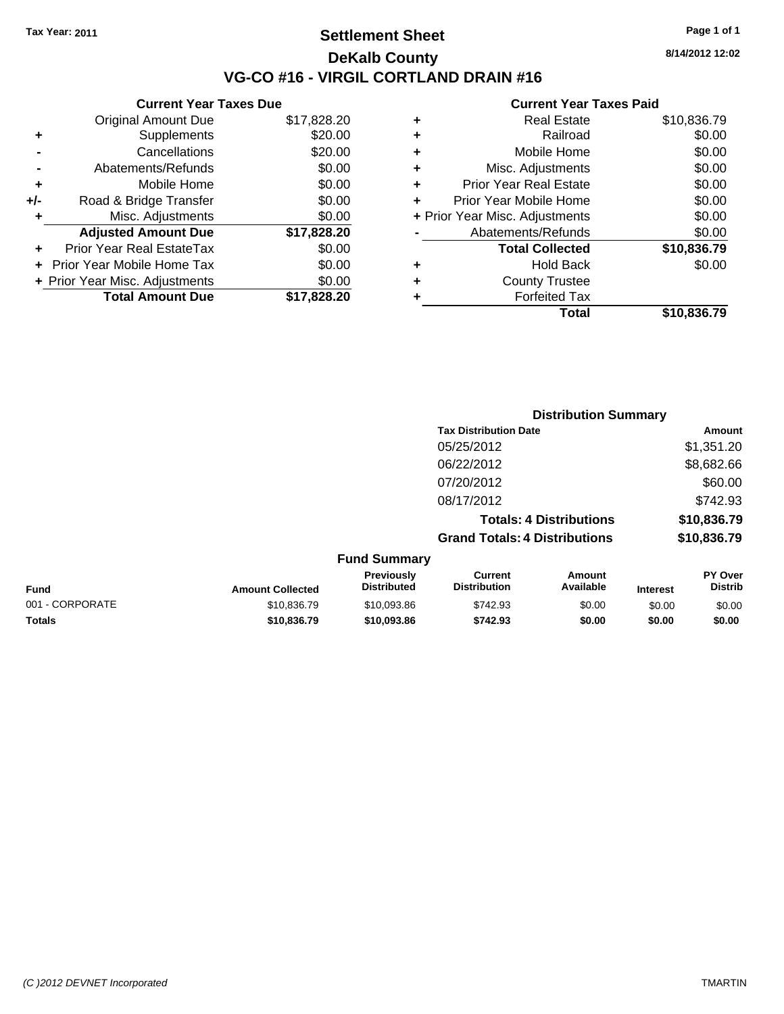**Current Year Taxes Due** Original Amount Due \$17,828.20

**Adjusted Amount Due \$17,828.20**

**Total Amount Due \$17,828.20**

**+** Supplements \$20.00 **-** Cancellations \$20.00 **-** Abatements/Refunds \$0.00 **+** Mobile Home \$0.00 **+/-** Road & Bridge Transfer \$0.00 **+** Misc. Adjustments \$0.00

**+** Prior Year Real EstateTax \$0.00 **+** Prior Year Mobile Home Tax \$0.00 **+ Prior Year Misc. Adjustments**  $$0.00$ 

## **Settlement Sheet Tax Year: 2011 Page 1 of 1 DeKalb County VG-CO #16 - VIRGIL CORTLAND DRAIN #16**

**8/14/2012 12:02**

### **Current Year Taxes Paid**

| <b>Hold Back</b><br><b>County Trustee</b><br><b>Forfeited Tax</b> | \$0.00                         |
|-------------------------------------------------------------------|--------------------------------|
|                                                                   |                                |
|                                                                   |                                |
|                                                                   |                                |
| <b>Total Collected</b>                                            | \$10,836.79                    |
| Abatements/Refunds                                                | \$0.00                         |
|                                                                   | \$0.00                         |
| Prior Year Mobile Home                                            | \$0.00                         |
| <b>Prior Year Real Estate</b>                                     | \$0.00                         |
| Misc. Adjustments                                                 | \$0.00                         |
| Mobile Home                                                       | \$0.00                         |
| Railroad                                                          | \$0.00                         |
| <b>Real Estate</b>                                                | \$10,836.79                    |
|                                                                   | + Prior Year Misc. Adjustments |

|                 |                         |                                  |                                       | <b>Distribution Summary</b>    |                 |                                  |
|-----------------|-------------------------|----------------------------------|---------------------------------------|--------------------------------|-----------------|----------------------------------|
|                 |                         |                                  | <b>Tax Distribution Date</b>          |                                |                 | Amount                           |
|                 |                         |                                  | 05/25/2012                            |                                |                 | \$1,351.20                       |
|                 |                         |                                  | 06/22/2012                            |                                |                 | \$8,682.66                       |
|                 |                         |                                  | 07/20/2012                            |                                |                 | \$60.00                          |
|                 |                         |                                  | 08/17/2012                            |                                |                 | \$742.93                         |
|                 |                         |                                  |                                       | <b>Totals: 4 Distributions</b> |                 | \$10,836.79                      |
|                 |                         |                                  | <b>Grand Totals: 4 Distributions</b>  |                                |                 | \$10,836.79                      |
|                 |                         | <b>Fund Summary</b>              |                                       |                                |                 |                                  |
| Fund            | <b>Amount Collected</b> | Previously<br><b>Distributed</b> | <b>Current</b><br><b>Distribution</b> | Amount<br>Available            | <b>Interest</b> | <b>PY Over</b><br><b>Distrib</b> |
| 001 - CORPORATE | \$10,836.79             | \$10,093.86                      | \$742.93                              | \$0.00                         | \$0.00          | \$0.00                           |
|                 |                         |                                  |                                       |                                |                 |                                  |

**Totals \$10,836.79 \$10,093.86 \$742.93 \$0.00 \$0.00 \$0.00**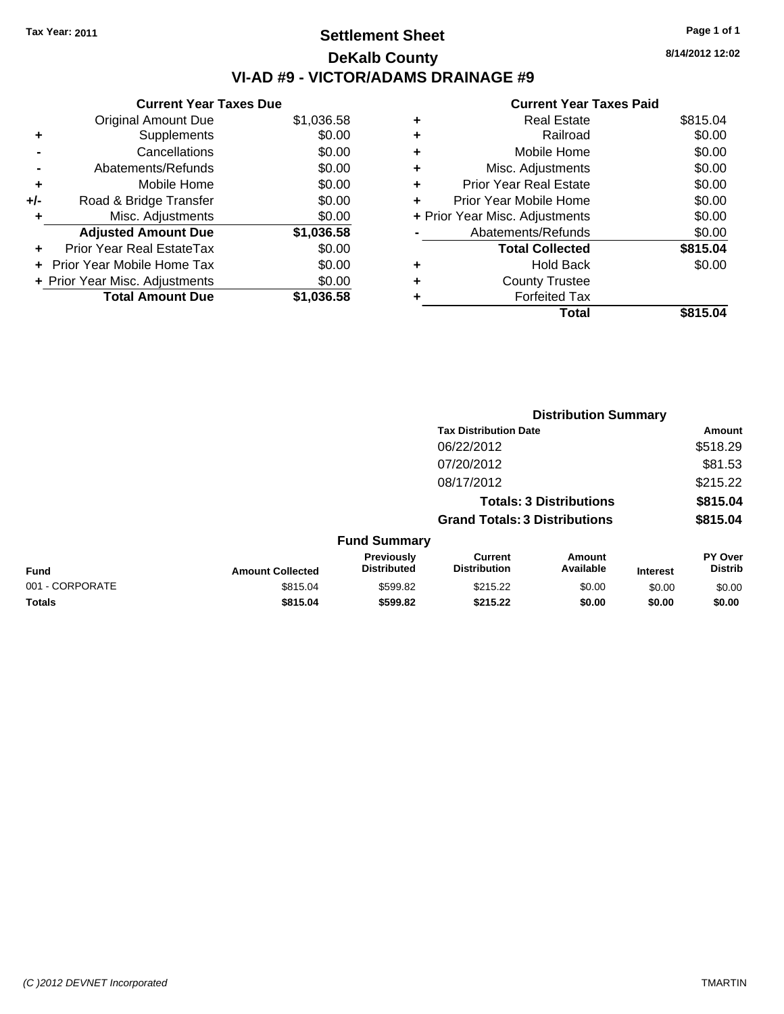## **Settlement Sheet Tax Year: 2011 Page 1 of 1 DeKalb County VI-AD #9 - VICTOR/ADAMS DRAINAGE #9**

**8/14/2012 12:02**

|       | <b>Current Year Taxes Due</b>  |            |  |  |  |  |
|-------|--------------------------------|------------|--|--|--|--|
|       | <b>Original Amount Due</b>     | \$1,036.58 |  |  |  |  |
| ٠     | Supplements                    | \$0.00     |  |  |  |  |
|       | Cancellations                  | \$0.00     |  |  |  |  |
|       | Abatements/Refunds             | \$0.00     |  |  |  |  |
| ٠     | Mobile Home                    | \$0.00     |  |  |  |  |
| $+/-$ | Road & Bridge Transfer         | \$0.00     |  |  |  |  |
|       | Misc. Adjustments              | \$0.00     |  |  |  |  |
|       | <b>Adjusted Amount Due</b>     | \$1,036.58 |  |  |  |  |
|       | Prior Year Real EstateTax      | \$0.00     |  |  |  |  |
|       | Prior Year Mobile Home Tax     | \$0.00     |  |  |  |  |
|       | + Prior Year Misc. Adjustments | \$0.00     |  |  |  |  |
|       | <b>Total Amount Due</b>        | \$1.036.58 |  |  |  |  |
|       |                                |            |  |  |  |  |

|                                | Total                         | \$815.04 |
|--------------------------------|-------------------------------|----------|
|                                | <b>Forfeited Tax</b>          |          |
| ÷                              | <b>County Trustee</b>         |          |
| ٠                              | <b>Hold Back</b>              | \$0.00   |
|                                | <b>Total Collected</b>        | \$815.04 |
|                                | Abatements/Refunds            | \$0.00   |
| + Prior Year Misc. Adjustments |                               | \$0.00   |
| ÷                              | Prior Year Mobile Home        | \$0.00   |
| ٠                              | <b>Prior Year Real Estate</b> | \$0.00   |
| ٠                              | Misc. Adjustments             | \$0.00   |
| ٠                              | Mobile Home                   | \$0.00   |
| ٠                              | Railroad                      | \$0.00   |
| ٠                              | Real Estate                   | \$815.04 |
|                                |                               |          |

|                 |                         |                                  |                                       | <b>Distribution Summary</b>    |                 |                           |
|-----------------|-------------------------|----------------------------------|---------------------------------------|--------------------------------|-----------------|---------------------------|
|                 |                         |                                  | <b>Tax Distribution Date</b>          |                                |                 | Amount                    |
|                 |                         |                                  | 06/22/2012                            |                                |                 | \$518.29                  |
|                 |                         |                                  | 07/20/2012                            |                                |                 | \$81.53                   |
|                 |                         |                                  | 08/17/2012                            |                                |                 | \$215.22                  |
|                 |                         |                                  |                                       | <b>Totals: 3 Distributions</b> |                 | \$815.04                  |
|                 |                         |                                  | <b>Grand Totals: 3 Distributions</b>  |                                |                 | \$815.04                  |
|                 |                         | <b>Fund Summary</b>              |                                       |                                |                 |                           |
| <b>Fund</b>     | <b>Amount Collected</b> | Previously<br><b>Distributed</b> | <b>Current</b><br><b>Distribution</b> | <b>Amount</b><br>Available     | <b>Interest</b> | PY Over<br><b>Distrib</b> |
| 001 - CORPORATE | \$815.04                | \$599.82                         | \$215.22                              | \$0.00                         | \$0.00          | \$0.00                    |
| Totals          | \$815.04                | \$599.82                         | \$215.22                              | \$0.00                         | \$0.00          | \$0.00                    |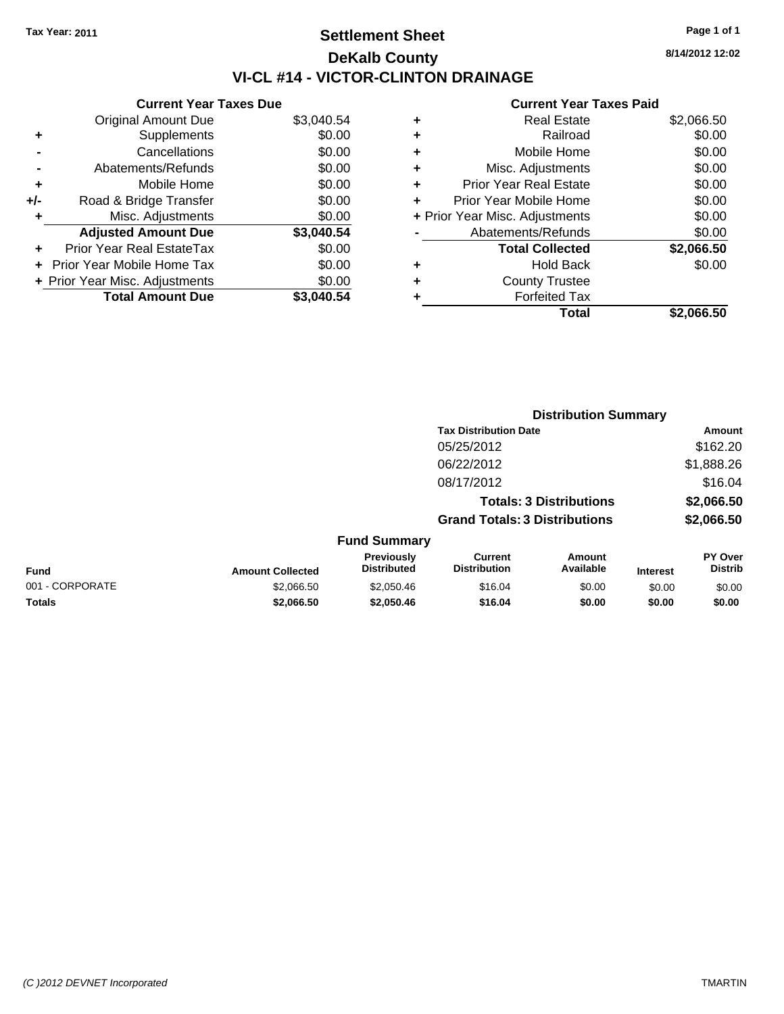## **Settlement Sheet Tax Year: 2011 Page 1 of 1 DeKalb County VI-CL #14 - VICTOR-CLINTON DRAINAGE**

**8/14/2012 12:02**

|     | <b>Current Year Taxes Due</b>  |            |
|-----|--------------------------------|------------|
|     | <b>Original Amount Due</b>     | \$3,040.54 |
| ٠   | Supplements                    | \$0.00     |
|     | Cancellations                  | \$0.00     |
|     | Abatements/Refunds             | \$0.00     |
| ٠   | Mobile Home                    | \$0.00     |
| +/- | Road & Bridge Transfer         | \$0.00     |
| ٠   | Misc. Adjustments              | \$0.00     |
|     | <b>Adjusted Amount Due</b>     | \$3,040.54 |
| ٠   | Prior Year Real EstateTax      | \$0.00     |
|     | Prior Year Mobile Home Tax     | \$0.00     |
|     | + Prior Year Misc. Adjustments | \$0.00     |
|     | <b>Total Amount Due</b>        | \$3.040.54 |

| ٠ | <b>Real Estate</b>             | \$2,066.50 |
|---|--------------------------------|------------|
| ٠ | Railroad                       | \$0.00     |
| ٠ | Mobile Home                    | \$0.00     |
| ٠ | Misc. Adjustments              | \$0.00     |
| ÷ | <b>Prior Year Real Estate</b>  | \$0.00     |
|   | Prior Year Mobile Home         | \$0.00     |
|   | + Prior Year Misc. Adjustments | \$0.00     |
|   | Abatements/Refunds             | \$0.00     |
|   | <b>Total Collected</b>         | \$2,066.50 |
| ٠ | <b>Hold Back</b>               | \$0.00     |
|   | <b>County Trustee</b>          |            |
| ٠ | <b>Forfeited Tax</b>           |            |
|   | Total                          | \$2,066.50 |
|   |                                |            |

|                 |                         |                                  | <b>Distribution Summary</b>           |                                |                 |                           |
|-----------------|-------------------------|----------------------------------|---------------------------------------|--------------------------------|-----------------|---------------------------|
|                 |                         |                                  | <b>Tax Distribution Date</b>          |                                |                 | Amount                    |
|                 |                         |                                  | 05/25/2012                            |                                |                 | \$162.20                  |
|                 |                         |                                  | 06/22/2012                            |                                |                 | \$1,888.26                |
|                 |                         |                                  | 08/17/2012                            |                                |                 | \$16.04                   |
|                 |                         |                                  |                                       | <b>Totals: 3 Distributions</b> |                 | \$2,066.50                |
|                 |                         |                                  | <b>Grand Totals: 3 Distributions</b>  |                                |                 | \$2,066.50                |
|                 |                         | <b>Fund Summary</b>              |                                       |                                |                 |                           |
| Fund            | <b>Amount Collected</b> | Previously<br><b>Distributed</b> | <b>Current</b><br><b>Distribution</b> | Amount<br>Available            | <b>Interest</b> | PY Over<br><b>Distrib</b> |
| 001 - CORPORATE | \$2,066.50              | \$2,050.46                       | \$16.04                               | \$0.00                         | \$0.00          | \$0.00                    |
| Totals          | \$2,066.50              | \$2,050.46                       | \$16.04                               | \$0.00                         | \$0.00          | \$0.00                    |
|                 |                         |                                  |                                       |                                |                 |                           |